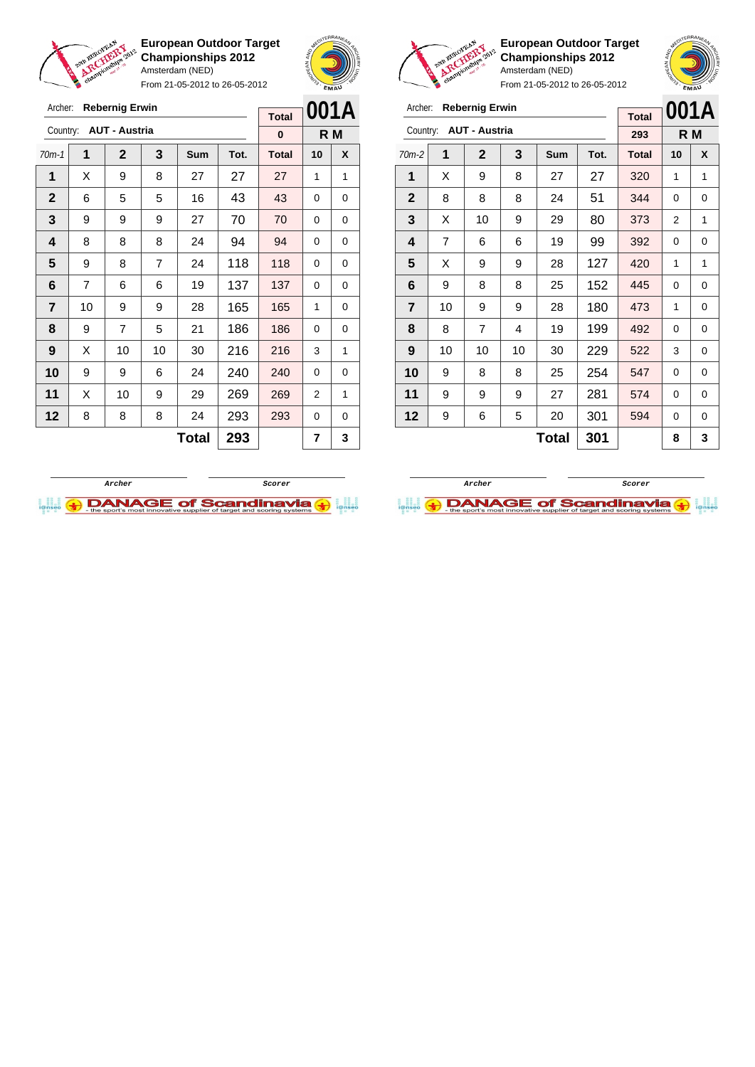

Archer: **Rebernig Erwin** Country: **AUT - Austria**

**European Outdoor Target Championships 2012** Amsterdam (NED)

From 21-05-2012 to 26-05-2012

70m-1 **1 2 3 Sum Tot. Total 10 X** | X | 9 | 8 | 27 | 27 | 27 | 1 | 1 6 5 5 16 43 43 0 0 | 9 | 9 | 9 | 27 | 70 | 70 | 0 | 0



**R M**

**Total 0**



**European Outdoor Target Championships 2012** Amsterdam (NED)



| Archer:                 |                | <b>Rebernig Erwin</b> |    | <b>Total</b> |      | 001A         |    |     |
|-------------------------|----------------|-----------------------|----|--------------|------|--------------|----|-----|
| Country:                |                | <b>AUT - Austria</b>  |    |              |      | 293          |    | R M |
| $70m-2$                 | 1              | $\mathbf{2}$          | 3  | Sum          | Tot. | <b>Total</b> | 10 | X   |
| 1                       | X              | 9                     | 8  | 27           | 27   | 320          | 1  | 1   |
| $\mathbf{2}$            | 8              | 8                     | 8  | 24           | 51   | 344          | 0  | 0   |
| 3                       | X              | 10                    | 9  | 29           | 80   | 373          | 2  | 1   |
| 4                       | $\overline{7}$ | 6                     | 6  | 19           | 99   | 392          | 0  | 0   |
| 5                       | X              | 9                     | 9  | 28           | 127  | 420          | 1  | 1   |
| 6                       | 9              | 8                     | 8  | 25           | 152  | 445          | 0  | 0   |
| $\overline{\mathbf{r}}$ | 10             | 9                     | 9  | 28           | 180  | 473          | 1  | 0   |
| 8                       | 8              | $\overline{7}$        | 4  | 19           | 199  | 492          | 0  | 0   |
| 9                       | 10             | 10                    | 10 | 30           | 229  | 522          | 3  | 0   |
| 10                      | 9              | 8                     | 8  | 25           | 254  | 547          | 0  | 0   |
| 11                      | 9              | 9                     | 9  | 27           | 281  | 574          | 0  | 0   |
| 12                      | 9              | 6                     | 5  | 20           | 301  | 594          | 0  | 0   |
|                         |                |                       | 8  | 3            |      |              |    |     |





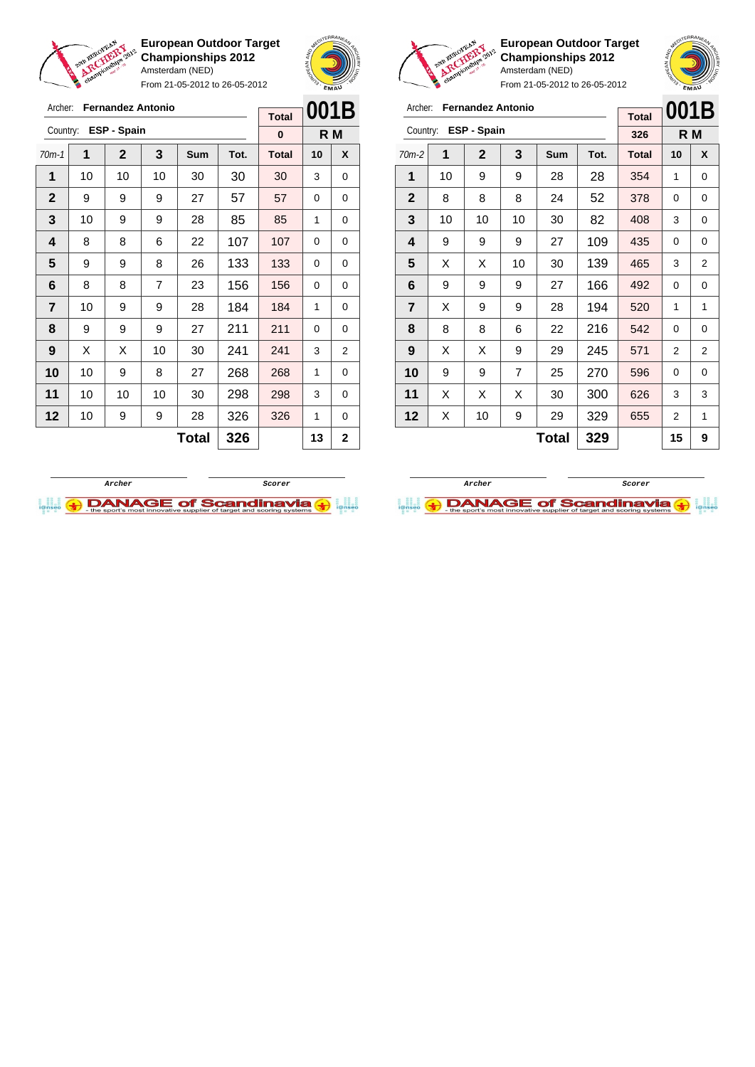

Archer: **Fernandez Antonio**

Country: **ESP - Spain**

**European Outdoor Target Championships 2012** Amsterdam (NED)

From 21-05-2012 to 26-05-2012

70m-1 **1 2 3 Sum Tot. Total 10 X** | 10 | 10 | 10 | 30 | 30 | 30 | 3 | 0 | 9 | 9 | 9 | 27 | 57 | 57 | 0 | 0 | 10 | 9 | 9 | 28 | 85 | 85 | 1 | 0 | 8 | 8 | 6 | 22 | 107 | 107 | 0 | 0  $\begin{array}{|c|c|c|c|c|c|} 9 & 8 & 26 & 133 & 133 & 0 & 0 \end{array}$  | 8 | 8 | 7 | 23 | 156 | 156 | 0 | 0 | 10 | 9 | 9 | 28 | 184 | 184 | 1 | 0 | 9 | 9 | 9 | 27 | 211 | 211 | 0 | 0 | X | X | 10 | 30 | **241 | 241 | 3** | 2 | 10 | 9 | 8 | 27 | 268 | 268 | 1 | 0 | 10 | 10 | 10 | 30 | 298 | 298 | 3 | 0 | 10 | 9 | 9 | 28 | 326 | 326 | 1 | 0



**R M**

**Total 0**



**European Outdoor Target Championships 2012** Amsterdam (NED)



| Archer:                 |    | <b>Fernandez Antonio</b> |    | <b>Total</b> | 001B |              |    |                |
|-------------------------|----|--------------------------|----|--------------|------|--------------|----|----------------|
| Country:                |    | ESP - Spain              |    |              |      | 326          |    | R M            |
| $70m-2$                 | 1  | $\mathbf{2}$             | 3  | Sum          | Tot. | <b>Total</b> | 10 | X              |
| 1                       | 10 | 9                        | 9  | 28           | 28   | 354          | 1  | 0              |
| $\mathbf{2}$            | 8  | 8                        | 8  | 24           | 52   | 378          | 0  | 0              |
| 3                       | 10 | 10                       | 10 | 30           | 82   | 408          | 3  | 0              |
| 4                       | 9  | 9                        | 9  | 27           | 109  | 435          | 0  | 0              |
| 5                       | X  | X                        | 10 | 30           | 139  | 465          | 3  | $\overline{2}$ |
| 6                       | 9  | 9                        | 9  | 27           | 166  | 492          | 0  | 0              |
| $\overline{\mathbf{r}}$ | X  | 9                        | 9  | 28           | 194  | 520          | 1  | 1              |
| 8                       | 8  | 8                        | 6  | 22           | 216  | 542          | 0  | 0              |
| 9                       | X  | X                        | 9  | 29           | 245  | 571          | 2  | 2              |
| 10                      | 9  | 9                        | 7  | 25           | 270  | 596          | 0  | 0              |
| 11                      | X  | X                        | X  | 30           | 300  | 626          | 3  | 3              |
| 12                      | Χ  | 10                       | 9  | 29           | 329  | 655          | 2  | 1              |
|                         |    |                          |    | 15           | 9    |              |    |                |

**Archer Scorer**

**DANAGE of Scandinavia** 



 $Total | 326 | 13 | 226$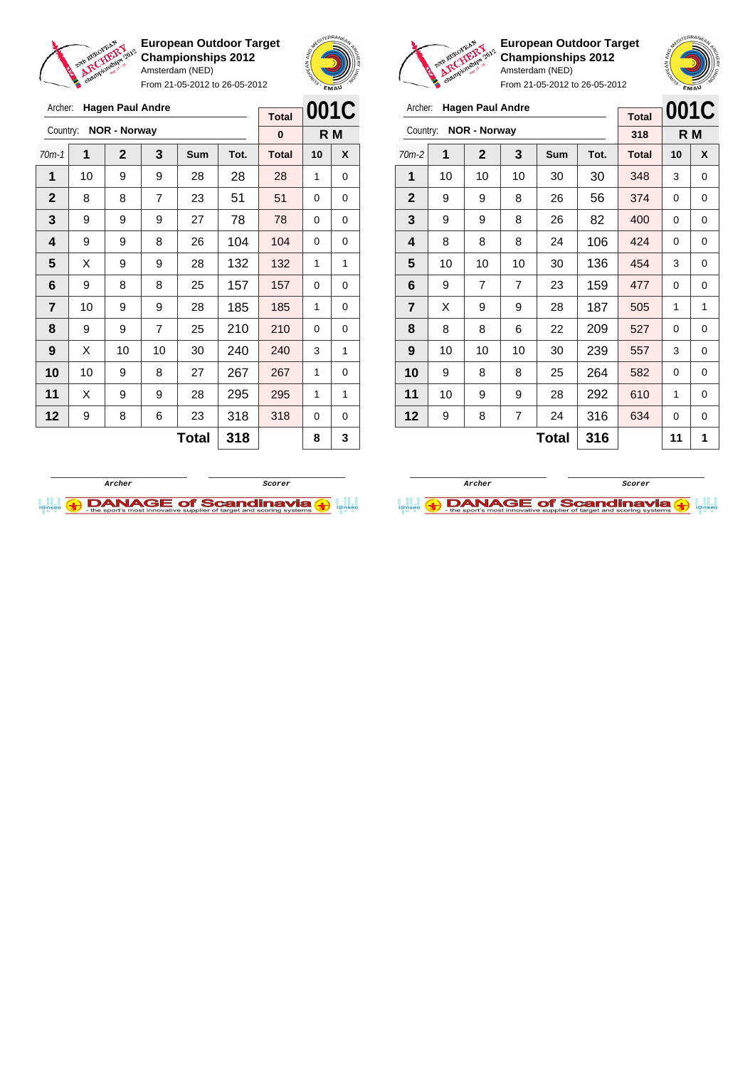



Country: **NOR - Norway**

**European Outdoor Target Championships 2012** Amsterdam (NED) From 21-05-2012 to 26-05-2012

70m-2 **1 2 3 Sum Tot. Total 10 X** | 10 | 10 | 10 | 30 | 30 | 348 | 3 | 0 | 9 | 9 | 8 | 26 | 56 | 374 | 0 | 0 | 9 | 9 | 8 | 26 | 82 | 400 | 0 | 0 | 8 | 8 | 8 | 24 | 106 | 424 | 0 | 0 | 10 | 10 | 10 | 30 | 136 | 454 | 3 | 0 | 9 | 7 | 7 | 23 | 159 | 477 | 0 | 0 | X | 9 | 9 | 28 | 187 | 505 | 1 | 1 | 8 | 8 | 6 | 22 | 209 | 527 | 0 | 0 | 10 | 10 | 10 | 30 | 239 | 557 | 3 | 0 | 9 | 8 | 8 | 25 | 264 | 582 | 0 | 0 | 10 | 9 | 9 | 28 | 292 | 610 | 1 | 0 | 9 | 8 | 7 | 24 | 316 | 634 | 0 | 0

**MEDITERRANEAN** 

Archer: **Hagen Paul Andre**

| 318          | R M                                 |
|--------------|-------------------------------------|
| <b>Total</b> | 001C                                |
|              |                                     |
| 2            | <b>FIRM ANY</b><br><b>OMOTABING</b> |

|                         | 2021 EUROPEAN | Anamionaline 2012       |                | <b>Championships 2012</b><br>Amsterdam (NED)<br>From 21-05-2012 to 26-05-2012 | <b>European Outdoor Target</b> |              | AREDITERRANEAN | EMAU |
|-------------------------|---------------|-------------------------|----------------|-------------------------------------------------------------------------------|--------------------------------|--------------|----------------|------|
| Archer:                 |               | <b>Hagen Paul Andre</b> |                |                                                                               |                                | <b>Total</b> |                | 001C |
| Country:                |               | <b>NOR - Norway</b>     |                |                                                                               |                                | $\bf{0}$     |                | R M  |
| $70m-1$                 | 1             | <b>Total</b>            | 10             | X                                                                             |                                |              |                |      |
| 1                       | 10            | 9                       | 9              | 28                                                                            | 28                             | 28           | 1              | 0    |
| $\mathbf{2}$            | 8             | 8                       | $\overline{7}$ | 23                                                                            | 51                             | 51           | 0              | 0    |
| 3                       | 9             | 9                       | 9              | 27                                                                            | 78                             | 78           | $\Omega$       | 0    |
| $\overline{\mathbf{4}}$ | 9             | 9                       | 8              | 26                                                                            | 104                            | 104          | 0              | 0    |
| 5                       | X             | 9                       | 9              | 28                                                                            | 132                            | 132          | 1              | 1    |
| 6                       | 9             | 8                       | 8              | 25                                                                            | 157                            | 157          | $\Omega$       | 0    |
| $\overline{7}$          | 10            | 9                       | 9              | 28                                                                            | 185                            | 185          | 1              | 0    |
| 8                       | 9             | 9                       | $\overline{7}$ | 25                                                                            | 210                            | 210          | 0              | 0    |
| 9                       | X             | 10                      | 10             | 30                                                                            | 240                            | 240          | 3              | 1    |
| 10                      | 10            | 9                       | 8              | 27                                                                            | 267                            | 267          | 1              | 0    |
| 11                      | X             | 9                       | 9              | 28                                                                            | 295                            | 295          | 1              | 1    |
| 12                      | 9             | 8                       | 6              | 23                                                                            | 318                            | 318          | 0              | 0    |
|                         |               |                         |                | <b>Total</b>                                                                  | 318                            |              | 8              | 3    |



 $Total | 316 | 11 | 1$ 

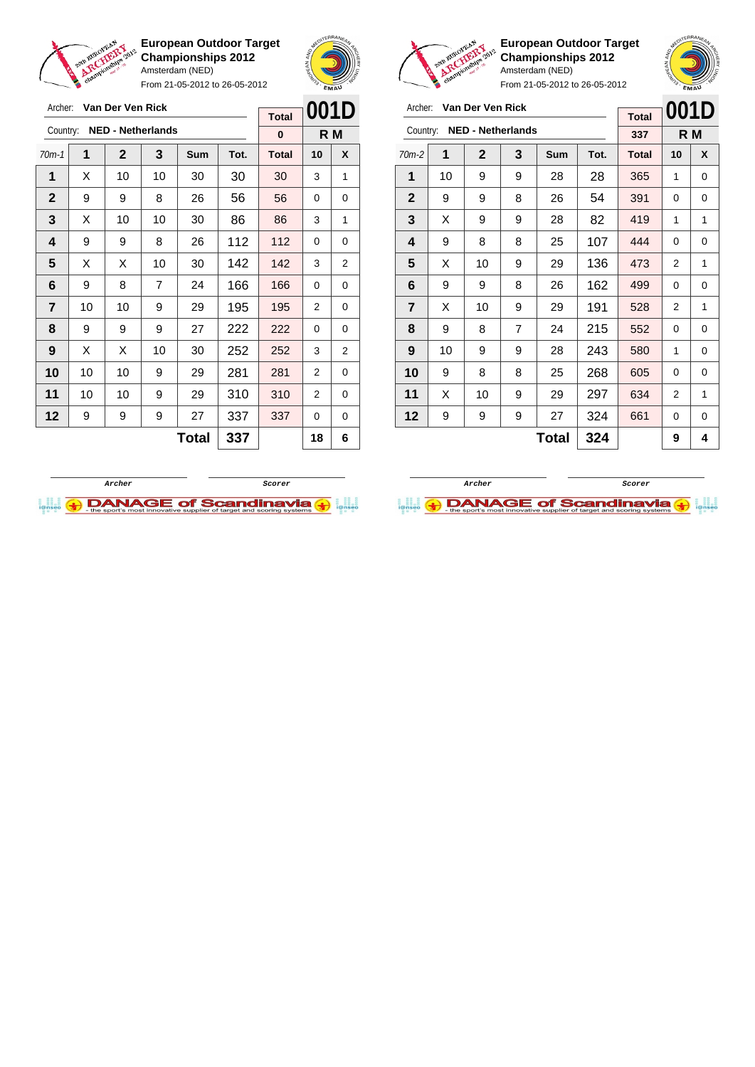



From 21-05-2012 to 26-05-2012

| Archer:        |    | Van Der Ven Rick |                          |              |      | 001D         |          |     |
|----------------|----|------------------|--------------------------|--------------|------|--------------|----------|-----|
|                |    |                  |                          |              |      | <b>Total</b> |          |     |
| Country:       |    |                  | <b>NED - Netherlands</b> |              |      | $\bf{0}$     |          | R M |
| $70m-1$        | 1  | $\mathbf{2}$     | 3                        | Sum          | Tot. | <b>Total</b> | 10       | X   |
| 1              | Х  | 10               | 10                       | 30           | 30   | 30           | 3        | 1   |
| $\mathbf{2}$   | 9  | 9                | 8                        | 26           | 56   | 56           | 0        | 0   |
| 3              | X  | 10               | 10                       | 30           | 86   | 86           | 3        | 1   |
| 4              | 9  | 9                | 8                        | 26           | 112  | 112          | $\Omega$ | 0   |
| 5              | Х  | X                | 10                       | 30           | 142  | 142          | 3        | 2   |
| 6              | 9  | 8                | 7                        | 24           | 166  | 166          | 0        | 0   |
| $\overline{7}$ | 10 | 10               | 9                        | 29           | 195  | 195          | 2        | 0   |
| 8              | 9  | 9                | 9                        | 27           | 222  | 222          | 0        | 0   |
| 9              | X  | X                | 10                       | 30           | 252  | 252          | 3        | 2   |
| 10             | 10 | 10               | 9                        | 29           | 281  | 281          | 2        | 0   |
| 11             | 10 | 10               | 9                        | 29           | 310  | 310          | 2        | 0   |
| 12             | 9  | 9                | 9                        | 27           | 337  | 337          | 0        | 0   |
|                |    |                  |                          | <b>Total</b> | 337  |              | 18       | 6   |



**European Outdoor Target Championships 2012** Amsterdam (NED)

| Archer:                 |    | Van Der Ven Rick         |   |            | 001D |              |    |     |
|-------------------------|----|--------------------------|---|------------|------|--------------|----|-----|
|                         |    |                          |   |            |      | <b>Total</b> |    |     |
| Country:                |    | <b>NED - Netherlands</b> |   |            |      | 337          |    | R M |
| $70m-2$                 | 1  | $\mathbf{2}$             | 3 | <b>Sum</b> | Tot. | <b>Total</b> | 10 | X   |
| 1                       | 10 | 9                        | 9 | 28         | 28   | 365          | 1  | 0   |
| $\mathbf{2}$            | 9  | 9                        | 8 | 26         | 54   | 391          | 0  | 0   |
| 3                       | X  | 9                        | 9 | 28         | 82   | 419          | 1  | 1   |
| $\overline{\mathbf{4}}$ | 9  | 8                        | 8 | 25         | 107  | 444          | 0  | 0   |
| 5                       | X  | 10                       | 9 | 29         | 136  | 473          | 2  | 1   |
| 6                       | 9  | 9                        | 8 | 26         | 162  | 499          | 0  | 0   |
| $\overline{7}$          | X  | 10                       | 9 | 29         | 191  | 528          | 2  | 1   |
| 8                       | 9  | 8                        | 7 | 24         | 215  | 552          | 0  | 0   |
| 9                       | 10 | 9                        | 9 | 28         | 243  | 580          | 1  | 0   |
| 10                      | 9  | 8                        | 8 | 25         | 268  | 605          | 0  | 0   |
| 11                      | X  | 10                       | 9 | 29         | 297  | 634          | 2  | 1   |
| 12                      | 9  | 9                        | 9 | 27         | 324  | 661          | 0  | 0   |
|                         |    |                          |   | 9          | 4    |              |    |     |



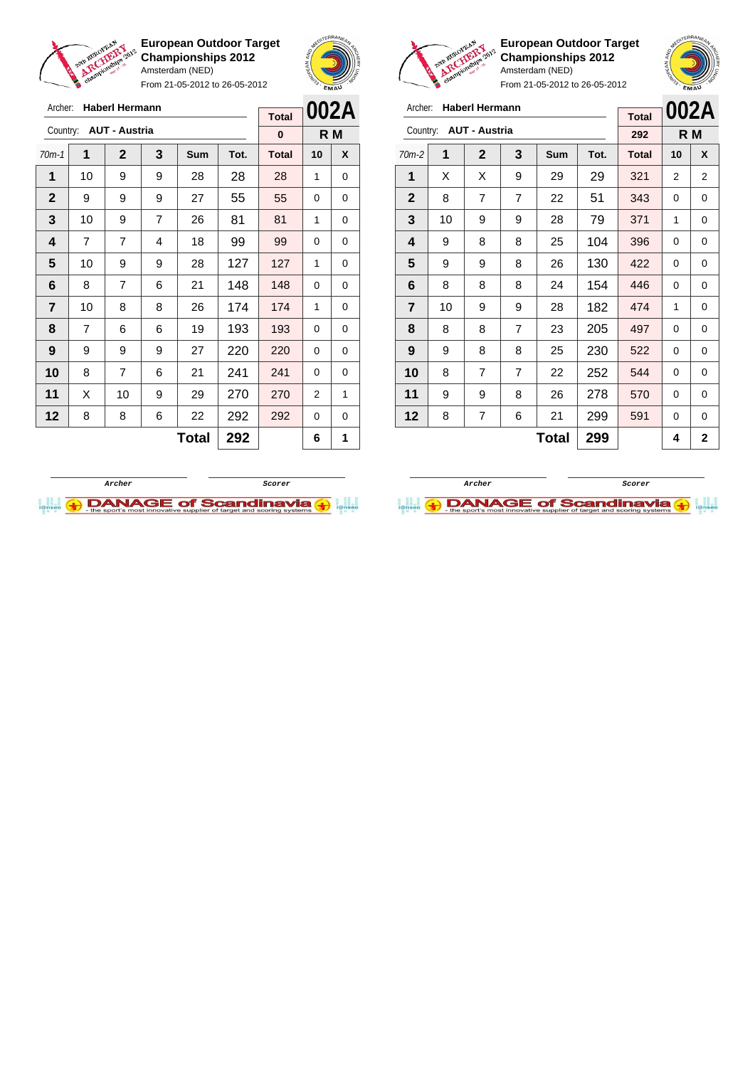

Archer: **Haberl Hermann** Country: **AUT - Austria**

**European Outdoor Target Championships 2012** Amsterdam (NED)

From 21-05-2012 to 26-05-2012

70m-1 **1 2 3 Sum Tot. Total 10 X** | 10 | 9 | 9 | 28 | 28 | 28 | 1 | 0 9 9 9 27 55 55 0 0 | 10 | 9 | 7 | 26 | 81 | 81 | 1 | 0 | 7 | 7 | 4 | 18 | 99 | 99 | 0 | 0 | 10 | 9 | 9 | 28 | 127 | 127 | 1 | 0 | 8 | 7 | 6 | 21 | 148 | 148 | 0 | 0 | 10 | 8 | 8 | 26 | 174 | 174 | 1 | 0 | 7 | 6 | 6 | 19 | 193 | 193 | 0 | 0 | 9 | 9 | 9 | 27 | 220 | 220 | 0 | 0 8 7 6 21 **241 241 0 0**  | X | 10 | 9 | 29 | 270 | 270 | 2 | 1 | 8 | 8 | 6 | 22 | 292 | 292 | 0 | 0



**R M**

**Total 0**



**European Outdoor Target Championships 2012** Amsterdam (NED)



From 21-05-2012 to 26-05-2012

| Archer:        |    | <b>Haberl Hermann</b> |                | <b>Total</b> |      | 002A         |    |              |
|----------------|----|-----------------------|----------------|--------------|------|--------------|----|--------------|
| Country:       |    | <b>AUT - Austria</b>  |                |              |      | 292          |    | R M          |
| $70m-2$        | 1  | $\mathbf{2}$          | 3              | Sum          | Tot. | <b>Total</b> | 10 | X            |
| 1              | X  | X                     | 9              | 29           | 29   | 321          | 2  | 2            |
| $\mathbf{2}$   | 8  | 7                     | $\overline{7}$ | 22           | 51   | 343          | 0  | 0            |
| 3              | 10 | 9                     | 9              | 28           | 79   | 371          | 1  | 0            |
| 4              | 9  | 8                     | 8              | 25           | 104  | 396          | 0  | 0            |
| 5              | 9  | 9                     | 8              | 26           | 130  | 422          | 0  | 0            |
| 6              | 8  | 8                     | 8              | 24           | 154  | 446          | 0  | 0            |
| $\overline{7}$ | 10 | 9                     | 9              | 28           | 182  | 474          | 1  | 0            |
| 8              | 8  | 8                     | $\overline{7}$ | 23           | 205  | 497          | 0  | 0            |
| 9              | 9  | 8                     | 8              | 25           | 230  | 522          | 0  | 0            |
| 10             | 8  | 7                     | 7              | 22           | 252  | 544          | 0  | 0            |
| 11             | 9  | 9                     | 8              | 26           | 278  | 570          | 0  | 0            |
| 12             | 8  | 7                     | 6              | 21           | 299  | 591          | 0  | 0            |
|                |    |                       |                | <b>Total</b> | 299  |              | 4  | $\mathbf{2}$ |

**Archer Scorer**

**DANAGE of Scandinavia** 



 $\text{Total}$  292 6 1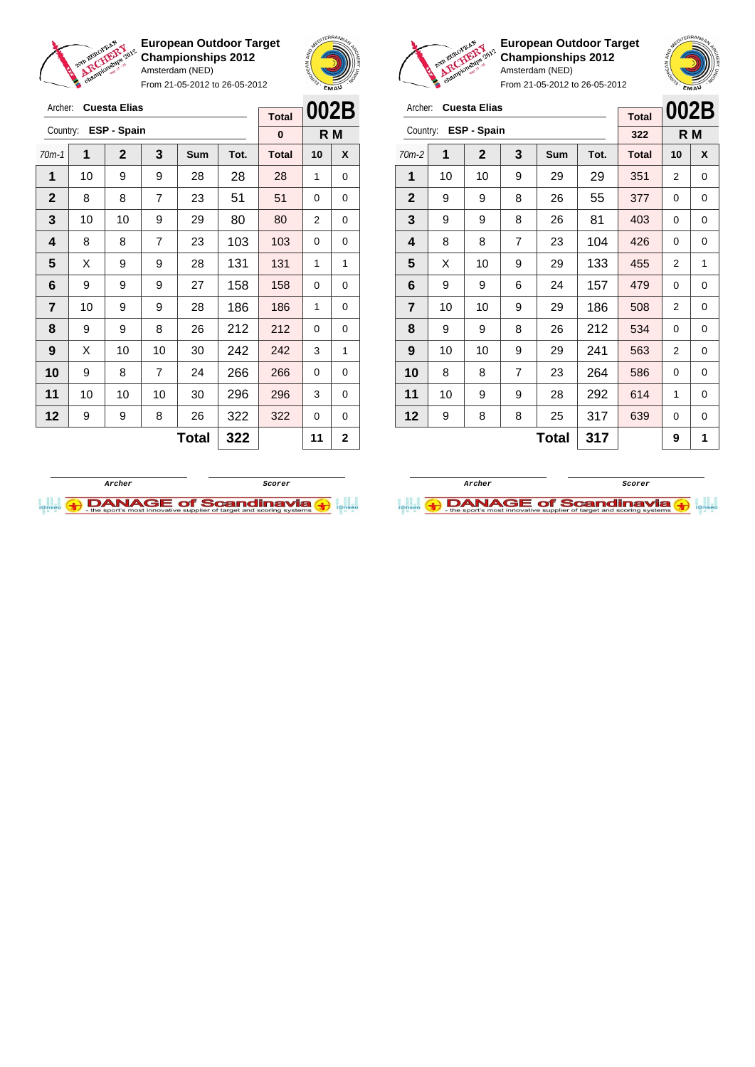

Archer: **Cuesta Elias** Country: **ESP - Spain**

**European Outdoor Target Championships 2012** Amsterdam (NED)

From 21-05-2012 to 26-05-2012

70m-1 **1 2 3 Sum Tot. Total 10 X** | 10 | 9 | 9 | 28 | 28 | 28 | 1 | 0  $\begin{array}{|c|c|c|c|c|c|c|c|c|}\hline \textbf{2} & \textbf{8} & \textbf{8} & \textbf{7} & \textbf{23} & \textbf{51} & \textbf{51} & \textbf{0} & \textbf{0} \ \hline \end{array}$  | 10 | 10 | 9 | 29 | 80 | 80 | 2 | 0 | 8 | 8 | 7 | 23 | 103 | 103 | 0 | 0  $\mid$  X  $\mid$  9  $\mid$  9  $\mid$  28  $\mid$  131  $\mid$  131  $\mid$  1  $\mid$  1 | 9 | 9 | 9 | 27 | 158 | 158 | 0 | 0 | 10 | 9 | 9 | 28 | 186 | 186 | 1 | 0 | 9 | 9 | 8 | 26 | 212 | 212 | 0 | 0 | X | 10 | 10 | 30 | **242 | 242 |** 3 | 1 9 8 7 24 266 266 0 0 | 10 | 10 | 10 | 30 | **296 | 296 |** 3 | 0 9 9 8 26 322 322 0 0



**R M**

**Total 0**



**European Outdoor Target Championships 2012** Amsterdam (NED)



From 21-05-2012 to 26-05-2012

| Archer:        |    | <b>Cuesta Elias</b> |                | <b>Total</b> | 002B |              |                |     |
|----------------|----|---------------------|----------------|--------------|------|--------------|----------------|-----|
| Country:       |    | ESP - Spain         |                |              |      | 322          |                | R M |
| $70m-2$        | 1  | 2                   | 3              | Sum          | Tot. | <b>Total</b> | 10             | X   |
| 1              | 10 | 10                  | 9              | 29           | 29   | 351          | 2              | 0   |
| $\mathbf{2}$   | 9  | 9                   | 8              | 26           | 55   | 377          | 0              | 0   |
| 3              | 9  | 9                   | 8              | 26           | 81   | 403          | 0              | 0   |
| 4              | 8  | 8                   | $\overline{7}$ | 23           | 104  | 426          | 0              | 0   |
| 5              | X  | 10                  | 9              | 29           | 133  | 455          | $\overline{2}$ | 1   |
| 6              | 9  | 9                   | 6              | 24           | 157  | 479          | 0              | 0   |
| $\overline{7}$ | 10 | 10                  | 9              | 29           | 186  | 508          | 2              | 0   |
| 8              | 9  | 9                   | 8              | 26           | 212  | 534          | 0              | 0   |
| 9              | 10 | 10                  | 9              | 29           | 241  | 563          | 2              | 0   |
| 10             | 8  | 8                   | $\overline{7}$ | 23           | 264  | 586          | 0              | 0   |
| 11             | 10 | 9                   | 9              | 28           | 292  | 614          | 1              | 0   |
| 12             | 9  | 8                   | 8              | 25           | 317  | 639          | 0              | 0   |
|                |    |                     |                | <b>Total</b> | 317  |              | 9              | 1   |



 $Total | 322 | 11 | 22$ 

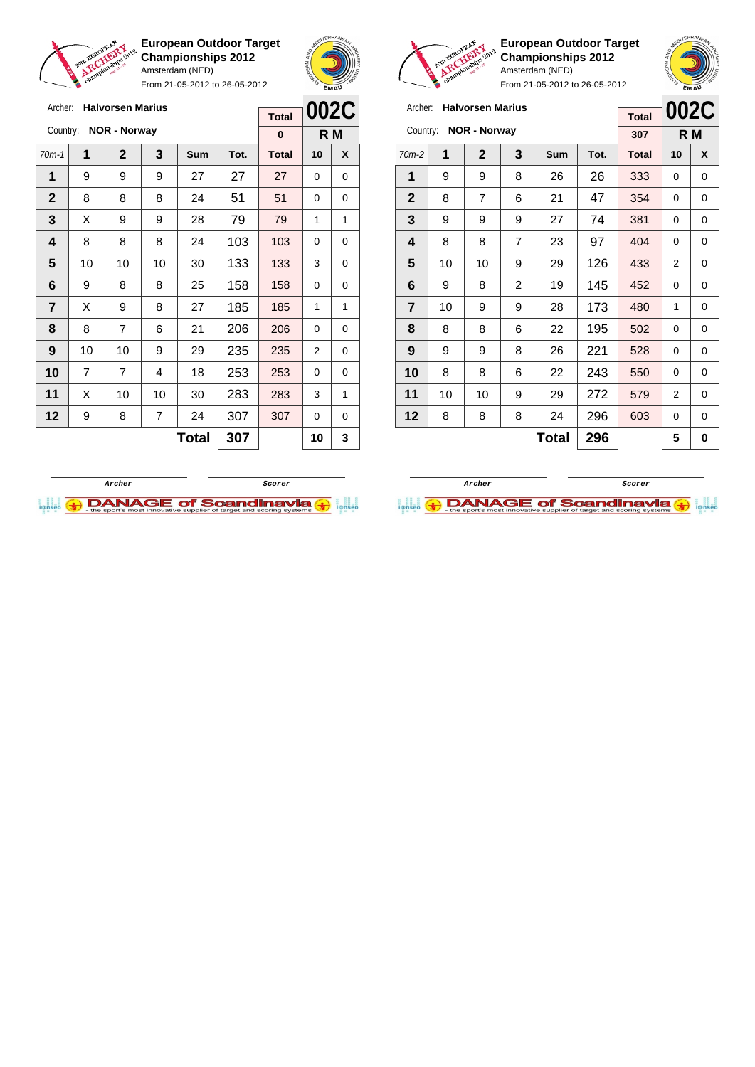

Archer: **Halvorsen Marius**

**European Outdoor Target Championships 2012** Amsterdam (NED)

From 21-05-2012 to 26-05-2012

 $\Gamma$ 





**European Outdoor Target Championships 2012** Amsterdam (NED)

|                | <b>Halvorsen Marius</b><br>Archer: |                     |   |     |      |              |      |     |  |  |
|----------------|------------------------------------|---------------------|---|-----|------|--------------|------|-----|--|--|
|                |                                    | <b>NOR - Norway</b> |   |     |      | <b>Total</b> | 002C |     |  |  |
| Country:       |                                    |                     |   |     |      | 307          |      | R M |  |  |
| $70m-2$        | 1                                  | $\mathbf{2}$        | 3 | Sum | Tot. | <b>Total</b> | 10   | X   |  |  |
| 1              | 9                                  | 9                   | 8 | 26  | 26   | 333          | 0    | 0   |  |  |
| $\overline{2}$ | 8                                  | 7                   | 6 | 21  | 47   | 354          | 0    | 0   |  |  |
| 3              | 9                                  | 9                   | 9 | 27  | 74   | 381          | 0    | 0   |  |  |
| 4              | 8                                  | 8                   | 7 | 23  | 97   | 404          | 0    | 0   |  |  |
| 5              | 10                                 | 10                  | 9 | 29  | 126  | 433          | 2    | 0   |  |  |
| 6              | 9                                  | 8                   | 2 | 19  | 145  | 452          | 0    | 0   |  |  |
| 7              | 10                                 | 9                   | 9 | 28  | 173  | 480          | 1    | 0   |  |  |
| 8              | 8                                  | 8                   | 6 | 22  | 195  | 502          | 0    | 0   |  |  |
| 9              | 9                                  | 9                   | 8 | 26  | 221  | 528          | 0    | 0   |  |  |
| 10             | 8                                  | 8                   | 6 | 22  | 243  | 550          | 0    | 0   |  |  |
| 11             | 10                                 | 10                  | 9 | 29  | 272  | 579          | 2    | 0   |  |  |
| 12             | 8                                  | 8                   | 8 | 24  | 296  | 603          | 0    | 0   |  |  |
|                |                                    |                     |   | 5   | 0    |              |      |     |  |  |

|                         |    |                     | <b>Total</b> | UUZU         |      |              |          |     |
|-------------------------|----|---------------------|--------------|--------------|------|--------------|----------|-----|
| Country:                |    | <b>NOR - Norway</b> |              |              |      | 0            |          | R M |
| $70m-1$                 | 1  | $\mathbf{2}$        | 3            | Sum          | Tot. | <b>Total</b> | 10       | X   |
| 1                       | 9  | 9                   | 9            | 27           | 27   | 27           | 0        | 0   |
| $\mathbf{2}$            | 8  | 8                   | 8            | 24           | 51   | 51           | 0        | 0   |
| 3                       | X  | 9                   | 9            | 28           | 79   | 79           | 1        | 1   |
| $\overline{\mathbf{4}}$ | 8  | 8                   | 8            | 24           | 103  | 103          | 0        | 0   |
| 5                       | 10 | 10                  | 10           | 30           | 133  | 133          | 3        | 0   |
| 6                       | 9  | 8                   | 8            | 25           | 158  | 158          | 0        | 0   |
| 7                       | X  | 9                   | 8            | 27           | 185  | 185          | 1        | 1   |
| 8                       | 8  | $\overline{7}$      | 6            | 21           | 206  | 206          | 0        | 0   |
| 9                       | 10 | 10                  | 9            | 29           | 235  | 235          | 2        | 0   |
| 10                      | 7  | 7                   | 4            | 18           | 253  | 253          | $\Omega$ | 0   |
| 11                      | X  | 10                  | 10           | 30           | 283  | 283          | 3        | 1   |
| 12                      | 9  | 8                   | 7            | 24           | 307  | 307          | 0        | 0   |
|                         |    |                     |              | <b>Total</b> | 307  |              | 10       | 3   |
|                         |    |                     |              |              |      |              |          |     |



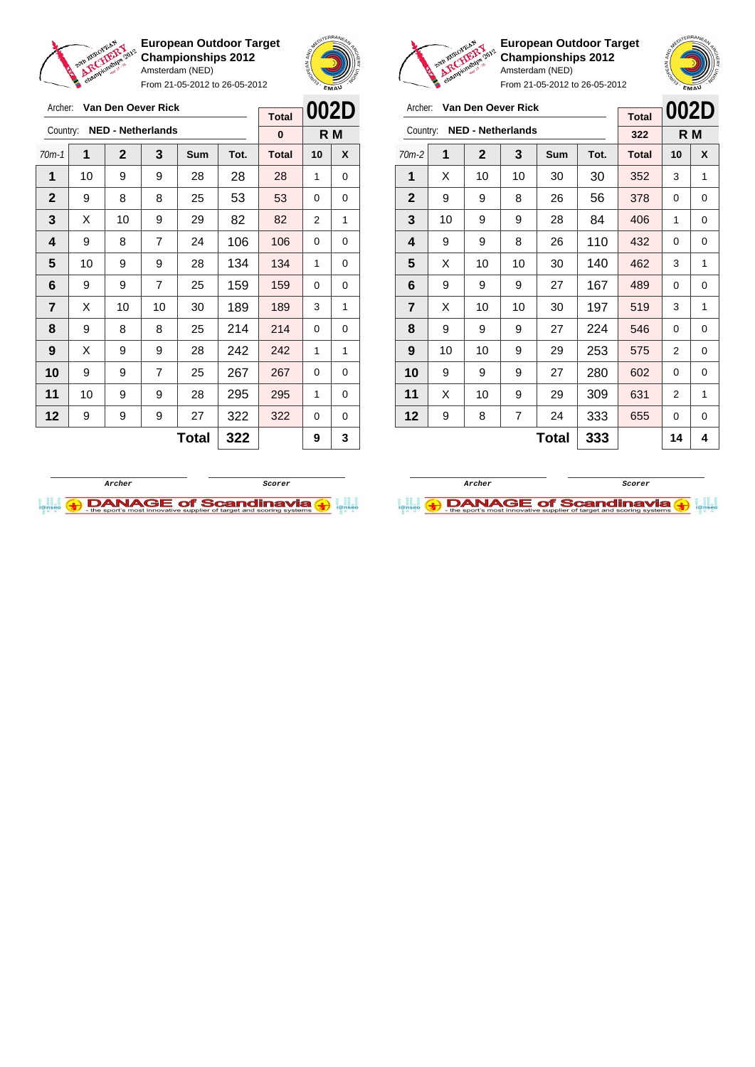

From 21-05-2012 to 26-05-2012



Archer: **Van Den Oever Rick** Country: **NED - Netherlands**

**European Outdoor Target Championships 2012** Amsterdam (NED)

70m-2 **1 2 3 Sum Tot. Total 10 X** | X | 10 | 10 | 30 | 30 | 352 | 3 | 1 | 9 | 9 | 8 | 26 | 56 | 378 | 0 | 0 | 10 | 9 | 9 | 28 | 84 | 406 | 1 | 0 | 9 | 9 | 8 | 26 | 110 | 432 | 0 | 0  $\mid$  X  $\mid$  10  $\mid$  10  $\mid$  30  $\mid$  140  $\mid$  462  $\mid$  3  $\mid$  1 | 9 | 9 | 9 | 27 | 167 | 489 | 0 | 0 | X | 10 | 10 | 30 | 197 | 519 | 3 | 1 | 9 | 9 | 9 | 27 | 224 | 546 | 0 | 0 | 10 | 10 | 9 | 29 | 253 | 575 | 2 | 0 | 9 | 9 | 9 | 27 | 280 | 602 | 0 | 0 | X | 10 | 9 | 29 | 309 | 631 | 2 | 1 | 9 | 8 | 7 | 24 | 333 | 655 | 0 | 0

**002D R M**

**Total 322**

**Total**  $333$   $1444$ 

| Archer:      |    | Van Den Oever Rick       |                |              |      | <b>Total</b> |    | 002D |  |
|--------------|----|--------------------------|----------------|--------------|------|--------------|----|------|--|
| Country:     |    | <b>NED - Netherlands</b> |                |              |      | $\bf{0}$     |    | R M  |  |
| $70m-1$      | 1  | $\mathbf{2}$             | 3              | Sum          | Tot. | <b>Total</b> | 10 | X    |  |
| 1            | 10 | 9                        | 9              | 28           | 28   | 28           | 1  | 0    |  |
| $\mathbf{2}$ | 9  | 8                        | 8              | 25           | 53   | 53           | 0  | 0    |  |
| 3            | X  | 10                       | 9              | 29           | 82   | 82           | 2  | 1    |  |
| 4            | 9  | 8                        | 7              | 24           | 106  | 106          | 0  | 0    |  |
| 5            | 10 | 9                        | 9              | 28           | 134  | 134          | 1  | 0    |  |
| 6            | 9  | 9                        | $\overline{7}$ | 25           | 159  | 159          | 0  | 0    |  |
| 7            | X  | 10                       | 10             | 30           | 189  | 189          | 3  | 1    |  |
| 8            | 9  | 8                        | 8              | 25           | 214  | 214          | 0  | 0    |  |
| 9            | X  | 9                        | 9              | 28           | 242  | 242          | 1  | 1    |  |
| 10           | 9  | 9                        | $\overline{7}$ | 25           | 267  | 267          | 0  | 0    |  |
| 11           | 10 | 9                        | 9              | 28           | 295  | 295          | 1  | 0    |  |
| 12           | 9  | 9                        | 9              | 27           | 322  | 322          | 0  | 0    |  |
|              |    |                          |                | <b>Total</b> | 322  |              | 9  | 3    |  |



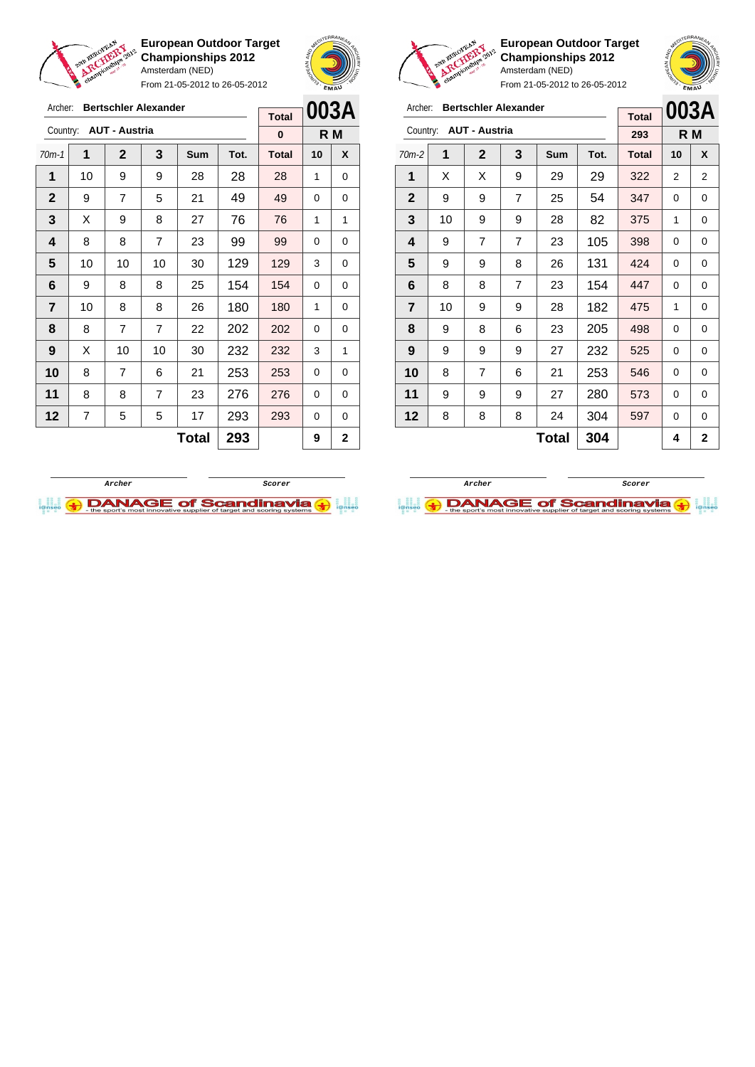

Archer: **Bertschler Alexander**

Country: **AUT - Austria**

**European Outdoor Target Championships 2012** Amsterdam (NED)

From 21-05-2012 to 26-05-2012

70m-1 **1 2 3 Sum Tot. Total 10 X** | 10 | 9 | 9 | 28 | 28 | 28 | 1 | 0 | 9 | 7 | 5 | 21 | 49 | 49 | 0 | 0  $\mid$  X  $\mid$  9  $\mid$  8  $\mid$  27  $\mid$  76  $\mid$  76  $\mid$  1  $\mid$  1 | 8 | 8 | 7 | 23 | 99 | 99 | 0 | 0 | 10 | 10 | 10 | 30 | 129 | 129 | 3 | 0 | 9 | 8 | 8 | 25 | 154 | 154 | 0 | 0 | 10 | 8 | 8 | 26 | 180 | 180 | 1 | 0 | 8 | 7 | 7 | 22 | 202 | 202 | 0 | 0 | X | 10 | 10 | 30 | **232 | 232 | 3** | 1 8 7 6 21 253 253 0 0 | 8 | 8 | 7 | 23 | 276 | 276 | 0 | 0 | 7 | 5 | 5 | 17 | 293 | 293 | 0 | 0



**R M**

**Total 0**



**European Outdoor Target Championships 2012** Amsterdam (NED)

| <b>Cr.</b><br>From 21-05-2012 to 26-05-2012 |    |                      |                             |     |      |              |    | EMAU |  |
|---------------------------------------------|----|----------------------|-----------------------------|-----|------|--------------|----|------|--|
| Archer:                                     |    |                      | <b>Bertschler Alexander</b> |     |      | <b>Total</b> |    | 003A |  |
| Country:                                    |    | <b>AUT - Austria</b> |                             |     |      | 293          |    | R M  |  |
| $70m-2$                                     | 1  | $\mathbf{2}$         | 3                           | Sum | Tot. | <b>Total</b> | 10 | X    |  |
| 1                                           | X  | X                    | 9                           | 29  | 29   | 322          | 2  | 2    |  |
| $\mathbf 2$                                 | 9  | 9                    | 7                           | 25  | 54   | 347          | 0  | 0    |  |
| 3                                           | 10 | 9                    | 9                           | 28  | 82   | 375          | 1  | 0    |  |
| 4                                           | 9  | 7                    | $\overline{7}$              | 23  | 105  | 398          | 0  | 0    |  |
| 5                                           | 9  | 9                    | 8                           | 26  | 131  | 424          | 0  | 0    |  |
| 6                                           | 8  | 8                    | $\overline{7}$              | 23  | 154  | 447          | 0  | 0    |  |
| $\overline{7}$                              | 10 | 9                    | 9                           | 28  | 182  | 475          | 1  | 0    |  |
| 8                                           | 9  | 8                    | 6                           | 23  | 205  | 498          | 0  | 0    |  |
| 9                                           | 9  | 9                    | 9                           | 27  | 232  | 525          | 0  | 0    |  |
| 10                                          | 8  | 7                    | 6                           | 21  | 253  | 546          | 0  | 0    |  |
| 11                                          | 9  | 9                    | 9                           | 27  | 280  | 573          | 0  | 0    |  |
| 12                                          | 8  | 8                    | 8                           | 24  | 304  | 597          | 0  | 0    |  |

 $Total | 304 | 4 | 2$ 

**Archer Scorer**

**DANAGE of Scandinavia (+)** 



 $Total | 293 | 9 | 2$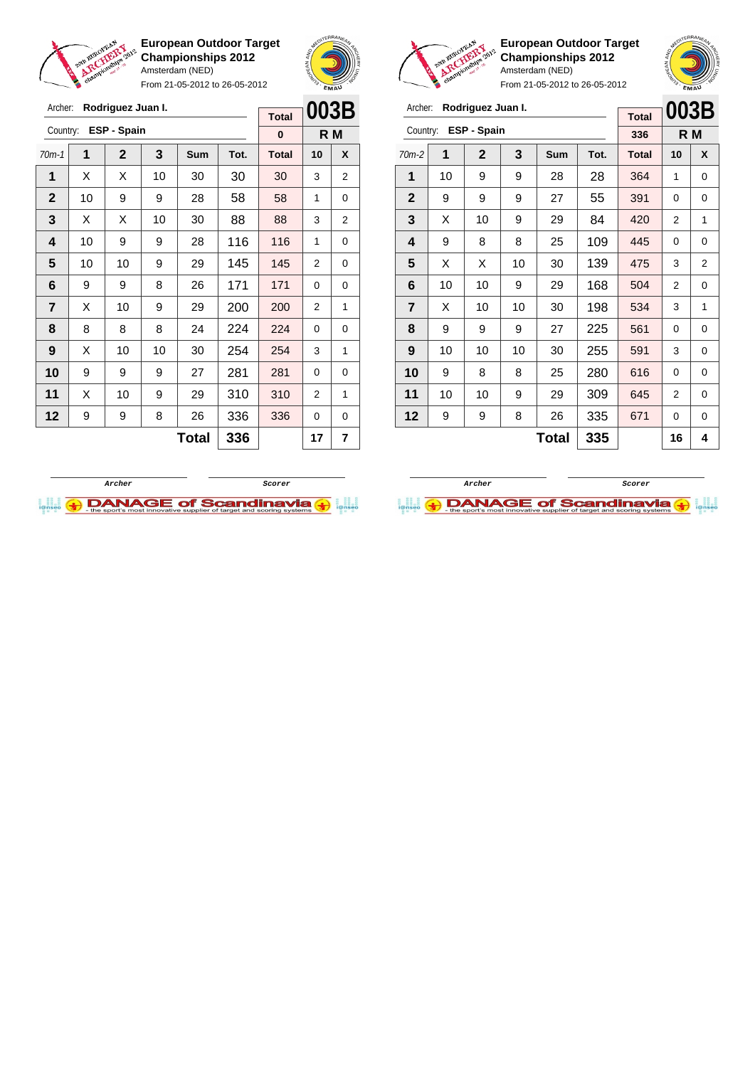

Archer: **Rodriguez Juan I.**

**European Outdoor Target Championships 2012** Amsterdam (NED)

From 21-05-2012 to 26-05-2012





**European Outdoor Target Championships 2012** Amsterdam (NED)

|                         | EMAU |                      |    |     |      |              |      |   |  |
|-------------------------|------|----------------------|----|-----|------|--------------|------|---|--|
| Archer:                 |      | Rodriguez Juan I.    |    |     |      | <b>Total</b> | 003B |   |  |
|                         |      | Country: ESP - Spain |    |     |      | 336          | R M  |   |  |
| $70m-2$                 | 1    | $\overline{2}$       | 3  | Sum | Tot. | <b>Total</b> | 10   | X |  |
| 1                       | 10   | 9                    | 9  | 28  | 28   | 364          | 1    | 0 |  |
| $\mathbf{2}$            | 9    | 9                    | 9  | 27  | 55   | 391          | 0    | 0 |  |
| 3                       | X    | 10                   | 9  | 29  | 84   | 420          | 2    | 1 |  |
| 4                       | 9    | 8                    | 8  | 25  | 109  | 445          | 0    | 0 |  |
| 5                       | X    | X                    | 10 | 30  | 139  | 475          | 3    | 2 |  |
| 6                       | 10   | 10                   | 9  | 29  | 168  | 504          | 2    | 0 |  |
| $\overline{\mathbf{r}}$ | X    | 10                   | 10 | 30  | 198  | 534          | 3    | 1 |  |
| 8                       | 9    | 9                    | 9  | 27  | 225  | 561          | 0    | 0 |  |

**Total 335 16 4**

| Archer:        |    | Rodriguez Juan I. |    |              |      | <b>Total</b> | 003B           |     |
|----------------|----|-------------------|----|--------------|------|--------------|----------------|-----|
| Country:       |    | ESP - Spain       |    |              |      | $\bf{0}$     |                | R M |
| $70m-1$        | 1  | $\overline{2}$    | 3  | Sum          | Tot. | <b>Total</b> | 10             | X   |
| 1              | Х  | Х                 | 10 | 30           | 30   | 30           | 3              | 2   |
| $\mathbf 2$    | 10 | 9                 | 9  | 28           | 58   | 58           | 1              | 0   |
| 3              | X  | X                 | 10 | 30           | 88   | 88           | 3              | 2   |
| 4              | 10 | 9                 | 9  | 28           | 116  | 116          | 1              | 0   |
| 5              | 10 | 10                | 9  | 29           | 145  | 145          | 2              | 0   |
| 6              | 9  | 9                 | 8  | 26           | 171  | 171          | 0              | 0   |
| $\overline{7}$ | X  | 10                | 9  | 29           | 200  | 200          | $\overline{2}$ | 1   |
| 8              | 8  | 8                 | 8  | 24           | 224  | 224          | 0              | 0   |
| 9              | X  | 10                | 10 | 30           | 254  | 254          | 3              | 1   |
| 10             | 9  | 9                 | 9  | 27           | 281  | 281          | $\Omega$       | 0   |
| 11             | Х  | 10                | 9  | 29           | 310  | 310          | $\overline{2}$ | 1   |
| 12             | 9  | 9                 | 8  | 26           | 336  | 336          | 0              | 0   |
|                |    |                   |    | <b>Total</b> | 336  |              | 17             | 7   |



 | 10 | 10 | 10 | 30 | 255 | 591 | 3 | 0 | 9 | 8 | 8 | 25 | 280 | 616 | 0 | 0 | 10 | 10 | 9 | 29 | 309 | 645 | 2 | 0 | 9 | 9 | 8 | 26 | 335 | 671 | 0 | 0

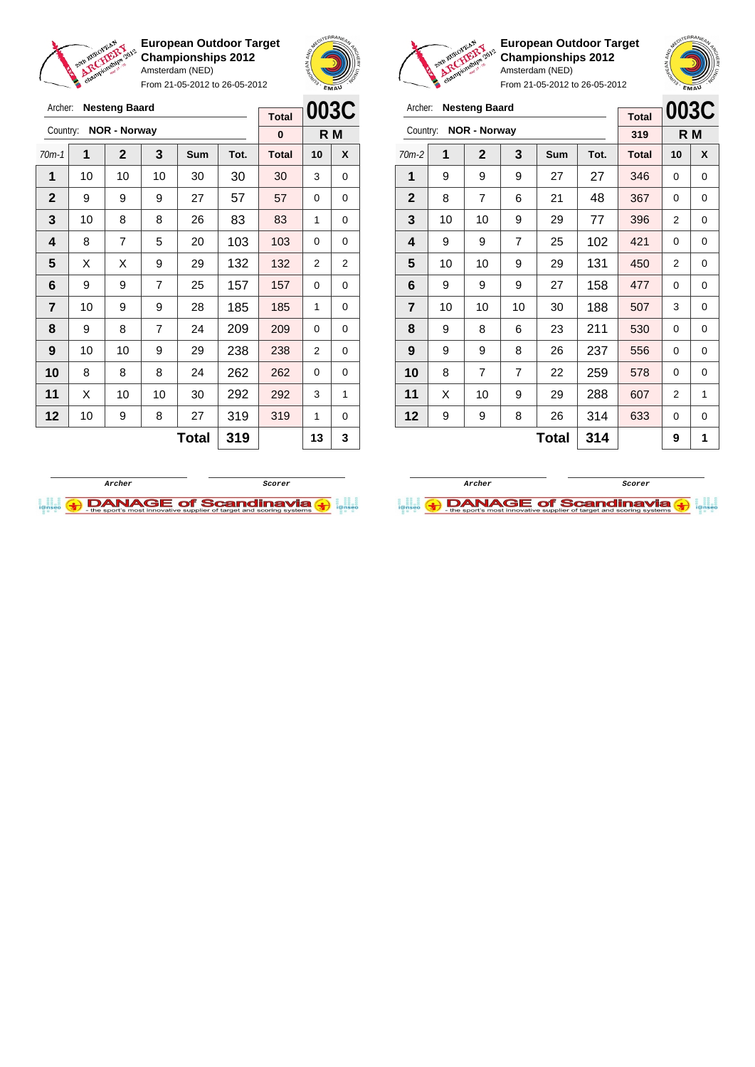

Archer: **Nesteng Baard** Country: **NOR - Norway**

**European Outdoor Target Championships 2012** Amsterdam (NED)

From 21-05-2012 to 26-05-2012

70m-1 **1 2 3 Sum Tot. Total 10 X** | 10 | 10 | 10 | 30 | 30 | 30 | 3 | 0 | 9 | 9 | 9 | 27 | 57 | 57 | 0 | 0 | 10 | 8 | 8 | 26 | 83 | 83 | 1 | 0 | 8 | 7 | 5 | 20 | 103 | 103 | 0 | 0  $\mid$  X  $\mid$  X  $\mid$  9  $\mid$  29  $\mid$  132  $\mid$  132  $\mid$  2  $\mid$  2 | 9 | 9 | 7 | 25 | 157 | 157 | 0 | 0 | 10 | 9 | 9 | 28 | 185 | 185 | 1 | 0 | 9 | 8 | 7 | 24 | 209 | 209 | 0 | 0



**R M**

**Total 0**



**European Outdoor Target Championships 2012** Amsterdam (NED)

From 21-05-2012 to 26-05-2012

| Archer:        |    | <b>Nesteng Baard</b> |    |              |      | <b>Total</b> | 003C           |     |
|----------------|----|----------------------|----|--------------|------|--------------|----------------|-----|
| Country:       |    | <b>NOR - Norway</b>  |    |              |      | 319          |                | R M |
| $70m-2$        | 1  | $\mathbf{2}$         | 3  | Sum          | Tot. | <b>Total</b> | 10             | X   |
| 1              | 9  | 9                    | 9  | 27           | 27   | 346          | 0              | 0   |
| $\mathbf{2}$   | 8  | 7                    | 6  | 21           | 48   | 367          | 0              | 0   |
| 3              | 10 | 10                   | 9  | 29           | 77   | 396          | 2              | 0   |
| 4              | 9  | 9                    | 7  | 25           | 102  | 421          | 0              | 0   |
| 5              | 10 | 10                   | 9  | 29           | 131  | 450          | 2              | 0   |
| 6              | 9  | 9                    | 9  | 27           | 158  | 477          | 0              | 0   |
| $\overline{7}$ | 10 | 10                   | 10 | 30           | 188  | 507          | 3              | 0   |
| 8              | 9  | 8                    | 6  | 23           | 211  | 530          | 0              | 0   |
| 9              | 9  | 9                    | 8  | 26           | 237  | 556          | 0              | 0   |
| 10             | 8  | 7                    | 7  | 22           | 259  | 578          | 0              | 0   |
| 11             | X  | 10                   | 9  | 29           | 288  | 607          | $\overline{2}$ | 1   |
| 12             | 9  | 9                    | 8  | 26           | 314  | 633          | 0              | 0   |
|                |    |                      |    | <b>Total</b> | 314  |              | 9              | 1   |



**DANAGE of Scandinavia** 

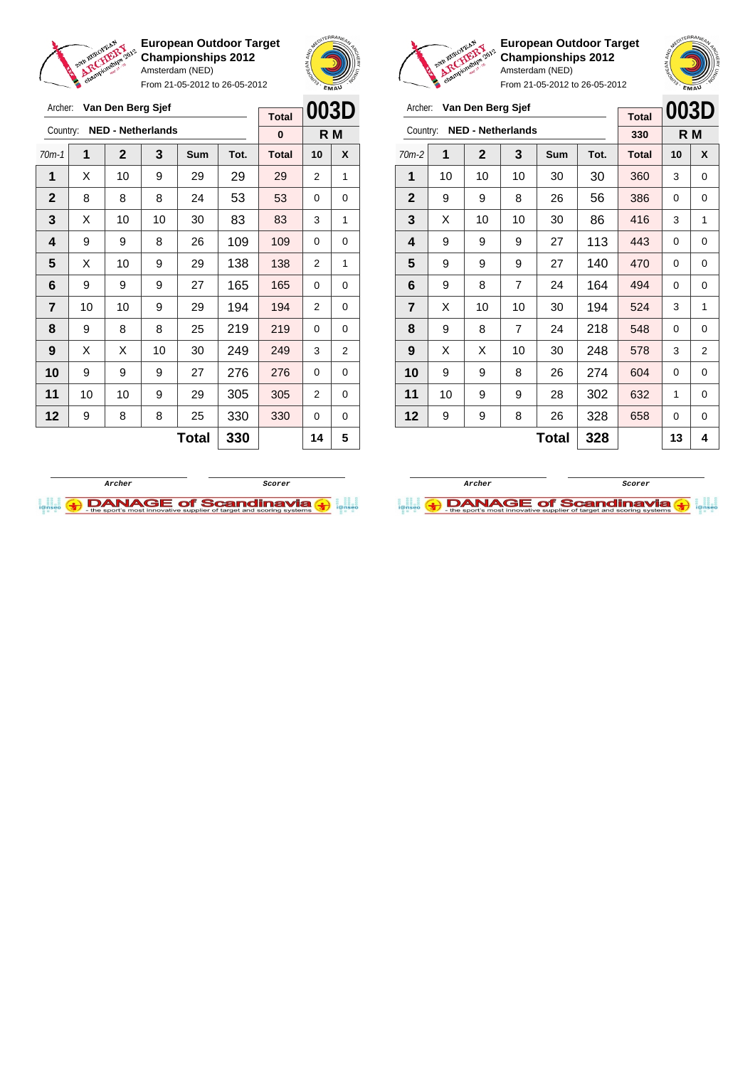

Archer: **Van Den Berg Sjef**

**European Outdoor Target Championships 2012** Amsterdam (NED)

From 21-05-2012 to 26-05-2012

 $\blacksquare$ 





**European Outdoor Target Championships 2012** Amsterdam (NED)

|                | v  |                   |                          |     | From 21-05-2012 to 26-05-2012 |              | EMAU |     |
|----------------|----|-------------------|--------------------------|-----|-------------------------------|--------------|------|-----|
| Archer:        |    | Van Den Berg Sjef |                          |     |                               | <b>Total</b> | 003D |     |
| Country:       |    |                   | <b>NED - Netherlands</b> |     |                               | 330          |      | R M |
| 70m-2          | 1  | $\overline{2}$    | 3                        | Sum | Tot.                          | Total        | 10   | X   |
| 1              | 10 | 10                | 10                       | 30  | 30                            | 360          | 3    | 0   |
| $\mathbf{2}$   | 9  | 9                 | 8                        | 26  | 56                            | 386          | 0    | 0   |
| 3              | X  | 10                | 10                       | 30  | 86                            | 416          | 3    | 1   |
| 4              | 9  | 9                 | 9                        | 27  | 113                           | 443          | 0    | 0   |
| 5              | 9  | 9                 | 9                        | 27  | 140                           | 470          | 0    | 0   |
| 6              | 9  | 8                 | 7                        | 24  | 164                           | 494          | 0    | 0   |
| $\overline{7}$ | X  | 10                | 10                       | 30  | 194                           | 524          | 3    | 1   |

|              |    |             |                          | <b>Total</b> | UUJL |              |     |   |
|--------------|----|-------------|--------------------------|--------------|------|--------------|-----|---|
| Country:     |    |             | <b>NED - Netherlands</b> |              |      | 0            | R M |   |
| $70m-1$      | 1  | $\mathbf 2$ | 3                        | Sum          | Tot. | <b>Total</b> | 10  | X |
| 1            | х  | 10          | 9                        | 29           | 29   | 29           | 2   | 1 |
| $\mathbf{2}$ | 8  | 8           | 8                        | 24           | 53   | 53           | 0   | 0 |
| 3            | х  | 10          | 10                       | 30           | 83   | 83           | 3   | 1 |
| 4            | 9  | 9           | 8                        | 26           | 109  | 109          | 0   | 0 |
| 5            | X  | 10          | 9                        | 29           | 138  | 138          | 2   | 1 |
| 6            | 9  | 9           | 9                        | 27           | 165  | 165          | 0   | 0 |
| 7            | 10 | 10          | 9                        | 29           | 194  | 194          | 2   | 0 |
| 8            | 9  | 8           | 8                        | 25           | 219  | 219          | 0   | 0 |
| 9            | X  | Χ           | 10                       | 30           | 249  | 249          | 3   | 2 |
| 10           | 9  | 9           | 9                        | 27           | 276  | 276          | 0   | 0 |
| 11           | 10 | 10          | 9                        | 29           | 305  | 305          | 2   | 0 |
| 12           | 9  | 8           | 8                        | 25           | 330  | 330          | 0   | 0 |
|              |    | 330         |                          | 14           | 5    |              |     |   |





 $Total | 328 | 13 | 4$ 

 | 9 | 8 | 7 | 24 | 218 | 548 | 0 | 0 | X | X | 10 | 30 | **248 | 578 |** 3 | 2 | 9 | 9 | 8 | 26 | 274 | 604 | 0 | 0 | 10 | 9 | 9 | 28 | 302 | 632 | 1 | 0 | 9 | 9 | 8 | 26 | 328 | 658 | 0 | 0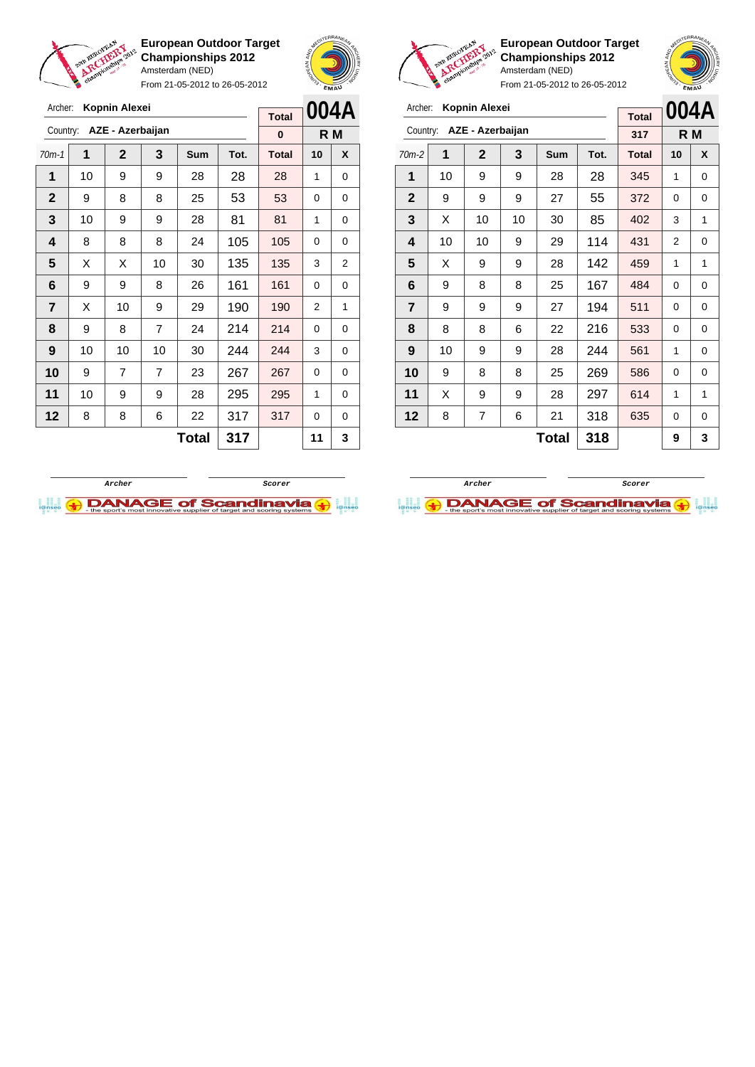

Archer: **Kopnin Alexei** Country: **AZE - Azerbaijan**

**European Outdoor Target Championships 2012** Amsterdam (NED)

From 21-05-2012 to 26-05-2012

70m-1 **1 2 3 Sum Tot. Total 10 X 1** | 10 | 9 | 9 | 28 | 28 | 28 | 1 | 0



**R M**

**Total 0**

**European Outdoor Target Championships 2012** Amsterdam (NED)



| Archer:        |    | Kopnin Alexei    |    | <b>Total</b> | 004A |              |                |     |
|----------------|----|------------------|----|--------------|------|--------------|----------------|-----|
| Country:       |    | AZE - Azerbaijan |    |              |      | 317          |                | R M |
| $70m-2$        | 1  | $\mathbf{2}$     | 3  | <b>Sum</b>   | Tot. | <b>Total</b> | 10             | X   |
| 1              | 10 | 9                | 9  | 28           | 28   | 345          | 1              | 0   |
| $\mathbf{2}$   | 9  | 9                | 9  | 27           | 55   | 372          | $\Omega$       | 0   |
| 3              | X  | 10               | 10 | 30           | 85   | 402          | 3              | 1   |
| 4              | 10 | 10               | 9  | 29           | 114  | 431          | $\overline{2}$ | 0   |
| 5              | X  | 9                | 9  | 28           | 142  | 459          | 1              | 1   |
| 6              | 9  | 8                | 8  | 25           | 167  | 484          | $\Omega$       | 0   |
| $\overline{7}$ | 9  | 9                | 9  | 27           | 194  | 511          | 0              | 0   |
| 8              | 8  | 8                | 6  | 22           | 216  | 533          | 0              | 0   |
| 9              | 10 | 9                | 9  | 28           | 244  | 561          | 1              | 0   |
| 10             | 9  | 8                | 8  | 25           | 269  | 586          | 0              | 0   |
| 11             | X  | 9                | 9  | 28           | 297  | 614          | 1              | 1   |
| $12 \,$        | 8  | 7                | 6  | 21           | 318  | 635          | 0              | 0   |
|                |    |                  |    | Total        | 318  |              | 9              | 3   |





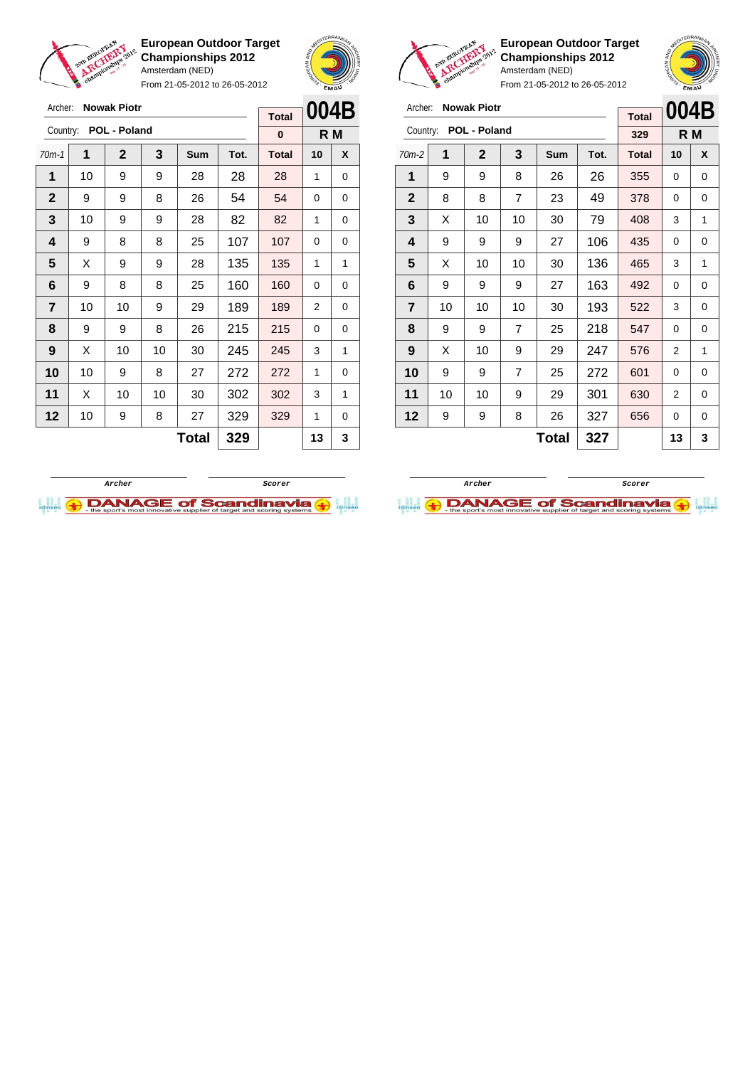

Archer: **Nowak Piotr** Country: **POL - Poland**

**European Outdoor Target Championships 2012** Amsterdam (NED)

From 21-05-2012 to 26-05-2012

70m-1 **1 2 3 Sum Tot. Total 10 X** | 10 | 9 | 9 | 28 | 28 | 28 | 1 | 0 9 9 8 26 54 54 0 0 | 10 | 9 | 9 | 28 | 82 | 82 | 1 | 0 | 9 | 8 | 8 | 25 | 107 | 107 | 0 | 0  $\mid$  X  $\mid$  9  $\mid$  9  $\mid$  28  $\mid$  135  $\mid$  135  $\mid$  1  $\mid$  1 | 9 | 8 | 8 | 25 | 160 | 160 | 0 | 0 | 10 | 10 | 9 | 29 | 189 | 189 | 2 | 0 | 9 | 9 | 8 | 26 | 215 | 215 | 0 | 0 | X | 10 | 10 | 30 | **245 | 245 |** 3 | 1 | 10 | 9 | 8 | 27 | 272 | 272 | 1 | 0 | X | 10 | 10 | 30 | 302 | 302 | 3 | 1 | 10 | 9 | 8 | 27 | 329 | 329 | 1 | 0



**R M**

**Total 0**

**European Outdoor Target Championships 2012** Amsterdam (NED)



From 21-05-2012 to 26-05-2012

| Archer:        |    | <b>Nowak Piotr</b> |                |     |      |              |      |     |
|----------------|----|--------------------|----------------|-----|------|--------------|------|-----|
|                |    |                    |                |     |      | <b>Total</b> | 004B |     |
| Country:       |    | POL - Poland       |                |     |      | 329          |      | R M |
| $70m-2$        | 1  | $\mathbf{2}$       | 3              | Sum | Tot. | <b>Total</b> | 10   | X   |
| 1              | 9  | 9                  | 8              | 26  | 26   | 355          | 0    | 0   |
| $\mathbf{2}$   | 8  | 8                  | 7              | 23  | 49   | 378          | 0    | 0   |
| 3              | X  | 10                 | 10             | 30  | 79   | 408          | 3    | 1   |
| 4              | 9  | 9                  | 9              | 27  | 106  | 435          | 0    | 0   |
| 5              | X  | 10                 | 10             | 30  | 136  | 465          | 3    | 1   |
| 6              | 9  | 9                  | 9              | 27  | 163  | 492          | 0    | 0   |
| $\overline{7}$ | 10 | 10                 | 10             | 30  | 193  | 522          | 3    | 0   |
| 8              | 9  | 9                  | $\overline{7}$ | 25  | 218  | 547          | 0    | 0   |
| 9              | X  | 10                 | 9              | 29  | 247  | 576          | 2    | 1   |
| 10             | 9  | 9                  | 7              | 25  | 272  | 601          | 0    | 0   |
| 11             | 10 | 10                 | 9              | 29  | 301  | 630          | 2    | 0   |

 $Total | 327 | 13 | 3$ 

**12** | 9 | 9 | 8 | 26 | 327 | 656 | 0 | 0

**Archer Scorer**



 $Total | 329 | 13 | 3$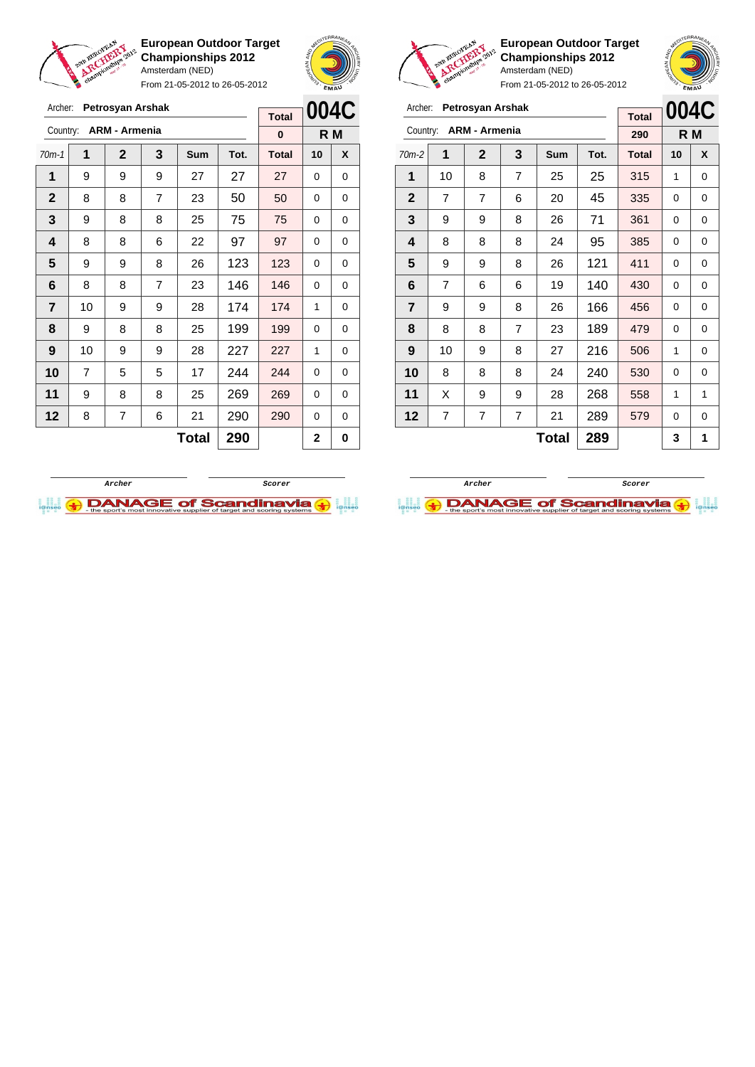

From 21-05-2012 to 26-05-2012





**European Outdoor Target Championships 2012** Amsterdam (NED)

|   |                |    |                      |                |              |      |              |      | <b>SMA</b>  |
|---|----------------|----|----------------------|----------------|--------------|------|--------------|------|-------------|
| C | Archer:        |    | Petrosyan Arshak     |                |              |      | <b>Total</b> | 004C |             |
|   | Country:       |    | <b>ARM - Armenia</b> |                |              |      | 290          |      | R M         |
| X | $70m-2$        | 1  | $\mathbf{2}$         | 3              | <b>Sum</b>   | Tot. | <b>Total</b> | 10   | X           |
| 0 | 1              | 10 | 8                    | 7              | 25           | 25   | 315          | 1    | 0           |
| 0 | $\mathbf{2}$   | 7  | 7                    | 6              | 20           | 45   | 335          | 0    | $\mathbf 0$ |
| 0 | 3              | 9  | 9                    | 8              | 26           | 71   | 361          | 0    | $\mathbf 0$ |
| 0 | 4              | 8  | 8                    | 8              | 24           | 95   | 385          | 0    | 0           |
| 0 | 5              | 9  | 9                    | 8              | 26           | 121  | 411          | 0    | $\mathbf 0$ |
| 0 | 6              | 7  | 6                    | 6              | 19           | 140  | 430          | 0    | $\Omega$    |
| 0 | $\overline{7}$ | 9  | 9                    | 8              | 26           | 166  | 456          | 0    | $\mathbf 0$ |
| 0 | 8              | 8  | 8                    | 7              | 23           | 189  | 479          | 0    | $\mathbf 0$ |
| 0 | 9              | 10 | 9                    | 8              | 27           | 216  | 506          | 1    | $\mathbf 0$ |
| 0 | 10             | 8  | 8                    | 8              | 24           | 240  | 530          | 0    | $\mathbf 0$ |
| 0 | 11             | X  | 9                    | 9              | 28           | 268  | 558          | 1    | 1           |
| 0 | 12             | 7  | 7                    | $\overline{7}$ | 21           | 289  | 579          | 0    | 0           |
| 0 |                |    |                      |                | <b>Total</b> | 289  |              | 3    | 1           |
|   |                |    |                      |                |              |      |              |      |             |

| Archer:      |    | Petrosyan Arshak     | <b>Total</b>   | 004C       |      |              |          |     |
|--------------|----|----------------------|----------------|------------|------|--------------|----------|-----|
| Country:     |    | <b>ARM - Armenia</b> |                |            |      | 0            |          | R M |
| $70m-1$      | 1  | $\overline{2}$       | 3              | <b>Sum</b> | Tot. | <b>Total</b> | 10       | X   |
| 1            | 9  | 9                    | 9              | 27         | 27   | 27           | 0        | 0   |
| $\mathbf{2}$ | 8  | 8                    | $\overline{7}$ | 23         | 50   | 50           | 0        | 0   |
| 3            | 9  | 8                    | 8              | 25         | 75   | 75           | $\Omega$ | 0   |
| 4            | 8  | 8                    | 6              | 22         | 97   | 97           | 0        | 0   |
| 5            | 9  | 9                    | 8              | 26         | 123  | 123          | 0        | 0   |
| 6            | 8  | 8                    | $\overline{7}$ | 23         | 146  | 146          | 0        | 0   |
| 7            | 10 | 9                    | 9              | 28         | 174  | 174          | 1        | 0   |
| 8            | 9  | 8                    | 8              | 25         | 199  | 199          | 0        | 0   |
| 9            | 10 | 9                    | 9              | 28         | 227  | 227          | 1        | 0   |
| 10           | 7  | 5                    | 5              | 17         | 244  | 244          | 0        | 0   |
| 11           | 9  | 8                    | 8              | 25         | 269  | 269          | 0        | 0   |
| 12           | 8  | 7                    | 6              | 21         | 290  | 290          | 0        | 0   |
|              |    |                      |                | Total      | 290  |              | 2        | 0   |



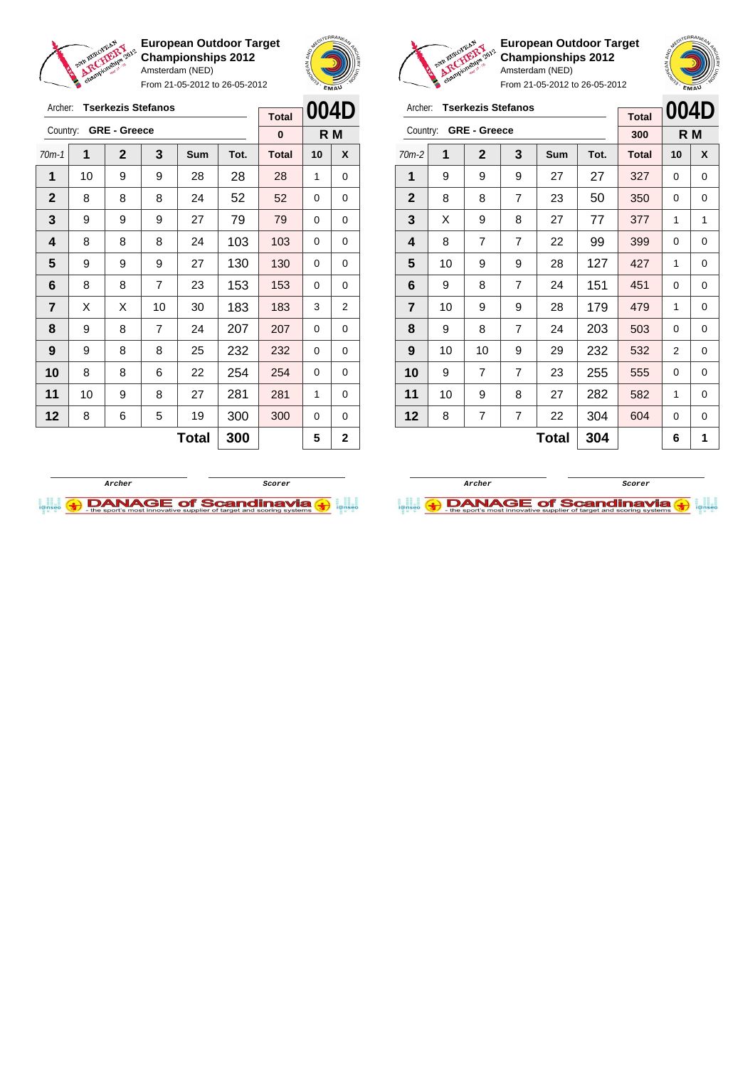

Archer: **Tserkezis Stefanos**

**European Outdoor Target Championships 2012** Amsterdam (NED)

From 21-05-2012 to 26-05-2012





**European Outdoor Target Championships 2012** Amsterdam (NED)

| Archer:        |    | <b>Tserkezis Stefanos</b> |                |              |      | <b>Total</b> | 004D |     |
|----------------|----|---------------------------|----------------|--------------|------|--------------|------|-----|
| Country:       |    | <b>GRE - Greece</b>       |                |              |      | 300          |      | R M |
| 70m-2          | 1  | $\mathbf{2}$              | 3              | Sum          | Tot. | <b>Total</b> | 10   | X   |
| 1              | 9  | 9                         | 9              | 27           | 27   | 327          | 0    | 0   |
| $\mathbf{2}$   | 8  | 8                         | $\overline{7}$ | 23           | 50   | 350          | 0    | 0   |
| 3              | X  | 9                         | 8              | 27           | 77   | 377          | 1    | 1   |
| 4              | 8  | $\overline{7}$            | $\overline{7}$ | 22           | 99   | 399          | 0    | 0   |
| 5              | 10 | 9                         | 9              | 28           | 127  | 427          | 1    | 0   |
| 6              | 9  | 8                         | $\overline{7}$ | 24           | 151  | 451          | 0    | 0   |
| $\overline{7}$ | 10 | 9                         | 9              | 28           | 179  | 479          | 1    | 0   |
| 8              | 9  | 8                         | $\overline{7}$ | 24           | 203  | 503          | 0    | 0   |
| 9              | 10 | 10                        | 9              | 29           | 232  | 532          | 2    | 0   |
| 10             | 9  | $\overline{7}$            | $\overline{7}$ | 23           | 255  | 555          | 0    | 0   |
| 11             | 10 | 9                         | 8              | 27           | 282  | 582          | 1    | 0   |
| 12             | 8  | $\overline{7}$            | 7              | 22           | 304  | 604          | 0    | 0   |
|                |    |                           |                | <b>Total</b> | 304  |              | 6    | 1   |





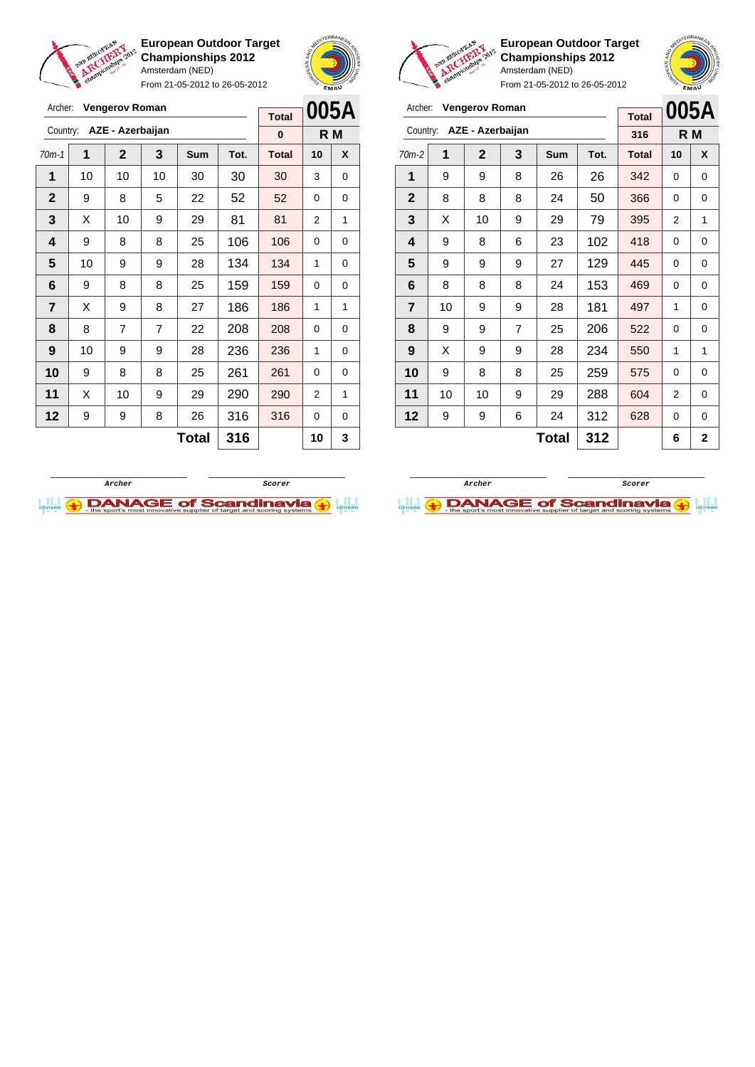

**European Outdoor Target Championships 2012** Amsterdam (NED) From 21-05-2012 to 26-05-2012





**European Outdoor Target Championships 2012** Amsterdam (NED)

| Archer:        |    | <b>Vengerov Roman</b> |   |              |      | <b>Total</b> |                | 005A           |
|----------------|----|-----------------------|---|--------------|------|--------------|----------------|----------------|
| Country:       |    | AZE - Azerbaijan      |   |              |      | 316          |                | R <sub>M</sub> |
| $70m-2$        | 1  | $\mathbf{2}$          | 3 | <b>Sum</b>   | Tot. | <b>Total</b> | 10             | X              |
| 1              | 9  | 9                     | 8 | 26           | 26   | 342          | 0              | 0              |
| $\mathbf{2}$   | 8  | 8                     | 8 | 24           | 50   | 366          | 0              | 0              |
| 3              | X  | 10                    | 9 | 29           | 79   | 395          | 2              | 1              |
| 4              | 9  | 8                     | 6 | 23           | 102  | 418          | 0              | 0              |
| 5              | 9  | 9                     | 9 | 27           | 129  | 445          | 0              | 0              |
| 6              | 8  | 8                     | 8 | 24           | 153  | 469          | 0              | 0              |
| $\overline{7}$ | 10 | 9                     | 9 | 28           | 181  | 497          | 1              | 0              |
| 8              | 9  | 9                     | 7 | 25           | 206  | 522          | 0              | $\mathbf 0$    |
| 9              | X  | 9                     | 9 | 28           | 234  | 550          | 1              | 1              |
| 10             | 9  | 8                     | 8 | 25           | 259  | 575          | 0              | 0              |
| 11             | 10 | 10                    | 9 | 29           | 288  | 604          | $\overline{2}$ | 0              |
| 12             | 9  | 9                     | 6 | 24           | 312  | 628          | 0              | 0              |
|                |    |                       |   | <b>Total</b> | 312  |              | 6              | $\mathbf{2}$   |

| Archer:      |    | <b>Vengerov Roman</b> |                |       |      | <b>Total</b> | 005A           |     |
|--------------|----|-----------------------|----------------|-------|------|--------------|----------------|-----|
| Country:     |    | AZE - Azerbaijan      |                |       |      | 0            |                | R M |
| $70m-1$      | 1  | $\overline{2}$        | 3              | Sum   | Tot. | <b>Total</b> | 10             | X   |
| 1            | 10 | 10                    | 10             | 30    | 30   | 30           | 3              | 0   |
| $\mathbf{2}$ | 9  | 8                     | 5              | 22    | 52   | 52           | 0              | 0   |
| 3            | X  | 10                    | 9              | 29    | 81   | 81           | 2              | 1   |
| 4            | 9  | 8                     | 8              | 25    | 106  | 106          | 0              | 0   |
| 5            | 10 | 9                     | 9              | 28    | 134  | 134          | 1              | 0   |
| 6            | 9  | 8                     | 8              | 25    | 159  | 159          | 0              | 0   |
| 7            | X  | 9                     | 8              | 27    | 186  | 186          | 1              | 1   |
| 8            | 8  | 7                     | $\overline{7}$ | 22    | 208  | 208          | 0              | 0   |
| 9            | 10 | 9                     | 9              | 28    | 236  | 236          | 1              | 0   |
| 10           | 9  | 8                     | 8              | 25    | 261  | 261          | 0              | 0   |
| 11           | X  | 10                    | 9              | 29    | 290  | 290          | $\overline{2}$ | 1   |
| 12           | 9  | 9                     | 8              | 26    | 316  | 316          | 0              | 0   |
|              |    |                       |                | Total | 316  |              | 10             | 3   |



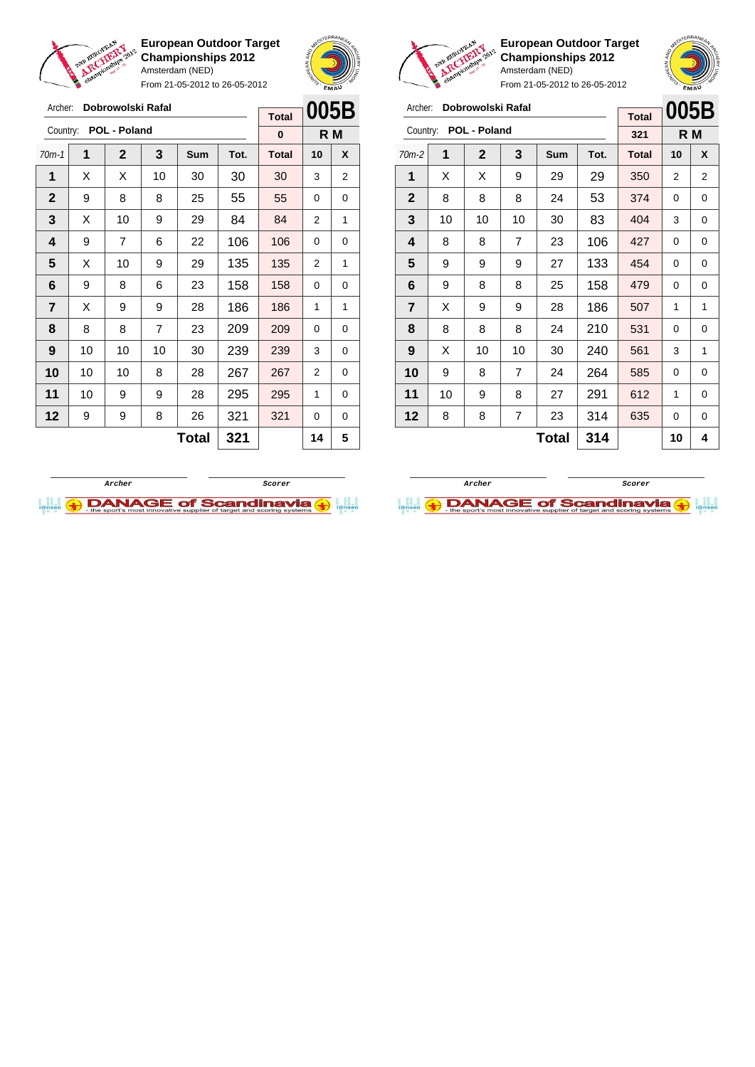

From 21-05-2012 to 26-05-2012





**European Outdoor Target Championships 2012** Amsterdam (NED) From

 | 9 | 9 | 9 | 27 | 133 | 454 | 0 | 0 | 9 | 8 | 8 | 25 | 158 | 479 | 0 | 0 | X | 9 | 9 | 28 | 186 | 507 | 1 | 1 | 8 | 8 | 8 | 24 | 210 | 531 | 0 | 0 | X | 10 | 10 | 30 | **240 | 561 | 3** | 1 | 9 | 8 | 7 | 24 | 264 | 585 | 0 | 0 | 10 | 9 | 8 | 27 | 291 | 612 | 1 | 0 | 8 | 8 | 7 | 23 | 314 | 635 | 0 | 0

|                                                                      | EMAU |                |    |            |      |              |    |   |  |  |  |
|----------------------------------------------------------------------|------|----------------|----|------------|------|--------------|----|---|--|--|--|
| 005B<br>Dobrowolski Rafal<br>Archer:<br><b>Total</b><br>POL - Poland |      |                |    |            |      |              |    |   |  |  |  |
| Country:                                                             |      | R M            |    |            |      |              |    |   |  |  |  |
| $70m-2$                                                              | 1    | $\overline{2}$ | 3  | <b>Sum</b> | Tot. | <b>Total</b> | 10 | X |  |  |  |
| 1                                                                    | X    | X              | 9  | 29         | 29   | 350          | 2  | 2 |  |  |  |
| $\mathbf{2}$                                                         | 8    | 8              | 8  | 24         | 53   | 374          | 0  | 0 |  |  |  |
| $\overline{\mathbf{3}}$                                              | 10   | 10             | 10 | 30         | 83   | 404          | 3  | 0 |  |  |  |
| 4                                                                    | 8    | 8              | 7  | 23         | 106  | 427          | 0  | 0 |  |  |  |
|                                                                      |      |                |    |            |      |              |    |   |  |  |  |

 $Total | 314 | 10 | 4$ 

| Archer:      |    | Dobrowolski Rafal   |    |              |      | <b>Total</b> | 005B |   |  |
|--------------|----|---------------------|----|--------------|------|--------------|------|---|--|
| Country:     |    | <b>POL - Poland</b> |    |              |      | 0            | R M  |   |  |
| $70m-1$      | 1  | $\mathbf{2}$        | 3  | <b>Sum</b>   | Tot. | <b>Total</b> | 10   | X |  |
| 1            | X  | X                   | 10 | 30           | 30   | 30           | 3    | 2 |  |
| $\mathbf{2}$ | 9  | 8                   | 8  | 25           | 55   | 55           | 0    | 0 |  |
| 3            | Х  | 10                  | 9  | 29           | 84   | 84           | 2    | 1 |  |
| 4            | 9  | 7                   | 6  | 22           | 106  | 106          | 0    | 0 |  |
| 5            | X  | 10                  | 9  | 29           | 135  | 135          | 2    | 1 |  |
| 6            | 9  | 8                   | 6  | 23           | 158  | 158          | 0    | 0 |  |
| 7            | Х  | 9                   | 9  | 28           | 186  | 186          | 1    | 1 |  |
| 8            | 8  | 8                   | 7  | 23           | 209  | 209          | 0    | 0 |  |
| 9            | 10 | 10                  | 10 | 30           | 239  | 239          | 3    | 0 |  |
| 10           | 10 | 10                  | 8  | 28           | 267  | 267          | 2    | 0 |  |
| 11           | 10 | 9                   | 9  | 28           | 295  | 295          | 1    | 0 |  |
| 12           | 9  | 9                   | 8  | 26           | 321  | 321          | 0    | 0 |  |
|              |    |                     |    | <b>Total</b> | 321  |              | 14   | 5 |  |



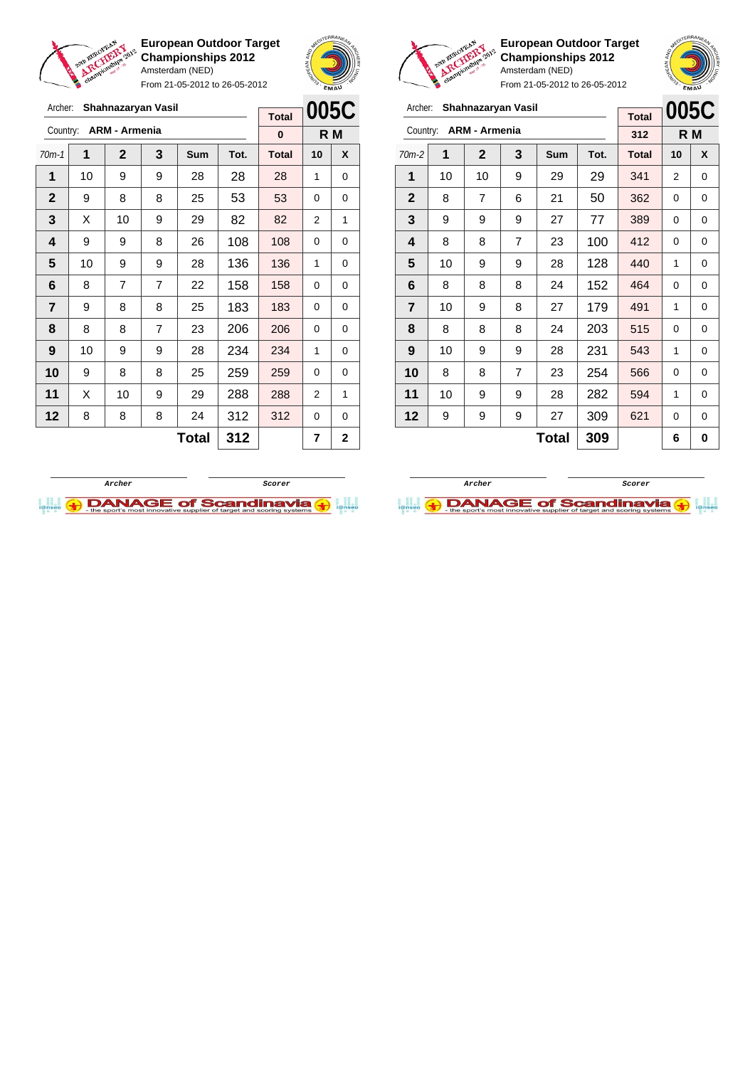

From 21-05-2012 to 26-05-2012





**European Outdoor Target Championships 2012** Amsterdam (NED)  $21 - 05 - 2012$  to  $26 - 05 - 2012$ 

|                |    |                      |                | FIUIII Z I-U3-ZUTZ 10 Z0-U3-ZUTZ |      |                     | EMAU           |     |
|----------------|----|----------------------|----------------|----------------------------------|------|---------------------|----------------|-----|
| Archer:        |    | Shahnazaryan Vasil   |                |                                  |      |                     | 005C           |     |
| Country:       |    | <b>ARM - Armenia</b> |                |                                  |      | <b>Total</b><br>312 |                | R M |
| $70m-2$        | 1  | $\mathbf{2}$         | 3              | Sum                              | Tot. | <b>Total</b>        | 10             | X   |
|                |    |                      |                |                                  |      |                     |                |     |
| 1              | 10 | 10                   | 9              | 29                               | 29   | 341                 | $\overline{2}$ | 0   |
| $\mathbf{2}$   | 8  | 7                    | 6              | 21                               | 50   | 362                 | 0              | 0   |
| 3              | 9  | 9                    | 9              | 27                               | 77   | 389                 | 0              | 0   |
| 4              | 8  | 8                    | $\overline{7}$ | 23                               | 100  | 412                 | 0              | 0   |
| 5              | 10 | 9                    | 9              | 28                               | 128  | 440                 | 1              | 0   |
| 6              | 8  | 8                    | 8              | 24                               | 152  | 464                 | 0              | 0   |
| $\overline{7}$ | 10 | 9                    | 8              | 27                               | 179  | 491                 | 1              | 0   |
| 8              | 8  | 8                    | 8              | 24                               | 203  | 515                 | $\Omega$       | 0   |
| 9              | 10 | 9                    | 9              | 28                               | 231  | 543                 | 1              | 0   |
| 10             | 8  | 8                    | $\overline{7}$ | 23                               | 254  | 566                 | 0              | 0   |
| 11             | 10 | 9                    | 9              | 28                               | 282  | 594                 | 1              | 0   |
| 12             | 9  | 9                    | 9              | 27                               | 309  | 621                 | 0              | 0   |
|                |    |                      |                | <b>Total</b>                     | 309  |                     | 6              | 0   |

| Archer:      | 005C<br>Shahnazaryan Vasil |                      |                |              |      |              |          |     |
|--------------|----------------------------|----------------------|----------------|--------------|------|--------------|----------|-----|
| Country:     |                            | <b>ARM - Armenia</b> |                |              |      | <b>Total</b> |          |     |
|              |                            |                      |                |              |      | 0            |          | R M |
| $70m-1$      | 1                          | $\mathbf{2}$         | 3              | <b>Sum</b>   | Tot. | <b>Total</b> | 10       | X   |
| 1            | 10                         | 9                    | 9              | 28           | 28   | 28           | 1        | 0   |
| $\mathbf{2}$ | 9                          | 8                    | 8              | 25           | 53   | 53           | 0        | 0   |
| 3            | Х                          | 10                   | 9              | 29           | 82   | 82           | 2        | 1   |
| 4            | 9                          | 9                    | 8              | 26           | 108  | 108          | 0        | 0   |
| 5            | 10                         | 9                    | 9              | 28           | 136  | 136          | 1        | 0   |
| 6            | 8                          | $\overline{7}$       | $\overline{7}$ | 22           | 158  | 158          | 0        | 0   |
| 7            | 9                          | 8                    | 8              | 25           | 183  | 183          | 0        | 0   |
| 8            | 8                          | 8                    | $\overline{7}$ | 23           | 206  | 206          | 0        | 0   |
| 9            | 10                         | 9                    | 9              | 28           | 234  | 234          | 1        | 0   |
| 10           | 9                          | 8                    | 8              | 25           | 259  | 259          | $\Omega$ | 0   |
| 11           | X                          | 10                   | 9              | 29           | 288  | 288          | 2        | 1   |
| 12           | 8                          | 8                    | 8              | 24           | 312  | 312          | 0        | 0   |
|              |                            |                      |                | <b>Total</b> | 312  |              | 7        | 2   |
|              |                            |                      |                |              |      |              |          |     |



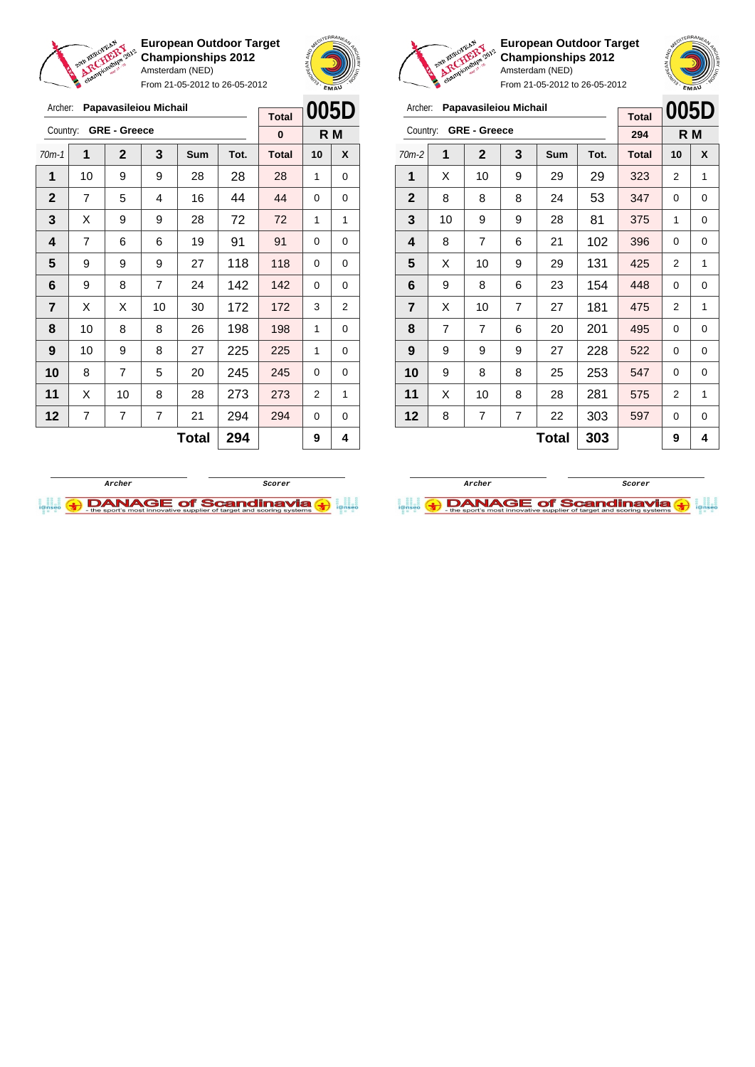

Archer: **Papavasileiou Michail**

Country: **GRE - Greece**

**European Outdoor Target Championships 2012** Amsterdam (NED)

From 21-05-2012 to 26-05-2012

70m-1 **1 2 3 Sum Tot. Total 10 X** | 10 | 9 | 9 | 28 | 28 | 28 | 1 | 0 | 7 | 5 | 4 | 16 | 44 | 44 | 0 | 0  $\begin{array}{|c|c|c|c|c|c|}\n\textbf{3} & \textbf{3} & \textbf{3} & \textbf{4} & \textbf{5} & \textbf{9} & \textbf{9} & \textbf{28} & \textbf{72} & \textbf{72} & \textbf{72} & \textbf{14} & \textbf{15} \\
\textbf{15} & \textbf{16} & \textbf{17} & \textbf{18} & \textbf{18} & \textbf{19} & \textbf{18} & \textbf{19} & \textbf{18} & \textbf{19} & \textbf{18} & \textbf{19} & \textbf{$  | 7 | 6 | 6 | 19 | 91 | 91 | 0 | 0 9 9 9 27 118 118 0 0 | 9 | 8 | 7 | 24 | 142 | 142 | 0 | 0  $\mid$  X  $\mid$  X  $\mid$  10  $\mid$  30  $\mid$  172  $\mid$  172  $\mid$  3  $\mid$  2 | 10 | 8 | 8 | 26 | 198 | 198 | 1 | 0 | 10 | 9 | 8 | 27 | 225 | 225 | 1 | 0 8 7 5 20 245 245 0 0 | X | 10 | 8 | 28 | 273 | 273 | 2 | 1 | 7 | 7 | 7 | 21 | 294 | 294 | 0 | 0



**R M**

**Total 0**



**European Outdoor Target Championships 2012** Amsterdam (NED)

|              | .cv |                       |                |     | From 21-05-2012 to 26-05-2012 |              |                | <b>EMAU</b> |
|--------------|-----|-----------------------|----------------|-----|-------------------------------|--------------|----------------|-------------|
| Archer:      |     | Papavasileiou Michail |                |     |                               | <b>Total</b> | 005D           |             |
| Country:     |     | <b>GRE - Greece</b>   |                |     |                               | 294          |                | R M         |
| $70m-2$      | 1   | $\overline{2}$        | 3              | Sum | Tot.                          | <b>Total</b> | 10             | X           |
| 1            | X   | 10                    | 9              | 29  | 29                            | 323          | 2              | 1           |
| $\mathbf{2}$ | 8   | 8                     | 8              | 24  | 53                            | 347          | 0              | 0           |
| 3            | 10  | 9                     | 9              | 28  | 81                            | 375          | 1              | 0           |
| 4            | 8   | 7                     | 6              | 21  | 102                           | 396          | 0              | 0           |
| 5            | X   | 10                    | 9              | 29  | 131                           | 425          | $\overline{2}$ | 1           |
| 6            | 9   | 8                     | 6              | 23  | 154                           | 448          | 0              | 0           |
| 7            | X   | 10                    | $\overline{7}$ | 27  | 181                           | 475          | 2              | 1           |
| 8            | 7   | 7                     | 6              | 20  | 201                           | 495          | 0              | 0           |
| 9            | 9   | 9                     | 9              | 27  | 228                           | 522          | 0              | 0           |
| 10           | 9   | 8                     | 8              | 25  | 253                           | 547          | 0              | 0           |
| 11           | X   | 10                    | 8              | 28  | 281                           | 575          | 2              | 1           |
| 12           | 8   | 7                     | 7              | 22  | 303                           | 597          | 0              | 0           |

 $Total | 303 | 9 | 4$ 



**Archer ScorerDANAGE of Scandinavia** 

 $Total | 294 |$  9 4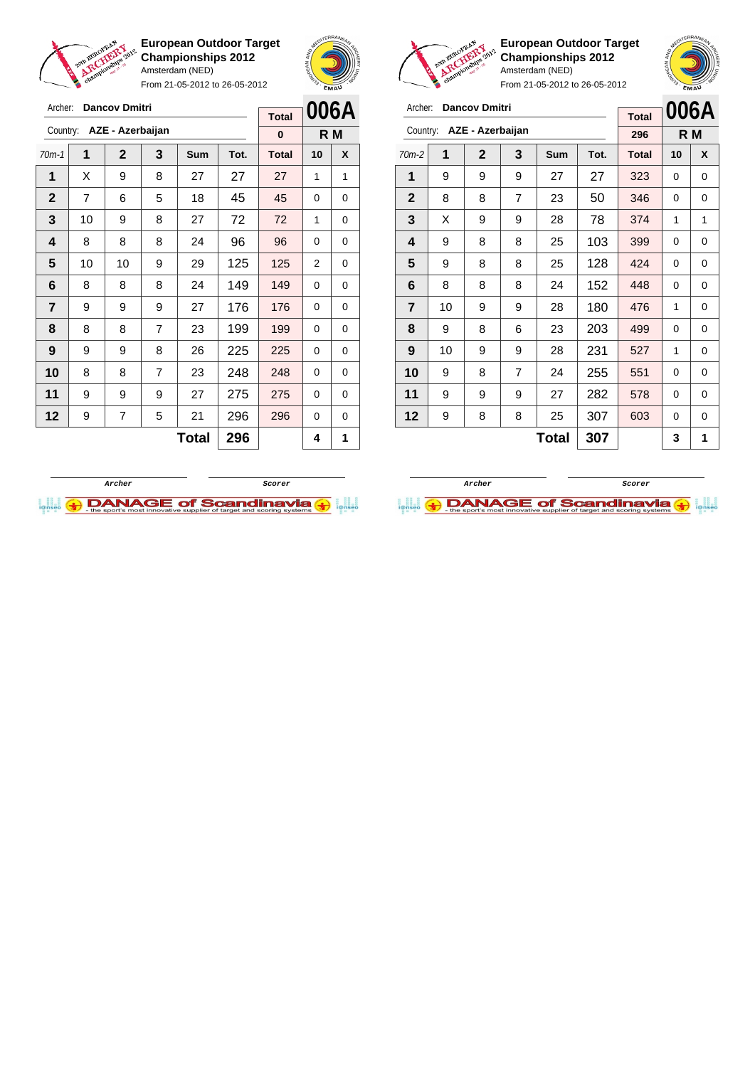

Archer: **Dancov Dmitri** Country: **AZE - Azerbaijan**

**European Outdoor Target Championships 2012** Amsterdam (NED)

From 21-05-2012 to 26-05-2012

70m-1 **1 2 3 Sum Tot. Total 10 X** | X | 9 | 8 | 27 | 27 | 27 | 1 | 1 | 7 | 6 | 5 | 18 | 45 | 45 | 0 | 0 | 10 | 9 | 8 | 27 | 72 | 72 | 1 | 0 | 8 | 8 | 8 | 24 | 96 | 96 | 0 | 0 | 10 | 10 | 9 | 29 | 125 | 125 | 2 | 0 | 8 | 8 | 8 | 24 | 149 | 149 | 0 | 0 | 9 | 9 | 9 | 27 | 176 | 176 | 0 | 0 | 8 | 8 | 7 | 23 | 199 | 199 | 0 | 0 | 9 | 9 | 8 | 26 | 225 | 225 | 0 | 0 8 8 7 23 248 248 0 0 | 9 | 9 | 9 | 27 | 275 | 275 | 0 | 0 | 9 | 7 | 5 | 21 | 296 | 296 | 0 | 0



**R M**

**Total 0**



**European Outdoor Target Championships 2012** Amsterdam (NED)

**006A**

From 21-05-2012 to 26-05-2012

| Archer: Dancov Dmitri |  |
|-----------------------|--|
|                       |  |

|                         |    |                  |                | <b>Total</b> |      | <b>UUDA</b>  |    |     |
|-------------------------|----|------------------|----------------|--------------|------|--------------|----|-----|
| Country:                |    | AZE - Azerbaijan |                |              |      | 296          |    | R M |
| $70m-2$                 | 1  | $\mathbf{2}$     | 3              | Sum          | Tot. | <b>Total</b> | 10 | X   |
| 1                       | 9  | 9                | 9              | 27           | 27   | 323          | 0  | 0   |
| $\mathbf{2}$            | 8  | 8                | 7              | 23           | 50   | 346          | 0  | 0   |
| 3                       | X  | 9                | 9              | 28           | 78   | 374          | 1  | 1   |
| 4                       | 9  | 8                | 8              | 25           | 103  | 399          | 0  | 0   |
| 5                       | 9  | 8                | 8              | 25           | 128  | 424          | 0  | 0   |
| 6                       | 8  | 8                | 8              | 24           | 152  | 448          | 0  | 0   |
| $\overline{\mathbf{r}}$ | 10 | 9                | 9              | 28           | 180  | 476          | 1  | 0   |
| 8                       | 9  | 8                | 6              | 23           | 203  | 499          | 0  | 0   |
| 9                       | 10 | 9                | 9              | 28           | 231  | 527          | 1  | 0   |
| 10                      | 9  | 8                | $\overline{7}$ | 24           | 255  | 551          | 0  | 0   |
| 11                      | 9  | 9                | 9              | 27           | 282  | 578          | 0  | 0   |
| 12                      | 9  | 8                | 8              | 25           | 307  | 603          | 0  | 0   |
|                         |    |                  |                | Total        | 307  |              | 3  | 1   |

**Archer Scorer**

**DANAGE of Scandinavia** 



 $Total | 296 | 4 | 1$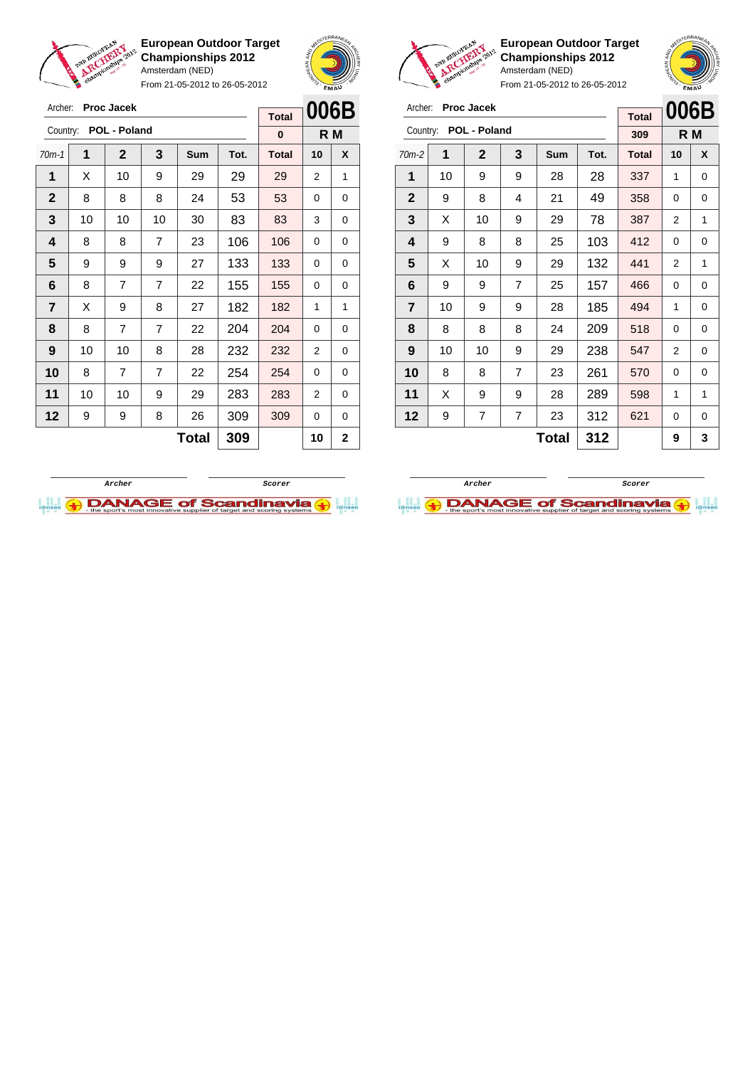

Archer: **Proc Jacek** Country: **POL - Poland**

**European Outdoor Target Championships 2012** Amsterdam (NED)

From 21-05-2012 to 26-05-2012

70m-1 **1 2 3 Sum Tot. Total 10 X** | X | 10 | 9 | 29 | 29 | 29 | 2 | 1 8 8 8 24 53 53 0 0 | 10 | 10 | 10 | 30 | 83 | 83 | 3 | 0 | 8 | 8 | 7 | 23 | 106 | 106 | 0 | 0 9 9 9 27 133 133 0 0 | 8 | 7 | 7 | 22 | 155 | 155 | 0 | 0  $\mid$  X  $\mid$  9  $\mid$  8  $\mid$  27  $\mid$  182  $\mid$  182  $\mid$  1  $\mid$  1 | 8 | 7 | 7 | 22 | 204 | 204 | 0 | 0 | 10 | 10 | 8 | 28 | 232 | 232 | 2 | 0 8 7 7 22 **254 254 0 0**  | 10 | 10 | 9 | 29 | 283 | 283 | 2 | 0 | 9 | 9 | 8 | 26 | 309 | 309 | 0 | 0



**R M**

**Total 0**



**European Outdoor Target Championships 2012** Amsterdam (NED)

**006B R M**

From 21-05-2012 to 26-05-2012

| Archer:                 |    | <b>Proc Jacek</b>     |   |            |      |              |      |          |
|-------------------------|----|-----------------------|---|------------|------|--------------|------|----------|
|                         |    |                       |   |            |      | <b>Total</b> | 006E |          |
|                         |    | Country: POL - Poland |   |            |      | 309          |      | R M      |
| $70m-2$                 | 1  | 2                     | 3 | <b>Sum</b> | Tot. | <b>Total</b> | 10   | X        |
| 1                       | 10 | 9                     | 9 | 28         | 28   | 337          | 1    | $\Omega$ |
| $\overline{2}$          | 9  | 8                     | 4 | 21         | 49   | 358          | 0    | 0        |
| $\overline{\mathbf{3}}$ | X  | 10                    | 9 | 29         | 78   | 387          | 2    | 1        |
|                         | 9  | 8                     | 8 | 25         | 103  | 412          | 0    | 0        |

| $\mathbf{2}$ | 9  | 8  | 4              | 21 | 49  | 358 | 0 | 0           |
|--------------|----|----|----------------|----|-----|-----|---|-------------|
| 3            | Χ  | 10 | 9              | 29 | 78  | 387 | 2 | 1           |
| 4            | 9  | 8  | 8              | 25 | 103 | 412 | 0 | $\mathbf 0$ |
| 5            | X  | 10 | 9              | 29 | 132 | 441 | 2 | 1           |
| 6            | 9  | 9  | 7              | 25 | 157 | 466 | 0 | 0           |
| 7            | 10 | 9  | 9              | 28 | 185 | 494 | 1 | 0           |
| 8            | 8  | 8  | 8              | 24 | 209 | 518 | 0 | 0           |
| 9            | 10 | 10 | 9              | 29 | 238 | 547 | 2 | 0           |
| 10           | 8  | 8  | 7              | 23 | 261 | 570 | 0 | 0           |
| 11           | X  | 9  | 9              | 28 | 289 | 598 | 1 | 1           |
| 12           | 9  | 7  | $\overline{7}$ | 23 | 312 | 621 | 0 | 0           |
|              |    |    |                |    |     |     |   |             |

 $Total | 312 | 9 | 3$ 

**Archer Scorer**



**Total 309 10 2**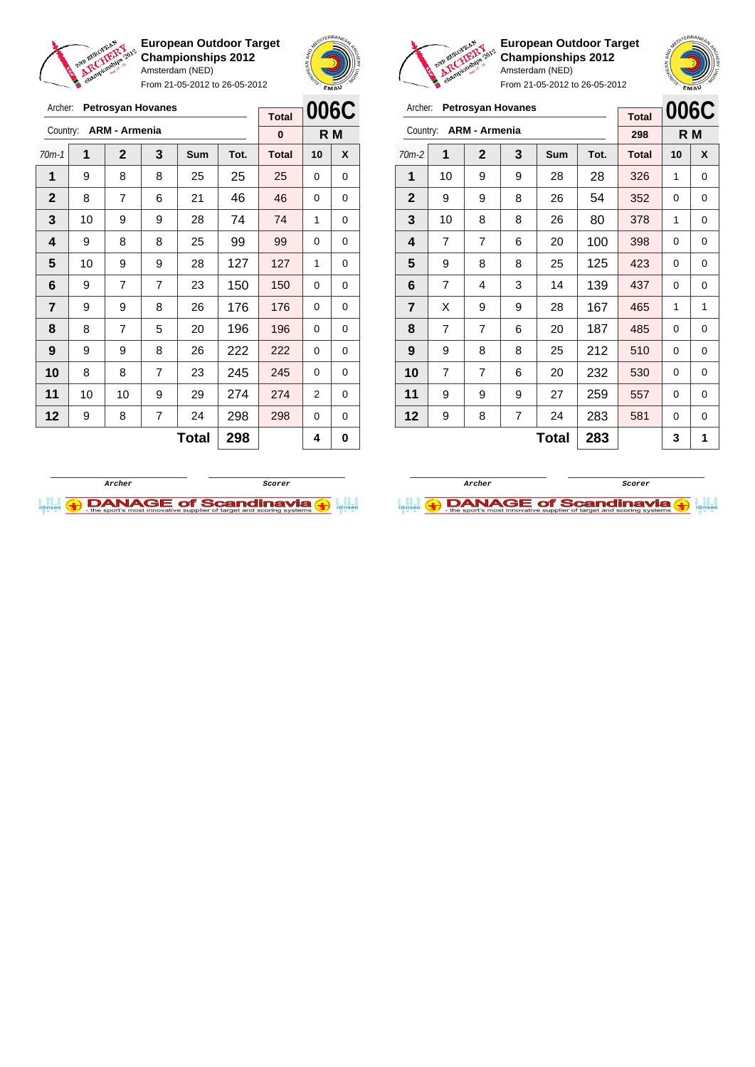

**European Outdoor Target Championships 2012** Amsterdam (NED)

From 21-05-2012 to 26-05-2012



io

**European Outdoor Target Championships 2012** Amsterdam (NED)

**006C R M**

| سمعا | From 21-05-2012 to 26-05-2012 |  |
|------|-------------------------------|--|
|      |                               |  |

| Archer:      |                 | <b>Petrosyan Hovanes</b> |                |            |      | <b>Total</b> |          | 006C                                                    | Archer:        |                |                | <b>Petrosyan Hovanes</b> |       |              | <b>Total</b> | <b>006C</b> |             |
|--------------|-----------------|--------------------------|----------------|------------|------|--------------|----------|---------------------------------------------------------|----------------|----------------|----------------|--------------------------|-------|--------------|--------------|-------------|-------------|
| Country:     |                 | <b>ARM - Armenia</b>     |                |            |      | $\bf{0}$     |          | Country: ARM - Armenia<br>R M                           |                |                |                |                          |       | 298          |              | R M         |             |
| $70m-1$      | 1               | $\overline{2}$           | 3              | <b>Sum</b> | Tot. | <b>Total</b> | 10       | $\overline{2}$<br>3<br>X<br>1<br>Sum<br>$70m-2$<br>Tot. |                |                |                |                          |       | <b>Total</b> | 10           | X           |             |
| 1            | 9               | 8                        | 8              | 25         | 25   | 25           | $\Omega$ | 0                                                       | 1              | 10             | 9              | 9                        | 28    | 28           | 326          | 1           | 0           |
| $\mathbf{2}$ | 8               | 7                        | 6              | 21         | 46   | 46           | $\Omega$ | $\Omega$                                                | $\mathbf{2}$   | 9              | 9              | 8                        | 26    | 54           | 352          | $\Omega$    | 0           |
| 3            | 10              | 9                        | 9              | 28         | 74   | 74           | 1        | $\Omega$                                                | 3              | 10             | 8              | 8                        | 26    | 80           | 378          | 1           | 0           |
| 4            | 9               | 8                        | 8              | 25         | 99   | 99           | $\Omega$ | 0                                                       | 4              | $\overline{7}$ | 7              | 6                        | 20    | 100          | 398          | $\Omega$    | 0           |
| 5            | 10              | 9                        | 9              | 28         | 127  | 127          | 1        | 0                                                       | 5              | 9              | 8              | 8                        | 25    | 125          | 423          | $\Omega$    | 0           |
| 6            | 9               | 7                        | $\overline{7}$ | 23         | 150  | 150          | $\Omega$ | 0                                                       | 6              | $\overline{7}$ | 4              | 3                        | 14    | 139          | 437          | $\Omega$    | 0           |
| 7            | 9               | 9                        | 8              | 26         | 176  | 176          | $\Omega$ | 0                                                       | $\overline{7}$ | X              | 9              | 9                        | 28    | 167          | 465          | 1           | 1           |
| 8            | 8               | 7                        | 5              | 20         | 196  | 196          | $\Omega$ | 0                                                       | 8              | $\overline{7}$ | 7              | 6                        | 20    | 187          | 485          | $\Omega$    | 0           |
| 9            | 9               | 9                        | 8              | 26         | 222  | 222          | $\Omega$ | $\Omega$                                                | 9              | 9              | 8              | 8                        | 25    | 212          | 510          | $\Omega$    | 0           |
| 10           | 8               | 8                        | $\overline{7}$ | 23         | 245  | 245          | $\Omega$ | 0                                                       | 10             | $\overline{7}$ | $\overline{7}$ | 6                        | 20    | 232          | 530          | $\Omega$    | 0           |
| 11           | 10 <sup>1</sup> | 10                       | 9              | 29         | 274  | 274          | 2        | 0                                                       | 11             | 9              | 9              | 9                        | 27    | 259          | 557          | 0           | $\mathbf 0$ |
| 12           | 9               | 8                        | $\overline{7}$ | 24         | 298  | 298          | $\Omega$ | $\Omega$                                                | 12             | 9              | 8              | 7                        | 24    | 283          | 581          | $\Omega$    | 0           |
|              |                 |                          |                | Total      | 298  |              | 4        | 0                                                       |                |                |                |                          | Total | 283          |              | 3           | 1           |



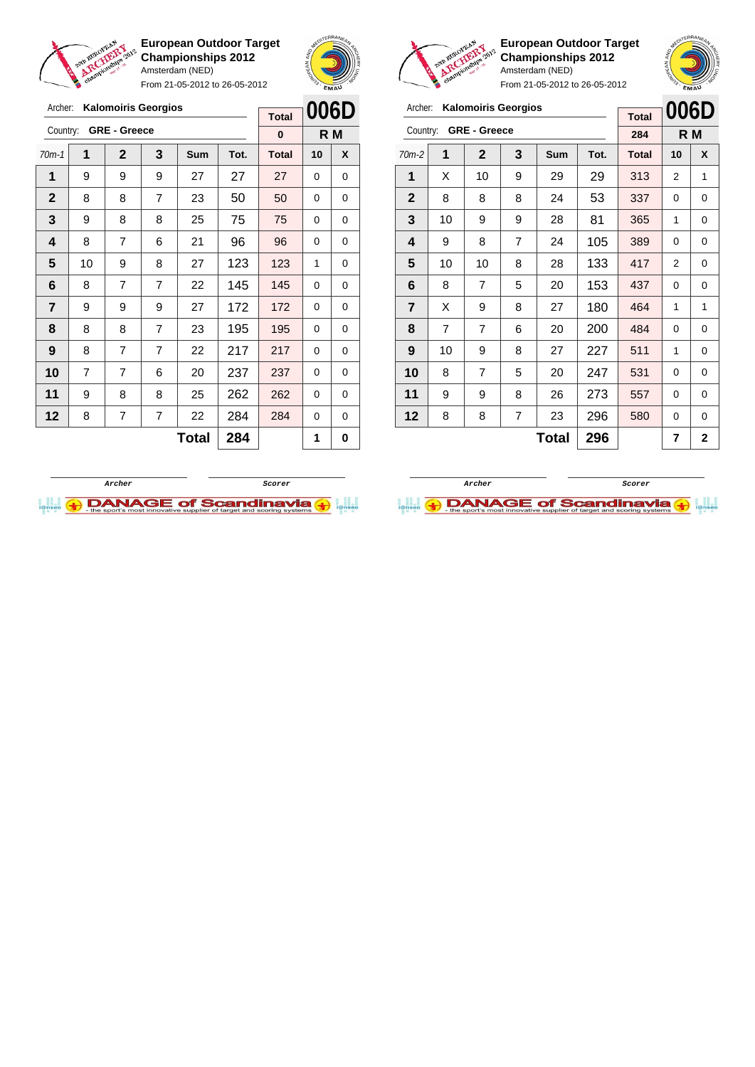

Archer: **Kalomoiris Georgios**

Country: **GRE - Greece**

**European Outdoor Target Championships 2012** Amsterdam (NED)

From 21-05-2012 to 26-05-2012

70m-1 **1 2 3 Sum Tot. Total 10 X** | 9 | 9 | 9 | 27 | 27 | 27 | 0 | 0 8 8 7 23 50 50 0 0 9 8 8 25 75 75 0 0



**R M**

**Total 0**



 $\begin{bmatrix} \phantom{-} \end{bmatrix}$ 

**European Outdoor Target Championships 2012** Amsterdam (NED) From 21-05-2012 to 26-05-2012

|                |                |                            |                | $110111$ $21-03-2012$ to $20-03-2012$ |      |              |          | EMAU           |
|----------------|----------------|----------------------------|----------------|---------------------------------------|------|--------------|----------|----------------|
| Archer:        |                | <b>Kalomoiris Georgios</b> |                |                                       |      | <b>Total</b> | 006D     |                |
| Country:       |                | <b>GRE - Greece</b>        |                |                                       |      | 284          |          | R M            |
| $70m-2$        | 1              | $\mathbf{2}$               | 3              | <b>Sum</b>                            | Tot. | <b>Total</b> | 10       | X              |
| 1              | X              | 10                         | 9              | 29                                    | 29   | 313          | 2        | 1              |
| $\mathbf{2}$   | 8              | 8                          | 8              | 24                                    | 53   | 337          | 0        | 0              |
| 3              | 10             | 9                          | 9              | 28                                    | 81   | 365          | 1        | 0              |
| 4              | 9              | 8                          | $\overline{7}$ | 24                                    | 105  | 389          | $\Omega$ | 0              |
| 5              | 10             | 10                         | 8              | 28                                    | 133  | 417          | 2        | 0              |
| 6              | 8              | 7                          | 5              | 20                                    | 153  | 437          | $\Omega$ | 0              |
| $\overline{7}$ | X              | 9                          | 8              | 27                                    | 180  | 464          | 1        | 1              |
| 8              | $\overline{7}$ | 7                          | 6              | 20                                    | 200  | 484          | 0        | 0              |
| 9              | 10             | 9                          | 8              | 27                                    | 227  | 511          | 1        | 0              |
| 10             | 8              | 7                          | 5              | 20                                    | 247  | 531          | 0        | 0              |
| 11             | 9              | 9                          | 8              | 26                                    | 273  | 557          | 0        | 0              |
| 12             | 8              | 8                          | $\overline{7}$ | 23                                    | 296  | 580          | 0        | 0              |
|                |                |                            |                | <b>Total</b>                          | 296  |              | 7        | $\overline{2}$ |





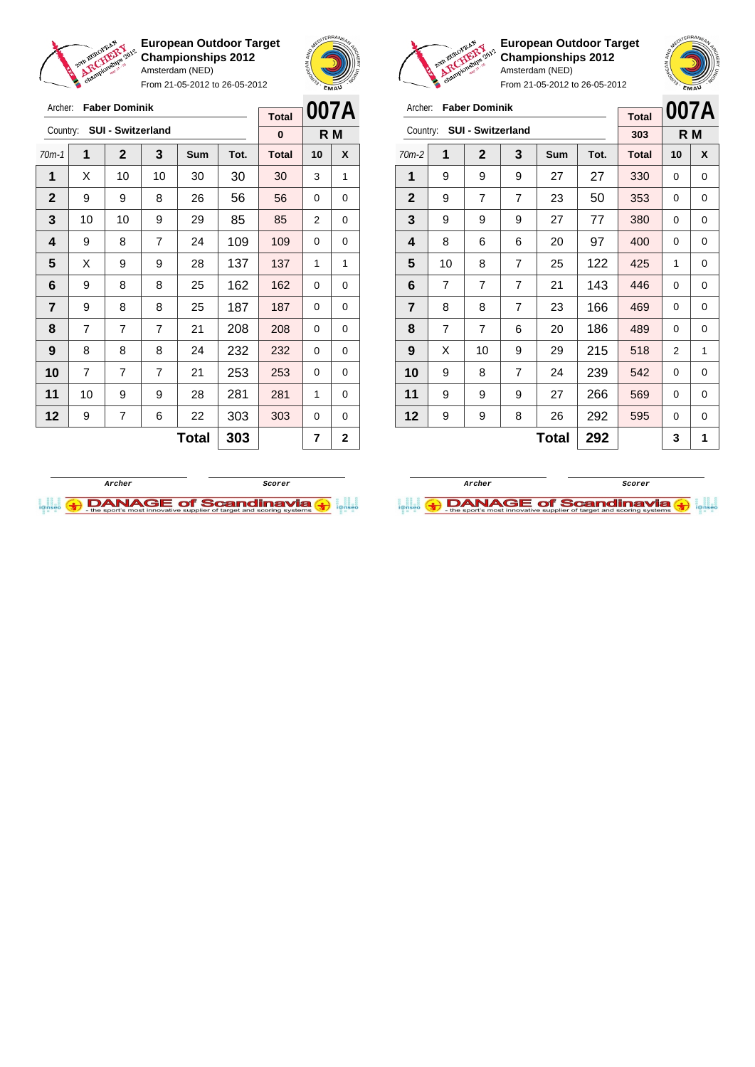

From 21-05-2012 to 26-05-2012





**European Outdoor Target Championships 2012** Amsterdam (NED)

|                | Archer:<br><b>Faber Dominik</b>      |                |                |     |      |              | 007A |     |
|----------------|--------------------------------------|----------------|----------------|-----|------|--------------|------|-----|
|                | <b>SUI - Switzerland</b><br>Country: |                |                |     |      |              |      | R M |
| $70m-2$        | 1                                    | $\mathbf{2}$   | 3              | Sum | Tot. | <b>Total</b> | 10   | X   |
| 1              | 9                                    | 9              | 9              | 27  | 27   | 330          | 0    | 0   |
| $\mathbf{2}$   | 9                                    | $\overline{7}$ | $\overline{7}$ | 23  | 50   | 353          | 0    | 0   |
| 3              | 9                                    | 9              | 9              | 27  | 77   | 380          | 0    | 0   |
| 4              | 8                                    | 6              | 6              | 20  | 97   | 400          | 0    | 0   |
| 5              | 10                                   | 8              | $\overline{7}$ | 25  | 122  | 425          | 1    | 0   |
| 6              | $\overline{7}$                       | 7              | $\overline{7}$ | 21  | 143  | 446          | 0    | 0   |
| $\overline{7}$ | 8                                    | 8              | $\overline{7}$ | 23  | 166  | 469          | 0    | 0   |
| 8              | $\overline{7}$                       | 7              | 6              | 20  | 186  | 489          | 0    | 0   |
| 9              | X                                    | 10             | 9              | 29  | 215  | 518          | 2    | 1   |
| 10             | 9                                    | 8              | 7              | 24  | 239  | 542          | 0    | 0   |
| 11             | 9                                    | 9              | 9              | 27  | 266  | 569          | 0    | 0   |
| 12             | 9                                    | 9              | 8              | 26  | 292  | 595          | 0    | 0   |
|                |                                      |                |                | 3   | 1    |              |      |     |





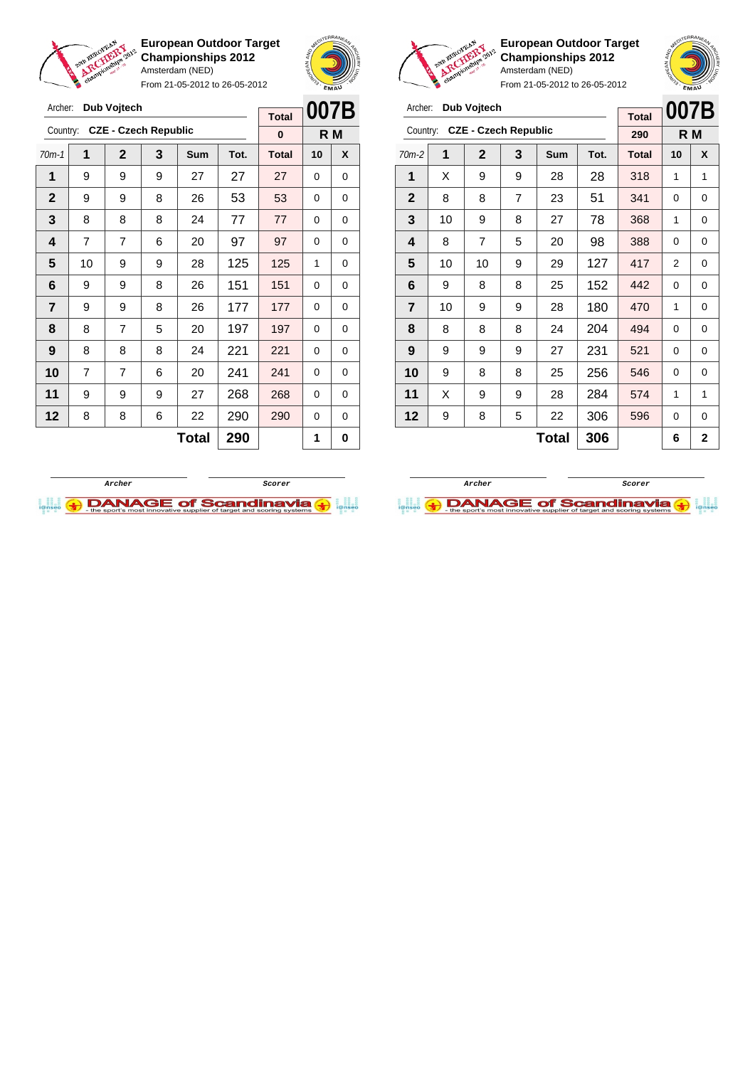

Archer: **Dub Vojtech**

**European Outdoor Target Championships 2012** Amsterdam (NED)

From 21-05-2012 to 26-05-2012



**European Outdoor Target Championships 2012** Amsterdam (NED)



| Archer:        |    | Dub Vojtech                 |     |              |      | <b>Total</b> | 007B     |                |
|----------------|----|-----------------------------|-----|--------------|------|--------------|----------|----------------|
| Country:       |    | <b>CZE - Czech Republic</b> | 290 |              | R M  |              |          |                |
| $70m-2$        | 1  | 2                           | 3   | Sum          | Tot. | <b>Total</b> | 10       | X              |
| 1              | X  | 9                           | 9   | 28           | 28   | 318          | 1        | 1              |
| $\mathbf{2}$   | 8  | 8                           | 7   | 23           | 51   | 341          | 0        | 0              |
| 3              | 10 | 9                           | 8   | 27           | 78   | 368          | 1        | 0              |
| 4              | 8  | 7                           | 5   | 20           | 98   | 388          | 0        | 0              |
| 5              | 10 | 10                          | 9   | 29           | 127  | 417          | 2        | 0              |
| 6              | 9  | 8                           | 8   | 25           | 152  | 442          | 0        | 0              |
| $\overline{7}$ | 10 | 9                           | 9   | 28           | 180  | 470          | 1        | 0              |
| 8              | 8  | 8                           | 8   | 24           | 204  | 494          | 0        | 0              |
| 9              | 9  | 9                           | 9   | 27           | 231  | 521          | 0        | 0              |
| 10             | 9  | 8                           | 8   | 25           | 256  | 546          | $\Omega$ | 0              |
| 11             | X  | 9                           | 9   | 28           | 284  | 574          | 1        | 1              |
| 12             | 9  | 8                           | 5   | 22           | 306  | 596          | 0        | 0              |
|                |    |                             |     | <b>Total</b> | 306  |              | 6        | $\overline{2}$ |

| Archer:     |    | Dub Vojtech                 |          |              |      | <b>Total</b> | 007B     |   |
|-------------|----|-----------------------------|----------|--------------|------|--------------|----------|---|
| Country:    |    | <b>CZE - Czech Republic</b> | $\bf{0}$ | R M          |      |              |          |   |
| $70m-1$     | 1  | $\overline{2}$              | 3        | Sum          | Tot. | <b>Total</b> | 10       | X |
| 1           | 9  | 9                           | 9        | 27           | 27   | 27           | 0        | 0 |
| $\mathbf 2$ | 9  | 9                           | 8        | 26           | 53   | 53           | 0        | 0 |
| 3           | 8  | 8                           | 8        | 24           | 77   | 77           | $\Omega$ | 0 |
| 4           | 7  | 7                           | 6        | 20           | 97   | 97           | 0        | 0 |
| 5           | 10 | 9                           | 9        | 28           | 125  | 125          | 1        | 0 |
| 6           | 9  | 9                           | 8        | 26           | 151  | 151          | 0        | 0 |
| 7           | 9  | 9                           | 8        | 26           | 177  | 177          | 0        | 0 |
| 8           | 8  | 7                           | 5        | 20           | 197  | 197          | 0        | 0 |
| 9           | 8  | 8                           | 8        | 24           | 221  | 221          | 0        | 0 |
| 10          | 7  | 7                           | 6        | 20           | 241  | 241          | 0        | 0 |
| 11          | 9  | 9                           | 9        | 27           | 268  | 268          | 0        | 0 |
| 12          | 8  | 8                           | 6        | 22           | 290  | 290          | 0        | 0 |
|             |    |                             |          | <b>Total</b> | 290  |              | 1        | 0 |



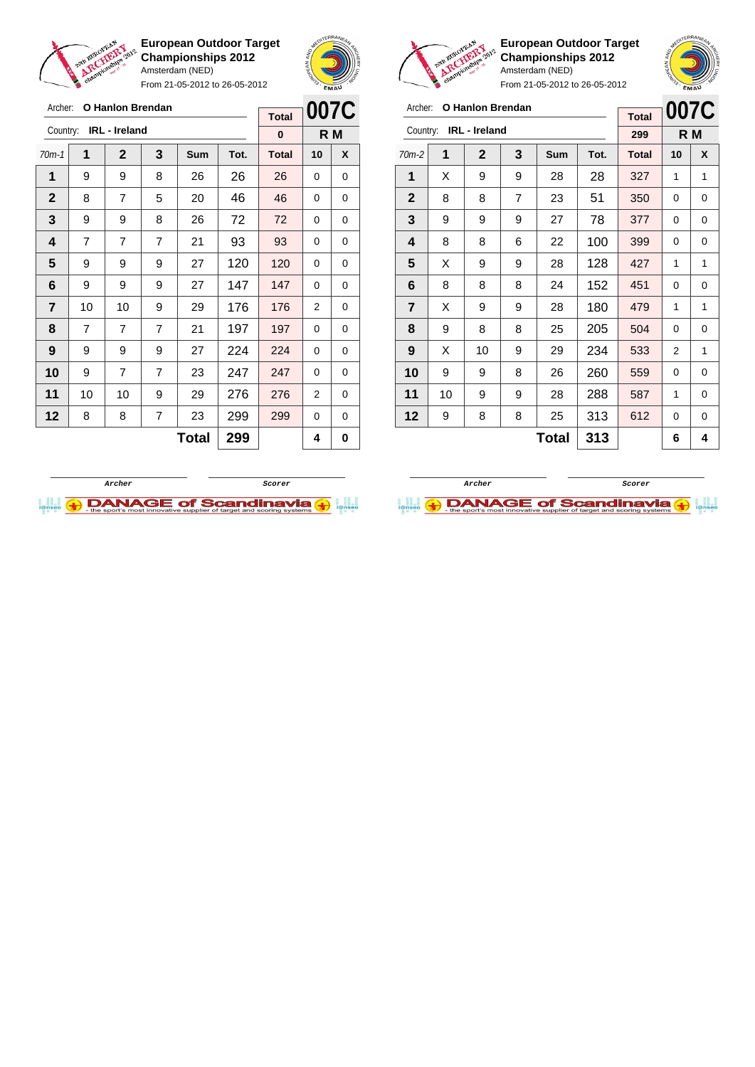

From 21-05-2012 to 26-05-2012





**European Outdoor Target Championships 2012** Amsterdam (NED)

|              | eliainpion |                      |     | Amsterdam (NED) | From 21-05-2012 to 26-05-2012 |              | <b>EMAY</b> |   |
|--------------|------------|----------------------|-----|-----------------|-------------------------------|--------------|-------------|---|
| Archer:      | 007C       |                      |     |                 |                               |              |             |   |
| Country:     |            | <b>IRL</b> - Ireland | 299 |                 | R M                           |              |             |   |
| $70m-2$      | 1          | $\mathbf{2}$         | 3   | <b>Sum</b>      | Tot.                          | <b>Total</b> | 10          | X |
| 1            | X          | 9                    | 9   | 28              | 28                            | 327          | 1           | 1 |
| $\mathbf{2}$ | 8          | 8                    | 7   | 23              | 51                            | 350          | 0           | 0 |
| 3            | 9          | 9                    | 9   | 27              | 78                            | 377          | 0           | 0 |
| 4            | 8          | 8                    | 6   | 22              | 100                           | 399          | 0           | 0 |
| 5            | X          | 9                    | 9   | 28              | 128                           | 427          | 1           | 1 |
| 6            | 8          | 8                    | 8   | 24              | 152                           | 451          | 0           | 0 |
|              |            |                      |     |                 |                               |              |             |   |

 $Total | 313 | 6 | 4$ 

| Archer:        |                                  | <b>O Hanlon Brendan</b> |                |              |      | <b>Total</b> |     | 007C |
|----------------|----------------------------------|-------------------------|----------------|--------------|------|--------------|-----|------|
|                | <b>IRL</b> - Ireland<br>Country: |                         |                |              |      |              | R M |      |
| $70m-1$        | 1                                | $\overline{2}$          | 3              | Sum          | Tot. | <b>Total</b> | 10  | X    |
| 1              | 9                                | 9                       | 8              | 26           | 26   | 26           | 0   | 0    |
| $\mathbf{2}$   | 8                                | 7                       | 5              | 20           | 46   | 46           | 0   | 0    |
| 3              | 9                                | 9                       | 8              | 26           | 72   | 72           | 0   | 0    |
| 4              | 7                                | 7                       | 7              | 21           | 93   | 93           | 0   | 0    |
| 5              | 9                                | 9                       | 9              | 27           | 120  | 120          | 0   | 0    |
| 6              | 9                                | 9                       | 9              | 27           | 147  | 147          | 0   | 0    |
| $\overline{7}$ | 10                               | 10                      | 9              | 29           | 176  | 176          | 2   | 0    |
| 8              | 7                                | 7                       | 7              | 21           | 197  | 197          | 0   | 0    |
| 9              | 9                                | 9                       | 9              | 27           | 224  | 224          | 0   | 0    |
| 10             | 9                                | 7                       | $\overline{7}$ | 23           | 247  | 247          | 0   | 0    |
| 11             | 10                               | 10                      | 9              | 29           | 276  | 276          | 2   | 0    |
| 12             | 8                                | 8                       | 7              | 23           | 299  | 299          | 0   | 0    |
|                |                                  |                         |                | <b>Total</b> | 299  |              | 4   | 0    |



  $\mid$  X  $\mid$  9  $\mid$  9  $\mid$  28  $\mid$  180  $\mid$  479  $\mid$  1  $\mid$  1 | 9 | 8 | 8 | 25 | 205 | 504 | 0 | 0 | X | 10 | 9 | 29 | 234 | 533 | 2 | 1 | 9 | 9 | 8 | 26 | 260 | 559 | 0 | 0 | 10 | 9 | 9 | 28 | 288 | 587 | 1 | 0 | 9 | 8 | 8 | 25 | 313 | 612 | 0 | 0

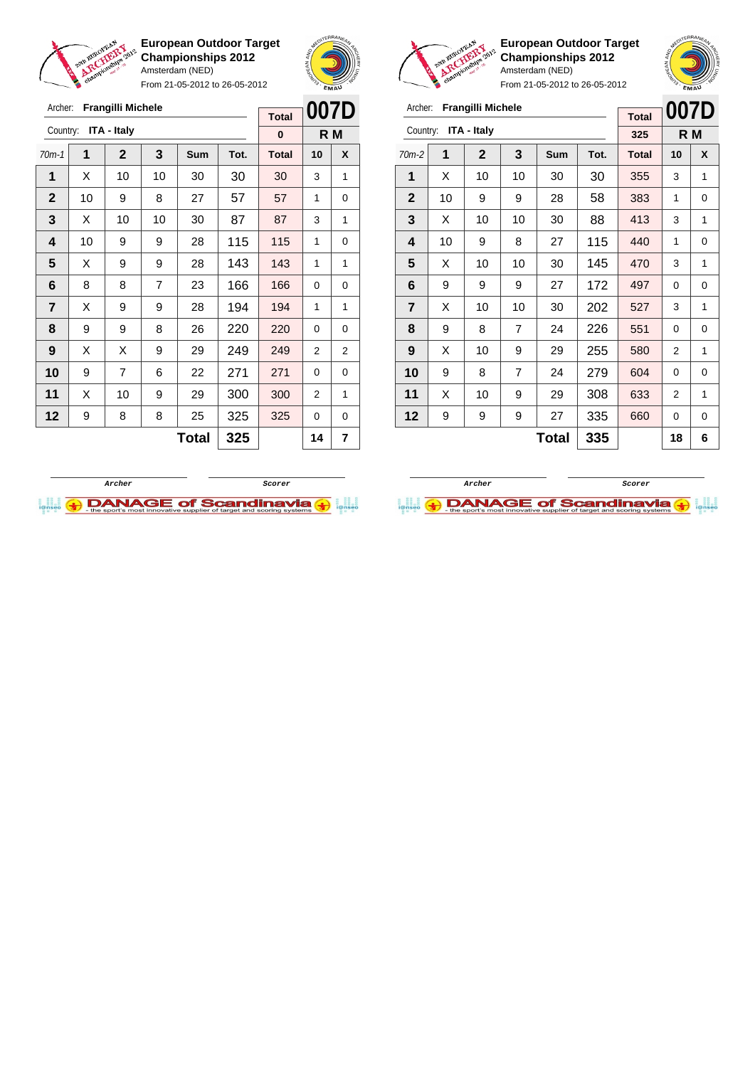

Archer: **Frangilli Michele**

Country: **ITA - Italy**

**European Outdoor Target Championships 2012** Amsterdam (NED)

From 21-05-2012 to 26-05-2012

70m-1 **1 2 3 Sum Tot. Total 10 X** | X | 10 | 10 | 30 | 30 | 30 | 3 | 1 | 10 | 9 | 8 | 27 | 57 | 57 | 1 | 0  $\mid$  X  $\mid$  10  $\mid$  10  $\mid$  30  $\mid$  87  $\mid$  87  $\mid$  3  $\mid$  1 | 10 | 9 | 9 | 28 | 115 | 115 | 1 | 0  $\mid$  X  $\mid$  9  $\mid$  9  $\mid$  28  $\mid$  143  $\mid$  143  $\mid$  1  $\mid$  1 | 8 | 8 | 7 | 23 | 166 | 166 | 0 | 0  $\mid$  X  $\mid$  9  $\mid$  9  $\mid$  28  $\mid$  194  $\mid$  194  $\mid$  1  $\mid$  1 | 9 | 9 | 8 | 26 | 220 | 220 | 0 | 0 | X | X | 9 | 29 | 249 | 249 | 2 | 2 9 7 6 22 271 271 0 0 | X | 10 | 9 | 29 | 300 | 300 | 2 | 1 | 9 | 8 | 8 | 25 | 325 | 325 | 0 | 0



**007D R M**

**Total 0**



**European Outdoor Target Championships 2012** Amsterdam (NED)



| Archer:        |    | Frangilli Michele  |    |              |      | <b>Total</b> | 007D |   |
|----------------|----|--------------------|----|--------------|------|--------------|------|---|
| Country:       |    | <b>ITA - Italy</b> |    |              |      | 325          | R M  |   |
| $70m-2$        | 1  | $\mathbf{2}$       | 3  | Sum          | Tot. | <b>Total</b> | 10   | X |
| 1              | X  | 10                 | 10 | 30           | 30   | 355          | 3    | 1 |
| $\mathbf{2}$   | 10 | 9                  | 9  | 28           | 58   | 383          | 1    | 0 |
| 3              | X  | 10                 | 10 | 30           | 88   | 413          | 3    | 1 |
| 4              | 10 | 9                  | 8  | 27           | 115  | 440          | 1    | 0 |
| 5              | X  | 10                 | 10 | 30           | 145  | 470          | 3    | 1 |
| 6              | 9  | 9                  | 9  | 27           | 172  | 497          | 0    | 0 |
| $\overline{7}$ | X  | 10                 | 10 | 30           | 202  | 527          | 3    | 1 |
| 8              | 9  | 8                  | 7  | 24           | 226  | 551          | 0    | 0 |
| 9              | X  | 10                 | 9  | 29           | 255  | 580          | 2    | 1 |
| 10             | 9  | 8                  | 7  | 24           | 279  | 604          | 0    | 0 |
| 11             | X  | 10                 | 9  | 29           | 308  | 633          | 2    | 1 |
| 12             | 9  | 9                  | 9  | 27           | 335  | 660          | 0    | 0 |
|                |    |                    |    | <b>Total</b> | 335  |              | 18   | 6 |



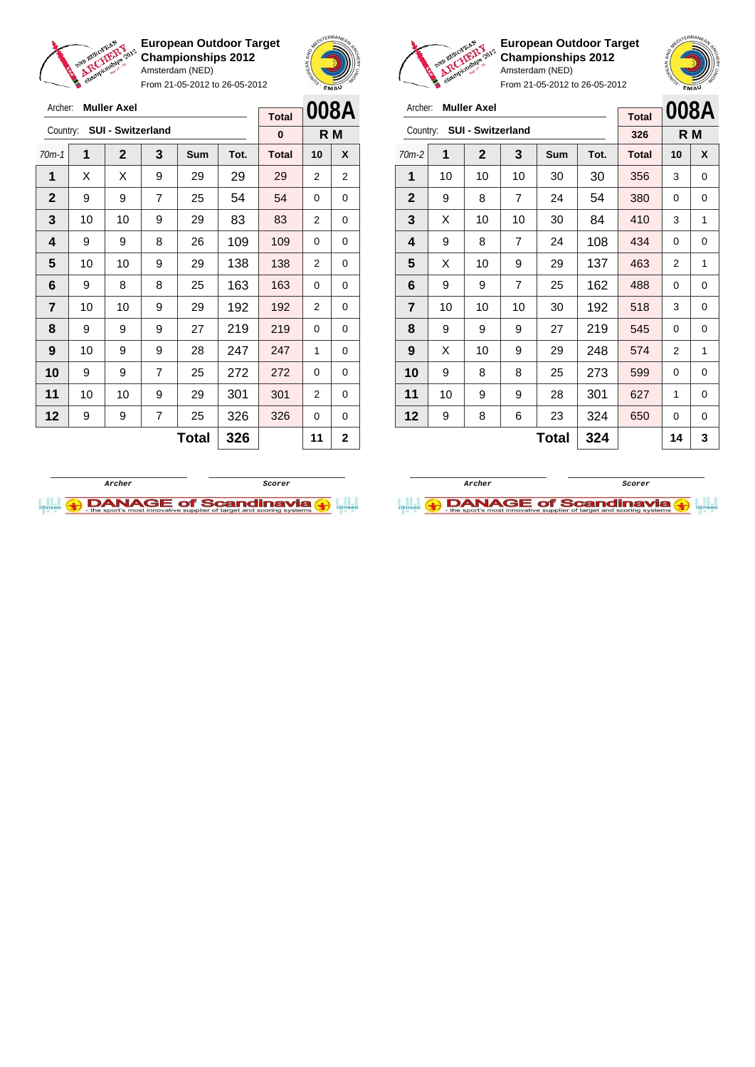

Archer: **Muller Axel**

Country: **SUI - Switzerland**

**European Outdoor Target Championships 2012** Amsterdam (NED)

From 21-05-2012 to 26-05-2012

70m-1 **1 2 3 Sum Tot. Total 10 X** | X | X | 9 | 29 | 29 | 29 | 2 | 2 | 9 | 9 | 7 | 25 | 54 | 54 | 0 | 0 | 10 | 10 | 9 | 29 | 83 | 83 | 2 | 0



**R M**

**Total 0**

**European Outdoor Target Championships 2012** Amsterdam (NED)

**008A**

| Archer:        |    | <b>Muller Axel</b>       |                |     |      | <b>Total</b> |    | 008A |
|----------------|----|--------------------------|----------------|-----|------|--------------|----|------|
| Country:       |    | <b>SUI - Switzerland</b> | 326            |     | R M  |              |    |      |
| $70m-2$        | 1  | $\mathbf{2}$             | 3              | Sum | Tot. | <b>Total</b> | 10 | X    |
| 1              | 10 | 10                       | 10             | 30  | 30   | 356          | 3  | 0    |
| $\mathbf{2}$   | 9  | 8                        | 7              | 24  | 54   | 380          | 0  | 0    |
| 3              | X  | 10                       | 10             | 30  | 84   | 410          | 3  | 1    |
| 4              | 9  | 8                        | $\overline{7}$ | 24  | 108  | 434          | 0  | 0    |
| 5              | X  | 10                       | 9              | 29  | 137  | 463          | 2  | 1    |
| 6              | 9  | 9                        | 7              | 25  | 162  | 488          | 0  | 0    |
| $\overline{7}$ | 10 | 10                       | 10             | 30  | 192  | 518          | 3  | 0    |
| 8              | 9  | 9                        | 9              | 27  | 219  | 545          | 0  | 0    |
| 9              | X  | 10                       | 9              | 29  | 248  | 574          | 2  | 1    |
| 10             | 9  | 8                        | 8              | 25  | 273  | 599          | 0  | 0    |
| 11             | 10 | 9                        | 9              | 28  | 301  | 627          | 1  | 0    |
| 12             | 9  | 8                        | 6              | 23  | 324  | 650          | 0  | 0    |
|                |    |                          |                | 14  | 3    |              |    |      |





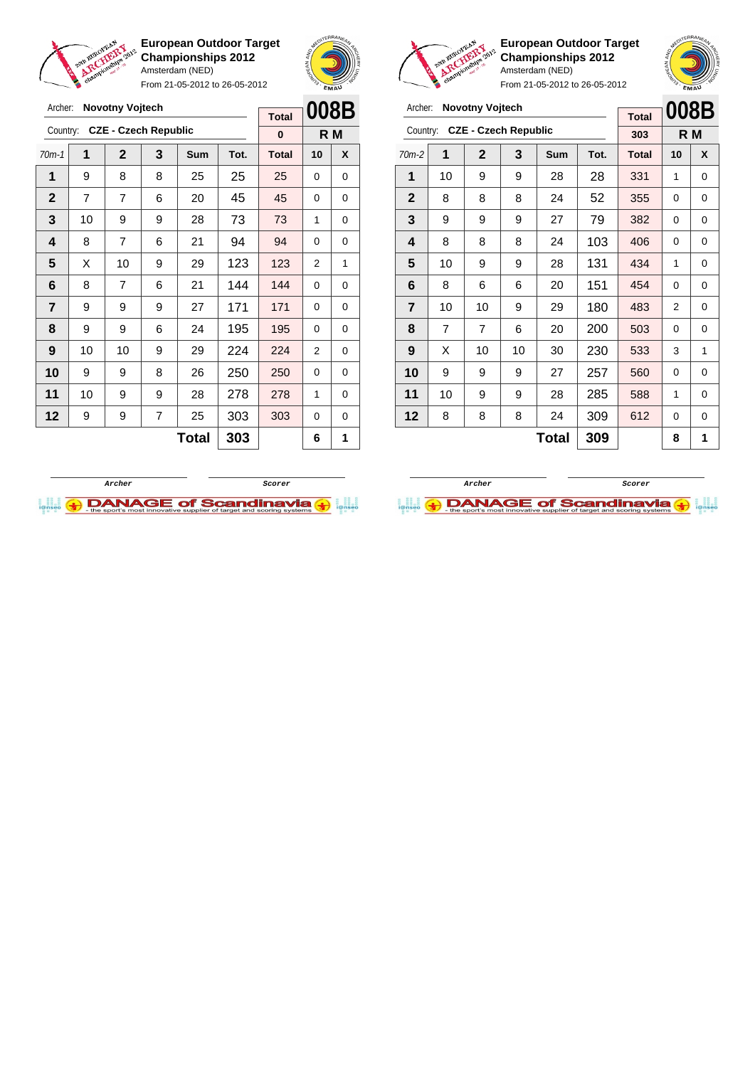

Archer: **Novotny Vojtech**

**European Outdoor Target Championships 2012** Amsterdam (NED)

From 21-05-2012 to 26-05-2012



**Total**



**European Outdoor Target Championships 2012** Amsterdam (NED)

| Archer:        |                     | <b>Novotny Vojtech</b>      | <b>Total</b> | 008B |      |              |    |   |
|----------------|---------------------|-----------------------------|--------------|------|------|--------------|----|---|
| Country:       |                     | <b>CZE - Czech Republic</b> | 303          |      | R M  |              |    |   |
| $70m-2$        | 1                   | $\overline{2}$              | 3            | Sum  | Tot. | <b>Total</b> | 10 | X |
| 1              | 10                  | 9                           | 9            | 28   | 28   | 331          | 1  | 0 |
| $\mathbf{2}$   | 8                   | 8                           | 8            | 24   | 52   | 355          | 0  | 0 |
| 3              | 9                   | 9                           | 9            | 27   | 79   | 382          | 0  | 0 |
| 4              | 8                   | 8                           | 8            | 24   | 103  | 406          | 0  | 0 |
| 5              | 10                  | 9                           | 9            | 28   | 131  | 434          | 1  | 0 |
| 6              | 8                   | 6                           | 6            | 20   | 151  | 454          | 0  | 0 |
| $\overline{7}$ | 10                  | 10                          | 9            | 29   | 180  | 483          | 2  | 0 |
| 8              | $\overline{7}$      | 7                           | 6            | 20   | 200  | 503          | 0  | 0 |
| 9              | X                   | 10                          | 10           | 30   | 230  | 533          | 3  | 1 |
| 10             | 9                   | 9                           | 9            | 27   | 257  | 560          | 0  | 0 |
| 11             | 10                  | 9                           | 9            | 28   | 285  | 588          | 1  | 0 |
| 12             | 8                   | 8                           | 8            | 24   | 309  | 612          | 0  | 0 |
|                | 309<br><b>Total</b> |                             |              |      |      |              | 8  | 1 |





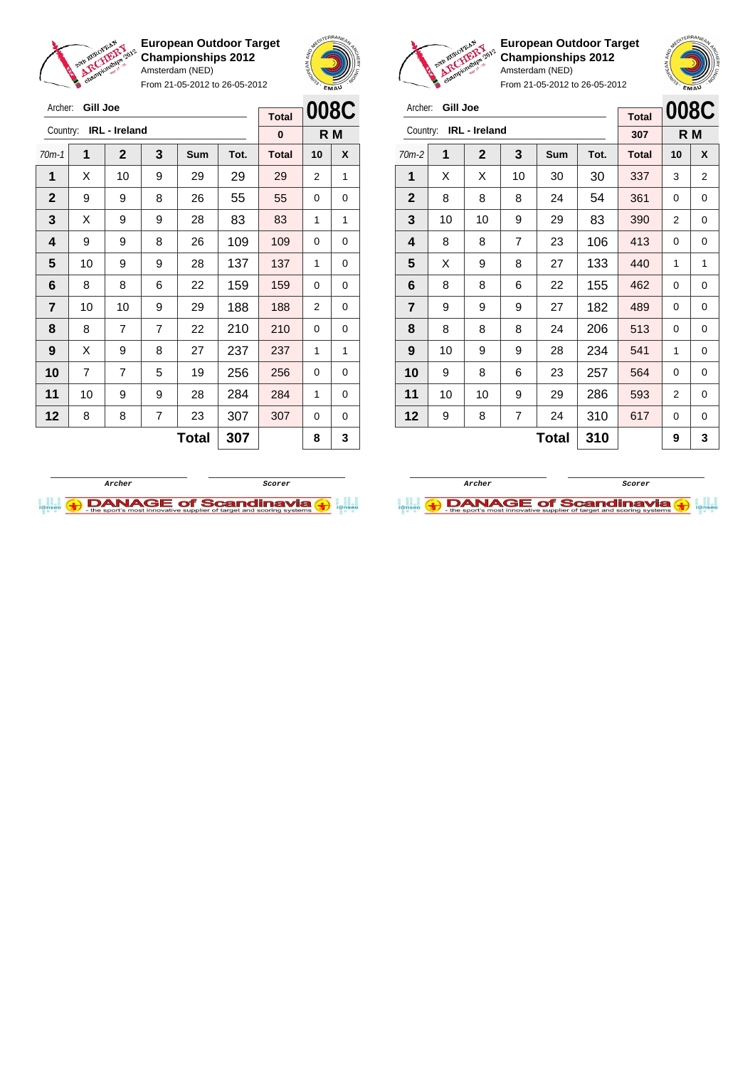

Archer: **Gill Joe**

**European Outdoor Target Championships 2012** Amsterdam (NED)

From 21-05-2012 to 26-05-2012



**European Outdoor Target Championships 2012** Amsterdam (NED) From 21-05-2012 to 26-05-2012

| Archer:      | Gill Joe |                      |                |       |      | <b>Total</b>   | <b>008C</b> |   |
|--------------|----------|----------------------|----------------|-------|------|----------------|-------------|---|
| Country:     |          | <b>IRL</b> - Ireland |                | 307   |      | R <sub>M</sub> |             |   |
| $70m-2$      | 1        | $\mathbf 2$          | 3              | Sum   | Tot. | <b>Total</b>   | 10          | X |
| 1            | X        | X                    | 10             | 30    | 30   | 337            | 3           | 2 |
| $\mathbf{2}$ | 8        | 8                    | 8              | 24    | 54   | 361            | 0           | 0 |
| 3            | 10       | 10                   | 9              | 29    | 83   | 390            | 2           | 0 |
| 4            | 8        | 8                    | $\overline{7}$ | 23    | 106  | 413            | 0           | 0 |
| 5            | X        | 9                    | 8              | 27    | 133  | 440            | 1           | 1 |
| 6            | 8        | 8                    | 6              | 22    | 155  | 462            | 0           | 0 |
| 7            | 9        | 9                    | 9              | 27    | 182  | 489            | 0           | 0 |
| 8            | 8        | 8                    | 8              | 24    | 206  | 513            | 0           | 0 |
| 9            | 10       | 9                    | 9              | 28    | 234  | 541            | 1           | 0 |
| 10           | 9        | 8                    | 6              | 23    | 257  | 564            | 0           | 0 |
| 11           | 10       | 10                   | 9              | 29    | 286  | 593            | 2           | 0 |
| 12           | 9        | 8                    | 7              | 24    | 310  | 617            | 0           | 0 |
|              |          |                      |                | Total | 310  |                | 9           | 3 |

| Archer:      | <b>Gill Joe</b> |                      |                |     |      | <b>Total</b> |    | 008C |
|--------------|-----------------|----------------------|----------------|-----|------|--------------|----|------|
| Country:     |                 | <b>IRL</b> - Ireland | 0              | R M |      |              |    |      |
| $70m-1$      | 1               | $\mathbf 2$          | 3              | Sum | Tot. | <b>Total</b> | 10 | X    |
| 1            | Х               | 10                   | 9              | 29  | 29   | 29           | 2  | 1    |
| $\mathbf{2}$ | 9               | 9                    | 8              | 26  | 55   | 55           | 0  | 0    |
| 3            | X               | 9                    | 9              | 28  | 83   | 83           | 1  | 1    |
| 4            | 9               | 9                    | 8              | 26  | 109  | 109          | 0  | 0    |
| 5            | 10              | 9                    | 9              | 28  | 137  | 137          | 1  | 0    |
| 6            | 8               | 8                    | 6              | 22  | 159  | 159          | 0  | 0    |
| 7            | 10              | 10                   | 9              | 29  | 188  | 188          | 2  | 0    |
| 8            | 8               | 7                    | $\overline{7}$ | 22  | 210  | 210          | 0  | 0    |
| 9            | X               | 9                    | 8              | 27  | 237  | 237          | 1  | 1    |
| 10           | $\overline{7}$  | 7                    | 5              | 19  | 256  | 256          | 0  | 0    |
| 11           | 10              | 9                    | 9              | 28  | 284  | 284          | 1  | 0    |
| 12           | 8               | 8                    | 7              | 23  | 307  | 307          | 0  | 0    |
|              |                 |                      |                | 8   | 3    |              |    |      |



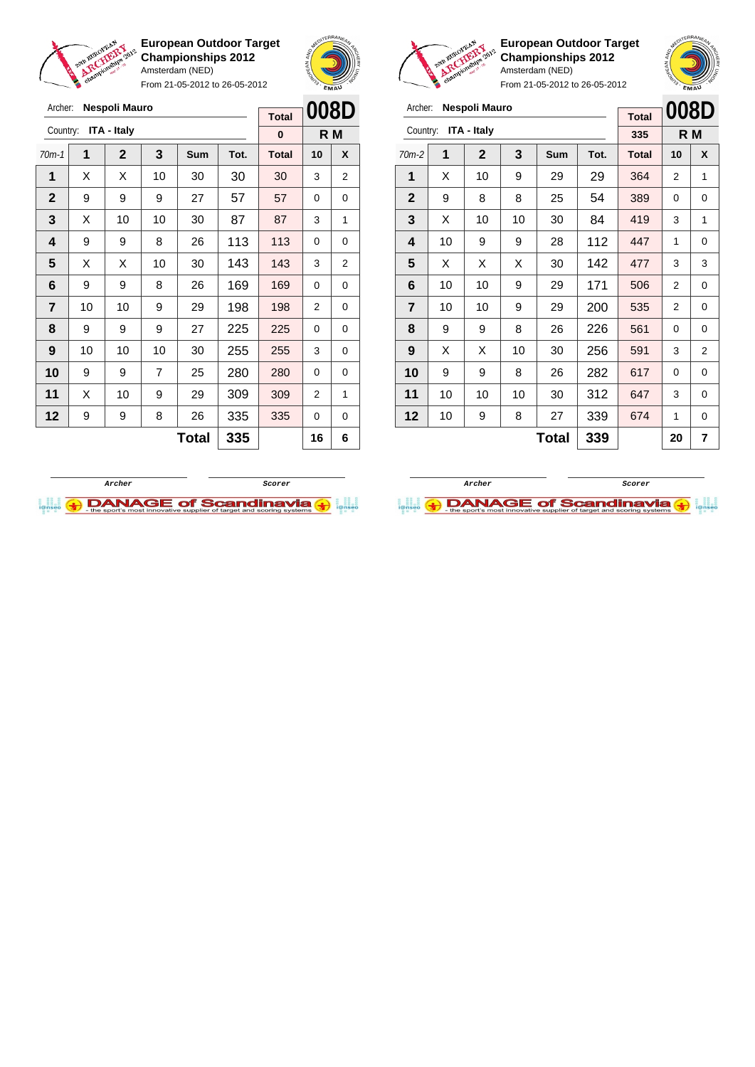

Archer: **Nespoli Mauro**

**European Outdoor Target Championships 2012** Amsterdam (NED)

From 21-05-2012 to 26-05-2012



**Total**



From 21-05-2012 to 26-05-2012

| Archer:        |                     | Nespoli Mauro      |              | 008D |      |              |    |     |
|----------------|---------------------|--------------------|--------------|------|------|--------------|----|-----|
| Country:       |                     | <b>ITA - Italy</b> | <b>Total</b> |      |      |              |    |     |
|                |                     |                    |              |      |      | 335          |    | R M |
| $70m-2$        | 1                   | $\mathbf{2}$       | 3            | Sum  | Tot. | <b>Total</b> | 10 | X   |
| 1              | X                   | 10                 | 9            | 29   | 29   | 364          | 2  | 1   |
| $\mathbf{2}$   | 9                   | 8                  | 8            | 25   | 54   | 389          | 0  | 0   |
| 3              | X                   | 10                 | 10           | 30   | 84   | 419          | 3  | 1   |
| 4              | 10                  | 9                  | 9            | 28   | 112  | 447          | 1  | 0   |
| 5              | X                   | X                  | X            | 30   | 142  | 477          | 3  | 3   |
| 6              | 10                  | 10                 | 9            | 29   | 171  | 506          | 2  | 0   |
| $\overline{7}$ | 10                  | 10                 | 9            | 29   | 200  | 535          | 2  | 0   |
| 8              | 9                   | 9                  | 8            | 26   | 226  | 561          | 0  | 0   |
| 9              | X                   | X                  | 10           | 30   | 256  | 591          | 3  | 2   |
| 10             | 9                   | 9                  | 8            | 26   | 282  | 617          | 0  | 0   |
| 11             | 10                  | 10                 | 10           | 30   | 312  | 647          | 3  | 0   |
| 12             | 10                  | 9                  | 8            | 27   | 339  | 674          | 1  | 0   |
|                | 339<br><b>Total</b> |                    |              |      |      |              | 20 | 7   |

**European Outdoor Target Championships 2012**

Amsterdam (NED)





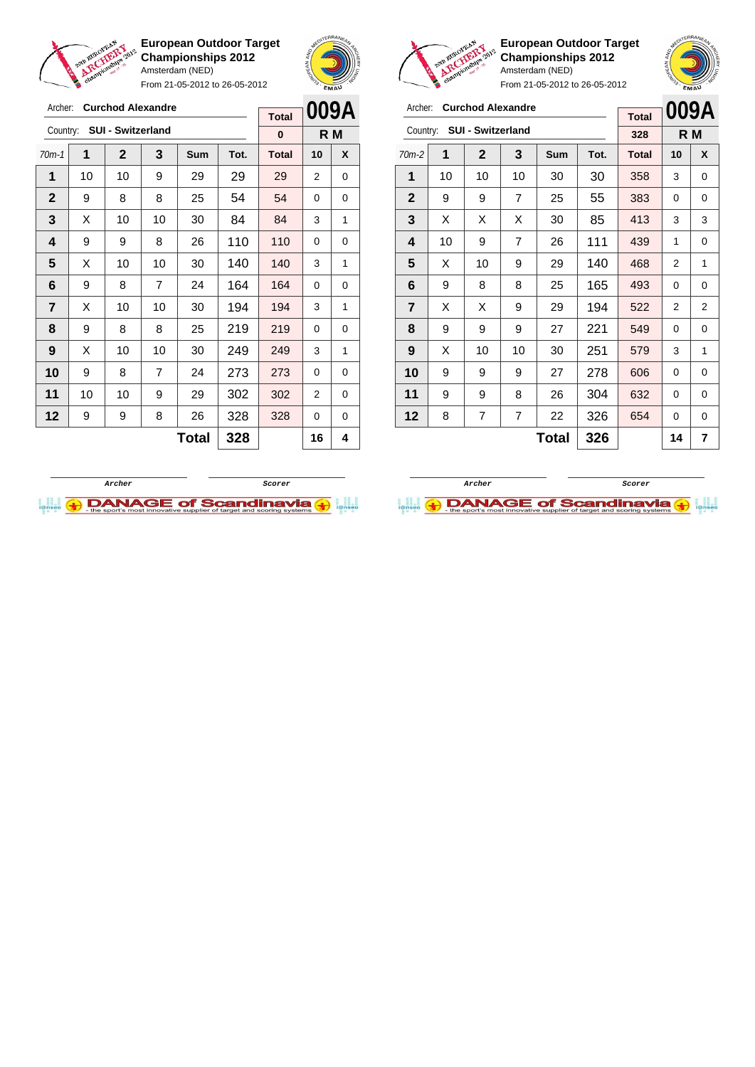

Archer: **Curchod Alexandre** Country: **SUI - Switzerland**

**European Outdoor Target Championships 2012** Amsterdam (NED)

From 21-05-2012 to 26-05-2012

70m-1 **1 2 3 Sum Tot. Total 10 X** | 10 | 10 | 9 | 29 | 29 | 29 | 2 | 0 9 8 8 25 54 54 0 0  $\mid$  X  $\mid$  10  $\mid$  10  $\mid$  30  $\mid$  84  $\mid$  84  $\mid$  3  $\mid$  1 | 9 | 9 | 8 | 26 | 110 | 110 | 0 | 0  $\mid$  X  $\mid$  10  $\mid$  10  $\mid$  30  $\mid$  140  $\mid$  140  $\mid$  3  $\mid$  1 | 9 | 8 | 7 | 24 | 164 | 164 | 0 | 0



**R M**

**Total 0**



**European Outdoor Target Championships 2012** Amsterdam (NED)

| <b>Curchod Alexandre</b><br>Archer:  |    |                                 |    |    | <b>Total</b> | 009A         |     |   |
|--------------------------------------|----|---------------------------------|----|----|--------------|--------------|-----|---|
| <b>SUI - Switzerland</b><br>Country: |    |                                 |    |    |              | 328          | R M |   |
| 70m-2                                | 1  | $\mathbf 2$<br>3<br>Sum<br>Tot. |    |    |              | <b>Total</b> | 10  | X |
| 1                                    | 10 | 10                              | 10 | 30 | 30           | 358          | 3   | 0 |
| $\mathbf{2}$                         | 9  | 9                               | 7  | 25 | 55           | 383          | 0   | 0 |
| 3                                    | X  | X                               | X  | 30 | 85           | 413          | 3   | 3 |
| 4                                    | 10 | 9                               | 7  | 26 | 111          | 439          | 1   | 0 |
| 5                                    | X  | 10                              | 9  | 29 | 140          | 468          | 2   | 1 |
| 6                                    | 9  | 8                               | 8  | 25 | 165          | 493          | 0   | 0 |
| $\overline{\mathbf{r}}$              | X  | X                               | 9  | 29 | 194          | 522          | 2   | 2 |
| 8                                    | 9  | 9                               | 9  | 27 | 221          | 549          | 0   | 0 |
| 9                                    | X  | 10                              | 10 | 30 | 251          | 579          | 3   | 1 |
| 10                                   | 9  | 9                               | 9  | 27 | 278          | 606          | 0   | 0 |
| 11                                   | 9  | 9                               | 8  | 26 | 304          | 632          | 0   | 0 |
| 12                                   | 8  | 7                               | 7  | 22 | 326          | 654          | 0   | 0 |
| 326<br>Total                         |    |                                 |    |    |              |              | 14  | 7 |





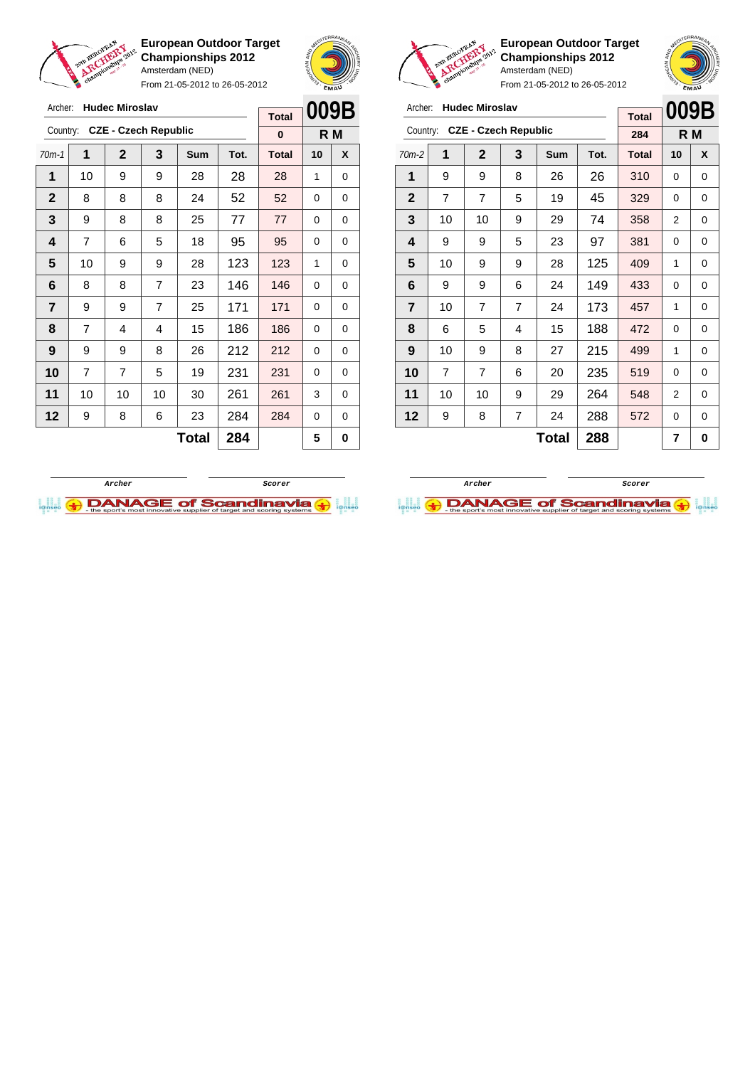

From 21-05-2012 to 26-05-2012



**European Outdoor Target Championships 2012** Amsterdam (NED)

| Archer:<br><b>Hudec Miroslav</b>        |                     |                |   |     |      | <b>Total</b> | 009B |   |
|-----------------------------------------|---------------------|----------------|---|-----|------|--------------|------|---|
| <b>CZE - Czech Republic</b><br>Country: |                     |                |   |     |      | 284          | R M  |   |
| $70m-2$                                 | 1                   | $\mathbf 2$    | 3 | Sum | Tot. | <b>Total</b> | 10   | X |
| 1                                       | 9                   | 9              | 8 | 26  | 26   | 310          | 0    | 0 |
| $\mathbf{2}$                            | $\overline{7}$      | $\overline{7}$ | 5 | 19  | 45   | 329          | 0    | 0 |
| 3                                       | 10                  | 10             | 9 | 29  | 74   | 358          | 2    | 0 |
| 4                                       | 9                   | 9              | 5 | 23  | 97   | 381          | 0    | 0 |
| 5                                       | 10                  | 9              | 9 | 28  | 125  | 409          | 1    | 0 |
| 6                                       | 9                   | 9              | 6 | 24  | 149  | 433          | 0    | 0 |
| $\overline{7}$                          | 10                  | $\overline{7}$ | 7 | 24  | 173  | 457          | 1    | 0 |
| 8                                       | 6                   | 5              | 4 | 15  | 188  | 472          | 0    | 0 |
| 9                                       | 10                  | 9              | 8 | 27  | 215  | 499          | 1    | 0 |
| 10                                      | $\overline{7}$      | $\overline{7}$ | 6 | 20  | 235  | 519          | 0    | 0 |
| 11                                      | 10                  | 10             | 9 | 29  | 264  | 548          | 2    | 0 |
| 12                                      | 9                   | 8              | 7 | 24  | 288  | 572          | 0    | 0 |
|                                         | 288<br><b>Total</b> |                |   |     |      |              | 7    | 0 |





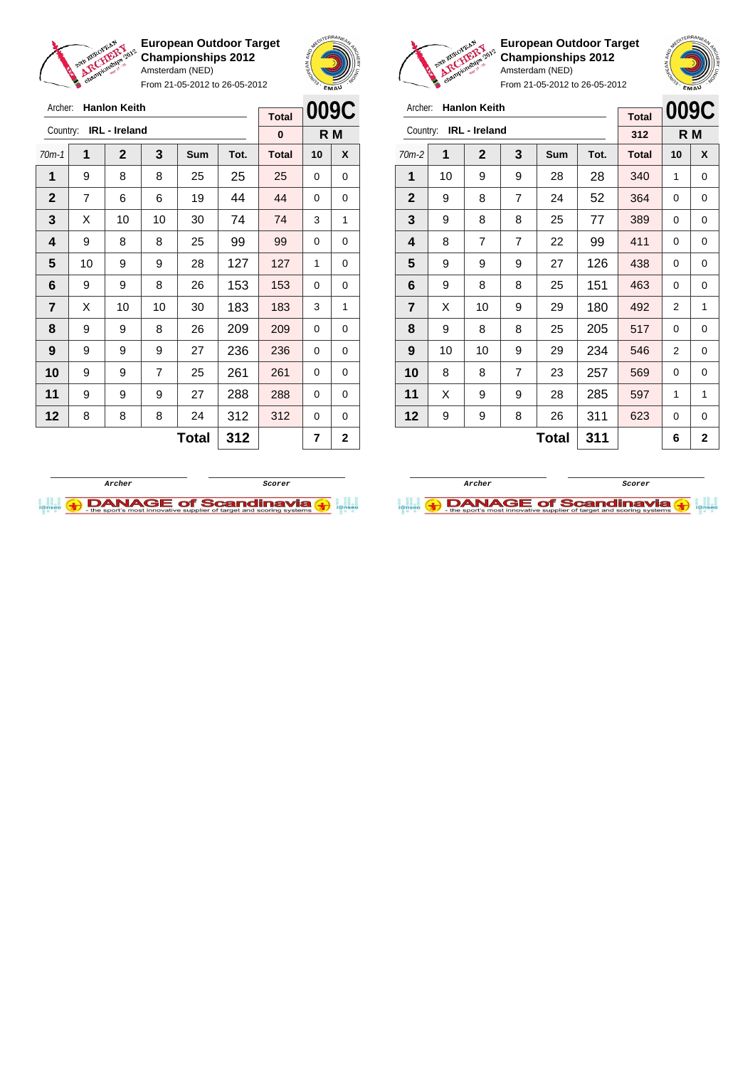

Archer: **Hanlon Keith** Country: **IRL - Ireland**

**European Outdoor Target Championships 2012** Amsterdam (NED)

From 21-05-2012 to 26-05-2012

70m-1 **1 2 3 Sum Tot. Total 10 X** | 9 | 8 | 8 | 25 | 25 | 25 | 0 | 0 | 7 | 6 | 6 | 19 | 44 | 44 | 0 | 0  $\mid$  X  $\mid$  10  $\mid$  10  $\mid$  30  $\mid$  74  $\mid$  74  $\mid$  3  $\mid$  1 | 9 | 8 | 8 | 25 | 99 | 99 | 0 | 0 | 10 | 9 | 9 | 28 | 127 | 127 | 1 | 0 | 9 | 9 | 8 | 26 | 153 | 153 | 0 | 0  $\mid$  X  $\mid$  10  $\mid$  10  $\mid$  30  $\mid$  183  $\mid$  183  $\mid$  3  $\mid$  1 | 9 | 9 | 8 | 26 | 209 | 209 | 0 | 0 | 9 | 9 | 9 | 27 | 236 | 236 | 0 | 0 9 9 7 25 261 261 0 0 | 9 | 9 | 9 | 27 | 288 | 288 | 0 | 0 | 8 | 8 | 8 | 24 | 312 | 312 | 0 | 0



**R M**

**Total 0**

**European Outdoor Target Championships 2012** Amsterdam (NED)



From 21-05-2012 to 26-05-2012

| <b>Hanlon Keith</b><br>Archer: |                                      |    |                |    |              | <b>Total</b> | 009C |   |
|--------------------------------|--------------------------------------|----|----------------|----|--------------|--------------|------|---|
| IRL - Ireland<br>Country:      |                                      |    |                |    |              | 312          | R M  |   |
| $70m-2$                        | 1<br>3<br>$\mathbf 2$<br>Tot.<br>Sum |    |                |    | <b>Total</b> | 10           | X    |   |
| 1                              | 10                                   | 9  | 9              | 28 | 28           | 340          | 1    | 0 |
| $\mathbf{2}$                   | 9                                    | 8  | 7              | 24 | 52           | 364          | 0    | 0 |
| 3                              | 9                                    | 8  | 8              | 25 | 77           | 389          | 0    | 0 |
| 4                              | 8                                    | 7  | $\overline{7}$ | 22 | 99           | 411          | 0    | 0 |
| 5                              | 9                                    | 9  | 9              | 27 | 126          | 438          | 0    | 0 |
| 6                              | 9                                    | 8  | 8              | 25 | 151          | 463          | 0    | 0 |
| $\overline{\mathbf{r}}$        | X                                    | 10 | 9              | 29 | 180          | 492          | 2    | 1 |
| 8                              | 9                                    | 8  | 8              | 25 | 205          | 517          | 0    | 0 |
| 9                              | 10                                   | 10 | 9              | 29 | 234          | 546          | 2    | 0 |
| 10                             | 8                                    | 8  | $\overline{7}$ | 23 | 257          | 569          | 0    | 0 |
| 11                             | X                                    | 9  | 9              | 28 | 285          | 597          | 1    | 1 |
| 12                             | 9                                    | 9  | 8              | 26 | 311          | 623          | 0    | 0 |
|                                | 311<br>Total                         |    |                |    |              |              | 6    | 2 |

**Total 311 6 2**

**Archer Scorer**

**DANAGE of Scandinavia (+)** 



**Total**  $312$   $72$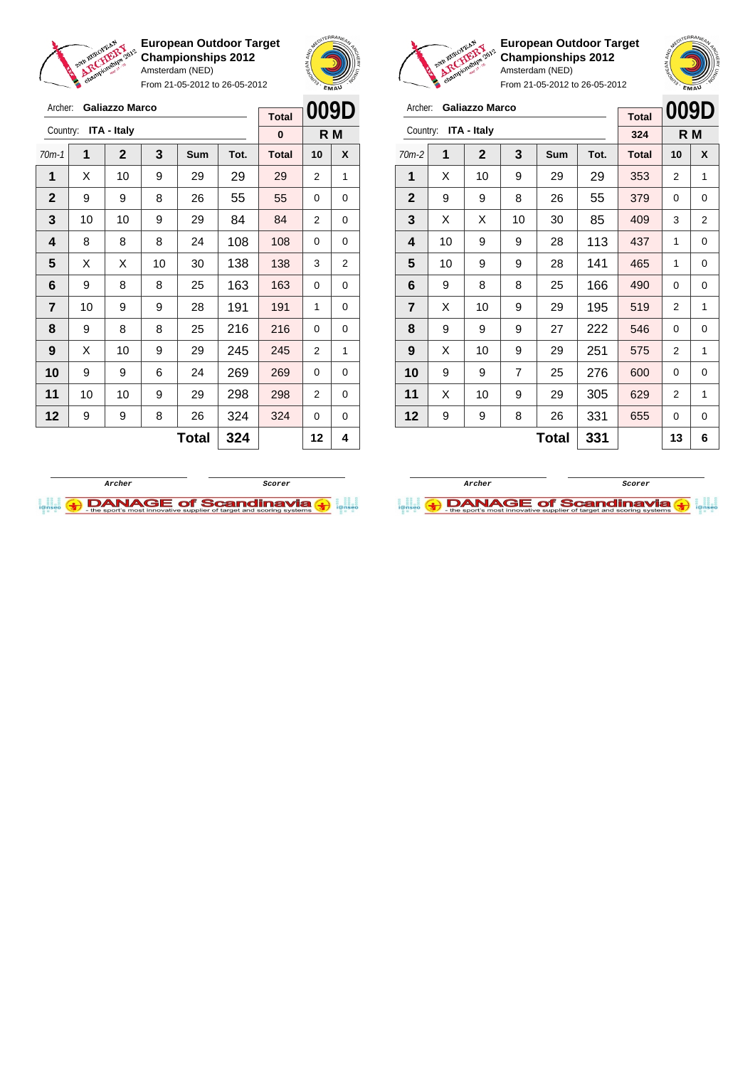

Archer: **Galiazzo Marco**

**European Outdoor Target Championships 2012** Amsterdam (NED)

From 21-05-2012 to 26-05-2012



**009D Total**



**European Outdoor Target Championships 2012** Amsterdam (NED) From 21-05-2012 to 26-05-2012



| Archer:<br><b>Galiazzo Marco</b> |    |              |    |    |     | <b>Total</b> | 009D |   |
|----------------------------------|----|--------------|----|----|-----|--------------|------|---|
| <b>ITA - Italy</b><br>Country:   |    |              |    |    |     | 324          | R M  |   |
| $70m-2$                          | 1  | <b>Total</b> | 10 | X  |     |              |      |   |
| 1                                | X  | 10           | 9  | 29 | 29  | 353          | 2    | 1 |
| $\mathbf{2}$                     | 9  | 9            | 8  | 26 | 55  | 379          | 0    | 0 |
| 3                                | X  | X            | 10 | 30 | 85  | 409          | 3    | 2 |
| 4                                | 10 | 9            | 9  | 28 | 113 | 437          | 1    | 0 |
| 5                                | 10 | 9            | 9  | 28 | 141 | 465          | 1    | 0 |
| 6                                | 9  | 8            | 8  | 25 | 166 | 490          | 0    | 0 |
| $\overline{7}$                   | X  | 10           | 9  | 29 | 195 | 519          | 2    | 1 |
| 8                                | 9  | 9            | 9  | 27 | 222 | 546          | 0    | 0 |
| 9                                | X  | 10           | 9  | 29 | 251 | 575          | 2    | 1 |
| 10                               | 9  | 9            | 7  | 25 | 276 | 600          | 0    | 0 |
| 11                               | X  | 10           | 9  | 29 | 305 | 629          | 2    | 1 |
| 12                               | 9  | 9            | 8  | 26 | 331 | 655          | 0    | 0 |
| <b>Total</b><br>331              |    |              |    |    |     |              | 13   | 6 |

| ITA - Italy<br>Country: |    |              |    |            | 0    |              | R M            |   |
|-------------------------|----|--------------|----|------------|------|--------------|----------------|---|
| $70m-1$                 | 1  | $\mathbf{2}$ | 3  | <b>Sum</b> | Tot. | <b>Total</b> | 10             | X |
| 1                       | X  | 10           | 9  | 29         | 29   | 29           | 2              | 1 |
| $\mathbf{2}$            | 9  | 9            | 8  | 26         | 55   | 55           | 0              | 0 |
| 3                       | 10 | 10           | 9  | 29         | 84   | 84           | 2              | 0 |
| 4                       | 8  | 8            | 8  | 24         | 108  | 108          | 0              | 0 |
| 5                       | X  | X            | 10 | 30         | 138  | 138          | 3              | 2 |
| 6                       | 9  | 8            | 8  | 25         | 163  | 163          | 0              | 0 |
| $\overline{7}$          | 10 | 9            | 9  | 28         | 191  | 191          | 1              | 0 |
| 8                       | 9  | 8            | 8  | 25         | 216  | 216          | 0              | 0 |
| 9                       | X  | 10           | 9  | 29         | 245  | 245          | $\overline{2}$ | 1 |
| 10                      | 9  | 9            | 6  | 24         | 269  | 269          | 0              | 0 |
| 11                      | 10 | 10           | 9  | 29         | 298  | 298          | $\overline{2}$ | 0 |
| 12                      | 9  | 9            | 8  | 26         | 324  | 324          | 0              | 0 |
|                         |    |              |    | Total      | 324  |              | 12             | 4 |



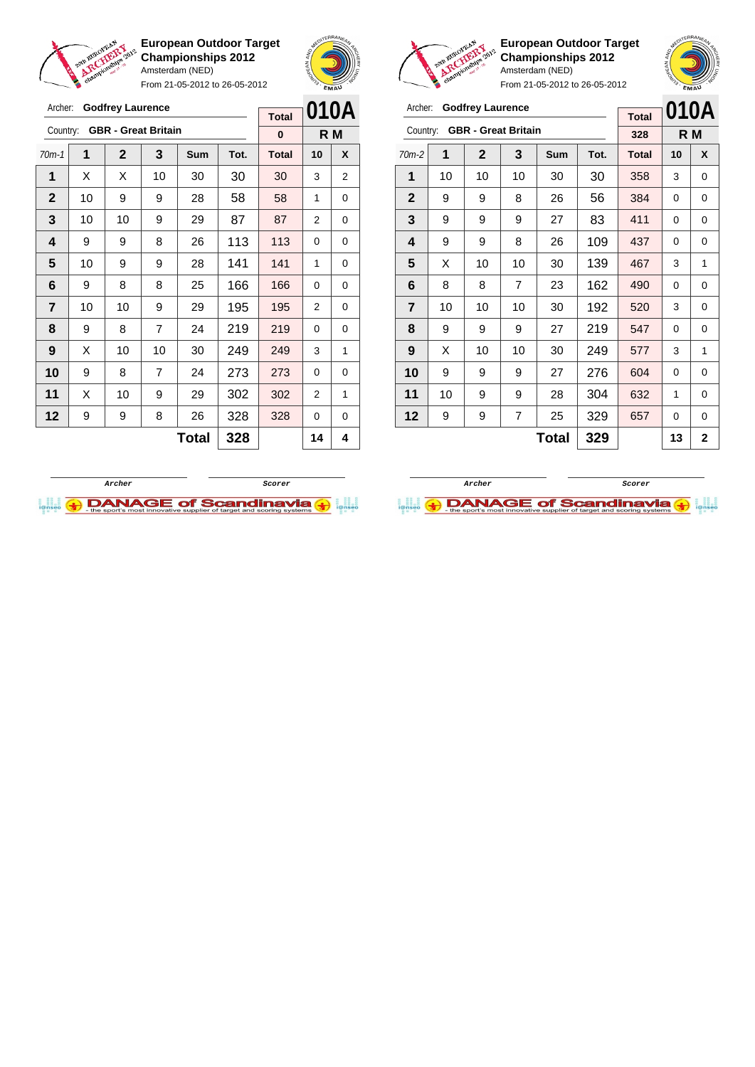

Archer: **Godfrey Laurence**

**European Outdoor Target Championships 2012** Amsterdam (NED) From 21-05-2012 to 26-05-2012





**European Outdoor Target Championships 2012** Amsterdam (NED)

| Archer:        |    | <b>Godfrey Laurence</b> |                            | <b>Total</b> |      | 010A         |    |                |
|----------------|----|-------------------------|----------------------------|--------------|------|--------------|----|----------------|
| Country:       |    |                         | <b>GBR</b> - Great Britain |              |      | 328          |    | R M            |
| $70m-2$        | 1  | $\mathbf 2$             | 3                          | Sum          | Tot. | <b>Total</b> | 10 | X              |
| 1              | 10 | 10                      | 10                         | 30           | 30   | 358          | 3  | 0              |
| $\mathbf{2}$   | 9  | 9                       | 8                          | 26           | 56   | 384          | 0  | 0              |
| 3              | 9  | 9                       | 9                          | 27           | 83   | 411          | 0  | 0              |
| 4              | 9  | 9                       | 8                          | 26           | 109  | 437          | 0  | 0              |
| 5              | X  | 10                      | 10                         | 30           | 139  | 467          | 3  | 1              |
| 6              | 8  | 8                       | $\overline{7}$             | 23           | 162  | 490          | 0  | 0              |
| $\overline{7}$ | 10 | 10                      | 10                         | 30           | 192  | 520          | 3  | 0              |
| 8              | 9  | 9                       | 9                          | 27           | 219  | 547          | 0  | 0              |
| 9              | X  | 10                      | 10                         | 30           | 249  | 577          | 3  | 1              |
| 10             | 9  | 9                       | 9                          | 27           | 276  | 604          | 0  | 0              |
| 11             | 10 | 9                       | 9                          | 28           | 304  | 632          | 1  | 0              |
| 12             | 9  | 9                       | 7                          | 25           | 329  | 657          | 0  | 0              |
|                |    |                         |                            | <b>Total</b> | 329  |              | 13 | $\overline{2}$ |

| Archer:                 |    | <b>Godfrey Laurence</b>    |                |              |      | <b>Total</b> |    |                                                                                                                               |  |
|-------------------------|----|----------------------------|----------------|--------------|------|--------------|----|-------------------------------------------------------------------------------------------------------------------------------|--|
| Country:                |    | <b>GBR</b> - Great Britain |                |              |      | $\bf{0}$     |    | 010A<br>R M<br>X<br>10<br>3<br>2<br>1<br>0<br>$\overline{2}$<br>0<br>0<br>0<br>1<br>0<br>0<br>0<br>2<br>0<br>0<br>0<br>3<br>1 |  |
| $70m-1$                 | 1  | $\mathbf{2}$               | 3              | Sum          | Tot. | <b>Total</b> |    |                                                                                                                               |  |
| 1                       | X  | X                          | 10             | 30           | 30   | 30           |    |                                                                                                                               |  |
| $\mathbf{2}$            | 10 | 9                          | 9              | 28           | 58   | 58           |    |                                                                                                                               |  |
| 3                       | 10 | 10                         | 9              | 29           | 87   | 87           |    |                                                                                                                               |  |
| $\overline{\mathbf{4}}$ | 9  | 9                          | 8              | 26           | 113  | 113          |    |                                                                                                                               |  |
| 5                       | 10 | 9                          | 9              | 28           | 141  | 141          |    |                                                                                                                               |  |
| 6                       | 9  | 8                          | 8              | 25           | 166  | 166          |    |                                                                                                                               |  |
| 7                       | 10 | 10                         | 9              | 29           | 195  | 195          |    |                                                                                                                               |  |
| 8                       | 9  | 8                          | $\overline{7}$ | 24           | 219  | 219          |    |                                                                                                                               |  |
| 9                       | X  | 10                         | 10             | 30           | 249  | 249          |    |                                                                                                                               |  |
| 10                      | 9  | 8                          | 7              | 24           | 273  | 273          | 0  | 0                                                                                                                             |  |
| 11                      | X  | 10                         | 9              | 29           | 302  | 302          | 2  | 1                                                                                                                             |  |
| 12                      | 9  | 9                          | 8              | 26           | 328  | 328          | 0  | 0                                                                                                                             |  |
|                         |    |                            |                | <b>Total</b> | 328  |              | 14 | 4                                                                                                                             |  |



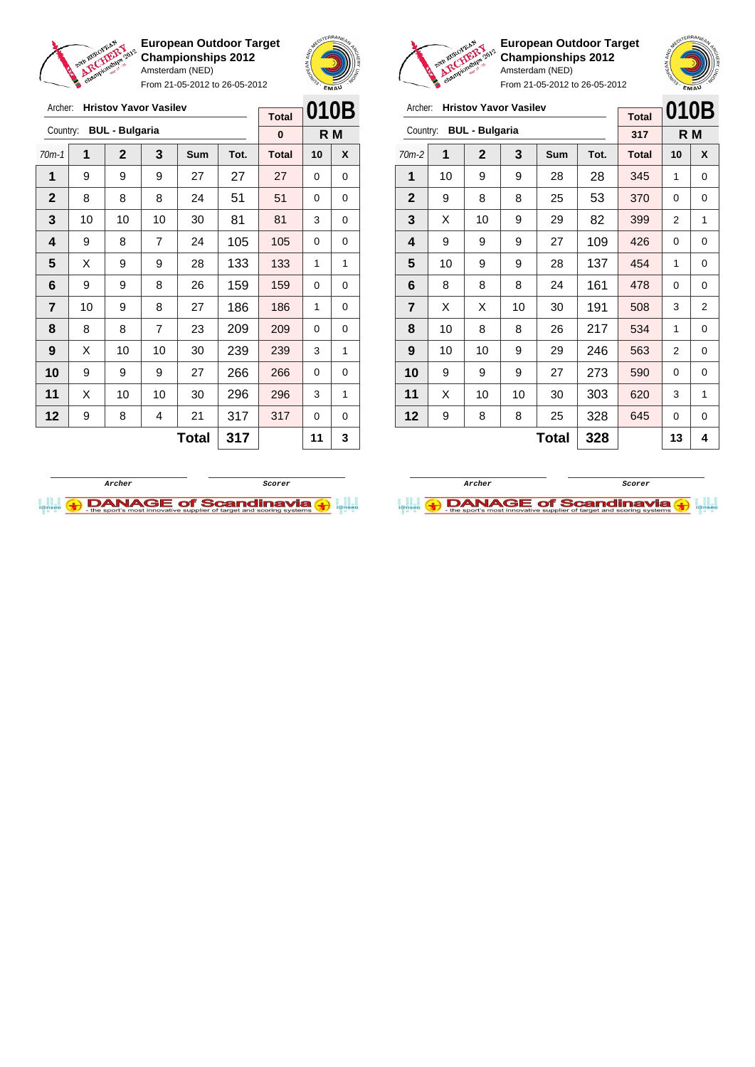

**European Outdoor Target Championships 2012** Amsterdam (NED) From 21-05-2012 to 26-05-2012





**European Outdoor Target Championships 2012** Amsterdam (NED) m 21-05-2012 to 26-05-2012

|                | FIUIII Z I-UJ-ZUTZ IU ZU-UJ-ZUTZ |                              |    |              |      |              |          |                |
|----------------|----------------------------------|------------------------------|----|--------------|------|--------------|----------|----------------|
| Archer:        |                                  | <b>Hristov Yavor Vasilev</b> |    |              |      | <b>Total</b> |          | 010B           |
| Country:       |                                  | <b>BUL - Bulgaria</b>        |    |              |      | 317          |          | R M            |
| $70m-2$        | 1                                | $\mathbf{2}$                 | 3  | Sum          | Tot. | <b>Total</b> | 10       | X              |
| 1              | 10                               | 9                            | 9  | 28           | 28   | 345          | 1        | 0              |
| $\mathbf{2}$   | 9                                | 8                            | 8  | 25           | 53   | 370          | $\Omega$ | 0              |
| 3              | X                                | 10                           | 9  | 29           | 82   | 399          | 2        | 1              |
| 4              | 9                                | 9                            | 9  | 27           | 109  | 426          | 0        | 0              |
| 5              | 10                               | 9                            | 9  | 28           | 137  | 454          | 1        | 0              |
| 6              | 8                                | 8                            | 8  | 24           | 161  | 478          | 0        | 0              |
| $\overline{7}$ | X                                | X                            | 10 | 30           | 191  | 508          | 3        | $\overline{2}$ |
| 8              | 10                               | 8                            | 8  | 26           | 217  | 534          | 1        | 0              |
| 9              | 10                               | 10                           | 9  | 29           | 246  | 563          | 2        | 0              |
| 10             | 9                                | 9                            | 9  | 27           | 273  | 590          | 0        | 0              |
| 11             | X                                | 10                           | 10 | 30           | 303  | 620          | 3        | 1              |
| 12             | 9                                | 8                            | 8  | 25           | 328  | 645          | 0        | 0              |
|                |                                  |                              |    | <b>Total</b> | 328  |              | 13       | 4              |

| Archer:      |    | <b>Hristov Yavor Vasilev</b> |                |            |      | <b>Total</b> | 010B |     |
|--------------|----|------------------------------|----------------|------------|------|--------------|------|-----|
| Country:     |    | <b>BUL - Bulgaria</b>        |                |            |      | $\bf{0}$     |      | R M |
| $70m-1$      | 1  | $\mathbf 2$                  | 3              | <b>Sum</b> | Tot. | <b>Total</b> | 10   | X   |
| 1            | 9  | 9                            | 9              | 27         | 27   | 27           | 0    | 0   |
| $\mathbf{2}$ | 8  | 8                            | 8              | 24         | 51   | 51           | 0    | 0   |
| 3            | 10 | 10                           | 10             | 30         | 81   | 81           | 3    | 0   |
| 4            | 9  | 8                            | $\overline{7}$ | 24         | 105  | 105          | 0    | 0   |
| 5            | X  | 9                            | 9              | 28         | 133  | 133          | 1    | 1   |
| 6            | 9  | 9                            | 8              | 26         | 159  | 159          | 0    | 0   |
| 7            | 10 | 9                            | 8              | 27         | 186  | 186          | 1    | 0   |
| 8            | 8  | 8                            | $\overline{7}$ | 23         | 209  | 209          | 0    | 0   |
| 9            | X  | 10                           | 10             | 30         | 239  | 239          | 3    | 1   |
| 10           | 9  | 9                            | 9              | 27         | 266  | 266          | 0    | 0   |
| 11           | Х  | 10                           | 10             | 30         | 296  | 296          | 3    | 1   |
| 12           | 9  | 8                            | 4              | 21         | 317  | 317          | 0    | 0   |
|              |    |                              | 317            |            | 11   | 3            |      |     |



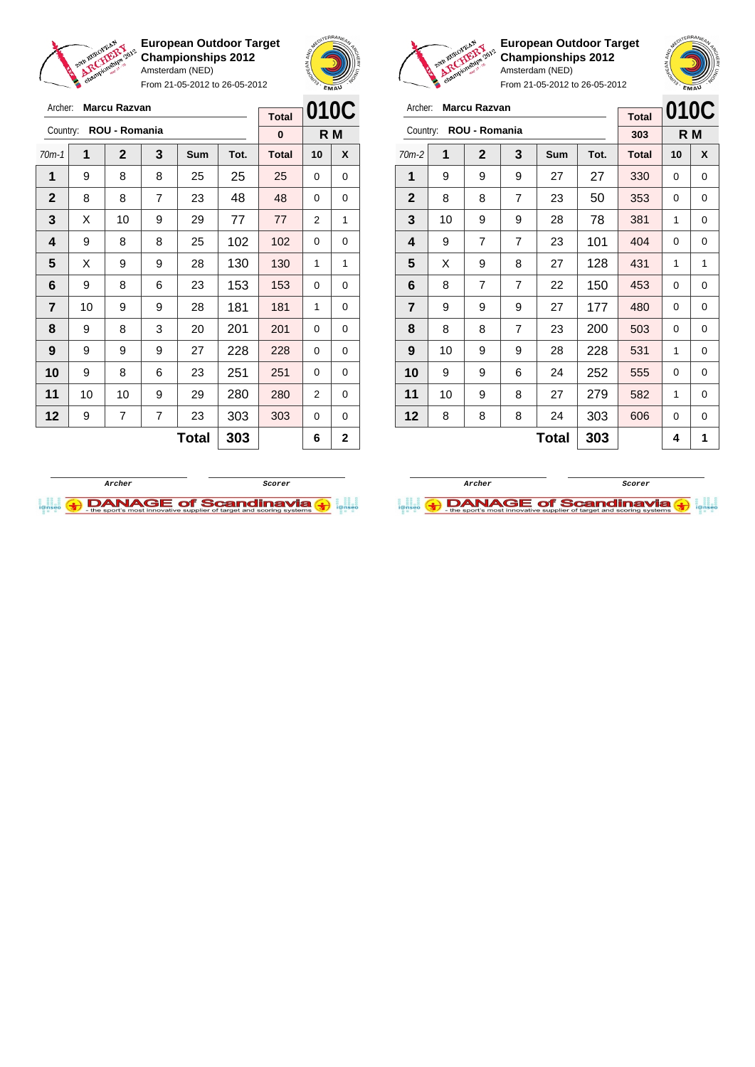

Archer: **Marcu Razvan**

**European Outdoor Target Championships 2012** Amsterdam (NED)

From 21-05-2012 to 26-05-2012

 $-$  **Total** 





**European Outdoor Target Championships 2012** Amsterdam (NED)

**010C R M**

From 21-05-2012 to 26-05-2012

| Archer:        |    | <b>Marcu Razvan</b> |                |            |      |              | 0100 |     |
|----------------|----|---------------------|----------------|------------|------|--------------|------|-----|
|                |    |                     |                |            |      | <b>Total</b> |      |     |
| Country:       |    | ROU - Romania       |                |            |      | 303          |      | R M |
| $70m-2$        | 1  | $\mathbf{2}$        | 3              | <b>Sum</b> | Tot. | <b>Total</b> | 10   | X   |
| 1              | 9  | 9                   | 9              | 27         | 27   | 330          | 0    | 0   |
| $\mathbf{2}$   | 8  | 8                   | 7              | 23         | 50   | 353          | 0    | 0   |
| 3              | 10 | 9                   | 9              | 28         | 78   | 381          | 1    | 0   |
| 4              | 9  | 7                   | 7              | 23         | 101  | 404          | 0    | 0   |
| 5              | X  | 9                   | 8              | 27         | 128  | 431          | 1    | 1   |
| 6              | 8  | 7                   | $\overline{7}$ | 22         | 150  | 453          | 0    | 0   |
| $\overline{7}$ | 9  | 9                   | 9              | 27         | 177  | 480          | 0    | 0   |
| 8              | 8  | 8                   | 7              | 23         | 200  | 503          | 0    | 0   |

| Country:       |    | ROU - Romania |   |              |      | 0            |          | R M            |
|----------------|----|---------------|---|--------------|------|--------------|----------|----------------|
| $70m-1$        | 1  | $\mathbf{2}$  | 3 | <b>Sum</b>   | Tot. | <b>Total</b> | 10       | X              |
| 1              | 9  | 8             | 8 | 25           | 25   | 25           | 0        | 0              |
| $\mathbf{2}$   | 8  | 8             | 7 | 23           | 48   | 48           | $\Omega$ | 0              |
| 3              | X  | 10            | 9 | 29           | 77   | 77           | 2        | 1              |
| 4              | 9  | 8             | 8 | 25           | 102  | 102          | 0        | 0              |
| 5              | X  | 9             | 9 | 28           | 130  | 130          | 1        | 1              |
| 6              | 9  | 8             | 6 | 23           | 153  | 153          | 0        | 0              |
| $\overline{7}$ | 10 | 9             | 9 | 28           | 181  | 181          | 1        | 0              |
| 8              | 9  | 8             | 3 | 20           | 201  | 201          | 0        | 0              |
| 9              | 9  | 9             | 9 | 27           | 228  | 228          | 0        | 0              |
| 10             | 9  | 8             | 6 | 23           | 251  | 251          | 0        | 0              |
| 11             | 10 | 10            | 9 | 29           | 280  | 280          | 2        | 0              |
| 12             | 9  | 7             | 7 | 23           | 303  | 303          | 0        | 0              |
|                |    |               |   | <b>Total</b> | 303  |              | 6        | $\overline{2}$ |





**Total**  $303$   $411$ 

 | 10 | 9 | 9 | 28 | 228 | 531 | 1 | 0 | 9 | 9 | 6 | 24 | 252 | 555 | 0 | 0 | 10 | 9 | 8 | 27 | 279 | 582 | 1 | 0 | 8 | 8 | 8 | 24 | 303 | 606 | 0 | 0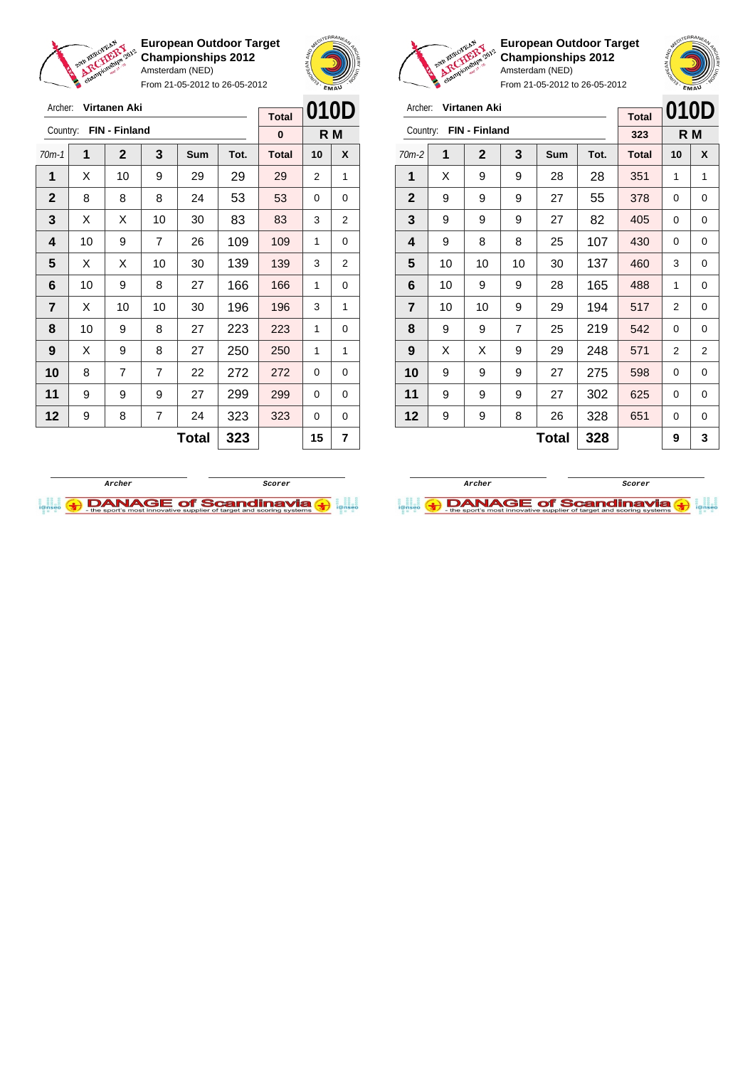

Archer: **Virtanen Aki**

**European Outdoor Target Championships 2012** Amsterdam (NED)

From 21-05-2012 to 26-05-2012



**European Outdoor Target Championships 2012** Amsterdam (NED)

| Archer:        |    | <b>Virtanen Aki</b> |                |       |      | <b>Total</b> | 010D |                |
|----------------|----|---------------------|----------------|-------|------|--------------|------|----------------|
| Country:       |    | FIN - Finland       |                |       |      | 323          |      | R M            |
| $70m-2$        | 1  | $\mathbf{2}$        | 3              | Sum   | Tot. | <b>Total</b> | 10   | X              |
| 1              | X  | 9                   | 9              | 28    | 28   | 351          | 1    | 1              |
| $\mathbf{2}$   | 9  | 9                   | 9              | 27    | 55   | 378          | 0    | 0              |
| 3              | 9  | 9                   | 9              | 27    | 82   | 405          | 0    | 0              |
| 4              | 9  | 8                   | 8              | 25    | 107  | 430          | 0    | 0              |
| 5              | 10 | 10                  | 10             | 30    | 137  | 460          | 3    | 0              |
| 6              | 10 | 9                   | 9              | 28    | 165  | 488          | 1    | 0              |
| $\overline{7}$ | 10 | 10                  | 9              | 29    | 194  | 517          | 2    | 0              |
| 8              | 9  | 9                   | $\overline{7}$ | 25    | 219  | 542          | 0    | 0              |
| 9              | X  | X                   | 9              | 29    | 248  | 571          | 2    | $\overline{2}$ |
| 10             | 9  | 9                   | 9              | 27    | 275  | 598          | 0    | 0              |
| 11             | 9  | 9                   | 9              | 27    | 302  | 625          | 0    | 0              |
| 12             | 9  | 9                   | 8              | 26    | 328  | 651          | 0    | $\Omega$       |
|                |    |                     |                | Total | 328  |              | 9    | 3              |





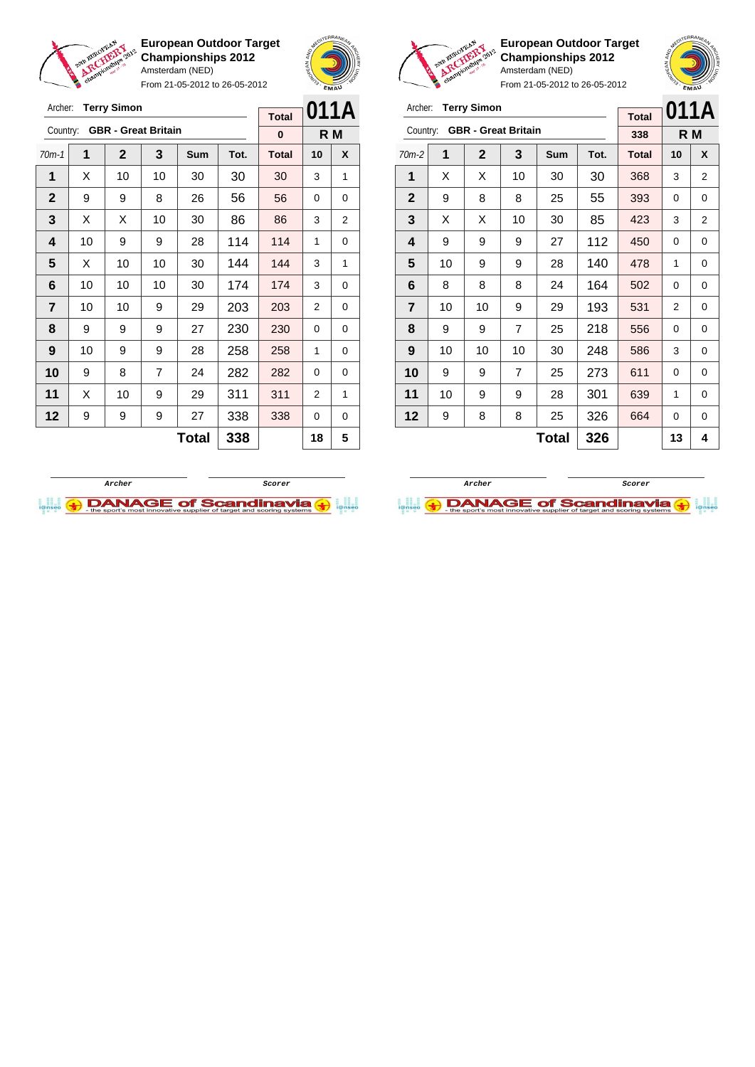



From 21-05-2012 to 26-05-2012

| Archer:        |    | <b>Terry Simon</b> |                            | <b>Total</b> |      | 011A         |          |     |
|----------------|----|--------------------|----------------------------|--------------|------|--------------|----------|-----|
| Country:       |    |                    | <b>GBR</b> - Great Britain |              |      | $\bf{0}$     |          | R M |
| $70m-1$        | 1  | $\mathbf{2}$       | 3                          | Sum          | Tot. | <b>Total</b> | 10       | X   |
| 1              | X  | 10                 | 10                         | 30           | 30   | 30           | 3        | 1   |
| $\mathbf{2}$   | 9  | 9                  | 8                          | 26           | 56   | 56           | 0        | 0   |
| 3              | X  | X                  | 10                         | 30           | 86   | 86           | 3        | 2   |
| 4              | 10 | 9                  | 9                          | 28           | 114  | 114          | 1        | 0   |
| 5              | X  | 10                 | 10                         | 30           | 144  | 144          | 3        | 1   |
| 6              | 10 | 10                 | 10                         | 30           | 174  | 174          | 3        | 0   |
| $\overline{7}$ | 10 | 10                 | 9                          | 29           | 203  | 203          | 2        | 0   |
| 8              | 9  | 9                  | 9                          | 27           | 230  | 230          | 0        | 0   |
| 9              | 10 | 9                  | 9                          | 28           | 258  | 258          | 1        | 0   |
| 10             | 9  | 8                  | $\overline{7}$             | 24           | 282  | 282          | $\Omega$ | 0   |
| 11             | Х  | 10                 | 9                          | 29           | 311  | 311          | 2        | 1   |
| 12             | 9  | 9                  | 9                          | 27           | 338  | 338          | 0        | 0   |
|                |    |                    |                            | <b>Total</b> | 338  |              | 18       | 5   |



**European Outdoor Target Championships 2012** Amsterdam (NED)

From 21-05-2012 to 26-05-2012

| Archer:        |    | <b>Terry Simon</b>         |                |     | <b>Total</b> | 011A         |    |     |
|----------------|----|----------------------------|----------------|-----|--------------|--------------|----|-----|
| Country:       |    | <b>GBR</b> - Great Britain |                |     |              | 338          |    | R M |
| $70m-2$        | 1  | $\mathbf{2}$               | 3              | Sum | Tot.         | <b>Total</b> | 10 | X   |
| 1              | X  | X                          | 10             | 30  | 30           | 368          | 3  | 2   |
| $\mathbf{2}$   | 9  | 8                          | 8              | 25  | 55           | 393          | 0  | 0   |
| 3              | X  | X                          | 10             | 30  | 85           | 423          | 3  | 2   |
| 4              | 9  | 9                          | 9              | 27  | 112          | 450          | 0  | 0   |
| 5              | 10 | 9                          | 9              | 28  | 140          | 478          | 1  | 0   |
| 6              | 8  | 8                          | 8              | 24  | 164          | 502          | 0  | 0   |
| $\overline{7}$ | 10 | 10                         | 9              | 29  | 193          | 531          | 2  | 0   |
| 8              | 9  | 9                          | $\overline{7}$ | 25  | 218          | 556          | 0  | 0   |
| 9              | 10 | 10                         | 10             | 30  | 248          | 586          | 3  | 0   |
| 10             | 9  | 9                          | $\overline{7}$ | 25  | 273          | 611          | 0  | 0   |
| 11             | 10 | 9                          | 9              | 28  | 301          | 639          | 1  | 0   |
| 12             | 9  | 8                          | 8              | 25  | 326          | 664          | 0  | 0   |
|                |    |                            |                | 13  | 4            |              |    |     |



**Archer Scorer DANAGE of Scandinavia**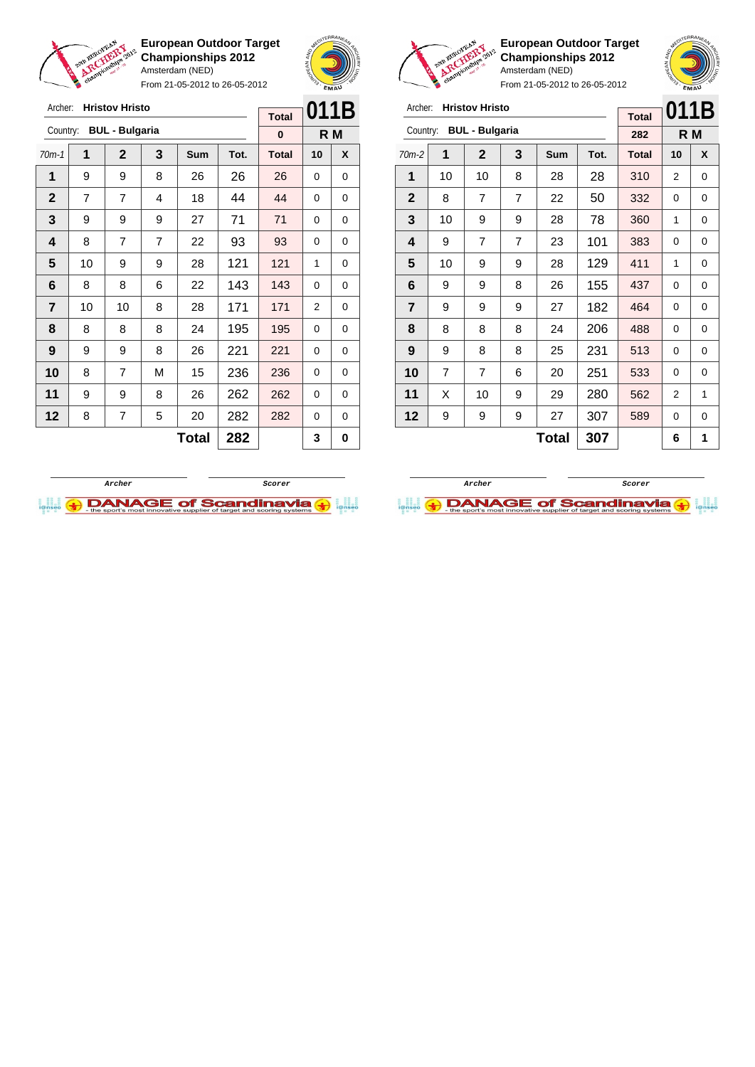



From 21-05-2012 to 26-05-2012

| Archer:        |    | <b>Hristov Hristo</b> |   |              |      |              |                | 011B |
|----------------|----|-----------------------|---|--------------|------|--------------|----------------|------|
|                |    |                       |   |              |      | <b>Total</b> |                |      |
| Country:       |    | <b>BUL - Bulgaria</b> |   |              |      | 0            |                | R M  |
| $70m-1$        | 1  | $\mathbf{2}$          | 3 | <b>Sum</b>   | Tot. | <b>Total</b> | 10             | X    |
| 1              | 9  | 9                     | 8 | 26           | 26   | 26           | $\Omega$       | 0    |
| $\mathbf{2}$   | 7  | 7                     | 4 | 18           | 44   | 44           | 0              | 0    |
| 3              | 9  | 9                     | 9 | 27           | 71   | 71           | $\Omega$       | 0    |
| 4              | 8  | $\overline{7}$        | 7 | 22           | 93   | 93           | 0              | 0    |
| 5              | 10 | 9                     | 9 | 28           | 121  | 121          | 1              | 0    |
| 6              | 8  | 8                     | 6 | 22           | 143  | 143          | $\Omega$       | 0    |
| $\overline{7}$ | 10 | 10                    | 8 | 28           | 171  | 171          | $\overline{2}$ | 0    |
| 8              | 8  | 8                     | 8 | 24           | 195  | 195          | 0              | 0    |
| 9              | 9  | 9                     | 8 | 26           | 221  | 221          | $\Omega$       | 0    |
| 10             | 8  | 7                     | M | 15           | 236  | 236          | 0              | 0    |
| 11             | 9  | 9                     | 8 | 26           | 262  | 262          | $\Omega$       | 0    |
| 12             | 8  | 7                     | 5 | 20           | 282  | 282          | 0              | 0    |
|                |    |                       |   | <b>Total</b> | 282  |              | 3              | 0    |



**European Outdoor Target Championships 2012** Amsterdam (NED)



| Archer:        |                | <b>Hristov Hristo</b> |                |            |      | 011B         |    |             |
|----------------|----------------|-----------------------|----------------|------------|------|--------------|----|-------------|
|                |                |                       |                |            |      | <b>Total</b> |    |             |
| Country:       |                | <b>BUL - Bulgaria</b> |                |            |      | 282          |    | R M         |
| $70m-2$        | 1              | $\mathbf{2}$          | 3              | <b>Sum</b> | Tot. | <b>Total</b> | 10 | X           |
| 1              | 10             | 10                    | 8              | 28         | 28   | 310          | 2  | 0           |
| $\mathbf{2}$   | 8              | 7                     | $\overline{7}$ | 22         | 50   | 332          | 0  | 0           |
| 3              | 10             | 9                     | 9              | 28         | 78   | 360          | 1  | 0           |
| 4              | 9              | 7                     | 7              | 23         | 101  | 383          | 0  | 0           |
| 5              | 10             | 9                     | 9              | 28         | 129  | 411          | 1  | 0           |
| 6              | 9              | 9                     | 8              | 26         | 155  | 437          | 0  | $\mathbf 0$ |
| $\overline{7}$ | 9              | 9                     | 9              | 27         | 182  | 464          | 0  | 0           |
| 8              | 8              | 8                     | 8              | 24         | 206  | 488          | 0  | 0           |
| 9              | 9              | 8                     | 8              | 25         | 231  | 513          | 0  | 0           |
| 10             | $\overline{7}$ | 7                     | 6              | 20         | 251  | 533          | 0  | 0           |
| 11             | X              | 10                    | 9              | 29         | 280  | 562          | 2  | 1           |
| 12             | 9              | 9                     | 9              | 27         | 307  | 589          | 0  | 0           |
|                |                |                       |                | Total      | 307  |              | 6  | 1           |



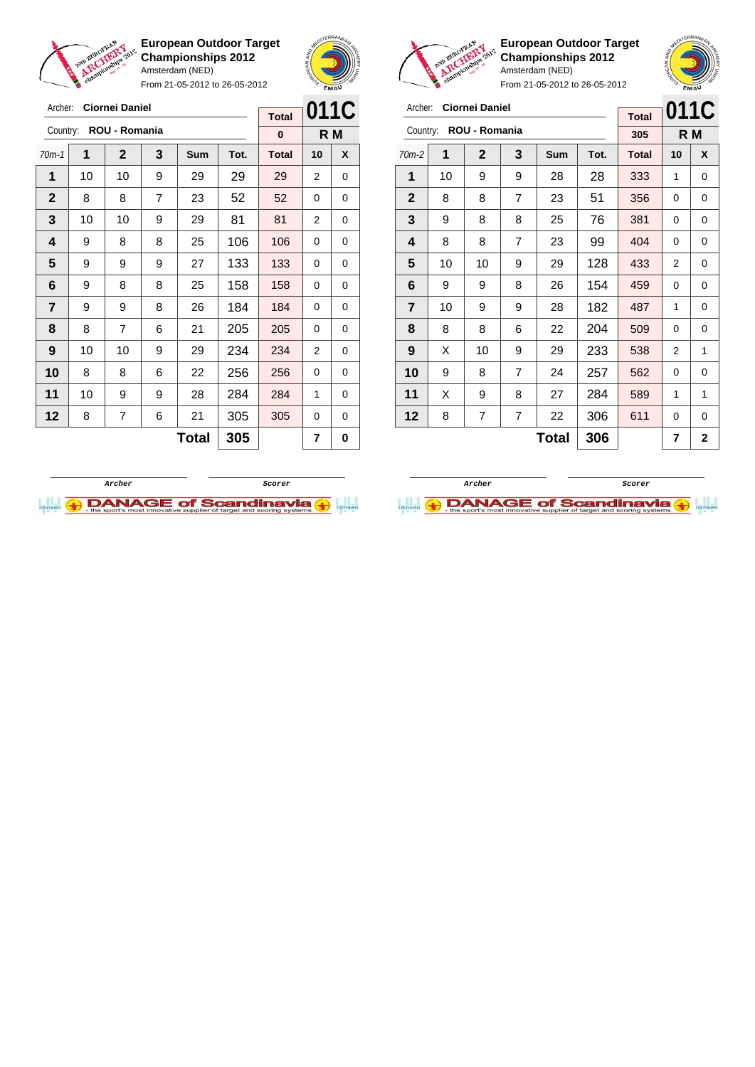

From 21-05-2012 to 26-05-2012



**European Outdoor Target Championships 2012** Amsterdam (NED)

| Archer:        |    | <b>Ciornei Daniel</b> |                |     | <b>Total</b> | 011C         |     |   |
|----------------|----|-----------------------|----------------|-----|--------------|--------------|-----|---|
| Country:       |    | ROU - Romania         |                |     |              | 305          | R M |   |
| $70m-2$        | 1  | $\mathbf{2}$          | 3              | Sum | Tot.         | <b>Total</b> | 10  | X |
| 1              | 10 | 9                     | 9              | 28  | 28           | 333          | 1   | 0 |
| $\mathbf{2}$   | 8  | 8                     | 7              | 23  | 51           | 356          | 0   | 0 |
| 3              | 9  | 8                     | 8              | 25  | 76           | 381          | 0   | 0 |
| 4              | 8  | 8                     | $\overline{7}$ | 23  | 99           | 404          | 0   | 0 |
| 5              | 10 | 10                    | 9              | 29  | 128          | 433          | 2   | 0 |
| 6              | 9  | 9                     | 8              | 26  | 154          | 459          | 0   | 0 |
| $\overline{7}$ | 10 | 9                     | 9              | 28  | 182          | 487          | 1   | 0 |
| 8              | 8  | 8                     | 6              | 22  | 204          | 509          | 0   | 0 |
| 9              | X  | 10                    | 9              | 29  | 233          | 538          | 2   | 1 |
| 10             | 9  | 8                     | 7              | 24  | 257          | 562          | 0   | 0 |
| 11             | X  | 9                     | 8              | 27  | 284          | 589          | 1   | 1 |
| 12             | 8  | 7                     | 7              | 22  | 306          | 611          | 0   | 0 |
|                |    |                       | 306            |     | 7            | $\mathbf{2}$ |     |   |





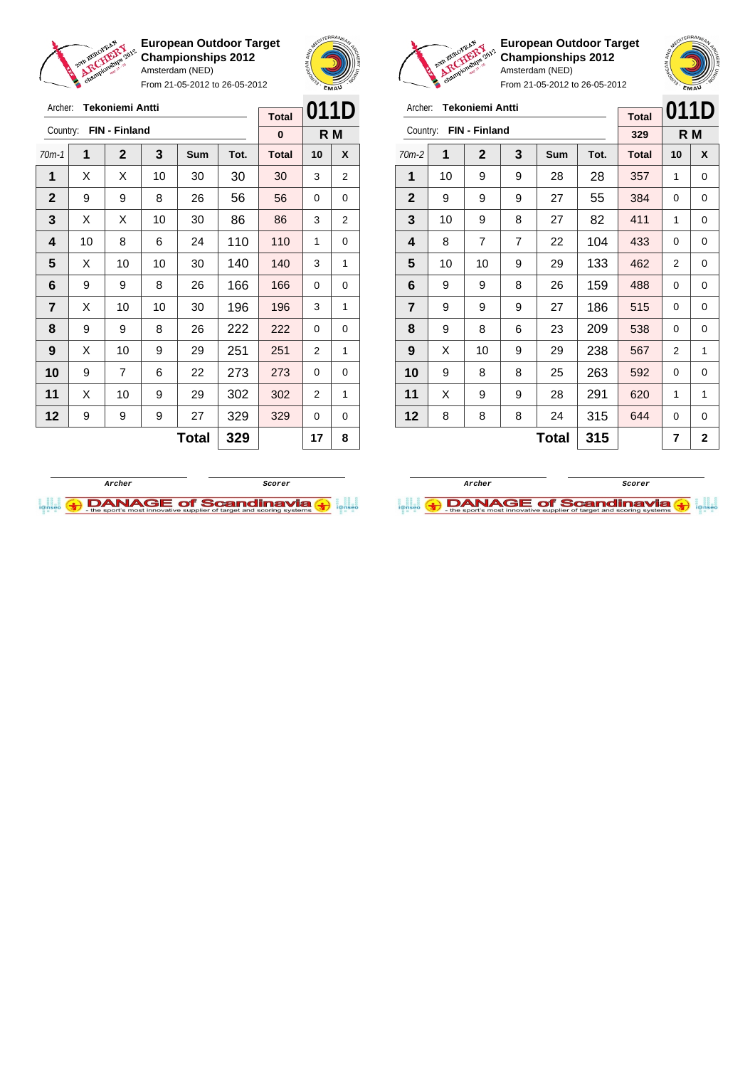

Archer: **Tekoniemi Antti** Country: **FIN - Finland**

**European Outdoor Target Championships 2012** Amsterdam (NED)

From 21-05-2012 to 26-05-2012

70m-1 **1 2 3 Sum Tot. Total 10 X**  $\mid$  X  $\mid$  X  $\mid$  10  $\mid$  30  $\mid$  30  $\mid$  30  $\mid$  3  $\mid$  2 9 9 8 26 56 56 0 0  $\mid$  X  $\mid$  X  $\mid$  10  $\mid$  30  $\mid$  86  $\mid$  86  $\mid$  3  $\mid$  2 | 10 | 8 | 6 | 24 | 110 | 110 | 1 | 0  $\mid$  X  $\mid$  10  $\mid$  10  $\mid$  30  $\mid$  140  $\mid$  140  $\mid$  3  $\mid$  1 | 9 | 9 | 8 | 26 | 166 | 166 | 0 | 0  $\mid$  X  $\mid$  10  $\mid$  10  $\mid$  30  $\mid$  196  $\mid$  196  $\mid$  3  $\mid$  1 | 9 | 9 | 8 | 26 | 222 | 222 | 0 | 0 | X | 10 | 9 | 29 | 251 | 251 | 2 | 1 9 7 6 22 273 273 0 0 | X | 10 | 9 | 29 | 302 | 302 | 2 | 1 | 9 | 9 | 9 | 27 | 329 | 329 | 0 | 0



**R M**

**Total 0**



**European Outdoor Target Championships 2012** Amsterdam (NED)

From 21-05-2012 to 26-05-2012

| Archer:        |    | <b>Tekoniemi Antti</b> |   |            |      | <b>Total</b> |                | 011D         |
|----------------|----|------------------------|---|------------|------|--------------|----------------|--------------|
| Country:       |    | FIN - Finland          |   |            |      | 329          |                | R M          |
| $70m-2$        | 1  | $\mathbf{2}$           | 3 | <b>Sum</b> | Tot. | <b>Total</b> | 10             | X            |
| 1              | 10 | 9                      | 9 | 28         | 28   | 357          | 1              | 0            |
| $\mathbf{2}$   | 9  | 9                      | 9 | 27         | 55   | 384          | $\Omega$       | 0            |
| 3              | 10 | 9                      | 8 | 27         | 82   | 411          | 1              | 0            |
| 4              | 8  | 7                      | 7 | 22         | 104  | 433          | 0              | 0            |
| 5              | 10 | 10                     | 9 | 29         | 133  | 462          | $\overline{2}$ | 0            |
| 6              | 9  | 9                      | 8 | 26         | 159  | 488          | 0              | 0            |
| $\overline{7}$ | 9  | 9                      | 9 | 27         | 186  | 515          | 0              | 0            |
| 8              | 9  | 8                      | 6 | 23         | 209  | 538          | 0              | 0            |
| 9              | X  | 10                     | 9 | 29         | 238  | 567          | 2              | 1            |
| 10             | 9  | 8                      | 8 | 25         | 263  | 592          | 0              | 0            |
| 11             | X  | 9                      | 9 | 28         | 291  | 620          | 1              | 1            |
| 12             | 8  | 8                      | 8 | 24         | 315  | 644          | 0              | 0            |
|                |    |                        |   | Total      | 315  |              | 7              | $\mathbf{2}$ |

**Archer Scorer DANAGE of Scandinavia (a)** 



**Total 329 17 8**

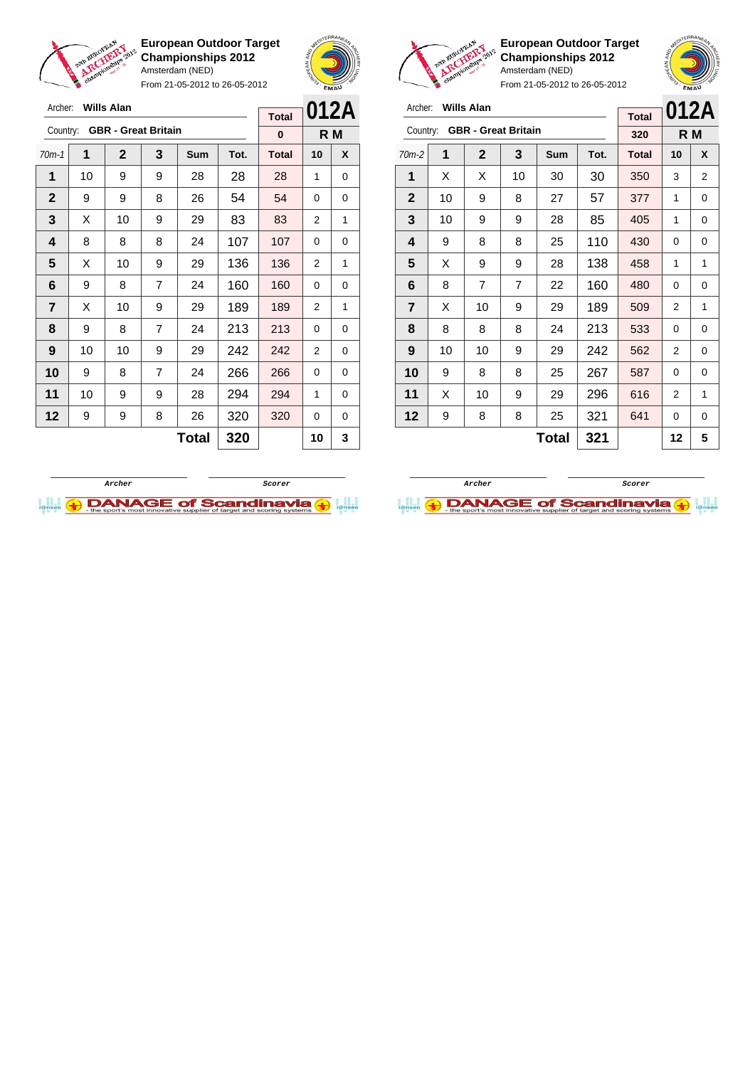

From 21-05-2012 to 26-05-2012





**European Outdoor Target Championships 2012** Amsterdam (NED)

From 21-05-2012 to 26-05-2012

| Archer:        |    | <b>Wills Alan</b> |                            |            |      |              |    | 012A |
|----------------|----|-------------------|----------------------------|------------|------|--------------|----|------|
| Country:       |    |                   | <b>GBR</b> - Great Britain |            |      | <b>Total</b> |    |      |
|                |    |                   |                            |            |      | 320          |    | R M  |
| $70m-2$        | 1  | $\mathbf{2}$      | 3                          | <b>Sum</b> | Tot. | <b>Total</b> | 10 | X    |
| 1              | X  | X                 | 10                         | 30         | 30   | 350          | 3  | 2    |
| $\mathbf{2}$   | 10 | 9                 | 8                          | 27         | 57   | 377          | 1  | 0    |
| 3              | 10 | 9                 | 9                          | 28         | 85   | 405          | 1  | 0    |
| 4              | 9  | 8                 | 8                          | 25         | 110  | 430          | 0  | 0    |
| 5              | X  | 9                 | 9                          | 28         | 138  | 458          | 1  | 1    |
| 6              | 8  | 7                 | 7                          | 22         | 160  | 480          | 0  | 0    |
| $\overline{7}$ | X  | 10                | 9                          | 29         | 189  | 509          | 2  | 1    |
| 8              | 8  | 8                 | 8                          | 24         | 213  | 533          | 0  | 0    |
| 9              | 10 | 10                | 9                          | 29         | 242  | 562          | 2  | 0    |
| 10             | 9  | 8                 | 8                          | 25         | 267  | 587          | 0  | 0    |
| 11             | X  | 10                | 9                          | 29         | 296  | 616          | 2  | 1    |
| 12             | 9  | 8                 | 8                          | 25         | 321  | 641          | 0  | 0    |
|                |    |                   |                            | Total      | 321  |              | 12 | 5    |

**Archer ScorerDANAGE of Scandinavia** 



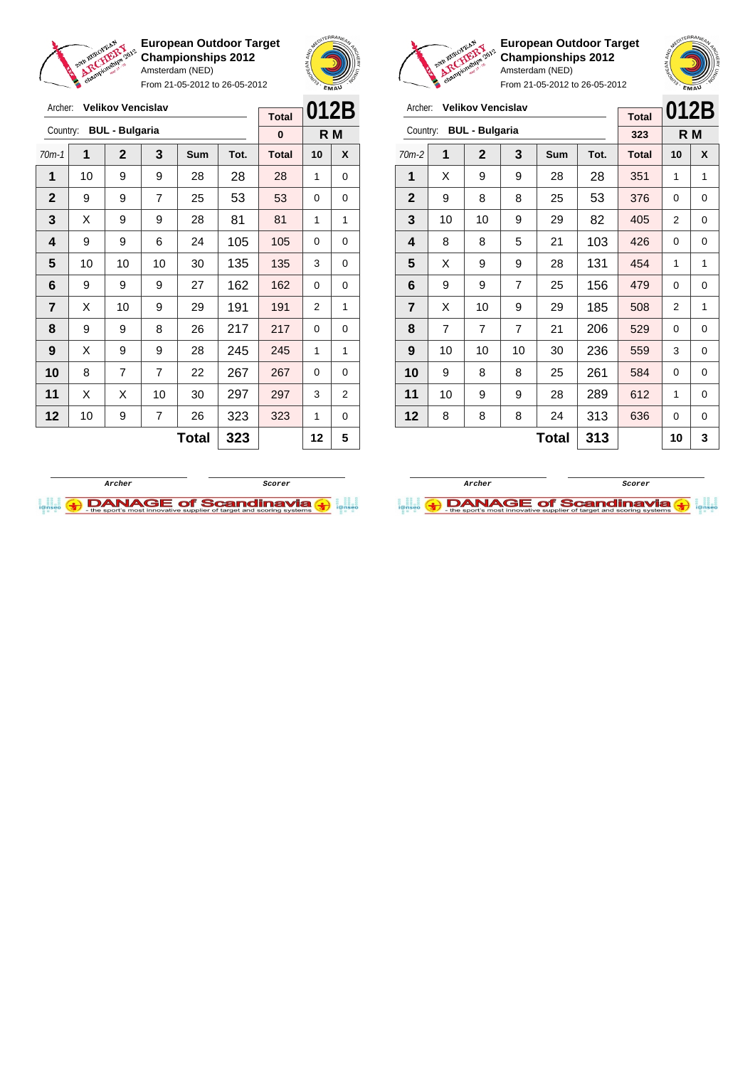



From 21-05-2012 to 26-05-2012

| Archer:        |    | <b>Velikov Vencislav</b> |                |            |      |              |          |                |
|----------------|----|--------------------------|----------------|------------|------|--------------|----------|----------------|
|                |    |                          |                |            |      | <b>Total</b> | 012B     |                |
| Country:       |    | <b>BUL - Bulgaria</b>    |                |            |      | 0            |          | R M            |
| $70m-1$        | 1  | $\mathbf{2}$             | 3              | <b>Sum</b> | Tot. | <b>Total</b> | 10       | X              |
| 1              | 10 | 9                        | 9              | 28         | 28   | 28           | 1        | 0              |
| $\mathbf{2}$   | 9  | 9                        | 7              | 25         | 53   | 53           | 0        | 0              |
| 3              | Х  | 9                        | 9              | 28         | 81   | 81           | 1        | 1              |
| 4              | 9  | 9                        | 6              | 24         | 105  | 105          | $\Omega$ | 0              |
| 5              | 10 | 10                       | 10             | 30         | 135  | 135          | 3        | 0              |
| 6              | 9  | 9                        | 9              | 27         | 162  | 162          | 0        | 0              |
| $\overline{7}$ | X  | 10                       | 9              | 29         | 191  | 191          | 2        | 1              |
| 8              | 9  | 9                        | 8              | 26         | 217  | 217          | 0        | 0              |
| 9              | X  | 9                        | 9              | 28         | 245  | 245          | 1        | 1              |
| 10             | 8  | 7                        | $\overline{7}$ | 22         | 267  | 267          | 0        | 0              |
| 11             | Х  | X                        | 10             | 30         | 297  | 297          | 3        | $\overline{2}$ |
| 12             | 10 | 9                        | $\overline{7}$ | 26         | 323  | 323          | 1        | 0              |
|                |    |                          |                | Total      | 323  |              | 12       | 5              |



**European Outdoor Target Championships 2012** Amsterdam (NED)

| Archer:        |                | <b>Velikov Vencislav</b> |                | <b>Total</b> | 012B |              |                |     |
|----------------|----------------|--------------------------|----------------|--------------|------|--------------|----------------|-----|
| Country:       |                | <b>BUL - Bulgaria</b>    |                |              |      | 323          |                | R M |
| $70m-2$        | 1              | $\mathbf 2$              | 3              | Sum          | Tot. | <b>Total</b> | 10             | X   |
| 1              | X              | 9                        | 9              | 28           | 28   | 351          | 1              | 1   |
| $\mathbf{2}$   | 9              | 8                        | 8              | 25           | 53   | 376          | 0              | 0   |
| 3              | 10             | 10                       | 9              | 29           | 82   | 405          | 2              | 0   |
| 4              | 8              | 8                        | 5              | 21           | 103  | 426          | 0              | 0   |
| 5              | X              | 9                        | 9              | 28           | 131  | 454          | 1              | 1   |
| 6              | 9              | 9                        | $\overline{7}$ | 25           | 156  | 479          | 0              | 0   |
| $\overline{7}$ | X              | 10                       | 9              | 29           | 185  | 508          | $\overline{2}$ | 1   |
| 8              | $\overline{7}$ | $\overline{7}$           | $\overline{7}$ | 21           | 206  | 529          | 0              | 0   |
| 9              | 10             | 10                       | 10             | 30           | 236  | 559          | 3              | 0   |
| 10             | 9              | 8                        | 8              | 25           | 261  | 584          | 0              | 0   |
| 11             | 10             | 9                        | 9              | 28           | 289  | 612          | 1              | 0   |
| 12             | 8              | 8                        | 8              | 24           | 313  | 636          | 0              | 0   |
|                |                |                          |                | Total        | 313  |              | 10             | 3   |



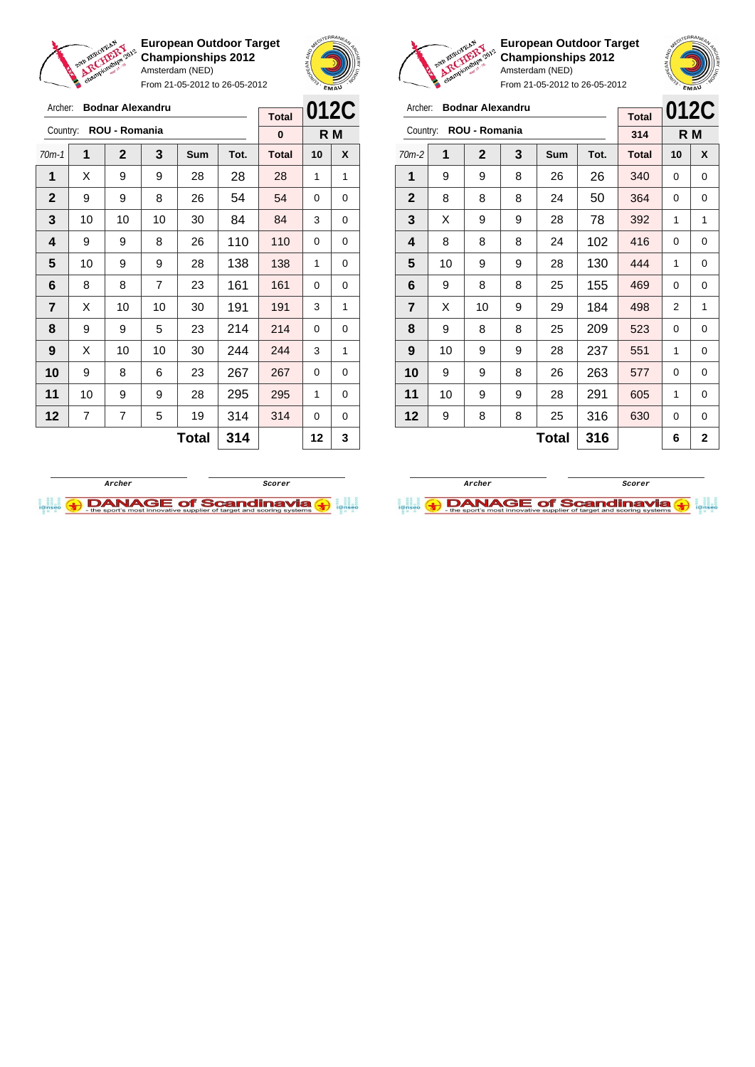

Archer: **Bodnar Alexandru** Country: **ROU - Romania**

**European Outdoor Target Championships 2012** Amsterdam (NED)

From 21-05-2012 to 26-05-2012

70m-1 **1 2 3 Sum Tot. Total 10 X**  $\mid$  X  $\mid$  9  $\mid$  9  $\mid$  28  $\mid$  28  $\mid$  28  $\mid$  1  $\mid$  1 9 9 8 26 54 54 0 0 | 10 | 10 | 10 | 30 | 84 | 84 | 3 | 0 | 9 | 9 | 8 | 26 | 110 | 110 | 0 | 0 | 10 | 9 | 9 | 28 | 138 | 138 | 1 | 0 | 8 | 8 | 7 | 23 | 161 | 161 | 0 | 0  $\begin{array}{|c|c|c|c|c|c|}\n\hline\n\textbf{7} & \textbf{X} & \textbf{10} & \textbf{10} & \textbf{30} & \textbf{191} & \textbf{191} & \textbf{3} & \textbf{1} & \textbf{1} \\
\hline\n\end{array}$  | 9 | 9 | 5 | 23 | 214 | 214 | 0 | 0 | X | 10 | 10 | 30 | **244 | 244 |** 3 | 1 9 8 6 23 267 267 0 0 | 10 | 9 | 9 | 28 | 295 <mark>| 295 |</mark> 1 | 0 | 7 | 7 | 5 | 19 | 314 | 314 | 0 | 0



**R M**

**Total 0**

**European Outdoor Target Championships 2012** Amsterdam (NED)

From 21-05-2012 to 26-05-2012

| Archer:        |    | <b>Bodnar Alexandru</b> |   |              |      | <b>Total</b> | 012C |     |
|----------------|----|-------------------------|---|--------------|------|--------------|------|-----|
| Country:       |    | ROU - Romania           |   |              |      | 314          |      | R M |
| $70m-2$        | 1  | $\mathbf{2}$            | 3 | Sum          | Tot. | <b>Total</b> | 10   | X   |
| 1              | 9  | 9                       | 8 | 26           | 26   | 340          | 0    | 0   |
| $\mathbf 2$    | 8  | 8                       | 8 | 24           | 50   | 364          | 0    | 0   |
| 3              | X  | 9                       | 9 | 28           | 78   | 392          | 1    | 1   |
| 4              | 8  | 8                       | 8 | 24           | 102  | 416          | 0    | 0   |
| 5              | 10 | 9                       | 9 | 28           | 130  | 444          | 1    | 0   |
| 6              | 9  | 8                       | 8 | 25           | 155  | 469          | 0    | 0   |
| $\overline{7}$ | X  | 10                      | 9 | 29           | 184  | 498          | 2    | 1   |
| 8              | 9  | 8                       | 8 | 25           | 209  | 523          | 0    | 0   |
| 9              | 10 | 9                       | 9 | 28           | 237  | 551          | 1    | 0   |
| 10             | 9  | 9                       | 8 | 26           | 263  | 577          | 0    | 0   |
| 11             | 10 | 9                       | 9 | 28           | 291  | 605          | 1    | 0   |
| 12             | 9  | 8                       | 8 | 25           | 316  | 630          | 0    | 0   |
|                |    |                         |   | <b>Total</b> | 316  |              | 6    | 2   |

**Total 316 6 2**

**Archer Scorer**

**DANAGE of Scandinavia (+)** 



 $Total | 314 | 12 | 3$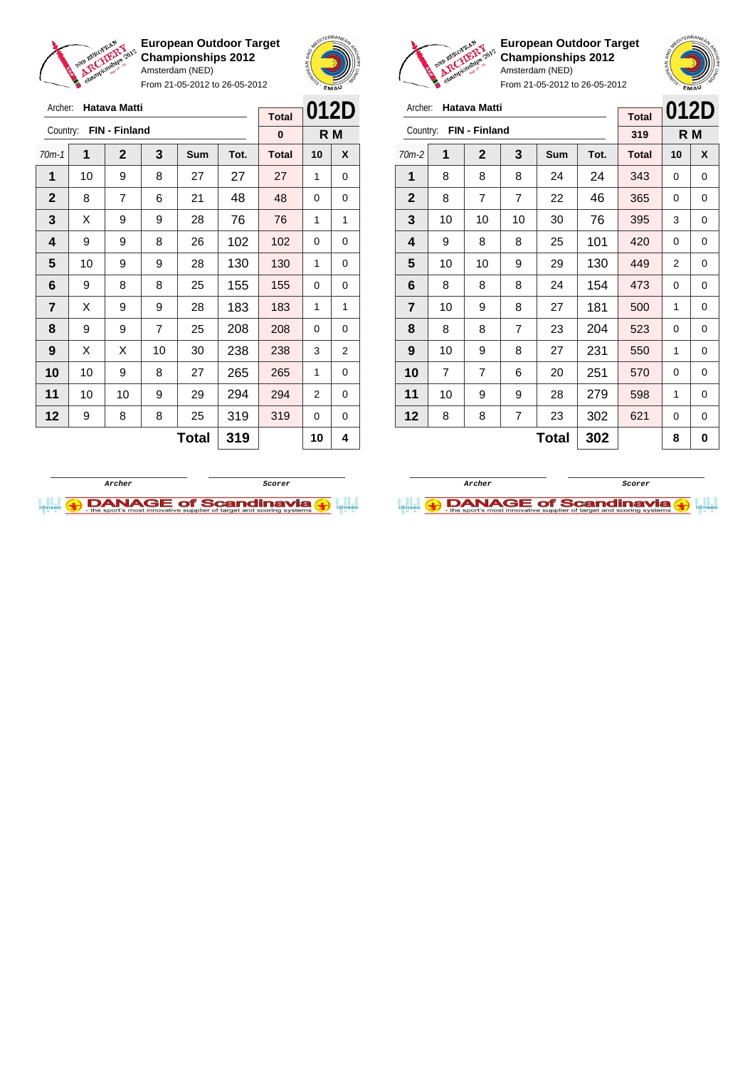

From 21-05-2012 to 26-05-2012



**European Outdoor Target Championships 2012** Amsterdam (NED)



| Archer:        |                | <b>Hatava Matti</b> |                |              |      | <b>Total</b> | 012D |     |
|----------------|----------------|---------------------|----------------|--------------|------|--------------|------|-----|
| Country:       |                | FIN - Finland       |                |              |      | 319          |      | R M |
| $70m-2$        | 1              | $\mathbf 2$         | 3              | Sum          | Tot. | <b>Total</b> | 10   | X   |
| 1              | 8              | 8                   | 8              | 24           | 24   | 343          | 0    | 0   |
| $\mathbf{2}$   | 8              | $\overline{7}$      | $\overline{7}$ | 22           | 46   | 365          | 0    | 0   |
| 3              | 10             | 10                  | 10             | 30           | 76   | 395          | 3    | 0   |
| 4              | 9              | 8                   | 8              | 25           | 101  | 420          | 0    | 0   |
| 5              | 10             | 10                  | 9              | 29           | 130  | 449          | 2    | 0   |
| 6              | 8              | 8                   | 8              | 24           | 154  | 473          | 0    | 0   |
| $\overline{7}$ | 10             | 9                   | 8              | 27           | 181  | 500          | 1    | 0   |
| 8              | 8              | 8                   | $\overline{7}$ | 23           | 204  | 523          | 0    | 0   |
| 9              | 10             | 9                   | 8              | 27           | 231  | 550          | 1    | 0   |
| 10             | $\overline{7}$ | $\overline{7}$      | 6              | 20           | 251  | 570          | 0    | 0   |
| 11             | 10             | 9                   | 9              | 28           | 279  | 598          | 1    | 0   |
| 12             | 8              | 8                   | 7              | 23           | 302  | 621          | 0    | 0   |
|                |                |                     |                | <b>Total</b> | 302  |              | 8    | 0   |

| Archer:        |    | <b>Hatava Matti</b> |    | <b>Total</b> | 012D |              |    |     |
|----------------|----|---------------------|----|--------------|------|--------------|----|-----|
| Country:       |    | FIN - Finland       |    |              |      | $\bf{0}$     |    | R M |
| $70m-1$        | 1  | $\mathbf 2$         | 3  | Sum          | Tot. | <b>Total</b> | 10 | X   |
| 1              | 10 | 9                   | 8  | 27           | 27   | 27           | 1  | 0   |
| $\mathbf{2}$   | 8  | 7                   | 6  | 21           | 48   | 48           | 0  | 0   |
| 3              | Х  | 9                   | 9  | 28           | 76   | 76           | 1  | 1   |
| 4              | 9  | 9                   | 8  | 26           | 102  | 102          | 0  | 0   |
| 5              | 10 | 9                   | 9  | 28           | 130  | 130          | 1  | 0   |
| 6              | 9  | 8                   | 8  | 25           | 155  | 155          | 0  | 0   |
| $\overline{7}$ | Х  | 9                   | 9  | 28           | 183  | 183          | 1  | 1   |
| 8              | 9  | 9                   | 7  | 25           | 208  | 208          | 0  | 0   |
| 9              | Х  | X                   | 10 | 30           | 238  | 238          | 3  | 2   |
| 10             | 10 | 9                   | 8  | 27           | 265  | 265          | 1  | 0   |
| 11             | 10 | 10                  | 9  | 29           | 294  | 294          | 2  | 0   |
| 12             | 9  | 8                   | 8  | 25           | 319  | 319          | 0  | 0   |
|                |    |                     |    | <b>Total</b> | 319  |              | 10 | 4   |



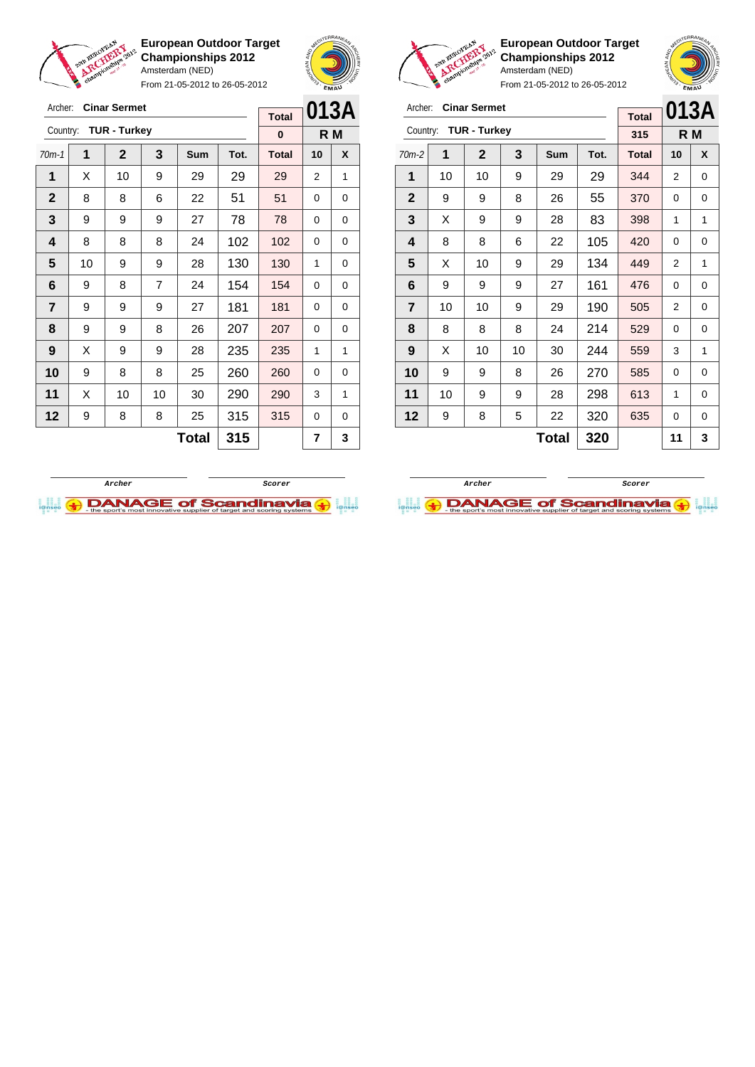

From 21-05-2012 to 26-05-2012



**European Outdoor Target Championships 2012** Amsterdam (NED)

| Archer:        |    | <b>Cinar Sermet</b> |    | <b>Total</b> | 013A |              |     |   |
|----------------|----|---------------------|----|--------------|------|--------------|-----|---|
| Country:       |    | <b>TUR - Turkey</b> |    |              |      | 315          | R M |   |
| $70m-2$        | 1  | $\overline{2}$      | 3  | Sum          | Tot. | <b>Total</b> | 10  | X |
| 1              | 10 | 10                  | 9  | 29           | 29   | 344          | 2   | 0 |
| $\mathbf{2}$   | 9  | 9                   | 8  | 26           | 55   | 370          | 0   | 0 |
| 3              | X  | 9                   | 9  | 28           | 83   | 398          | 1   | 1 |
| 4              | 8  | 8                   | 6  | 22           | 105  | 420          | 0   | 0 |
| 5              | X  | 10                  | 9  | 29           | 134  | 449          | 2   | 1 |
| 6              | 9  | 9                   | 9  | 27           | 161  | 476          | 0   | 0 |
| $\overline{7}$ | 10 | 10                  | 9  | 29           | 190  | 505          | 2   | 0 |
| 8              | 8  | 8                   | 8  | 24           | 214  | 529          | 0   | 0 |
| 9              | X  | 10                  | 10 | 30           | 244  | 559          | 3   | 1 |
| 10             | 9  | 9                   | 8  | 26           | 270  | 585          | 0   | 0 |
| 11             | 10 | 9                   | 9  | 28           | 298  | 613          | 1   | 0 |
| 12             | 9  | 8                   | 5  | 22           | 320  | 635          | 0   | 0 |
|                |    |                     |    | 11           | 3    |              |     |   |





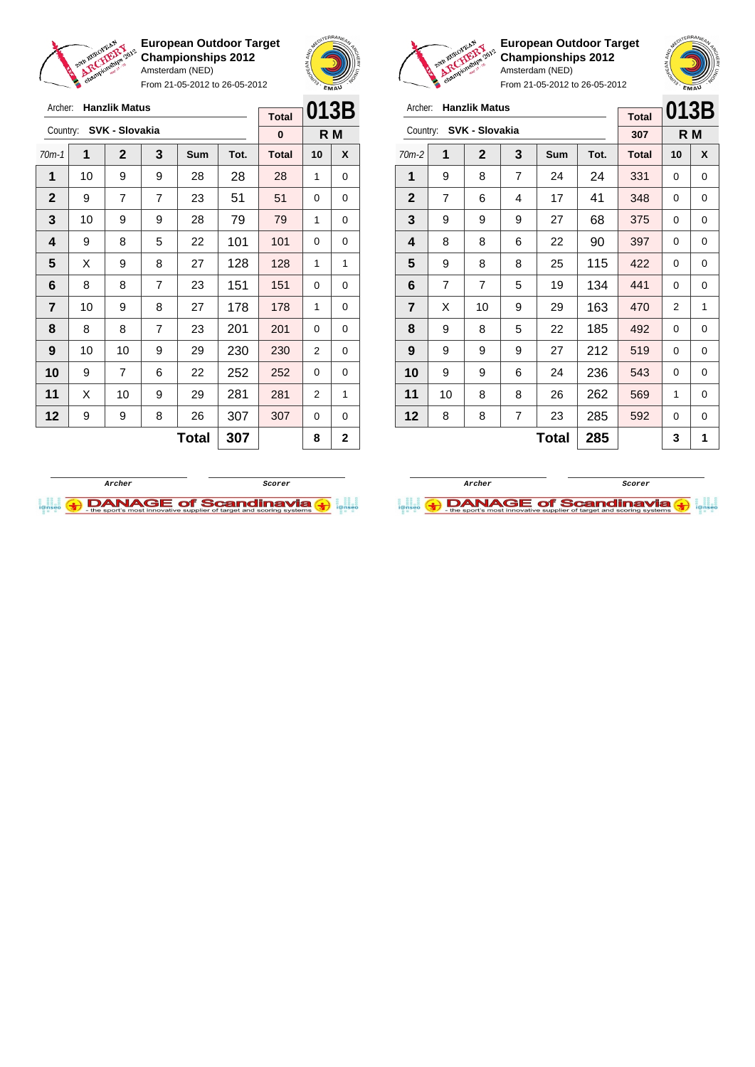

From 21-05-2012 to 26-05-2012



**European Outdoor Target Championships 2012** Amsterdam (NED)

| Archer:        |                | <b>Hanzlik Matus</b> |   |              |      | <b>Total</b> | 013B           |     |
|----------------|----------------|----------------------|---|--------------|------|--------------|----------------|-----|
| Country:       |                | SVK - Slovakia       |   |              |      | 307          |                | R M |
| $70m-2$        | 1              | $\mathbf{2}$         | 3 | Sum          | Tot. | <b>Total</b> | 10             | X   |
| 1              | 9              | 8                    | 7 | 24           | 24   | 331          | 0              | 0   |
| $\overline{2}$ | $\overline{7}$ | 6                    | 4 | 17           | 41   | 348          | 0              | 0   |
| 3              | 9              | 9                    | 9 | 27           | 68   | 375          | 0              | 0   |
| 4              | 8              | 8                    | 6 | 22           | 90   | 397          | 0              | 0   |
| 5              | 9              | 8                    | 8 | 25           | 115  | 422          | 0              | 0   |
| 6              | $\overline{7}$ | 7                    | 5 | 19           | 134  | 441          | 0              | 0   |
| $\overline{7}$ | X              | 10                   | 9 | 29           | 163  | 470          | $\overline{2}$ | 1   |
| 8              | 9              | 8                    | 5 | 22           | 185  | 492          | 0              | 0   |
| 9              | 9              | 9                    | 9 | 27           | 212  | 519          | 0              | 0   |
| 10             | 9              | 9                    | 6 | 24           | 236  | 543          | 0              | 0   |
| 11             | 10             | 8                    | 8 | 26           | 262  | 569          | 1              | 0   |
| 12             | 8              | 8                    | 7 | 23           | 285  | 592          | 0              | 0   |
|                |                |                      |   | <b>Total</b> | 285  |              | 3              | 1   |





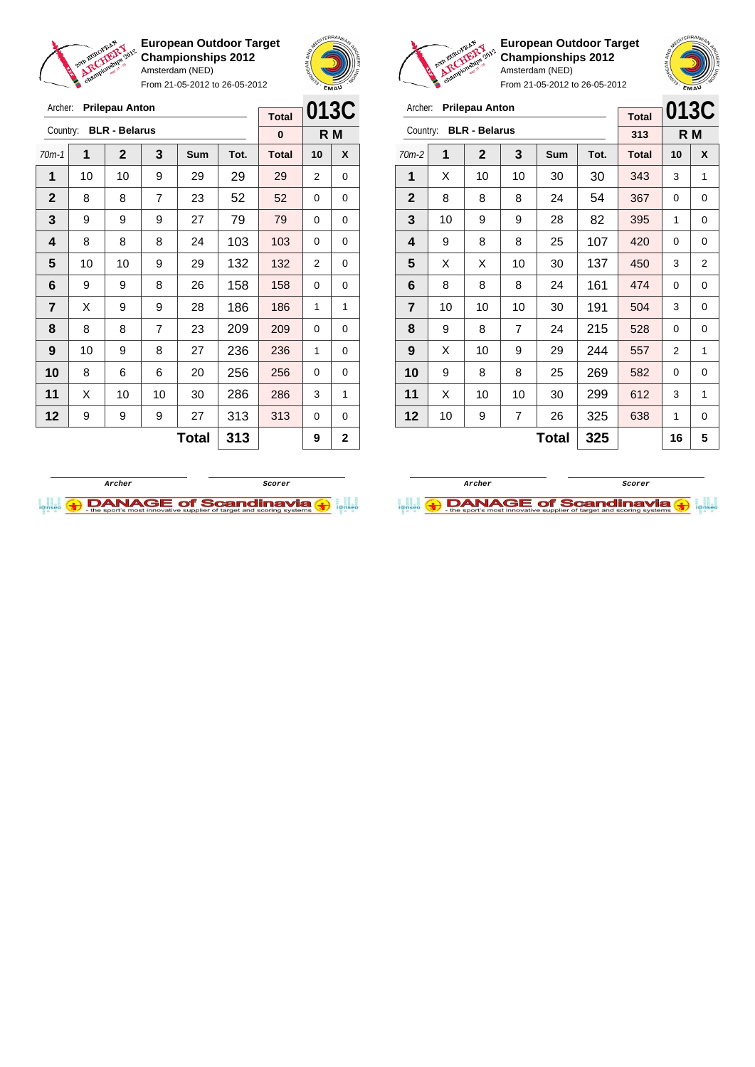

From 21-05-2012 to 26-05-2012



**European Outdoor Target Championships 2012** Amsterdam (NED)

**013C**

| Archer:        |    | <b>Prilepau Anton</b> |                |              |      |              |             | 013C         | <b>Prilepau Anton</b><br>Archer: |          |                      |                |              |      |              |                |                |
|----------------|----|-----------------------|----------------|--------------|------|--------------|-------------|--------------|----------------------------------|----------|----------------------|----------------|--------------|------|--------------|----------------|----------------|
|                |    |                       |                |              |      | <b>Total</b> |             |              |                                  |          |                      |                |              |      | <b>Total</b> | 0130           |                |
| Country:       |    | <b>BLR - Belarus</b>  |                |              |      | $\bf{0}$     |             | R M          |                                  | Country: | <b>BLR - Belarus</b> |                |              |      | 313          |                | R M            |
| $70m-1$        | 1  | $\mathbf{2}$          | 3              | <b>Sum</b>   | Tot. | <b>Total</b> | 10          | X            | $70m-2$                          | 1        | $\overline{2}$       | 3              | Sum          | Tot. | <b>Total</b> | 10             | X              |
| 1              | 10 | 10                    | 9              | 29           | 29   | 29           | 2           | 0            | 1                                | X        | 10                   | 10             | 30           | 30   | 343          | 3              | 1              |
| $\mathbf{2}$   | 8  | 8                     | $\overline{7}$ | 23           | 52   | 52           | $\Omega$    | 0            | $\overline{2}$                   | 8        | 8                    | 8              | 24           | 54   | 367          | 0              | 0              |
| 3              | 9  | 9                     | 9              | 27           | 79   | 79           | $\Omega$    | 0            | 3                                | 10       | 9                    | 9              | 28           | 82   | 395          | 1              | 0              |
| 4              | 8  | 8                     | 8              | 24           | 103  | 103          | $\Omega$    | 0            | 4                                | 9        | 8                    | 8              | 25           | 107  | 420          | $\Omega$       | 0              |
| 5              | 10 | 10                    | 9              | 29           | 132  | 132          | 2           | 0            | 5                                | X        | X                    | 10             | 30           | 137  | 450          | 3              | $\overline{2}$ |
| 6              | 9  | 9                     | 8              | 26           | 158  | 158          | $\Omega$    | 0            | 6                                | 8        | 8                    | 8              | 24           | 161  | 474          | 0              | 0              |
| $\overline{7}$ | X  | 9                     | 9              | 28           | 186  | 186          | 1           | 1            | $\overline{7}$                   | 10       | 10                   | 10             | 30           | 191  | 504          | 3              | 0              |
| 8              | 8  | 8                     | $\overline{7}$ | 23           | 209  | 209          | $\Omega$    | $\Omega$     | 8                                | 9        | 8                    | $\overline{7}$ | 24           | 215  | 528          | 0              | 0              |
| 9              | 10 | 9                     | 8              | 27           | 236  | 236          | 1           | 0            | 9                                | X        | 10                   | 9              | 29           | 244  | 557          | $\overline{2}$ | 1              |
| 10             | 8  | 6                     | 6              | 20           | 256  | 256          | $\Omega$    | $\Omega$     | 10                               | 9        | 8                    | 8              | 25           | 269  | 582          | $\Omega$       | $\Omega$       |
| 11             | X  | 10                    | 10             | 30           | 286  | 286          | 3           | 1            | 11                               | X        | 10                   | 10             | 30           | 299  | 612          | 3              | 1              |
| 12             | 9  | 9                     | 9              | 27           | 313  | 313          | $\mathbf 0$ | 0            | 12                               | 10       | 9                    | 7              | 26           | 325  | 638          | 1              | 0              |
|                |    |                       |                | <b>Total</b> | 313  |              | 9           | $\mathbf{2}$ |                                  |          |                      |                | <b>Total</b> | 325  |              | 16             | 5              |



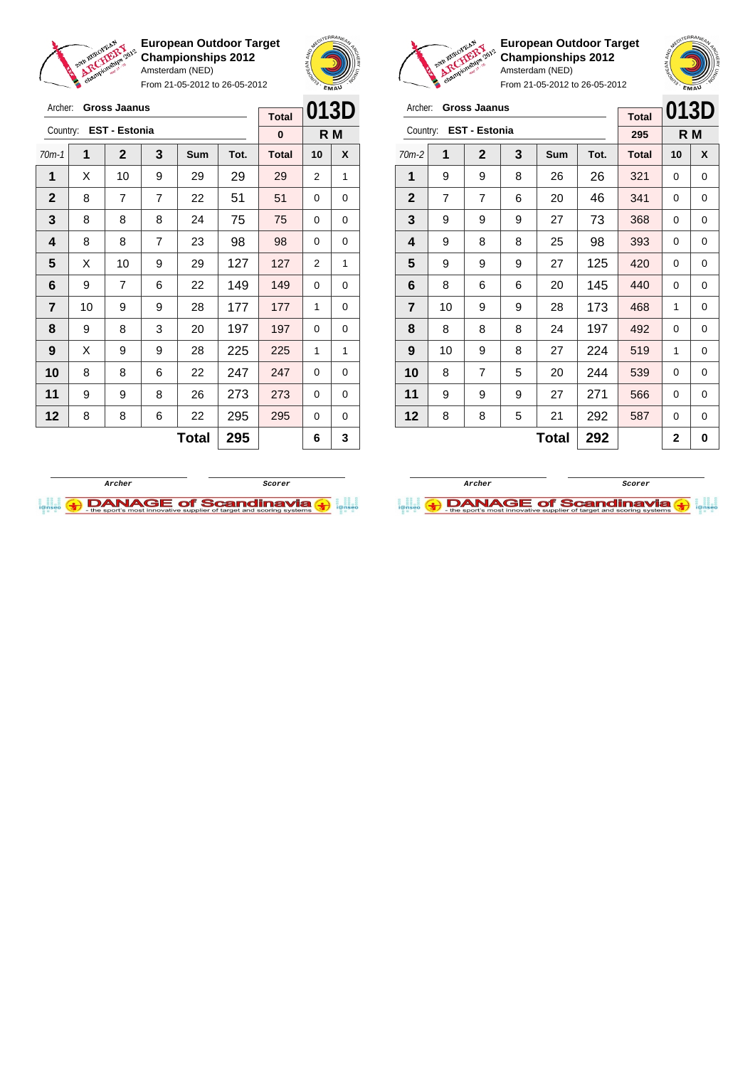

Archer: **Gross Jaanus** Country: **EST - Estonia**

**European Outdoor Target Championships 2012** Amsterdam (NED)

From 21-05-2012 to 26-05-2012

70m-1 **1 2 3 Sum Tot. Total 10 X** | X | 10 | 9 | 29 | 29 | 29 | 2 | 1  $\begin{array}{|c|c|c|c|c|c|c|c|c|}\hline \textbf{2} & \textbf{8} & \textbf{7} & \textbf{7} & \textbf{22} & \textbf{51} & \textbf{51} & \textbf{0} & \textbf{0} \ \hline \end{array}$  8 8 8 24 75 75 0 0 | 8 | 8 | 7 | 23 | 98 | 98 | 0 | 0  $\mid$  X  $\mid$  10  $\mid$  9  $\mid$  29  $\mid$  127  $\mid$  127  $\mid$  2  $\mid$  1 | 9 | 7 | 6 | 22 | 149 | 149 | 0 | 0 | 10 | 9 | 9 | 28 | 177 | 177 | 1 | 0 | 9 | 8 | 3 | 20 | 197 | 197 | 0 | 0 | X | 9 | 9 | 28 | 225 | 225 | 1 | 1 8 8 8 6 22 247 247 0 0 | 9 | 9 | 8 | 26 | 273 | 273 | 0 | 0 | 8 | 8 | 6 | 22 | 295 <mark>| 295</mark> | 0 | 0



**R M**

**Total 0**



**European Outdoor Target Championships 2012** Amsterdam (NED)



From 21-05-2012 to 26-05-2012

| Archer:                 |                | <b>Gross Jaanus</b>  |   | <b>Total</b> | 013D |              |     |   |
|-------------------------|----------------|----------------------|---|--------------|------|--------------|-----|---|
| Country:                |                | <b>EST - Estonia</b> |   |              |      | 295          | R M |   |
| $70m-2$                 | 1              | $\mathbf{2}$         | 3 | Sum          | Tot. | <b>Total</b> | 10  | X |
| 1                       | 9              | 9                    | 8 | 26           | 26   | 321          | 0   | 0 |
| $\mathbf{2}$            | $\overline{7}$ | 7                    | 6 | 20           | 46   | 341          | 0   | 0 |
| 3                       | 9              | 9                    | 9 | 27           | 73   | 368          | 0   | 0 |
| 4                       | 9              | 8                    | 8 | 25           | 98   | 393          | 0   | 0 |
| 5                       | 9              | 9                    | 9 | 27           | 125  | 420          | 0   | 0 |
| 6                       | 8              | 6                    | 6 | 20           | 145  | 440          | 0   | 0 |
| $\overline{\mathbf{r}}$ | 10             | 9                    | 9 | 28           | 173  | 468          | 1   | 0 |
| 8                       | 8              | 8                    | 8 | 24           | 197  | 492          | 0   | 0 |
| 9                       | 10             | 9                    | 8 | 27           | 224  | 519          | 1   | 0 |
| 10                      | 8              | $\overline{7}$       | 5 | 20           | 244  | 539          | 0   | 0 |
| 11                      | 9              | 9                    | 9 | 27           | 271  | 566          | 0   | 0 |
| 12                      | 8              | 8                    | 5 | 21           | 292  | 587          | 0   | 0 |
|                         |                |                      |   | <b>Total</b> | 292  |              | 2   | 0 |

**Archer Scorer**

**DANAGE of Scandinavia** 



**Total 295 6 3**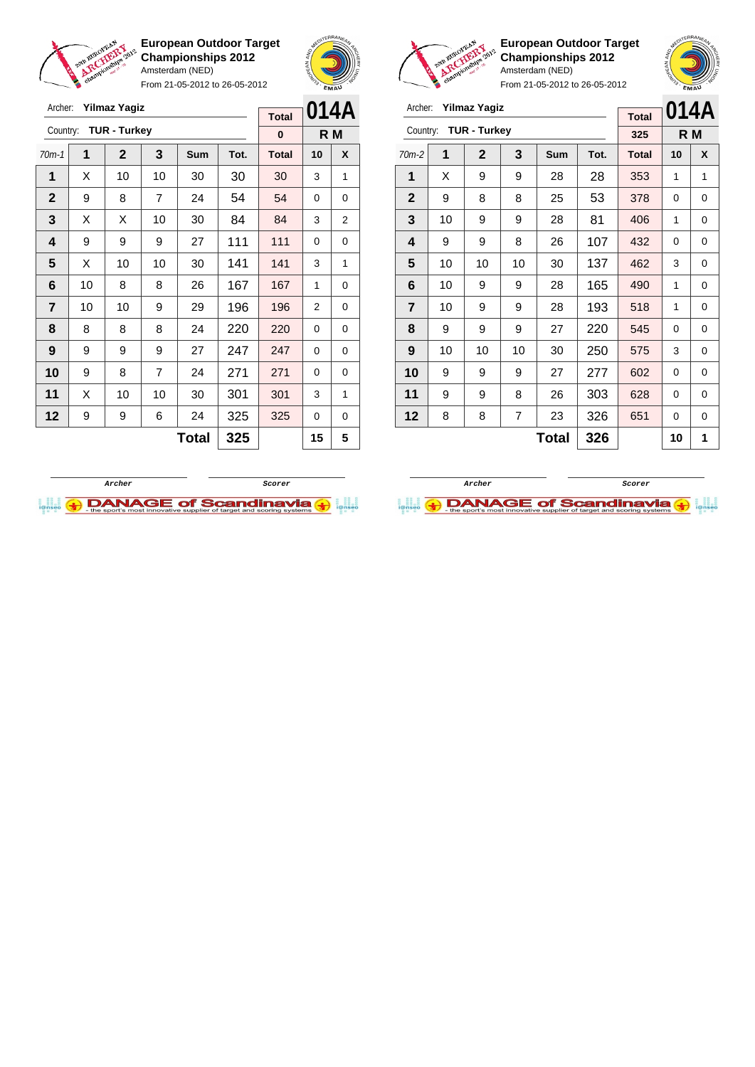

From 21-05-2012 to 26-05-2012





**European Outdoor Target Championships 2012** Amsterdam (NED)



| Archer:        |              | <b>Yilmaz Yagiz</b> |    | <b>Total</b> | 014A |              |     |   |
|----------------|--------------|---------------------|----|--------------|------|--------------|-----|---|
| Country:       |              | <b>TUR - Turkey</b> |    |              |      | 325          | R M |   |
| $70m-2$        | 1            | $\overline{2}$      | 3  | Sum          | Tot. | <b>Total</b> | 10  | X |
| 1              | X            | 9                   | 9  | 28           | 28   | 353          | 1   | 1 |
| $\mathbf{2}$   | 9            | 8                   | 8  | 25           | 53   | 378          | 0   | 0 |
| 3              | 10           | 9                   | 9  | 28           | 81   | 406          | 1   | 0 |
| 4              | 9            | 9                   | 8  | 26           | 107  | 432          | 0   | 0 |
| 5              | 10           | 10                  | 10 | 30           | 137  | 462          | 3   | 0 |
| 6              | 10           | 9                   | 9  | 28           | 165  | 490          | 1   | 0 |
| $\overline{7}$ | 10           | 9                   | 9  | 28           | 193  | 518          | 1   | 0 |
| 8              | 9            | 9                   | 9  | 27           | 220  | 545          | 0   | 0 |
| 9              | 10           | 10                  | 10 | 30           | 250  | 575          | 3   | 0 |
| 10             | 9            | 9                   | 9  | 27           | 277  | 602          | 0   | 0 |
| 11             | 9            | 9                   | 8  | 26           | 303  | 628          | 0   | 0 |
| 12             | 8            | 8                   | 7  | 23           | 326  | 651          | 0   | 0 |
|                | 326<br>Total |                     |    |              |      |              | 10  | 1 |





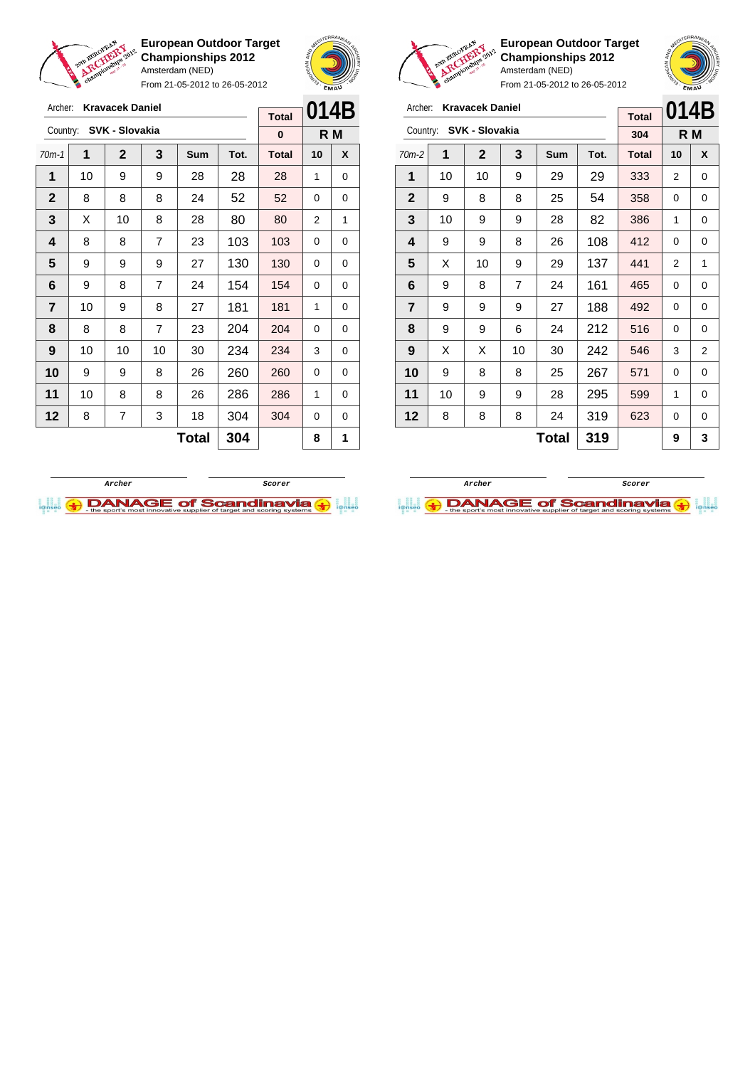

From 21-05-2012 to 26-05-2012





 $\sqrt{2}$ 

**European Outdoor Target Championships 2012** Amsterdam (NED)

| Archer:        |    | <b>Kravacek Daniel</b> |     |            |      | <b>Total</b> | 014B |                                                        |  |  |
|----------------|----|------------------------|-----|------------|------|--------------|------|--------------------------------------------------------|--|--|
| Country:       |    | SVK - Slovakia         |     |            |      | 304          |      | R M<br>10<br>X<br>2<br>0<br>0<br>0<br>1<br>0<br>0<br>0 |  |  |
| $70m-2$        | 1  | $\mathbf{2}$           | 3   | <b>Sum</b> | Tot. | <b>Total</b> |      |                                                        |  |  |
| 1              | 10 | 10                     | 9   | 29         | 29   | 333          |      |                                                        |  |  |
| $\mathbf{2}$   | 9  | 8                      | 8   | 25         | 54   | 358          |      |                                                        |  |  |
| 3              | 10 | 9                      | 9   | 28         | 82   | 386          |      |                                                        |  |  |
| 4              | 9  | 9                      | 8   | 26         | 108  | 412          |      |                                                        |  |  |
| 5              | X  | 10                     | 9   | 29         | 137  | 441          | 2    | 1                                                      |  |  |
| 6              | 9  | 8                      | 7   | 24         | 161  | 465          | 0    | 0                                                      |  |  |
| $\overline{7}$ | 9  | 9                      | 9   | 27         | 188  | 492          | 0    | 0                                                      |  |  |
| 8              | 9  | 9                      | 6   | 24         | 212  | 516          | 0    | 0                                                      |  |  |
| 9              | X  | X                      | 10  | 30         | 242  | 546          | 3    | 2                                                      |  |  |
| 10             | 9  | 8                      | 8   | 25         | 267  | 571          | 0    | 0                                                      |  |  |
| 11             | 10 | 9                      | 9   | 28         | 295  | 599          | 1    | 0                                                      |  |  |
| 12             | 8  | 8                      | 8   | 24         | 319  | 623          | 0    | 0                                                      |  |  |
|                |    |                        | 319 |            | 9    | 3            |      |                                                        |  |  |

| Archer:      |    | <b>Kravacek Daniel</b> |    |       |      | <b>Total</b> | 014B |     |
|--------------|----|------------------------|----|-------|------|--------------|------|-----|
| Country:     |    | SVK - Slovakia         |    |       |      |              |      |     |
|              |    |                        |    |       |      | 0            |      | R M |
| $70m-1$      | 1  | $\mathbf{2}$           | 3  | Sum   | Tot. | <b>Total</b> | 10   | X   |
| 1            | 10 | 9                      | 9  | 28    | 28   | 28           | 1    | 0   |
| $\mathbf{2}$ | 8  | 8                      | 8  | 24    | 52   | 52           | 0    | 0   |
| 3            | X  | 10                     | 8  | 28    | 80   | 80           | 2    | 1   |
| 4            | 8  | 8                      | 7  | 23    | 103  | 103          | 0    | 0   |
| 5            | 9  | 9                      | 9  | 27    | 130  | 130          | 0    | 0   |
| 6            | 9  | 8                      | 7  | 24    | 154  | 154          | 0    | 0   |
| 7            | 10 | 9                      | 8  | 27    | 181  | 181          | 1    | 0   |
| 8            | 8  | 8                      | 7  | 23    | 204  | 204          | 0    | 0   |
| 9            | 10 | 10                     | 10 | 30    | 234  | 234          | 3    | 0   |
| 10           | 9  | 9                      | 8  | 26    | 260  | 260          | 0    | 0   |
| 11           | 10 | 8                      | 8  | 26    | 286  | 286          | 1    | 0   |
| 12           | 8  | 7                      | 3  | 18    | 304  | 304          | 0    | 0   |
|              |    |                        |    | Total | 304  |              | 8    | 1   |
|              |    |                        |    |       |      |              |      |     |



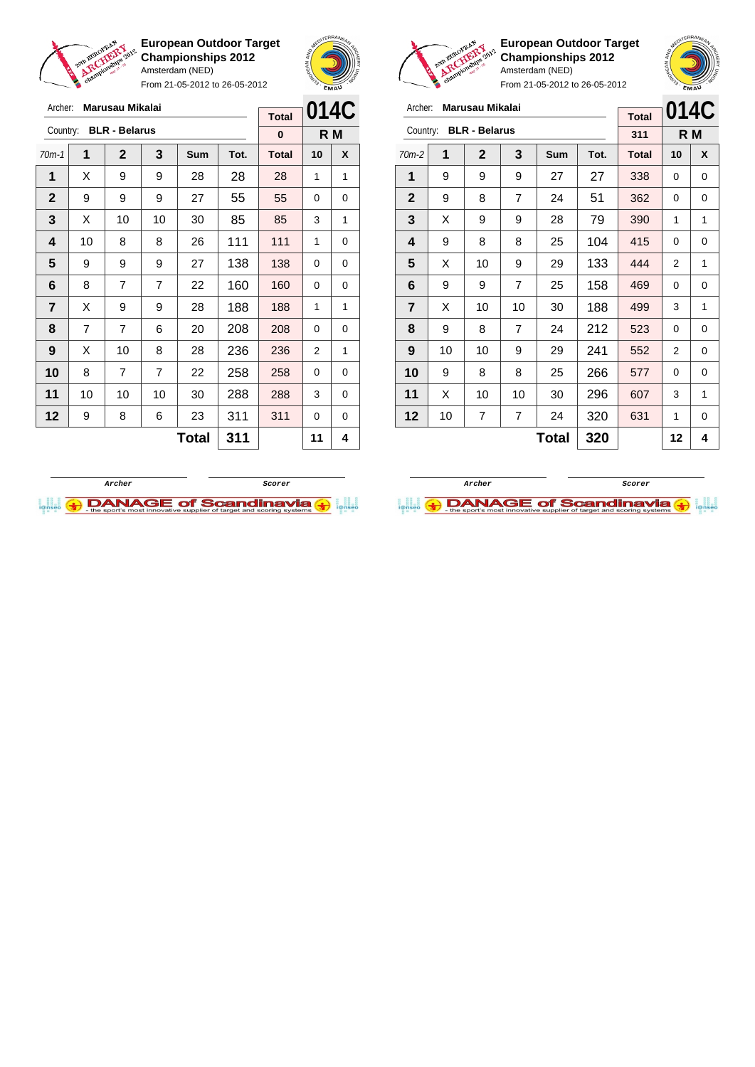

Archer: **Marusau Mikalai**

**European Outdoor Target Championships 2012** Amsterdam (NED)

From 21-05-2012 to 26-05-2012





 $\sqrt{2}$ 

**European Outdoor Target Championships 2012** Amsterdam (NED)

| 014C<br>Archer:<br>Marusau Mikalai<br><b>Total</b> |    |                      |                |              |      |              |    |     |
|----------------------------------------------------|----|----------------------|----------------|--------------|------|--------------|----|-----|
| Country:                                           |    | <b>BLR - Belarus</b> |                |              |      |              |    |     |
|                                                    |    |                      |                |              |      | 311          |    | R M |
| $70m-2$                                            | 1  | $\overline{2}$       | 3              | <b>Sum</b>   | Tot. | <b>Total</b> | 10 | X   |
| 1                                                  | 9  | 9                    | 9              | 27           | 27   | 338          | 0  | 0   |
| $\mathbf{2}$                                       | 9  | 8                    | 7              | 24           | 51   | 362          | 0  | 0   |
| 3                                                  | X  | 9                    | 9              | 28           | 79   | 390          | 1  | 1   |
| 4                                                  | 9  | 8                    | 8              | 25           | 104  | 415          | 0  | 0   |
| 5                                                  | X  | 10                   | 9              | 29           | 133  | 444          | 2  | 1   |
| 6                                                  | 9  | 9                    | $\overline{7}$ | 25           | 158  | 469          | 0  | 0   |
| 7                                                  | X  | 10                   | 10             | 30           | 188  | 499          | 3  | 1   |
| 8                                                  | 9  | 8                    | $\overline{7}$ | 24           | 212  | 523          | 0  | 0   |
| 9                                                  | 10 | 10                   | 9              | 29           | 241  | 552          | 2  | 0   |
| 10                                                 | 9  | 8                    | 8              | 25           | 266  | 577          | 0  | 0   |
| 11                                                 | X  | 10                   | 10             | 30           | 296  | 607          | 3  | 1   |
| 12                                                 | 10 | $\overline{7}$       | $\overline{7}$ | 24           | 320  | 631          | 1  | 0   |
|                                                    |    |                      |                | <b>Total</b> | 320  |              | 12 | 4   |

| Archer:      |                | Marusau Mikalai      |                |     |      | <b>Total</b> | <b>014C</b> |   |
|--------------|----------------|----------------------|----------------|-----|------|--------------|-------------|---|
| Country:     |                | <b>BLR - Belarus</b> |                |     |      | $\bf{0}$     | R M         |   |
| $70m-1$      | 1              | $\overline{2}$       | 3              | Sum | Tot. | <b>Total</b> | 10          | X |
| 1            | X              | 9                    | 9              | 28  | 28   | 28           | 1           | 1 |
| $\mathbf{2}$ | 9              | 9                    | 9              | 27  | 55   | 55           | 0           | 0 |
| 3            | X              | 10                   | 10             | 30  | 85   | 85           | 3           | 1 |
| 4            | 10             | 8                    | 8              | 26  | 111  | 111          | 1           | 0 |
| 5            | 9              | 9                    | 9              | 27  | 138  | 138          | 0           | 0 |
| 6            | 8              | $\overline{7}$       | $\overline{7}$ | 22  | 160  | 160          | 0           | 0 |
| 7            | X              | 9                    | 9              | 28  | 188  | 188          | 1           | 1 |
| 8            | $\overline{7}$ | 7                    | 6              | 20  | 208  | 208          | 0           | 0 |
| 9            | X              | 10                   | 8              | 28  | 236  | 236          | 2           | 1 |
| 10           | 8              | 7                    | $\overline{7}$ | 22  | 258  | 258          | 0           | 0 |
| 11           | 10             | 10                   | 10             | 30  | 288  | 288          | 3           | 0 |
| 12           | 9              | 8                    | 6              | 23  | 311  | 311          | 0           | 0 |
|              |                |                      | 311            |     | 11   | 4            |             |   |



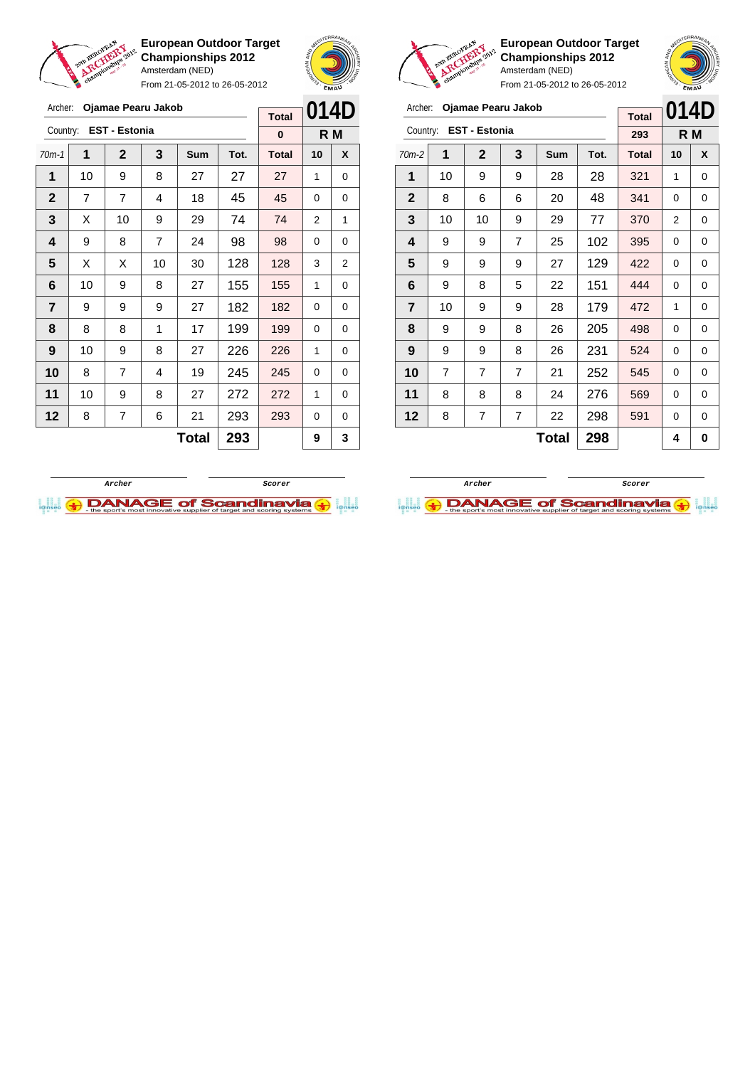

Archer: **Ojamae Pearu Jakob**

Country: **EST - Estonia**

**European Outdoor Target Championships 2012** Amsterdam (NED)

From 21-05-2012 to 26-05-2012

70m-1 **1 2 3 Sum Tot. Total 10 X** | 10 | 9 | 8 | 27 | 27 | 27 | 1 | 0 | 7 | 7 | 4 | 18 | 45 | 45 | 0 | 0  $\mid$  X  $\mid$  10  $\mid$  9  $\mid$  29  $\mid$  74  $\mid$  74  $\mid$  2  $\mid$  1 | 9 | 8 | 7 | 24 | 98 | 98 | 0 | 0  $\mid$  X  $\mid$  X  $\mid$  10  $\mid$  30  $\mid$  128  $\mid$  128  $\mid$  3  $\mid$  2 | 10 | 9 | 8 | 27 | 155 | 155 | 1 | 0 | 9 | 9 | 9 | 27 | 182 | 182 | 0 | 0 | 8 | 8 | 1 | 17 | 199 | 199 | 0 | 0 | 10 | 9 | 8 | 27 | 226 | 226 | 1 | 0 8 7 4 19 **245 245 0 0** | 10 | 9 | 8 | 27 | 272 | 272 | 1 | 0



**R M**

**Total 0**



**European Outdoor Target Championships 2012** Amsterdam (NED)



| Archer:        |    | Ojamae Pearu Jakob   |   |            |      | <b>Total</b> | 014D |     |
|----------------|----|----------------------|---|------------|------|--------------|------|-----|
| Country:       |    | <b>EST - Estonia</b> |   |            |      | 293          |      | R M |
| $70m-2$        | 1  | $\mathbf{2}$         | 3 | <b>Sum</b> | Tot. | <b>Total</b> | 10   | X   |
| 1              | 10 | 9                    | 9 | 28         | 28   | 321          | 1    | 0   |
| $\mathbf{2}$   | 8  | 6                    | 6 | 20         | 48   | 341          | 0    | 0   |
| 3              | 10 | 10                   | 9 | 29         | 77   | 370          | 2    | 0   |
| 4              | 9  | 9                    | 7 | 25         | 102  | 395          | 0    | 0   |
| 5              | 9  | 9                    | 9 | 27         | 129  | 422          | 0    | 0   |
| 6              | 9  | 8                    | 5 | 22         | 151  | 444          | 0    | 0   |
| $\overline{7}$ | 10 | 9                    | 9 | 28         | 179  | 472          | 1    | 0   |
| 8              | 9  | 9                    | 8 | 26         | 205  | 498          | 0    | 0   |
| 9              | 9  | 9                    | 8 | 26         | 231  | 524          | 0    | 0   |
| 10             | 7  | 7                    | 7 | 21         | 252  | 545          | 0    | 0   |
| 11             | 8  | 8                    | 8 | 24         | 276  | 569          | 0    | 0   |
| 12             | 8  | 7                    | 7 | 22         | 298  | 591          | 0    | 0   |
|                |    |                      |   | 4          | 0    |              |      |     |



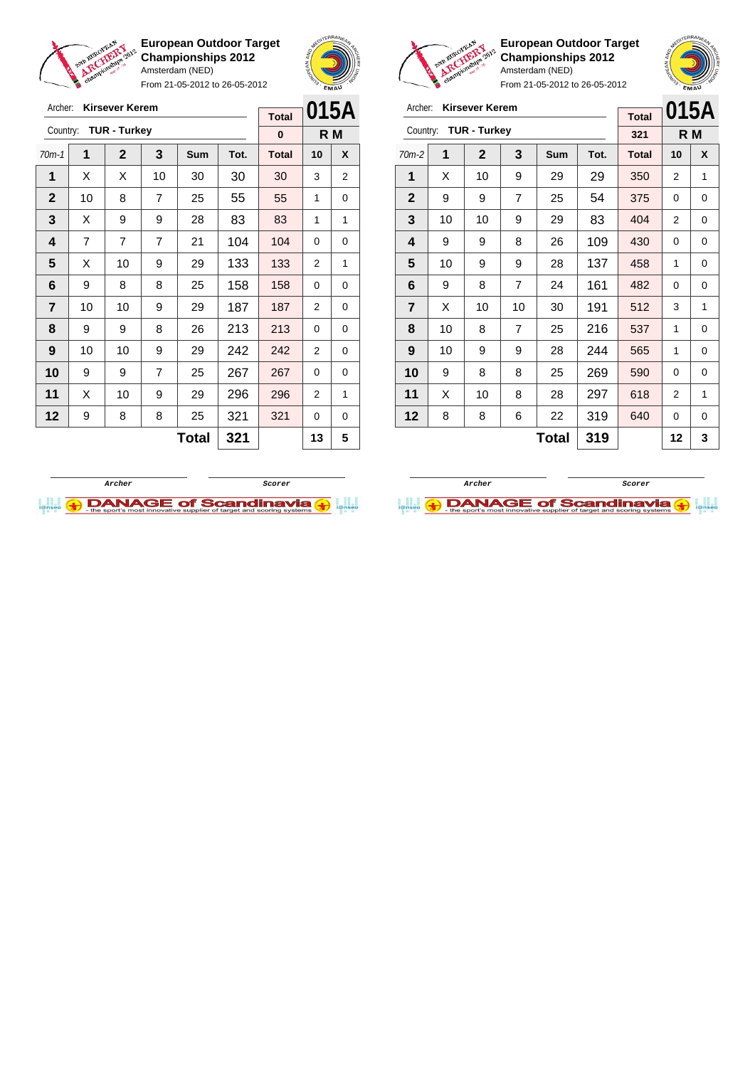

From 21-05-2012 to 26-05-2012





**European Outdoor Target Championships 2012** Amsterdam (NED)



| Archer:                 |    | <b>Kirsever Kerem</b> |                |       |      | <b>Total</b> | 015A<br>R M |   |  |  |
|-------------------------|----|-----------------------|----------------|-------|------|--------------|-------------|---|--|--|
| Country:                |    | <b>TUR - Turkey</b>   |                |       |      | 321          |             |   |  |  |
| $70m-2$                 | 1  | $\mathbf{2}$          | 3              | Sum   | Tot. | <b>Total</b> | 10          | X |  |  |
| 1                       | X  | 10                    | 9              | 29    | 29   | 350          | 2           | 1 |  |  |
| $\mathbf{2}$            | 9  | 9                     | $\overline{7}$ | 25    | 54   | 375          | $\Omega$    | 0 |  |  |
| 3                       | 10 | 10                    | 9              | 29    | 83   | 404          | 2           | 0 |  |  |
| 4                       | 9  | 9                     | 8              | 26    | 109  | 430          | $\Omega$    | 0 |  |  |
| 5                       | 10 | 9                     | 9              | 28    | 137  | 458          | 1           | 0 |  |  |
| 6                       | 9  | 8                     | $\overline{7}$ | 24    | 161  | 482          | 0           | 0 |  |  |
| $\overline{\mathbf{r}}$ | X  | 10                    | 10             | 30    | 191  | 512          | 3           | 1 |  |  |
| 8                       | 10 | 8                     | $\overline{7}$ | 25    | 216  | 537          | 1           | 0 |  |  |
| 9                       | 10 | 9                     | 9              | 28    | 244  | 565          | 1           | 0 |  |  |
| 10                      | 9  | 8                     | 8              | 25    | 269  | 590          | 0           | 0 |  |  |
| 11                      | X  | 10                    | 8              | 28    | 297  | 618          | 2           | 1 |  |  |
| 12                      | 8  | 8                     | 6              | 22    | 319  | 640          | 0           | 0 |  |  |
|                         |    |                       |                | Total | 319  |              | 12          | 3 |  |  |





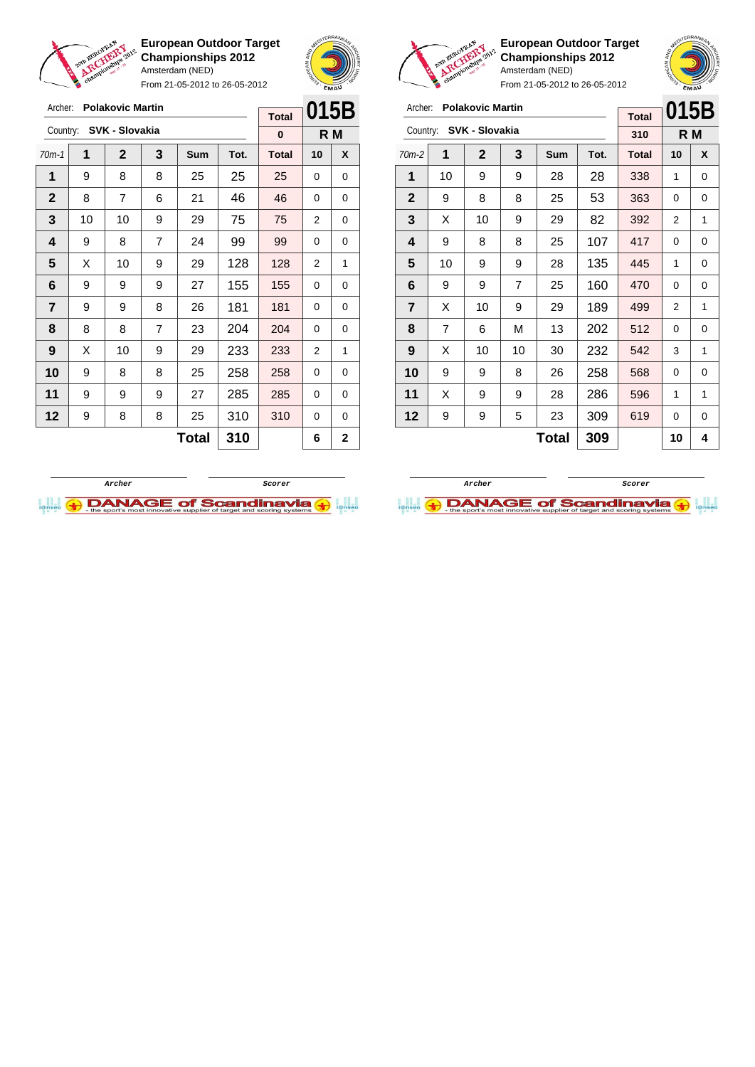

Archer: **Polakovic Martin**

**European Outdoor Target Championships 2012** Amsterdam (NED)

From 21-05-2012 to 26-05-2012





**European Outdoor Target Championships 2012** Amsterdam (NED)

| <b>Polakovic Martin</b><br>Archer:<br>SVK - Slovakia<br>Country:<br>1<br>$\mathbf{2}$<br>3<br>1<br>9<br>10<br>9<br>$\mathbf{2}$<br>8<br>8<br>9<br>3<br>X<br>10<br>9<br>4<br>9<br>8<br>8<br>5<br>10<br>9<br>9<br>6<br>$\overline{7}$<br>9<br>9<br>$\overline{7}$<br>X<br>9<br>10<br>8<br>$\overline{7}$<br>6<br>М |   |    | <b>Total</b> | 015B         |      |              |    |     |
|------------------------------------------------------------------------------------------------------------------------------------------------------------------------------------------------------------------------------------------------------------------------------------------------------------------|---|----|--------------|--------------|------|--------------|----|-----|
|                                                                                                                                                                                                                                                                                                                  |   |    |              |              |      | 310          |    | R M |
| $70m-2$                                                                                                                                                                                                                                                                                                          |   |    |              | Sum          | Tot. | <b>Total</b> | 10 | X   |
|                                                                                                                                                                                                                                                                                                                  |   |    |              | 28           | 28   | 338          | 1  | 0   |
|                                                                                                                                                                                                                                                                                                                  |   |    |              | 25           | 53   | 363          | 0  | 0   |
|                                                                                                                                                                                                                                                                                                                  |   |    |              | 29           | 82   | 392          | 2  | 1   |
|                                                                                                                                                                                                                                                                                                                  |   |    |              | 25           | 107  | 417          | 0  | 0   |
|                                                                                                                                                                                                                                                                                                                  |   |    |              | 28           | 135  | 445          | 1  | 0   |
|                                                                                                                                                                                                                                                                                                                  |   |    |              | 25           | 160  | 470          | 0  | 0   |
|                                                                                                                                                                                                                                                                                                                  |   |    |              | 29           | 189  | 499          | 2  | 1   |
|                                                                                                                                                                                                                                                                                                                  |   |    |              | 13           | 202  | 512          | 0  | 0   |
| 9                                                                                                                                                                                                                                                                                                                | X | 10 | 10           | 30           | 232  | 542          | 3  | 1   |
| 10                                                                                                                                                                                                                                                                                                               | 9 | 9  | 8            | 26           | 258  | 568          | 0  | 0   |
| 11                                                                                                                                                                                                                                                                                                               | X | 9  | 9            | 28           | 286  | 596          | 1  | 1   |
| 12                                                                                                                                                                                                                                                                                                               | 9 | 9  | 5            | 23           | 309  | 619          | 0  | 0   |
|                                                                                                                                                                                                                                                                                                                  |   |    |              | <b>Total</b> | 309  |              | 10 | 4   |

| Archer:                 |    | <b>Polakovic Martin</b> |                | <b>Total</b> | 015B |              |    |     |
|-------------------------|----|-------------------------|----------------|--------------|------|--------------|----|-----|
| Country:                |    | SVK - Slovakia          |                |              |      | 0            |    | R M |
| $70m-1$                 | 1  | $\mathbf{2}$            | 3              | <b>Sum</b>   | Tot. | <b>Total</b> | 10 | X   |
| 1                       | 9  | 8                       | 8              | 25           | 25   | 25           | 0  | 0   |
| $\mathbf 2$             | 8  | $\overline{7}$          | 6              | 21           | 46   | 46           | 0  | 0   |
| 3                       | 10 | 10                      | 9              | 29           | 75   | 75           | 2  | 0   |
| $\overline{\mathbf{4}}$ | 9  | 8                       | 7              | 24           | 99   | 99           | 0  | 0   |
| 5                       | X  | 10                      | 9              | 29           | 128  | 128          | 2  | 1   |
| 6                       | 9  | 9                       | 9              | 27           | 155  | 155          | 0  | 0   |
| $\overline{7}$          | 9  | 9                       | 8              | 26           | 181  | 181          | 0  | 0   |
| 8                       | 8  | 8                       | $\overline{7}$ | 23           | 204  | 204          | 0  | 0   |
| 9                       | X  | 10                      | 9              | 29           | 233  | 233          | 2  | 1   |
| 10                      | 9  | 8                       | 8              | 25           | 258  | 258          | 0  | 0   |
| 11                      | 9  | 9                       | 9              | 27           | 285  | 285          | 0  | 0   |
| 12                      | 9  | 8                       | 8              | 25           | 310  | 310          | 0  | 0   |
|                         |    |                         |                | <b>Total</b> | 310  |              | 6  | 2   |
|                         |    |                         |                |              |      |              |    |     |

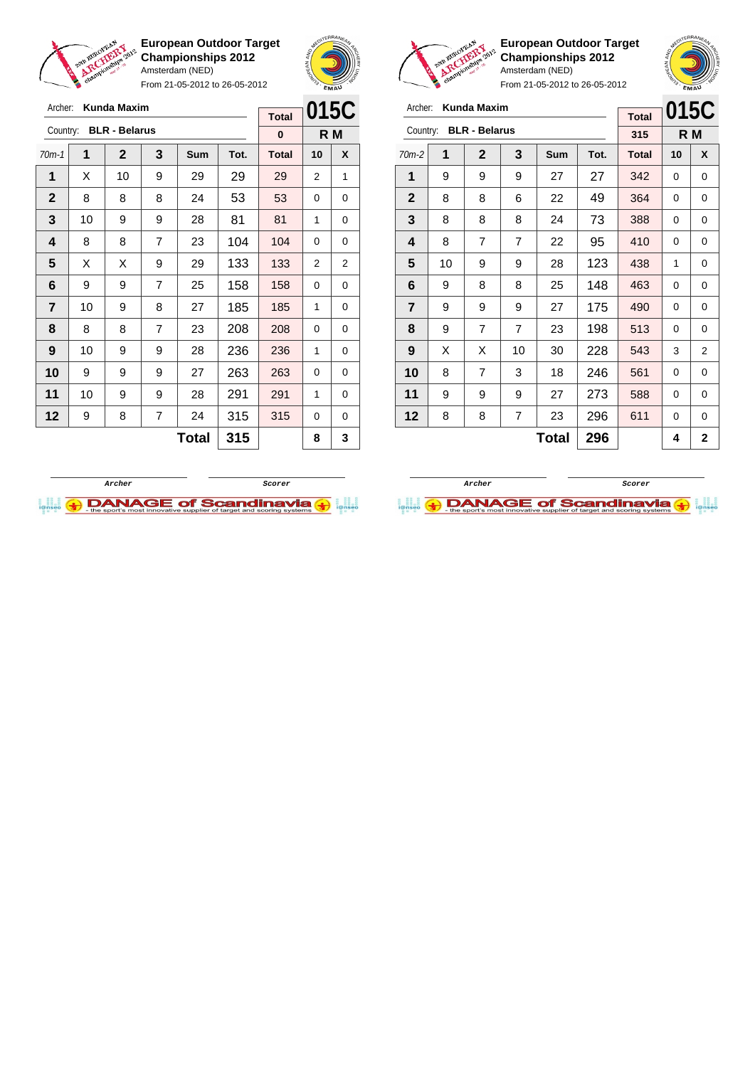



From 21-05-2012 to 26-05-2012

| Archer:                 |    | <b>Kunda Maxim</b>   |                |       |      | <b>Total</b> | 015C |                |
|-------------------------|----|----------------------|----------------|-------|------|--------------|------|----------------|
| Country:                |    | <b>BLR - Belarus</b> |                |       |      | 0            | R M  |                |
| $70m-1$                 | 1  | $\mathbf{2}$         | 3              | Sum   | Tot. | <b>Total</b> | 10   | X              |
| 1                       | X  | 10                   | 9              | 29    | 29   | 29           | 2    | 1              |
| $\mathbf 2$             | 8  | 8                    | 8              | 24    | 53   | 53           | 0    | 0              |
| 3                       | 10 | 9                    | 9              | 28    | 81   | 81           | 1    | 0              |
| $\overline{\mathbf{4}}$ | 8  | 8                    | 7              | 23    | 104  | 104          | 0    | 0              |
| 5                       | X  | X                    | 9              | 29    | 133  | 133          | 2    | $\overline{2}$ |
| 6                       | 9  | 9                    | $\overline{7}$ | 25    | 158  | 158          | 0    | 0              |
| $\overline{7}$          | 10 | 9                    | 8              | 27    | 185  | 185          | 1    | 0              |
| 8                       | 8  | 8                    | $\overline{7}$ | 23    | 208  | 208          | 0    | 0              |
| 9                       | 10 | 9                    | 9              | 28    | 236  | 236          | 1    | 0              |
| 10                      | 9  | 9                    | 9              | 27    | 263  | 263          | 0    | 0              |
| 11                      | 10 | 9                    | 9              | 28    | 291  | 291          | 1    | 0              |
| 12                      | 9  | 8                    | $\overline{7}$ | 24    | 315  | 315          | 0    | 0              |
|                         |    |                      |                | Total | 315  |              | 8    | 3              |



**European Outdoor Target Championships 2012** Amsterdam (NED)

| Archer:        |    | <b>Kunda Maxim</b>   |    |              |      | <b>Total</b> | 015C |                |
|----------------|----|----------------------|----|--------------|------|--------------|------|----------------|
| Country:       |    | <b>BLR - Belarus</b> |    |              |      | 315          |      | R M            |
| $70m-2$        | 1  | $\mathbf 2$          | 3  | Sum          | Tot. | <b>Total</b> | 10   | X              |
| 1              | 9  | 9                    | 9  | 27           | 27   | 342          | 0    | 0              |
| $\mathbf{2}$   | 8  | 8                    | 6  | 22           | 49   | 364          | 0    | 0              |
| 3              | 8  | 8                    | 8  | 24           | 73   | 388          | 0    | 0              |
| 4              | 8  | 7                    | 7  | 22           | 95   | 410          | 0    | 0              |
| 5              | 10 | 9                    | 9  | 28           | 123  | 438          | 1    | 0              |
| 6              | 9  | 8                    | 8  | 25           | 148  | 463          | 0    | 0              |
| $\overline{7}$ | 9  | 9                    | 9  | 27           | 175  | 490          | 0    | 0              |
| 8              | 9  | 7                    | 7  | 23           | 198  | 513          | 0    | 0              |
| 9              | X  | X                    | 10 | 30           | 228  | 543          | 3    | 2              |
| 10             | 8  | $\overline{7}$       | 3  | 18           | 246  | 561          | 0    | 0              |
| 11             | 9  | 9                    | 9  | 27           | 273  | 588          | 0    | 0              |
| 12             | 8  | 8                    | 7  | 23           | 296  | 611          | 0    | 0              |
|                |    |                      |    | <b>Total</b> | 296  |              | 4    | $\overline{2}$ |



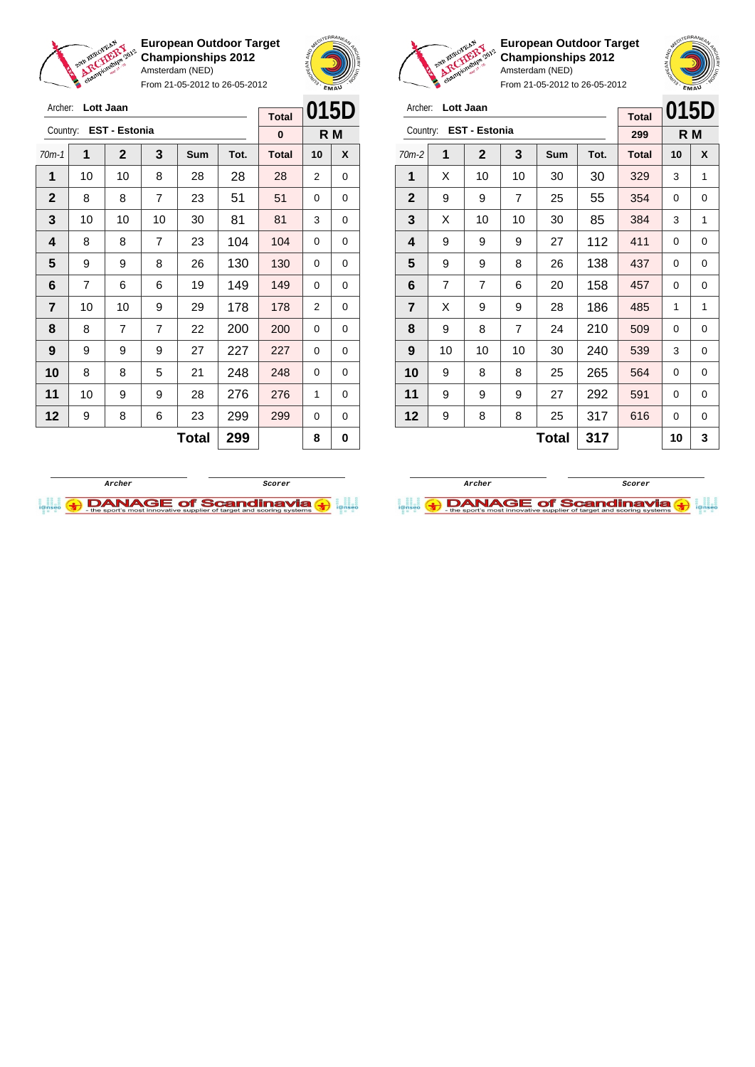



From 21-05-2012 to 26-05-2012

| Archer:        |    | Lott Jaan            |                |              |      | <b>Total</b> |          | 015D |
|----------------|----|----------------------|----------------|--------------|------|--------------|----------|------|
| Country:       |    | <b>EST - Estonia</b> |                |              |      | $\bf{0}$     |          | R M  |
| $70m-1$        | 1  | $\mathbf{2}$         | 3              | Sum          | Tot. | <b>Total</b> | 10       | X    |
| 1              | 10 | 10                   | 8              | 28           | 28   | 28           | 2        | 0    |
| $\mathbf 2$    | 8  | 8                    | $\overline{7}$ | 23           | 51   | 51           | 0        | 0    |
| 3              | 10 | 10                   | 10             | 30           | 81   | 81           | 3        | 0    |
| 4              | 8  | 8                    | $\overline{7}$ | 23           | 104  | 104          | 0        | 0    |
| 5              | 9  | 9                    | 8              | 26           | 130  | 130          | $\Omega$ | 0    |
| 6              | 7  | 6                    | 6              | 19           | 149  | 149          | 0        | 0    |
| $\overline{7}$ | 10 | 10                   | 9              | 29           | 178  | 178          | 2        | 0    |
| 8              | 8  | $\overline{7}$       | 7              | 22           | 200  | 200          | 0        | 0    |
| 9              | 9  | 9                    | 9              | 27           | 227  | 227          | 0        | 0    |
| 10             | 8  | 8                    | 5              | 21           | 248  | 248          | 0        | 0    |
| 11             | 10 | 9                    | 9              | 28           | 276  | 276          | 1        | 0    |
| 12             | 9  | 8                    | 6              | 23           | 299  | 299          | 0        | 0    |
|                |    |                      |                | <b>Total</b> | 299  |              | 8        | 0    |



**European Outdoor Target Championships 2012** Amsterdam (NED)

| Archer:        |                | Lott Jaan              |    |            |      | <b>Total</b> | 015D |     |
|----------------|----------------|------------------------|----|------------|------|--------------|------|-----|
|                |                | Country: EST - Estonia |    |            |      | 299          |      | R M |
| $70m-2$        | 1              | $\mathbf 2$            | 3  | <b>Sum</b> | Tot. | <b>Total</b> | 10   | X   |
| 1              | X              | 10                     | 10 | 30         | 30   | 329          | 3    | 1   |
| $\mathbf{2}$   | 9              | 9                      | 7  | 25         | 55   | 354          | 0    | 0   |
| 3              | X              | 10                     | 10 | 30         | 85   | 384          | 3    | 1   |
| 4              | 9              | 9                      | 9  | 27         | 112  | 411          | 0    | 0   |
| 5              | 9              | 9                      | 8  | 26         | 138  | 437          | 0    | 0   |
| 6              | $\overline{7}$ | 7                      | 6  | 20         | 158  | 457          | 0    | 0   |
| $\overline{7}$ | X              | 9                      | 9  | 28         | 186  | 485          | 1    | 1   |
| 8              | 9              | 8                      | 7  | 24         | 210  | 509          | 0    | 0   |
| 9              | 10             | 10                     | 10 | 30         | 240  | 539          | 3    | 0   |
| 10             | 9              | 8                      | 8  | 25         | 265  | 564          | 0    | 0   |
| 11             | 9              | 9                      | 9  | 27         | 292  | 591          | 0    | 0   |
| 12             | 9              | 8                      | 8  | 25         | 317  | 616          | 0    | 0   |
|                |                |                        |    | Total      | 317  |              | 10   | 3   |



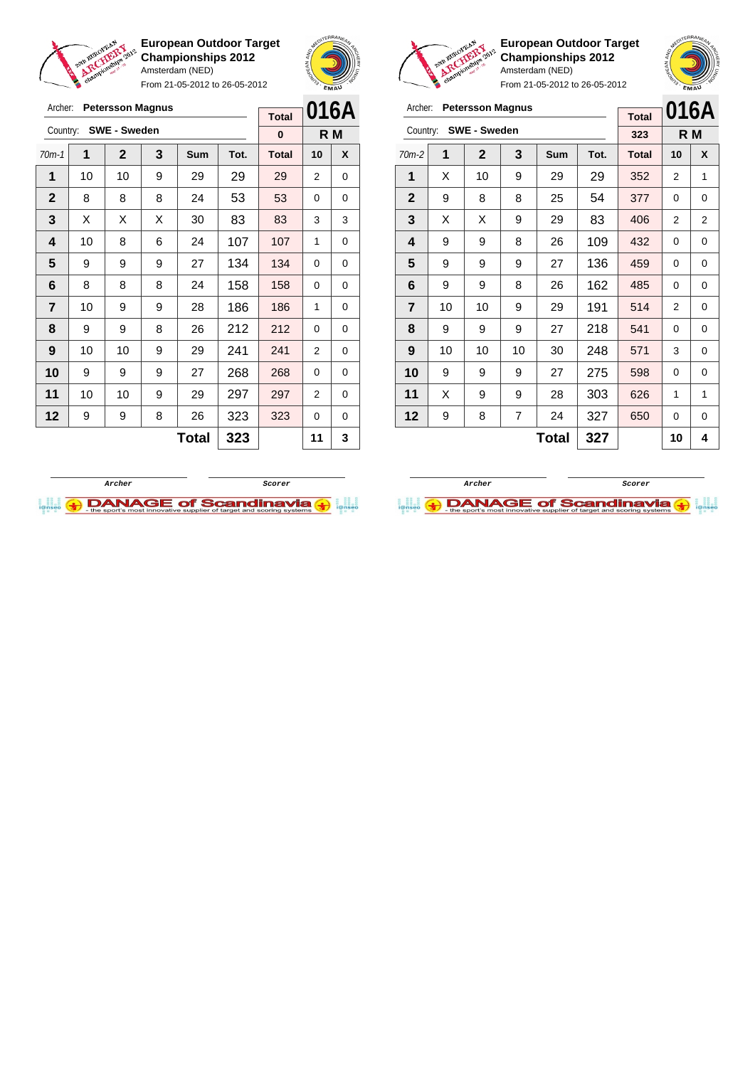

Archer: **Petersson Magnus**

**European Outdoor Target Championships 2012** Amsterdam (NED)

From 21-05-2012 to 26-05-2012





From 21-05-2012 to 26-05-2012

|                | Archer:<br><b>Petersson Magnus</b> |                     |    |                                                                                                                                                                                                                                                                                                                                     |     |     |   |   |
|----------------|------------------------------------|---------------------|----|-------------------------------------------------------------------------------------------------------------------------------------------------------------------------------------------------------------------------------------------------------------------------------------------------------------------------------------|-----|-----|---|---|
| Country:       |                                    | <b>SWE - Sweden</b> |    | 016A<br><b>Total</b><br>R M<br>323<br>3<br>X<br>Sum<br>Tot.<br><b>Total</b><br>10<br>9<br>29<br>29<br>352<br>1<br>2<br>54<br>8<br>25<br>377<br>0<br>0<br>83<br>9<br>29<br>406<br>2<br>2<br>109<br>432<br>8<br>26<br>0<br>0<br>136<br>9<br>27<br>459<br>0<br>0<br>162<br>8<br>26<br>485<br>0<br>0<br>191<br>9<br>514<br>29<br>2<br>0 |     |     |   |   |
| $70m-2$        | 1                                  | $\mathbf{2}$        |    |                                                                                                                                                                                                                                                                                                                                     |     |     |   |   |
| 1              | X                                  | 10                  |    |                                                                                                                                                                                                                                                                                                                                     |     |     |   |   |
| $\mathbf{2}$   | 9                                  | 8                   |    |                                                                                                                                                                                                                                                                                                                                     |     |     |   |   |
| 3              | X                                  | X                   |    |                                                                                                                                                                                                                                                                                                                                     |     |     |   |   |
| 4              | 9                                  | 9                   |    |                                                                                                                                                                                                                                                                                                                                     |     |     |   |   |
| 5              | 9                                  | 9                   |    |                                                                                                                                                                                                                                                                                                                                     |     |     |   |   |
| 6              | 9                                  | 9                   |    |                                                                                                                                                                                                                                                                                                                                     |     |     |   |   |
| $\overline{7}$ | 10                                 | 10                  |    |                                                                                                                                                                                                                                                                                                                                     |     |     |   |   |
| 8              | 9                                  | 9                   | 9  | 27                                                                                                                                                                                                                                                                                                                                  | 218 | 541 | 0 | 0 |
| 9              | 10                                 | 10                  | 10 | 30                                                                                                                                                                                                                                                                                                                                  | 248 | 571 | 3 | 0 |
| 10             | 9                                  | 9                   | 9  | 27                                                                                                                                                                                                                                                                                                                                  | 275 | 598 | 0 | 0 |
| 11             | X                                  | 9                   | 9  | 28                                                                                                                                                                                                                                                                                                                                  | 303 | 626 | 1 | 1 |
| 12             | 9                                  | 8                   | 7  | 24                                                                                                                                                                                                                                                                                                                                  | 327 | 650 | 0 | 0 |
|                |                                    |                     |    | 10                                                                                                                                                                                                                                                                                                                                  | 4   |     |   |   |

**European Outdoor Target Championships 2012** Amsterdam (NED)

| Archer:        |    | <b>Petersson Magnus</b> |   |     | <b>Total</b> |              | 016A           |     |
|----------------|----|-------------------------|---|-----|--------------|--------------|----------------|-----|
| Country:       |    | <b>SWE - Sweden</b>     |   |     |              | $\bf{0}$     |                | R M |
| $70m-1$        | 1  | $\mathbf 2$             | 3 | Sum | Tot.         | <b>Total</b> | 10             | X   |
| 1              | 10 | 10                      | 9 | 29  | 29           | 29           | 2              | 0   |
| $\mathbf{2}$   | 8  | 8                       | 8 | 24  | 53           | 53           | 0              | 0   |
| 3              | X  | X                       | X | 30  | 83           | 83           | 3              | 3   |
| 4              | 10 | 8                       | 6 | 24  | 107          | 107          | 1              | 0   |
| 5              | 9  | 9                       | 9 | 27  | 134          | 134          | 0              | 0   |
| 6              | 8  | 8                       | 8 | 24  | 158          | 158          | 0              | 0   |
| $\overline{7}$ | 10 | 9                       | 9 | 28  | 186          | 186          | 1              | 0   |
| 8              | 9  | 9                       | 8 | 26  | 212          | 212          | 0              | 0   |
| 9              | 10 | 10                      | 9 | 29  | 241          | 241          | 2              | 0   |
| 10             | 9  | 9                       | 9 | 27  | 268          | 268          | 0              | 0   |
| 11             | 10 | 10                      | 9 | 29  | 297          | 297          | $\overline{2}$ | 0   |
| 12             | 9  | 9                       | 8 | 26  | 323          | 323          | 0              | 0   |
|                |    |                         |   | 11  | 3            |              |                |     |



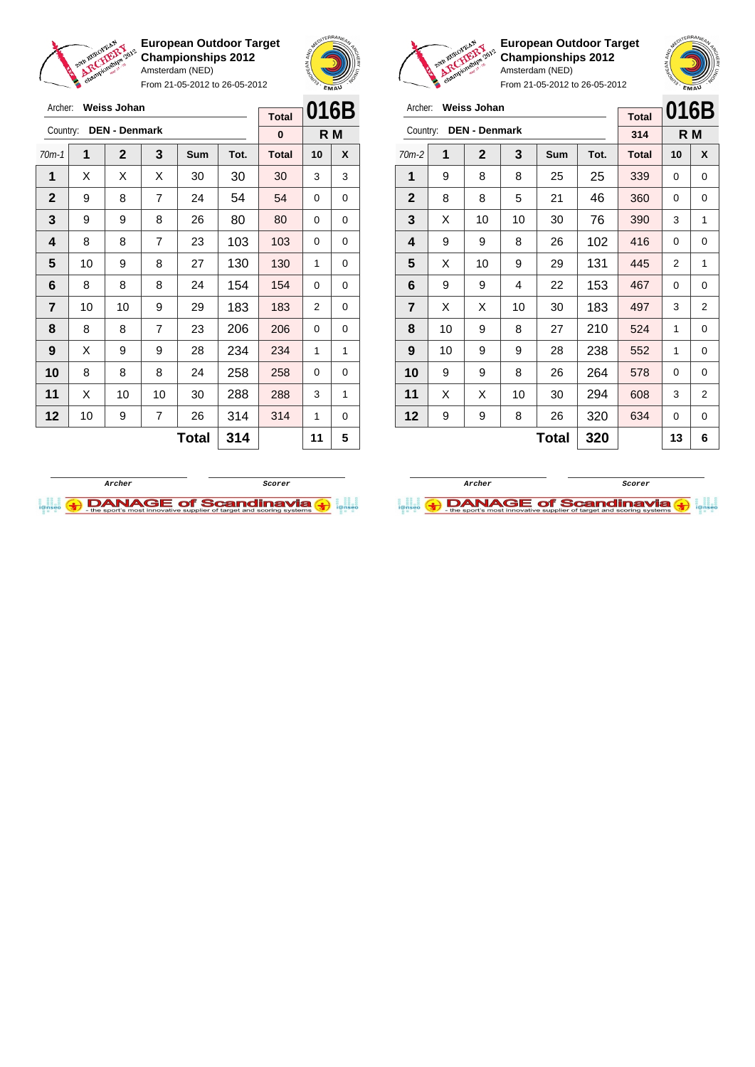

Archer: **Weiss Johan**

**European Outdoor Target Championships 2012** Amsterdam (NED)

From 21-05-2012 to 26-05-2012



**European Outdoor Target Championships 2012** Amsterdam (NED)

From 21-05-2012 to 26-05-2012

| Archer:        |    | <b>Weiss Johan</b>   |    | <b>Total</b> | 016B |              |    |     |
|----------------|----|----------------------|----|--------------|------|--------------|----|-----|
| Country:       |    | <b>DEN - Denmark</b> |    |              |      | 314          |    | R M |
| $70m-2$        | 1  | $\mathbf{2}$         | 3  | Sum          | Tot. | <b>Total</b> | 10 | X   |
| 1              | 9  | 8                    | 8  | 25           | 25   | 339          | 0  | 0   |
| $\mathbf{2}$   | 8  | 8                    | 5  | 21           | 46   | 360          | 0  | 0   |
| 3              | X  | 10                   | 10 | 30           | 76   | 390          | 3  | 1   |
| 4              | 9  | 9                    | 8  | 26           | 102  | 416          | 0  | 0   |
| 5              | X  | 10                   | 9  | 29           | 131  | 445          | 2  | 1   |
| 6              | 9  | 9                    | 4  | 22           | 153  | 467          | 0  | 0   |
| $\overline{7}$ | X  | X                    | 10 | 30           | 183  | 497          | 3  | 2   |
| 8              | 10 | 9                    | 8  | 27           | 210  | 524          | 1  | 0   |
| 9              | 10 | 9                    | 9  | 28           | 238  | 552          | 1  | 0   |
| 10             | 9  | 9                    | 8  | 26           | 264  | 578          | 0  | 0   |
| 11             | X  | X                    | 10 | 30           | 294  | 608          | 3  | 2   |
| 12             | 9  | 9                    | 8  | 26           | 320  | 634          | 0  | 0   |
|                |    |                      |    | 13           | 6    |              |    |     |

**Archer Scorer**

 $\bigoplus$  DANAGE of Scandinavia  $\bigoplus$ 

| Archer:      |              | <b>Weiss Johan</b>   |                | <b>Total</b> | 016B |              |    |     |
|--------------|--------------|----------------------|----------------|--------------|------|--------------|----|-----|
| Country:     |              | <b>DEN - Denmark</b> |                |              |      | 0            |    | R M |
| $70m-1$      | 1            | $\overline{2}$       | 3              | Sum          | Tot. | <b>Total</b> | 10 | X   |
| 1            | X            | X                    | X              | 30           | 30   | 30           | 3  | 3   |
| $\mathbf{2}$ | 9            | 8                    | 7              | 24           | 54   | 54           | 0  | 0   |
| 3            | 9            | 9                    | 8              | 26           | 80   | 80           | 0  | 0   |
| 4            | 8            | 8                    | 7              | 23           | 103  | 103          | 0  | 0   |
| 5            | 10           | 9                    | 8              | 27           | 130  | 130          | 1  | 0   |
| 6            | 8            | 8                    | 8              | 24           | 154  | 154          | 0  | 0   |
| 7            | 10           | 10                   | 9              | 29           | 183  | 183          | 2  | 0   |
| 8            | 8            | 8                    | $\overline{7}$ | 23           | 206  | 206          | 0  | 0   |
| 9            | X            | 9                    | 9              | 28           | 234  | 234          | 1  | 1   |
| 10           | 8            | 8                    | 8              | 24           | 258  | 258          | 0  | 0   |
| 11           | X            | 10                   | 10             | 30           | 288  | 288          | 3  | 1   |
| 12           | 10           | 9                    | 7              | 26           | 314  | 314          | 1  | 0   |
|              | 314<br>Total |                      |                |              |      |              | 11 | 5   |
|              |              |                      |                |              |      |              |    |     |

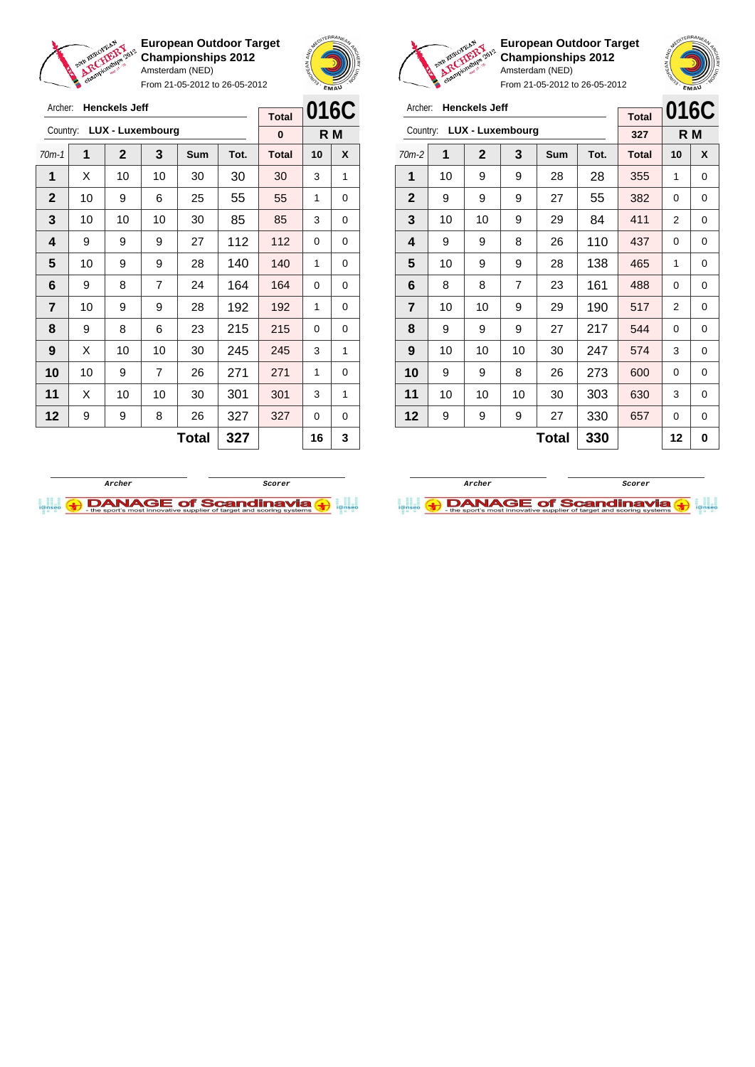

From 21-05-2012 to 26-05-2012





 $\sqrt{2}$ 

**European Outdoor Target Championships 2012** Amsterdam (NED)

| Archer:        |    | <b>Henckels Jeff</b> |                         |     |      | <b>Total</b> | 016C |     |
|----------------|----|----------------------|-------------------------|-----|------|--------------|------|-----|
| Country:       |    |                      | <b>LUX - Luxembourg</b> |     |      | 327          |      | R M |
| $70m-2$        | 1  | $\mathbf{2}$         | 3                       | Sum | Tot. | <b>Total</b> | 10   | X   |
| 1              | 10 | 9                    | 9                       | 28  | 28   | 355          | 1    | 0   |
| $\mathbf 2$    | 9  | 9                    | 9                       | 27  | 55   | 382          | 0    | 0   |
| 3              | 10 | 10                   | 9                       | 29  | 84   | 411          | 2    | 0   |
| 4              | 9  | 9                    | 8                       | 26  | 110  | 437          | 0    | 0   |
| 5              | 10 | 9                    | 9                       | 28  | 138  | 465          | 1    | 0   |
| 6              | 8  | 8                    | $\overline{7}$          | 23  | 161  | 488          | 0    | 0   |
| $\overline{7}$ | 10 | 10                   | 9                       | 29  | 190  | 517          | 2    | 0   |
| 8              | 9  | 9                    | 9                       | 27  | 217  | 544          | 0    | 0   |
| 9              | 10 | 10                   | 10                      | 30  | 247  | 574          | 3    | 0   |
| 10             | 9  | 9                    | 8                       | 26  | 273  | 600          | 0    | 0   |
| 11             | 10 | 10                   | 10                      | 30  | 303  | 630          | 3    | 0   |
| 12             | 9  | 9                    | 9                       | 27  | 330  | 657          | 0    | 0   |
|                |    |                      |                         | 12  | 0    |              |      |     |





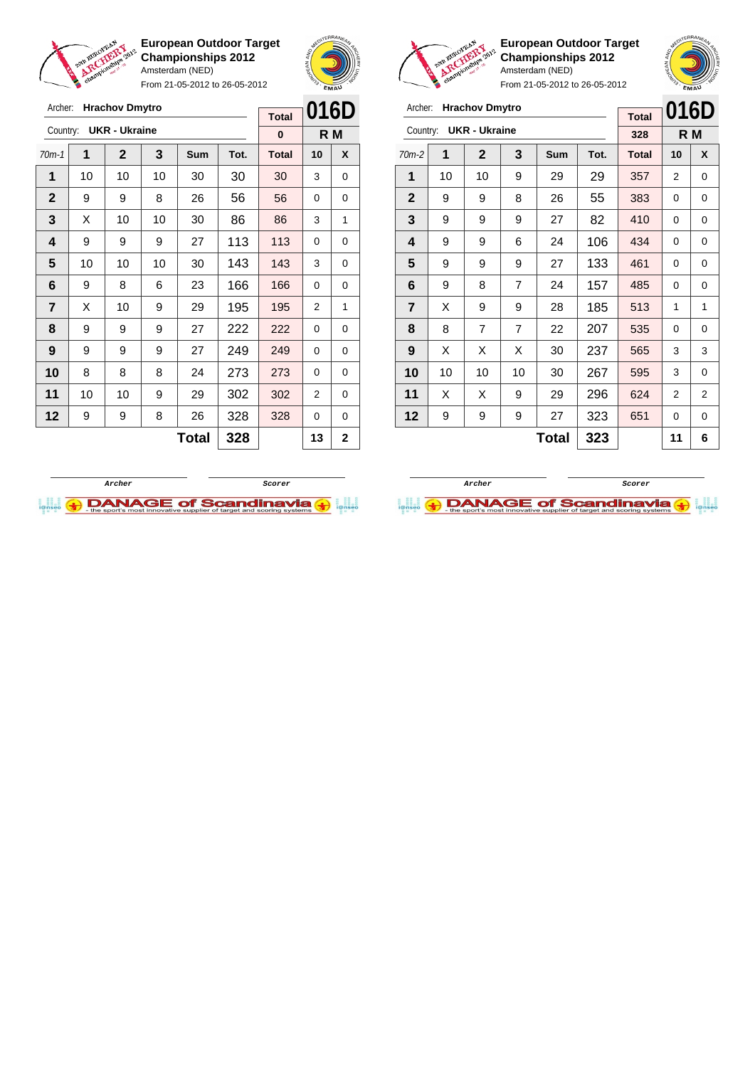

From 21-05-2012 to 26-05-2012





**European Outdoor Target Championships 2012** Amsterdam (NED)

| Archer:        |    | <b>Hrachov Dmytro</b> |                |              |      | <b>Total</b> | 016D           |                |
|----------------|----|-----------------------|----------------|--------------|------|--------------|----------------|----------------|
| Country:       |    | <b>UKR - Ukraine</b>  |                |              |      | 328          |                | R <sub>M</sub> |
| $70m-2$        | 1  | $\mathbf{2}$          | 3              | Sum          | Tot. | <b>Total</b> | 10             | X              |
| 1              | 10 | 10                    | 9              | 29           | 29   | 357          | 2              | 0              |
| $\mathbf{2}$   | 9  | 9                     | 8              | 26           | 55   | 383          | 0              | 0              |
| 3              | 9  | 9                     | 9              | 27           | 82   | 410          | $\Omega$       | 0              |
| 4              | 9  | 9                     | 6              | 24           | 106  | 434          | 0              | 0              |
| 5              | 9  | 9                     | 9              | 27           | 133  | 461          | 0              | 0              |
| 6              | 9  | 8                     | 7              | 24           | 157  | 485          | 0              | 0              |
| $\overline{7}$ | X  | 9                     | 9              | 28           | 185  | 513          | 1              | 1              |
| 8              | 8  | $\overline{7}$        | $\overline{7}$ | 22           | 207  | 535          | 0              | 0              |
| 9              | X  | X                     | X              | 30           | 237  | 565          | 3              | 3              |
| 10             | 10 | 10                    | 10             | 30           | 267  | 595          | 3              | 0              |
| 11             | X  | X                     | 9              | 29           | 296  | 624          | $\overline{2}$ | $\overline{2}$ |
| 12             | 9  | 9                     | 9              | 27           | 323  | 651          | 0              | 0              |
|                |    |                       |                | <b>Total</b> | 323  |              | 11             | 6              |





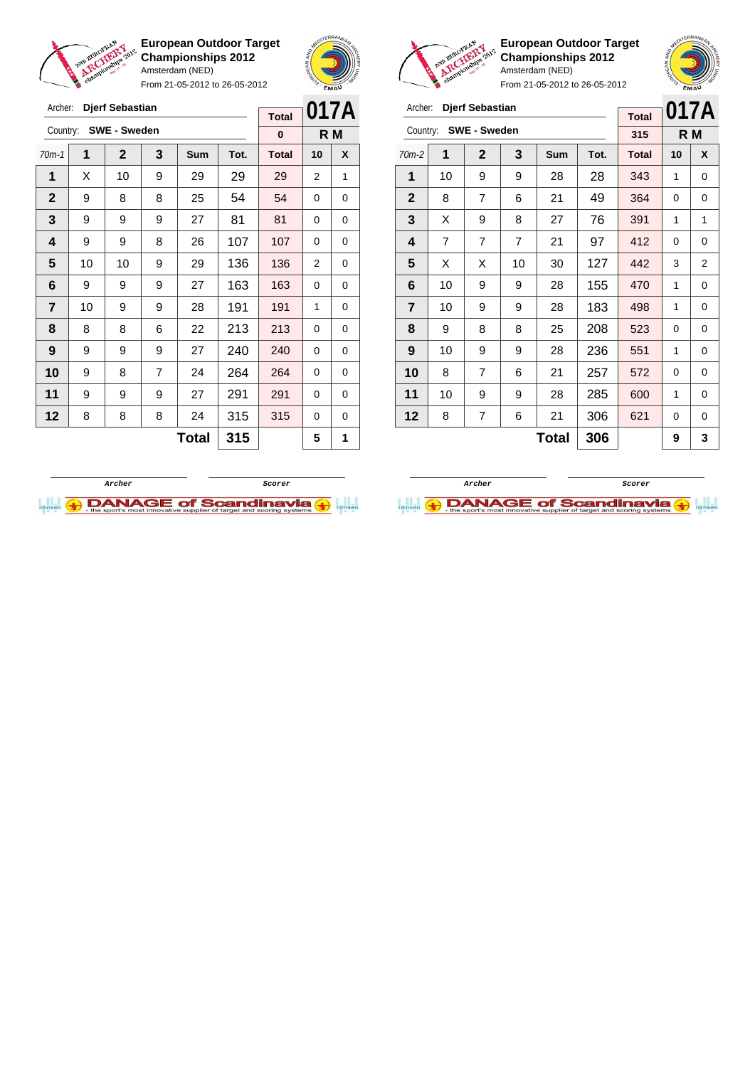

Archer: **Djerf Sebastian** Country: **SWE - Sweden**

**European Outdoor Target Championships 2012** Amsterdam (NED)

From 21-05-2012 to 26-05-2012

70m-1 **1 2 3 Sum Tot. Total 10 X** | X | 10 | 9 | 29 | 29 | 29 | 2 | 1 9 8 8 25 54 54 0 0 | 9 | 9 | 9 | 27 | 81 | 81 | 0 | 0 | 9 | 9 | 8 | 26 | 107 | 107 | 0 | 0 | 10 | 10 | 9 | 29 | 136 | 136 | 2 | 0 | 9 | 9 | 9 | 27 | 163 | 163 | 0 | 0 | 10 | 9 | 9 | 28 | 191 | 191 | 1 | 0 | 8 | 8 | 6 | 22 | 213 | 213 | 0 | 0 | 9 | 9 | 9 | 27 | 240 | 240 | 0 | 0



**R M**

**Total 0**



**European Outdoor Target Championships 2012** Amsterdam (NED)

From 21-05-2012 to 26-05-2012

| Archer:        | <b>Djerf Sebastian</b> |                     | <b>Total</b> |              | 017A |              |          |                |
|----------------|------------------------|---------------------|--------------|--------------|------|--------------|----------|----------------|
| Country:       |                        | <b>SWE - Sweden</b> |              |              |      | 315          |          | R M            |
| $70m-2$        | 1                      | $\mathbf 2$         | 3            | Sum          | Tot. | <b>Total</b> | 10       | X              |
| 1              | 10                     | 9                   | 9            | 28           | 28   | 343          | 1        | 0              |
| $\mathbf{2}$   | 8                      | $\overline{7}$      | 6            | 21           | 49   | 364          | 0        | 0              |
| 3              | X                      | 9                   | 8            | 27           | 76   | 391          | 1        | 1              |
| 4              | $\overline{7}$         | 7                   | 7            | 21           | 97   | 412          | 0        | 0              |
| 5              | X                      | X                   | 10           | 30           | 127  | 442          | 3        | $\overline{2}$ |
| 6              | 10                     | 9                   | 9            | 28           | 155  | 470          | 1        | 0              |
| $\overline{7}$ | 10                     | 9                   | 9            | 28           | 183  | 498          | 1        | 0              |
| 8              | 9                      | 8                   | 8            | 25           | 208  | 523          | $\Omega$ | 0              |
| 9              | 10                     | 9                   | 9            | 28           | 236  | 551          | 1        | 0              |
| 10             | 8                      | $\overline{7}$      | 6            | 21           | 257  | 572          | 0        | 0              |
| 11             | 10                     | 9                   | 9            | 28           | 285  | 600          | 1        | 0              |
| 12             | 8                      | 7                   | 6            | 21           | 306  | 621          | 0        | 0              |
|                |                        |                     |              | <b>Total</b> | 306  |              | 9        | 3              |

 9 8 7 24 264 264 0 0 | 9 | 9 | 9 | 27 | 291 | 291 | 0 | 0 | 8 | 8 | 8 | 24 | 315 | 315 | 0 | 0 **Total 315 5 1**



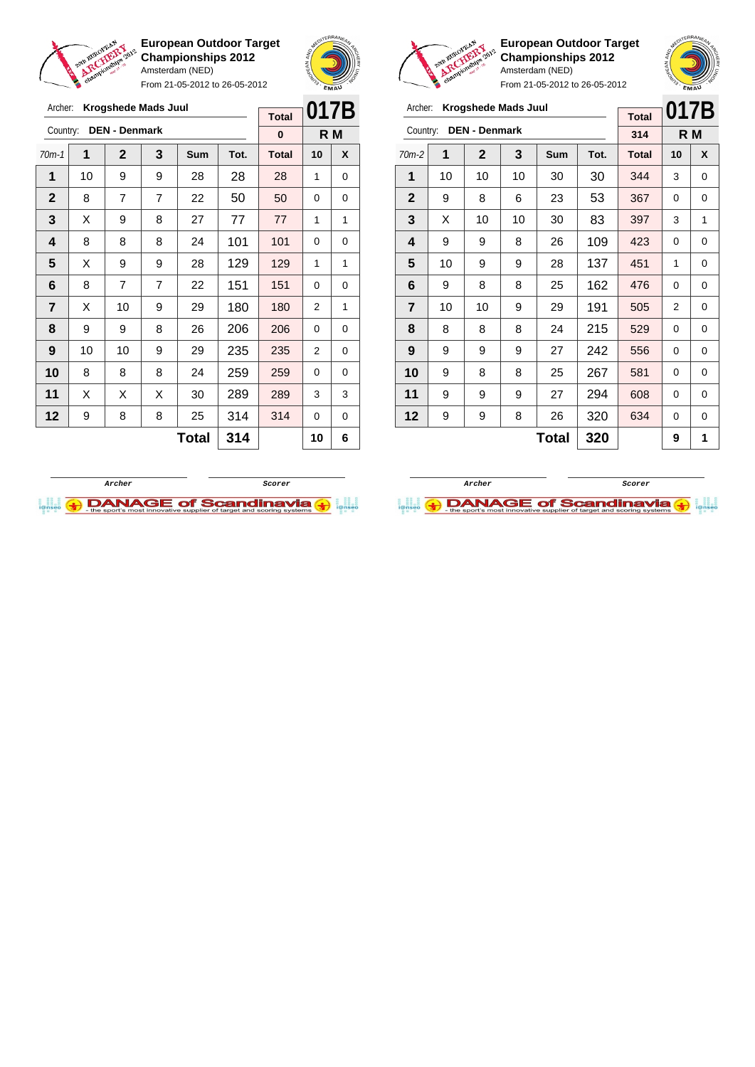

From 21-05-2012 to 26-05-2012





**European Outdoor Target Championships 2012** Amsterdam (NED)



From 21-05-2012 to 26-05-2012 Archer: **Krogshede Mads Juul**

| Archer:                 |              | Krogshede Mads Juul  |    |     |      | <b>Total</b> | 017B     |     |
|-------------------------|--------------|----------------------|----|-----|------|--------------|----------|-----|
| Country:                |              | <b>DEN - Denmark</b> |    |     |      | 314          |          | R M |
| $70m-2$                 | 1            | $\mathbf 2$          | 3  | Sum | Tot. | <b>Total</b> | 10       | X   |
| 1                       | 10           | 10                   | 10 | 30  | 30   | 344          | 3        | 0   |
| $\mathbf{2}$            | 9            | 8                    | 6  | 23  | 53   | 367          | 0        | 0   |
| 3                       | X            | 10                   | 10 | 30  | 83   | 397          | 3        | 1   |
| 4                       | 9            | 9                    | 8  | 26  | 109  | 423          | 0        | 0   |
| 5                       | 10           | 9                    | 9  | 28  | 137  | 451          | 1        | 0   |
| 6                       | 9            | 8                    | 8  | 25  | 162  | 476          | 0        | 0   |
| $\overline{\mathbf{r}}$ | 10           | 10                   | 9  | 29  | 191  | 505          | 2        | 0   |
| 8                       | 8            | 8                    | 8  | 24  | 215  | 529          | $\Omega$ | 0   |
| 9                       | 9            | 9                    | 9  | 27  | 242  | 556          | 0        | 0   |
| 10                      | 9            | 8                    | 8  | 25  | 267  | 581          | 0        | 0   |
| 11                      | 9            | 9                    | 9  | 27  | 294  | 608          | 0        | 0   |
| 12                      | 9            | 9                    | 8  | 26  | 320  | 634          | 0        | 0   |
|                         | 320<br>Total |                      |    |     |      |              | 9        | 1   |





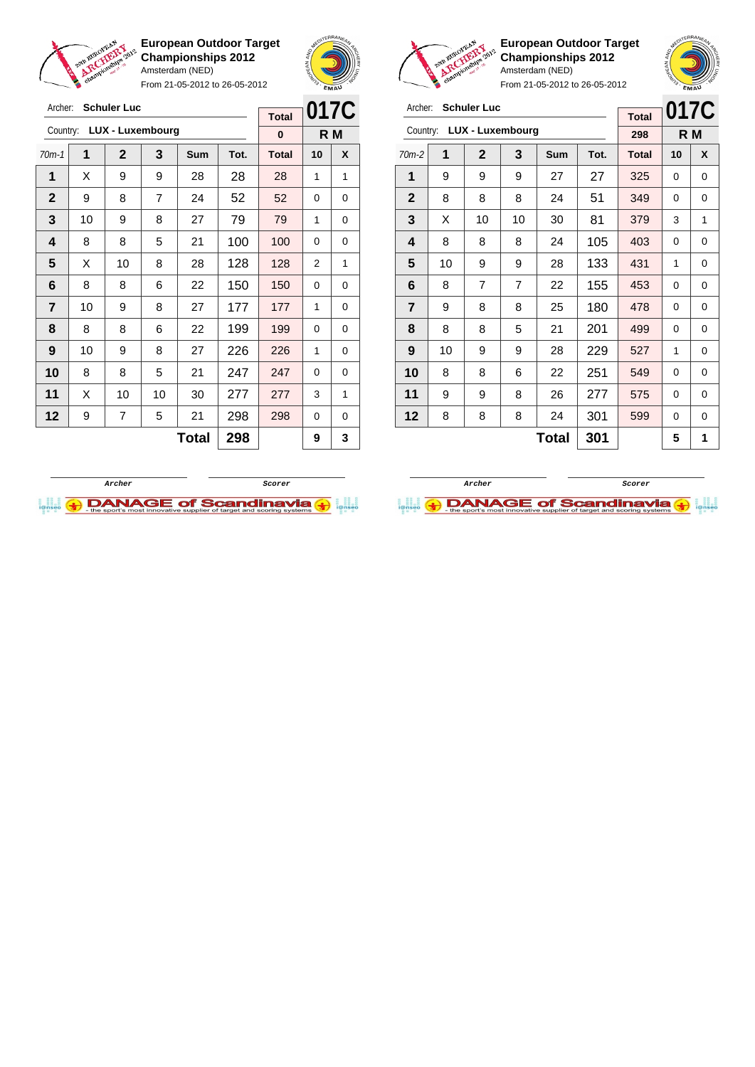



From 21-05-2012 to 26-05-2012

|                | <b>Schuler Luc</b><br>Archer: |                         |    |     |      |              |      |     |
|----------------|-------------------------------|-------------------------|----|-----|------|--------------|------|-----|
|                |                               |                         |    |     |      | <b>Total</b> | 017C |     |
| Country:       |                               | <b>LUX - Luxembourg</b> |    |     |      | 0            |      | R M |
| $70m-1$        | 1                             | $\mathbf{2}$            | 3  | Sum | Tot. | <b>Total</b> | 10   | X   |
| 1              | Х                             | 9                       | 9  | 28  | 28   | 28           | 1    | 1   |
| $\mathbf{2}$   | 9                             | 8                       | 7  | 24  | 52   | 52           | 0    | 0   |
| 3              | 10                            | 9                       | 8  | 27  | 79   | 79           | 1    | 0   |
| 4              | 8                             | 8                       | 5  | 21  | 100  | 100          | 0    | 0   |
| 5              | Х                             | 10                      | 8  | 28  | 128  | 128          | 2    | 1   |
| 6              | 8                             | 8                       | 6  | 22  | 150  | 150          | 0    | 0   |
| $\overline{7}$ | 10                            | 9                       | 8  | 27  | 177  | 177          | 1    | 0   |
| 8              | 8                             | 8                       | 6  | 22  | 199  | 199          | 0    | 0   |
| 9              | 10                            | 9                       | 8  | 27  | 226  | 226          | 1    | 0   |
| 10             | 8                             | 8                       | 5  | 21  | 247  | 247          | 0    | 0   |
| 11             | X                             | 10                      | 10 | 30  | 277  | 277          | 3    | 1   |
| 12             | 9                             | 7                       | 5  | 21  | 298  | 298          | 0    | 0   |
|                |                               |                         |    | 9   | 3    |              |      |     |



**European Outdoor Target Championships 2012** Amsterdam (NED)

|                         | <b>Schuler Luc</b><br>Archer: |                         |    |     |      |              | 017C |     |
|-------------------------|-------------------------------|-------------------------|----|-----|------|--------------|------|-----|
| Country:                |                               | <b>LUX - Luxembourg</b> |    |     |      | 298          |      | R M |
| $70m-2$                 | 1                             | $\overline{2}$          | 3  | Sum | Tot. | <b>Total</b> | 10   | X   |
| 1                       | 9                             | 9                       | 9  | 27  | 27   | 325          | 0    | 0   |
| $\mathbf{2}$            | 8                             | 8                       | 8  | 24  | 51   | 349          | 0    | 0   |
| 3                       | X                             | 10                      | 10 | 30  | 81   | 379          | 3    | 1   |
| 4                       | 8                             | 8                       | 8  | 24  | 105  | 403          | 0    | 0   |
| 5                       | 10                            | 9                       | 9  | 28  | 133  | 431          | 1    | 0   |
| 6                       | 8                             | 7                       | 7  | 22  | 155  | 453          | 0    | 0   |
| $\overline{\mathbf{r}}$ | 9                             | 8                       | 8  | 25  | 180  | 478          | 0    | 0   |
| 8                       | 8                             | 8                       | 5  | 21  | 201  | 499          | 0    | 0   |
| 9                       | 10                            | 9                       | 9  | 28  | 229  | 527          | 1    | 0   |
| 10                      | 8                             | 8                       | 6  | 22  | 251  | 549          | 0    | 0   |
| 11                      | 9                             | 9                       | 8  | 26  | 277  | 575          | 0    | 0   |
| 12                      | 8                             | 8                       | 8  | 24  | 301  | 599          | 0    | 0   |
|                         |                               |                         |    | 5   | 1    |              |      |     |



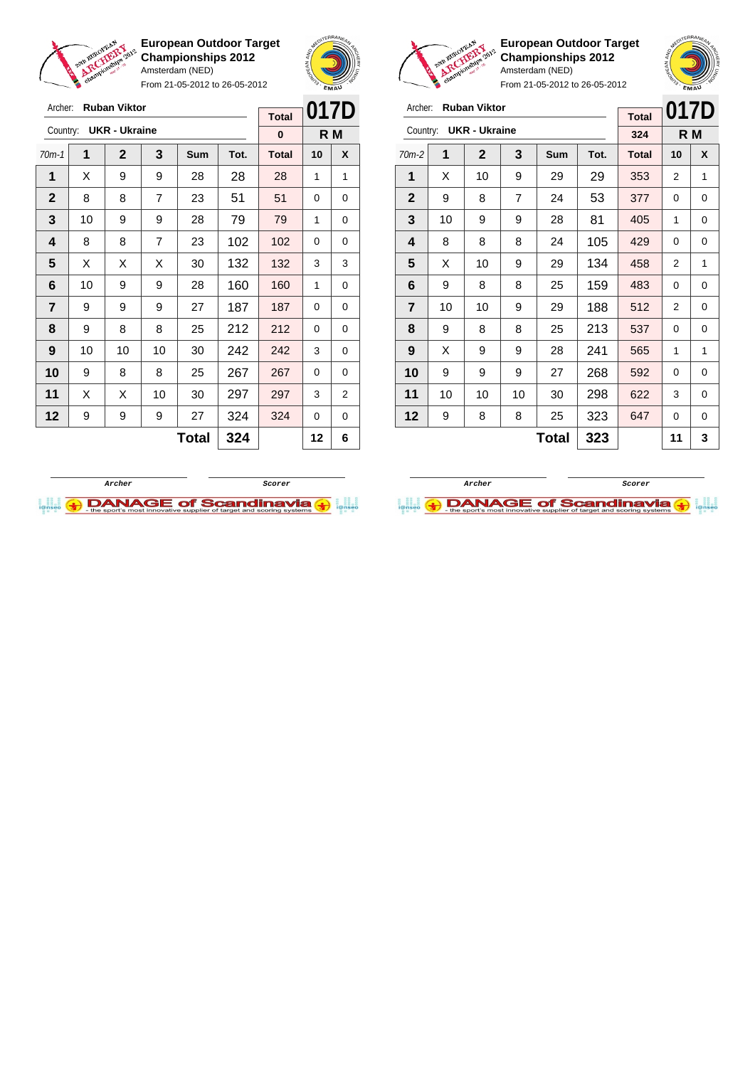

Archer: **Ruban Viktor** Country: **UKR - Ukraine**

**European Outdoor Target Championships 2012** Amsterdam (NED)

From 21-05-2012 to 26-05-2012

70m-1 **1 2 3 Sum Tot. Total 10 X**  $\mid$  X  $\mid$  9  $\mid$  9  $\mid$  28  $\mid$  28  $\mid$  28  $\mid$  1  $\mid$  1  $\begin{array}{|c|c|c|c|c|c|c|c|c|}\hline \textbf{2} & \textbf{8} & \textbf{8} & \textbf{7} & \textbf{23} & \textbf{51} & \textbf{51} & \textbf{0} & \textbf{0} \ \hline \end{array}$  | 10 | 9 | 9 | 28 | 79 | 79 | 1 | 0 | 8 | 8 | 7 | 23 | 102 | 102 | 0 | 0  $\mid$  X  $\mid$  X  $\mid$  X  $\mid$  30  $\mid$  132  $\mid$  132  $\mid$  3  $\mid$  3 | 10 | 9 | 9 | 28 | 160 | 160 | 1 | 0 | 9 | 9 | 9 | 27 | 187 | 187 | 0 | 0 | 9 | 8 | 8 | 25 | 212 | 212 | 0 | 0 | 10 | 10 | 10 | 30 | 242 | 242 | 3 | 0 9 8 8 25 267 267 0 0 | X | X | 10 | 30 | **297 | 297 |** 3 | 2 9 9 9 27 324 324 0 0



**R M**

**Total 0**



**European Outdoor Target Championships 2012** Amsterdam (NED)

From 21-05-2012 to 26-05-2012

|              | <b>Ruban Viktor</b><br>Archer:<br><b>Total</b> |                      |    |     |      |              | 017D     |     |
|--------------|------------------------------------------------|----------------------|----|-----|------|--------------|----------|-----|
| Country:     |                                                | <b>UKR - Ukraine</b> |    |     |      | 324          |          | R M |
| $70m-2$      | 1                                              | $\mathbf{2}$         | 3  | Sum | Tot. | <b>Total</b> | 10       | X   |
| 1            | X                                              | 10                   | 9  | 29  | 29   | 353          | 2        | 1   |
| $\mathbf{2}$ | 9                                              | 8                    | 7  | 24  | 53   | 377          | 0        | 0   |
| 3            | 10                                             | 9                    | 9  | 28  | 81   | 405          | 1        | 0   |
| 4            | 8                                              | 8                    | 8  | 24  | 105  | 429          | 0        | 0   |
| 5            | X                                              | 10                   | 9  | 29  | 134  | 458          | 2        | 1   |
| 6            | 9                                              | 8                    | 8  | 25  | 159  | 483          | 0        | 0   |
| 7            | 10                                             | 10                   | 9  | 29  | 188  | 512          | 2        | 0   |
| 8            | 9                                              | 8                    | 8  | 25  | 213  | 537          | $\Omega$ | 0   |
| 9            | Χ                                              | 9                    | 9  | 28  | 241  | 565          | 1        | 1   |
| 10           | 9                                              | 9                    | 9  | 27  | 268  | 592          | 0        | 0   |
| 11           | 10                                             | 10                   | 10 | 30  | 298  | 622          | 3        | 0   |
| 12           | 9                                              | 8                    | 8  | 25  | 323  | 647          | 0        | 0   |
|              | 323<br>Total                                   |                      |    |     |      |              | 11       | 3   |



**DANAGE of Scandinavia** 



**Total 324 12 6**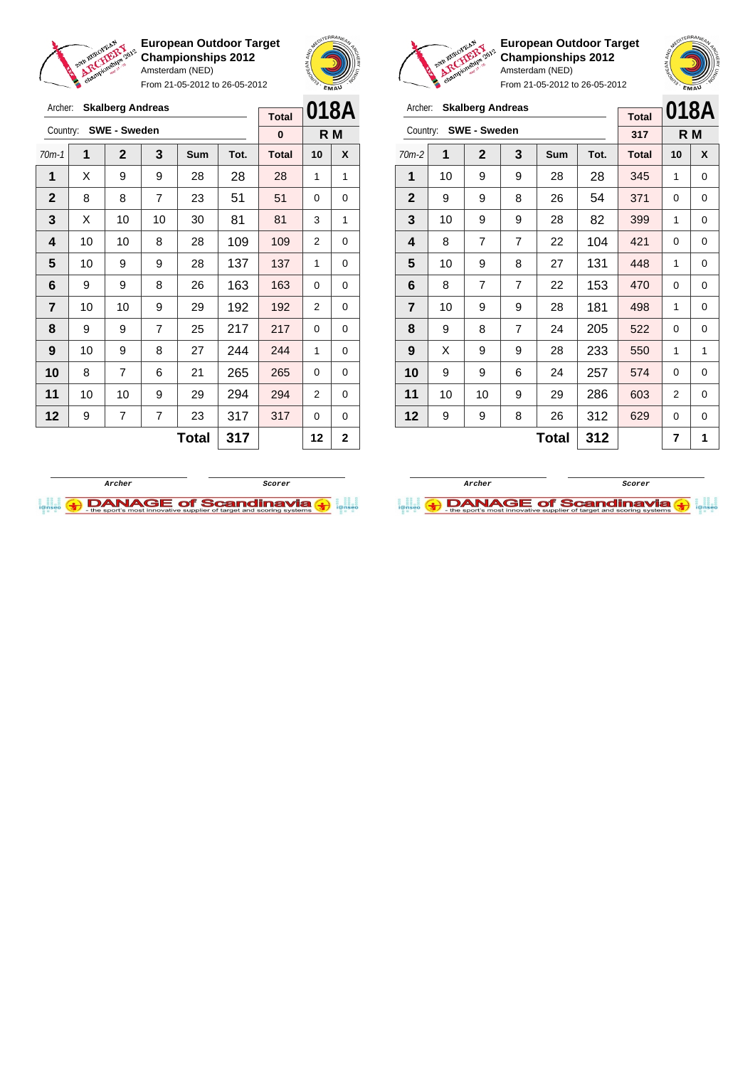

From 21-05-2012 to 26-05-2012





**European Outdoor Target Championships 2012** Amsterdam (NED)

| Archer:                 |                     | <b>Skalberg Andreas</b> |                | <b>Total</b> |      | 018A         |     |   |
|-------------------------|---------------------|-------------------------|----------------|--------------|------|--------------|-----|---|
| Country:                |                     | <b>SWE - Sweden</b>     |                |              |      | 317          | R M |   |
| $70m-2$                 | 1                   | $\mathbf 2$             | 3              | Sum          | Tot. | <b>Total</b> | 10  | X |
| 1                       | 10                  | 9                       | 9              | 28           | 28   | 345          | 1   | 0 |
| $\mathbf{2}$            | 9                   | 9                       | 8              | 26           | 54   | 371          | 0   | 0 |
| 3                       | 10                  | 9                       | 9              | 28           | 82   | 399          | 1   | 0 |
| $\overline{\mathbf{4}}$ | 8                   | 7                       | $\overline{7}$ | 22           | 104  | 421          | 0   | 0 |
| 5                       | 10                  | 9                       | 8              | 27           | 131  | 448          | 1   | 0 |
| 6                       | 8                   | 7                       | 7              | 22           | 153  | 470          | 0   | 0 |
| $\overline{7}$          | 10                  | 9                       | 9              | 28           | 181  | 498          | 1   | 0 |
| 8                       | 9                   | 8                       | $\overline{7}$ | 24           | 205  | 522          | 0   | 0 |
| 9                       | X                   | 9                       | 9              | 28           | 233  | 550          | 1   | 1 |
| 10                      | 9                   | 9                       | 6              | 24           | 257  | 574          | 0   | 0 |
| 11                      | 10                  | 10                      | 9              | 29           | 286  | 603          | 2   | 0 |
| 12                      | 9                   | 9                       | 8              | 26           | 312  | 629          | 0   | 0 |
|                         | <b>Total</b><br>312 |                         |                |              |      |              | 7   | 1 |





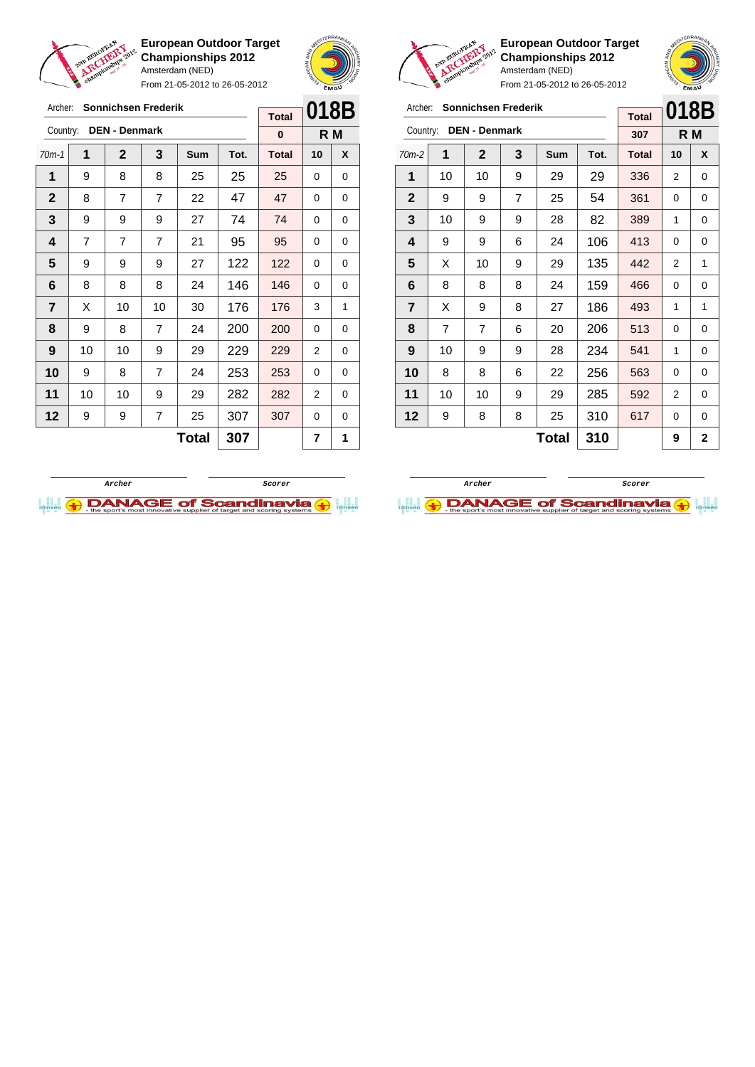

From 21-05-2012 to 26-05-2012





 $\overline{\phantom{a}}$ 

Ī

**European Outdoor Target Championships 2012** Amsterdam (NED) From 21-05-2012 to 26-05-2012



| Archer:        | <b>Sonnichsen Frederik</b> |                     | 018B           |    |              |     |   |   |
|----------------|----------------------------|---------------------|----------------|----|--------------|-----|---|---|
| Country:       | <b>DEN - Denmark</b>       | <b>Total</b><br>307 | R M            |    |              |     |   |   |
| $70m-2$        | 1                          | $\mathbf{2}$        | <b>Total</b>   | 10 | X            |     |   |   |
| 1              | 10                         | 10                  | 9              | 29 | 29           | 336 | 2 | 0 |
| $\mathbf{2}$   | 9                          | 9                   | $\overline{7}$ | 25 | 54           | 361 | 0 | 0 |
| 3              | 10                         | 9                   | 9              | 28 | 82           | 389 | 1 | 0 |
| 4              | 9                          | 9                   | 6              | 24 | 106          | 413 | 0 | 0 |
| 5              | X                          | 10                  | 9              | 29 | 135          | 442 | 2 | 1 |
| 6              | 8                          | 8                   | 8              | 24 | 159          | 466 | 0 | 0 |
| $\overline{7}$ | X                          | 9                   | 8              | 27 | 186          | 493 | 1 | 1 |
| 8              | $\overline{7}$             | 7                   | 6              | 20 | 206          | 513 | 0 | 0 |
| 9              | 10                         | 9                   | 9              | 28 | 234          | 541 | 1 | 0 |
| 10             | 8                          | 8                   | 6              | 22 | 256          | 563 | 0 | 0 |
| 11             | 10                         | 10                  | 9              | 29 | 285          | 592 | 2 | 0 |
| 12             | 9                          | 8                   | 8              | 25 | 310          | 617 | 0 | 0 |
|                |                            |                     |                | 9  | $\mathbf{2}$ |     |   |   |

| <b>Sonnichsen Frederik</b><br>Archer: |    |             |                |              |      | <b>Total</b> | 018B |   |
|---------------------------------------|----|-------------|----------------|--------------|------|--------------|------|---|
| <b>DEN - Denmark</b><br>Country:      |    |             |                |              |      | $\bf{0}$     | R M  |   |
| $70m-1$                               | 1  | $\mathbf 2$ | 3              | <b>Sum</b>   | Tot. | <b>Total</b> | 10   | X |
| 1                                     | 9  | 8           | 8              | 25           | 25   | 25           | 0    | 0 |
| $\mathbf{2}$                          | 8  | 7           | $\overline{7}$ | 22           | 47   | 47           | 0    | 0 |
| 3                                     | 9  | 9           | 9              | 27           | 74   | 74           | 0    | 0 |
| 4                                     | 7  | 7           | $\overline{7}$ | 21           | 95   | 95           | 0    | 0 |
| 5                                     | 9  | 9           | 9              | 27           | 122  | 122          | 0    | 0 |
| 6                                     | 8  | 8           | 8              | 24           | 146  | 146          | 0    | 0 |
| $\overline{7}$                        | X  | 10          | 10             | 30           | 176  | 176          | 3    | 1 |
| 8                                     | 9  | 8           | 7              | 24           | 200  | 200          | 0    | 0 |
| 9                                     | 10 | 10          | 9              | 29           | 229  | 229          | 2    | 0 |
| 10                                    | 9  | 8           | $\overline{7}$ | 24           | 253  | 253          | 0    | 0 |
| 11                                    | 10 | 10          | 9              | 29           | 282  | 282          | 2    | 0 |
| 12                                    | 9  | 9           | $\overline{7}$ | 25           | 307  | 307          | 0    | 0 |
|                                       |    |             |                | <b>Total</b> | 307  |              | 7    | 1 |
|                                       |    |             |                |              |      |              |      |   |



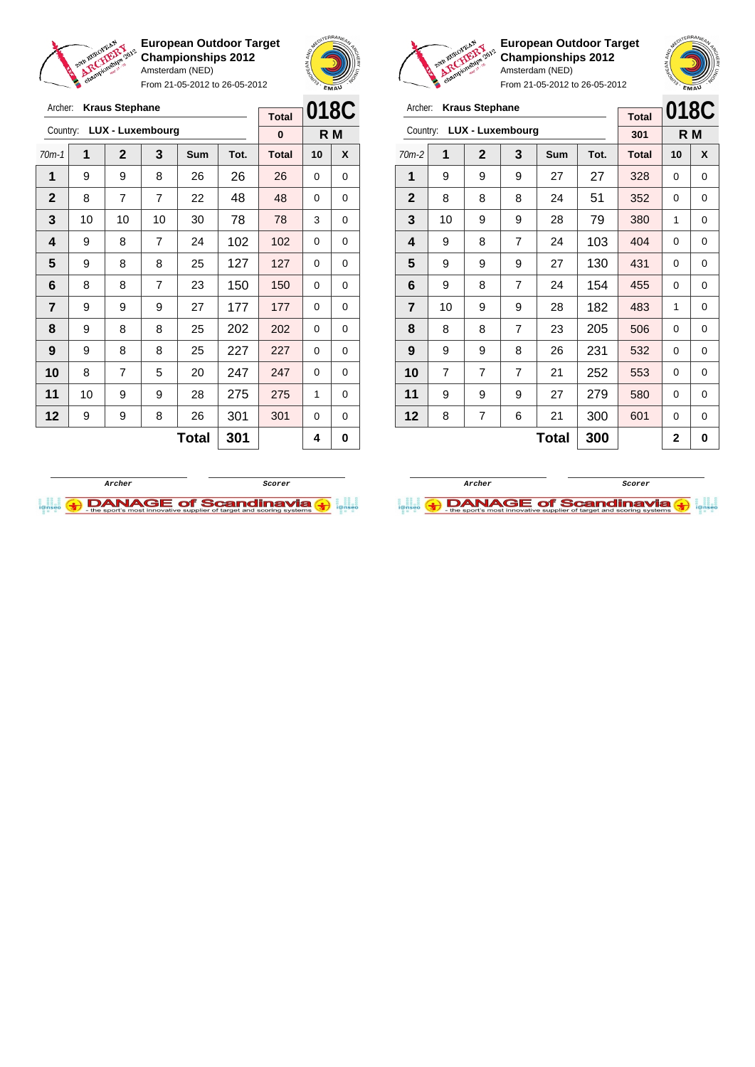

From 21-05-2012 to 26-05-2012





**European Outdoor Target Championships 2012** Amsterdam (NED)

| Archer:<br><b>Kraus Stephane</b> |                |             |                |       |      | <b>Total</b> | 018C        |   |
|----------------------------------|----------------|-------------|----------------|-------|------|--------------|-------------|---|
| LUX - Luxembourg<br>Country:     |                |             |                |       |      | 301          | R M         |   |
| $70m-2$                          | 1              | $\mathbf 2$ | 3              | Sum   | Tot. | <b>Total</b> | 10          | X |
| 1                                | 9              | 9           | 9              | 27    | 27   | 328          | 0           | 0 |
| $\mathbf{2}$                     | 8              | 8           | 8              | 24    | 51   | 352          | 0           | 0 |
| 3                                | 10             | 9           | 9              | 28    | 79   | 380          | 1           | 0 |
| 4                                | 9              | 8           | 7              | 24    | 103  | 404          | 0           | 0 |
| 5                                | 9              | 9           | 9              | 27    | 130  | 431          | 0           | 0 |
| 6                                | 9              | 8           | 7              | 24    | 154  | 455          | 0           | 0 |
| $\overline{7}$                   | 10             | 9           | 9              | 28    | 182  | 483          | 1           | 0 |
| 8                                | 8              | 8           | $\overline{7}$ | 23    | 205  | 506          | 0           | 0 |
| 9                                | 9              | 9           | 8              | 26    | 231  | 532          | 0           | 0 |
| 10                               | $\overline{7}$ | 7           | 7              | 21    | 252  | 553          | 0           | 0 |
| 11                               | 9              | 9           | 9              | 27    | 279  | 580          | 0           | 0 |
| 12                               | 8              | 7           | 6              | 21    | 300  | 601          | 0           | 0 |
|                                  |                |             |                | Total | 300  |              | $\mathbf 2$ | 0 |





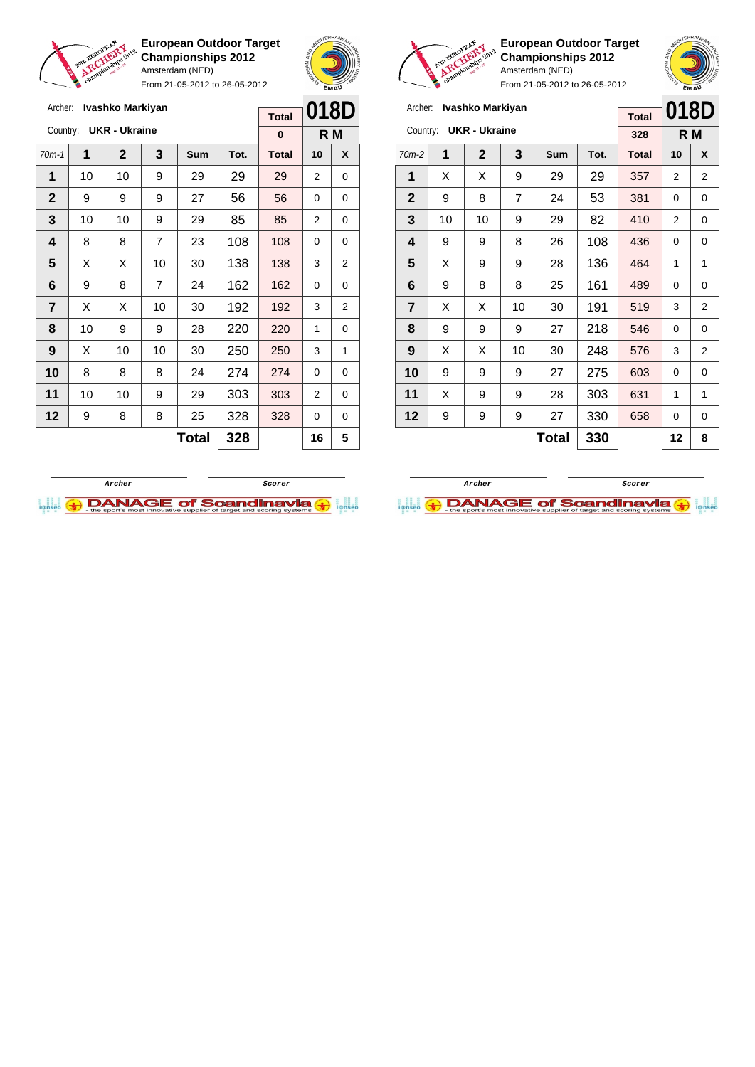

Archer: **Ivashko Markiyan**

**European Outdoor Target Championships 2012** Amsterdam (NED)

From 21-05-2012 to 26-05-2012



**Total**



**European Outdoor Target Championships 2012** Amsterdam (NED)



| Ivashko Markiyan<br>Archer:      |    |              |    |            |      |              | 018D     |                |
|----------------------------------|----|--------------|----|------------|------|--------------|----------|----------------|
| <b>UKR - Ukraine</b><br>Country: |    |              |    |            |      | <b>Total</b> |          |                |
|                                  |    |              |    |            | 328  |              | R M      |                |
| $70m-2$                          | 1  | $\mathbf{2}$ | 3  | <b>Sum</b> | Tot. | <b>Total</b> | 10       | X              |
| 1                                | X  | X            | 9  | 29         | 29   | 357          | 2        | $\overline{2}$ |
| $\mathbf{2}$                     | 9  | 8            | 7  | 24         | 53   | 381          | $\Omega$ | 0              |
| 3                                | 10 | 10           | 9  | 29         | 82   | 410          | 2        | 0              |
| 4                                | 9  | 9            | 8  | 26         | 108  | 436          | $\Omega$ | 0              |
| 5                                | X  | 9            | 9  | 28         | 136  | 464          | 1        | 1              |
| 6                                | 9  | 8            | 8  | 25         | 161  | 489          | 0        | 0              |
| $\overline{7}$                   | X  | X            | 10 | 30         | 191  | 519          | 3        | $\overline{2}$ |
| 8                                | 9  | 9            | 9  | 27         | 218  | 546          | $\Omega$ | 0              |
| 9                                | X  | X            | 10 | 30         | 248  | 576          | 3        | $\overline{2}$ |
| 10                               | 9  | 9            | 9  | 27         | 275  | 603          | 0        | 0              |
| 11                               | X  | 9            | 9  | 28         | 303  | 631          | 1        | 1              |
| 12                               | 9  | 9            | 9  | 27         | 330  | 658          | $\Omega$ | 0              |
| 330<br><b>Total</b>              |    |              |    |            |      |              | 12       | 8              |

| <b>UKR - Ukraine</b><br>Country: |    |              |                |     | 0    |              | R M      |   |
|----------------------------------|----|--------------|----------------|-----|------|--------------|----------|---|
| $70m-1$                          | 1  | $\mathbf{2}$ | 3              | Sum | Tot. | <b>Total</b> | 10       | X |
| 1                                | 10 | 10           | 9              | 29  | 29   | 29           | 2        | 0 |
| $\mathbf{2}$                     | 9  | 9            | 9              | 27  | 56   | 56           | 0        | 0 |
| 3                                | 10 | 10           | 9              | 29  | 85   | 85           | 2        | 0 |
| 4                                | 8  | 8            | $\overline{7}$ | 23  | 108  | 108          | 0        | 0 |
| 5                                | X  | X            | 10             | 30  | 138  | 138          | 3        | 2 |
| 6                                | 9  | 8            | 7              | 24  | 162  | 162          | 0        | 0 |
| $\overline{\mathbf{r}}$          | X  | X            | 10             | 30  | 192  | 192          | 3        | 2 |
| 8                                | 10 | 9            | 9              | 28  | 220  | 220          | 1        | 0 |
| $\boldsymbol{9}$                 | X  | 10           | 10             | 30  | 250  | 250          | 3        | 1 |
| 10                               | 8  | 8            | 8              | 24  | 274  | 274          | $\Omega$ | 0 |
| 11                               | 10 | 10           | 9              | 29  | 303  | 303          | 2        | 0 |
| 12                               | 9  | 8            | 8              | 25  | 328  | 328          | 0        | 0 |
| <b>Total</b><br>328              |    |              |                |     |      |              | 16       | 5 |



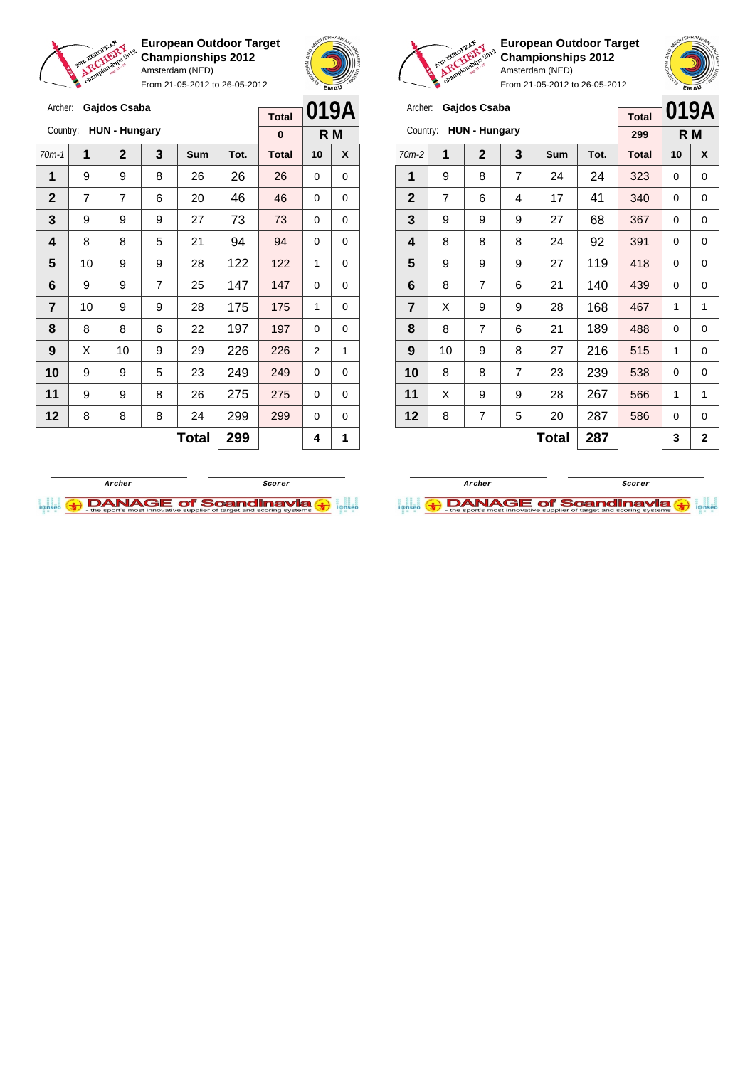

**European Outdoor Target Championships 2012** Amsterdam (NED) From 21-05-2012 to 26-05-2012





**European Outdoor Target Championships 2012** Amsterdam (NED)

| Archer:        |                      | Gajdos Csaba   |                |              |      | <b>Total</b> | 019A     |             |
|----------------|----------------------|----------------|----------------|--------------|------|--------------|----------|-------------|
| Country:       | <b>HUN - Hungary</b> |                | 299            |              | R M  |              |          |             |
| $70m-2$        | 1                    | $\mathbf{2}$   | 3              | Sum          | Tot. | <b>Total</b> | 10       | X           |
| 1              | 9                    | 8              | $\overline{7}$ | 24           | 24   | 323          | $\Omega$ | $\mathbf 0$ |
| $\mathbf{2}$   | $\overline{7}$       | 6              | 4              | 17           | 41   | 340          | $\Omega$ | 0           |
| 3              | 9                    | 9              | 9              | 27           | 68   | 367          | 0        | 0           |
| 4              | 8                    | 8              | 8              | 24           | 92   | 391          | 0        | 0           |
| 5              | 9                    | 9              | 9              | 27           | 119  | 418          | $\Omega$ | 0           |
| 6              | 8                    | $\overline{7}$ | 6              | 21           | 140  | 439          | 0        | 0           |
| $\overline{7}$ | X                    | 9              | 9              | 28           | 168  | 467          | 1        | 1           |
| 8              | 8                    | 7              | 6              | 21           | 189  | 488          | 0        | 0           |
| 9              | 10                   | 9              | 8              | 27           | 216  | 515          | 1        | 0           |
| 10             | 8                    | 8              | 7              | 23           | 239  | 538          | 0        | 0           |
| 11             | X                    | 9              | 9              | 28           | 267  | 566          | 1        | 1           |
| 12             | 8                    | 7              | 5              | 20           | 287  | 586          | 0        | 0           |
|                |                      |                |                | <b>Total</b> | 287  |              | 3        | 2           |

| Archer:      |    | Gajdos Csaba         |                |              |      | <b>Total</b> | 019A |     |
|--------------|----|----------------------|----------------|--------------|------|--------------|------|-----|
| Country:     |    | <b>HUN - Hungary</b> |                |              |      | $\bf{0}$     |      | R M |
| $70m-1$      | 1  | $\mathbf{2}$         | 3              | Sum          | Tot. | <b>Total</b> | 10   | X   |
| 1            | 9  | 9                    | 8              | 26           | 26   | 26           | 0    | 0   |
| $\mathbf{2}$ | 7  | 7                    | 6              | 20           | 46   | 46           | 0    | 0   |
| 3            | 9  | 9                    | 9              | 27           | 73   | 73           | 0    | 0   |
| 4            | 8  | 8                    | 5              | 21           | 94   | 94           | 0    | 0   |
| 5            | 10 | 9                    | 9              | 28           | 122  | 122          | 1    | 0   |
| 6            | 9  | 9                    | $\overline{7}$ | 25           | 147  | 147          | 0    | 0   |
| 7            | 10 | 9                    | 9              | 28           | 175  | 175          | 1    | 0   |
| 8            | 8  | 8                    | 6              | 22           | 197  | 197          | 0    | 0   |
| 9            | X  | 10                   | 9              | 29           | 226  | 226          | 2    | 1   |
| 10           | 9  | 9                    | 5              | 23           | 249  | 249          | 0    | 0   |
| 11           | 9  | 9                    | 8              | 26           | 275  | 275          | 0    | 0   |
| 12           | 8  | 8                    | 8              | 24           | 299  | 299          | 0    | 0   |
|              |    |                      |                | <b>Total</b> | 299  |              | 4    | 1   |



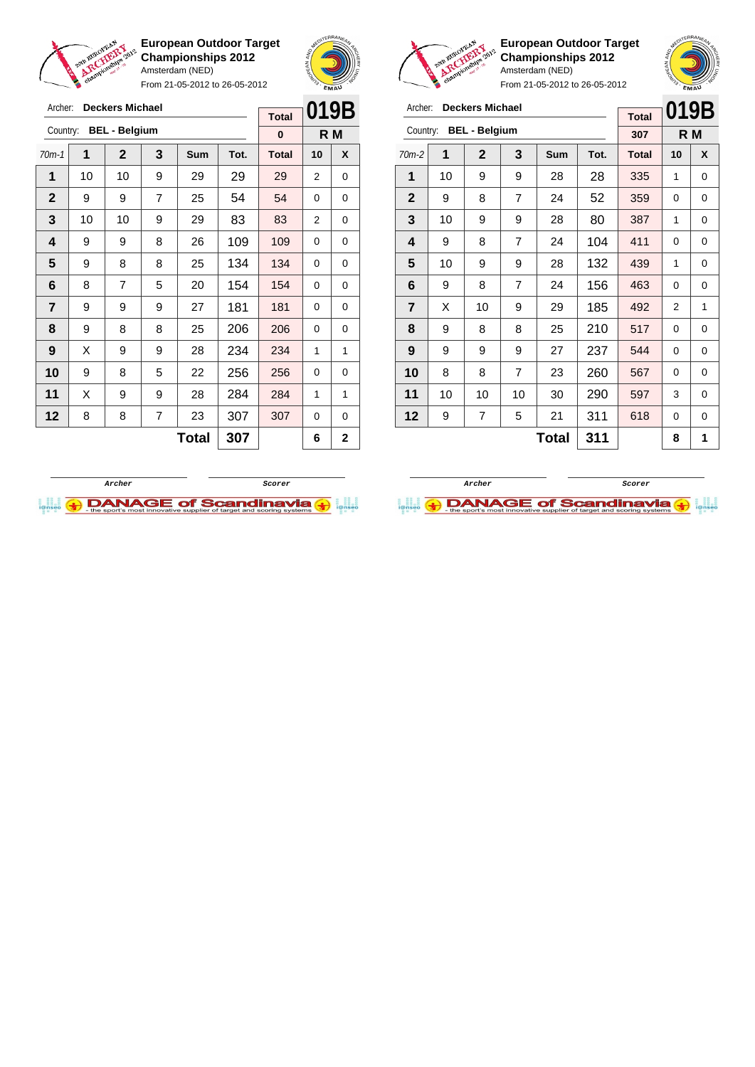

Archer: **Deckers Michael**

**European Outdoor Target Championships 2012** Amsterdam (NED)

From 21-05-2012 to 26-05-2012





**European Outdoor Target Championships 2012** Amsterdam (NED)

| Archer:        |    | <b>Deckers Michael</b> | <b>Total</b> | 019B         |      |              |     |   |
|----------------|----|------------------------|--------------|--------------|------|--------------|-----|---|
| Country:       |    | <b>BEL - Belgium</b>   |              |              |      | 307          | R M |   |
| $70m-2$        | 1  | $\overline{2}$         | 3            | Sum          | Tot. | <b>Total</b> | 10  | X |
| 1              | 10 | 9                      | 9            | 28           | 28   | 335          | 1   | 0 |
| $\mathbf{2}$   | 9  | 8                      | 7            | 24           | 52   | 359          | 0   | 0 |
| 3              | 10 | 9                      | 9            | 28           | 80   | 387          | 1   | 0 |
| 4              | 9  | 8                      | 7            | 24           | 104  | 411          | 0   | 0 |
| 5              | 10 | 9                      | 9            | 28           | 132  | 439          | 1   | 0 |
| 6              | 9  | 8                      | 7            | 24           | 156  | 463          | 0   | 0 |
| $\overline{7}$ | X  | 10                     | 9            | 29           | 185  | 492          | 2   | 1 |
| 8              | 9  | 8                      | 8            | 25           | 210  | 517          | 0   | 0 |
| 9              | 9  | 9                      | 9            | 27           | 237  | 544          | 0   | 0 |
| 10             | 8  | 8                      | 7            | 23           | 260  | 567          | 0   | 0 |
| 11             | 10 | 10                     | 10           | 30           | 290  | 597          | 3   | 0 |
| 12             | 9  | 7                      | 5            | 21           | 311  | 618          | 0   | 0 |
|                |    |                        |              | <b>Total</b> | 311  |              | 8   | 1 |

| Archer:      |                                  | <b>Deckers Michael</b> |   |              |      | <b>Total</b> | 019B           |              |
|--------------|----------------------------------|------------------------|---|--------------|------|--------------|----------------|--------------|
|              | <b>BEL - Belgium</b><br>Country: |                        |   |              |      |              |                | R M          |
| $70m-1$      | 1                                | $\overline{2}$         | 3 | Sum          | Tot. | <b>Total</b> | 10             | X            |
| 1            | 10                               | 10                     | 9 | 29           | 29   | 29           | 2              | 0            |
| $\mathbf{2}$ | 9                                | 9                      | 7 | 25           | 54   | 54           | 0              | 0            |
| 3            | 10                               | 10                     | 9 | 29           | 83   | 83           | $\overline{2}$ | 0            |
| 4            | 9                                | 9                      | 8 | 26           | 109  | 109          | 0              | 0            |
| 5            | 9                                | 8                      | 8 | 25           | 134  | 134          | 0              | 0            |
| 6            | 8                                | $\overline{7}$         | 5 | 20           | 154  | 154          | 0              | 0            |
| 7            | 9                                | 9                      | 9 | 27           | 181  | 181          | 0              | 0            |
| 8            | 9                                | 8                      | 8 | 25           | 206  | 206          | 0              | 0            |
| 9            | X                                | 9                      | 9 | 28           | 234  | 234          | 1              | 1            |
| 10           | 9                                | 8                      | 5 | 22           | 256  | 256          | 0              | 0            |
| 11           | X                                | 9                      | 9 | 28           | 284  | 284          | 1              | 1            |
| 12           | 8                                | 8                      | 7 | 23           | 307  | 307          | 0              | 0            |
|              |                                  |                        |   | <b>Total</b> | 307  |              | 6              | $\mathbf{2}$ |



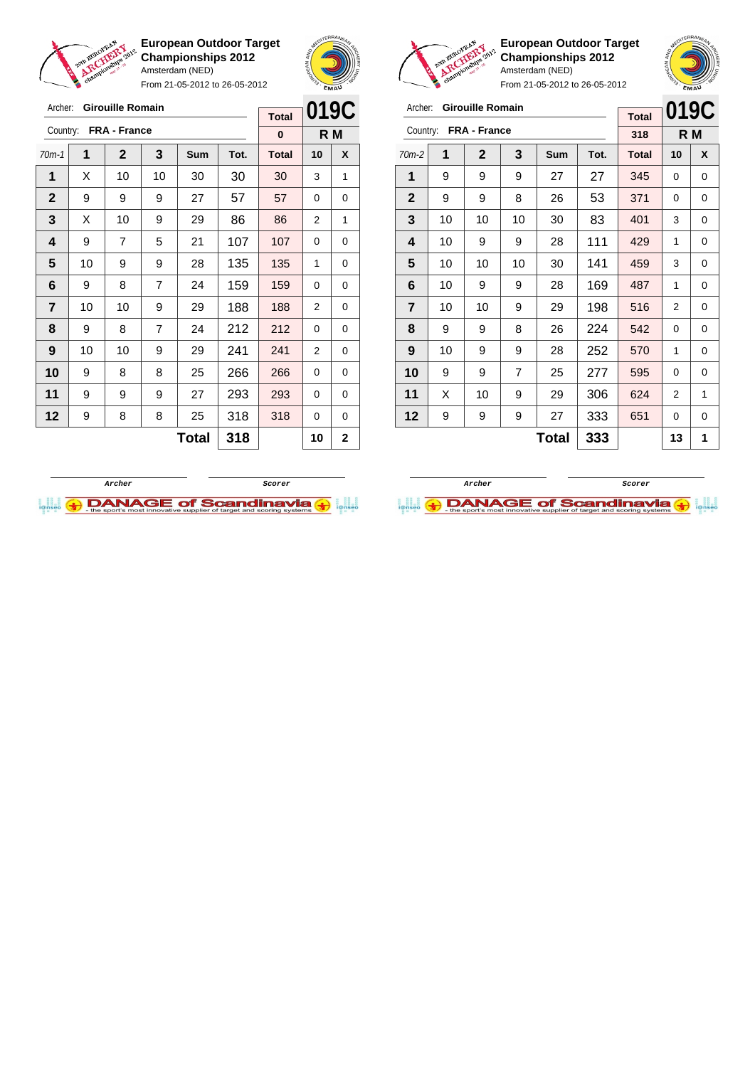

From 21-05-2012 to 26-05-2012





**European Outdoor Target Championships 2012** Amsterdam (NED)

From 21-05-2012 to 26-05-2012

| Archer:     |    | <b>Girouille Romain</b> |    |       |      |              | 019C |     |
|-------------|----|-------------------------|----|-------|------|--------------|------|-----|
| Country:    |    | <b>FRA - France</b>     |    |       |      | <b>Total</b> |      |     |
|             |    |                         |    |       |      | 318          |      | R M |
| $70m-2$     | 1  | $\mathbf{2}$            | 3  | Sum   | Tot. | <b>Total</b> | 10   | X   |
| 1           | 9  | 9                       | 9  | 27    | 27   | 345          | 0    | 0   |
| $\mathbf 2$ | 9  | 9                       | 8  | 26    | 53   | 371          | 0    | 0   |
| 3           | 10 | 10                      | 10 | 30    | 83   | 401          | 3    | 0   |
| 4           | 10 | 9                       | 9  | 28    | 111  | 429          | 1    | 0   |
| 5           | 10 | 10                      | 10 | 30    | 141  | 459          | 3    | 0   |
| 6           | 10 | 9                       | 9  | 28    | 169  | 487          | 1    | 0   |
| 7           | 10 | 10                      | 9  | 29    | 198  | 516          | 2    | 0   |
| 8           | 9  | 9                       | 8  | 26    | 224  | 542          | 0    | 0   |
| 9           | 10 | 9                       | 9  | 28    | 252  | 570          | 1    | 0   |
| 10          | 9  | 9                       | 7  | 25    | 277  | 595          | 0    | 0   |
| 11          | X  | 10                      | 9  | 29    | 306  | 624          | 2    | 1   |
| 12          | 9  | 9                       | 9  | 27    | 333  | 651          | 0    | 0   |
|             |    |                         |    | Total | 333  |              | 13   | 1   |



**Archer Scorer**

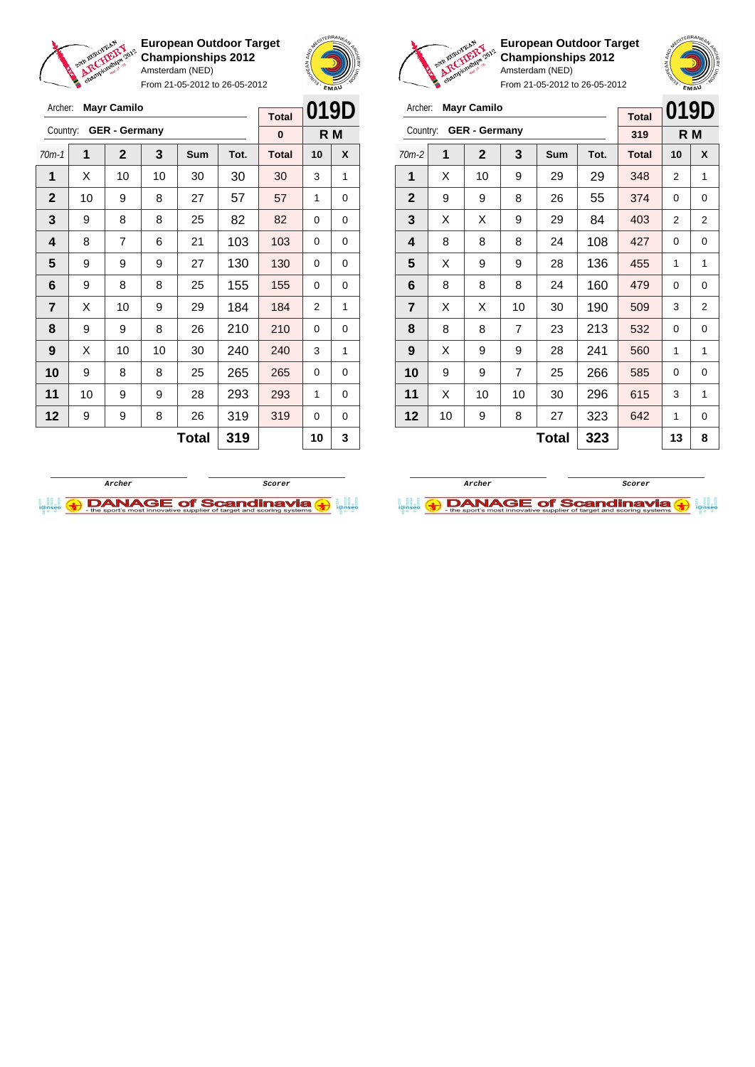

From 21-05-2012 to 26-05-2012



**European Outdoor Target Championships 2012** Amsterdam (NED)

| Archer:                 |    | <b>Mayr Camilo</b>   |                |       |      | <b>Total</b> | 019D           |     |
|-------------------------|----|----------------------|----------------|-------|------|--------------|----------------|-----|
| Country:                |    | <b>GER - Germany</b> |                |       |      | 319          |                | R M |
| $70m-2$                 | 1  | $\mathbf{2}$         | 3              | Sum   | Tot. | <b>Total</b> | 10             | X   |
| 1                       | X  | 10                   | 9              | 29    | 29   | 348          | 2              | 1   |
| $\mathbf{2}$            | 9  | 9                    | 8              | 26    | 55   | 374          | 0              | 0   |
| 3                       | X  | X                    | 9              | 29    | 84   | 403          | $\overline{2}$ | 2   |
| $\overline{\mathbf{4}}$ | 8  | 8                    | 8              | 24    | 108  | 427          | 0              | 0   |
| 5                       | X  | 9                    | 9              | 28    | 136  | 455          | 1              | 1   |
| 6                       | 8  | 8                    | 8              | 24    | 160  | 479          | 0              | 0   |
| $\overline{7}$          | X  | X                    | 10             | 30    | 190  | 509          | 3              | 2   |
| 8                       | 8  | 8                    | $\overline{7}$ | 23    | 213  | 532          | 0              | 0   |
| 9                       | X  | 9                    | 9              | 28    | 241  | 560          | 1              | 1   |
| 10                      | 9  | 9                    | $\overline{7}$ | 25    | 266  | 585          | 0              | 0   |
| 11                      | X  | 10                   | 10             | 30    | 296  | 615          | 3              | 1   |
| 12                      | 10 | 9                    | 8              | 27    | 323  | 642          | 1              | 0   |
|                         |    |                      |                | Total | 323  |              | 13             | 8   |





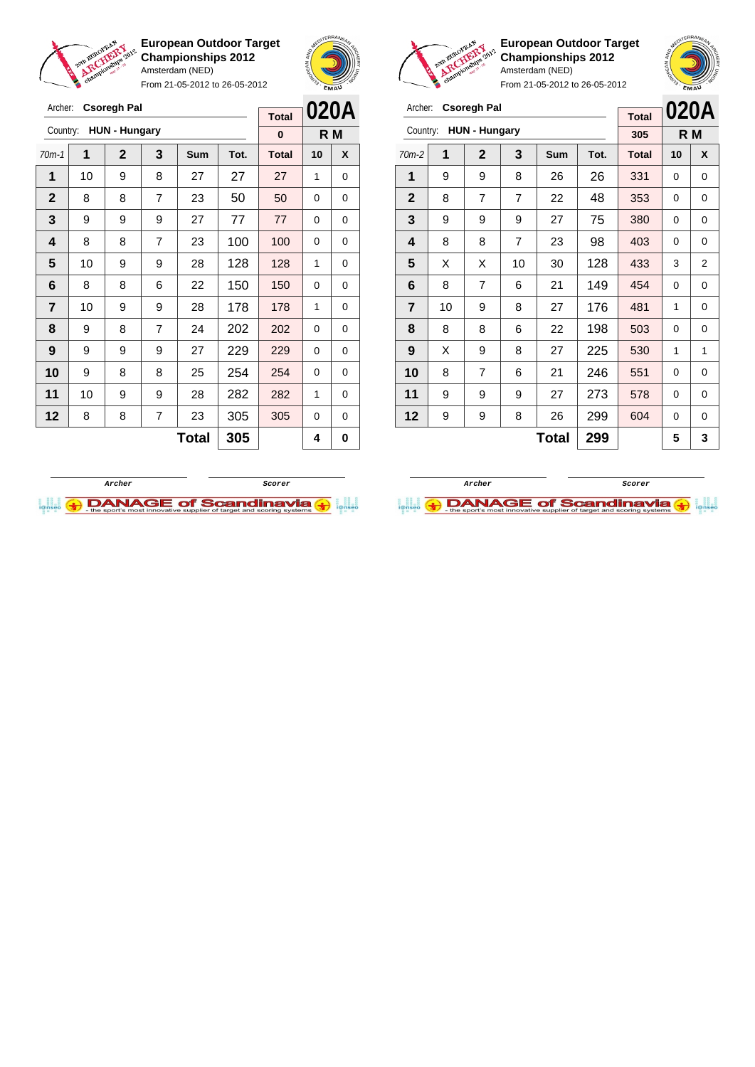

**European Outdoor Target Championships 2012** Amsterdam (NED) From 21-05-2012 to 26-05-2012





**European Outdoor Target Championships 2012** Amsterdam (NED)



| Archer:        |                        | <b>Csoregh Pal</b> |                |              |      | <b>Total</b> | 020A |                |
|----------------|------------------------|--------------------|----------------|--------------|------|--------------|------|----------------|
|                | Country: HUN - Hungary |                    |                |              |      | 305          |      | R M            |
| $70m-2$        | 1                      | $\mathbf{2}$       | 3              | Sum          | Tot. | <b>Total</b> | 10   | X              |
| 1              | 9                      | 9                  | 8              | 26           | 26   | 331          | 0    | 0              |
| $\mathbf{2}$   | 8                      | $\overline{7}$     | $\overline{7}$ | 22           | 48   | 353          | 0    | 0              |
| 3              | 9                      | 9                  | 9              | 27           | 75   | 380          | 0    | 0              |
| 4              | 8                      | 8                  | $\overline{7}$ | 23           | 98   | 403          | 0    | 0              |
| 5              | X                      | X                  | 10             | 30           | 128  | 433          | 3    | $\overline{2}$ |
| 6              | 8                      | $\overline{7}$     | 6              | 21           | 149  | 454          | 0    | 0              |
| $\overline{7}$ | 10                     | 9                  | 8              | 27           | 176  | 481          | 1    | 0              |
| 8              | 8                      | 8                  | 6              | 22           | 198  | 503          | 0    | 0              |
| 9              | X                      | 9                  | 8              | 27           | 225  | 530          | 1    | 1              |
| 10             | 8                      | 7                  | 6              | 21           | 246  | 551          | 0    | 0              |
| 11             | 9                      | 9                  | 9              | 27           | 273  | 578          | 0    | 0              |
| 12             | 9                      | 9                  | 8              | 26           | 299  | 604          | 0    | 0              |
|                |                        |                    |                | <b>Total</b> | 299  |              | 5    | 3              |

|          | <b>Csoregh Pal</b> |                |                      |              | <b>Total</b> |    | 020A |
|----------|--------------------|----------------|----------------------|--------------|--------------|----|------|
| Country: |                    |                |                      |              | $\bf{0}$     |    |      |
| 1        | $\mathbf 2$        | 3              | <b>Sum</b>           | Tot.         | <b>Total</b> | 10 | X    |
| 10       | 9                  | 8              | 27                   | 27           | 27           | 1  | 0    |
| 8        | 8                  | $\overline{7}$ | 23                   | 50           | 50           | 0  | 0    |
| 9        | 9                  | 9              | 27                   | 77           | 77           | 0  | 0    |
| 8        | 8                  | 7              | 23                   | 100          | 100          | 0  | 0    |
| 10       | 9                  | 9              | 28                   | 128          | 128          | 1  | 0    |
| 8        | 8                  | 6              | 22                   | 150          | 150          | 0  | 0    |
| 10       | 9                  | 9              | 28                   | 178          | 178          | 1  | 0    |
| 9        | 8                  | $\overline{7}$ | 24                   | 202          | 202          | 0  | 0    |
| 9        | 9                  | 9              | 27                   | 229          | 229          | 0  | 0    |
| 9        | 8                  | 8              | 25                   | 254          | 254          | 0  | 0    |
| 10       | 9                  | 9              | 28                   | 282          | 282          | 1  | 0    |
| 8        | 8                  | 7              | 23                   | 305          | 305          | 0  | 0    |
|          |                    |                |                      | 305          |              | 4  | 0    |
|          |                    |                | <b>HUN - Hungary</b> | <b>Total</b> |              |    | R M  |



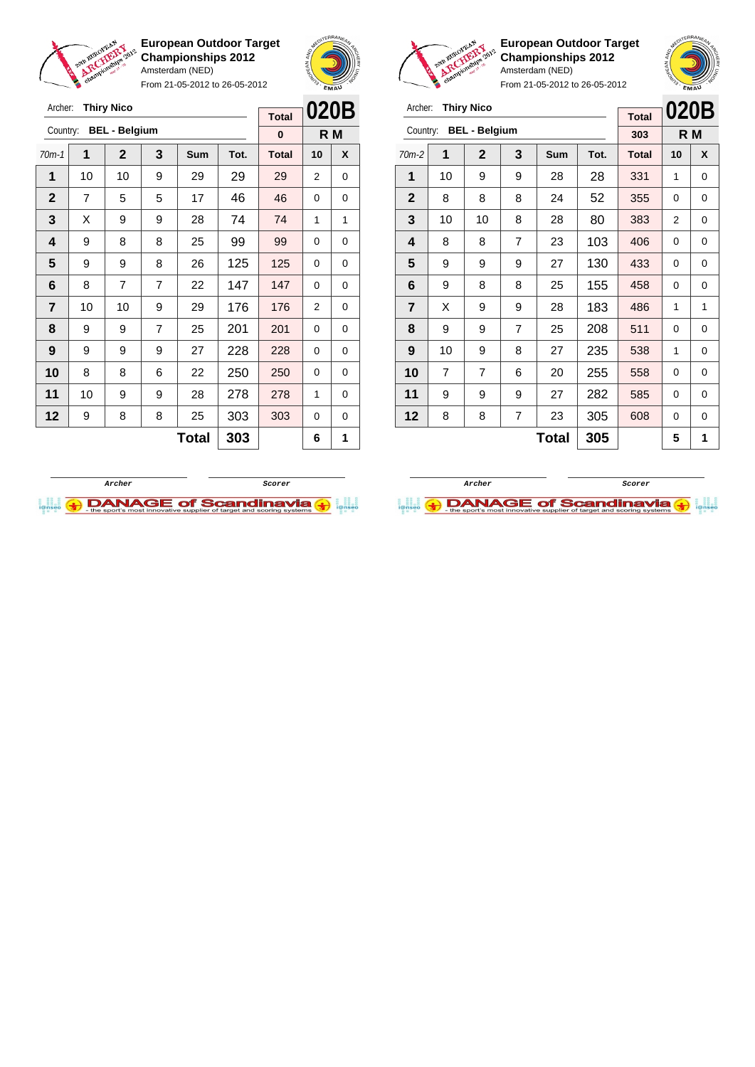

Archer: **Thiry Nico**

Country: **BEL - Belgium**

**European Outdoor Target Championships 2012** Amsterdam (NED) From 21-05-2012 to 26-05-2012



**R M**

**Total 0**



**European Outdoor Target Championships 2012** Amsterdam (NED)

| Archer: Thiry Nico            |
|-------------------------------|
| Country: <b>BEL - Belgium</b> |

| Archer:        |                | <b>Thiry Nico</b>    |                |              |      | <b>Total</b> | 020B     |     |
|----------------|----------------|----------------------|----------------|--------------|------|--------------|----------|-----|
| Country:       |                | <b>BEL - Belgium</b> |                |              |      | 303          |          | R M |
| $70m-2$        | 1              | $\mathbf 2$          | 3              | <b>Sum</b>   | Tot. | <b>Total</b> | 10       | X   |
| 1              | 10             | 9                    | 9              | 28           | 28   | 331          | 1        | 0   |
| $\mathbf{2}$   | 8              | 8                    | 8              | 24           | 52   | 355          | 0        | 0   |
| 3              | 10             | 10                   | 8              | 28           | 80   | 383          | 2        | 0   |
| 4              | 8              | 8                    | $\overline{7}$ | 23           | 103  | 406          | 0        | 0   |
| 5              | 9              | 9                    | 9              | 27           | 130  | 433          | $\Omega$ | 0   |
| 6              | 9              | 8                    | 8              | 25           | 155  | 458          | 0        | 0   |
| $\overline{7}$ | X              | 9                    | 9              | 28           | 183  | 486          | 1        | 1   |
| 8              | 9              | 9                    | $\overline{7}$ | 25           | 208  | 511          | 0        | 0   |
| 9              | 10             | 9                    | 8              | 27           | 235  | 538          | 1        | 0   |
| 10             | $\overline{7}$ | $\overline{7}$       | 6              | 20           | 255  | 558          | $\Omega$ | 0   |
| 11             | 9              | 9                    | 9              | 27           | 282  | 585          | 0        | 0   |
| 12             | 8              | 8                    | 7              | 23           | 305  | 608          | 0        | 0   |
|                |                |                      |                | <b>Total</b> | 305  |              | 5        | 1   |

| $70m-1$        | 1              | $\mathbf 2$ | 3              | <b>Sum</b>   | Tot. | <b>Total</b> | 10 | X |
|----------------|----------------|-------------|----------------|--------------|------|--------------|----|---|
| 1              | 10             | 10          | 9              | 29           | 29   | 29           | 2  | 0 |
| $\mathbf 2$    | $\overline{7}$ | 5           | 5              | 17           | 46   | 46           | 0  | 0 |
| 3              | X              | 9           | 9              | 28           | 74   | 74           | 1  | 1 |
| 4              | 9              | 8           | 8              | 25           | 99   | 99           | 0  | 0 |
| 5              | 9              | 9           | 8              | 26           | 125  | 125          | 0  | 0 |
| 6              | 8              | 7           | $\overline{7}$ | 22           | 147  | 147          | 0  | 0 |
| $\overline{7}$ | 10             | 10          | 9              | 29           | 176  | 176          | 2  | 0 |
| 8              | 9              | 9           | $\overline{7}$ | 25           | 201  | 201          | 0  | 0 |
| 9              | 9              | 9           | 9              | 27           | 228  | 228          | 0  | 0 |
| 10             | 8              | 8           | 6              | 22           | 250  | 250          | 0  | 0 |
| 11             | 10             | 9           | 9              | 28           | 278  | 278          | 1  | 0 |
| 12             | 9              | 8           | 8              | 25           | 303  | 303          | 0  | 0 |
|                |                |             |                | <b>Total</b> | 303  |              | 6  | 1 |



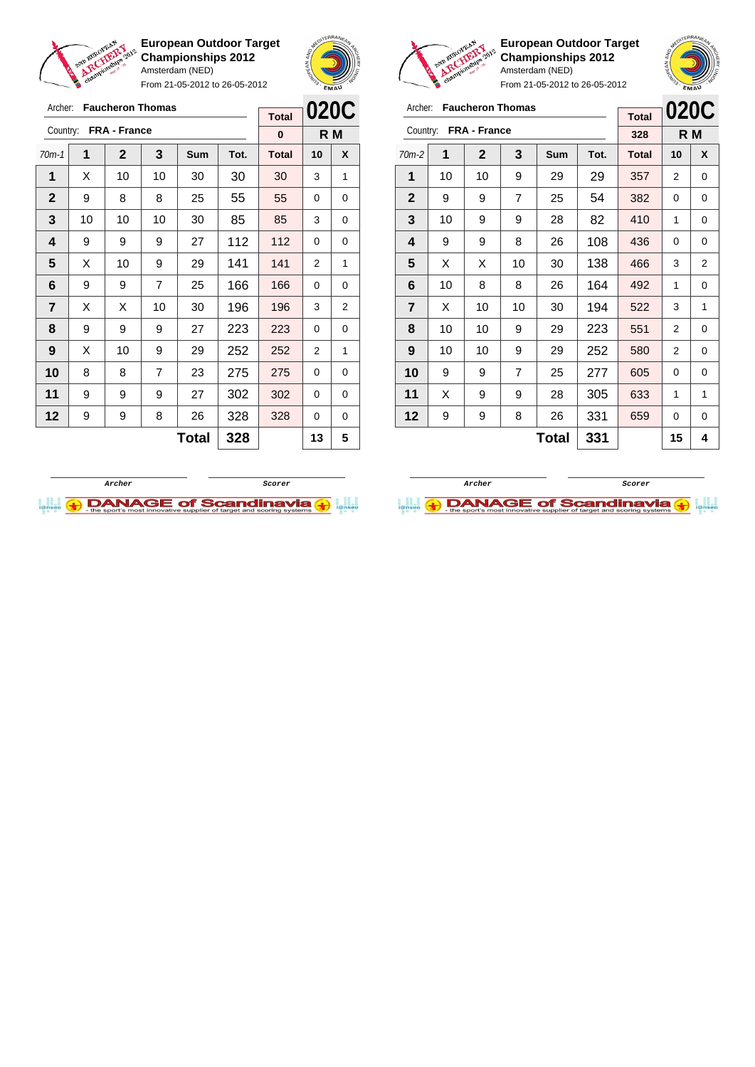

From 21-05-2012 to 26-05-2012





 $\overline{a}$ 

 $\bullet$ 

**European Outdoor Target Championships 2012** Amsterdam (NED)

From 21-05-2012 to 26-05-2012

| Archer:      |    | <b>Faucheron Thomas</b> |     |              |      | <b>Total</b> | 020C |   |
|--------------|----|-------------------------|-----|--------------|------|--------------|------|---|
| Country:     |    | <b>FRA - France</b>     | 328 |              | R M  |              |      |   |
| $70m-2$      | 1  | $\mathbf{2}$            | 3   | Sum          | Tot. | <b>Total</b> | 10   | X |
| 1            | 10 | 10                      | 9   | 29           | 29   | 357          | 2    | 0 |
| $\mathbf{2}$ | 9  | 9                       | 7   | 25           | 54   | 382          | 0    | 0 |
| 3            | 10 | 9                       | 9   | 28           | 82   | 410          | 1    | 0 |
| 4            | 9  | 9                       | 8   | 26           | 108  | 436          | 0    | 0 |
| 5            | X  | X                       | 10  | 30           | 138  | 466          | 3    | 2 |
| 6            | 10 | 8                       | 8   | 26           | 164  | 492          | 1    | 0 |
| 7            | X  | 10                      | 10  | 30           | 194  | 522          | 3    | 1 |
| 8            | 10 | 10                      | 9   | 29           | 223  | 551          | 2    | 0 |
| 9            | 10 | 10                      | 9   | 29           | 252  | 580          | 2    | 0 |
| 10           | 9  | 9                       | 7   | 25           | 277  | 605          | 0    | 0 |
| 11           | X  | 9                       | 9   | 28           | 305  | 633          | 1    | 1 |
| 12           | 9  | 9                       | 8   | 26           | 331  | 659          | 0    | 0 |
|              |    |                         |     | <b>Total</b> | 331  |              | 15   | 4 |

**Archer Scorer**

DANAGE of Scandinavia

| Archer:        |    | <b>Faucheron Thomas</b> |                | <b>Total</b> | 020C |              |     |                |
|----------------|----|-------------------------|----------------|--------------|------|--------------|-----|----------------|
| Country:       |    | FRA - France            |                |              |      | $\bf{0}$     | R M |                |
| $70m-1$        | 1  | $\mathbf 2$             | 3              | Sum          | Tot. | <b>Total</b> | 10  | X              |
| 1              | X  | 10                      | 10             | 30           | 30   | 30           | 3   | 1              |
| $\mathbf{2}$   | 9  | 8                       | 8              | 25           | 55   | 55           | 0   | 0              |
| 3              | 10 | 10                      | 10             | 30           | 85   | 85           | 3   | 0              |
| 4              | 9  | 9                       | 9              | 27           | 112  | 112          | 0   | 0              |
| 5              | X  | 10                      | 9              | 29           | 141  | 141          | 2   | 1              |
| 6              | 9  | 9                       | 7              | 25           | 166  | 166          | 0   | 0              |
| $\overline{7}$ | X  | X                       | 10             | 30           | 196  | 196          | 3   | $\overline{2}$ |
| 8              | 9  | 9                       | 9              | 27           | 223  | 223          | 0   | 0              |
| 9              | X  | 10                      | 9              | 29           | 252  | 252          | 2   | 1              |
| 10             | 8  | 8                       | $\overline{7}$ | 23           | 275  | 275          | 0   | 0              |
| 11             | 9  | 9                       | 9              | 27           | 302  | 302          | 0   | 0              |
| 12             | 9  | 9                       | 8              | 26           | 328  | 328          | 0   | 0              |
|                |    | 328                     |                | 13           | 5    |              |     |                |
|                |    |                         |                |              |      |              |     |                |

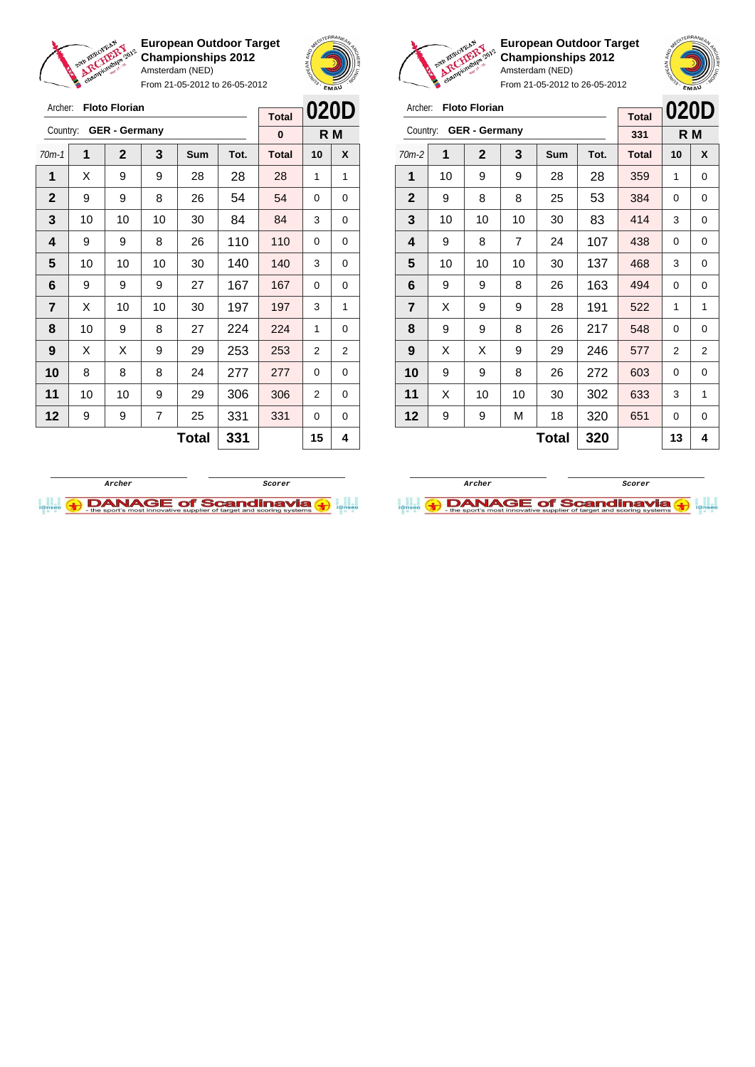

From 21-05-2012 to 26-05-2012



**European Outdoor Target Championships 2012** Amsterdam (NED)

| Archer:        |    | <b>Floto Florian</b> |     | <b>Total</b> | 020D |              |    |     |
|----------------|----|----------------------|-----|--------------|------|--------------|----|-----|
| Country:       |    | <b>GER - Germany</b> |     |              |      | 331          |    | R M |
| $70m-2$        | 1  | $\mathbf{2}$         | 3   | <b>Sum</b>   | Tot. | <b>Total</b> | 10 | X   |
| 1              | 10 | 9                    | 9   | 28           | 28   | 359          | 1  | 0   |
| $\mathbf{2}$   | 9  | 8                    | 8   | 25           | 53   | 384          | 0  | 0   |
| 3              | 10 | 10                   | 10  | 30           | 83   | 414          | 3  | 0   |
| 4              | 9  | 8                    | 7   | 24           | 107  | 438          | 0  | 0   |
| 5              | 10 | 10                   | 10  | 30           | 137  | 468          | 3  | 0   |
| 6              | 9  | 9                    | 8   | 26           | 163  | 494          | 0  | 0   |
| $\overline{7}$ | X  | 9                    | 9   | 28           | 191  | 522          | 1  | 1   |
| 8              | 9  | 9                    | 8   | 26           | 217  | 548          | 0  | 0   |
| 9              | X  | X                    | 9   | 29           | 246  | 577          | 2  | 2   |
| 10             | 9  | 9                    | 8   | 26           | 272  | 603          | 0  | 0   |
| 11             | X  | 10                   | 10  | 30           | 302  | 633          | 3  | 1   |
| $12 \,$        | 9  | 9                    | М   | 18           | 320  | 651          | 0  | 0   |
|                |    |                      | 320 |              | 13   | 4            |    |     |

| Archer:      |    | <b>Floto Florian</b> |     |            | <b>Total</b> | 020D         |    |     |
|--------------|----|----------------------|-----|------------|--------------|--------------|----|-----|
| Country:     |    | <b>GER</b> - Germany |     |            |              | $\bf{0}$     |    | R M |
| $70m-1$      | 1  | $\mathbf 2$          | 3   | <b>Sum</b> | Tot.         | <b>Total</b> | 10 | X   |
| 1            | X  | 9                    | 9   | 28         | 28           | 28           | 1  | 1   |
| $\mathbf{2}$ | 9  | 9                    | 8   | 26         | 54           | 54           | 0  | 0   |
| 3            | 10 | 10                   | 10  | 30         | 84           | 84           | 3  | 0   |
| 4            | 9  | 9                    | 8   | 26         | 110          | 110          | 0  | 0   |
| 5            | 10 | 10                   | 10  | 30         | 140          | 140          | 3  | 0   |
| 6            | 9  | 9                    | 9   | 27         | 167          | 167          | 0  | 0   |
| 7            | X  | 10                   | 10  | 30         | 197          | 197          | 3  | 1   |
| 8            | 10 | 9                    | 8   | 27         | 224          | 224          | 1  | 0   |
| 9            | X  | X                    | 9   | 29         | 253          | 253          | 2  | 2   |
| 10           | 8  | 8                    | 8   | 24         | 277          | 277          | 0  | 0   |
| 11           | 10 | 10                   | 9   | 29         | 306          | 306          | 2  | 0   |
| 12           | 9  | 9                    | 7   | 25         | 331          | 331          | 0  | 0   |
|              |    |                      | 331 |            | 15           | 4            |    |     |



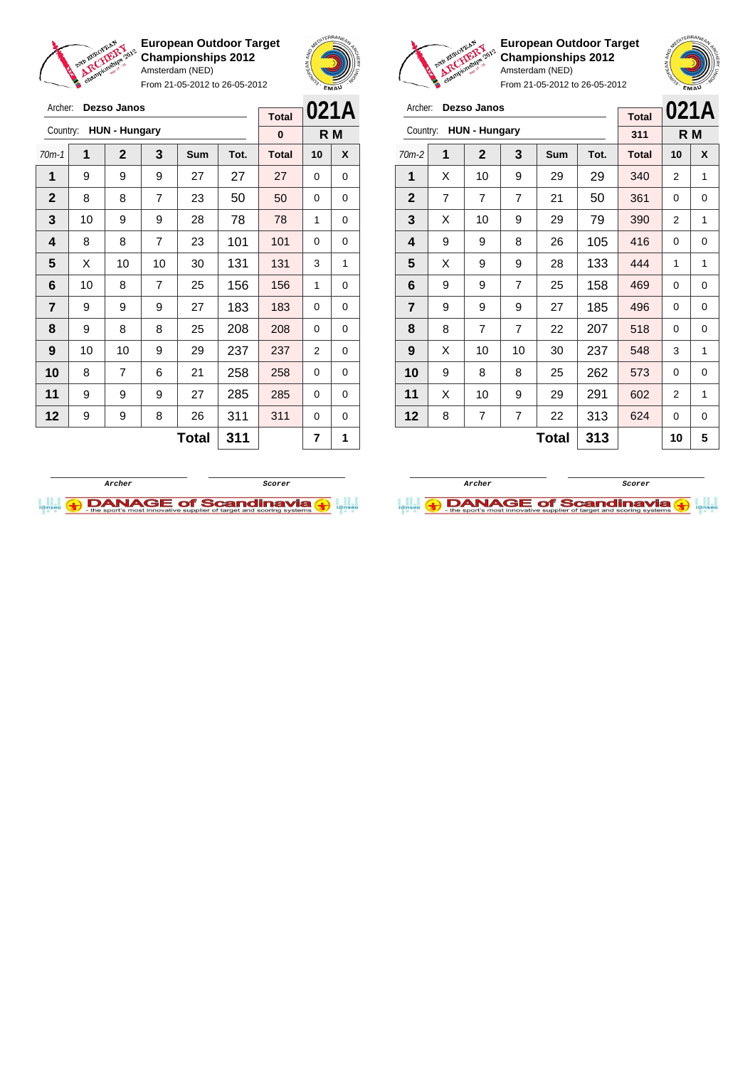

**European Outdoor Target Championships 2012** Amsterdam (NED)

From 21-05-2012 to 26-05-2012



 $\mathbf{v}$ 

**European Outdoor Target Championships 2012** Amsterdam (NED)

**021A R M**

|                | <b>Security</b><br>From 21-05-2012 to 26-05-2012 |                      |                |            |      |              | EMAU           |          | ъ            |   |                      |                | From 21-05-2012 to 26-05-2012 |      | EMAU         |          |     |
|----------------|--------------------------------------------------|----------------------|----------------|------------|------|--------------|----------------|----------|--------------|---|----------------------|----------------|-------------------------------|------|--------------|----------|-----|
| Archer:        |                                                  | Dezso Janos          |                |            |      | <b>Total</b> |                | 021A     | Archer:      |   | Dezso Janos          |                |                               |      | <b>Total</b> | 021/     |     |
| Country:       |                                                  | <b>HUN - Hungary</b> |                |            |      | $\bf{0}$     |                | R M      | Country:     |   | <b>HUN - Hungary</b> |                |                               |      | 311          |          | R M |
| $70m-1$        | 1                                                | $\mathbf{2}$         | 3              | <b>Sum</b> | Tot. | <b>Total</b> | 10             | X        | $70m-2$      | 1 | $\mathbf{2}$         | 3              | <b>Sum</b>                    | Tot. | <b>Total</b> | 10       | X   |
| 1              | 9                                                | 9                    | 9              | 27         | 27   | 27           | $\Omega$       | $\Omega$ | 1            | X | 10                   | 9              | 29                            | 29   | 340          | 2        | 1   |
| $\mathbf{2}$   | 8                                                | 8                    | $\overline{7}$ | 23         | 50   | 50           | $\Omega$       | 0        | $\mathbf{2}$ | 7 | 7                    | $\overline{7}$ | 21                            | 50   | 361          | 0        | 0   |
| 3              | 10                                               | 9                    | 9              | 28         | 78   | 78           | 1              | 0        | 3            | X | 10                   | 9              | 29                            | 79   | 390          | 2        |     |
| 4              | 8                                                | 8                    | $\overline{7}$ | 23         | 101  | 101          | $\Omega$       | 0        | 4            | 9 | 9                    | 8              | 26                            | 105  | 416          | $\Omega$ | 0   |
| 5              | X                                                | 10                   | 10             | 30         | 131  | 131          | 3              | 1        | 5            | X | 9                    | 9              | 28                            | 133  | 444          | 1        |     |
| 6              | 10                                               | 8                    | $\overline{7}$ | 25         | 156  | 156          | 1              | $\Omega$ | 6            | 9 | 9                    | $\overline{7}$ | 25                            | 158  | 469          | $\Omega$ | 0   |
| $\overline{7}$ | 9                                                | 9                    | 9              | 27         | 183  | 183          | $\Omega$       | 0        | 7            | 9 | 9                    | 9              | 27                            | 185  | 496          | 0        | 0   |
| 8              | 9                                                | 8                    | 8              | 25         | 208  | 208          | $\Omega$       | $\Omega$ | 8            | 8 | $\overline{7}$       | $\overline{7}$ | 22                            | 207  | 518          | $\Omega$ | 0   |
| 9              | 10                                               | 10                   | 9              | 29         | 237  | 237          | $\overline{2}$ | 0        | 9            | X | 10                   | 10             | 30                            | 237  | 548          | 3        |     |
| 10             | 8                                                | $\overline{7}$       | 6              | 21         | 258  | 258          | $\Omega$       | $\Omega$ | 10           | 9 | 8                    | 8              | 25                            | 262  | 573          | 0        | 0   |
| 11             | 9                                                | 9                    | 9              | 27         | 285  | 285          | $\Omega$       | 0        | 11           | X | 10                   | 9              | 29                            | 291  | 602          | 2        |     |
| 12             | 9                                                | 9                    | 8              | 26         | 311  | 311          | $\Omega$       | 0        | 12           | 8 | 7                    | $\overline{7}$ | 22                            | 313  | 624          | $\Omega$ | 0   |
|                |                                                  |                      |                |            |      |              |                |          |              |   |                      |                |                               |      |              |          |     |

 $\text{Total}$  313 10 5

**Archer Scorer**

**DANAGE of Scandinavia** 



 $\text{Total}$  311  $\vert$  7 1

 $\overline{\phantom{a}}$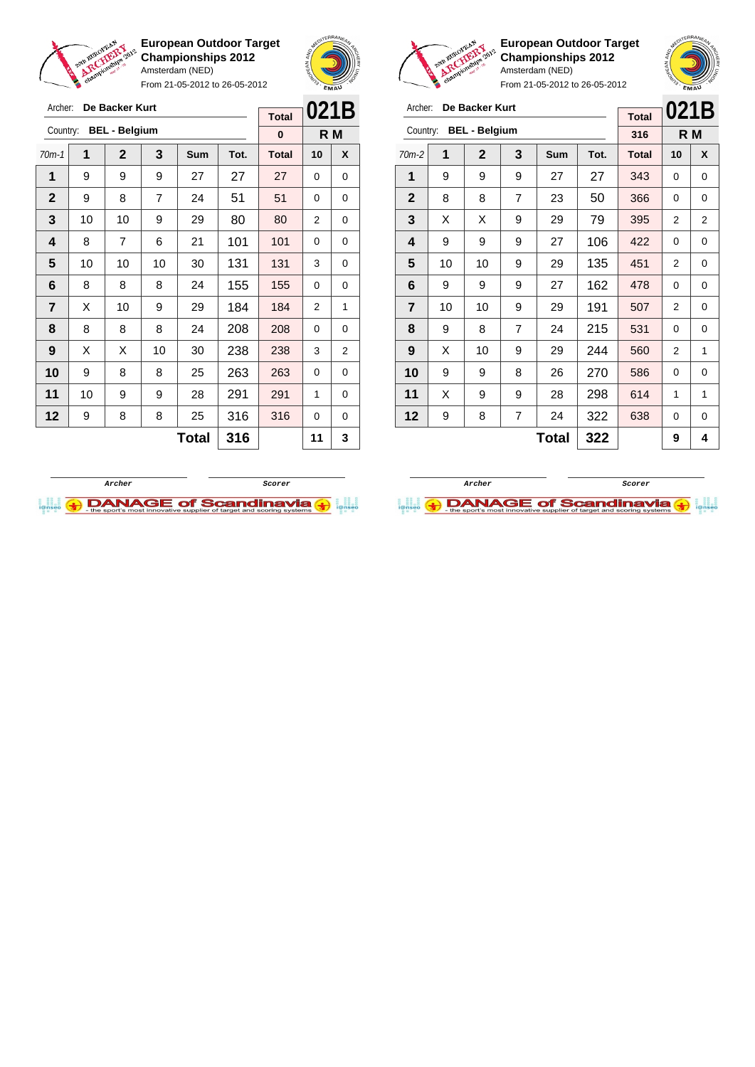

Archer: **De Backer Kurt** Country: **BEL - Belgium**

**European Outdoor Target Championships 2012** Amsterdam (NED)

From 21-05-2012 to 26-05-2012

70m-1 **1 2 3 Sum Tot. Total 10 X** | 9 | 9 | 9 | 27 | 27 | 27 | 0 | 0 9 8 7 24 51 51 0 0 | 10 | 10 | 9 | 29 | 80 | 80 | 2 | 0 | 8 | 7 | 6 | 21 | 101 | 101 | 0 | 0 | 10 | 10 | 10 | 30 | 131 | 131 | 3 | 0 | 8 | 8 | 8 | 24 | 155 | 155 | 0 | 0  $\begin{array}{|c|c|c|c|c|c|}\n\hline\n\textbf{7} & \textbf{X} & \textbf{10} & \textbf{9} & \textbf{29} & \textbf{184} & \textbf{184} & \textbf{2} & \textbf{1}\n\end{array}$  | 8 | 8 | 8 | 24 | 208 | 208 | 0 | 0 | X | X | 10 | 30 | **238 | 238 |** 3 | 2 9 8 8 25 263 263 0 0 | 10 | 9 | 9 | 28 | 291 | 291 | 1 | 0 | 9 | 8 | 8 | 25 | 316 | 316 | 0 | 0



**R M**

**Total 0**



**European Outdoor Target Championships 2012** Amsterdam (NED)

From 21-05-2012 to 26-05-2012

| Archer:                 |    | De Backer Kurt       |                | <b>Total</b> | 021B |              |                |   |
|-------------------------|----|----------------------|----------------|--------------|------|--------------|----------------|---|
| Country:                |    | <b>BEL - Belgium</b> |                |              |      | 316          | R M            |   |
| $70m-2$                 | 1  | $\overline{2}$       | 3              | Sum          | Tot. | <b>Total</b> | 10             | X |
| 1                       | 9  | 9                    | 9              | 27           | 27   | 343          | 0              | 0 |
| $\mathbf{2}$            | 8  | 8                    | 7              | 23           | 50   | 366          | 0              | 0 |
| 3                       | X  | X                    | 9              | 29           | 79   | 395          | 2              | 2 |
| 4                       | 9  | 9                    | 9              | 27           | 106  | 422          | 0              | 0 |
| 5                       | 10 | 10                   | 9              | 29           | 135  | 451          | $\overline{2}$ | 0 |
| 6                       | 9  | 9                    | 9              | 27           | 162  | 478          | 0              | 0 |
| $\overline{\mathbf{r}}$ | 10 | 10                   | 9              | 29           | 191  | 507          | 2              | 0 |
| 8                       | 9  | 8                    | $\overline{7}$ | 24           | 215  | 531          | 0              | 0 |
| 9                       | X  | 10                   | 9              | 29           | 244  | 560          | 2              | 1 |
| 10                      | 9  | 9                    | 8              | 26           | 270  | 586          | 0              | 0 |
| 11                      | X  | 9                    | 9              | 28           | 298  | 614          | 1              | 1 |
| 12                      | 9  | 8                    | 7              | 24           | 322  | 638          | 0              | 0 |
|                         |    |                      |                | 9            | 4    |              |                |   |



 $Total | 316 | 11 | 3$ 

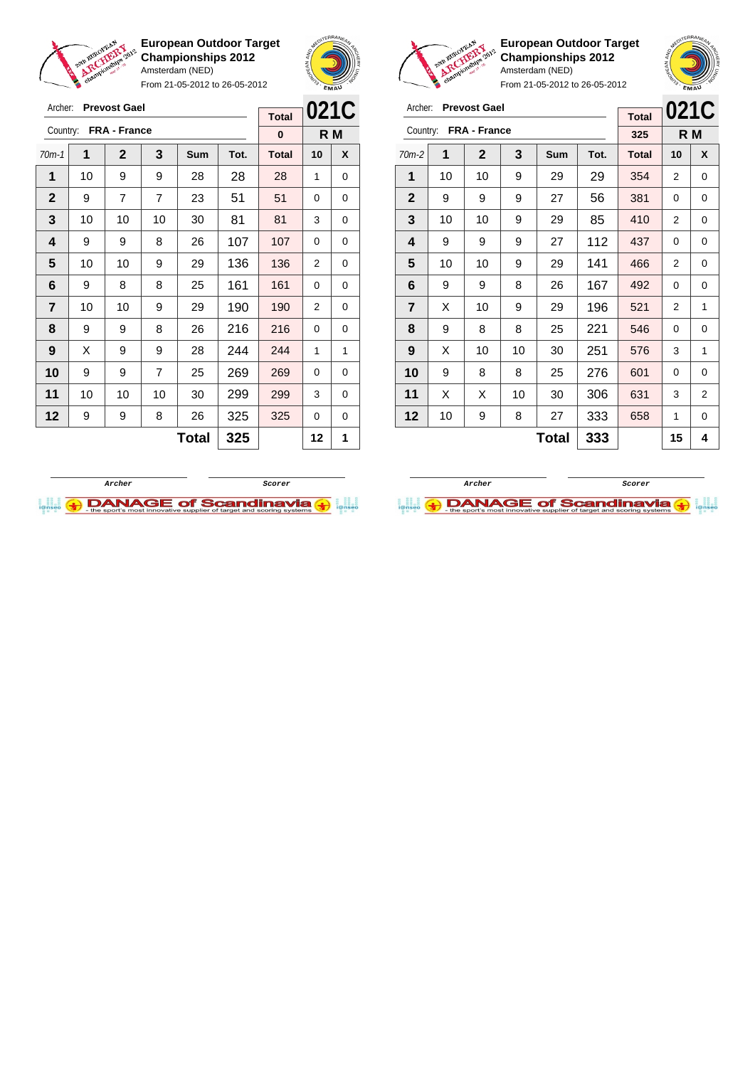

From 21-05-2012 to 26-05-2012





**European Outdoor Target Championships 2012** Amsterdam (NED)



From 21-05-2012 to 26-05-2012

| Archer:        |    | <b>Prevost Gael</b> |     | <b>Total</b> | 021C |              |    |                |
|----------------|----|---------------------|-----|--------------|------|--------------|----|----------------|
| Country:       |    | FRA - France        |     |              |      | 325          |    | R M            |
| $70m-2$        | 1  | $\mathbf{2}$        | 3   | <b>Sum</b>   | Tot. | <b>Total</b> | 10 | X              |
| 1              | 10 | 10                  | 9   | 29           | 29   | 354          | 2  | 0              |
| $\mathbf{2}$   | 9  | 9                   | 9   | 27           | 56   | 381          | 0  | 0              |
| 3              | 10 | 10                  | 9   | 29           | 85   | 410          | 2  | 0              |
| 4              | 9  | 9                   | 9   | 27           | 112  | 437          | 0  | 0              |
| 5              | 10 | 10                  | 9   | 29           | 141  | 466          | 2  | 0              |
| 6              | 9  | 9                   | 8   | 26           | 167  | 492          | 0  | 0              |
| $\overline{7}$ | X  | 10                  | 9   | 29           | 196  | 521          | 2  | 1              |
| 8              | 9  | 8                   | 8   | 25           | 221  | 546          | 0  | 0              |
| 9              | х  | 10                  | 10  | 30           | 251  | 576          | 3  | 1              |
| 10             | 9  | 8                   | 8   | 25           | 276  | 601          | 0  | 0              |
| 11             | X  | X                   | 10  | 30           | 306  | 631          | 3  | $\overline{2}$ |
| 12             | 10 | 9                   | 8   | 27           | 333  | 658          | 1  | 0              |
|                |    |                     | 333 |              | 15   | 4            |    |                |

**Archer Scorer**

**DANAGE of Scandinavia** 



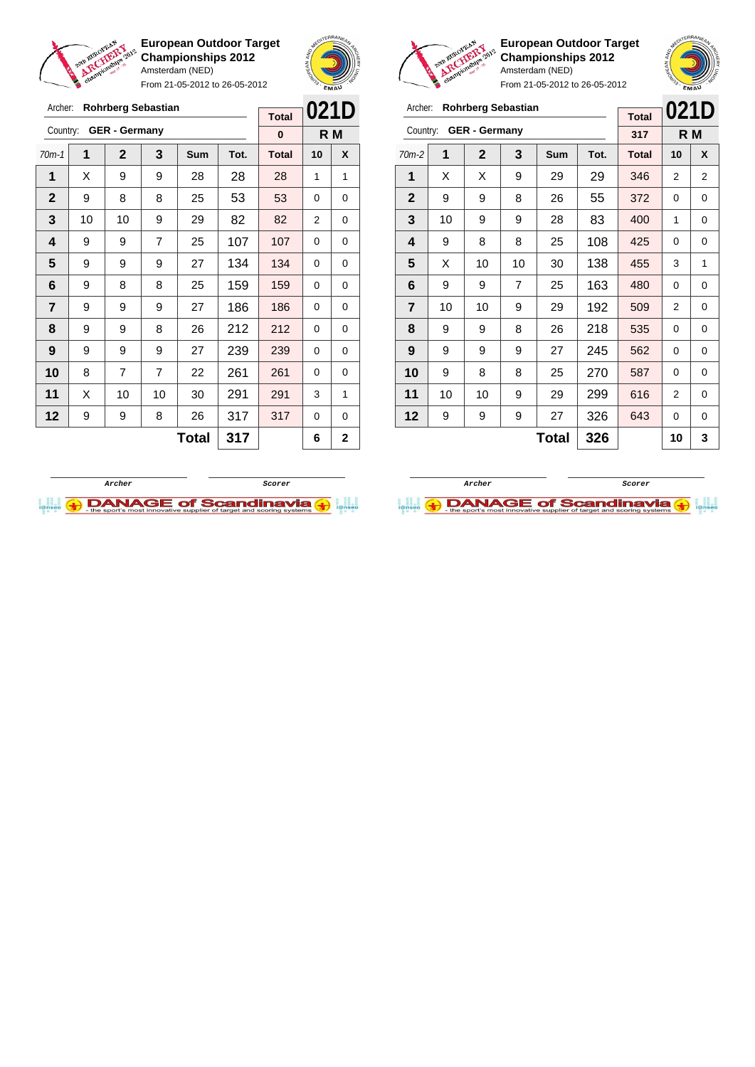

From 21-05-2012 to 26-05-2012





Archer: **Rohrberg Sebastian** Country: **GER - Germany**

**European Outdoor Target Championships 2012** Amsterdam (NED)

70m-2 **1 2 3 Sum Tot. Total 10 X** | X | X | 9 | 29 | 29 | 346 | 2 | 2 | 9 | 9 | 8 | 26 | 55 | 372 | 0 | 0 | 10 | 9 | 9 | 28 | 83 | 400 | 1 | 0 | 9 | 8 | 8 | 25 | 108 <mark>| 425</mark> | 0 | 0  $\mid$  X  $\mid$  10  $\mid$  10  $\mid$  30  $\mid$  138  $\mid$  455  $\mid$  3  $\mid$  1 | 9 | 9 | 7 | 25 | 163 | 480 | 0 | 0 | 10 | 10 | 9 | 29 | 192 | 509 | 2 | 0 | 9 | 9 | 8 | 26 | 218 | 535 | 0 | 0 | 9 | 9 | 9 | 27 | 245 | 562 | 0 | 0 | 9 | 8 | 8 | 25 | 270 | 587 | 0 | 0 | 10 | 10 | 9 | 29 | 299 | 616 | 2 | 0 | 9 | 9 | 9 | 27 | 326 | 643 | 0 | 0

**021D R M**

**Total 317**

**Total 326 10 3**

| Archer:        |    | <b>Rohrberg Sebastian</b> |                | 021D         |      |              |    |              |
|----------------|----|---------------------------|----------------|--------------|------|--------------|----|--------------|
|                |    |                           |                |              |      | <b>Total</b> |    |              |
| Country:       |    | <b>GER</b> - Germany      |                |              |      | 0            |    | R M          |
| $70m-1$        | 1  | $\mathbf{2}$              | 3              | <b>Sum</b>   | Tot. | <b>Total</b> | 10 | X            |
| 1              | X  | 9                         | 9              | 28           | 28   | 28           | 1  | 1            |
| $\mathbf{2}$   | 9  | 8                         | 8              | 25           | 53   | 53           | 0  | 0            |
| 3              | 10 | 10                        | 9              | 29           | 82   | 82           | 2  | 0            |
| 4              | 9  | 9                         | $\overline{7}$ | 25           | 107  | 107          | 0  | 0            |
| 5              | 9  | 9                         | 9              | 27           | 134  | 134          | 0  | 0            |
| 6              | 9  | 8                         | 8              | 25           | 159  | 159          | 0  | 0            |
| $\overline{7}$ | 9  | 9                         | 9              | 27           | 186  | 186          | 0  | 0            |
| 8              | 9  | 9                         | 8              | 26           | 212  | 212          | 0  | 0            |
| 9              | 9  | 9                         | 9              | 27           | 239  | 239          | 0  | 0            |
| 10             | 8  | 7                         | $\overline{7}$ | 22           | 261  | 261          | 0  | 0            |
| 11             | х  | 10                        | 10             | 30           | 291  | 291          | 3  | 1            |
| 12             | 9  | 9                         | 8              | 26           | 317  | 317          | 0  | 0            |
|                |    |                           |                | <b>Total</b> | 317  |              | 6  | $\mathbf{2}$ |



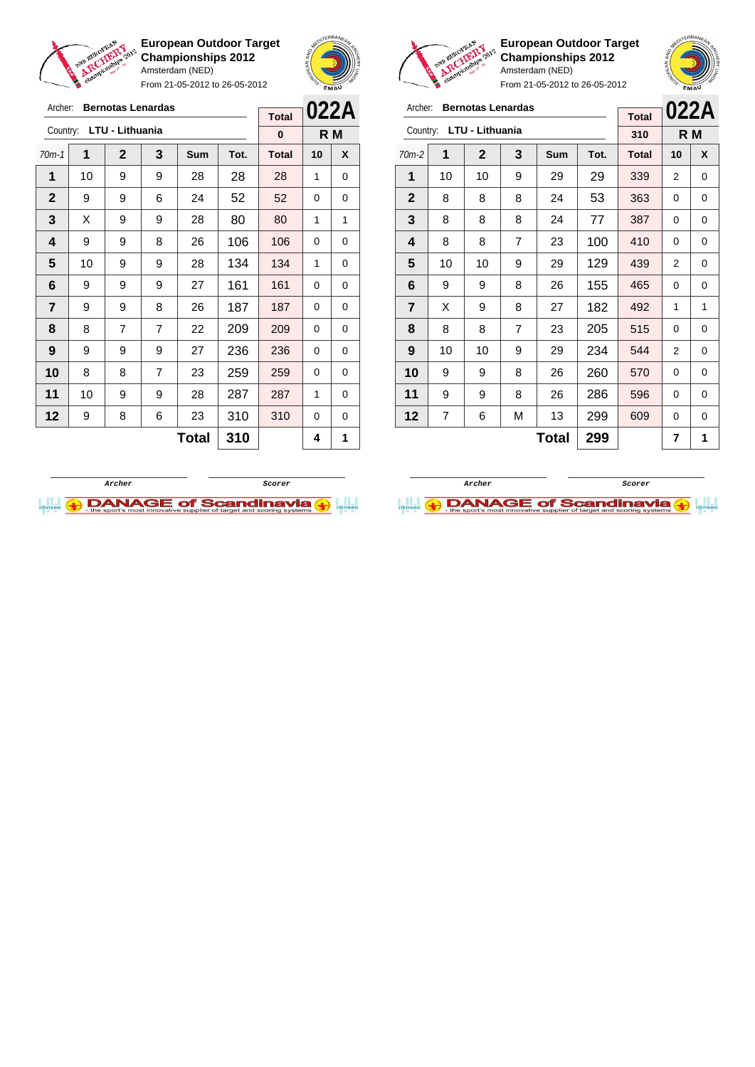

Archer: **Bernotas Lenardas**

**European Outdoor Target Championships 2012** Amsterdam (NED)

From 21-05-2012 to 26-05-2012





**European Outdoor Target Championships 2012** Amsterdam (NED)

| Archer:        |    | <b>Bernotas Lenardas</b> |                |              |      |              |                | 022A        |
|----------------|----|--------------------------|----------------|--------------|------|--------------|----------------|-------------|
|                |    | Country: LTU - Lithuania |                |              |      | <b>Total</b> |                |             |
|                |    |                          |                |              |      | 310          |                | R M         |
| $70m-2$        | 1  | $\overline{2}$           | 3              | <b>Sum</b>   | Tot. | <b>Total</b> | 10             | X           |
| 1              | 10 | 10                       | 9              | 29           | 29   | 339          | $\overline{2}$ | 0           |
| $\mathbf 2$    | 8  | 8                        | 8              | 24           | 53   | 363          | 0              | 0           |
| 3              | 8  | 8                        | 8              | 24           | 77   | 387          | 0              | 0           |
| 4              | 8  | 8                        | $\overline{7}$ | 23           | 100  | 410          | $\Omega$       | 0           |
| 5              | 10 | 10                       | 9              | 29           | 129  | 439          | 2              | 0           |
| 6              | 9  | 9                        | 8              | 26           | 155  | 465          | 0              | $\mathbf 0$ |
| $\overline{7}$ | X  | 9                        | 8              | 27           | 182  | 492          | 1              | 1           |
| 8              | 8  | 8                        | $\overline{7}$ | 23           | 205  | 515          | 0              | 0           |
| 9              | 10 | 10                       | 9              | 29           | 234  | 544          | $\overline{2}$ | 0           |
| 10             | 9  | 9                        | 8              | 26           | 260  | 570          | 0              | 0           |
| 11             | 9  | 9                        | 8              | 26           | 286  | 596          | 0              | 0           |
| 12             | 7  | 6                        | М              | 13           | 299  | 609          | 0              | 0           |
|                |    |                          |                | <b>Total</b> | 299  |              | 7              | 1           |





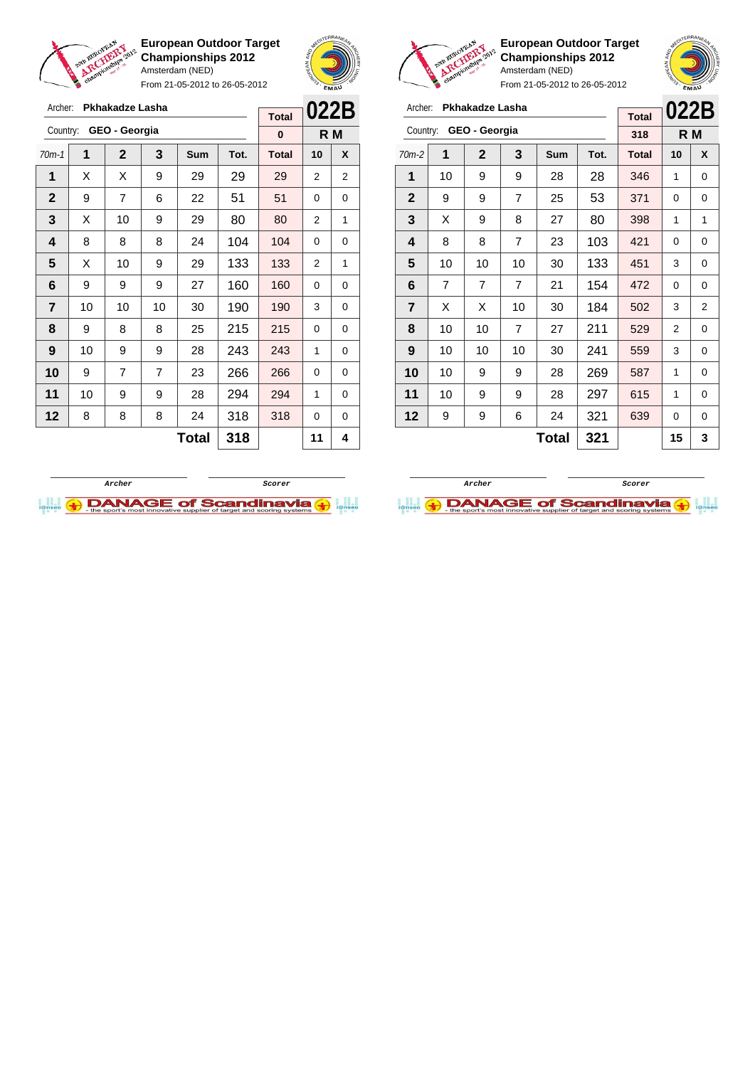

From 21-05-2012 to 26-05-2012





From 21-05-2012 to 26-05-2012

| Archer:        |    | Pkhakadze Lasha |                | <b>Total</b> | 022B |              |                |     |
|----------------|----|-----------------|----------------|--------------|------|--------------|----------------|-----|
| Country:       |    | GEO - Georgia   |                |              |      | 318          |                | R M |
| $70m-2$        | 1  | $\mathbf{2}$    | 3              | <b>Sum</b>   | Tot. | <b>Total</b> | 10             | X   |
| 1              | 10 | 9               | 9              | 28           | 28   | 346          | 1              | 0   |
| $\mathbf{2}$   | 9  | 9               | $\overline{7}$ | 25           | 53   | 371          | 0              | 0   |
| 3              | X  | 9               | 8              | 27           | 80   | 398          | 1              | 1   |
| 4              | 8  | 8               | $\overline{7}$ | 23           | 103  | 421          | 0              | 0   |
| 5              | 10 | 10              | 10             | 30           | 133  | 451          | 3              | 0   |
| 6              | 7  | $\overline{7}$  | $\overline{7}$ | 21           | 154  | 472          | $\Omega$       | 0   |
| $\overline{7}$ | X  | X               | 10             | 30           | 184  | 502          | 3              | 2   |
| 8              | 10 | 10              | $\overline{7}$ | 27           | 211  | 529          | $\overline{2}$ | 0   |
| 9              | 10 | 10              | 10             | 30           | 241  | 559          | 3              | 0   |
| 10             | 10 | 9               | 9              | 28           | 269  | 587          | 1              | 0   |
| 11             | 10 | 9               | 9              | 28           | 297  | 615          | 1              | 0   |
| 12             | 9  | 9               | 6              | 24           | 321  | 639          | 0              | 0   |
|                |    |                 | 321            |              | 15   | 3            |                |     |

| Archer:                 |    | <b>Pkhakadze Lasha</b> |                |     |      | <b>Total</b> | 022B |   |
|-------------------------|----|------------------------|----------------|-----|------|--------------|------|---|
| Country:                |    | GEO - Georgia          |                |     |      | $\bf{0}$     | R M  |   |
| $70m-1$                 | 1  | $\overline{2}$         | 3              | Sum | Tot. | <b>Total</b> | 10   | X |
| 1                       | X  | X                      | 9              | 29  | 29   | 29           | 2    | 2 |
| $\mathbf{2}$            | 9  | $\overline{7}$         | 6              | 22  | 51   | 51           | 0    | 0 |
| 3                       | X  | 10                     | 9              | 29  | 80   | 80           | 2    | 1 |
| $\overline{\mathbf{4}}$ | 8  | 8                      | 8              | 24  | 104  | 104          | 0    | 0 |
| 5                       | X  | 10                     | 9              | 29  | 133  | 133          | 2    | 1 |
| 6                       | 9  | 9                      | 9              | 27  | 160  | 160          | 0    | 0 |
| $\overline{7}$          | 10 | 10                     | 10             | 30  | 190  | 190          | 3    | 0 |
| 8                       | 9  | 8                      | 8              | 25  | 215  | 215          | 0    | 0 |
| 9                       | 10 | 9                      | 9              | 28  | 243  | 243          | 1    | 0 |
| 10                      | 9  | 7                      | $\overline{7}$ | 23  | 266  | 266          | 0    | 0 |
| 11                      | 10 | 9                      | 9              | 28  | 294  | 294          | 1    | 0 |
| 12                      | 8  | 8                      | 8              | 24  | 318  | 318          | 0    | 0 |
|                         |    |                        | 318            |     | 11   | 4            |      |   |



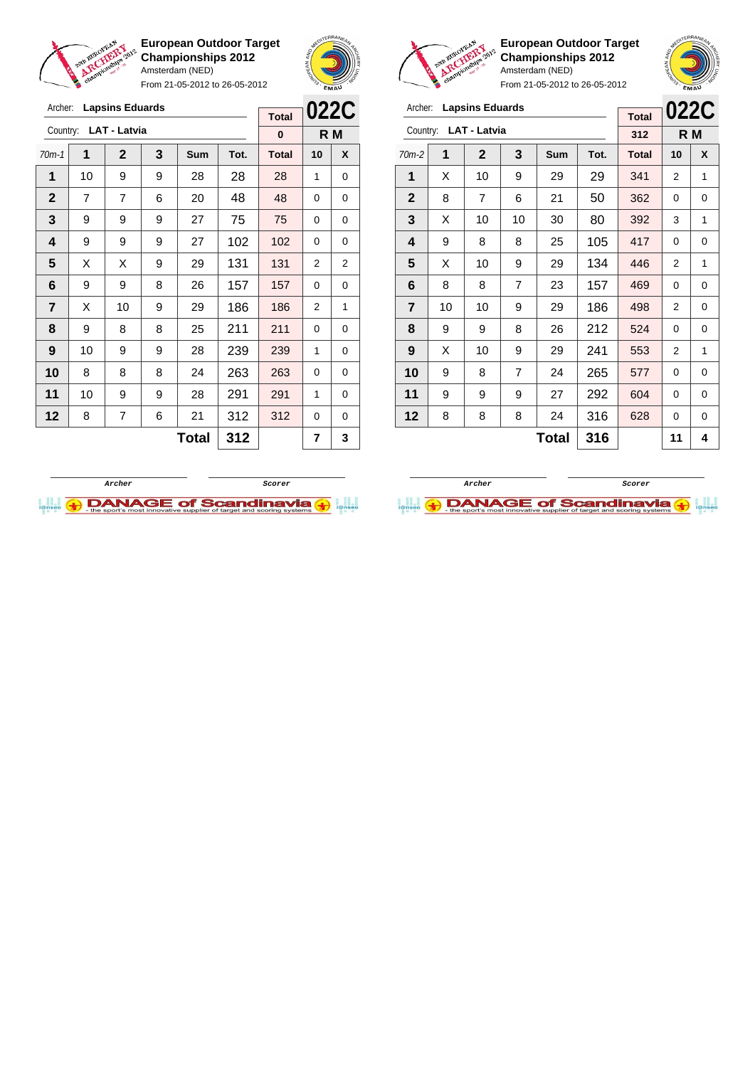

Archer: **Lapsins Eduards**

Country: **LAT - Latvia**

**European Outdoor Target Championships 2012** Amsterdam (NED)

From 21-05-2012 to 26-05-2012

70m-1 **1 2 3 Sum Tot. Total 10 X** | 10 | 9 | 9 | 28 | 28 | 28 | 1 | 0 | 7 | 7 | 6 | 20 | 48 | 48 | 0 | 0 | 9 | 9 | 9 | 27 | 75 | 75 | 0 | 0 | 9 | 9 | 9 | 27 | 102 | 102 | 0 | 0  $\mid$  X  $\mid$  X  $\mid$  9  $\mid$  29  $\mid$  131  $\mid$  131  $\mid$  2  $\mid$  2 | 9 | 9 | 8 | 26 | 157 | 157 | 0 | 0



**R M**

**Total 0**



|                         |    | <b>EMAU</b>            |                |            |      |              |                |     |
|-------------------------|----|------------------------|----------------|------------|------|--------------|----------------|-----|
| Archer:                 |    | <b>Lapsins Eduards</b> |                |            |      | <b>Total</b> | 022C           |     |
| Country:                |    | <b>LAT - Latvia</b>    |                |            |      | 312          |                | R M |
| $70m-2$                 | 1  | $\mathbf{2}$           | 3              | <b>Sum</b> | Tot. | <b>Total</b> | 10             | X   |
| 1                       | X  | 10                     | 9              | 29         | 29   | 341          | 2              | 1   |
| $\mathbf{2}$            | 8  | 7                      | 6              | 21         | 50   | 362          | 0              | 0   |
| 3                       | X  | 10                     | 10             | 30         | 80   | 392          | 3              | 1   |
| 4                       | 9  | 8                      | 8              | 25         | 105  | 417          | 0              | 0   |
| 5                       | X  | 10                     | 9              | 29         | 134  | 446          | $\overline{2}$ | 1   |
| 6                       | 8  | 8                      | 7              | 23         | 157  | 469          | 0              | 0   |
| $\overline{\mathbf{r}}$ | 10 | 10                     | 9              | 29         | 186  | 498          | 2              | 0   |
| 8                       | 9  | 9                      | 8              | 26         | 212  | 524          | 0              | 0   |
| 9                       | X  | 10                     | 9              | 29         | 241  | 553          | 2              | 1   |
| 10                      | 9  | 8                      | $\overline{7}$ | 24         | 265  | 577          | 0              | 0   |
| 11                      | 9  | 9                      | 9              | 27         | 292  | 604          | 0              | 0   |
| 12                      | 8  | 8                      | 8              | 24         | 316  | 628          | 0              | 0   |
|                         | 11 | 4                      |                |            |      |              |                |     |

| 7  | X  | 10 | 9 | 29           | 186 | 186 | 2              | 1           |
|----|----|----|---|--------------|-----|-----|----------------|-------------|
| 8  | 9  | 8  | 8 | 25           | 211 | 211 | 0              | $\mathbf 0$ |
| 9  | 10 | 9  | 9 | 28           | 239 | 239 | 1              | 0           |
| 10 | 8  | 8  | 8 | 24           | 263 | 263 | 0              | 0           |
| 11 | 10 | 9  | 9 | 28           | 291 | 291 | 1              | $\mathbf 0$ |
| 12 | 8  | 7  | 6 | 21           | 312 | 312 | 0              | 0           |
|    |    |    |   | <b>Total</b> | 312 |     | $\overline{7}$ | 3           |
|    |    |    |   |              |     |     |                |             |



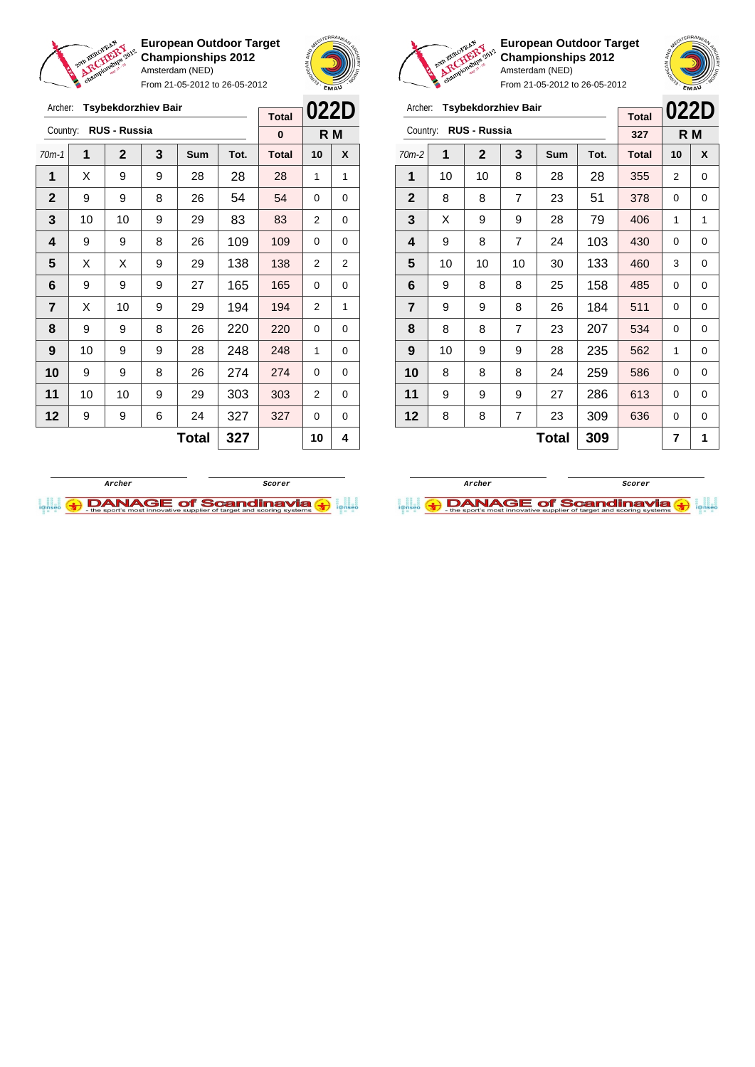

Archer: **Tsybekdorzhiev Bair**

**European Outdoor Target Championships 2012** Amsterdam (NED)

From 21-05-2012 to 26-05-2012





|                | From 21-05-2012 to 26-05-2012 |                            | EMAU           |              |      |              |          |     |
|----------------|-------------------------------|----------------------------|----------------|--------------|------|--------------|----------|-----|
| Archer:        |                               | <b>Tsybekdorzhiev Bair</b> |                |              |      | <b>Total</b> | 022D     |     |
| Country:       |                               | <b>RUS - Russia</b>        |                |              |      | 327          |          | R M |
| $70m-2$        | 1                             | $\mathbf{2}$               | 3              | <b>Sum</b>   | Tot. | <b>Total</b> | 10       | X   |
| 1              | 10                            | 10                         | 8              | 28           | 28   | 355          | 2        | 0   |
| $\mathbf{2}$   | 8                             | 8                          | 7              | 23           | 51   | 378          | 0        | 0   |
| 3              | X                             | 9                          | 9              | 28           | 79   | 406          | 1        | 1   |
| 4              | 9                             | 8                          | $\overline{7}$ | 103          | 430  | $\Omega$     | 0        |     |
| 5              | 10                            | 10                         | 10             | 30           | 133  | 460          | 3        | 0   |
| 6              | 9                             | 8                          | 8              | 25           | 158  | 485          | 0        | 0   |
| $\overline{7}$ | 9                             | 9                          | 8              | 26           | 184  | 511          | $\Omega$ | 0   |
| 8              | 8                             | 8                          | 7              | 23           | 207  | 534          | $\Omega$ | 0   |
| 9              | 10                            | 9                          | 9              | 28           | 235  | 562          | 1        | 0   |
| 10             | 8                             | 8                          | 8              | 24           | 259  | 586          | 0        | 0   |
| 11             | 9                             | 9                          | 9              | 27           | 286  | 613          | 0        | 0   |
| 12             | 8                             | 8                          | 7              | 23           | 309  | 636          | 0        | 0   |
|                |                               |                            |                | <b>Total</b> | 309  |              | 7        | 1   |

|                         | <b>Tsybekdorzhiev Bair</b><br>Archer:<br><b>RUS - Russia</b><br>Country:<br>1<br>$\mathbf 2$<br>3 |    |     |              |      | <b>Total</b> | 022D           |     |
|-------------------------|---------------------------------------------------------------------------------------------------|----|-----|--------------|------|--------------|----------------|-----|
|                         |                                                                                                   |    |     |              |      | 0            |                | R M |
| $70m-1$                 |                                                                                                   |    |     | Sum          | Tot. | <b>Total</b> | 10             | X   |
| 1                       | X                                                                                                 | 9  | 9   | 28           | 28   | 28           | 1              | 1   |
| $\mathbf{2}$            | 9                                                                                                 | 9  | 8   | 26           | 54   | 54           | 0              | 0   |
| 3                       | 10                                                                                                | 10 | 9   | 29           | 83   | 83           | 2              | 0   |
| $\overline{\mathbf{4}}$ | 9                                                                                                 | 9  | 109 | 109          | 0    | 0            |                |     |
| 5                       | X                                                                                                 | Χ  | 9   | 29           | 138  | 138          | 2              | 2   |
| 6                       | 9                                                                                                 | 9  | 9   | 27           | 165  | 165          | 0              | 0   |
| 7                       | X                                                                                                 | 10 | 9   | 29           | 194  | 194          | $\overline{2}$ | 1   |
| 8                       | 9                                                                                                 | 9  | 8   | 26           | 220  | 220          | 0              | 0   |
| 9                       | 10                                                                                                | 9  | 9   | 28           | 248  | 248          | 1              | 0   |
| 10                      | 9                                                                                                 | 9  | 8   | 26           | 274  | 274          | 0              | 0   |
| 11                      | 10<br>10<br>9                                                                                     |    |     | 29           | 303  | 303          | 2              | 0   |
| 12                      | 9                                                                                                 | 9  | 6   | 327          | 327  | 0            | 0              |     |
|                         |                                                                                                   |    |     | <b>Total</b> | 327  |              | 10             | 4   |
|                         |                                                                                                   |    |     |              |      |              |                |     |



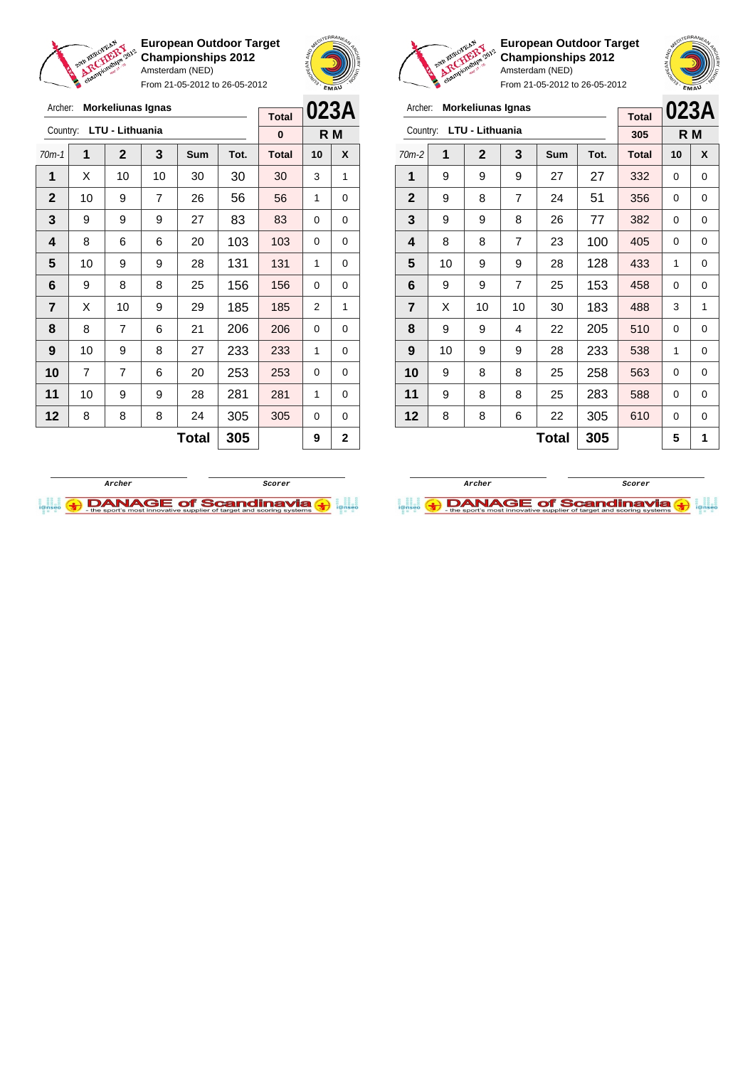

Archer: **Morkeliunas Ignas** Country: **LTU - Lithuania**

**European Outdoor Target Championships 2012** Amsterdam (NED)

From 21-05-2012 to 26-05-2012





**European Outdoor Target Championships 2012** Amsterdam (NED)

**023A R M**

| Archer:      | <b>Morkeliunas Ignas</b> |                 |                |              |      |              |              |             | <b>Morkeliunas Ignas</b><br>Archer: |    |                 |                |              |      |              |          |     |
|--------------|--------------------------|-----------------|----------------|--------------|------|--------------|--------------|-------------|-------------------------------------|----|-----------------|----------------|--------------|------|--------------|----------|-----|
|              |                          |                 |                |              |      | <b>Total</b> |              | 023A        |                                     |    |                 |                |              |      | <b>Total</b> | 023/     |     |
| Country:     |                          | LTU - Lithuania |                |              |      | $\bf{0}$     |              | R M         | Country:                            |    | LTU - Lithuania |                |              |      | 305          |          | R M |
| $70m-1$      |                          | $\overline{2}$  | $\overline{3}$ | <b>Sum</b>   | Tot. | <b>Total</b> | 10           | X           | $70m-2$                             | 1  | $\overline{2}$  | 3              | Sum          | Tot. | <b>Total</b> | 10       | X   |
| 1            | X                        | 10              | 10             | 30           | 30   | 30           | 3            | 1           | 1                                   | 9  | 9               | 9              | 27           | 27   | 332          | 0        | 0   |
| $\mathbf{2}$ | 10                       | 9               | $\overline{7}$ | 26           | 56   | 56           | 1            | 0           | $\mathbf{2}$                        | 9  | 8               | $\overline{7}$ | 24           | 51   | 356          | $\Omega$ | 0   |
| 3            | 9                        | 9               | 9              | 27           | 83   | 83           | $\Omega$     | 0           | 3                                   | 9  | 9               | 8              | 26           | 77   | 382          | 0        | 0   |
| 4            | 8                        | 6               | 6              | 20           | 103  | 103          | $\Omega$     | 0           | 4                                   | 8  | 8               | $\overline{7}$ | 23           | 100  | 405          | 0        | 0   |
| 5            | 10                       | 9               | 9              | 28           | 131  | 131          | 1            | 0           | 5                                   | 10 | 9               | 9              | 28           | 128  | 433          | 1        | 0   |
| 6            | 9                        | 8               | 8              | 25           | 156  | 156          | $\Omega$     | 0           | 6                                   | 9  | 9               | $\overline{7}$ | 25           | 153  | 458          | $\Omega$ | 0   |
| 7            | X                        | 10              | 9              | 29           | 185  | 185          | 2            | 1           | $\overline{7}$                      | X  | 10              | 10             | 30           | 183  | 488          | 3        | 1   |
| 8            | 8                        | $\overline{7}$  | 6              | 21           | 206  | 206          | $\Omega$     | $\mathbf 0$ | 8                                   | 9  | 9               | 4              | 22           | 205  | 510          | 0        | 0   |
| 9            | 10 <sup>1</sup>          | 9               | 8              | 27           | 233  | 233          | 1            | 0           | 9                                   | 10 | 9               | 9              | 28           | 233  | 538          | 1        | 0   |
| 10           | 7                        | $\overline{7}$  | 6              | 20           | 253  | 253          | $\Omega$     | $\mathbf 0$ | 10                                  | 9  | 8               | 8              | 25           | 258  | 563          | $\Omega$ | 0   |
| 11           | 10 <sup>1</sup>          | 9               | 9              | 28           | 281  | 281          | $\mathbf{1}$ | 0           | 11                                  | 9  | 8               | 8              | 25           | 283  | 588          | 0        | 0   |
| 12           | 8                        | 8               | 8              | 24           | 305  | 305          | $\Omega$     | 0           | 12                                  | 8  | 8               | 6              | 22           | 305  | 610          | 0        | 0   |
|              |                          |                 |                | <b>Total</b> | 305  |              | 9            | $\mathbf 2$ |                                     |    |                 |                | <b>Total</b> | 305  |              | 5        |     |



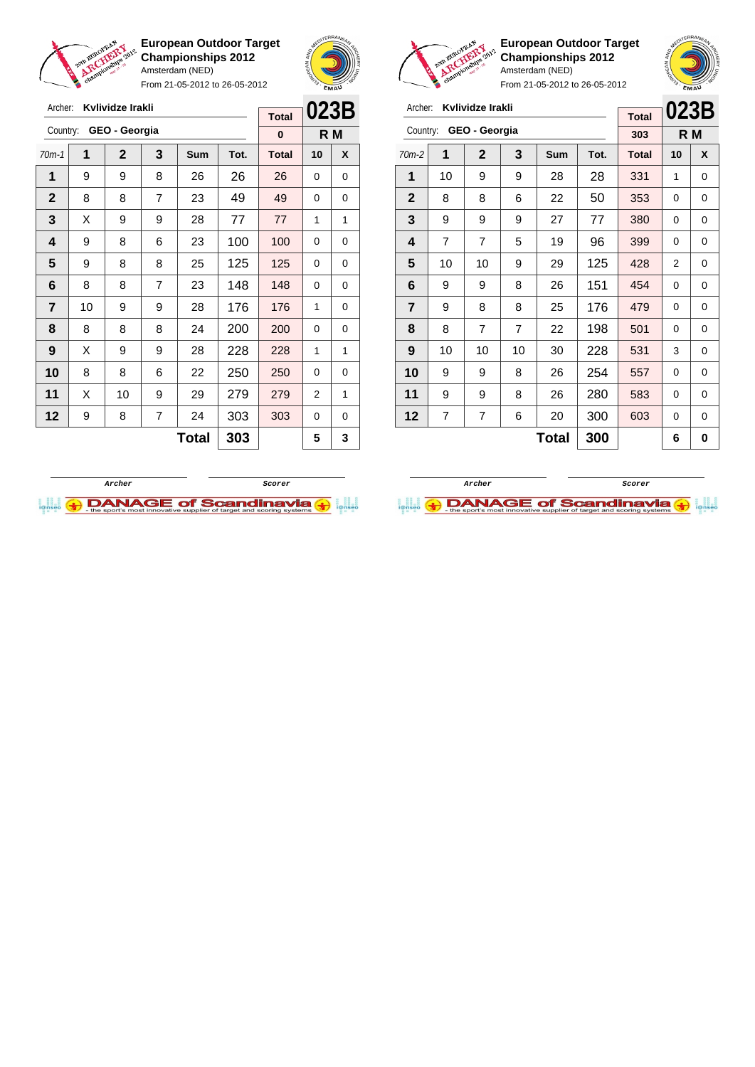

From 21-05-2012 to 26-05-2012





**European Outdoor Target Championships 2012** Amsterdam (NED)

| Archer:                 |                | Kvlividze Irakli |    | <b>Total</b> | 023B |              |          |     |
|-------------------------|----------------|------------------|----|--------------|------|--------------|----------|-----|
| Country:                |                | GEO - Georgia    |    |              |      | 303          |          | R M |
| $70m-2$                 | 1              | 2                | 3  | Sum          | Tot. | <b>Total</b> | 10       | X   |
| 1                       | 10             | 9                | 9  | 28           | 28   | 331          | 1        | 0   |
| $\mathbf{2}$            | 8              | 8                | 6  | 22           | 50   | 353          | 0        | 0   |
| 3                       | 9              | 9                | 9  | 27           | 77   | 380          | 0        | 0   |
| 4                       | $\overline{7}$ | 7                | 5  | 19           | 96   | 399          | 0        | 0   |
| 5                       | 10             | 10               | 9  | 29           | 125  | 428          | 2        | 0   |
| 6                       | 9              | 9                | 8  | 26           | 151  | 454          | 0        | 0   |
| $\overline{\mathbf{r}}$ | 9              | 8                | 8  | 25           | 176  | 479          | $\Omega$ | 0   |
| 8                       | 8              | $\overline{7}$   | 7  | 22           | 198  | 501          | 0        | 0   |
| 9                       | 10             | 10               | 10 | 30           | 228  | 531          | 3        | 0   |
| 10                      | 9              | 9                | 8  | 26           | 254  | 557          | 0        | 0   |
| 11                      | 9              | 9                | 8  | 26           | 280  | 583          | 0        | 0   |
| 12                      | 7              | 7                | 6  | 20           | 300  | 603          | 0        | 0   |
| 300<br>Total            |                |                  |    |              |      |              | 6        | 0   |





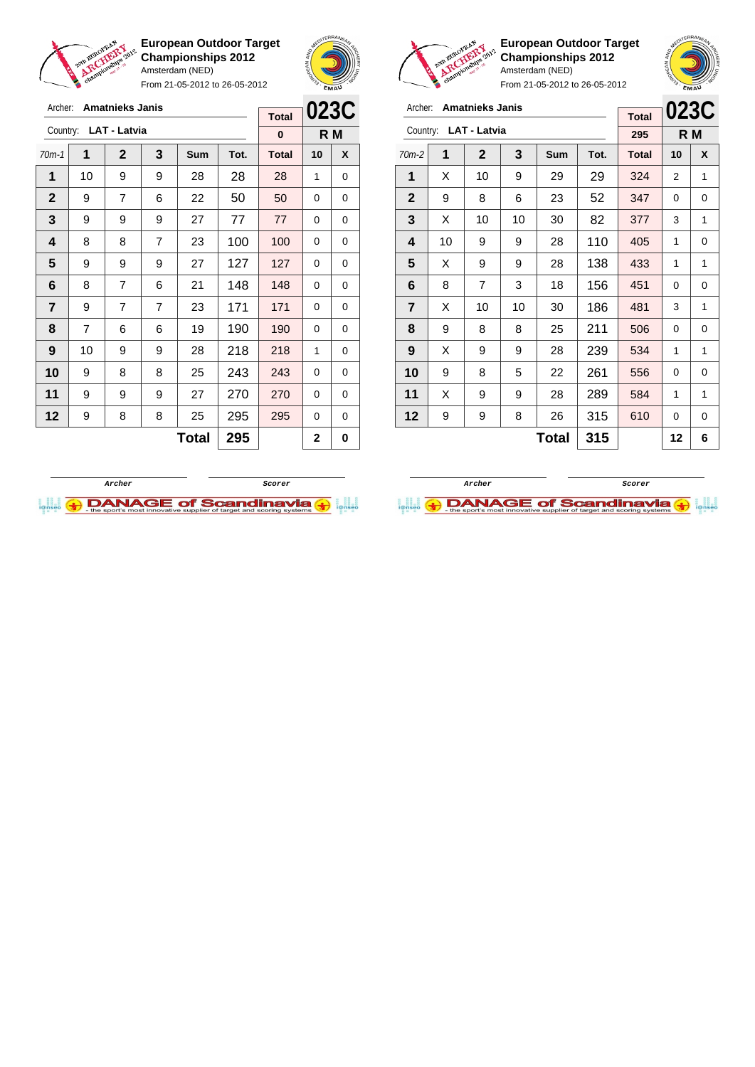

Archer: **Amatnieks Janis** Country: **LAT - Latvia**

**European Outdoor Target Championships 2012** Amsterdam (NED)

From 21-05-2012 to 26-05-2012

70m-1 **1 2 3 Sum Tot. Total 10 X** | 10 | 9 | 9 | 28 | 28 | 28 | 1 | 0 9 7 6 22 50 50 0 0 | 9 | 9 | 9 | 27 | 77 | 77 | 0 | 0 | 8 | 8 | 7 | 23 | 100 | 100 | 0 | 0 | 9 | 9 | 9 | 27 | 127 | 127 | 0 | 0 | 8 | 7 | 6 | 21 | 148 | 148 | 0 | 0 | 9 | 7 | 7 | 23 | 171 | 171 | 0 | 0 | 7 | 6 | 6 | 19 | 190 | 190 | 0 | 0 | 10 | 9 | 9 | 28 | 218 | 218 | 1 | 0 9 8 8 25 243 243 0 0 | 9 | 9 | 9 | 27 | 270 | 270 | 0 | 0 | 9 | 8 | 8 | 25 | 295 | 295 | 0 | 0



**R M**

**Total 0**



**European Outdoor Target Championships 2012** Amsterdam (NED)

|                | <b>CONTROL</b>         |                       | From 21-05-2012 to 26-05-2012 |            | <b>EMAU</b> |              |    |     |
|----------------|------------------------|-----------------------|-------------------------------|------------|-------------|--------------|----|-----|
| Archer:        | <b>Amatnieks Janis</b> | <b>Total</b>          | 023C                          |            |             |              |    |     |
|                |                        | Country: LAT - Latvia |                               |            |             | 295          |    | R M |
| $70m-2$        | 1                      | $\mathbf{2}$          | 3                             | <b>Sum</b> | Tot.        | <b>Total</b> | 10 | X   |
| 1              | X                      | 10                    | 9                             | 29         | 29          | 324          | 2  | 1   |
| $\mathbf{2}$   | 9                      | 8                     | 6                             | 23         | 52          | 347          | 0  | 0   |
| 3              | X                      | 10                    | 10                            | 30         | 82          | 377          | 3  | 1   |
| 4              | 10                     | 9                     | 9                             | 28         | 110         | 405          | 1  | 0   |
| 5              | X                      | 9                     | 9                             | 28         | 138         | 433          | 1  | 1   |
| 6              | 8                      | 7                     | 3                             | 18         | 156         | 451          | 0  | 0   |
| $\overline{7}$ | X                      | 10                    | 10                            | 30         | 186         | 481          | 3  | 1   |
| 8              | 9                      | 8                     | 8                             | 25         | 211         | 506          | 0  | 0   |
| 9              | X                      | 9                     | 9                             | 28         | 239         | 534          | 1  | 1   |
| 10             | 9                      | 8                     | 5                             | 22         | 261         | 556          | 0  | 0   |

**Total 315 12 6**

**11** | X | 9 | 9 | 28 | 289 | 584 | 1 | 1 **12** | 9 | 9 | 8 | 26 | 315 | 610 | 0 | 0

**Archer Scorer**

**DANAGE of Scandinavia (+)** 



**Total 295 2 0**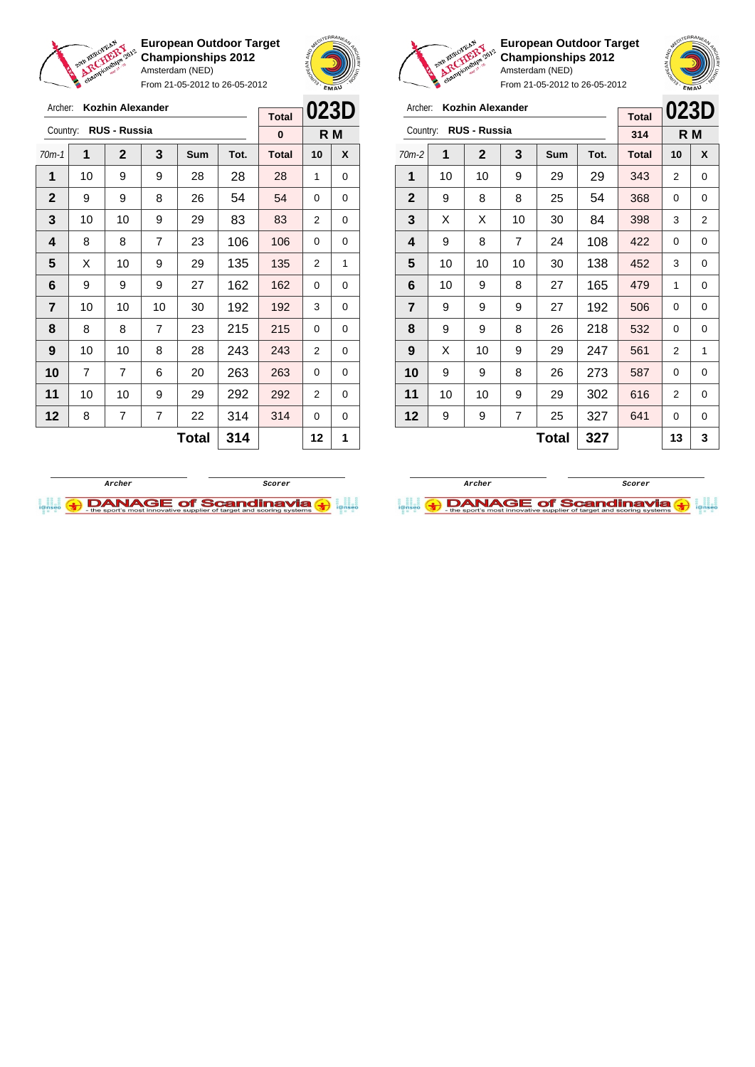

Archer: **Kozhin Alexander** Country: **RUS - Russia**

**European Outdoor Target Championships 2012** Amsterdam (NED)

From 21-05-2012 to 26-05-2012

70m-1 **1 2 3 Sum Tot. Total 10 X** | 10 | 9 | 9 | 28 | 28 | 28 | 1 | 0 9 9 8 26 54 54 0 0 | 10 | 10 | 9 | 29 | 83 | 83 | 2 | 0 | 8 | 8 | 7 | 23 | 106 | 106 | 0 | 0  $\mid$  X  $\mid$  10  $\mid$  9  $\mid$  29  $\mid$  135  $\mid$  135  $\mid$  2  $\mid$  1 | 9 | 9 | 9 | 27 | 162 | 162 | 0 | 0 | 10 | 10 | 10 | 30 | 192 | 192 | 3 | 0 | 8 | 8 | 7 | 23 | 215 | 215 | 0 | 0 | 10 | 10 | 8 | 28 | 243 | 243 | 2 | 0 | 7 | 7 | 6 | 20 | **263 | 263 |** 0 | 0 | 10 | 10 | 9 | 29 | 292 | 292 | 2 | 0 8 7 7 22 314 314 0 0



**R M**

**Total 0**

L<sub>ove</sub>



|                | From 21-05-2012 to 26-05-2012 |                         | <b>EMAU</b> |            |            |              |                |           |
|----------------|-------------------------------|-------------------------|-------------|------------|------------|--------------|----------------|-----------|
| Archer:        |                               | <b>Kozhin Alexander</b> |             |            |            | <b>Total</b> | 023D           |           |
| Country:       |                               | <b>RUS - Russia</b>     |             |            |            | 314          |                | R M       |
| $70m-2$        | 1                             | $\mathbf{2}$            | 3           | <b>Sum</b> | Tot.       | <b>Total</b> | 10             | X         |
| 1              | 10                            | 10                      | 9           | 29         | 29         | 343          | 2              | 0         |
| $\mathbf{2}$   | 9                             | 8                       | 8           | 25         | 54         | 368          | 0              | 0         |
| 3              | X<br>X<br>10<br>30            |                         |             |            | 84         | 398          | 3              | 2         |
| 4              | 9<br>$\overline{7}$<br>8      |                         | 24          | 108        | 422        | 0            | 0              |           |
| 5              | 10                            | 10                      | 10          | 30         | 138        | 452          | 3              | 0         |
| 6              | 10                            | 9                       | 8           | 27         | 165        | 479          | 1              | 0         |
| $\overline{7}$ | 9                             | 9                       | 9           | 27         | 192        | 506          | 0              | 0         |
| 8              | 9                             | 9                       | 8           | 26         | 218        | 532          | 0              | 0         |
| 9              | X                             | 10                      | 9           | 29         | 247        | 561          | 2              | 1         |
| 10             | 9                             | 9                       | 8           | 26         | 273<br>587 |              | 0              | 0         |
| 11             | 10                            | 10                      | 9           | 29         | 302        | 616          | $\overline{2}$ | 0         |
| 12<br>9<br>9   |                               | 7                       | 25          | 327        | 641        | 0            | 0              |           |
|                |                               |                         |             | ┳▃ィ▃▎      | へへつ        |              | $\overline{a}$ | $\bullet$ |

**European Outdoor Target Championships 2012**

Amsterdam (NED)



**Archer Scorer**

**I.I. ADANAGE of Scandinavia (+)** 



 $\text{Total}$  314 12 1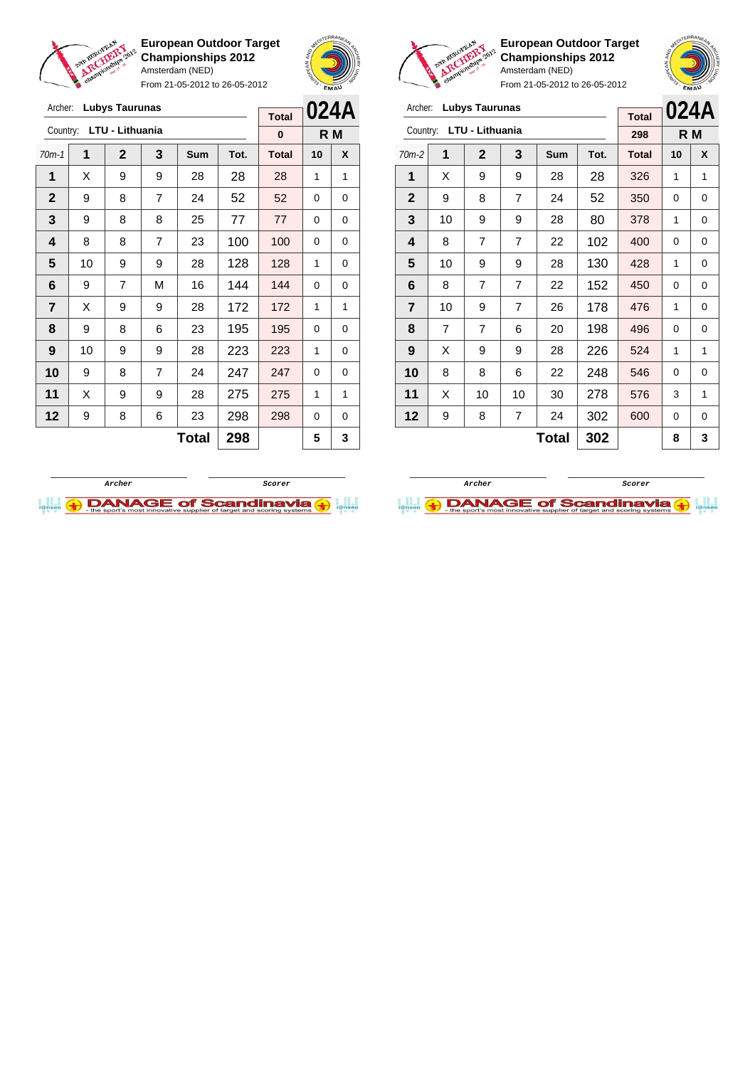

From 21-05-2012 to 26-05-2012





Archer: **Lubys Taurunas** Country: **LTU - Lithuania**

**European Outdoor Target Championships 2012** Amsterdam (NED)

70m-2 **1 2 3 Sum Tot. Total 10 X** | X | 9 | 9 | 28 | 28 | 326 | 1 | 1 | 9 | 8 | 7 | 24 | 52 | 350 | 0 | 0 | 10 | 9 | 9 | 28 | 80 | 378 | 1 | 0 | 8 | 7 | 7 | 22 | 102 | 400 | 0 | 0 | 10 | 9 | 9 | 28 | 130 | 428 | 1 | 0 | 8 | 7 | 7 | 22 | 152 | 450 | 0 | 0 | 10 | 9 | 7 | 26 | 178 | 476 | 1 | 0 | 7 | 7 | 6 | 20 | 198 | 496 | 0 | 0 | X | 9 | 9 | 28 | 226 | 524 | 1 | 1 8 8 8 6 22 248 546 0 0 | X | 10 | 10 | 30 | 278 | 576 | 3 | 1 | 9 | 8 | 7 | 24 | 302 | 600 | 0 | 0

**024A R M**

**Total 298**

 $Total | 302 | 8 | 3$ 

| Archer:        |    | <b>Lubys Taurunas</b> |                |              | <b>Total</b> | 024A         |    |     |
|----------------|----|-----------------------|----------------|--------------|--------------|--------------|----|-----|
| Country:       |    | LTU - Lithuania       |                |              |              |              |    |     |
|                |    |                       |                |              |              | 0            |    | R M |
| $70m-1$        | 1  | $\mathbf{2}$          | 3              | Sum          | Tot.         | <b>Total</b> | 10 | X   |
| 1              | X  | 9                     | 9              | 28           | 28           | 28           | 1  | 1   |
| $\mathbf{2}$   | 9  | 8                     | $\overline{7}$ | 24           | 52           | 52           | 0  | 0   |
| 3              | 9  | 8                     | 8              | 25           | 77           | 77           | 0  | 0   |
| 4              | 8  | 8                     | 100            | 100          | $\Omega$     | 0            |    |     |
| 5              | 10 | 9                     | 9              | 28           | 128          | 128          | 1  | 0   |
| 6              | 9  | $\overline{7}$        | М              | 16           | 144          | 144          | 0  | 0   |
| $\overline{7}$ | X  | 9                     | 9              | 28           | 172          | 172          | 1  | 1   |
| 8              | 9  | 8                     | 6              | 23           | 195          | 195          | 0  | 0   |
| 9              | 10 | 9                     | 9              | 28           | 223          | 223          | 1  | 0   |
| 10             | 9  | 8                     | $\overline{7}$ | 24           | 247          | 247          | 0  | 0   |
| 11             | X  | 9                     | 9              | 28           | 275          | 275          | 1  | 1   |
| 12             | 9  | 8                     | 6              | 23           | 298          | 298          | 0  | 0   |
|                |    |                       |                | <b>Total</b> | 298          |              | 5  | 3   |



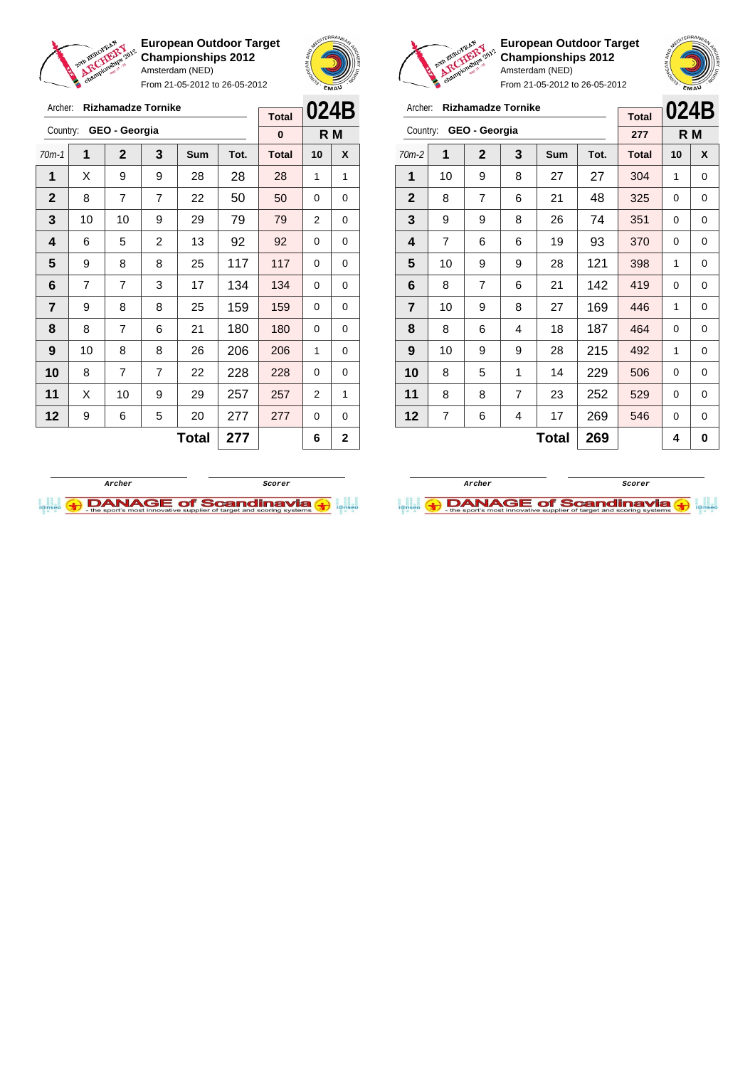

Archer: **Rizhamadze Tornike**

Country: **GEO - Georgia**

**European Outdoor Target Championships 2012** Amsterdam (NED)

From 21-05-2012 to 26-05-2012

70m-1 **1 2 3 Sum Tot. Total 10 X**  $\mid$  X  $\mid$  9  $\mid$  9  $\mid$  28  $\mid$  28  $\mid$  28  $\mid$  1  $\mid$  1 8 7 7 22 50 50 0 0 | 10 | 10 | 9 | 29 | 79 | 79 | 2 | 0 | 6 | 5 | 2 | 13 | 92 | 92 | 0 | 0  $\begin{array}{|c|c|c|c|c|c|} 9 & 8 & 8 & 25 & 117 & 117 & 0 & 0 \end{array}$  | 7 | 7 | 3 | 17 | 134 | 134 | 0 | 0 | 9 | 8 | 8 | 25 | 159 | 159 | 0 | 0 | 8 | 7 | 6 | 21 | 180 | 180 | 0 | 0 | 10 | 8 | 8 | 26 | 206 | 206 | 1 | 0 8 7 7 22 228 228 0 0 | X | 10 | 9 | 29 | 257 | 257 | 2 | 1 | 9 | 6 | 5 | 20 | 277 | 277 | 0 | 0



**R M**

**Total 0**

 $\overline{a}$ 



From 21-05-2012 to 26-05-2012

| Archer:        |                | <b>Rizhamadze Tornike</b> |                |            | 024B |              |    |     |
|----------------|----------------|---------------------------|----------------|------------|------|--------------|----|-----|
|                |                |                           |                |            |      | <b>Total</b> |    |     |
| Country:       |                | GEO - Georgia             |                |            |      | 277          |    | R M |
| $70m-2$        | 1              | $\mathbf{2}$              | 3              | <b>Sum</b> | Tot. | <b>Total</b> | 10 | X   |
| 1              | 10             | 9                         | 8              | 27         | 27   | 304          | 1  | 0   |
| $\mathbf 2$    | 8              | 7                         | 6              | 21         | 48   | 325          | 0  | 0   |
| 3              | 9              | 9                         | 8              | 26         | 74   | 351          | 0  | 0   |
| 4              | $\overline{7}$ | 6                         | 6              | 19         | 93   | 370          | 0  | 0   |
| 5              | 10             | 9                         | 9              | 28         | 121  | 398          | 1  | 0   |
| 6              | 8              | 7                         | 6              | 21         | 142  | 419          | 0  | 0   |
| $\overline{7}$ | 10             | 9                         | 8              | 27         | 169  | 446          | 1  | 0   |
| 8              | 8              | 6                         | 4              | 18         | 187  | 464          | 0  | 0   |
| 9              | 10             | 9                         | 9              | 28         | 215  | 492          | 1  | 0   |
| 10             | 8              | 5                         | 1              | 229<br>14  |      | 506          | 0  | 0   |
| 11             | 8              | 8                         | $\overline{7}$ | 23         | 252  | 529          | 0  | 0   |
| 12             | 7              | 6                         | 4              | 17         | 269  | 546          | 0  | 0   |
|                |                |                           | 269            |            | 4    | 0            |    |     |

**European Outdoor Target Championships 2012**

Amsterdam (NED)



 $Total | 277 | 6 | 2$ 

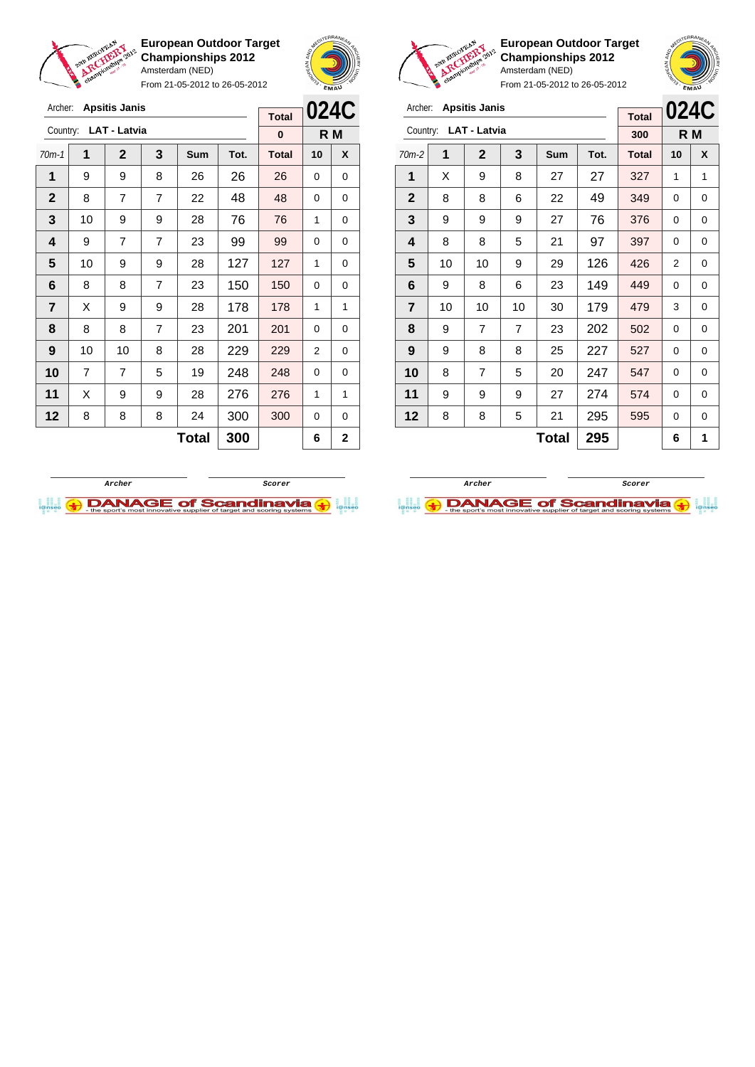

**European Outdoor Target Championships 2012** Amsterdam (NED)

From 21-05-2012 to 26-05-2012





**European Outdoor Target Championships 2012** Amsterdam (NED)



|                | Archer: Apsitis Janis |                       |                |              |      |              |             |             |                         |    | Archer: Apsitis Janis |                |              |      |              |          |     |
|----------------|-----------------------|-----------------------|----------------|--------------|------|--------------|-------------|-------------|-------------------------|----|-----------------------|----------------|--------------|------|--------------|----------|-----|
|                |                       |                       |                |              |      | <b>Total</b> |             | 024C        |                         |    |                       |                |              |      | <b>Total</b> | 0240     |     |
|                |                       | Country: LAT - Latvia |                |              |      | $\bf{0}$     |             | R M         |                         |    | Country: LAT - Latvia |                |              |      | 300          |          | R M |
| $70m-1$        | 1                     | $\overline{2}$        | 3              | Sum          | Tot. | <b>Total</b> | 10          | X           | $70m-2$                 | 1  | $\mathbf{2}$          | 3              | Sum          | Tot. | <b>Total</b> | 10       | X   |
| 1              | 9                     | 9                     | 8              | 26           | 26   | 26           | $\Omega$    | 0           | 1                       | X  | 9                     | 8              | 27           | 27   | 327          | 1        | 1   |
| $\mathbf{2}$   | 8                     | $\overline{7}$        | $\overline{7}$ | 22           | 48   | 48           | $\Omega$    | 0           | $\overline{2}$          | 8  | 8                     | 6              | 22           | 49   | 349          | 0        | 0   |
| $\mathbf{3}$   | 10                    | 9                     | 9              | 28           | 76   | 76           | 1           | 0           | 3                       | 9  | 9                     | 9              | 27           | 76   | 376          | 0        | 0   |
| 4              | 9                     | $\overline{7}$        | $\overline{7}$ | 23           | 99   | 99           | $\Omega$    | 0           | $\overline{\mathbf{4}}$ | 8  | 8                     | 5              | 21           | 97   | 397          | 0        | 0   |
| 5              | 10                    | 9                     | 9              | 28           | 127  | 127          | 1           | $\mathbf 0$ | 5                       | 10 | 10                    | 9              | 29           | 126  | 426          | 2        | 0   |
| 6              | 8                     | 8                     | $\overline{7}$ | 23           | 150  | 150          | $\Omega$    | 0           | 6                       | 9  | 8                     | 6              | 23           | 149  | 449          | $\Omega$ | 0   |
| $\overline{7}$ | X                     | 9                     | 9              | 28           | 178  | 178          | 1           | 1           | $\overline{7}$          | 10 | 10                    | 10             | 30           | 179  | 479          | 3        | 0   |
| 8              | 8                     | 8                     | $\overline{7}$ | 23           | 201  | 201          | $\Omega$    | 0           | 8                       | 9  | $\overline{7}$        | $\overline{7}$ | 23           | 202  | 502          | 0        | 0   |
| 9              | 10 <sup>1</sup>       | 10                    | 8              | 28           | 229  | 229          | 2           | 0           | 9                       | 9  | 8                     | 8              | 25           | 227  | 527          | 0        | 0   |
| 10             | 7                     | $\overline{7}$        | 5              | 19           | 248  | 248          | $\Omega$    | 0           | 10                      | 8  | $\overline{7}$        | 5              | 20           | 247  | 547          | 0        | 0   |
| 11             | X                     | 9                     | 9              | 28           | 276  | 276          | 1           | 1           | 11                      | 9  | 9                     | 9              | 27           | 274  | 574          | 0        | 0   |
| 12             | 8                     | 8                     | 8              | 24           | 300  | 300          | $\mathbf 0$ | 0           | 12                      | 8  | 8                     | 5              | 21           | 295  | 595          | 0        | 0   |
|                |                       |                       |                | <b>Total</b> | 300  |              | 6           | $\mathbf 2$ |                         |    |                       |                | <b>Total</b> | 295  |              | 6        |     |



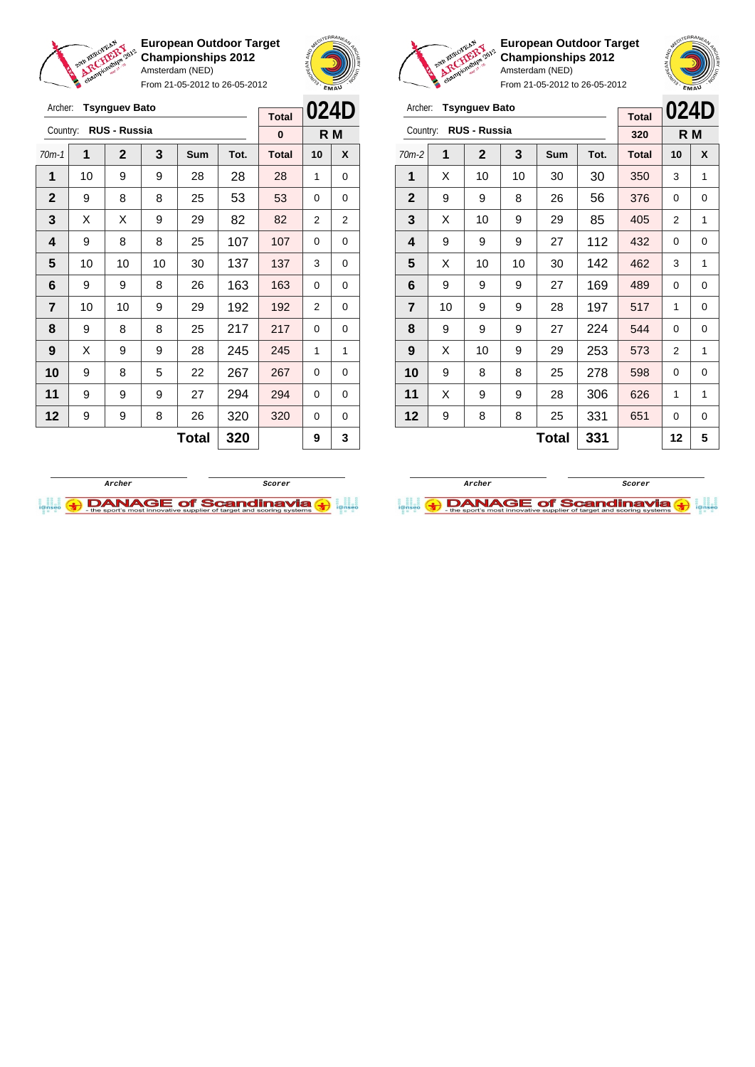

Archer: **Tsynguev Bato** Country: **RUS - Russia**

**European Outdoor Target Championships 2012** Amsterdam (NED)

From 21-05-2012 to 26-05-2012

70m-1 **1 2 3 Sum Tot. Total 10 X** | 10 | 9 | 9 | 28 | 28 | 28 | 1 | 0 9 8 8 25 53 53 0 0  $\mid$  X  $\mid$  X  $\mid$  9  $\mid$  29  $\mid$  82  $\mid$  82  $\mid$  2  $\mid$  2 | 9 | 8 | 8 | 25 | 107 | 107 | 0 | 0 | 10 | 10 | 10 | 30 | 137 | 137 | 3 | 0



**R M**

**Total 0**



**European Outdoor Target Championships 2012** Amsterdam (NED)



| Archer:        |                   | <b>Tsynguev Bato</b> |     | <b>Total</b> | 024D |              |                |   |
|----------------|-------------------|----------------------|-----|--------------|------|--------------|----------------|---|
| Country:       |                   | <b>RUS - Russia</b>  |     |              |      | 320          | R M            |   |
| $70m-2$        | 1                 | $\mathbf{2}$         | 3   | Sum          | Tot. | <b>Total</b> | 10             | X |
| 1              | X                 | 10                   | 10  | 30           | 30   | 350          | 3              | 1 |
| $\overline{2}$ | 9                 | 9                    | 8   | 26           | 56   | 376          | 0              | 0 |
| 3              | X                 | 10                   | 9   | 29           | 85   | 405          | $\overline{2}$ | 1 |
| 4              | 9                 | 9                    | 112 | 432          | 0    | 0            |                |   |
| 5              | X                 | 10                   | 10  | 30           | 142  | 462          | 3              | 1 |
| 6              | 9                 | 9                    | 9   | 27           | 169  | 489          | 0              | 0 |
| 7              | 10                | 9                    | 9   | 28           | 197  | 517          | 1              | 0 |
| 8              | 9                 | 9                    | 9   | 27           | 224  | 544          | 0              | 0 |
| 9              | X                 | 10                   | 9   | 29           | 253  | 573          | 2              | 1 |
| 10             | 9                 | 8                    | 8   | 25           | 278  | 598          | 0              | 0 |
| 11             | X<br>9<br>9<br>28 |                      |     |              | 306  | 626          | 1              | 1 |
| 12             | 9                 | 8                    | 8   | 25           | 331  | 651          | 0              | 0 |
|                |                   |                      | 331 |              | 12   | 5            |                |   |





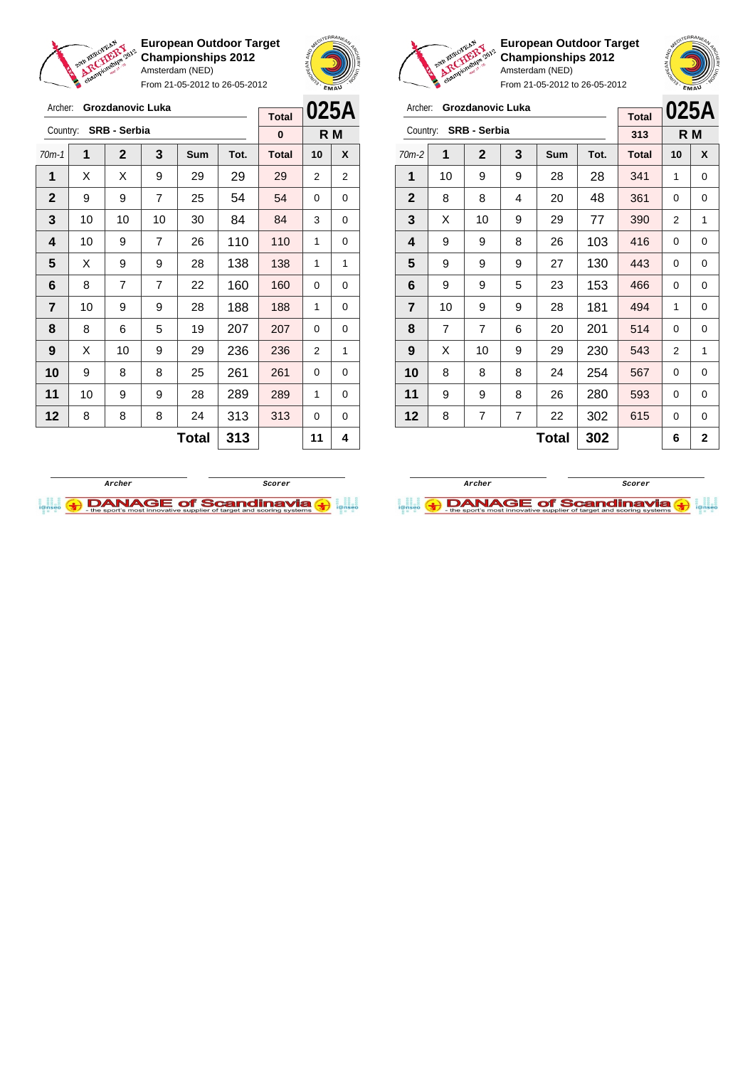

Archer: **Grozdanovic Luka**

**European Outdoor Target Championships 2012** Amsterdam (NED)

From 21-05-2012 to 26-05-2012



**Total**



 $\sqrt{2}$ 

|                |                | From 21-05-2012 to 26-05-2012 |     | EMAU |      |                     |    |      |
|----------------|----------------|-------------------------------|-----|------|------|---------------------|----|------|
| Archer:        |                | Grozdanovic Luka              |     |      |      |                     |    | 025A |
| Country:       |                | <b>SRB - Serbia</b>           |     |      |      | <b>Total</b><br>313 |    | R M  |
|                |                |                               |     |      |      |                     |    |      |
| $70m-2$        | 1              | $\mathbf 2$                   | 3   | Sum  | Tot. | <b>Total</b>        | 10 | X    |
| 1              | 10             | 9                             | 9   | 28   | 28   | 341                 | 1  | 0    |
| $\mathbf{2}$   | 8              | 8                             | 4   | 20   | 48   | 361                 | 0  | 0    |
| 3              | X              | 10                            | 9   | 29   | 77   | 390                 | 2  | 1    |
| 4              | 9              | 9                             | 8   | 26   | 103  | 416                 | 0  | 0    |
| 5              | 9              | 9                             | 9   | 27   | 130  | 443                 | 0  | 0    |
| 6              | 9              | 9                             | 5   | 23   | 153  | 466                 | 0  | 0    |
| $\overline{7}$ | 10             | 9                             | 9   | 28   | 181  | 494                 | 1  | 0    |
| 8              | $\overline{7}$ | $\overline{7}$                | 6   | 20   | 201  | 514                 | 0  | 0    |
| 9              | X              | 10                            | 9   | 29   | 230  | 543                 | 2  | 1    |
| 10             | 8              | 8                             | 8   | 24   | 254  | 567                 | 0  | 0    |
| 11             | 9              | 9                             | 8   | 26   | 280  | 593                 | 0  | 0    |
| 12             | 8              | 7                             | 302 | 615  | 0    | 0                   |    |      |
|                |                |                               | 302 |      | 6    | 2                   |    |      |





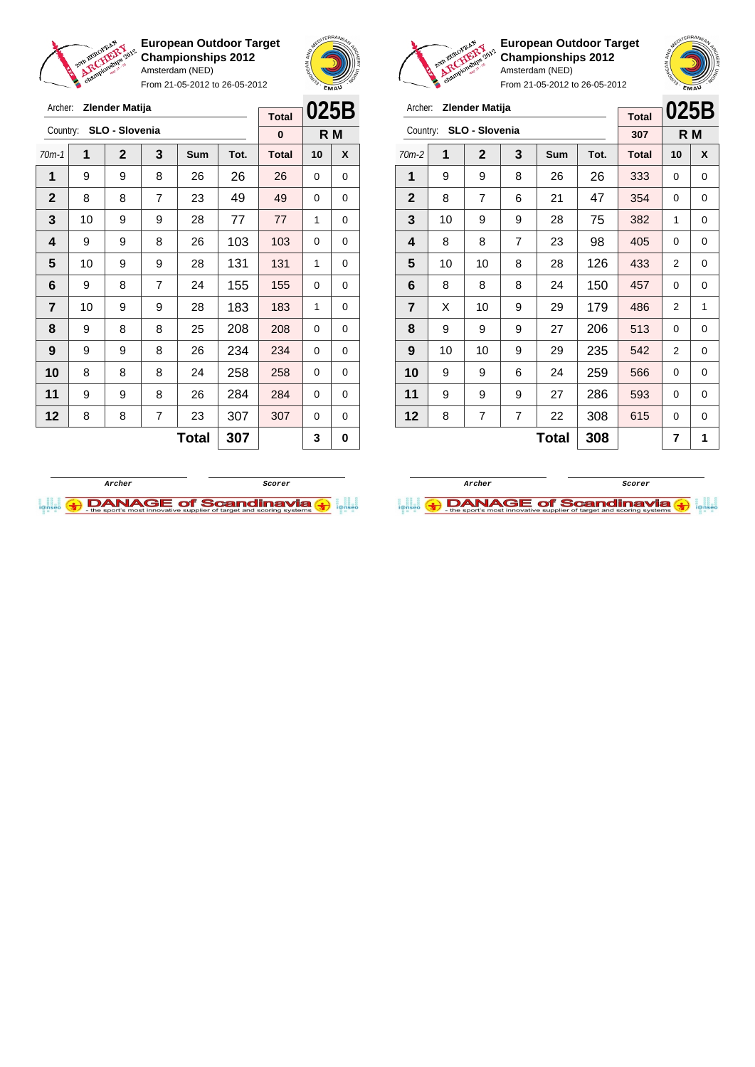

From 21-05-2012 to 26-05-2012





**European Outdoor Target Championships 2012** Amsterdam (NED)

**025B R M**

From 21-05-2012 to 26-05-2012

|   | Archer:        |    |                         |                |     |      |              |                |     |
|---|----------------|----|-------------------------|----------------|-----|------|--------------|----------------|-----|
| 3 |                |    | Zlender Matija          |                |     |      | <b>Total</b> | 025E           |     |
|   |                |    | Country: SLO - Slovenia |                |     |      | 307          |                | R M |
|   | $70m-2$        | 1  | $\mathbf{2}$            | 3              | Sum | Tot. | <b>Total</b> | 10             | X   |
|   | 1              | 9  | 9                       | 8              | 26  | 26   | 333          | 0              | 0   |
|   | $\mathbf{2}$   | 8  | 7                       | 6              | 21  | 47   | 354          | 0              | 0   |
|   | 3              | 10 | 9                       | 9              | 28  | 75   | 382          | 1              | 0   |
|   | 4              | 8  | 8                       | $\overline{7}$ | 23  | 98   | 405          | 0              | 0   |
|   | 5              | 10 | 10                      | 8              | 28  | 126  | 433          | $\overline{2}$ | 0   |
|   | 6              | 8  | 8                       | 8              | 24  | 150  | 457          | 0              | 0   |
|   | $\overline{7}$ | X  | 10                      | 9              | 29  | 179  | 486          | 2              | 1   |
|   | 8              | 9  | 9                       | 9              | 27  | 206  | 513          | 0              | 0   |
|   | 9              | 10 | 10                      | 9              | 29  | 235  | 542          | 2              | 0   |
|   | 10             | 9  | 9                       | 6              | 24  | 259  | 566          | 0              | 0   |

| Archer:      |    | Zlender Matija |                |              |      |              | 025B |     |
|--------------|----|----------------|----------------|--------------|------|--------------|------|-----|
| Country:     |    | SLO - Slovenia |                |              |      | <b>Total</b> |      |     |
|              |    |                |                |              |      | 0            |      | R M |
| $70m-1$      | 1  | $\mathbf{2}$   | 3              | Sum          | Tot. | <b>Total</b> | 10   | X   |
| 1            | 9  | 9              | 8              | 26           | 26   | 26           | 0    | 0   |
| $\mathbf{2}$ | 8  | 8              | 7              | 23           | 49   | 49           | 0    | 0   |
| 3            | 10 | 9              | 9              | 28           | 77   | 77           | 1    | 0   |
| 4            | 9  | 9              | 8              | 26           | 103  | 103          | 0    | 0   |
| 5            | 10 | 9              | 9              | 28           | 131  | 131          | 1    | 0   |
| 6            | 9  | 8              | $\overline{7}$ | 24           | 155  | 155          | 0    | 0   |
| 7            | 10 | 9              | 9              | 28           | 183  | 183          | 1    | 0   |
| 8            | 9  | 8              | 8              | 25           | 208  | 208          | 0    | 0   |
| 9            | 9  | 9              | 8              | 26           | 234  | 234          | 0    | 0   |
| 10           | 8  | 8              | 8              | 24           | 258  | 258          | 0    | 0   |
| 11           | 9  | 9              | 8              | 26           | 284  | 284          | 0    | 0   |
| 12           | 8  | 8              | 7              | 23           | 307  | 307          | 0    | 0   |
|              |    |                |                | <b>Total</b> | 307  |              | 3    | 0   |



**11** | 9 | 9 | 9 | 27 | 286 | 593 | 0 | 0 **12** | 8 | 7 | 7 | 22 | 308 | 615 | 0 | 0

 $Total | 308 | 7 | 1$ 

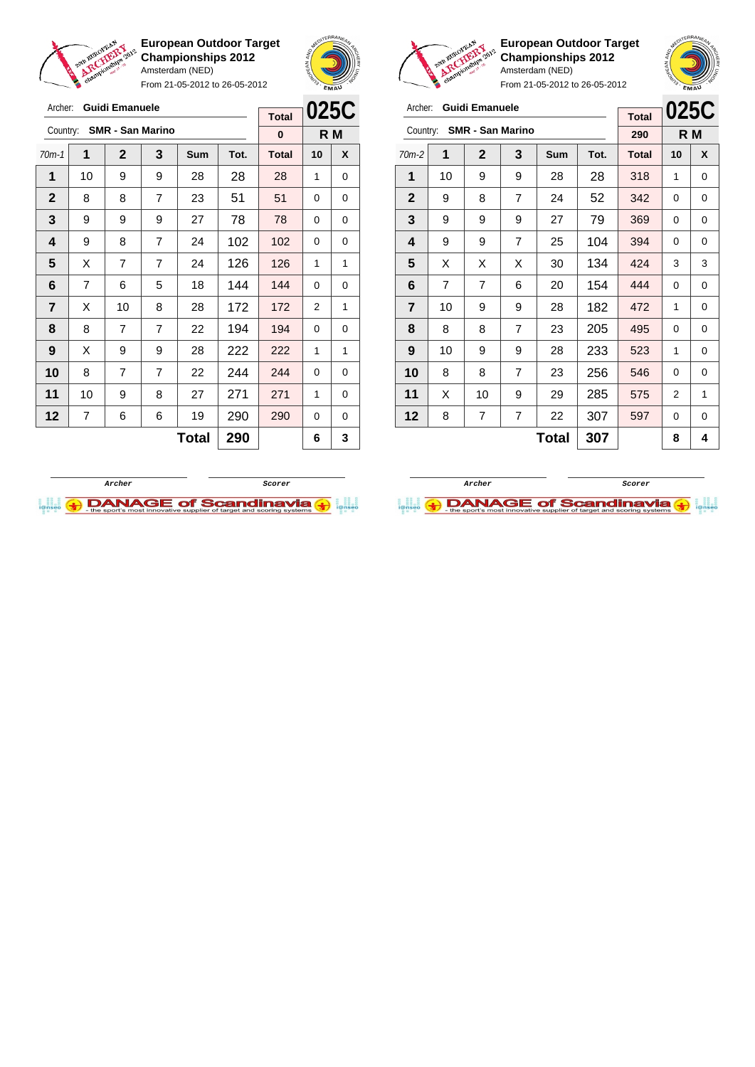

Archer: **Guidi Emanuele** Country: **SMR - San Marino**

**European Outdoor Target Championships 2012** Amsterdam (NED)

From 21-05-2012 to 26-05-2012



**R M**

**Total 0**



**European Outdoor Target Championships 2012** Amsterdam (NED)



| Archer:                 |    | Guidi Emanuele          |   |       |      | <b>Total</b> | 025C |   |
|-------------------------|----|-------------------------|---|-------|------|--------------|------|---|
| Country:                |    | <b>SMR - San Marino</b> |   |       |      | 290          | R M  |   |
| 70m-2                   | 1  | $\mathbf 2$             | 3 | Sum   | Tot. | <b>Total</b> | 10   | X |
| 1                       | 10 | 9                       | 9 | 28    | 28   | 318          | 1    | 0 |
| $\mathbf{2}$            | 9  | 8                       | 7 | 24    | 52   | 342          | 0    | 0 |
| 3                       | 9  | 9                       | 9 | 27    | 79   | 369          | 0    | 0 |
| 4                       | 9  | 9                       | 7 | 25    | 104  | 394          | 0    | 0 |
| 5                       | X  | X                       | X | 30    | 134  | 424          | 3    | 3 |
| 6                       | 7  | $\overline{7}$          | 6 | 20    | 154  | 444          | 0    | 0 |
| $\overline{\mathbf{r}}$ | 10 | 9                       | 9 | 28    | 182  | 472          | 1    | 0 |
| 8                       | 8  | 8                       | 7 | 23    | 205  | 495          | 0    | 0 |
| 9                       | 10 | 9                       | 9 | 28    | 233  | 523          | 1    | 0 |
| 10                      | 8  | 8                       | 7 | 23    | 256  | 546          | 0    | 0 |
| 11                      | X  | 10                      | 9 | 29    | 285  | 575          | 2    | 1 |
| 12                      | 8  | 7                       | 7 | 22    | 307  | 597          | 0    | 0 |
|                         |    |                         |   | Total | 307  |              | 8    | 4 |





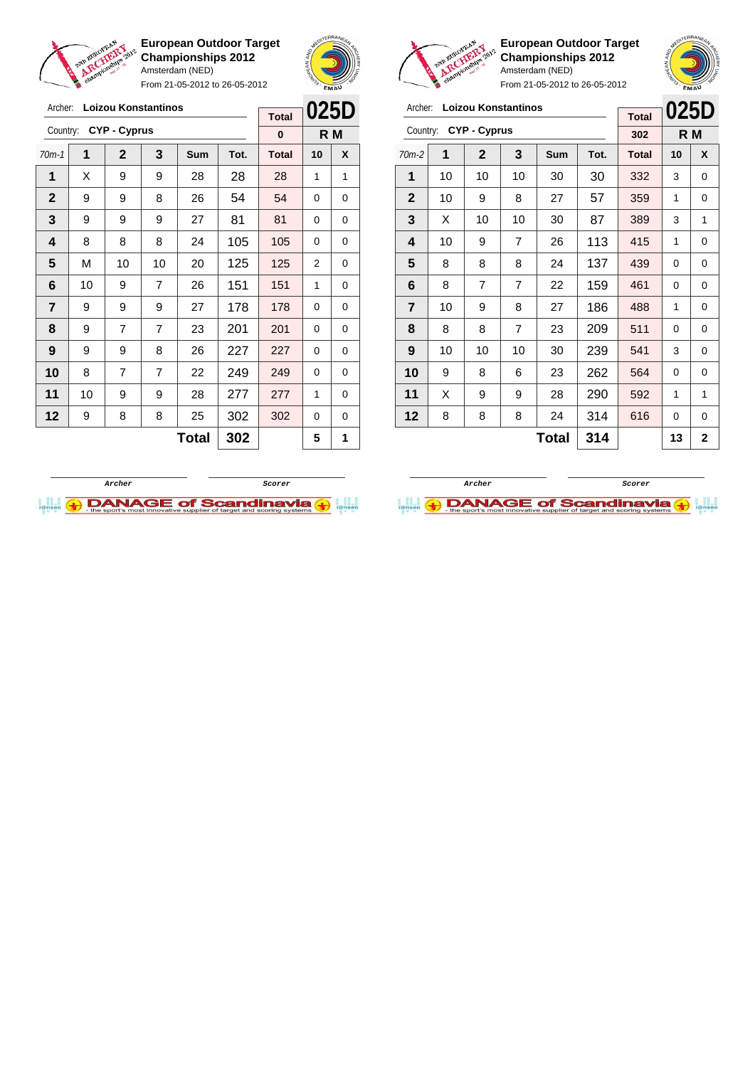

Archer: **Loizou Konstantinos**

**European Outdoor Target Championships 2012** Amsterdam (NED)

From 21-05-2012 to 26-05-2012





**European Outdoor Target Championships 2012** Amsterdam (NED) From 21-05-2012 to 26-05-2012

 $\overline{a}$ 

**025D**

## Archer: **Loizou Konstantinos**

|                                                                                                                                                                                                                                                                                                                                                                                                                                             |   |   |   |              |     | <b>Total</b> |    | ULJU        |
|---------------------------------------------------------------------------------------------------------------------------------------------------------------------------------------------------------------------------------------------------------------------------------------------------------------------------------------------------------------------------------------------------------------------------------------------|---|---|---|--------------|-----|--------------|----|-------------|
| <b>CYP - Cyprus</b><br>Country:<br>1<br>3<br>$\mathbf{2}$<br>$70m-2$<br>Sum<br>Tot.<br>1<br>10<br>10<br>10<br>30<br>30<br>27<br>57<br>2<br>10<br>9<br>8<br>3<br>87<br>X<br>10<br>10<br>30<br>4<br>113<br>10<br>9<br>7<br>26<br>5<br>137<br>8<br>8<br>8<br>24<br>$\overline{7}$<br>$\overline{7}$<br>6<br>8<br>22<br>159<br>7<br>186<br>10<br>9<br>8<br>27<br>8<br>8<br>$\overline{7}$<br>209<br>8<br>23<br>9<br>10<br>239<br>10<br>10<br>30 |   |   |   | 302          |     | R M          |    |             |
|                                                                                                                                                                                                                                                                                                                                                                                                                                             |   |   |   |              |     | <b>Total</b> | 10 | X           |
|                                                                                                                                                                                                                                                                                                                                                                                                                                             |   |   |   |              |     | 332          | 3  | 0           |
|                                                                                                                                                                                                                                                                                                                                                                                                                                             |   |   |   |              |     | 359          | 1  | 0           |
|                                                                                                                                                                                                                                                                                                                                                                                                                                             |   |   |   |              |     | 389          | 3  | 1           |
|                                                                                                                                                                                                                                                                                                                                                                                                                                             |   |   |   |              |     | 415          | 1  | 0           |
|                                                                                                                                                                                                                                                                                                                                                                                                                                             |   |   |   |              |     | 439          | 0  | 0           |
|                                                                                                                                                                                                                                                                                                                                                                                                                                             |   |   |   |              |     | 461          | 0  | 0           |
|                                                                                                                                                                                                                                                                                                                                                                                                                                             |   |   |   |              |     | 488          | 1  | 0           |
|                                                                                                                                                                                                                                                                                                                                                                                                                                             |   |   |   |              |     | 511          | 0  | 0           |
|                                                                                                                                                                                                                                                                                                                                                                                                                                             |   |   |   |              |     | 541          | 3  | 0           |
| 10                                                                                                                                                                                                                                                                                                                                                                                                                                          | 9 | 8 | 6 | 23           | 262 | 564          | 0  | 0           |
| 11                                                                                                                                                                                                                                                                                                                                                                                                                                          | X | 9 | 9 | 28           | 290 | 592          | 1  | 1           |
| 12                                                                                                                                                                                                                                                                                                                                                                                                                                          | 8 | 8 | 8 | 24           | 314 | 616          | 0  | 0           |
|                                                                                                                                                                                                                                                                                                                                                                                                                                             |   |   |   | <b>Total</b> | 314 |              | 13 | $\mathbf 2$ |

| Archer:        |    |                     | Loizou Konstantinos |              |      | <b>Total</b> |          | 025D |
|----------------|----|---------------------|---------------------|--------------|------|--------------|----------|------|
| Country:       |    | <b>CYP - Cyprus</b> |                     |              |      | 0            |          | R M  |
| $70m-1$        | 1  | $\mathbf{2}$        | 3                   | <b>Sum</b>   | Tot. | <b>Total</b> | 10       | X    |
| 1              | X  | 9                   | 9                   | 28           | 28   | 28           | 1        | 1    |
| $\mathbf 2$    | 9  | 9                   | 8                   | 26           | 54   | 54           | $\Omega$ | 0    |
| 3              | 9  | 9                   | 9                   | 27           | 81   | 81           | 0        | 0    |
| 4              | 8  | 8                   | 8                   | 24           | 105  | 105          | 0        | 0    |
| 5              | M  | 10                  | 10                  | 20           | 125  | 125          | 2        | 0    |
| 6              | 10 | 9                   | $\overline{7}$      | 26           | 151  | 151          | 1        | 0    |
| $\overline{7}$ | 9  | 9                   | 9                   | 27           | 178  | 178          | 0        | 0    |
| 8              | 9  | $\overline{7}$      | $\overline{7}$      | 23           | 201  | 201          | 0        | 0    |
| 9              | 9  | 9                   | 8                   | 26           | 227  | 227          | 0        | 0    |
| 10             | 8  | 7                   | 7                   | 22           | 249  | 249          | 0        | 0    |
| 11             | 10 | 9                   | 9                   | 28           | 277  | 277          | 1        | 0    |
| 12             | 9  | 8                   | 8                   | 25           | 302  | 302          | 0        | 0    |
|                |    |                     |                     | <b>Total</b> | 302  |              | 5        | 1    |



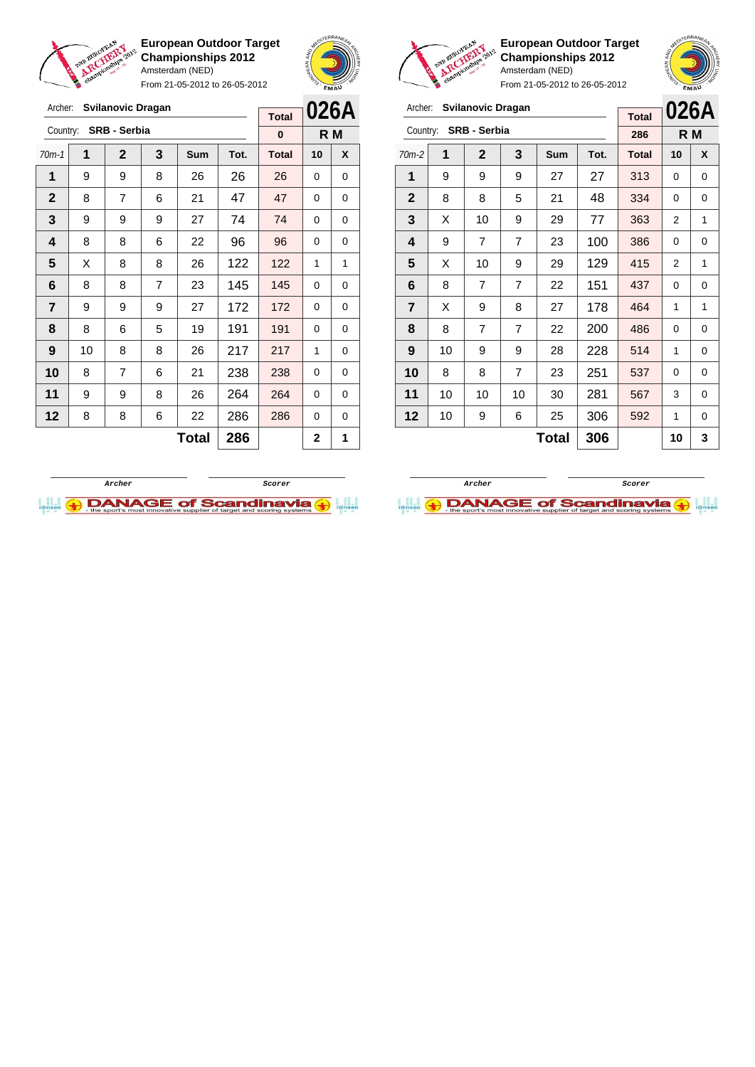

From 21-05-2012 to 26-05-2012





 $\sqrt{2}$ 

**European Outdoor Target Championships 2012** Amsterdam (NED) From 21-05-2012 to 26-05-2012

| Archer:        |    | <b>Svilanovic Dragan</b> |                |              |      | <b>Total</b> |                | 026A |
|----------------|----|--------------------------|----------------|--------------|------|--------------|----------------|------|
| Country:       |    | SRB - Serbia             |                |              |      | 286          |                | R M  |
| $70m-2$        | 1  | $\mathbf{2}$             | 3              | Sum          | Tot. | <b>Total</b> | 10             | X    |
| 1              | 9  | 9                        | 9              | 27           | 27   | 313          | $\Omega$       | 0    |
| $\mathbf{2}$   | 8  | 8                        | 5              | 21           | 48   | 334          | $\Omega$       | 0    |
| 3              | X  | 10                       | 9              | 29           | 77   | 363          | $\overline{2}$ | 1    |
| 4              | 9  | 7                        | $\overline{7}$ | 23           | 100  | 386          | 0              | 0    |
| 5              | X  | 10                       | 9              | 29           | 129  | 415          | 2              | 1    |
| 6              | 8  | 7                        | $\overline{7}$ | 22           | 151  | 437          | $\Omega$       | 0    |
| $\overline{7}$ | X  | 9                        | 8              | 27           | 178  | 464          | 1              | 1    |
| 8              | 8  | 7                        | $\overline{7}$ | 22           | 200  | 486          | 0              | 0    |
| 9              | 10 | 9                        | 9              | 28           | 228  | 514          | 1              | 0    |
| 10             | 8  | 8                        | 7              | 23           | 251  | 537          | 0              | 0    |
| 11             | 10 | 10                       | 10             | 30           | 281  | 567          | 3              | 0    |
| 12             | 10 | 9                        | 6              | 25           | 306  | 592          | 1              | 0    |
|                |    |                          |                | <b>Total</b> | 306  |              | 10             | 3    |

| Archer:        |    | <b>Svilanovic Dragan</b> |   |              |      | <b>Total</b> | 026A     |     |
|----------------|----|--------------------------|---|--------------|------|--------------|----------|-----|
| Country:       |    | SRB - Serbia             |   |              |      | $\bf{0}$     |          | R M |
| $70m-1$        | 1  | $\mathbf{2}$             | 3 | Sum          | Tot. | <b>Total</b> | 10       | X   |
| 1              | 9  | 9                        | 8 | 26           | 26   | 26           | 0        | 0   |
| $\mathbf{2}$   | 8  | $\overline{7}$           | 6 | 21           | 47   | 47           | 0        | 0   |
| 3              | 9  | 9                        | 9 | 27           | 74   | 74           | $\Omega$ | 0   |
| 4              | 8  | 8                        | 6 | 22           | 96   | 96           | $\Omega$ | 0   |
| 5              | X  | 8                        | 8 | 26           | 122  | 122          | 1        | 1   |
| 6              | 8  | 8                        | 7 | 23           | 145  | 145          | 0        | 0   |
| $\overline{7}$ | 9  | 9                        | 9 | 27           | 172  | 172          | 0        | 0   |
| 8              | 8  | 6                        | 5 | 19           | 191  | 191          | $\Omega$ | 0   |
| 9              | 10 | 8                        | 8 | 26           | 217  | 217          | 1        | 0   |
| 10             | 8  | 7                        | 6 | 21           | 238  | 238          | 0        | 0   |
| 11             | 9  | 9                        | 8 | 26           | 264  | 264          | 0        | 0   |
| 12             | 8  | 8                        | 6 | 22           | 286  | 286          | 0        | 0   |
|                |    |                          |   | <b>Total</b> | 286  |              | 2        | 1   |



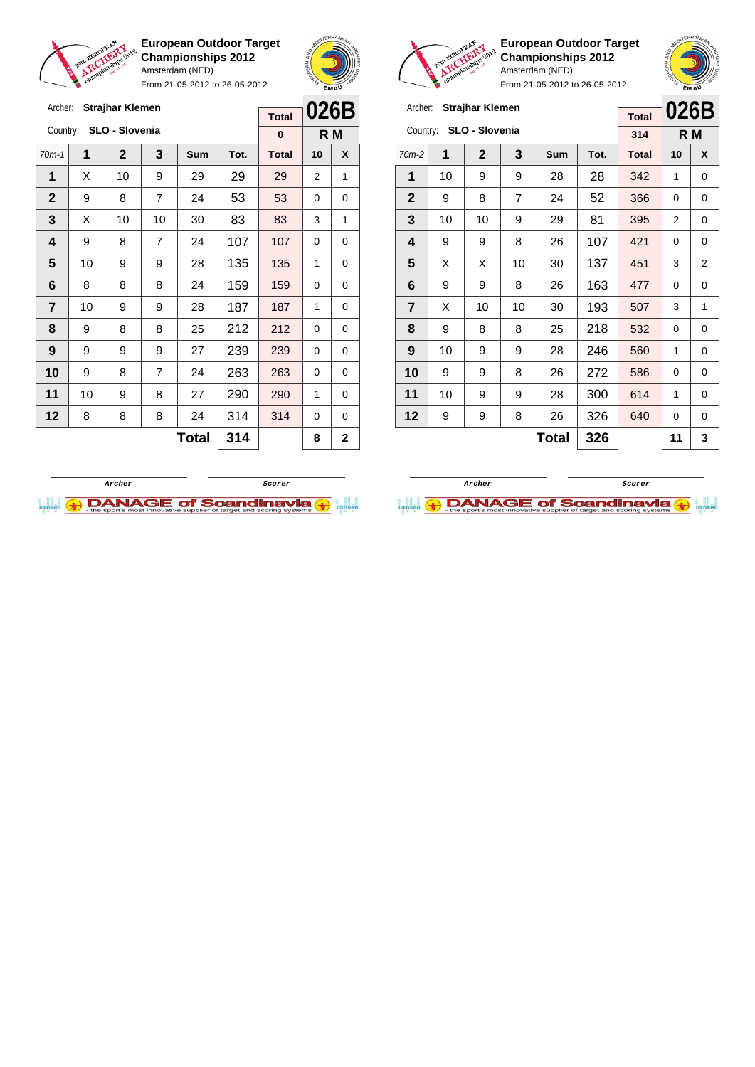

From 21-05-2012 to 26-05-2012





**European Outdoor Target Championships 2012** Amsterdam (NED)

From 21-05-2012 to 26-05-2012

| Archer:        |    | <b>Strajhar Klemen</b> |    |       |      | <b>Total</b> | 026B |                |
|----------------|----|------------------------|----|-------|------|--------------|------|----------------|
| Country:       |    | SLO - Slovenia         |    |       |      | 314          |      | R M            |
| $70m-2$        | 1  | $\mathbf 2$            | 3  | Sum   | Tot. | <b>Total</b> | 10   | X              |
| 1              | 10 | 9                      | 9  | 28    | 28   | 342          | 1    | 0              |
| $\mathbf{2}$   | 9  | 8                      | 7  | 24    | 52   | 366          | 0    | 0              |
| 3              | 10 | 10                     | 9  | 29    | 81   | 395          | 2    | 0              |
| 4              | 9  | 9                      | 8  | 26    | 107  | 421          | 0    | 0              |
| 5              | X  | X                      | 10 | 30    | 137  | 451          | 3    | $\overline{2}$ |
| 6              | 9  | 9                      | 8  | 26    | 163  | 477          | 0    | 0              |
| $\overline{7}$ | X  | 10                     | 10 | 30    | 193  | 507          | 3    | 1              |
| 8              | 9  | 8                      | 8  | 25    | 218  | 532          | 0    | 0              |
| 9              | 10 | 9                      | 9  | 28    | 246  | 560          | 1    | 0              |
| 10             | 9  | 9                      | 8  | 26    | 272  | 586          | 0    | 0              |
| 11             | 10 | 9                      | 9  | 28    | 300  | 614          | 1    | 0              |
| 12             | 9  | 9                      | 8  | 26    | 326  | 640          | 0    | 0              |
|                |    |                        |    | Total | 326  |              | 11   | 3              |

**Archer Scorer**

**DANAGE of Scandinavia** 



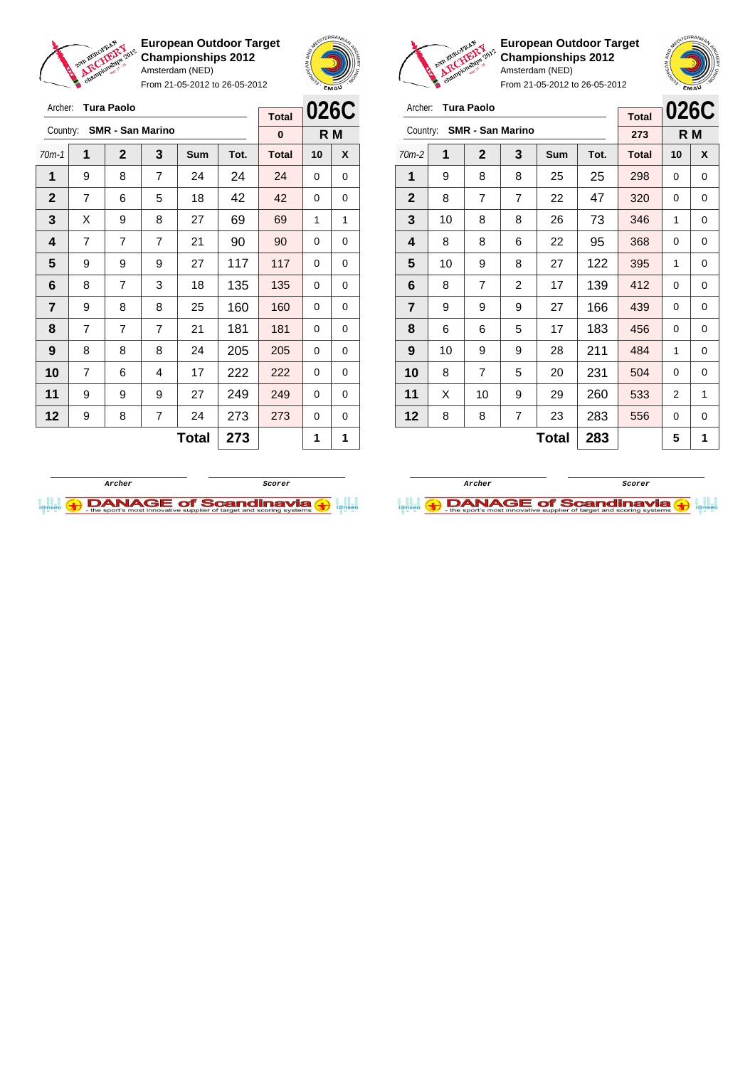

Archer: **Tura Paolo**

Country: **SMR - San Marino**

**European Outdoor Target Championships 2012** Amsterdam (NED)

From 21-05-2012 to 26-05-2012

70m-1 **1 2 3 Sum Tot. Total 10 X** | 9 | 8 | 7 | 24 | 24 | 24 | 0 | 0 | 7 | 6 | 5 | 18 | 42 | 42 | 0 | 0  $\mid$  X  $\mid$  9  $\mid$  8  $\mid$  27  $\mid$  69  $\mid$  69  $\mid$  1  $\mid$  1 | 7 | 7 | 7 | 21 | 90 | 90 | 0 | 0 | 9 | 9 | 9 | 27 | 117 | 117 | 0 | 0 | 8 | 7 | 3 | 18 | 135 | 135 | 0 | 0 | 9 | 8 | 8 | 25 | 160 | 160 | 0 | 0 | 7 | 7 | 7 | 21 | 181 | 181 | 0 | 0 | 8 | 8 | 8 | 24 | 205 | 205 | 0 | 0 | 7 | 6 | 4 | 17 | 222 | 222 | 0 | 0 | 9 | 9 | 9 | 27 | 249 <mark>| 249</mark> | 0 | 0 | 9 | 8 | 7 | 24 | 273 | 273 | 0 | 0



**R M**

**Total 0**



**European Outdoor Target Championships 2012** Amsterdam (NED)

**R M**

**026C**

**Total 273**

From 21-05-2012 to 26-05-2012

|         |  | Archer: Tura Paolo        |  |
|---------|--|---------------------------|--|
|         |  | Country: SMR - San Marino |  |
| $70m-2$ |  | $\overline{2}$            |  |
|         |  |                           |  |

| $70m-2$        | 1  | $\mathbf{2}$ | 3 | <b>Sum</b>   | Tot. | <b>Total</b> | 10 | X |
|----------------|----|--------------|---|--------------|------|--------------|----|---|
| 1              | 9  | 8            | 8 | 25           | 25   | 298          | 0  | 0 |
| $\mathbf{2}$   | 8  | 7            | 7 | 22           | 47   | 320          | 0  | 0 |
| 3              | 10 | 8            | 8 | 26           | 73   | 346          | 1  | 0 |
| 4              | 8  | 8            | 6 | 22           | 95   | 368          | 0  | 0 |
| 5              | 10 | 9            | 8 | 27           | 122  | 395          | 1  | 0 |
| 6              | 8  | 7            | 2 | 17           | 139  | 412          | 0  | 0 |
| $\overline{7}$ | 9  | 9            | 9 | 27           | 166  | 439          | 0  | 0 |
| 8              | 6  | 6            | 5 | 17           | 183  | 456          | 0  | 0 |
| 9              | 10 | 9            | 9 | 28           | 211  | 484          | 1  | 0 |
| 10             | 8  | 7            | 5 | 20           | 231  | 504          | 0  | 0 |
| 11             | X  | 10           | 9 | 29           | 260  | 533          | 2  | 1 |
| 12             | 8  | 8            | 7 | 23           | 283  | 556          | 0  | 0 |
|                |    |              |   | <b>Total</b> | 283  |              | 5  | 1 |



**Total**  $273$  1

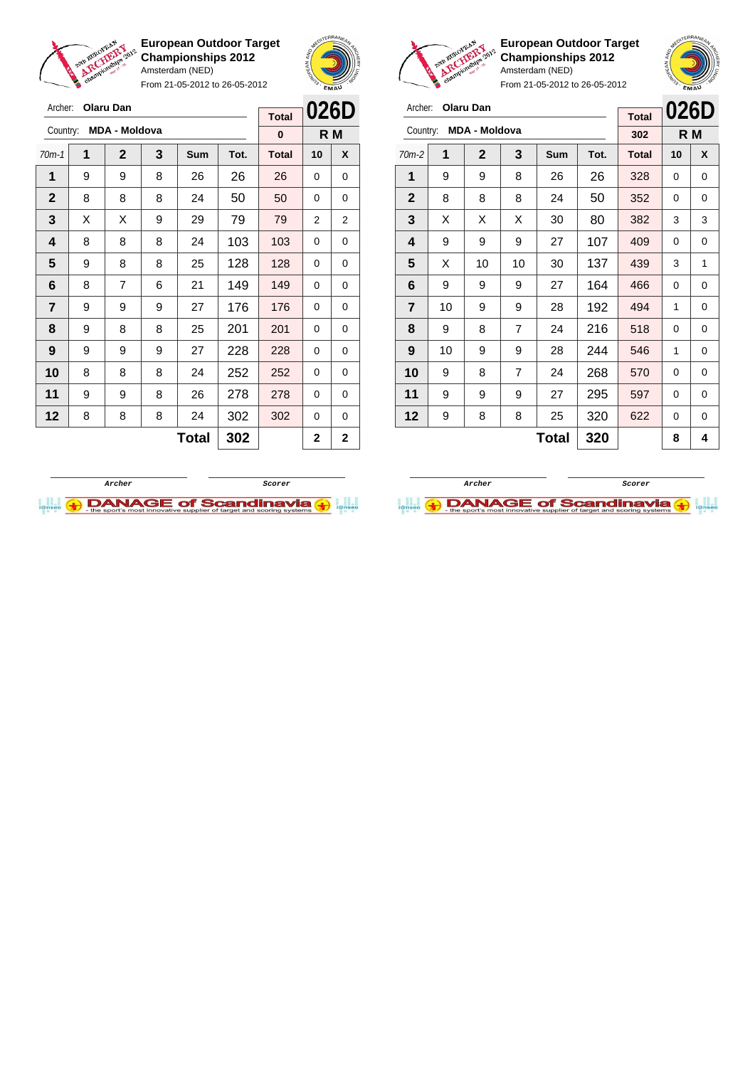



From 21-05-2012 to 26-05-2012

| Archer:        |   | <b>Olaru Dan</b>     |   |              |      |              | 026D     |                |
|----------------|---|----------------------|---|--------------|------|--------------|----------|----------------|
|                |   |                      |   |              |      | <b>Total</b> |          |                |
| Country:       |   | <b>MDA - Moldova</b> |   |              |      | 0            |          | R M            |
| $70m-1$        | 1 | $\mathbf{2}$         | 3 | Sum          | Tot. | <b>Total</b> | 10       | X              |
| 1              | 9 | 9                    | 8 | 26           | 26   | 26           | $\Omega$ | 0              |
| $\mathbf{2}$   | 8 | 8                    | 8 | 24           | 50   | 50           | 0        | 0              |
| 3              | Х | Х                    | 9 | 29           | 79   | 79           | 2        | 2              |
| 4              | 8 | 8                    | 8 | 24           | 103  | 103          | 0        | 0              |
| 5              | 9 | 8                    | 8 | 25           | 128  | 128          | 0        | 0              |
| 6              | 8 | $\overline{7}$       | 6 | 21           | 149  | 149          | 0        | 0              |
| $\overline{7}$ | 9 | 9                    | 9 | 27           | 176  | 176          | 0        | 0              |
| 8              | 9 | 8                    | 8 | 25           | 201  | 201          | 0        | 0              |
| 9              | 9 | 9                    | 9 | 27           | 228  | 228          | $\Omega$ | 0              |
| 10             | 8 | 8                    | 8 | 24           | 252  | 252          | 0        | 0              |
| 11             | 9 | 9                    | 8 | 26           | 278  | 278          | 0        | 0              |
| 12             | 8 | 8                    | 8 | 24           | 302  | 302          | 0        | 0              |
|                |   |                      |   | <b>Total</b> | 302  |              | 2        | $\overline{2}$ |



**European Outdoor Target Championships 2012** Amsterdam (NED)

| Archer:        |    | <b>Olaru Dan</b>     |                |       |      | <b>Total</b> | 026D     |     |
|----------------|----|----------------------|----------------|-------|------|--------------|----------|-----|
| Country:       |    | <b>MDA - Moldova</b> |                |       |      | 302          |          | R M |
| $70m-2$        | 1  | $\mathbf{2}$         | 3              | Sum   | Tot. | <b>Total</b> | 10       | X   |
| 1              | 9  | 9                    | 8              | 26    | 26   | 328          | 0        | 0   |
| $\mathbf{2}$   | 8  | 8                    | 8              | 24    | 50   | 352          | 0        | 0   |
| 3              | X  | X                    | X              | 30    | 80   | 382          | 3        | 3   |
| 4              | 9  | 9                    | 9              | 27    | 107  | 409          | 0        | 0   |
| 5              | X  | 10                   | 10             | 30    | 137  | 439          | 3        | 1   |
| 6              | 9  | 9                    | 9              | 27    | 164  | 466          | $\Omega$ | 0   |
| $\overline{7}$ | 10 | 9                    | 9              | 28    | 192  | 494          | 1        | 0   |
| 8              | 9  | 8                    | 7              | 24    | 216  | 518          | 0        | 0   |
| 9              | 10 | 9                    | 9              | 28    | 244  | 546          | 1        | 0   |
| 10             | 9  | 8                    | $\overline{7}$ | 24    | 268  | 570          | 0        | 0   |
| 11             | 9  | 9                    | 9              | 27    | 295  | 597          | 0        | 0   |
| 12             | 9  | 8                    | 8              | 25    | 320  | 622          | 0        | 0   |
|                |    |                      |                | Total | 320  |              | 8        | 4   |



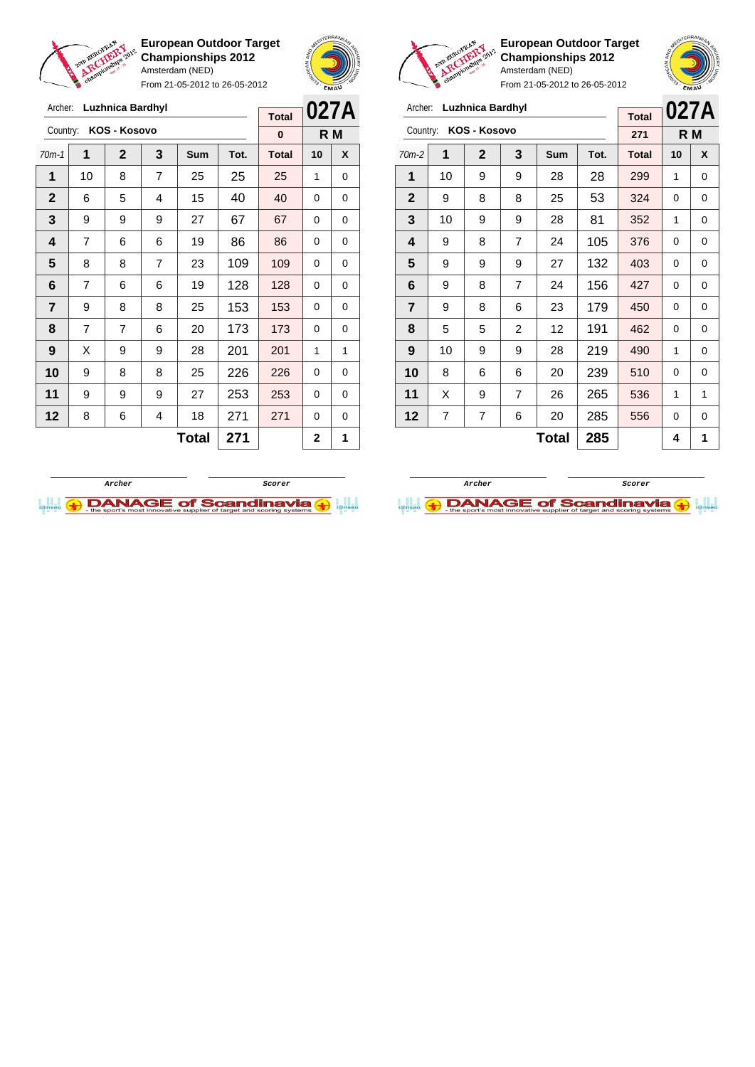

Archer: **Luzhnica Bardhyl**

**European Outdoor Target Championships 2012** Amsterdam (NED)

From 21-05-2012 to 26-05-2012





**European Outdoor Target Championships 2012** Amsterdam (NED)

| Archer:        |    | <b>Luzhnica Bardhyl</b> |                |              | <b>Total</b> | 027A         |    |     |
|----------------|----|-------------------------|----------------|--------------|--------------|--------------|----|-----|
| Country:       |    | KOS - Kosovo            |                |              |              | 271          |    | R M |
| $70m-2$        | 1  | $\mathbf{2}$            | 3              | Sum          | Tot.         | <b>Total</b> | 10 | X   |
| 1              | 10 | 9                       | 9              | 28           | 28           | 299          | 1  | 0   |
| $\mathbf{2}$   | 9  | 8                       | 8              | 25           | 53           | 324          | 0  | 0   |
| 3              | 10 | 9                       | 9              | 28           | 81           | 352          | 1  | 0   |
| 4              | 9  | 8                       | $\overline{7}$ | 24           | 105          | 376          | 0  | 0   |
| 5              | 9  | 9                       | 9              | 27           | 132          | 403          | 0  | 0   |
| 6              | 9  | 8                       | 7              | 24           | 156          | 427          | 0  | 0   |
| $\overline{7}$ | 9  | 8                       | 6              | 23           | 179          | 450          | 0  | 0   |
| 8              | 5  | 5                       | $\overline{2}$ | 12           | 191          | 462          | 0  | 0   |
| 9              | 10 | 9                       | 9              | 28           | 219          | 490          | 1  | 0   |
| 10             | 8  | 6                       | 6              | 20           | 239          | 510          | 0  | 0   |
| 11             | X  | 9                       | 7              | 26           | 265          | 536          | 1  | 1   |
| 12             | 7  | 7                       | 6              | 20           | 285          | 556          | 0  | 0   |
|                |    |                         |                | <b>Total</b> | 285          |              | 4  | 1   |

| Archer:        | Luzhnica Bardhyl | <b>Total</b>   | 027A                    |     |     |              |    |   |
|----------------|------------------|----------------|-------------------------|-----|-----|--------------|----|---|
| Country:       | KOS - Kosovo     |                | 0                       | R M |     |              |    |   |
| $70m-1$        | 1                | $\mathbf 2$    | 3<br>Tot.<br><b>Sum</b> |     |     | <b>Total</b> | 10 | X |
| 1              | 10               | 8              | 7                       | 25  | 25  | 25           | 1  | 0 |
| $\mathbf 2$    | 6                | 5              | 4                       | 15  | 40  | 40           | 0  | 0 |
| 3              | 9                | 9              | 9                       | 27  | 67  | 67           | 0  | 0 |
| 4              | 7                | 6              | 6                       | 19  | 86  | 86           | 0  | 0 |
| 5              | 8                | 8              | 7                       | 23  | 109 | 109          | 0  | 0 |
| 6              | 7                | 6              | 6                       | 19  | 128 | 128          | 0  | 0 |
| $\overline{7}$ | 9                | 8              | 8                       | 25  | 153 | 153          | 0  | 0 |
| 8              | $\overline{7}$   | $\overline{7}$ | 6                       | 20  | 173 | 173          | 0  | 0 |
| 9              | X                | 9              | 9                       | 28  | 201 | 201          | 1  | 1 |
| 10             | 9                | 8              | 8                       | 25  | 226 | 226          | 0  | 0 |
| 11             | 9                | 9              | 9                       | 27  | 253 | 253          | 0  | 0 |
| 12             | 8                | 6              | 4                       | 18  | 271 | 271          | 0  | 0 |
|                |                  |                | 2                       | 1   |     |              |    |   |



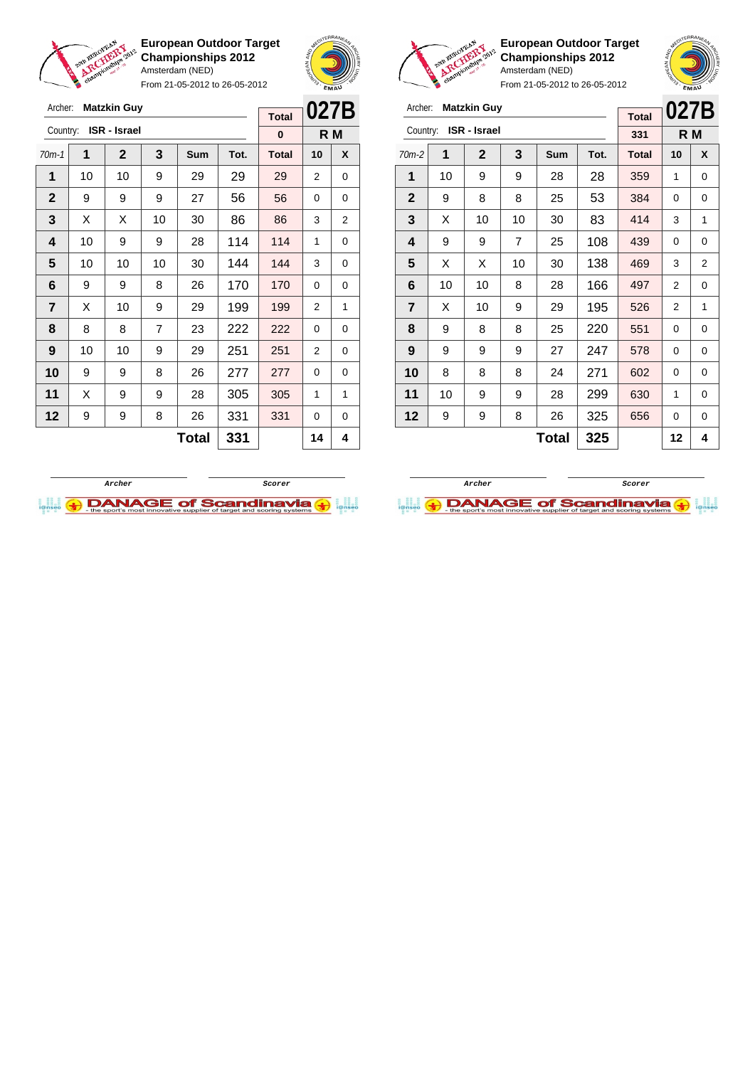

Archer: **Matzkin Guy** Country: **ISR - Israel**

**European Outdoor Target Championships 2012** Amsterdam (NED)

From 21-05-2012 to 26-05-2012

70m-1 **1 2 3 Sum Tot. Total 10 X** | 10 | 10 | 9 | 29 | 29 | 29 | 2 | 0 | 9 | 9 | 9 | 27 | 56 | 56 | 0 | 0  $\mid$  X  $\mid$  X  $\mid$  10  $\mid$  30  $\mid$  86  $\mid$  86  $\mid$  3  $\mid$  2 | 10 | 9 | 9 | 28 | 114 | 114 | 1 | 0 | 10 | 10 | 10 | 30 | 144 | 144 | 3 | 0 | 9 | 9 | 8 | 26 | 170 | 170 | 0 | 0  $\begin{array}{|c|c|c|c|c|c|}\n\hline\n\textbf{7} & \textbf{X} & \textbf{10} & \textbf{9} & \textbf{29} & \textbf{29} & \textbf{199} & \textbf{199} & \textbf{2} & \textbf{1} \end{array}$  | 8 | 8 | 7 | 23 | 222 | 222 | 0 | 0 | 10 | 10 | 9 | 29 | 251 | 251 | 2 | 0 9 9 8 26 277 277 0 0 | X | 9 | 9 | 28 | 305 | 305 | 1 | 1 | 9 | 9 | 8 | 26 | 331 | 331 | 0 | 0



**R M**

**Total 0**



**European Outdoor Target Championships 2012** Amsterdam (NED)



From 21-05-2012 to 26-05-2012

| Archer:      | <b>Matzkin Guy</b>  | <b>Total</b> | 027B           |     |      |              |                |                |
|--------------|---------------------|--------------|----------------|-----|------|--------------|----------------|----------------|
| Country:     | <b>ISR</b> - Israel | 331          | R M            |     |      |              |                |                |
| $70m-2$      | 1                   | $\mathbf 2$  | 3              | Sum | Tot. | <b>Total</b> | 10             | X              |
| 1            | 10                  | 9            | 9              | 28  | 28   | 359          | 1              | 0              |
| $\mathbf{2}$ | 9                   | 8            | 8              | 25  | 53   | 384          | 0              | 0              |
| 3            | X                   | 10           | 10             | 30  | 83   | 414          | 3              | 1              |
| 4            | 9                   | 9            | $\overline{7}$ | 25  | 108  | 439          | 0              | 0              |
| 5            | X                   | X            | 10             | 30  | 138  | 469          | 3              | $\overline{2}$ |
| 6            | 10                  | 10           | 8              | 28  | 166  | 497          | $\overline{2}$ | 0              |
| 7            | X                   | 10           | 9              | 29  | 195  | 526          | 2              | 1              |
| 8            | 9                   | 8            | 8              | 25  | 220  | 551          | 0              | 0              |
| 9            | 9                   | 9            | 9              | 27  | 247  | 578          | 0              | 0              |
| 10           | 8                   | 8            | 8              | 24  | 271  | 602          | 0              | 0              |
| 11           | 10                  | 9            | 9              | 28  | 299  | 630          | 1              | $\Omega$       |
| 12           | 9                   | 9            | 8              | 26  | 325  | 656          | 0              | 0              |
|              |                     |              | 12             | 4   |      |              |                |                |



**Total 331 14 4**

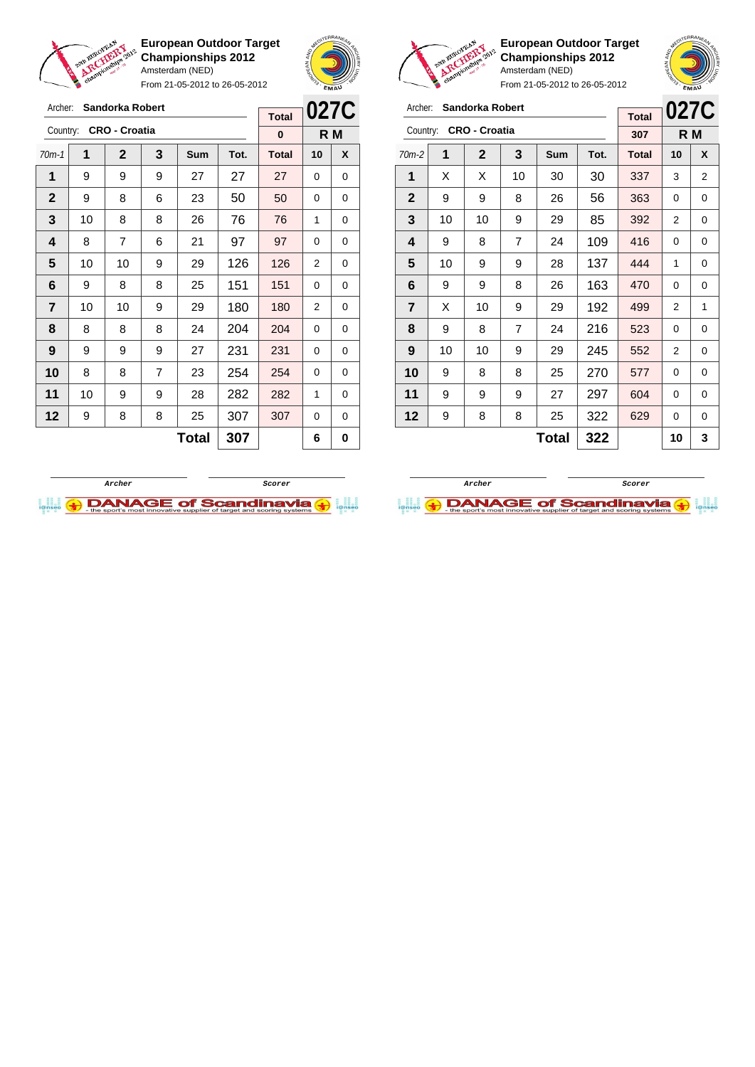

Archer: **Sandorka Robert**

**European Outdoor Target Championships 2012** Amsterdam (NED)

From 21-05-2012 to 26-05-2012





**European Outdoor Target Championships 2012** Amsterdam (NED)

| Archer:                 | <b>Sandorka Robert</b> | <b>Total</b> | 027C |              |     |     |   |   |
|-------------------------|------------------------|--------------|------|--------------|-----|-----|---|---|
| Country:                | <b>CRO - Croatia</b>   | 307          | R M  |              |     |     |   |   |
| 70m-2                   | 1                      | $\mathbf 2$  | Tot. | <b>Total</b> | 10  | X   |   |   |
| 1                       | X                      | X            | 10   | 30           | 30  | 337 | 3 | 2 |
| $\mathbf{2}$            | 9                      | 9            | 8    | 26           | 56  | 363 | 0 | 0 |
| 3                       | 10                     | 10           | 9    | 29           | 85  | 392 | 2 | 0 |
| 4                       | 9                      | 8            | 7    | 24           | 109 | 416 | 0 | 0 |
| 5                       | 10                     | 9            | 9    | 28           | 137 | 444 | 1 | 0 |
| 6                       | 9                      | 9            | 8    | 26           | 163 | 470 | 0 | 0 |
| $\overline{\mathbf{r}}$ | X                      | 10           | 9    | 29           | 192 | 499 | 2 | 1 |
| 8                       | 9                      | 8            | 7    | 24           | 216 | 523 | 0 | 0 |
| 9                       | 10                     | 10           | 9    | 29           | 245 | 552 | 2 | 0 |
| 10                      | 9                      | 8            | 8    | 25           | 270 | 577 | 0 | 0 |
| 11                      | 9                      | 9            | 9    | 27           | 297 | 604 | 0 | 0 |
| 12                      | 9                      | 8            | 8    | 25           | 322 | 629 | 0 | 0 |
|                         |                        | 10           | 3    |              |     |     |   |   |

| Archer:        | <b>Sandorka Robert</b> | <b>Total</b> | 027C |              |      |              |    |   |
|----------------|------------------------|--------------|------|--------------|------|--------------|----|---|
| Country:       | <b>CRO - Croatia</b>   | 0            | R M  |              |      |              |    |   |
| $70m-1$        | 1                      | $\mathbf 2$  | 3    | <b>Sum</b>   | Tot. | <b>Total</b> | 10 | X |
| 1              | 9                      | 9            | 9    | 27           | 27   | 27           | 0  | 0 |
| $\mathbf 2$    | 9                      | 8            | 6    | 23           | 50   | 50           | 0  | 0 |
| 3              | 10                     | 8            | 8    | 26           | 76   | 76           | 1  | 0 |
| 4              | 8                      | 7            | 6    | 21           | 97   | 97           | 0  | 0 |
| 5              | 10                     | 10           | 9    | 29           | 126  | 126          | 2  | 0 |
| 6              | 9                      | 8            | 8    | 25           | 151  | 151          | 0  | 0 |
| $\overline{7}$ | 10                     | 10           | 9    | 29           | 180  | 180          | 2  | 0 |
| 8              | 8                      | 8            | 8    | 24           | 204  | 204          | 0  | 0 |
| 9              | 9                      | 9            | 9    | 27           | 231  | 231          | 0  | 0 |
| 10             | 8                      | 8            | 7    | 23           | 254  | 254          | 0  | 0 |
| 11             | 10                     | 9            | 9    | 28           | 282  | 282          | 1  | 0 |
| 12             | 9                      | 8            | 8    | 25           | 307  | 307          | 0  | 0 |
|                |                        |              | 6    | 0            |      |              |    |   |
|                |                        |              |      | <b>Total</b> | 307  |              |    |   |



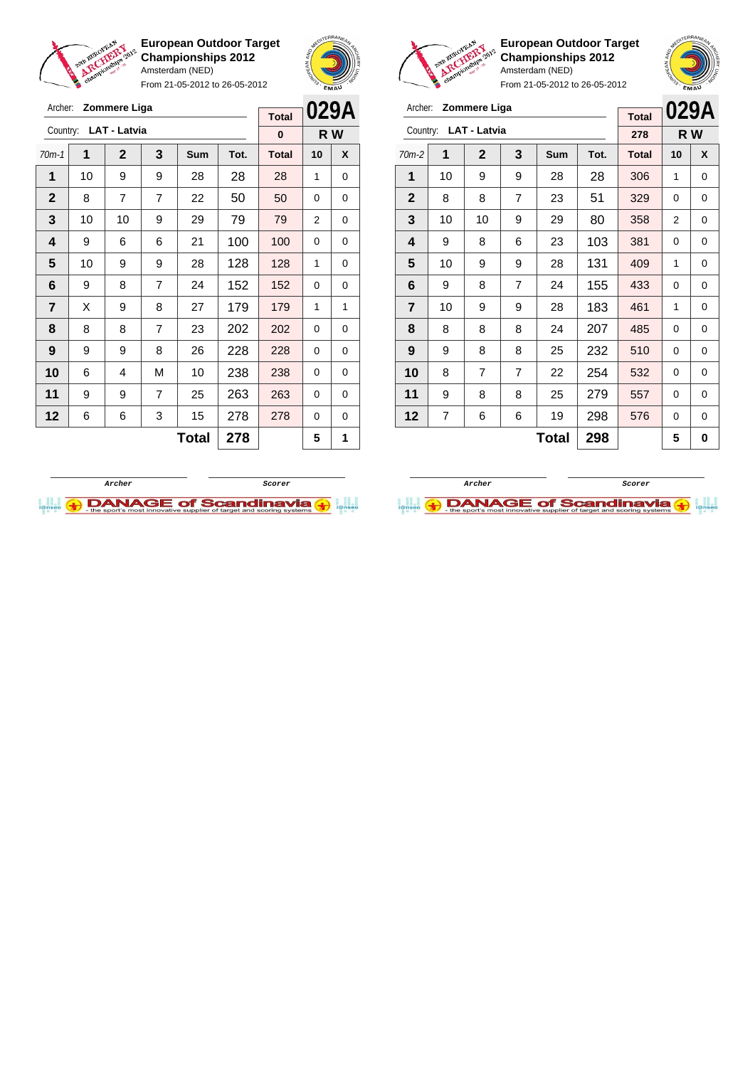

From 21-05-2012 to 26-05-2012





**European Outdoor Target Championships 2012** Amsterdam (NED)

**029A R W**

From 21-05-2012 to 26-05-2012

| <b>Zommere Liga</b><br>Archer: |    |                       |                |       |      |              |             | 029A<br>Archer: Zommere Liga |                       |                |                |                |              |      |              |                |   |  |
|--------------------------------|----|-----------------------|----------------|-------|------|--------------|-------------|------------------------------|-----------------------|----------------|----------------|----------------|--------------|------|--------------|----------------|---|--|
|                                |    |                       |                |       |      | <b>Total</b> |             |                              |                       |                |                |                |              |      | <b>Total</b> | 029/           |   |  |
|                                |    | Country: LAT - Latvia |                |       |      | $\bf{0}$     | R W         |                              | Country: LAT - Latvia |                |                |                |              |      | 278          | R W            |   |  |
| $70m-1$                        | 1  | $\mathbf{2}$          | 3              | Sum   | Tot. | <b>Total</b> | 10          | X                            | $70m-2$               | 1              | $\mathbf{2}$   | 3              | Sum          | Tot. | <b>Total</b> | 10             | X |  |
| 1                              | 10 | 9                     | 9              | 28    | 28   | 28           | 1           | 0                            | 1                     | 10             | 9              | 9              | 28           | 28   | 306          | 1              | 0 |  |
| $\mathbf 2$                    | 8  | $\overline{7}$        | $\overline{7}$ | 22    | 50   | 50           | $\Omega$    | $\mathbf 0$                  | $\mathbf{2}$          | 8              | 8              | $\overline{7}$ | 23           | 51   | 329          | $\mathbf 0$    | 0 |  |
| 3                              | 10 | 10                    | 9              | 29    | 79   | 79           | 2           | 0                            | 3                     | 10             | 10             | 9              | 29           | 80   | 358          | $\overline{2}$ | 0 |  |
| 4                              | 9  | 6                     | 6              | 21    | 100  | 100          | $\Omega$    | $\Omega$                     | 4                     | 9              | 8              | 6              | 23           | 103  | 381          | $\Omega$       | 0 |  |
| 5                              | 10 | 9                     | 9              | 28    | 128  | 128          | 1           | 0                            | 5                     | 10             | 9              | 9              | 28           | 131  | 409          | 1              | 0 |  |
| 6                              | 9  | 8                     | $\overline{7}$ | 24    | 152  | 152          | $\Omega$    | 0                            | 6                     | 9              | 8              | $\overline{7}$ | 24           | 155  | 433          | $\Omega$       | 0 |  |
| $\overline{7}$                 | X  | 9                     | 8              | 27    | 179  | 179          | 1           | 1                            | $\overline{7}$        | 10             | 9              | 9              | 28           | 183  | 461          | 1              | 0 |  |
| 8                              | 8  | 8                     | $\overline{7}$ | 23    | 202  | 202          | $\mathbf 0$ | 0                            | 8                     | 8              | 8              | 8              | 24           | 207  | 485          | 0              | 0 |  |
| 9                              | 9  | 9                     | 8              | 26    | 228  | 228          | $\Omega$    | $\mathbf 0$                  | 9                     | 9              | 8              | 8              | 25           | 232  | 510          | $\Omega$       | 0 |  |
| 10                             | 6  | 4                     | M              | 10    | 238  | 238          | $\Omega$    | 0                            | 10                    | 8              | $\overline{7}$ | $\overline{7}$ | 22           | 254  | 532          | 0              | 0 |  |
| 11                             | 9  | 9                     | $\overline{7}$ | 25    | 263  | 263          | $\Omega$    | 0                            | 11                    | 9              | 8              | 8              | 25           | 279  | 557          | 0              | 0 |  |
| 12                             | 6  | 6                     | 3              | 15    | 278  | 278          | $\mathbf 0$ | 0                            | 12                    | $\overline{7}$ | 6              | 6              | 19           | 298  | 576          | 0              | 0 |  |
|                                |    |                       |                | Total | 278  |              | 5           | 1                            |                       |                |                |                | <b>Total</b> | 298  |              | 5              | 0 |  |





**Archer Scorer DANAGE of Scandinavia**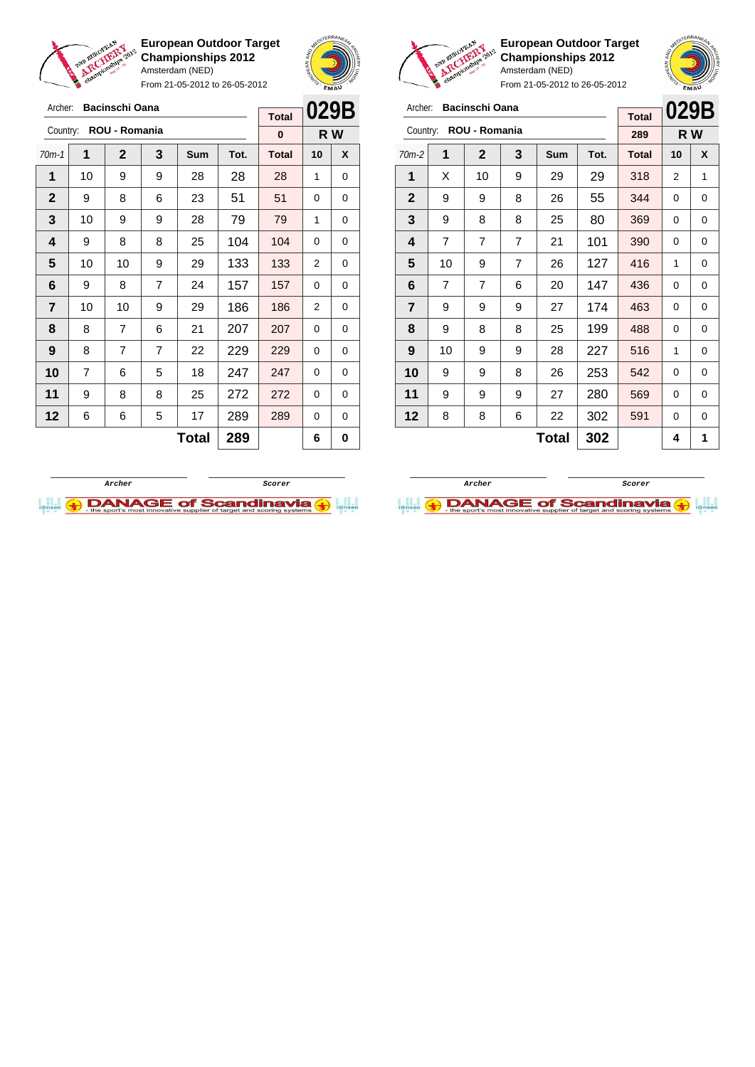

Archer: **Bacinschi Oana** Country: **ROU - Romania**

**European Outdoor Target Championships 2012** Amsterdam (NED)

From 21-05-2012 to 26-05-2012

70m-1 **1 2 3 Sum Tot. Total 10 X** | 10 | 9 | 9 | 28 | 28 | 28 | 1 | 0 9 8 6 23 51 51 0 0 | 10 | 9 | 9 | 28 | 79 | 79 | 1 | 0 | 9 | 8 | 8 | 25 | 104 | 104 | 0 | 0 | 10 | 10 | 9 | 29 | 133 | 133 | 2 | 0 | 9 | 8 | 7 | 24 | 157 | 157 | 0 | 0 | 10 | 10 | 9 | 29 | 186 | 186 | 2 | 0 | 8 | 7 | 6 | 21 | 207 | 207 | 0 | 0 | 8 | 7 | 7 | 22 | 229 | 229 | 0 | 0 | 7 | 6 | 5 | 18 | 247 | 247 | 0 | 0 | 9 | 8 | 8 | 25 | 272 | 272 | 0 | 0 | 6 | 6 | 5 | 17 | 289 | 289 | 0 | 0



**R W**

**Total 0**



**European Outdoor Target Championships 2012** Amsterdam (NED)

From 21-05-2012 to 26-05-2012

| Archer:        |                | Bacinschi Oana |                |     |      | <b>Total</b> | 029B |     |
|----------------|----------------|----------------|----------------|-----|------|--------------|------|-----|
| Country:       |                | ROU - Romania  |                |     |      | 289          |      | R W |
| $70m-2$        | 1              | $\mathbf{2}$   | 3              | Sum | Tot. | <b>Total</b> | 10   | X   |
| 1              | X              | 10             | 9              | 29  | 29   | 318          | 2    | 1   |
| $\mathbf{2}$   | 9              | 9              | 8              | 26  | 55   | 344          | 0    | 0   |
| 3              | 9              | 8              | 8              | 25  | 80   | 369          | 0    | 0   |
| 4              | 7              | 7              | 7              | 21  | 101  | 390          | 0    | 0   |
| 5              | 10             | 9              | $\overline{7}$ | 26  | 127  | 416          | 1    | 0   |
| 6              | $\overline{7}$ | 7              | 6              | 20  | 147  | 436          | 0    | 0   |
| $\overline{7}$ | 9              | 9              | 9              | 27  | 174  | 463          | 0    | 0   |
| 8              | 9              | 8              | 8              | 25  | 199  | 488          | 0    | 0   |
| 9              | 10             | 9              | 9              | 28  | 227  | 516          | 1    | 0   |
| 10             | 9              | 9              | 8              | 26  | 253  | 542          | 0    | 0   |
| 11             | 9              | 9              | 9              | 27  | 280  | 569          | 0    | 0   |
| 12             | 8              | 8              | 6              | 22  | 302  | 591          | 0    | 0   |
|                |                |                |                | 4   | 1    |              |      |     |



**Total 289 6 0**

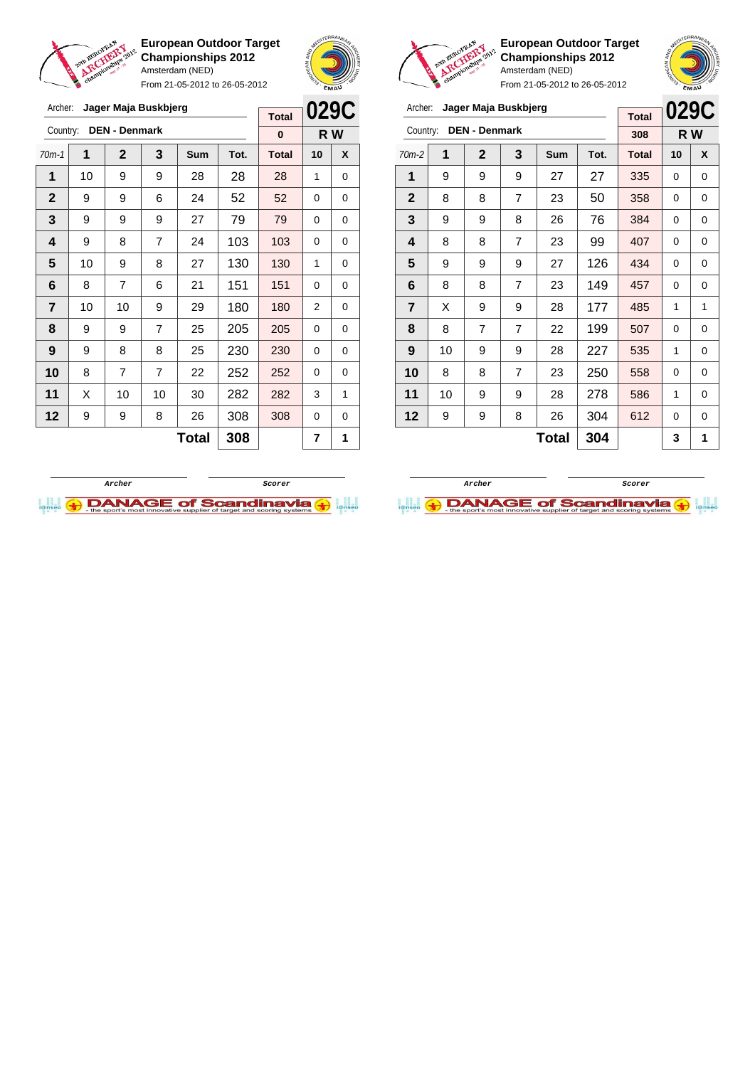

Archer: **Jager Maja Buskbjerg**

**European Outdoor Target Championships 2012** Amsterdam (NED)

From 21-05-2012 to 26-05-2012





**European Outdoor Target Championships 2012** Amsterdam (NED) From 21-05-2012 to 26-05-2012

## Archer: **Jager Maja Buskbjerg**

| Archer:        |    | Jager Maja Buskbjerg |                |              |      | <b>Total</b> |    | 029C |
|----------------|----|----------------------|----------------|--------------|------|--------------|----|------|
| Country:       |    | <b>DEN - Denmark</b> |                |              |      | 308          |    | R W  |
| $70m-2$        | 1  | $\mathbf{2}$         | 3              | Sum          | Tot. | <b>Total</b> | 10 | X    |
| 1              | 9  | 9                    | 9              | 27           | 27   | 335          | 0  | 0    |
| $\mathbf{2}$   | 8  | 8                    | 7              | 23           | 50   | 358          | 0  | 0    |
| 3              | 9  | 9                    | 8              | 26           | 76   | 384          | 0  | 0    |
| 4              | 8  | 8                    | $\overline{7}$ | 23           | 99   | 407          | 0  | 0    |
| 5              | 9  | 9                    | 9              | 27           | 126  | 434          | 0  | 0    |
| 6              | 8  | 8                    | 7              | 23           | 149  | 457          | 0  | 0    |
| $\overline{7}$ | X  | 9                    | 9              | 28           | 177  | 485          | 1  | 1    |
| 8              | 8  | 7                    | $\overline{7}$ | 22           | 199  | 507          | 0  | 0    |
| 9              | 10 | 9                    | 9              | 28           | 227  | 535          | 1  | 0    |
| 10             | 8  | 8                    | $\overline{7}$ | 23           | 250  | 558          | 0  | 0    |
| 11             | 10 | 9                    | 9              | 28           | 278  | 586          | 1  | 0    |
| 12             | 9  | 9                    | 8              | 26           | 304  | 612          | 0  | 0    |
|                |    |                      |                | <b>Total</b> | 304  |              | 3  | 1    |

|              | <b>DEN - Denmark</b><br>Country:<br>1<br>3<br>$\mathbf{2}$<br>10<br>9<br>9<br>1<br>9<br>9<br>6<br>9<br>9<br>9<br>9<br>8<br>$\overline{7}$<br>10<br>8<br>9 |    |    |              | <b>Total</b> |              | ULJU     |     |
|--------------|-----------------------------------------------------------------------------------------------------------------------------------------------------------|----|----|--------------|--------------|--------------|----------|-----|
|              |                                                                                                                                                           |    |    |              |              | 0            |          | R W |
| $70m-1$      |                                                                                                                                                           |    |    | Sum          | Tot.         | <b>Total</b> | 10       | X   |
|              |                                                                                                                                                           |    |    | 28           | 28           | 28           | 1        | 0   |
| $\mathbf{2}$ |                                                                                                                                                           |    |    | 24           | 52           | 52           | 0        | 0   |
| 3            |                                                                                                                                                           |    |    | 27           | 79           | 79           | 0        | 0   |
| 4            |                                                                                                                                                           |    |    | 24           | 103          | 103          | $\Omega$ | 0   |
| 5            |                                                                                                                                                           |    |    | 27           | 130          | 130          | 1        | 0   |
| 6            | 8                                                                                                                                                         | 7  | 6  | 21           | 151          | 151          | 0        | 0   |
| 7            | 10                                                                                                                                                        | 10 | 9  | 29           | 180          | 180          | 2        | 0   |
| 8            | 9                                                                                                                                                         | 9  | 7  | 25           | 205          | 205          | 0        | 0   |
| 9            | 9                                                                                                                                                         | 8  | 8  | 25           | 230          | 230          | 0        | 0   |
| 10           | 8                                                                                                                                                         | 7  | 7  | 22           | 252          | 252          | $\Omega$ | 0   |
| 11           | Χ                                                                                                                                                         | 10 | 10 | 30           | 282          | 282          | 3        | 1   |
| 12           | 9                                                                                                                                                         | 9  | 8  | 26           | 308          | 308          | 0        | 0   |
|              |                                                                                                                                                           |    |    | <b>Total</b> | 308          |              | 7        | 1   |



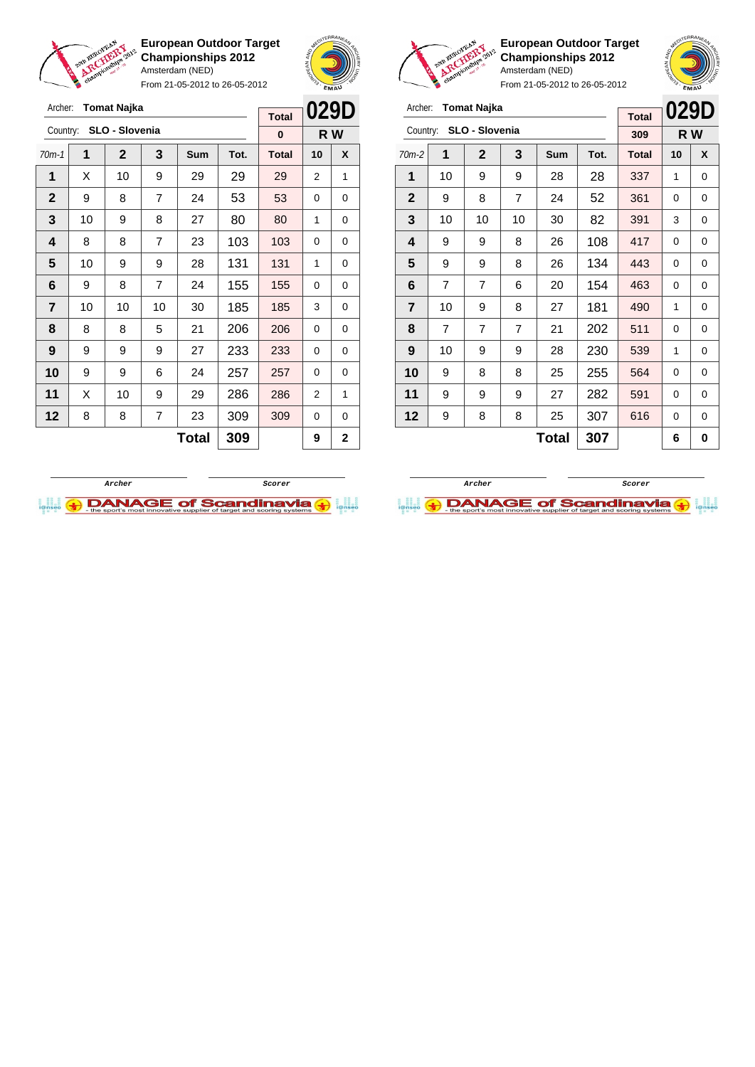

From 21-05-2012 to 26-05-2012





**European Outdoor Target Championships 2012** Amsterdam (NED)

**029D**

| Archer: Tomat Najka           |  |
|-------------------------------|--|
| $Country$ $SI$ $O$ - Slovenia |  |

| Archer:      |                | Tomat Najka    |                |              |      | <b>Total</b> | <b>029D</b> |     |
|--------------|----------------|----------------|----------------|--------------|------|--------------|-------------|-----|
| Country:     |                | SLO - Slovenia |                |              |      | 309          |             | R W |
| $70m-2$      | 1              | $\mathbf{2}$   | 3              | Sum          | Tot. | <b>Total</b> | 10          | X   |
| 1            | 10             | 9              | 9              | 28           | 28   | 337          | 1           | 0   |
| $\mathbf{2}$ | 9              | 8              | $\overline{7}$ | 24           | 52   | 361          | 0           | 0   |
| 3            | 10             | 10             | 10             | 30           | 82   | 391          | 3           | 0   |
| 4            | 9              | 9              | 8              | 26           | 108  | 417          | 0           | 0   |
| 5            | 9              | 9              | 8              | 26           | 134  | 443          | 0           | 0   |
| 6            | $\overline{7}$ | 7              | 6              | 20           | 154  | 463          | 0           | 0   |
| 7            | 10             | 9              | 8              | 27           | 181  | 490          | 1           | 0   |
| 8            | $\overline{7}$ | 7              | $\overline{7}$ | 21           | 202  | 511          | 0           | 0   |
| 9            | 10             | 9              | 9              | 28           | 230  | 539          | 1           | 0   |
| 10           | 9              | 8              | 8              | 25           | 255  | 564          | 0           | 0   |
| 11           | 9              | 9              | 9              | 27           | 282  | 591          | 0           | 0   |
| 12           | 9              | 8              | 8              | 25           | 307  | 616          | 0           | 0   |
|              |                |                |                | <b>Total</b> | 307  |              | 6           | 0   |





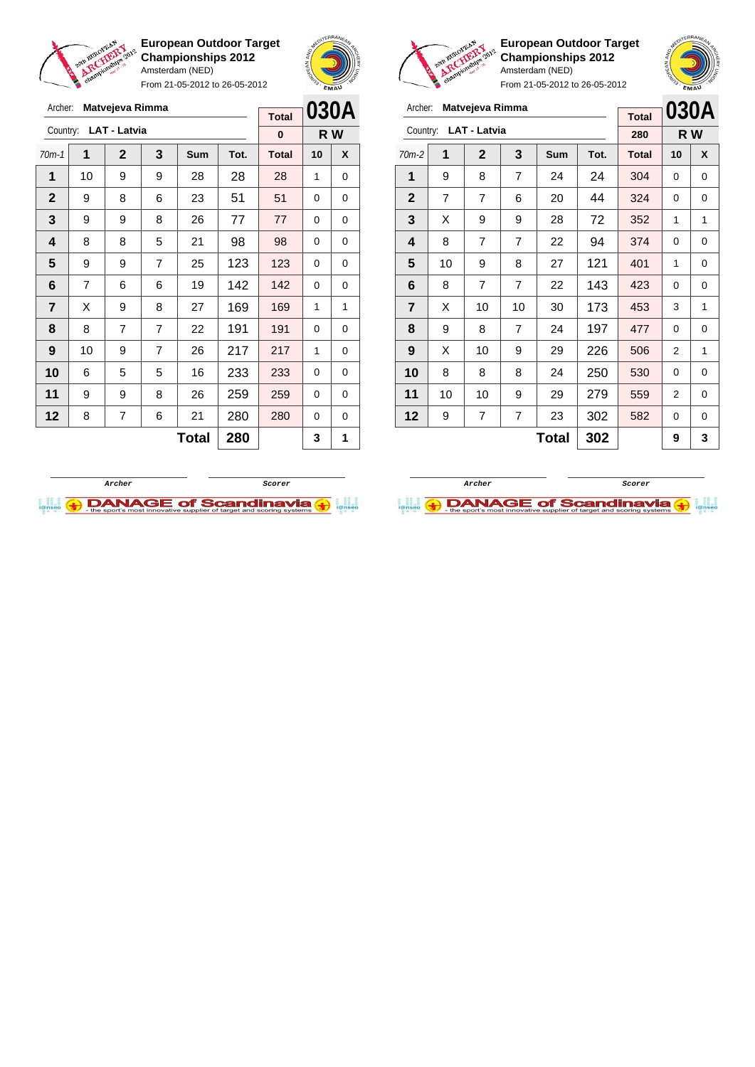

Archer: **Matvejeva Rimma**

Country: **LAT - Latvia**

**European Outdoor Target Championships 2012** Amsterdam (NED)

From 21-05-2012 to 26-05-2012

70m-1 **1 2 3 Sum Tot. Total 10 X** | 10 | 9 | 9 | 28 | 28 | 28 | 1 | 0 9 8 6 23 51 51 0 0 9 9 8 26 77 77 0 0 | 8 | 8 | 5 | 21 | 98 | 98 | 0 | 0 9 9 7 25 123 123 0 0 | 7 | 6 | 6 | 19 | 142 | 142 | 0 | 0  $\mid$  X  $\mid$  9  $\mid$  8  $\mid$  27  $\mid$  169  $\mid$  169  $\mid$  1  $\mid$  1 | 8 | 7 | 7 | 22 | 191 | 191 | 0 | 0 | 10 | 9 | 7 | 26 | 217 | 217 | 1 | 0 | 6 | 5 | 5 | 16 | 233 | 233 | 0 | 0 | 9 | 9 | 8 | 26 | 259 <mark>| 259</mark> | 0 | 0 | 8 | 7 | 6 | 21 | 280 | 280 | 0 | 0



**R W**

**Total 0**



**European Outdoor Target Championships 2012** Amsterdam (NED)

| v<br>From 21-05-2012 to 26-05-2012 |                |                     |                |     |      |              |    | <b>EMAU</b> |  |
|------------------------------------|----------------|---------------------|----------------|-----|------|--------------|----|-------------|--|
| Archer:                            |                | Matvejeva Rimma     |                |     |      | <b>Total</b> |    | 030A        |  |
| Country:                           |                | <b>LAT - Latvia</b> |                |     |      | 280          |    | R W         |  |
| $70m-2$                            | 1              | $\mathbf{2}$        | 3              | Sum | Tot. | <b>Total</b> | 10 | X           |  |
| 1                                  | 9              | 8                   | 7              | 24  | 24   | 304          | 0  | 0           |  |
| $\mathbf 2$                        | $\overline{7}$ | 7                   | 6              | 20  | 44   | 324          | 0  | 0           |  |
| 3                                  | X              | 9                   | 9              | 28  | 72   | 352          | 1  | 1           |  |
| 4                                  | 8              | 7                   | 7              | 22  | 94   | 374          | 0  | 0           |  |
| 5                                  | 10             | 9                   | 8              | 27  | 121  | 401          | 1  | 0           |  |
| 6                                  | 8              | 7                   | 7              | 22  | 143  | 423          | 0  | 0           |  |
| $\overline{\mathbf{r}}$            | X              | 10                  | 10             | 30  | 173  | 453          | 3  | 1           |  |
| 8                                  | 9              | 8                   | $\overline{7}$ | 24  | 197  | 477          | 0  | 0           |  |
| 9                                  | X              | 10                  | 9              | 29  | 226  | 506          | 2  | 1           |  |
| 10                                 | 8              | 8                   | 8              | 24  | 250  | 530          | 0  | 0           |  |
| 11                                 | 10             | 10                  | 9              | 29  | 279  | 559          | 2  | 0           |  |
| 12                                 | 9              | 7                   | 7              | 23  | 302  | 582          | 0  | 0           |  |

 $Total | 302 | 9 | 3$ 

**Archer Scorer**

**I.I. ADANAGE of Scandinavia (+)** 



 $\text{Total}$  280  $3$  1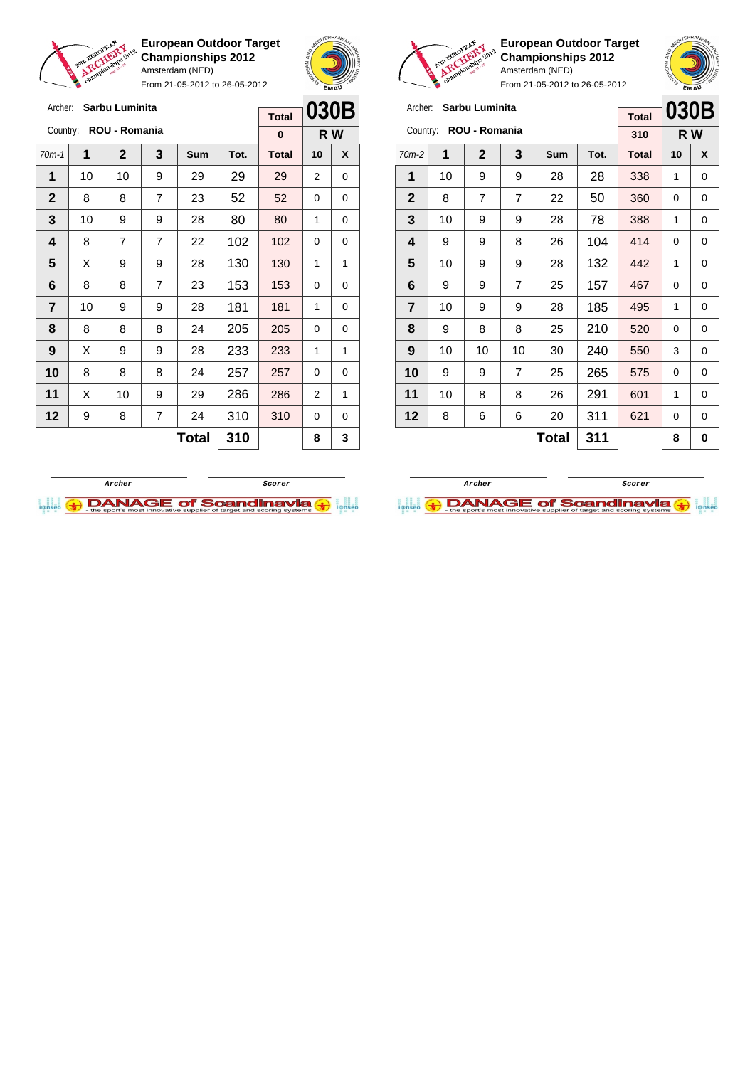

Archer: **Sarbu Luminita**

**European Outdoor Target Championships 2012** Amsterdam (NED)

From 21-05-2012 to 26-05-2012





**European Outdoor Target Championships 2012** Amsterdam (NED)

| Archer:                 |    | Sarbu Luminita |                |            |      | <b>Total</b> | 030B |   |
|-------------------------|----|----------------|----------------|------------|------|--------------|------|---|
| Country:                |    | ROU - Romania  |                |            |      | 310          | R W  |   |
| $70m-2$                 | 1  | $\mathbf{2}$   | 3              | <b>Sum</b> | Tot. | <b>Total</b> | 10   | X |
| 1                       | 10 | 9              | 9              | 28         | 28   | 338          | 1    | 0 |
| $\mathbf{2}$            | 8  | 7              | $\overline{7}$ | 22         | 50   | 360          | 0    | 0 |
| 3                       | 10 | 9              | 9              | 28         | 78   | 388          | 1    | 0 |
| 4                       | 9  | 9              | 8              | 26         | 104  | 414          | 0    | 0 |
| 5                       | 10 | 9              | 9              | 28         | 132  | 442          | 1    | 0 |
| 6                       | 9  | 9              | 7              | 25         | 157  | 467          | 0    | 0 |
| $\overline{\mathbf{r}}$ | 10 | 9              | 9              | 28         | 185  | 495          | 1    | 0 |
| 8                       | 9  | 8              | 8              | 25         | 210  | 520          | 0    | 0 |
| 9                       | 10 | 10             | 10             | 30         | 240  | 550          | 3    | 0 |
| 10                      | 9  | 9              | 7              | 25         | 265  | 575          | 0    | 0 |
| 11                      | 10 | 8              | 8              | 26         | 291  | 601          | 1    | 0 |
| 12                      | 8  | 6              | 6              | 20         | 311  | 621          | 0    | 0 |
|                         |    |                |                | Total      | 311  |              | 8    | 0 |





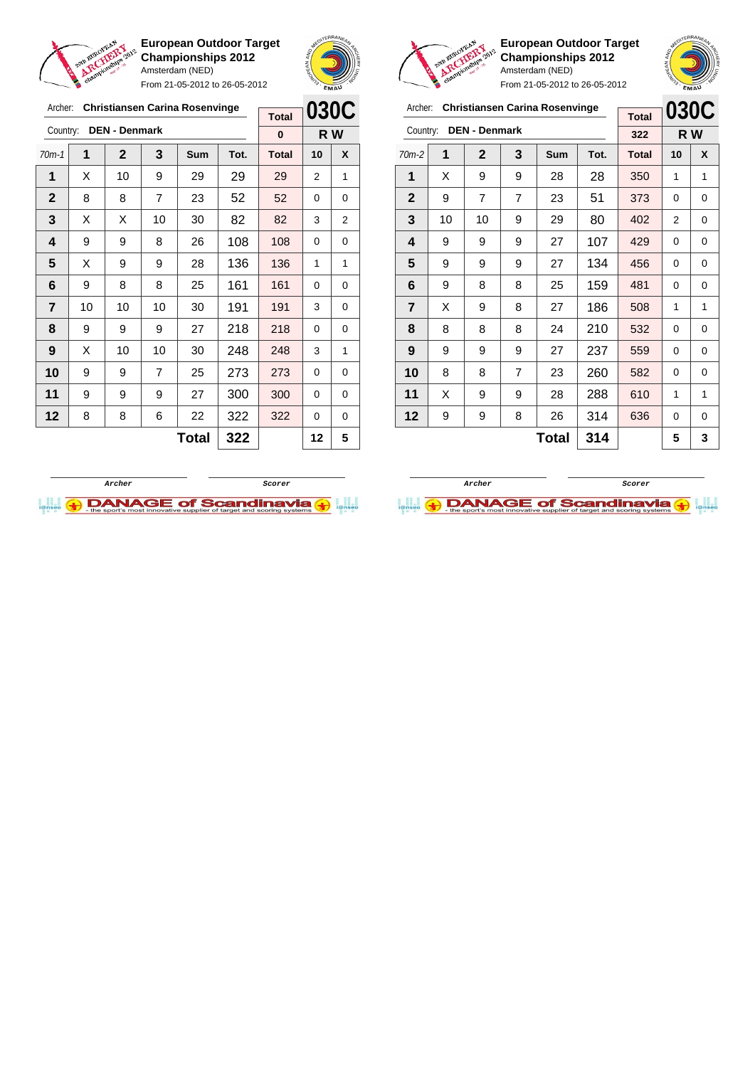

Archer: **Christiansen Carina Rosenvinge**

**European Outdoor Target Championships 2012** Amsterdam (NED) From 21-05-2012 to 26-05-2012





**European Outdoor Target Championships 2012** Amsterdam (NED) From 21-05-2012 to 26-05-2012

 $\overline{a}$ 

**030C**

## Archer: **Christiansen Carina Rosenvinge**

|                         |    |                      |                |              |      | <b>Total</b> | UJUU |             |
|-------------------------|----|----------------------|----------------|--------------|------|--------------|------|-------------|
| Country:                |    | <b>DEN - Denmark</b> |                |              |      | 322          |      | R W         |
| $70m-2$                 | 1  | $\mathbf{2}$         | 3              | Sum          | Tot. | <b>Total</b> | 10   | X           |
| 1                       | X  | 9                    | 9              | 28           | 28   | 350          | 1    | 1           |
| $\mathbf{2}$            | 9  | $\overline{7}$       | $\overline{7}$ | 23           | 51   | 373          | 0    | $\mathbf 0$ |
| 3                       | 10 | 10                   | 9              | 29           | 80   | 402          | 2    | 0           |
| 4                       | 9  | 9                    | 9              | 27           | 107  | 429          | 0    | 0           |
| 5                       | 9  | 9                    | 9              | 27           | 134  | 456          | 0    | 0           |
| 6                       | 9  | 8                    | 8              | 25           | 159  | 481          | 0    | 0           |
| $\overline{\mathbf{r}}$ | X  | 9                    | 8              | 27           | 186  | 508          | 1    | 1           |
| 8                       | 8  | 8                    | 8              | 24           | 210  | 532          | 0    | $\mathbf 0$ |
| 9                       | 9  | 9                    | 9              | 27           | 237  | 559          | 0    | 0           |
| 10                      | 8  | 8                    | $\overline{7}$ | 23           | 260  | 582          | 0    | 0           |
| 11                      | X  | 9                    | 9              | 28           | 288  | 610          | 1    | 1           |
| 12                      | 9  | 9                    | 8              | 26           | 314  | 636          | 0    | 0           |
|                         |    |                      |                | <b>Total</b> | 314  |              | 5    | 3           |





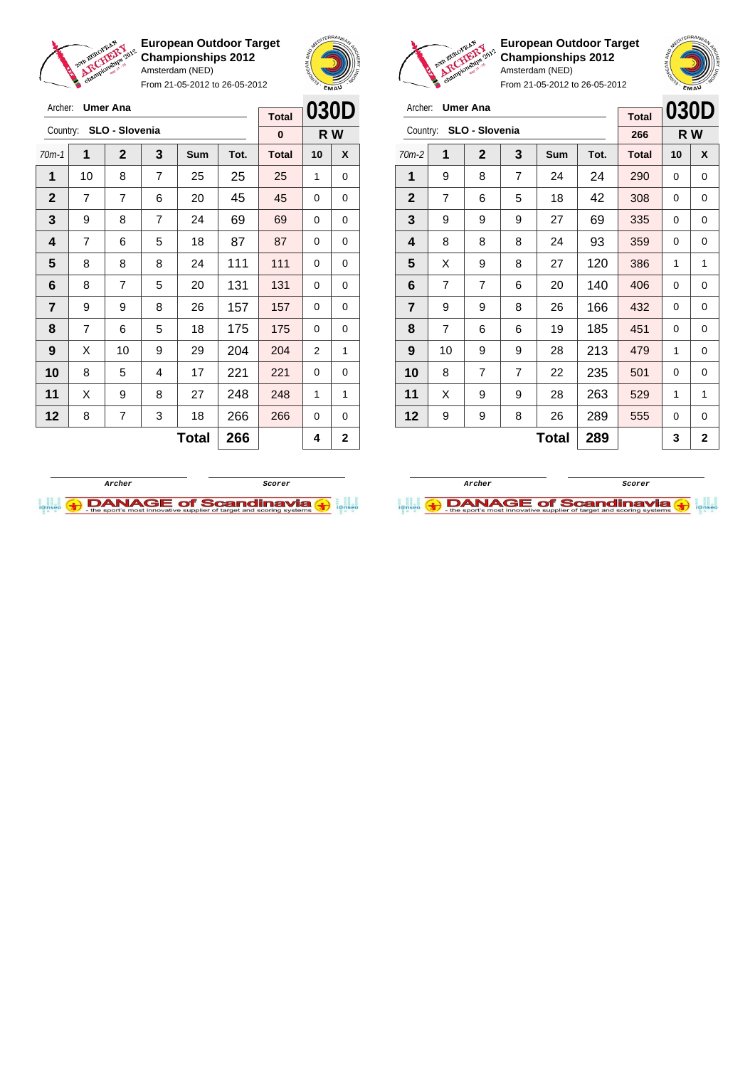

Archer: **Umer Ana**

Country: **SLO - Slovenia**

**European Outdoor Target Championships 2012** Amsterdam (NED)

From 21-05-2012 to 26-05-2012

70m-1 **1 2 3 Sum Tot. Total 10 X 1** | 10 | 8 | 7 | 25 | 25 | 25 | 1 | 0



**R W**

**Total 0**



**European Outdoor Target Championships 2012** Amsterdam (NED)

| Archer: <b>Umer Ana</b> |
|-------------------------|
| Country: SLO - Slovenia |

| Archer:        |                | <b>Umer Ana</b> |                |              |      | <b>Total</b> | 030D |                |
|----------------|----------------|-----------------|----------------|--------------|------|--------------|------|----------------|
| Country:       |                | SLO - Slovenia  |                |              |      | 266          |      | R W            |
| $70m-2$        | 1              | $\mathbf{2}$    | 3              | Sum          | Tot. | <b>Total</b> | 10   | X              |
| 1              | 9              | 8               | 7              | 24           | 24   | 290          | 0    | 0              |
| $\mathbf{2}$   | $\overline{7}$ | 6               | 5              | 18           | 42   | 308          | 0    | 0              |
| 3              | 9              | 9               | 9              | 27           | 69   | 335          | 0    | 0              |
| 4              | 8              | 8               | 8              | 24           | 93   | 359          | 0    | 0              |
| 5              | X              | 9               | 8              | 27           | 120  | 386          | 1    | 1              |
| 6              | $\overline{7}$ | 7               | 6              | 20           | 140  | 406          | 0    | 0              |
| $\overline{7}$ | 9              | 9               | 8              | 26           | 166  | 432          | 0    | 0              |
| 8              | $\overline{7}$ | 6               | 6              | 19           | 185  | 451          | 0    | 0              |
| 9              | 10             | 9               | 9              | 28           | 213  | 479          | 1    | 0              |
| 10             | 8              | $\overline{7}$  | $\overline{7}$ | 22           | 235  | 501          | 0    | 0              |
| 11             | X              | 9               | 9              | 28           | 263  | 529          | 1    | 1              |
| 12             | 9              | 9               | 8              | 26           | 289  | 555          | 0    | 0              |
|                |                |                 |                | <b>Total</b> | 289  |              | 3    | $\overline{2}$ |

| $\mathbf{2}$            | 7 | 7              | 6 | 20           | 45  | 45  | 0 | 0            |
|-------------------------|---|----------------|---|--------------|-----|-----|---|--------------|
| $\mathbf{3}$            | 9 | 8              | 7 | 24           | 69  | 69  | 0 | 0            |
| $\overline{\mathbf{4}}$ | 7 | 6              | 5 | 18           | 87  | 87  | 0 | 0            |
| 5                       | 8 | 8              | 8 | 24           | 111 | 111 | 0 | 0            |
| 6                       | 8 | 7              | 5 | 20           | 131 | 131 | 0 | 0            |
| $\overline{7}$          | 9 | 9              | 8 | 26           | 157 | 157 | 0 | 0            |
| 8                       | 7 | 6              | 5 | 18           | 175 | 175 | 0 | 0            |
| 9                       | X | 10             | 9 | 29           | 204 | 204 | 2 | 1            |
| 10                      | 8 | 5              | 4 | 17           | 221 | 221 | 0 | 0            |
| 11                      | X | 9              | 8 | 27           | 248 | 248 | 1 | $\mathbf{1}$ |
| 12                      | 8 | $\overline{7}$ | 3 | 18           | 266 | 266 | 0 | 0            |
|                         |   |                |   | <b>Total</b> | 266 |     | 4 | $\mathbf{2}$ |
|                         |   |                |   |              |     |     |   |              |



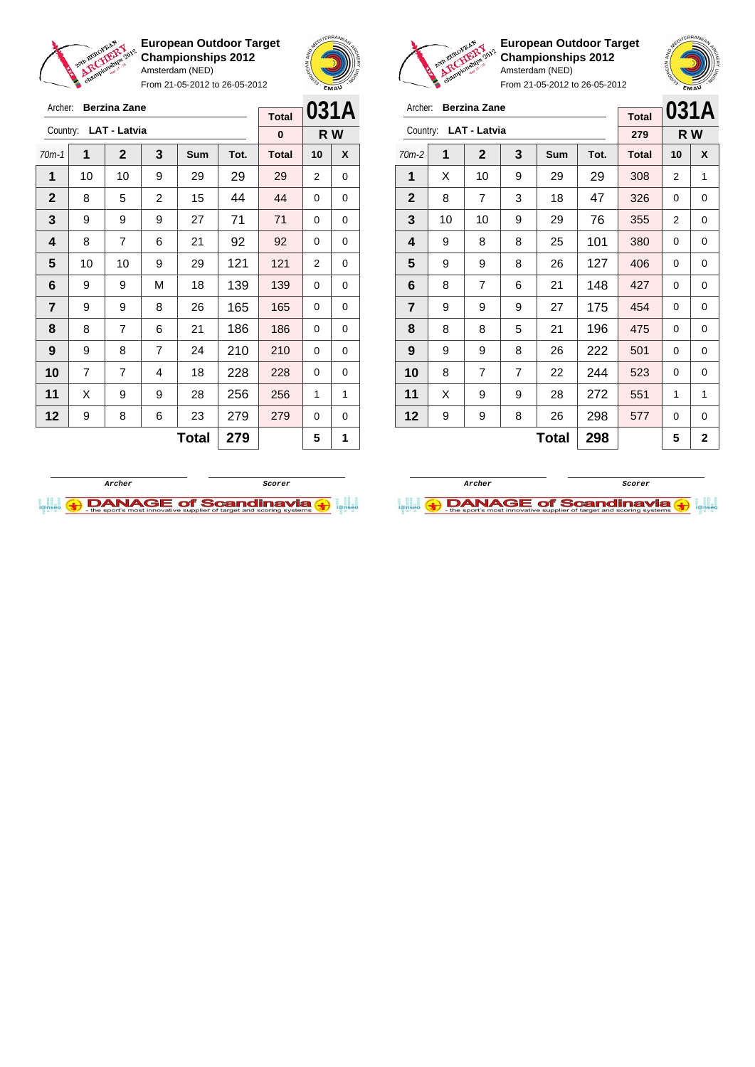

Archer: **Berzina Zane** Country: **LAT - Latvia**

**European Outdoor Target Championships 2012** Amsterdam (NED)

From 21-05-2012 to 26-05-2012

70m-1 **1 2 3 Sum Tot. Total 10 X** | 10 | 10 | 9 | 29 | 29 | 29 | 2 | 0 8 5 2 15 44 44 0 0 | 9 | 9 | 9 | 27 | 71 | 71 | 0 | 0 | 8 | 7 | 6 | 21 | 92 | 92 | 0 | 0 | 10 | 10 | 9 | 29 | 121 | 121 | 2 | 0 | 9 | 9 | M | 18 | 139 | 139 | 0 | 0 | 9 | 9 | 8 | 26 | 165 | 165 | 0 | 0 | 8 | 7 | 6 | 21 | 186 | 186 | 0 | 0 | 9 | 8 | 7 | 24 | 210 | 210 | 0 | 0 | 7 | 7 | 4 | 18 | **228 | 228** | 0 | 0 | X | 9 | 9 | 28 | **256 | 256 |** 1 | 1 | 9 | 8 | 6 | 23 | 279 | 279 | 0 | 0



**R W**

**Total 0**



**European Outdoor Target Championships 2012** Amsterdam (NED)



From 21-05-2012 to 26-05-2012

| Archer:        |    | <b>Berzina Zane</b> |                |              |      | <b>Total</b> | 031A           |                |
|----------------|----|---------------------|----------------|--------------|------|--------------|----------------|----------------|
| Country:       |    | <b>LAT - Latvia</b> |                |              |      | 279          |                | R W            |
| $70m-2$        | 1  | $\mathbf{2}$        | 3              | <b>Sum</b>   | Tot. | <b>Total</b> | 10             | X              |
| 1              | X  | 10                  | 9              | 29           | 29   | 308          | 2              | 1              |
| $\mathbf{2}$   | 8  | $\overline{7}$      | 3              | 18           | 47   | 326          | 0              | 0              |
| 3              | 10 | 10                  | 9              | 29           | 76   | 355          | $\overline{2}$ | 0              |
| 4              | 9  | 8                   | 8              | 25           | 101  | 380          | 0              | 0              |
| 5              | 9  | 9                   | 8              | 26           | 127  | 406          | 0              | 0              |
| 6              | 8  | 7                   | 6              | 21           | 148  | 427          | 0              | 0              |
| $\overline{7}$ | 9  | 9                   | 9              | 27           | 175  | 454          | 0              | 0              |
| 8              | 8  | 8                   | 5              | 21           | 196  | 475          | 0              | 0              |
| 9              | 9  | 9                   | 8              | 26           | 222  | 501          | 0              | 0              |
| 10             | 8  | 7                   | $\overline{7}$ | 22           | 244  | 523          | 0              | 0              |
| 11             | X  | 9                   | 9              | 28           | 272  | 551          | 1              | 1              |
| 12             | 9  | 9                   | 8              | 26           | 298  | 577          | 0              | 0              |
|                |    |                     |                | <b>Total</b> | 298  |              | 5              | $\overline{2}$ |



 $\text{Total}$  279  $\vert$  5 1

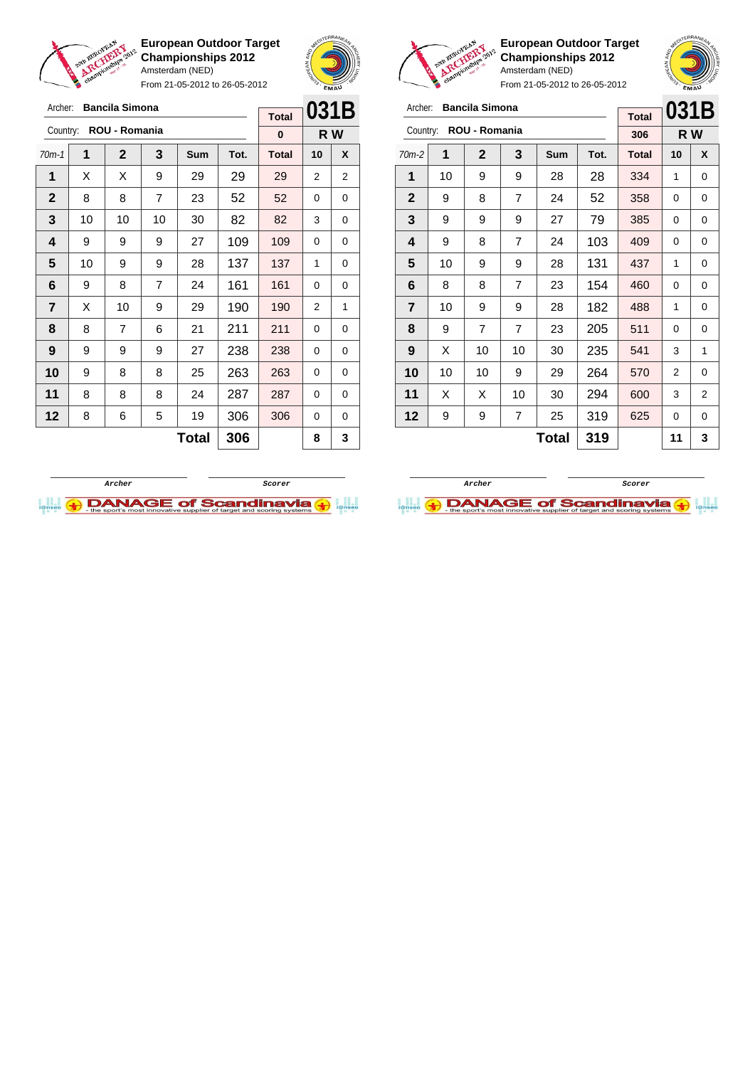

Archer: **Bancila Simona**

**European Outdoor Target Championships 2012** Amsterdam (NED)

From 21-05-2012 to 26-05-2012



**Total**

**European Outdoor Target Championships 2012** Amsterdam (NED)

| Archer:        |    | <b>Bancila Simona</b> |                |              |      |              | 031B |   |
|----------------|----|-----------------------|----------------|--------------|------|--------------|------|---|
|                |    |                       |                |              |      | <b>Total</b> |      |   |
| Country:       |    | ROU - Romania         |                |              |      | 306          | R W  |   |
| $70m-2$        | 1  | $\mathbf{2}$          | 3              | <b>Sum</b>   | Tot. | <b>Total</b> | 10   | X |
| 1              | 10 | 9                     | 9              | 28           | 28   | 334          | 1    | 0 |
| $\mathbf{2}$   | 9  | 8                     | $\overline{7}$ | 24           | 52   | 358          | 0    | 0 |
| 3              | 9  | 9                     | 9              | 27           | 79   | 385          | 0    | 0 |
| 4              | 9  | 8                     | $\overline{7}$ | 24           | 103  | 409          | 0    | 0 |
| 5              | 10 | 9                     | 9              | 28           | 131  | 437          | 1    | 0 |
| 6              | 8  | 8                     | $\overline{7}$ | 23           | 154  | 460          | 0    | 0 |
| $\overline{7}$ | 10 | 9                     | 9              | 28           | 182  | 488          | 1    | 0 |
| 8              | 9  | 7                     | $\overline{7}$ | 23           | 205  | 511          | 0    | 0 |
| 9              | X  | 10                    | 10             | 30           | 235  | 541          | 3    | 1 |
| 10             | 10 | 10                    | 9              | 29           | 264  | 570          | 2    | 0 |
| 11             | X  | X                     | 10             | 30           | 294  | 600          | 3    | 2 |
| 12             | 9  | 9                     | $\overline{7}$ | 25           | 319  | 625          | 0    | 0 |
|                |    |                       |                | <b>Total</b> | 319  |              | 11   | 3 |





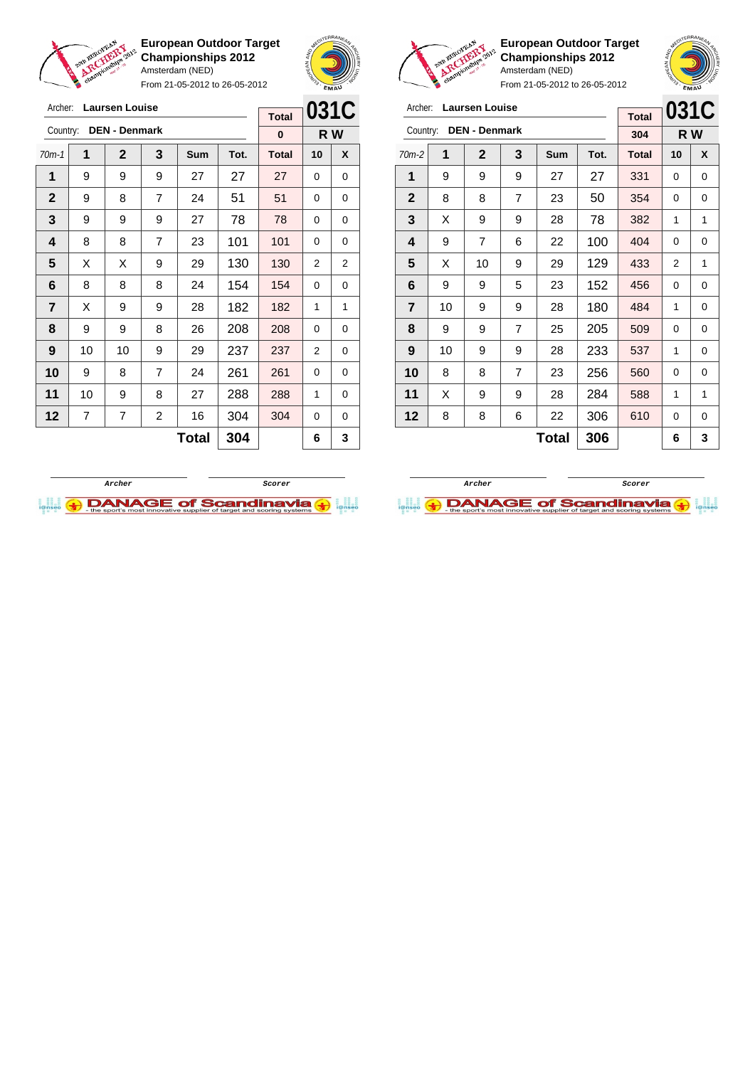

Archer: **Laursen Louise** Country: **DEN - Denmark**

**European Outdoor Target Championships 2012** Amsterdam (NED)

From 21-05-2012 to 26-05-2012



**R W**

**Total 0**

**European Outdoor Target Championships 2012** Amsterdam (NED)

| Archer:        |    | <b>Laursen Louise</b> |                |     |      | <b>Total</b> | 031C |   |
|----------------|----|-----------------------|----------------|-----|------|--------------|------|---|
| Country:       |    | <b>DEN - Denmark</b>  |                |     |      | 304          | R W  |   |
| $70m-2$        | 1  | $\mathbf{2}$          | 3              | Sum | Tot. | <b>Total</b> | 10   | X |
| 1              | 9  | 9                     | 9              | 27  | 27   | 331          | 0    | 0 |
| $\mathbf{2}$   | 8  | 8                     | $\overline{7}$ | 23  | 50   | 354          | 0    | 0 |
| 3              | X  | 9                     | 9              | 28  | 78   | 382          | 1    | 1 |
| 4              | 9  | 7                     | 6              | 22  | 100  | 404          | 0    | 0 |
| 5              | X  | 10                    | 9              | 29  | 129  | 433          | 2    | 1 |
| 6              | 9  | 9                     | 5              | 23  | 152  | 456          | 0    | 0 |
| $\overline{7}$ | 10 | 9                     | 9              | 28  | 180  | 484          | 1    | 0 |
| 8              | 9  | 9                     | $\overline{7}$ | 25  | 205  | 509          | 0    | 0 |
| 9              | 10 | 9                     | 9              | 28  | 233  | 537          | 1    | 0 |
| 10             | 8  | 8                     | $\overline{7}$ | 23  | 256  | 560          | 0    | 0 |
| 11             | X  | 9                     | 9              | 28  | 284  | 588          | 1    | 1 |
| 12             | 8  | 8                     | 6              | 22  | 306  | 610          | 0    | 0 |
|                |    |                       |                | 6   | 3    |              |      |   |



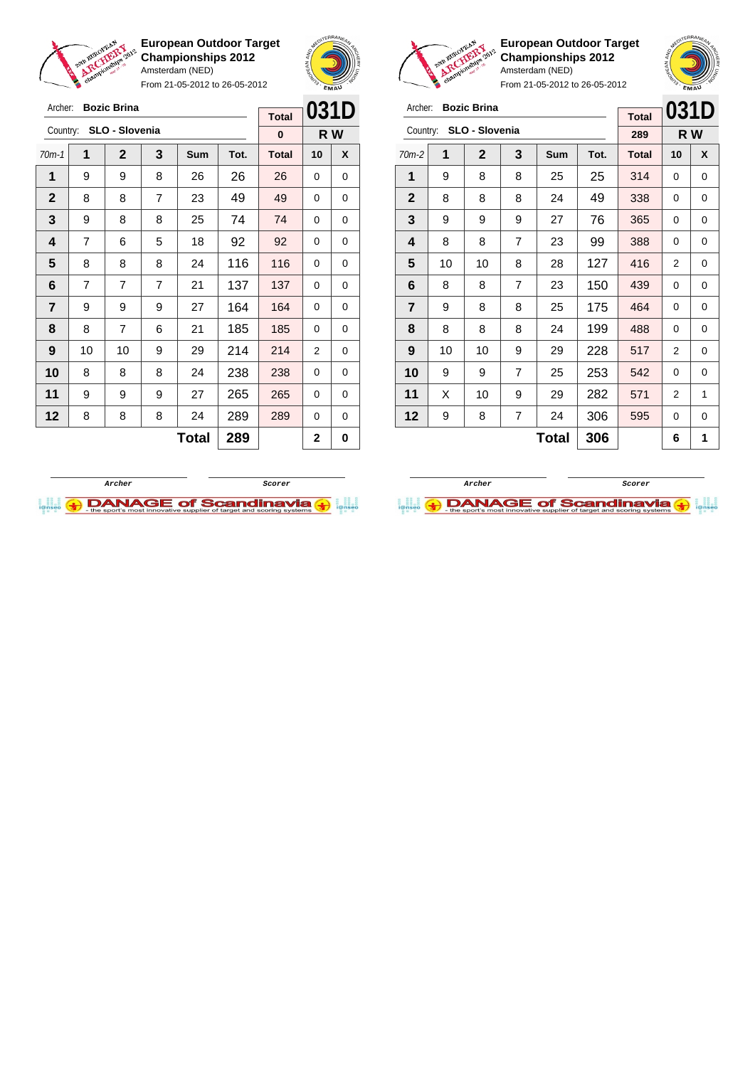

Archer: **Bozic Brina**

Country: **SLO - Slovenia**

**European Outdoor Target Championships 2012** Amsterdam (NED)

From 21-05-2012 to 26-05-2012



**R W**

**Total 0**



**European Outdoor Target Championships 2012** Amsterdam (NED)

| er: <b>Bozic Brina</b> |  |
|------------------------|--|
|                        |  |

| Archer:        |    | <b>Bozic Brina</b> |                |            |      | <b>Total</b> | 031D     |     |
|----------------|----|--------------------|----------------|------------|------|--------------|----------|-----|
| Country:       |    | SLO - Slovenia     |                |            |      | 289          |          | R W |
| $70m-2$        | 1  | $\mathbf{2}$       | 3              | <b>Sum</b> | Tot. | <b>Total</b> | 10       | X   |
| 1              | 9  | 8                  | 8              | 25         | 25   | 314          | $\Omega$ | 0   |
| $\mathbf{2}$   | 8  | 8                  | 8              | 24         | 49   | 338          | 0        | 0   |
| 3              | 9  | 9                  | 9              | 27         | 76   | 365          | 0        | 0   |
| 4              | 8  | 8                  | 7              | 23         | 99   | 388          | 0        | 0   |
| 5              | 10 | 10                 | 8              | 28         | 127  | 416          | 2        | 0   |
| 6              | 8  | 8                  | 7              | 23         | 150  | 439          | 0        | 0   |
| $\overline{7}$ | 9  | 8                  | 8              | 25         | 175  | 464          | 0        | 0   |
| 8              | 8  | 8                  | 8              | 24         | 199  | 488          | 0        | 0   |
| 9              | 10 | 10                 | 9              | 29         | 228  | 517          | 2        | 0   |
| 10             | 9  | 9                  | 7              | 25         | 253  | 542          | 0        | 0   |
| 11             | X  | 10                 | 9              | 29         | 282  | 571          | 2        | 1   |
| 12             | 9  | 8                  | $\overline{7}$ | 24         | 306  | 595          | 0        | 0   |
|                |    |                    |                | 6          | 1    |              |          |     |





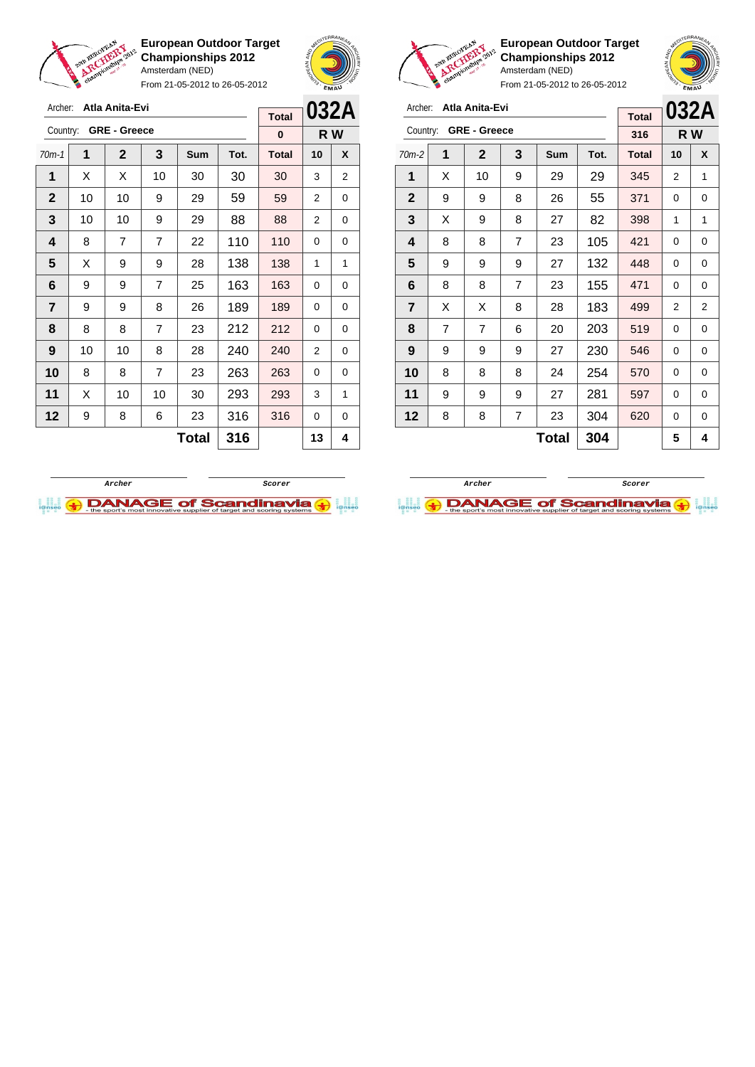

Archer: **Atla Anita-Evi** Country: **GRE - Greece**

**European Outdoor Target Championships 2012** Amsterdam (NED)

From 21-05-2012 to 26-05-2012

70m-1 **1 2 3 Sum Tot. Total 10 X**  $\mid$  X  $\mid$  X  $\mid$  10  $\mid$  30  $\mid$  30  $\mid$  30  $\mid$  3  $\mid$  2 | 10 | 10 | 9 | 29 | 59 | 59 | 2 | 0 | 10 | 10 | 9 | 29 | 88 | 88 | 2 | 0 | 8 | 7 | 7 | 22 | 110 | 110 | 0 | 0  $\mid$  X  $\mid$  9  $\mid$  9  $\mid$  28  $\mid$  138  $\mid$  138  $\mid$  1  $\mid$  1 | 9 | 9 | 7 | 25 | 163 | 163 | 0 | 0 | 9 | 9 | 8 | 26 | 189 | 189 | 0 | 0 | 8 | 8 | 7 | 23 | 212 | 212 | 0 | 0 | 10 | 10 | 8 | 28 | 240 | 240 | 2 | 0 8 8 7 23 263 263 0 0 | X | 10 | 10 | 30 | **293 | 293 |** 3 | 1 | 9 | 8 | 6 | 23 | 316 | 316 | 0 | 0



**R W**

**Total 0**



**European Outdoor Target Championships 2012** Amsterdam (NED)



From 21-05-2012 to 26-05-2012

| Archer:        |                | Atla Anita-Evi      |   |              |      | <b>Total</b> |    | 032A           |
|----------------|----------------|---------------------|---|--------------|------|--------------|----|----------------|
| Country:       |                | <b>GRE - Greece</b> |   |              |      | 316          |    | R W            |
| $70m-2$        | 1              | $\mathbf{2}$        | 3 | Sum          | Tot. | <b>Total</b> | 10 | X              |
| 1              | X              | 10                  | 9 | 29           | 29   | 345          | 2  | 1              |
| $\mathbf{2}$   | 9              | 9                   | 8 | 26           | 55   | 371          | 0  | 0              |
| 3              | X              | 9                   | 8 | 27           | 82   | 398          | 1  | 1              |
| 4              | 8              | 8                   | 7 | 23           | 105  | 421          | 0  | 0              |
| 5              | 9              | 9                   | 9 | 27           | 132  | 448          | 0  | 0              |
| 6              | 8              | 8                   | 7 | 23           | 155  | 471          | 0  | 0              |
| $\overline{7}$ | X              | Х                   | 8 | 28           | 183  | 499          | 2  | $\overline{2}$ |
| 8              | $\overline{7}$ | 7                   | 6 | 20           | 203  | 519          | 0  | 0              |
| 9              | 9              | 9                   | 9 | 27           | 230  | 546          | 0  | 0              |
| 10             | 8              | 8                   | 8 | 24           | 254  | 570          | 0  | 0              |
| 11             | 9              | 9                   | 9 | 27           | 281  | 597          | 0  | 0              |
| 12             | 8              | 8                   | 7 | 23           | 304  | 620          | 0  | 0              |
|                |                |                     |   | <b>Total</b> | 304  |              | 5  | 4              |



 $Total | 316 | 13 | 4$ 

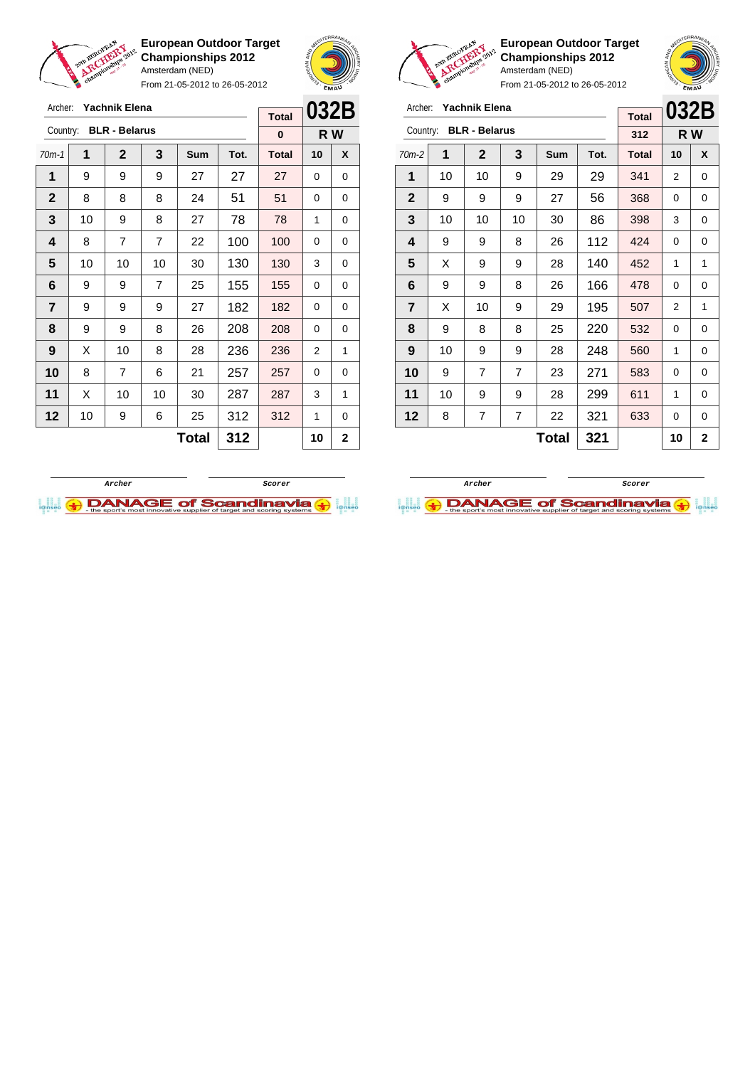

Archer: **Yachnik Elena**

**European Outdoor Target Championships 2012** Amsterdam (NED)

From 21-05-2012 to 26-05-2012





**European Outdoor Target Championships 2012** Amsterdam (NED)

| Archer:                 |    | Yachnik Elena        |                |     |              | <b>Total</b> | 032B |   |
|-------------------------|----|----------------------|----------------|-----|--------------|--------------|------|---|
| Country:                |    | <b>BLR - Belarus</b> |                |     |              | 312          | R W  |   |
| $70m-2$                 | 1  | $\mathbf 2$          | 3              | Sum | Tot.         | <b>Total</b> | 10   | X |
| 1                       | 10 | 10                   | 9              | 29  | 29           | 341          | 2    | 0 |
| $\mathbf{2}$            | 9  | 9                    | 9              | 27  | 56           | 368          | 0    | 0 |
| 3                       | 10 | 10                   | 10             | 30  | 86           | 398          | 3    | 0 |
| 4                       | 9  | 9                    | 8              | 26  | 112          | 424          | 0    | 0 |
| 5                       | X  | 9                    | 9              | 28  | 140          | 452          | 1    | 1 |
| 6                       | 9  | 9                    | 8              | 26  | 166          | 478          | 0    | 0 |
| $\overline{\mathbf{r}}$ | X  | 10                   | 9              | 29  | 195          | 507          | 2    | 1 |
| 8                       | 9  | 8                    | 8              | 25  | 220          | 532          | 0    | 0 |
| 9                       | 10 | 9                    | 9              | 28  | 248          | 560          | 1    | 0 |
| 10                      | 9  | 7                    | $\overline{7}$ | 23  | 271          | 583          | 0    | 0 |
| 11                      | 10 | 9                    | 9              | 28  | 299          | 611          | 1    | 0 |
| 12                      | 8  | 7                    | 7              | 22  | 321          | 633          | 0    | 0 |
|                         |    |                      |                | 10  | $\mathbf{2}$ |              |      |   |

| Archer:      |    | Yachnik Elena        |                |            |             | <b>Total</b> | 032B |     |
|--------------|----|----------------------|----------------|------------|-------------|--------------|------|-----|
| Country:     |    | <b>BLR - Belarus</b> |                |            |             | $\bf{0}$     |      | R W |
| $70m-1$      | 1  | $\mathbf 2$          | 3              | <b>Sum</b> | Tot.        | <b>Total</b> | 10   | X   |
| 1            | 9  | 9                    | 9              | 27         | 27          | 27           | 0    | 0   |
| $\mathbf{2}$ | 8  | 8                    | 8              | 24         | 51          | 51           | 0    | 0   |
| 3            | 10 | 9                    | 8              | 27         | 78          | 78           | 1    | 0   |
| 4            | 8  | 7                    | 7              | 22         | 100         | 100          | 0    | 0   |
| 5            | 10 | 10                   | 10             | 30         | 130         | 130          | 3    | 0   |
| 6            | 9  | 9                    | $\overline{7}$ | 25         | 155         | 155          | 0    | 0   |
| 7            | 9  | 9                    | 9              | 27         | 182         | 182          | 0    | 0   |
| 8            | 9  | 9                    | 8              | 26         | 208         | 208          | 0    | 0   |
| 9            | X  | 10                   | 8              | 28         | 236         | 236          | 2    | 1   |
| 10           | 8  | 7                    | 6              | 21         | 257         | 257          | 0    | 0   |
| 11           | X  | 10                   | 10             | 30         | 287         | 287          | 3    | 1   |
| 12           | 10 | 9                    | 6              | 25         | 312         | 312          | 1    | 0   |
|              |    |                      |                | 10         | $\mathbf 2$ |              |      |     |



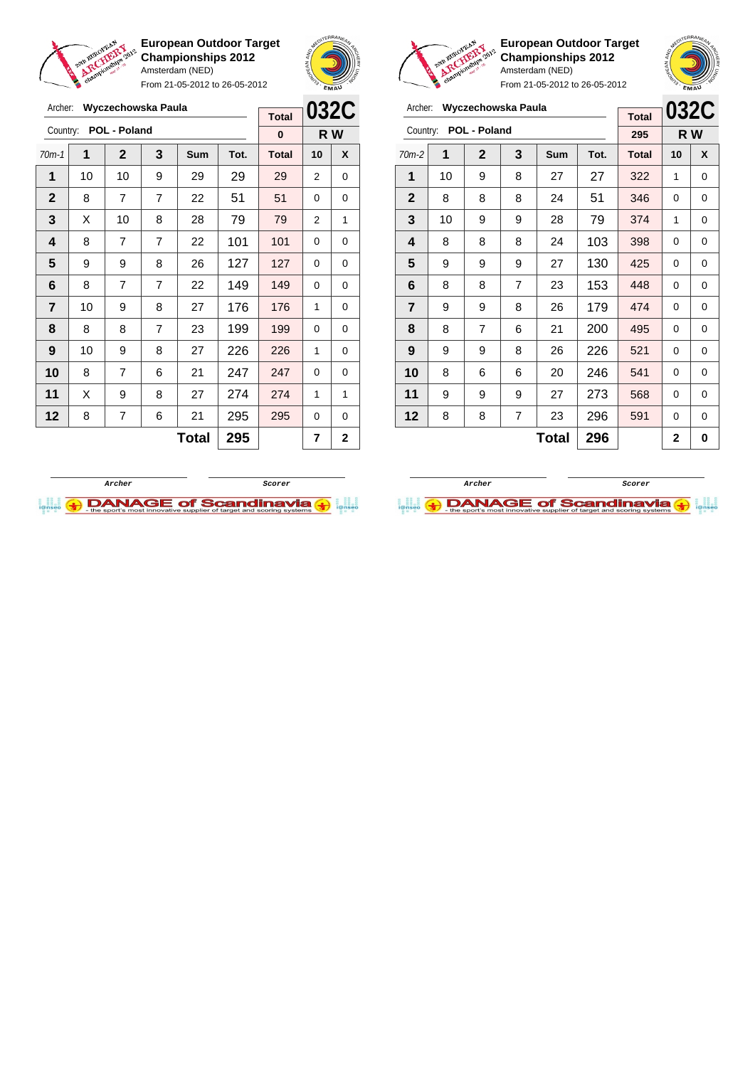

Archer: **Wyczechowska Paula**

Country: **POL - Poland**

**European Outdoor Target Championships 2012** Amsterdam (NED)

From 21-05-2012 to 26-05-2012

70m-1 **1 2 3 Sum Tot. Total 10 X** | 10 | 10 | 9 | 29 | 29 | 29 | 2 | 0  $\begin{array}{|c|c|c|c|c|c|c|c|}\hline \textbf{2} & \textbf{8} & \textbf{7} & \textbf{7} & \textbf{22} & \textbf{51} & \textbf{51} & \textbf{0} & \textbf{0} \ \hline \end{array}$   $\mid$  X  $\mid$  10  $\mid$  8  $\mid$  28  $\mid$  79  $\mid$  79  $\mid$  2  $\mid$  1 | 8 | 7 | 7 | 22 | 101 | 101 | 0 | 0 9 9 8 26 127 127 0 0 | 8 | 7 | 7 | 22 | 149 | 149 | 0 | 0 | 10 | 9 | 8 | 27 | 176 | 176 | 1 | 0 | 8 | 8 | 7 | 23 | 199 | 199 | 0 | 0 | 10 | 9 | 8 | 27 | 226 | 226 | 1 | 0 8 7 6 21 **247 247** 0 0 | X | 9 | 8 | 27 | 274 | 274 | 1 | 1 | 8 | 7 | 6 | 21 | 295 <mark>| 295</mark> | 0 | 0



**R W**

**Total 0**



**European Outdoor Target Championships 2012** Amsterdam (NED)



From 21-05-2012 to 26-05-2012

| Archer:        |    |                | Wyczechowska Paula |              |      |              |                | 032C |
|----------------|----|----------------|--------------------|--------------|------|--------------|----------------|------|
|                |    |                |                    |              |      | <b>Total</b> |                |      |
| Country:       |    | POL - Poland   |                    |              |      | 295          |                | R W  |
| $70m-2$        | 1  | $\overline{2}$ | 3                  | Sum          | Tot. | <b>Total</b> | 10             | X    |
| 1              | 10 | 9              | 8                  | 27           | 27   | 322          | 1              | 0    |
| $\mathbf{2}$   | 8  | 8              | 8                  | 24           | 51   | 346          | $\Omega$       | 0    |
| 3              | 10 | 9              | 9                  | 28           | 79   | 374          | 1              | 0    |
| 4              | 8  | 8              | 8                  | 24           | 103  | 398          | 0              | 0    |
| 5              | 9  | 9              | 9                  | 27           | 130  | 425          | $\Omega$       | 0    |
| 6              | 8  | 8              | $\overline{7}$     | 23           | 153  | 448          | $\Omega$       | 0    |
| $\overline{7}$ | 9  | 9              | 8                  | 26           | 179  | 474          | 0              | 0    |
| 8              | 8  | 7              | 6                  | 21           | 200  | 495          | $\Omega$       | 0    |
| 9              | 9  | 9              | 8                  | 26           | 226  | 521          | $\Omega$       | 0    |
| 10             | 8  | 6              | 6                  | 20           | 246  | 541          | $\Omega$       | 0    |
| 11             | 9  | 9              | 9                  | 27           | 273  | 568          | 0              | 0    |
| 12             | 8  | 8              | 7                  | 23           | 296  | 591          | 0              | 0    |
|                |    |                |                    | <b>Total</b> | 296  |              | $\overline{2}$ | 0    |

**Archer ScorerDANAGE of Scandinavia** 



**Total** 295  $\vert$  7  $\vert$  2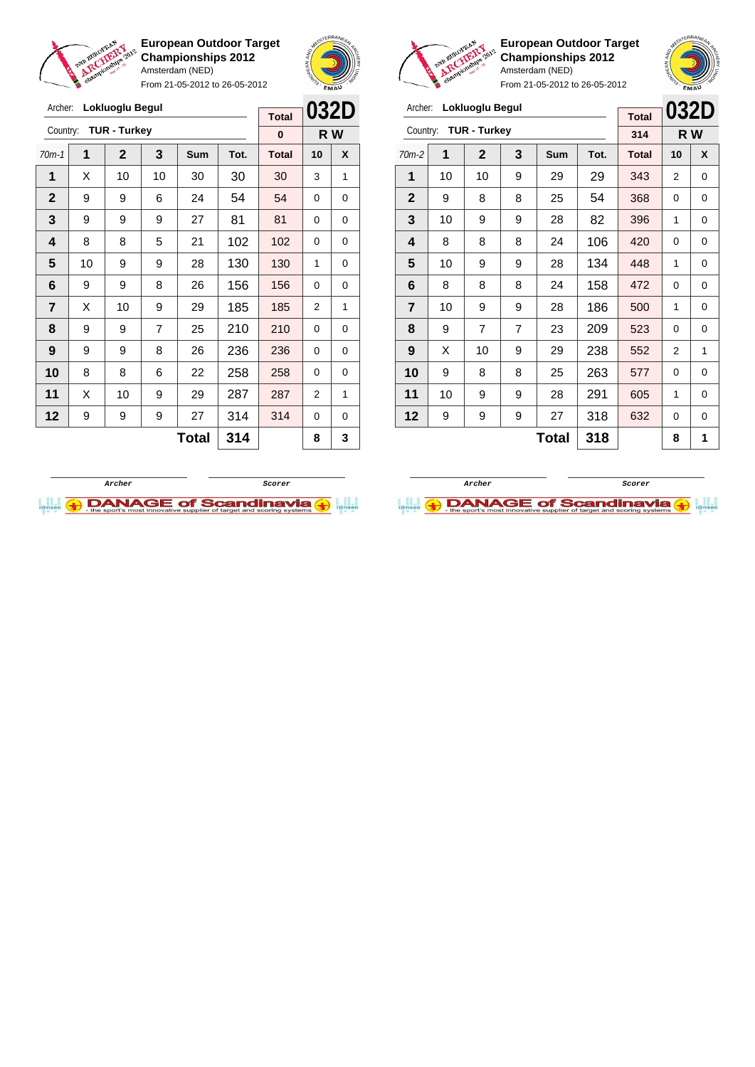



Archer: **Lokluoglu Begul** Country: **TUR - Turkey**

**European Outdoor Target Championships 2012** Amsterdam (NED)

> **Total 314**

From 21-05-2012 to 26-05-2012



**032D R W**

From 21-05-2012 to 26-05-2012 Archer: **Lokluoglu Begul** Country: **TUR - Turkey 032D R W Total 0** 70m-1 **1 2 3 Sum Tot. Total 10 X 1** | X | 10 | 10 | 30 | 30 | 30 | 3 | 1 **2** | 9 | 9 | 6 | 24 | 54 | <mark>54 | 0 |</mark> 0 **3** | 9 | 9 | 9 | 27 | 81 | 81 | 0 | 0 **4** | 8 | 8 | 5 | 21 | 102 | 102 | 0 | 0 **5** | 10 | 9 | 9 | 28 | 130 | 130 | 1 | 0 **6** | 9 | 9 | 8 | 26 | 156 | 156 | 0 | 0 **7** | X | 10 | 9 | 29 | 185 | 185 | 2 | 1 **8** | 9 | 9 | 7 | 25 | 210 | 210 | 0 | 0 **9** | 9 | 9 | 8 | 26 | 236 | 236 | 0 | 0 **10** 8 8 8 6 22 258 258 0 0 **11** | X | 10 | 9 | 29 | 287 | 287 | 2 | 1



70m-2 **1 2 3 Sum Tot. Total 10 X** | 10 | 10 | 9 | 29 | 29 | 343 | 2 | 0 | 9 | 8 | 8 | 25 | 54 | 368 | 0 | 0 | 10 | 9 | 9 | 28 | 82 | 396 | 1 | 0 | 8 | 8 | 8 | 24 | 106 | 420 | 0 | 0 | 10 | 9 | 9 | 28 | 134 | 448 | 1 | 0 8 8 8 24 158 272 0 0 | 10 | 9 | 9 | 28 | 186 | 500 | 1 | 0 | 9 | 7 | 7 | 23 | 209 | 523 | 0 | 0 | X | 10 | 9 | 29 | 238 | 552 | 2 | 1 | 9 | 8 | 8 | 25 | 263 | 577 | 0 | 0 | 10 | 9 | 9 | 28 | 291 | 605 | 1 | 0 | 9 | 9 | 9 | 27 | 318 | 632 | 0 | 0



**12** 9 9 9 27 314 314 0 0

 $Total | 314 | 8 | 3$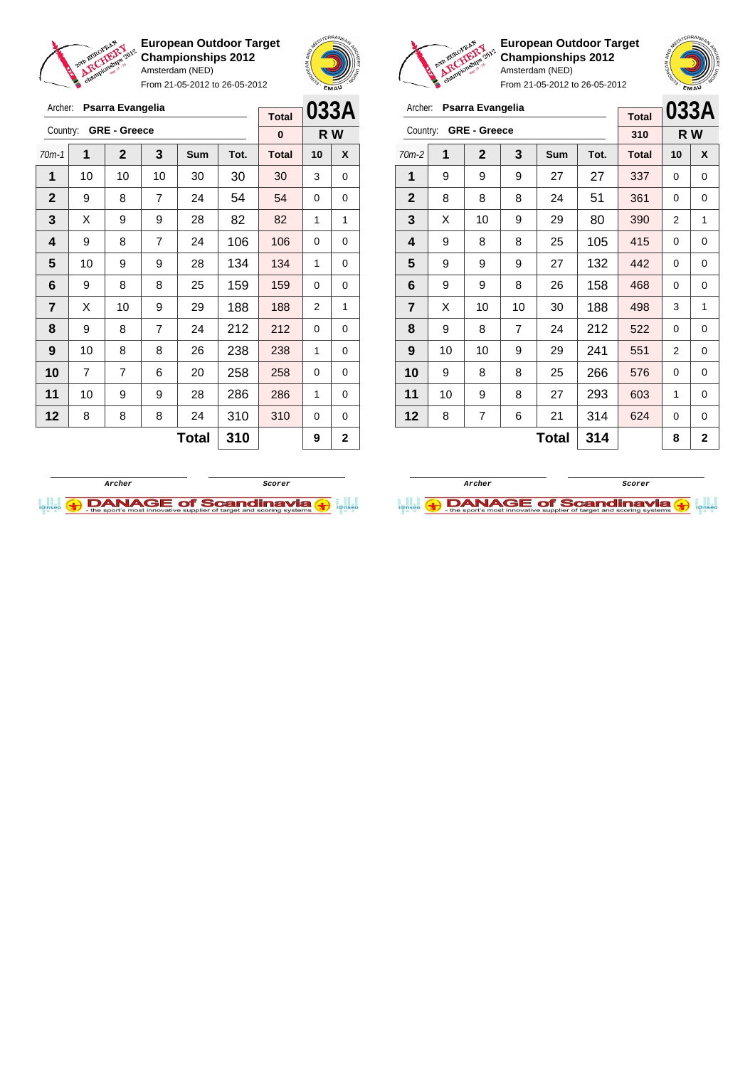

From 21-05-2012 to 26-05-2012





**European Outdoor Target Championships 2012** Amsterdam (NED)

|             | Archer:        |    | Psarra Evangelia    |                |              |      |              |                |                |
|-------------|----------------|----|---------------------|----------------|--------------|------|--------------|----------------|----------------|
| 33A         |                |    |                     |                |              |      | <b>Total</b> | 033A           |                |
| R W         | Country:       |    | <b>GRE - Greece</b> |                |              |      | 310          |                | R W            |
| X           | $70m-2$        | 1  | $\mathbf{2}$        | 3              | <b>Sum</b>   | Tot. | <b>Total</b> | 10             | X              |
| $\mathbf 0$ | 1              | 9  | 9                   | 9              | 27           | 27   | 337          | 0              | $\Omega$       |
| 0           | $\overline{2}$ | 8  | 8                   | 8              | 24           | 51   | 361          | 0              | 0              |
| 1           | 3              | X  | 10                  | 9              | 29           | 80   | 390          | $\overline{2}$ | $\mathbf{1}$   |
| 0           | 4              | 9  | 8                   | 8              | 25           | 105  | 415          | 0              | 0              |
| 0           | 5              | 9  | 9                   | 9              | 27           | 132  | 442          | 0              | 0              |
| $\Omega$    | 6              | 9  | 9                   | 8              | 26           | 158  | 468          | $\Omega$       | $\Omega$       |
| 1           | $\overline{7}$ | X  | 10                  | 10             | 30           | 188  | 498          | 3              | 1              |
| 0           | 8              | 9  | 8                   | $\overline{7}$ | 24           | 212  | 522          | 0              | 0              |
| 0           | 9              | 10 | 10                  | 9              | 29           | 241  | 551          | 2              | $\Omega$       |
| 0           | 10             | 9  | 8                   | 8              | 25           | 266  | 576          | 0              | 0              |
| 0           | 11             | 10 | 9                   | 8              | 27           | 293  | 603          | 1              | $\Omega$       |
| 0           | 12             | 8  | 7                   | 6              | 21           | 314  | 624          | 0              | $\Omega$       |
| $\mathbf 2$ |                |    |                     |                | <b>Total</b> | 314  |              | 8              | $\overline{2}$ |

| Archer:        |    | Psarra Evangelia    |                |            | 033A |              |          |     |
|----------------|----|---------------------|----------------|------------|------|--------------|----------|-----|
|                |    |                     |                |            |      | <b>Total</b> |          |     |
| Country:       |    | <b>GRE - Greece</b> |                |            |      | $\bf{0}$     |          | R W |
| $70m-1$        | 1  | $\mathbf{2}$        | 3              | <b>Sum</b> | Tot. | <b>Total</b> | 10       | X   |
| 1              | 10 | 10                  | 10             | 30         | 30   | 30           | 3        | 0   |
| $\mathbf{2}$   | 9  | 8                   | $\overline{7}$ | 24         | 54   | 54           | 0        | 0   |
| 3              | X  | 9                   | 9              | 28         | 82   | 82           | 1        | 1   |
| 4              | 9  | 8                   | $\overline{7}$ | 24         | 106  | 106          | $\Omega$ | 0   |
| 5              | 10 | 9                   | 9              | 28         | 134  | 134          | 1        | 0   |
| 6              | 9  | 8                   | 8              | 25         | 159  | 159          | 0        | 0   |
| $\overline{7}$ | X  | 10                  | 9              | 29         | 188  | 188          | 2        | 1   |
| 8              | 9  | 8                   | $\overline{7}$ | 24         | 212  | 212          | $\Omega$ | 0   |
| 9              | 10 | 8                   | 8              | 26         | 238  | 238          | 1        | 0   |
| 10             | 7  | 7                   | 6              | 20         | 258  | 258          | 0        | 0   |
| 11             | 10 | 9                   | 9              | 28         | 286  | 286          | 1        | 0   |
| 12             | 8  | 8                   | 8              | 24         | 310  | 310          | 0        | 0   |
|                |    |                     | 310            |            | 9    | 2            |          |     |



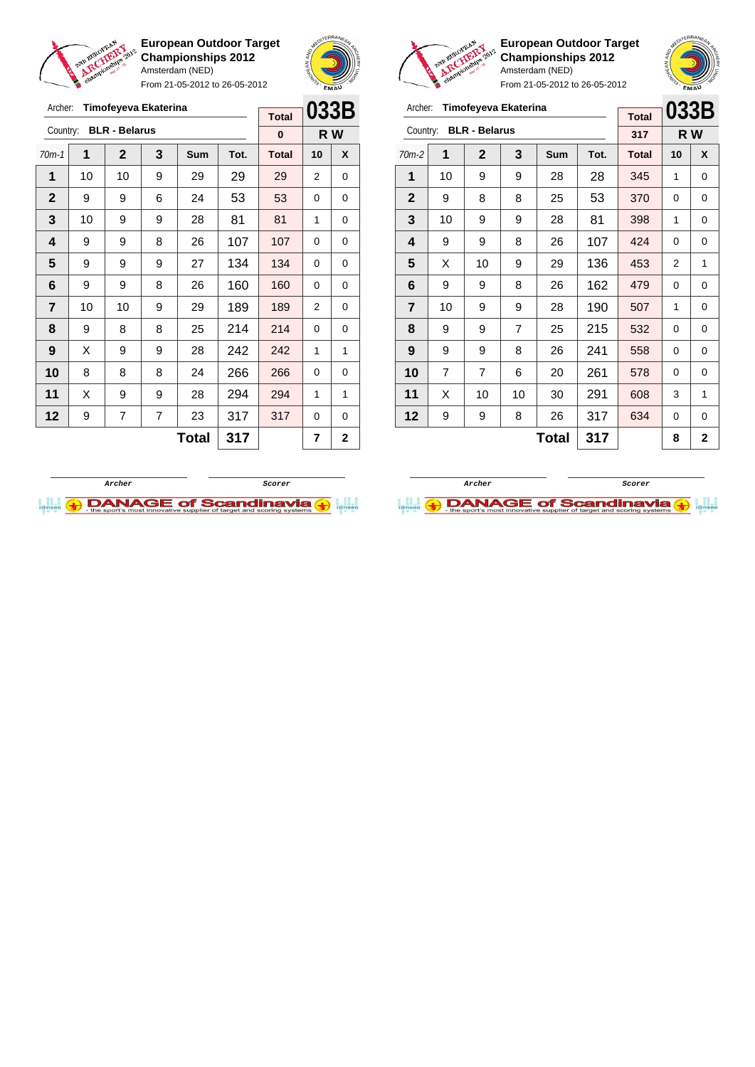



From 21-05-2012 to 26-05-2012

| Archer:        |    |                      | Timofeyeva Ekaterina |              |      | <b>Total</b> | 033B |                |
|----------------|----|----------------------|----------------------|--------------|------|--------------|------|----------------|
| Country:       |    | <b>BLR - Belarus</b> |                      |              |      | $\bf{0}$     |      | R W            |
| $70m-1$        | 1  | $\mathbf{2}$         | 3                    | Sum          | Tot. | <b>Total</b> | 10   | X              |
| 1              | 10 | 10                   | 9                    | 29           | 29   | 29           | 2    | 0              |
| $\mathbf 2$    | 9  | 9                    | 6                    | 24           | 53   | 53           | 0    | 0              |
| 3              | 10 | 9                    | 9                    | 28           | 81   | 81           | 1    | 0              |
| 4              | 9  | 9                    | 8                    | 26           | 107  | 107          | 0    | 0              |
| 5              | 9  | 9                    | 9                    | 27           | 134  | 134          | 0    | 0              |
| 6              | 9  | 9                    | 8                    | 26           | 160  | 160          | 0    | 0              |
| $\overline{7}$ | 10 | 10                   | 9                    | 29           | 189  | 189          | 2    | 0              |
| 8              | 9  | 8                    | 8                    | 25           | 214  | 214          | 0    | 0              |
| 9              | X  | 9                    | 9                    | 28           | 242  | 242          | 1    | 1              |
| 10             | 8  | 8                    | 8                    | 24           | 266  | 266          | 0    | 0              |
| 11             | X  | 9                    | 9                    | 28           | 294  | 294          | 1    | 1              |
| 12             | 9  | 7                    | 7                    | 23           | 317  | 317          | 0    | 0              |
|                |    |                      |                      | <b>Total</b> | 317  |              | 7    | $\overline{2}$ |



**European Outdoor Target Championships 2012** Amsterdam (NED) From 21-05-2012 to 26-05-2012

## Archer: **Timofeyeva Ekaterina**

| Archer:        |                | Timofeyeva Ekaterina |    |              |      |              | 033B |                |
|----------------|----------------|----------------------|----|--------------|------|--------------|------|----------------|
|                |                |                      |    |              |      | <b>Total</b> |      |                |
| Country:       |                | <b>BLR - Belarus</b> |    |              |      | 317          |      | R W            |
| $70m-2$        | 1              | $\mathbf{2}$         | 3  | Sum          | Tot. | <b>Total</b> | 10   | X              |
| 1              | 10             | 9                    | 9  | 28           | 28   | 345          | 1    | 0              |
| $\mathbf{2}$   | 9              | 8                    | 8  | 25           | 53   | 370          | 0    | 0              |
| 3              | 10             | 9                    | 9  | 28           | 81   | 398          | 1    | 0              |
| 4              | 9              | 9                    | 8  | 26           | 107  | 424          | 0    | 0              |
| 5              | X              | 10                   | 9  | 29           | 136  | 453          | 2    | 1              |
| 6              | 9              | 9                    | 8  | 26           | 162  | 479          | 0    | 0              |
| $\overline{7}$ | 10             | 9                    | 9  | 28           | 190  | 507          | 1    | 0              |
| 8              | 9              | 9                    | 7  | 25           | 215  | 532          | 0    | 0              |
| 9              | 9              | 9                    | 8  | 26           | 241  | 558          | 0    | 0              |
| 10             | $\overline{7}$ | $\overline{7}$       | 6  | 20           | 261  | 578          | 0    | $\Omega$       |
| 11             | X              | 10                   | 10 | 30           | 291  | 608          | 3    | 1              |
| 12             | 9              | 9                    | 8  | 26           | 317  | 634          | 0    | 0              |
|                |                |                      |    | <b>Total</b> | 317  |              | 8    | $\overline{2}$ |



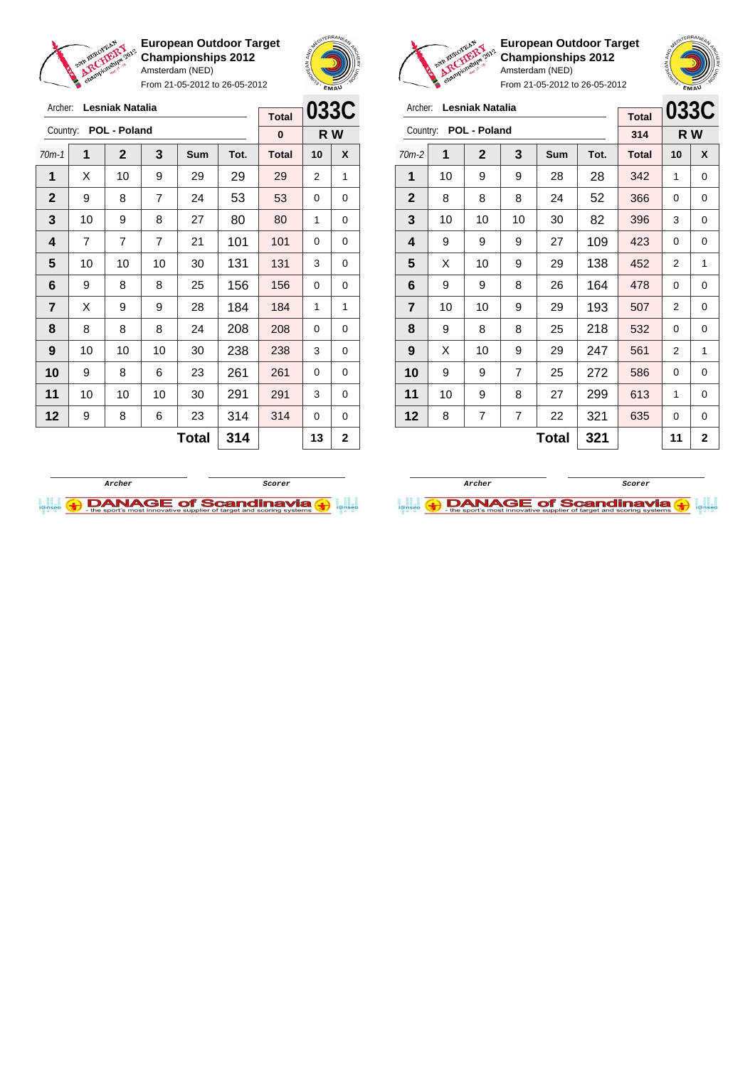

From 21-05-2012 to 26-05-2012





**European Outdoor Target Championships 2012** Amsterdam (NED)

| Archer:                 |                          | <b>Lesniak Natalia</b> | <b>Total</b>   | 033C |              |              |     |   |
|-------------------------|--------------------------|------------------------|----------------|------|--------------|--------------|-----|---|
| Country:                |                          | POL - Poland           |                |      |              | 314          | R W |   |
| 70m-2                   | 1                        | $\mathbf{2}$           | 3              | Sum  | Tot.         | <b>Total</b> | 10  | X |
| 1                       | 10                       | 9                      | 9              | 28   | 28           | 342          | 1   | 0 |
| $\mathbf{2}$            | 8                        | 8                      | 8              | 24   | 52           | 366          | 0   | 0 |
| 3                       | 10                       | 10                     | 10             | 30   | 82           | 396          | 3   | 0 |
| 4                       | 9                        | 9                      | 9              | 27   | 109          | 423          | 0   | 0 |
| 5                       | X                        | 10                     | 9              | 29   | 138          | 452          | 2   | 1 |
| 6                       | 9                        | 9                      | 8              | 26   | 164          | 478          | 0   | 0 |
| $\overline{\mathbf{r}}$ | 10                       | 10                     | 9              | 29   | 193          | 507          | 2   | 0 |
| 8                       | 9                        | 8                      | 8              | 25   | 218          | 532          | 0   | 0 |
| 9                       | X                        | 10                     | 9              | 29   | 247          | 561          | 2   | 1 |
| 10                      | 9                        | 9                      | $\overline{7}$ | 25   | 272          | 586          | 0   | 0 |
| 11                      | 10                       | 9                      | 8              | 27   | 299          | 613          | 1   | 0 |
| 12                      | 7<br>7<br>22<br>321<br>8 |                        |                |      |              |              | 0   | 0 |
|                         |                          |                        |                | 11   | $\mathbf{2}$ |              |     |   |





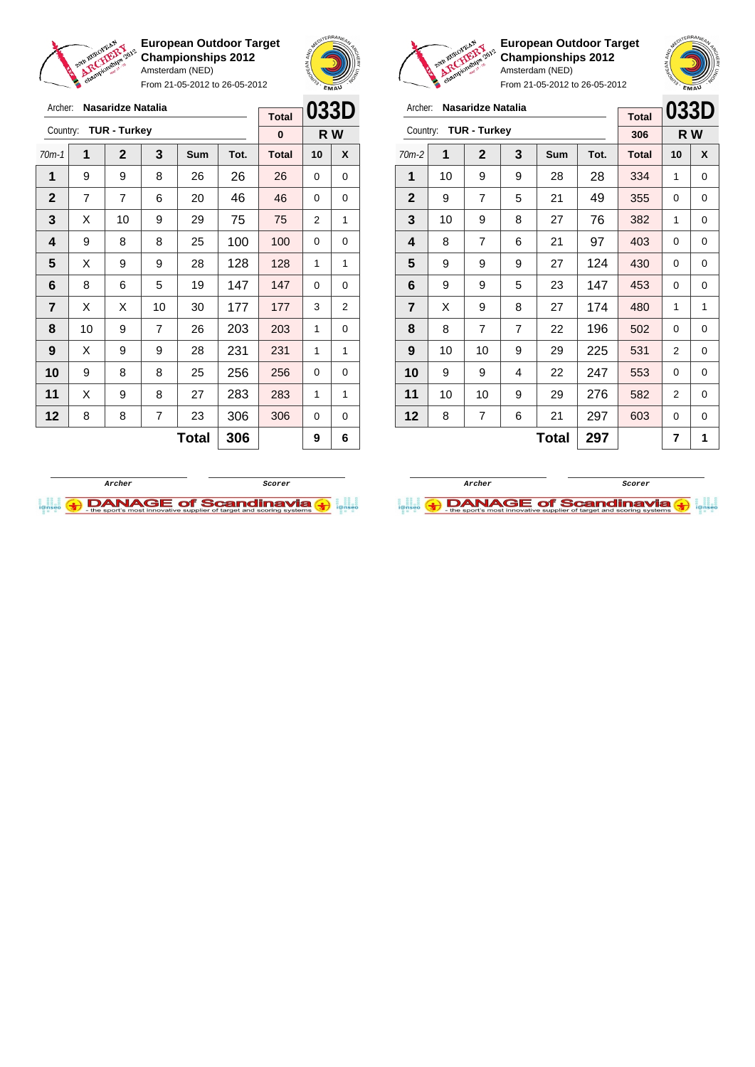





**European Outdoor Target Championships 2012** Amsterdam (NED)

 | 9 | 7 | 5 | 21 | 49 <mark>| 355</mark> | 0 | 0 | 10 | 9 | 8 | 27 | 76 | 382 | 1 | 0 | 8 | 7 | 6 | 21 | 97 | 403 | 0 | 0 | 9 | 9 | 9 | 27 | 124 | 430 | 0 | 0 | 9 | 9 | 5 | 23 | 147 | 453 | 0 | 0  $\begin{array}{|c|c|c|c|c|c|}\n\hline\n\textbf{7} & \textbf{X} & \textbf{9} & \textbf{8} & \textbf{27} & \textbf{174} & \textbf{480} & \textbf{1} & \textbf{1} \end{array}$  | 8 | 7 | 7 | 22 | 196 | 502 | 0 | 0 | 10 | 10 | 9 | 29 | 225 | 531 | 2 | 0 | 9 | 9 | 4 | 22 | 247 | 553 | 0 | 0 | 10 | 10 | 9 | 29 | 276 | 582 | 2 | 0 | 8 | 7 | 6 | 21 | 297 | 603 | 0 | 0

|         | championami                                                                                                              |   |  | Amsterdam (NED) |    |              | Baby <sub>s</sub> | EMAU |  |
|---------|--------------------------------------------------------------------------------------------------------------------------|---|--|-----------------|----|--------------|-------------------|------|--|
|         |                                                                                                                          |   |  |                 |    | <b>Total</b> |                   | 033D |  |
|         | From 21-05-2012 to 26-05-2012<br>Archer: Nasaridze Natalia<br>Country: TUR - Turkey<br>2<br>3<br>Tot.<br><b>Sum</b><br>1 |   |  |                 |    | 306          | R W               |      |  |
| $70m-2$ |                                                                                                                          |   |  |                 |    | <b>Total</b> | 10                | X    |  |
|         | 10                                                                                                                       | 9 |  | 28              | 28 | 334          |                   | O    |  |

|                | guin Europysa.<br>ARCHERY | championaliste 2012 |                | Amsterdam (NED) | European Outdoor Target<br><b>Championships 2012</b><br>From 21-05-2012 to 26-05-2012 |              | <b>SROPEAN AND RE</b> | EMAU |
|----------------|---------------------------|---------------------|----------------|-----------------|---------------------------------------------------------------------------------------|--------------|-----------------------|------|
| Archer:        |                           | Nasaridze Natalia   |                |                 |                                                                                       | <b>Total</b> | 033D                  |      |
| Country:       |                           | <b>TUR - Turkey</b> |                |                 |                                                                                       | 0            |                       | R W  |
| $70m-1$        | 1                         | $\mathbf{2}$        | 3              | <b>Sum</b>      | Tot.                                                                                  | <b>Total</b> | 10                    | X    |
| 1              | 9                         | 9                   | 8              | 26              | 26                                                                                    | 26           | 0                     | 0    |
| $\mathbf{2}$   | 7                         | 7                   | 6              | 20              | 46                                                                                    | 46           | 0                     | 0    |
| 3              | X                         | 10                  | 9              | 29              | 75                                                                                    | 75           | 2                     | 1    |
| 4              | 9                         | 8                   | 8              | 25              | 100                                                                                   | 100          | 0                     | 0    |
| 5              | X                         | 9                   | 9              | 28              | 128                                                                                   | 128          | 1                     | 1    |
| 6              | 8                         | 6                   | 5              | 19              | 147                                                                                   | 147          | 0                     | 0    |
| $\overline{7}$ | X                         | X                   | 10             | 30              | 177                                                                                   | 177          | 3                     | 2    |
| 8              | 10                        | 9                   | $\overline{7}$ | 26              | 203                                                                                   | 203          | 1                     | 0    |
| 9              | X                         | 9                   | 9              | 28              | 231                                                                                   | 231          | 1                     | 1    |
| 10             | 9                         | 8                   | 8              | 25              | 256                                                                                   | 256          | 0                     | 0    |
| 11             | X                         | 9                   | 8              | 27              | 283                                                                                   | 283          | 1                     | 1    |
| 12             | 8                         | 8                   | 7              | 23              | 306                                                                                   | 306          | 0                     | 0    |

**Total 306 9 6**





**Total**  $297$   $7$  1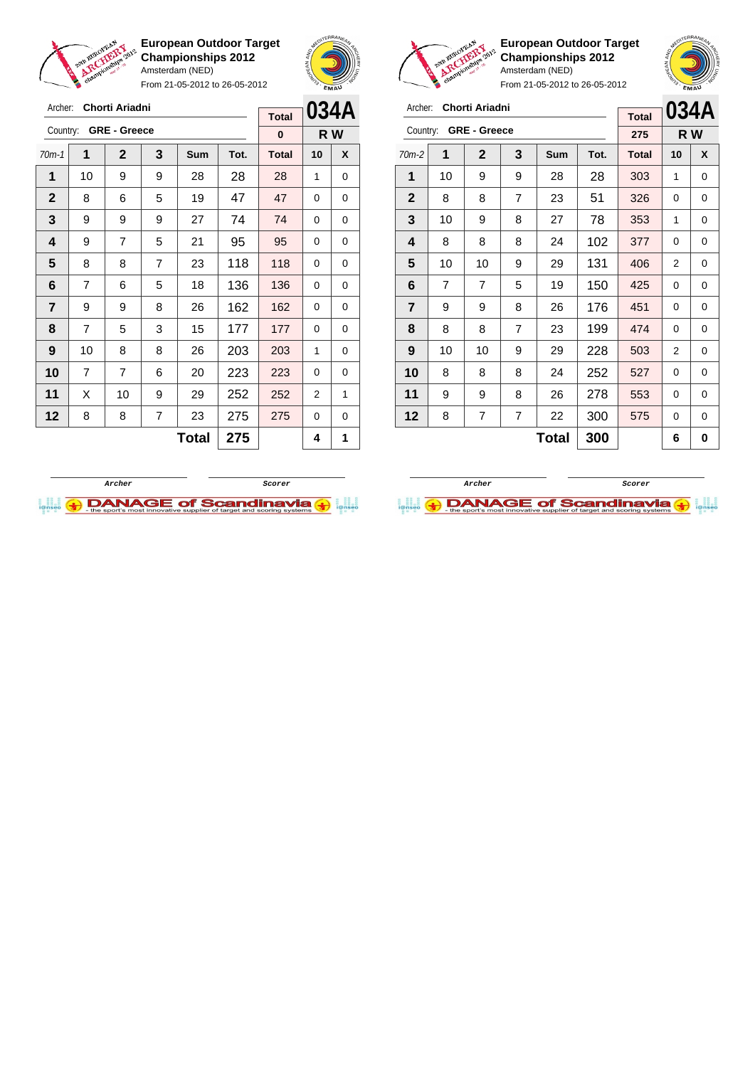

Archer: **Chorti Ariadni** Country: **GRE - Greece**

**European Outdoor Target Championships 2012** Amsterdam (NED)

From 21-05-2012 to 26-05-2012

70m-1 **1 2 3 Sum Tot. Total 10 X** | 10 | 9 | 9 | 28 | 28 | 28 | 1 | 0 8 6 5 19 47 47 0 0 | 9 | 9 | 9 | 27 | 74 | 74 | 0 | 0 | 9 | 7 | 5 | 21 | 95 | 95 | 0 | 0  $\begin{array}{|c|c|c|c|c|c|}\n\hline\n\textbf{5} & \textbf{8} & \textbf{8} & \textbf{7} & \textbf{23} & \textbf{118} & \textbf{118} & \textbf{0} & \textbf{0} \\\hline\n\end{array}$  | 7 | 6 | 5 | 18 | 136 | 136 | 0 | 0 | 9 | 9 | 8 | 26 | 162 | 162 | 0 | 0 | 7 | 5 | 3 | 15 | 177 | 177 | 0 | 0 | 10 | 8 | 8 | 26 | 203 | 203 | 1 | 0 | 7 | 7 | 6 | 20 | **223 | 223 |** 0 | 0 | X | 10 | 9 | 29 | 252 | 252 | 2 | 1 | 8 | 8 | 7 | 23 | 275 | 275 | 0 | 0



**R W**

**Total 0**



**European Outdoor Target Championships 2012** Amsterdam (NED)



From 21-05-2012 to 26-05-2012

| Archer:                 |    | Chorti Ariadni      |   | <b>Total</b> |      | 034A         |     |   |
|-------------------------|----|---------------------|---|--------------|------|--------------|-----|---|
| Country:                |    | <b>GRE - Greece</b> |   |              |      | 275          | R W |   |
| $70m-2$                 | 1  | $\mathbf{2}$        | 3 | Sum          | Tot. | <b>Total</b> | 10  | X |
| 1                       | 10 | 9                   | 9 | 28           | 28   | 303          | 1   | 0 |
| $\mathbf{2}$            | 8  | 8                   | 7 | 23           | 51   | 326          | 0   | 0 |
| 3                       | 10 | 9                   | 8 | 27           | 78   | 353          | 1   | 0 |
| 4                       | 8  | 8                   | 8 | 24           | 102  | 377          | 0   | 0 |
| 5                       | 10 | 10                  | 9 | 29           | 131  | 406          | 2   | 0 |
| 6                       | 7  | 7                   | 5 | 19           | 150  | 425          | 0   | 0 |
| $\overline{\mathbf{r}}$ | 9  | 9                   | 8 | 26           | 176  | 451          | 0   | 0 |
| 8                       | 8  | 8                   | 7 | 23           | 199  | 474          | 0   | 0 |
| 9                       | 10 | 10                  | 9 | 29           | 228  | 503          | 2   | 0 |
| 10                      | 8  | 8                   | 8 | 24           | 252  | 527          | 0   | 0 |
| 11                      | 9  | 9                   | 8 | 26           | 278  | 553          | 0   | 0 |
| 12                      | 8  | 7                   | 7 | 22           | 300  | 575          | 0   | 0 |
|                         |    |                     |   | 6            | 0    |              |     |   |

**Archer Scorer**

**DANAGE of Scandinavia** 



 $Total | 275 | 4 | 1$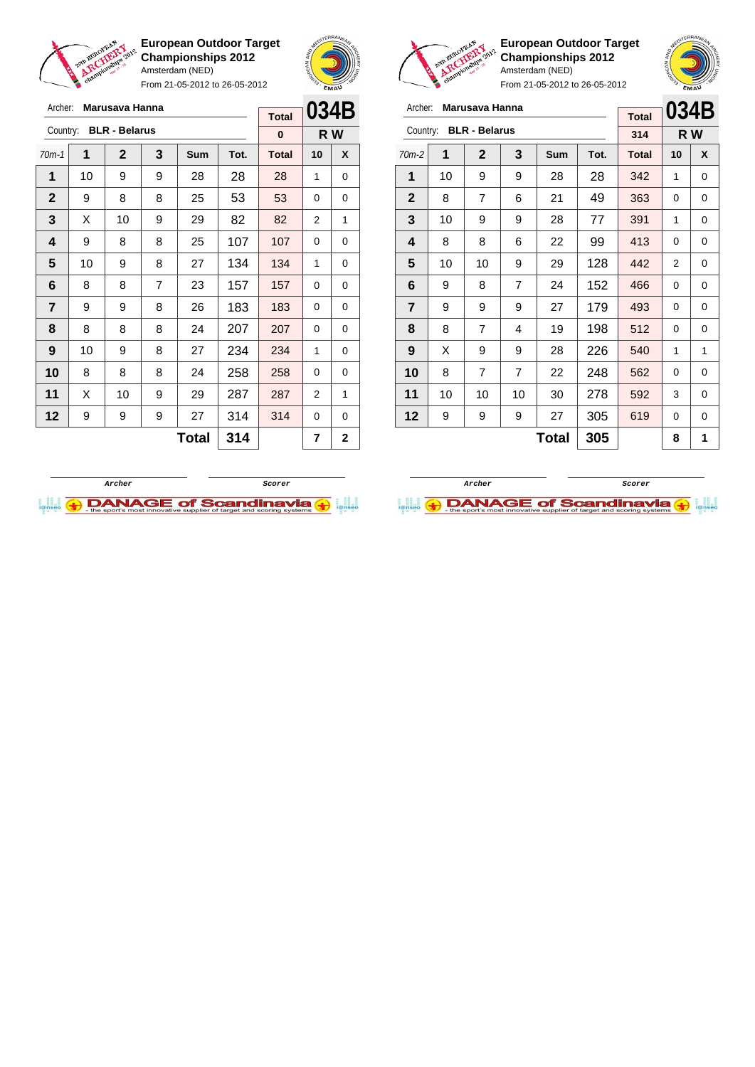

Archer: **Marusava Hanna** Country: **BLR - Belarus**

**European Outdoor Target Championships 2012** Amsterdam (NED)

From 21-05-2012 to 26-05-2012

70m-1 **1 2 3 Sum Tot. Total 10 X** | 10 | 9 | 9 | 28 | 28 | 28 | 1 | 0 9 8 8 25 53 53 0 0  $\mid$  X  $\mid$  10  $\mid$  9  $\mid$  29  $\mid$  82  $\mid$  82  $\mid$  2  $\mid$  1 | 9 | 8 | 8 | 25 | 107 | 107 | 0 | 0 | 10 | 9 | 8 | 27 | 134 | 134 | 1 | 0 | 8 | 8 | 7 | 23 | 157 | 157 | 0 | 0 | 9 | 9 | 8 | 26 | 183 | 183 | 0 | 0 | 8 | 8 | 8 | 24 | 207 | 207 | 0 | 0 | 10 | 9 | 8 | 27 | 234 | 234 | 1 | 0 8 8 8 24 258 258 0 0 | X | 10 | 9 | 29 | 287 | 287 | 2 | 1 9 9 9 27 314 314 0 0



**R W**

**Total 0**

**European Outdoor Target Championships 2012** Amsterdam (NED)



From 21-05-2012 to 26-05-2012

| Archer:        |    | Marusava Hanna       |                |            |      |              |                | 034B |
|----------------|----|----------------------|----------------|------------|------|--------------|----------------|------|
| Country:       |    | <b>BLR - Belarus</b> |                |            |      | <b>Total</b> |                |      |
|                |    |                      |                |            |      | 314          |                | R W  |
| 70m-2          | 1  | $\mathbf{2}$         | 3              | <b>Sum</b> | Tot. | <b>Total</b> | 10             | X    |
| 1              | 10 | 9                    | 9              | 28         | 28   | 342          | 1              | 0    |
| $\mathbf{2}$   | 8  | 7                    | 6              | 21         | 49   | 363          | 0              | 0    |
| 3              | 10 | 9                    | 9              | 28         | 77   | 391          | 1              | 0    |
| 4              | 8  | 8                    | 6              | 22         | 99   | 413          | 0              | 0    |
| 5              | 10 | 10                   | 9              | 29         | 128  | 442          | $\overline{2}$ | 0    |
| 6              | 9  | 8                    | $\overline{7}$ | 24         | 152  | 466          | 0              | 0    |
| $\overline{7}$ | 9  | 9                    | 9              | 27         | 179  | 493          | 0              | 0    |
| 8              | 8  | 7                    | 4              | 19         | 198  | 512          | 0              | 0    |
| 9              | X  | 9                    | 9              | 28         | 226  | 540          | 1              | 1    |
| 10             | 8  | 7                    | 7              | 22         | 248  | 562          | 0              | 0    |
| 11             | 10 | 10                   | 10             | 30         | 278  | 592          | 3              | 0    |
| 12             | 9  | 9                    | 9              | 27         | 305  | 619          | 0              | 0    |

 $\text{Total}$  305 8 1

**Archer Scorer**



**Total** 314  $\vert$  7  $\vert$  2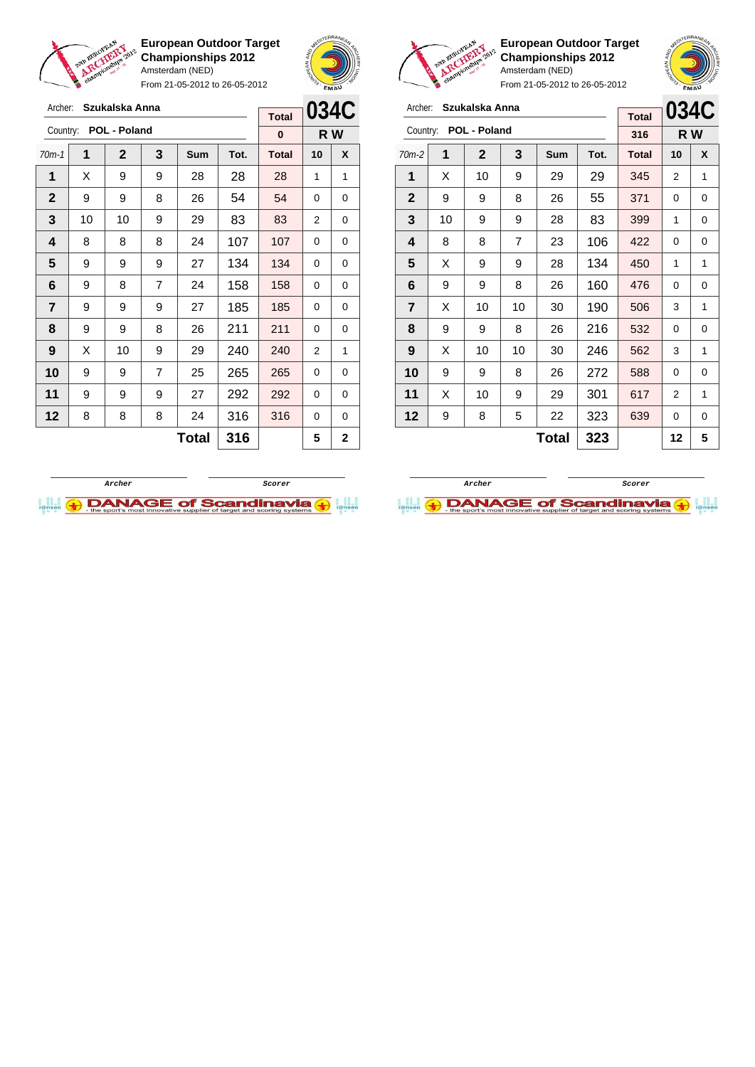

Archer: **Szukalska Anna** Country: **POL - Poland**

**European Outdoor Target Championships 2012** Amsterdam (NED)

From 21-05-2012 to 26-05-2012

70m-1 **1 2 3 Sum Tot. Total 10 X**  $\mid$  X  $\mid$  9  $\mid$  9  $\mid$  28  $\mid$  28  $\mid$  28  $\mid$  1  $\mid$  1 9 9 8 26 54 54 0 0 | 10 | 10 | 9 | 29 | 83 | 83 | 2 | 0 | 8 | 8 | 8 | 24 | 107 | 107 | 0 | 0 | 9 | 9 | 9 | 27 | 134 | 134 | 0 | 0 | 9 | 8 | 7 | 24 | 158 | 158 | 0 | 0 | 9 | 9 | 9 | 27 | 185 | 185 | 0 | 0 | 9 | 9 | 8 | 26 | 211 | 211 | 0 | 0 | X | 10 | 9 | 29 | 240 | 240 | 2 | 1 9 9 7 25 265 265 0 0 | 9 | 9 | 9 | 27 | 292 | 292 | 0 | 0 | 8 | 8 | 8 | 24 | 316 | 316 | 0 | 0



**R W**

**Total 0**



**European Outdoor Target Championships 2012** Amsterdam (NED)

From 21-05-2012 to 26-05-2012

| Archer:        |    | Szukalska Anna |                | <b>Total</b> | 034C |              |    |     |
|----------------|----|----------------|----------------|--------------|------|--------------|----|-----|
| Country:       |    | POL - Poland   |                |              |      | 316          |    | R W |
| $70m-2$        | 1  | 2              | 3              | Sum          | Tot. | <b>Total</b> | 10 | X   |
| 1              | X  | 10             | 9              | 29           | 29   | 345          | 2  | 1   |
| $\mathbf{2}$   | 9  | 9              | 8              | 26           | 55   | 371          | 0  | 0   |
| 3              | 10 | 399            | 1              | 0            |      |              |    |     |
| 4              | 8  | 8              | $\overline{7}$ | 23           | 106  | 422          | 0  | 0   |
| 5              | X  | 9              | 9              | 28           | 134  | 450          | 1  | 1   |
| 6              | 9  | 9              | 8              | 26           | 160  | 476          | 0  | 0   |
| $\overline{7}$ | X  | 10             | 10             | 30           | 190  | 506          | 3  | 1   |
| 8              | 9  | 9              | 8              | 26           | 216  | 532          | 0  | 0   |
| 9              | X  | 10             | 10             | 30           | 246  | 562          | 3  | 1   |
| 10             | 9  | 9              | 8              | 26           | 272  | 588          | 0  | 0   |
| 11             | X  | 10             | 9              | 29           | 301  | 617          | 2  | 1   |
| 12             | 9  | 639            | 0              | 0            |      |              |    |     |
|                |    |                |                | Total        | 323  |              | 12 | 5   |



 $Total | 316 | 5 | 2$ 

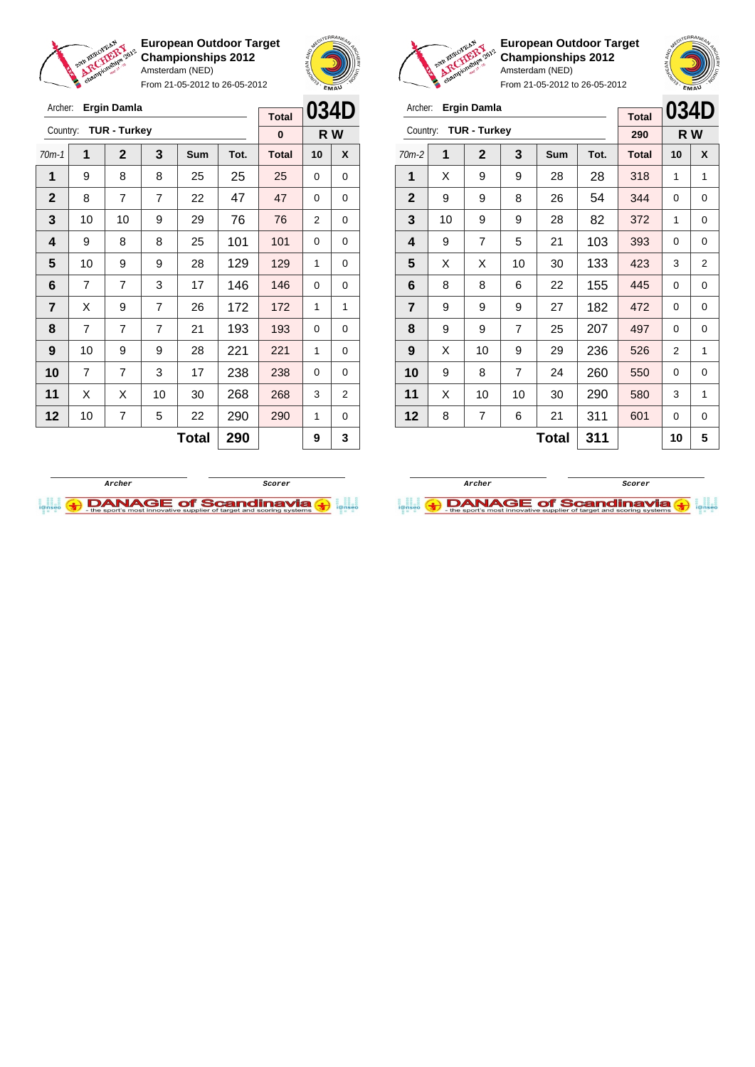

Archer: **Ergin Damla**

**European Outdoor Target Championships 2012** Amsterdam (NED)

From 21-05-2012 to 26-05-2012





Archer:

**European Outdoor Target Championships 2012** Amsterdam (NED)

| <b>Ergin Damla</b>  |  |
|---------------------|--|
| <b>TUR - Turkey</b> |  |

| Archer:        |    | Ergin Damla         |                |       |      | <b>Total</b> | 034D |                |
|----------------|----|---------------------|----------------|-------|------|--------------|------|----------------|
| Country:       |    | <b>TUR - Turkey</b> |                |       |      | 290          |      | R W            |
| $70m-2$        | 1  | $\mathbf{2}$        | 3              | Sum   | Tot. | <b>Total</b> | 10   | X              |
| 1              | X  | 9                   | 9              | 28    | 28   | 318          | 1    | 1              |
| $\mathbf{2}$   | 9  | 9                   | 8              | 26    | 54   | 344          | 0    | 0              |
| 3              | 10 | 9                   | 9              | 28    | 82   | 372          | 1    | 0              |
| 4              | 9  | 7                   | 5              | 21    | 103  | 393          | 0    | 0              |
| 5              | X  | X                   | 10             | 30    | 133  | 423          | 3    | $\overline{2}$ |
| 6              | 8  | 8                   | 6              | 22    | 155  | 445          | 0    | 0              |
| $\overline{7}$ | 9  | 9                   | 9              | 27    | 182  | 472          | 0    | 0              |
| 8              | 9  | 9                   | $\overline{7}$ | 25    | 207  | 497          | 0    | 0              |
| 9              | X  | 10                  | 9              | 29    | 236  | 526          | 2    | 1              |
| 10             | 9  | 8                   | $\overline{7}$ | 24    | 260  | 550          | 0    | 0              |
| 11             | X  | 10                  | 10             | 30    | 290  | 580          | 3    | 1              |
| 12             | 8  | 7                   | 6              | 21    | 311  | 601          | 0    | 0              |
|                |    |                     |                | Total | 311  |              | 10   | 5              |

| Archer:                 |                | Ergin Damla         |                |              |      | <b>Total</b> | 034D     |   |
|-------------------------|----------------|---------------------|----------------|--------------|------|--------------|----------|---|
| Country:                |                | <b>TUR - Turkey</b> |                | $\bf{0}$     |      | R W          |          |   |
| $70m-1$                 | 1              | $\mathbf{2}$        | 3              | Sum          | Tot. | <b>Total</b> | 10       | X |
| 1                       | 9              | 8                   | 8              | 25           | 25   | 25           | 0        | 0 |
| $\overline{2}$          | 8              | $\overline{7}$      | $\overline{7}$ | 22           | 47   | 47           | $\Omega$ | 0 |
| 3                       | 10             | 10                  | 9              | 29           | 76   | 76           | 2        | 0 |
| $\overline{\mathbf{4}}$ | 9              | 8                   | 8              | 25           | 101  | 101          | 0        | 0 |
| 5                       | 10             | 9                   | 9              | 28           | 129  | 129          | 1        | 0 |
| 6                       | $\overline{7}$ | $\overline{7}$      | 3              | 17           | 146  | 146          | $\Omega$ | 0 |
| $\overline{7}$          | X              | 9                   | $\overline{7}$ | 26           | 172  | 172          | 1        | 1 |
| 8                       | $\overline{7}$ | $\overline{7}$      | $\overline{7}$ | 21           | 193  | 193          | 0        | 0 |
| 9                       | 10             | 9                   | 9              | 28           | 221  | 221          | 1        | 0 |
| 10                      | $\overline{7}$ | 7                   | 3              | 17           | 238  | 238          | $\Omega$ | 0 |
| 11                      | X              | Х                   | 10             | 30           | 268  | 268          | 3        | 2 |
| 12                      | 10             | 7                   | 5              | 22           | 290  | 290          | 1        | 0 |
|                         |                |                     |                | <b>Total</b> | 290  |              | 9        | 3 |
|                         |                |                     |                |              |      |              |          |   |



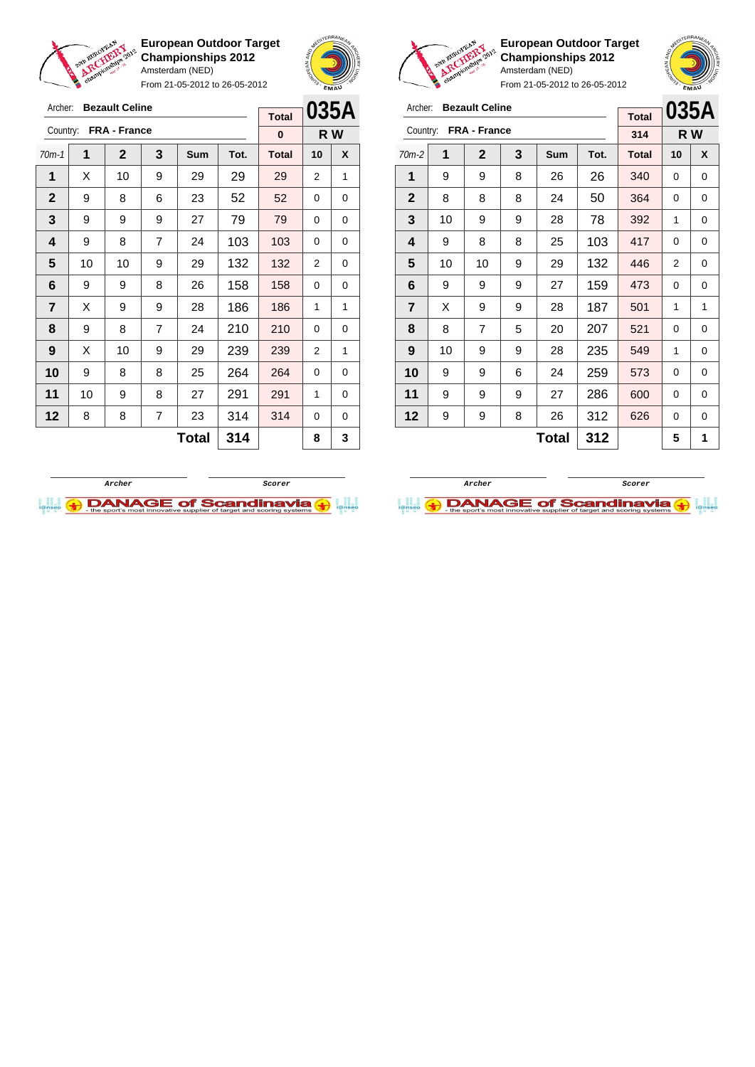

Archer: **Bezault Celine** Country: **FRA - France**

**European Outdoor Target Championships 2012** Amsterdam (NED)

From 21-05-2012 to 26-05-2012

70m-1 **1 2 3 Sum Tot. Total 10 X** | X | 10 | 9 | 29 | 29 | 29 | 2 | 1 9 8 6 23 52 52 0 0 | 9 | 9 | 9 | 27 | 79 | 79 | 0 | 0 | 9 | 8 | 7 | 24 | 103 | 103 | 0 | 0 | 10 | 10 | 9 | 29 | 132 | 132 | 2 | 0 | 9 | 9 | 8 | 26 | 158 | 158 | 0 | 0  $\mid$  X  $\mid$  9  $\mid$  9  $\mid$  28  $\mid$  186  $\mid$  186  $\mid$  1  $\mid$  1 | 9 | 8 | 7 | 24 | 210 | 210 | 0 | 0 | X | 10 | 9 | 29 | 239 | 239 | 2 | 1 9 8 8 25 264 264 0 0 | 10 | 9 | 8 | 27 | 291 | 291 | 1 | 0 | 8 | 8 | 7 | 23 | 314 | 314 | 0 | 0



**R W**

**Total 0**

**European Outdoor Target Championships 2012** Amsterdam (NED)



From 21-05-2012 to 26-05-2012

| Archer:        |    | <b>Bezault Celine</b> |   | <b>Total</b> | 035A |              |     |   |
|----------------|----|-----------------------|---|--------------|------|--------------|-----|---|
| Country:       |    | FRA - France          |   |              |      | 314          | R W |   |
| $70m-2$        | 1  | $\mathbf{2}$          | 3 | <b>Sum</b>   | Tot. | <b>Total</b> | 10  | X |
| 1              | 9  | 9                     | 8 | 26           | 26   | 340          | 0   | 0 |
| $\overline{2}$ | 8  | 8                     | 8 | 24           | 50   | 364          | 0   | 0 |
| 3              | 10 | 9                     | 9 | 28           | 78   | 392          | 1   | 0 |
| 4              | 9  | 8                     | 8 | 25           | 103  | 417          | 0   | 0 |
| 5              | 10 | 10                    | 9 | 29           | 132  | 446          | 2   | 0 |
| 6              | 9  | 9                     | 9 | 27           | 159  | 473          | 0   | 0 |
| 7              | X  | 9                     | 9 | 28           | 187  | 501          | 1   | 1 |
| 8              | 8  | $\overline{7}$        | 5 | 20           | 207  | 521          | 0   | 0 |
| 9              | 10 | 9                     | 9 | 28           | 235  | 549          | 1   | 0 |
| 10             | 9  | 9                     | 6 | 24           | 259  | 573          | 0   | 0 |
| 11             | 9  | 9                     | 9 | 27           | 286  | 600          | 0   | 0 |
| 12             | 9  | 9                     | 8 | 26           | 312  | 626          | 0   | 0 |
|                |    |                       |   | 5            | 1    |              |     |   |



 $Total | 314 | 8 | 3$ 

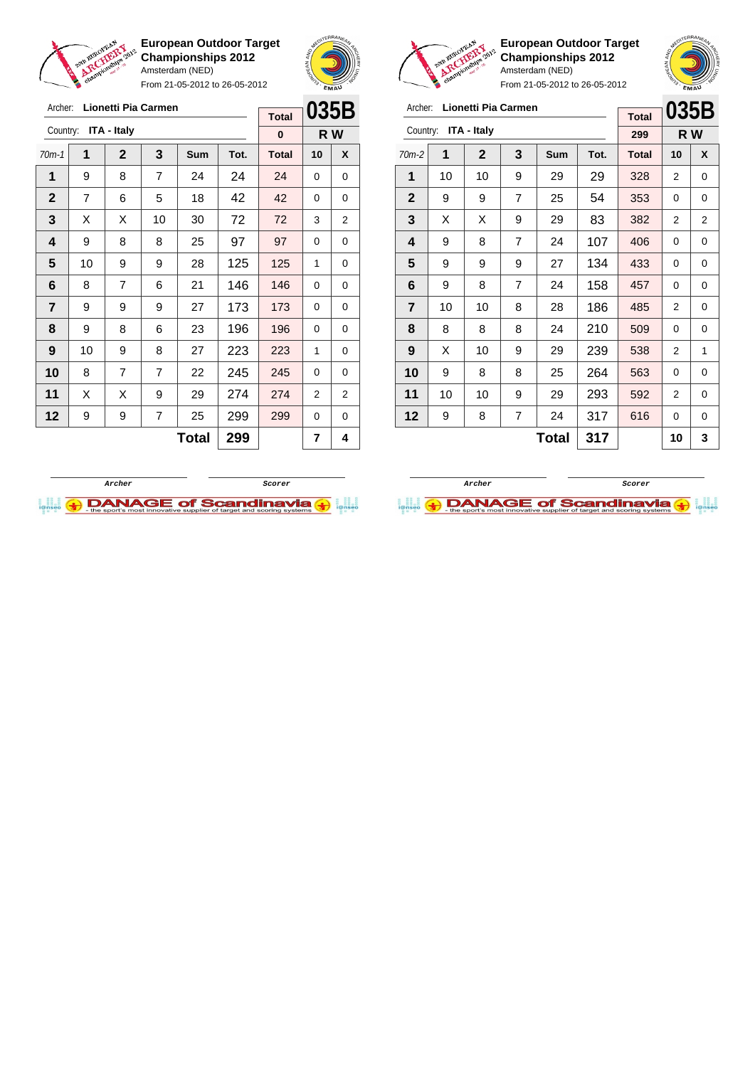

Archer: **Lionetti Pia Carmen**

**European Outdoor Target Championships 2012** Amsterdam (NED)

From 21-05-2012 to 26-05-2012





**European Outdoor Target Championships 2012** Amsterdam (NED) From 21-05-2012 to 26-05-2012

 $\overline{a}$ 

**035B**

## Archer: **Lionetti Pia Carmen**

|          |    |              |                |              |      | <b>Total</b> | UJJD |     |
|----------|----|--------------|----------------|--------------|------|--------------|------|-----|
| Country: |    | ITA - Italy  |                |              |      | 299          |      | R W |
| $70m-2$  | 1  | $\mathbf{2}$ | 3              | Sum          | Tot. | <b>Total</b> | 10   | X   |
| 1        | 10 | 10           | 9              | 29           | 29   | 328          | 2    | 0   |
| 2        | 9  | 9            | 7              | 25           | 54   | 353          | 0    | 0   |
| 3        | X  | X            | 9              | 29           | 83   | 382          | 2    | 2   |
| 4        | 9  | 8            | $\overline{7}$ | 24           | 107  | 406          | 0    | 0   |
| 5        | 9  | 9            | 9              | 27           | 134  | 433          | 0    | 0   |
| 6        | 9  | 8            | $\overline{7}$ | 24           | 158  | 457          | 0    | 0   |
| 7        | 10 | 10           | 8              | 28           | 186  | 485          | 2    | 0   |
| 8        | 8  | 8            | 8              | 24           | 210  | 509          | 0    | 0   |
| 9        | X  | 10           | 9              | 29           | 239  | 538          | 2    | 1   |
| 10       | 9  | 8            | 8              | 25           | 264  | 563          | 0    | 0   |
| 11       | 10 | 10           | 9              | 29           | 293  | 592          | 2    | 0   |
| 12       | 9  | 8            | 7              | 24           | 317  | 616          | 0    | 0   |
|          |    |              |                | <b>Total</b> | 317  |              | 10   | 3   |

| Archer:      |    | <b>Lionetti Pia Carmen</b> |                | <b>Total</b> | 035B |              |    |                |
|--------------|----|----------------------------|----------------|--------------|------|--------------|----|----------------|
| Country:     |    | <b>ITA - Italy</b>         |                |              |      | $\bf{0}$     |    | R W            |
| $70m-1$      | 1  | $\mathbf 2$                | 3              | Sum          | Tot. | <b>Total</b> | 10 | X              |
| 1            | 9  | 8                          | 7              | 24           | 24   | 24           | 0  | 0              |
| $\mathbf{2}$ | 7  | 6                          | 5              | 18           | 42   | 42           | 0  | 0              |
| 3            | Χ  | X                          | 10             | 30           | 72   | 72           | 3  | $\overline{2}$ |
| 4            | 9  | 8                          | 8              | 25           | 97   | 97           | 0  | 0              |
| 5            | 10 | 9                          | 9              | 28           | 125  | 125          | 1  | 0              |
| 6            | 8  | 7                          | 6              | 21           | 146  | 146          | 0  | 0              |
| 7            | 9  | 9                          | 9              | 27           | 173  | 173          | 0  | 0              |
| 8            | 9  | 8                          | 6              | 23           | 196  | 196          | 0  | 0              |
| 9            | 10 | 9                          | 8              | 27           | 223  | 223          | 1  | 0              |
| 10           | 8  | $\overline{7}$             | $\overline{7}$ | 22           | 245  | 245          | 0  | 0              |
| 11           | Х  | X                          | 9              | 29           | 274  | 274          | 2  | $\overline{2}$ |
| 12           | 9  | 9                          | 299            | 299          | 0    | 0            |    |                |
|              |    |                            |                | <b>Total</b> | 299  |              | 7  | 4              |



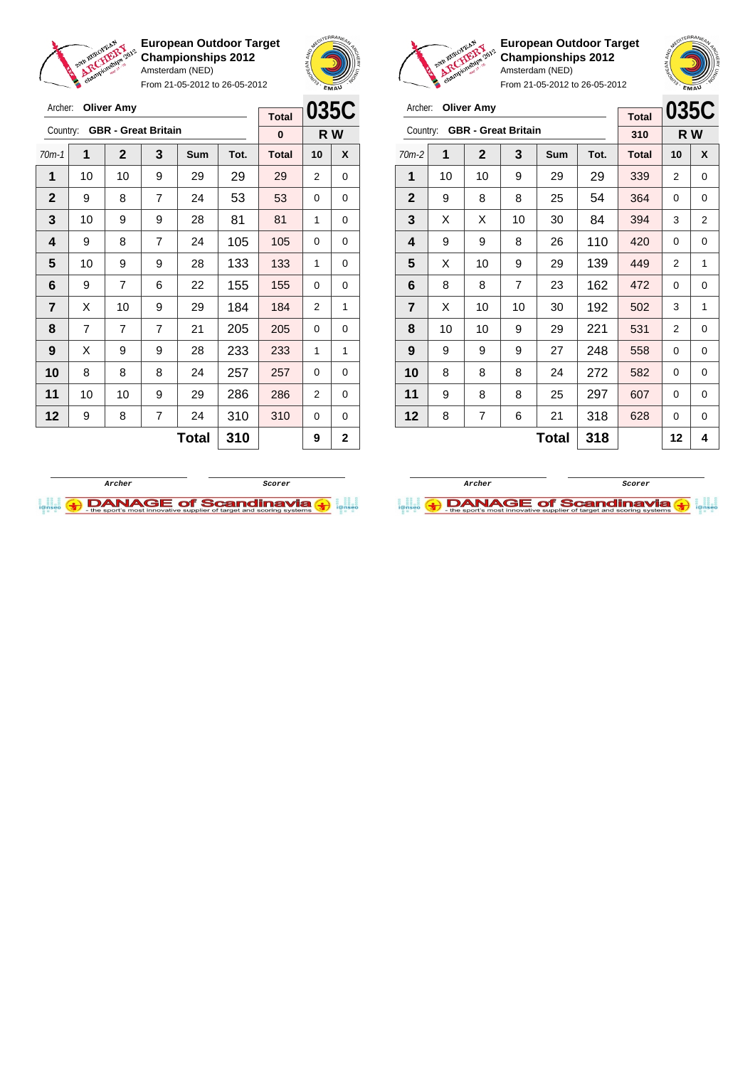

Archer: **Oliver Amy**

Country: **GBR - Great Britain**

**European Outdoor Target Championships 2012** Amsterdam (NED)

From 21-05-2012 to 26-05-2012

70m-1 **1 2 3 Sum Tot. Total 10 X**



**R W**

**Total 0**

**European Outdoor Target Championships 2012** Amsterdam (NED)

| Archer:        |    | <b>Oliver Amy</b>          |     | <b>Total</b> | 035C |              |                |     |
|----------------|----|----------------------------|-----|--------------|------|--------------|----------------|-----|
| Country:       |    | <b>GBR - Great Britain</b> |     |              |      | 310          |                | R W |
| $70m-2$        | 1  | 2                          | 3   | Sum          | Tot. | <b>Total</b> | 10             | X   |
| 1              | 10 | 10                         | 9   | 29           | 29   | 339          | 2              | 0   |
| $\mathbf{2}$   | 9  | 8                          | 8   | 25           | 54   | 364          | 0              | 0   |
| 3              | X  | X                          | 10  | 30           | 84   | 394          | 3              | 2   |
| 4              | 9  | 9                          | 420 | 0            | 0    |              |                |     |
| 5              | X  | 10                         | 449 | 2            | 1    |              |                |     |
| 6              | 8  | 8                          | 7   | 23           | 162  | 472          | 0              | 0   |
| $\overline{7}$ | X  | 10                         | 10  | 30           | 192  | 502          | 3              | 1   |
| 8              | 10 | 10                         | 9   | 29           | 221  | 531          | $\overline{2}$ | 0   |
| 9              | 9  | 9                          | 9   | 27           | 248  | 558          | 0              | 0   |
| 10             | 8  | 8                          | 8   | 24           | 272  | 582          | 0              | 0   |
| 11             | 9  | 8                          | 297 | 607          | 0    | 0            |                |     |
| 12             | 8  | 7                          | 6   | 21           | 318  | 628          | 0              | 0   |
|                |    |                            |     | 12           | 4    |              |                |     |



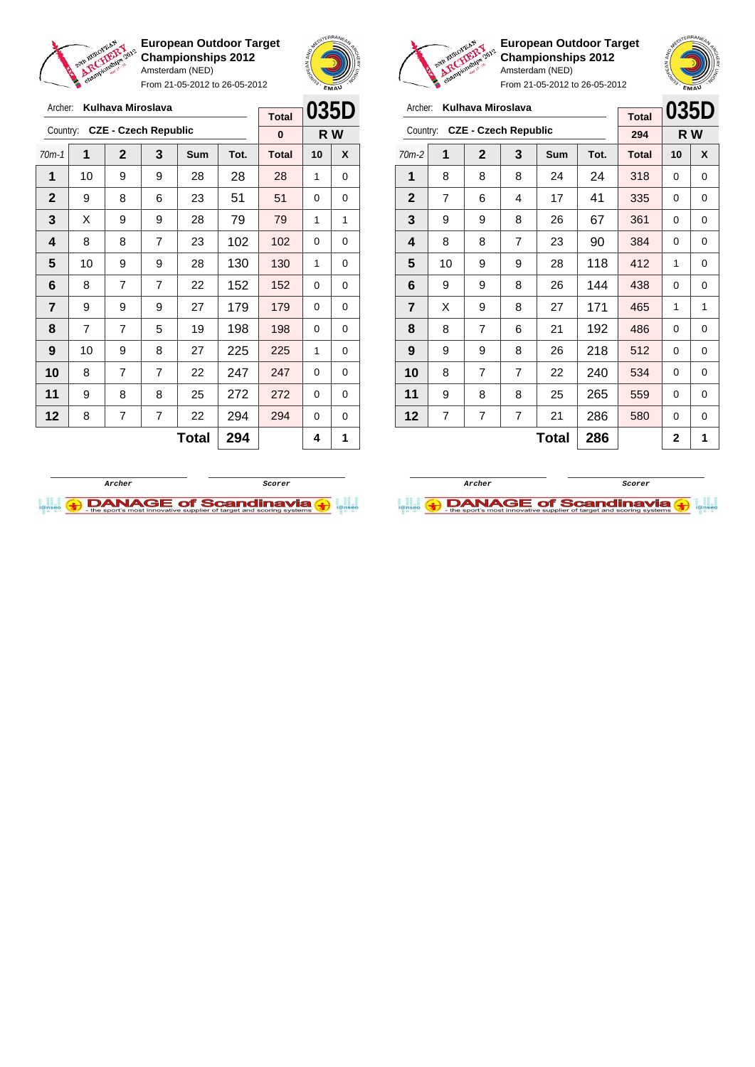

From 21-05-2012 to 26-05-2012





**European Outdoor Target Championships 2012** Amsterdam (NED)

**035D R W**

|              | Kulhava Miroslava<br>Archer: |                |                             |              |      |              | 035D<br>Kulhava Miroslava<br>Archer: |                  |                |                |                             |                |              |      |              |                | <b>0351</b> |  |
|--------------|------------------------------|----------------|-----------------------------|--------------|------|--------------|--------------------------------------|------------------|----------------|----------------|-----------------------------|----------------|--------------|------|--------------|----------------|-------------|--|
|              |                              |                |                             |              |      | <b>Total</b> |                                      |                  |                |                |                             |                |              |      | <b>Total</b> |                |             |  |
| Country:     |                              |                | <b>CZE - Czech Republic</b> |              |      | $\bf{0}$     |                                      | R W              | Country:       |                | <b>CZE - Czech Republic</b> |                |              |      | 294          |                | R W         |  |
| $70m-1$      | 1                            | $\mathbf{2}$   | 3                           | <b>Sum</b>   | Tot. | <b>Total</b> | 10                                   | $\boldsymbol{x}$ | $70m-2$        | 1              | $\mathbf{2}$                | 3              | <b>Sum</b>   | Tot. | <b>Total</b> | 10             | X           |  |
| 1            | 10                           | 9              | 9                           | 28           | 28   | 28           | 1                                    | 0                | 1              | 8              | 8                           | 8              | 24           | 24   | 318          | $\Omega$       | 0           |  |
| $\mathbf{2}$ | 9                            | 8              | 6                           | 23           | 51   | 51           | $\Omega$                             | 0                | $\overline{2}$ | $\overline{7}$ | 6                           | 4              | 17           | 41   | 335          | 0              | 0           |  |
| 3            | X                            | 9              | 9                           | 28           | 79   | 79           | 1                                    | 1                | 3              | 9              | 9                           | 8              | 26           | 67   | 361          | 0              | 0           |  |
| 4            | 8                            | 8              | $\overline{7}$              | 23           | 102  | 102          | $\Omega$                             | $\Omega$         | 4              | 8              | 8                           | $\overline{7}$ | 23           | 90   | 384          | $\Omega$       | 0           |  |
| 5            | 10                           | 9              | 9                           | 28           | 130  | 130          | 1                                    | 0                | 5              | 10             | 9                           | 9              | 28           | 118  | 412          | 1              | 0           |  |
| 6            | 8                            | $\overline{7}$ | $\overline{7}$              | 22           | 152  | 152          | $\Omega$                             | 0                | 6              | 9              | 9                           | 8              | 26           | 144  | 438          | 0              | 0           |  |
| 7            | 9                            | 9              | 9                           | 27           | 179  | 179          | $\Omega$                             | 0                | $\overline{7}$ | X              | 9                           | 8              | 27           | 171  | 465          | 1              | 1           |  |
| 8            | 7                            | $\overline{7}$ | 5                           | 19           | 198  | 198          | $\Omega$                             | 0                | 8              | 8              | $\overline{7}$              | 6              | 21           | 192  | 486          | 0              | 0           |  |
| 9            | 10                           | 9              | 8                           | 27           | 225  | 225          | 1                                    | $\Omega$         | 9              | 9              | 9                           | 8              | 26           | 218  | 512          | 0              | 0           |  |
| 10           | 8                            | $\overline{7}$ | $\overline{7}$              | 22           | 247  | 247          | $\Omega$                             | $\Omega$         | 10             | 8              | 7                           | $\overline{7}$ | 22           | 240  | 534          | $\Omega$       | 0           |  |
| 11           | 9                            | 8              | 8                           | 25           | 272  | 272          | $\Omega$                             | 0                | 11             | 9              | 8                           | 8              | 25           | 265  | 559          | 0              | 0           |  |
| 12           | 8                            | 7              | 7                           | 22           | 294  | 294          | $\Omega$                             | 0                | 12             | $\overline{7}$ | 7                           | 7              | 21           | 286  | 580          | 0              | 0           |  |
|              |                              |                |                             | <b>Total</b> | 294  |              | 4                                    | 1                |                |                |                             |                | <b>Total</b> | 286  |              | $\overline{2}$ |             |  |



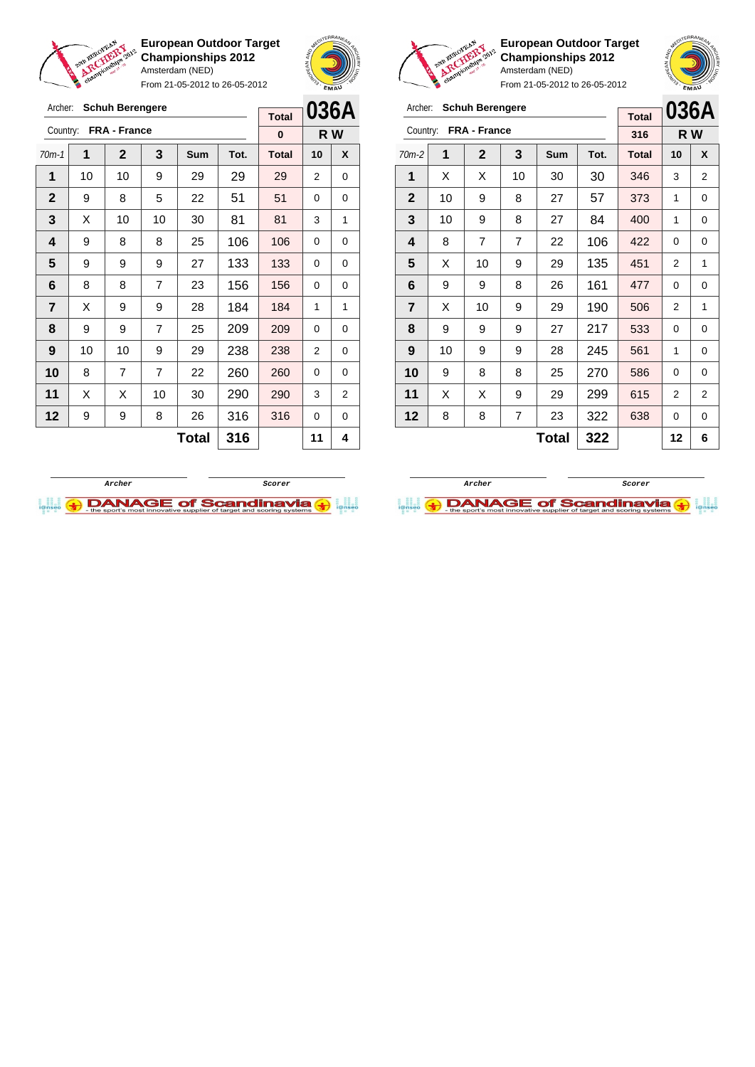

From 21-05-2012 to 26-05-2012



**European Outdoor Target Championships 2012** Amsterdam (NED)

**036A R W**

|                | <b>Schuh Berengere</b><br>Archer: |                       |                         |              |      |              |                | <b>Schuh Berengere</b><br>Archer: |  |                         |    |                       |                |              |      |              |                |                |
|----------------|-----------------------------------|-----------------------|-------------------------|--------------|------|--------------|----------------|-----------------------------------|--|-------------------------|----|-----------------------|----------------|--------------|------|--------------|----------------|----------------|
|                |                                   |                       |                         |              |      | <b>Total</b> |                | 036A                              |  |                         |    |                       |                |              |      | <b>Total</b> | 036/           |                |
|                |                                   | Country: FRA - France |                         |              |      | $\bf{0}$     |                | R W                               |  |                         |    | Country: FRA - France |                |              |      | 316          |                | R W            |
| $70m-1$        | 1                                 | $\mathbf{2}$          | $\overline{\mathbf{3}}$ | <b>Sum</b>   | Tot. | <b>Total</b> | 10             | X                                 |  | $70m-2$                 | 1  | $\mathbf{2}$          | 3              | <b>Sum</b>   | Tot. | <b>Total</b> | 10             | X              |
| 1              | 10 <sup>1</sup>                   | 10                    | 9                       | 29           | 29   | 29           | $\overline{2}$ | 0                                 |  | 1                       | X  | X                     | 10             | 30           | 30   | 346          | 3              | 2              |
| $\mathbf{2}$   | 9                                 | 8                     | 5                       | 22           | 51   | 51           | $\Omega$       | $\mathbf 0$                       |  | $\overline{2}$          | 10 | 9                     | 8              | 27           | 57   | 373          | 1              | 0              |
| 3              | X                                 | 10                    | 10                      | 30           | 81   | 81           | 3              | 1                                 |  | 3                       | 10 | 9                     | 8              | 27           | 84   | 400          | 1              | 0              |
| 4              | 9                                 | 8                     | 8                       | 25           | 106  | 106          | $\Omega$       | 0                                 |  | $\overline{\mathbf{4}}$ | 8  | 7                     | $\overline{7}$ | 22           | 106  | 422          | 0              | 0              |
| 5              | 9                                 | 9                     | 9                       | 27           | 133  | 133          | $\Omega$       | $\mathbf 0$                       |  | 5                       | X  | 10                    | 9              | 29           | 135  | 451          | $\overline{2}$ |                |
| 6              | 8                                 | 8                     | $\overline{7}$          | 23           | 156  | 156          | $\Omega$       | 0                                 |  | 6                       | 9  | 9                     | 8              | 26           | 161  | 477          | 0              | 0              |
| $\overline{7}$ | X                                 | 9                     | 9                       | 28           | 184  | 184          | 1              | 1                                 |  | $\overline{7}$          | X  | 10                    | 9              | 29           | 190  | 506          | $\overline{2}$ |                |
| 8              | 9                                 | 9                     | $\overline{7}$          | 25           | 209  | 209          | $\Omega$       | $\mathbf 0$                       |  | 8                       | 9  | 9                     | 9              | 27           | 217  | 533          | 0              | 0              |
| 9              | 10 <sup>1</sup>                   | 10                    | 9                       | 29           | 238  | 238          | 2              | 0                                 |  | 9                       | 10 | 9                     | 9              | 28           | 245  | 561          | 1              | 0              |
| 10             | 8                                 | $\overline{7}$        | $\overline{7}$          | 22           | 260  | 260          | $\Omega$       | 0                                 |  | 10                      | 9  | 8                     | 8              | 25           | 270  | 586          | 0              | 0              |
| 11             | X                                 | X                     | 10                      | 30           | 290  | 290          | 3              | $\overline{2}$                    |  | 11                      | X  | X                     | 9              | 29           | 299  | 615          | 2              | $\overline{a}$ |
| 12             | 9                                 | 9                     | 8                       | 26           | 316  | 316          | $\mathbf 0$    | 0                                 |  | 12                      | 8  | 8                     | 7              | 23           | 322  | 638          | 0              | 0              |
|                |                                   |                       |                         | <b>Total</b> | 316  |              | 11             | 4                                 |  |                         |    |                       |                | <b>Total</b> | 322  |              | 12             | 6              |



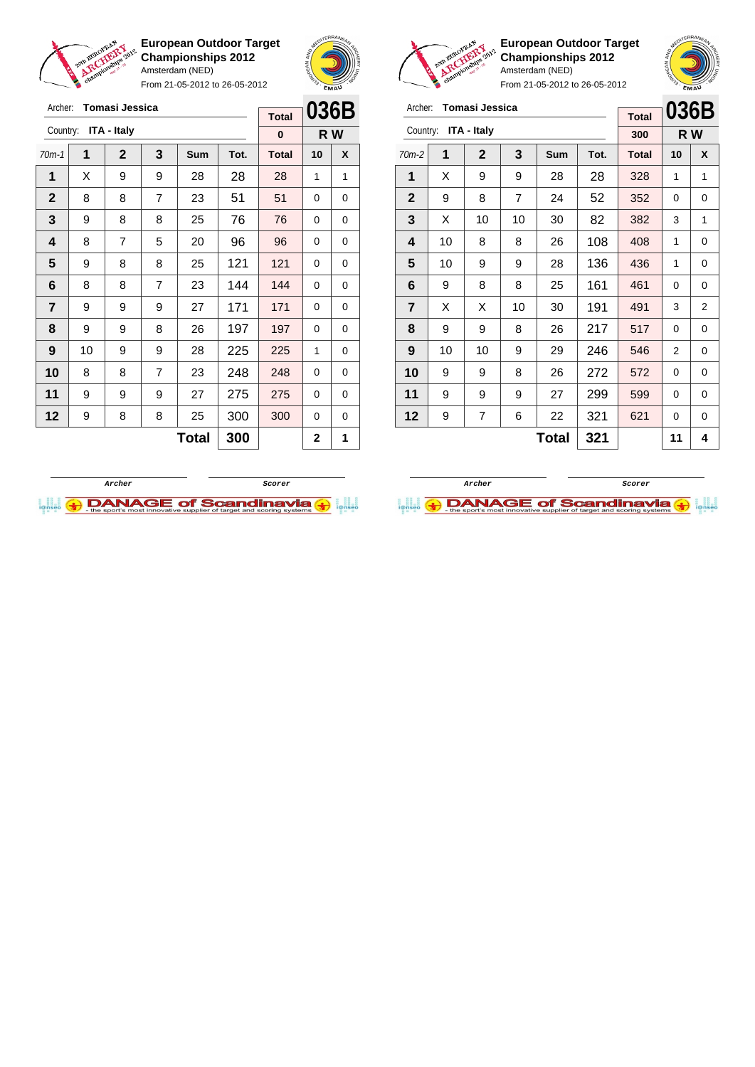

Archer: **Tomasi Jessica**

Country: **ITA - Italy**

**European Outdoor Target Championships 2012** Amsterdam (NED)

From 21-05-2012 to 26-05-2012

70m-1 **1 2 3 Sum Tot. Total 10 X**  $\mid$  X  $\mid$  9  $\mid$  9  $\mid$  28  $\mid$  28  $\mid$  28  $\mid$  1  $\mid$  1  $\begin{array}{|c|c|c|c|c|c|c|c|c|}\hline \textbf{2} & \textbf{8} & \textbf{8} & \textbf{7} & \textbf{23} & \textbf{51} & \textbf{51} & \textbf{0} & \textbf{0} \ \hline \end{array}$  9 8 8 25 76 76 0 0 | 8 | 7 | 5 | 20 | 96 | 96 | 0 | 0  $\begin{array}{|c|c|c|c|c|c|} 9 & 8 & 8 & 25 & 121 & 121 & 0 & 0 \end{array}$  | 8 | 8 | 7 | 23 | 144 | 144 | 0 | 0 | 9 | 9 | 9 | 27 | 171 | 171 | 0 | 0 | 9 | 9 | 8 | 26 | 197 | 197 | 0 | 0 | 10 | 9 | 9 | 28 | 225 | 225 | 1 | 0 8 8 7 23 248 248 0 0 | 9 | 9 | 9 | 27 | 275 | 275 | 0 | 0 | 9 | 8 | 8 | 25 | 300 | 300 | 0 | 0



**R W**

**Total 0**



| Archer:                 |    | Tomasi Jessica |                | <b>Total</b> | 036B |              |    |                |
|-------------------------|----|----------------|----------------|--------------|------|--------------|----|----------------|
| Country:                |    | ITA - Italy    |                |              |      | 300          |    | R W            |
| $70m-2$                 | 1  | $\mathbf{2}$   | 3              | Sum          | Tot. | <b>Total</b> | 10 | X              |
| 1                       | X  | 9              | 9              | 28           | 28   | 328          | 1  | 1              |
| $\mathbf{2}$            | 9  | 8              | $\overline{7}$ | 24           | 52   | 352          | 0  | 0              |
| 3                       | X  | 10             | 10             | 30           | 82   | 382          | 3  | 1              |
| 4                       | 10 | 8              | 8              | 26           | 108  | 408          | 1  | 0              |
| 5                       | 10 | 9              | 9              | 28           | 136  | 436          | 1  | 0              |
| 6                       | 9  | 8              | 8              | 25           | 161  | 461          | 0  | 0              |
| $\overline{\mathbf{r}}$ | X  | X              | 10             | 30           | 191  | 491          | 3  | $\overline{2}$ |
| 8                       | 9  | 9              | 8              | 26           | 217  | 517          | 0  | 0              |
| 9                       | 10 | 10             | 9              | 29           | 246  | 546          | 2  | 0              |
| 10                      | 9  | 9              | 8              | 26           | 272  | 572          | 0  | 0              |
| 11                      | 9  | 9              | 9              | 27           | 299  | 599          | 0  | 0              |
| 12                      | 9  | 621            | 0              | 0            |      |              |    |                |
|                         |    |                |                | 11           | 4    |              |    |                |

**European Outdoor Target Championships 2012**

From 21-05-2012 to 26-05-2012

Amsterdam (NED)



 $Total | 300 | 2 | 1$ 

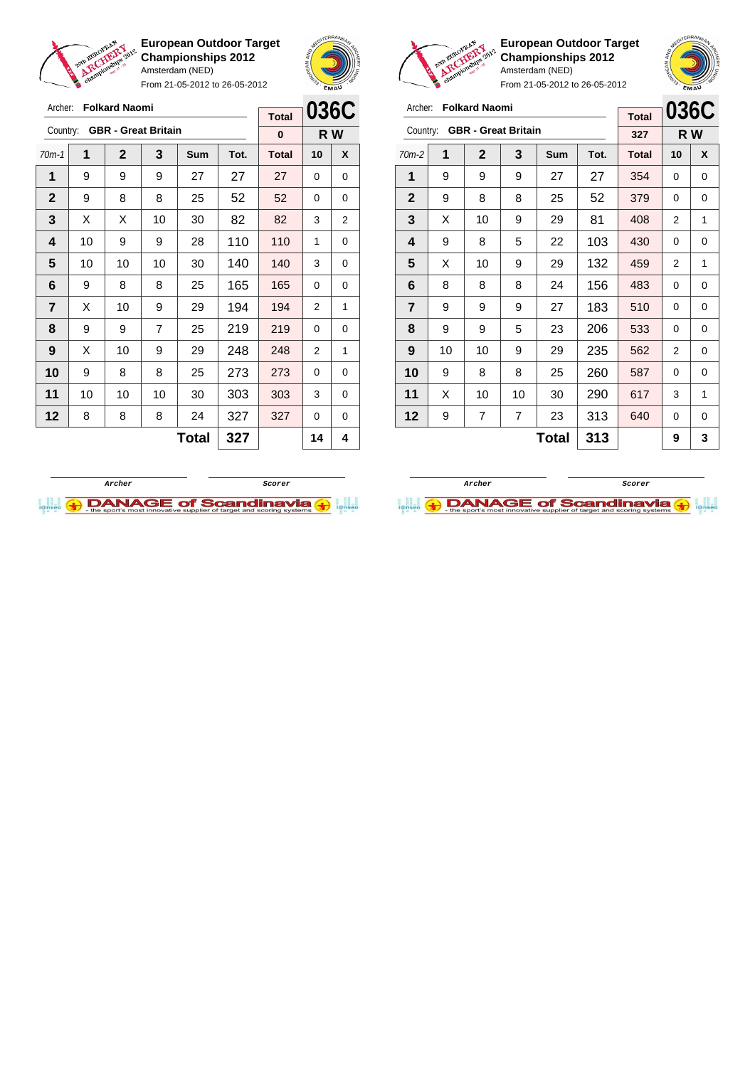

Archer: **Folkard Naomi**

Country: **GBR - Great Britain**

**European Outdoor Target Championships 2012** Amsterdam (NED)

From 21-05-2012 to 26-05-2012

70m-1 **1 2 3 Sum Tot. Total 10 X 1** | 9 | 9 | 9 | 27 | 27 | 27 | 0 | 0 **2** 9 8 8 25 52 52 0 0



**R W**

**Total 0**



**European Outdoor Target Championships 2012** Amsterdam (NED)

| Archer:                 |    | <b>Folkard Naomi</b>       |                | <b>Total</b> | 036C |              |     |   |
|-------------------------|----|----------------------------|----------------|--------------|------|--------------|-----|---|
| Country:                |    | <b>GBR</b> - Great Britain |                |              |      | 327          | R W |   |
| 70m-2                   | 1  | $\mathbf{2}$               | 3              | Sum          | Tot. | <b>Total</b> | 10  | X |
| 1                       | 9  | 9                          | 9              | 27           | 27   | 354          | 0   | 0 |
| $\mathbf{2}$            | 9  | 8                          | 8              | 25           | 52   | 379          | 0   | 0 |
| 3                       | X  | 10                         | 81             | 408          | 2    | 1            |     |   |
| 4                       | 9  | 8                          | 103            | 430          | 0    | 0            |     |   |
| 5                       | X  | 10                         | 9              | 29           | 132  | 459          | 2   | 1 |
| 6                       | 8  | 8                          | 8              | 24           | 156  | 483          | 0   | 0 |
| $\overline{\mathbf{r}}$ | 9  | 9                          | 9              | 27           | 183  | 510          | 0   | 0 |
| 8                       | 9  | 9                          | 5              | 23           | 206  | 533          | 0   | 0 |
| 9                       | 10 | 10                         | 9              | 29           | 235  | 562          | 2   | 0 |
| 10                      | 9  | 8                          | 8              | 25           | 260  | 587          | 0   | 0 |
| 11                      | X  | 10                         | 10             | 30           | 290  | 617          | 3   | 1 |
| 12                      | 9  | 7                          | $\overline{7}$ | 23           | 313  | 640          | 0   | 0 |
|                         |    |                            | 9              | 3            |      |              |     |   |





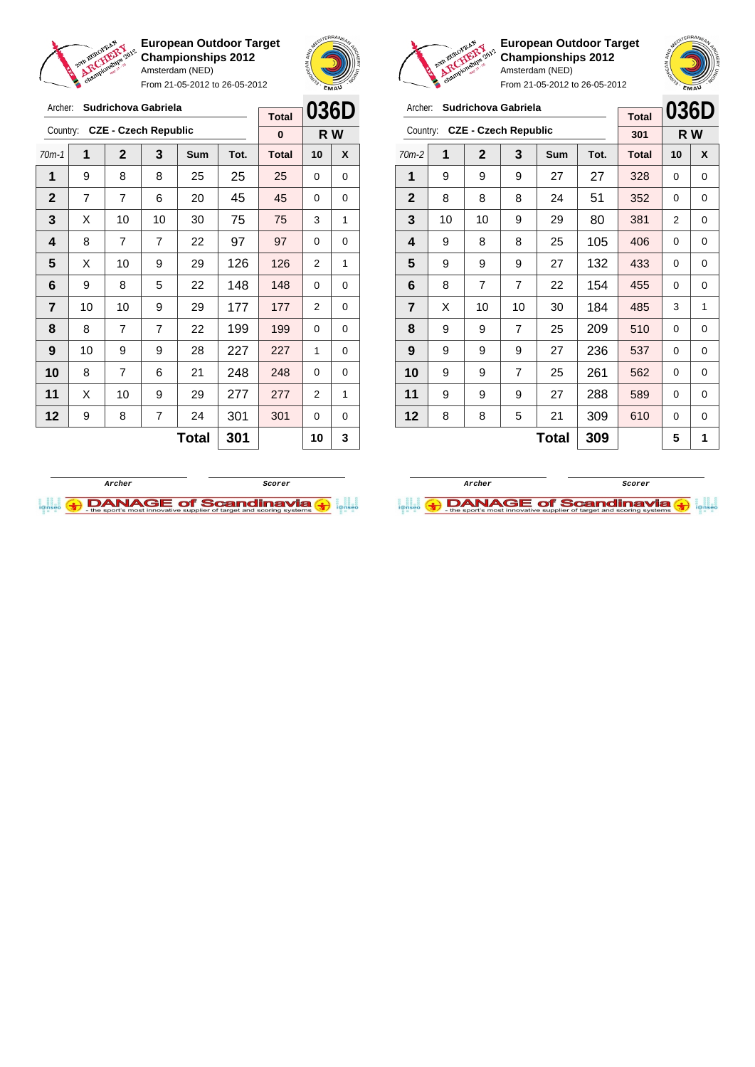

From 21-05-2012 to 26-05-2012





**European Outdoor Target Championships 2012** Amsterdam (NED)



From 21-05-2012 to 26-05-2012

| Archer:        |    | Sudrichova Gabriela         |                | <b>Total</b> | 036D |              |    |     |
|----------------|----|-----------------------------|----------------|--------------|------|--------------|----|-----|
| Country:       |    | <b>CZE - Czech Republic</b> |                |              |      | 301          |    | R W |
| $70m-2$        | 1  | $\mathbf{2}$                | 3              | Sum          | Tot. | <b>Total</b> | 10 | X   |
| 1              | 9  | 9                           | 9              | 27           | 27   | 328          | 0  | 0   |
| $\mathbf{2}$   | 8  | 8                           | 8              | 24           | 51   | 352          | 0  | 0   |
| 3              | 10 | 10                          | 9              | 29           | 80   | 381          | 2  | 0   |
| 4              | 9  | 8                           | 8              | 25           | 105  | 406          | 0  | 0   |
| 5              | 9  | 9                           | 9              | 27           | 132  | 433          | 0  | 0   |
| 6              | 8  | 7                           | 7              | 22           | 154  | 455          | 0  | 0   |
| $\overline{7}$ | X  | 10                          | 10             | 30           | 184  | 485          | 3  | 1   |
| 8              | 9  | 9                           | $\overline{7}$ | 25           | 209  | 510          | 0  | 0   |
| 9              | 9  | 9                           | 9              | 27           | 236  | 537          | 0  | 0   |
| 10             | 9  | 9                           | 7              | 25           | 261  | 562          | 0  | 0   |
| 11             | 9  | 9                           | 9              | 27           | 288  | 589          | 0  | 0   |
| 12             | 8  | 8                           | 309            | 610          | 0    | 0            |    |     |
|                |    |                             |                | 5            | 1    |              |    |     |

**Archer Scorer**

 $\bigoplus$  DANAGE of Scandinavia  $\bigoplus$ 

|     | 036D | <b>Total</b> | Sudrichova Gabriela<br>Archer: |                                     |                             |                |    |              |  |  |  |  |
|-----|------|--------------|--------------------------------|-------------------------------------|-----------------------------|----------------|----|--------------|--|--|--|--|
| R W |      | $\bf{0}$     |                                |                                     | <b>CZE - Czech Republic</b> |                |    | Country:     |  |  |  |  |
| X   | 10   | <b>Total</b> | Tot.                           | Sum                                 | 3                           | $\mathbf{2}$   | 1  | $70m-1$      |  |  |  |  |
| 0   | 0    | 25           | 25                             | 25                                  | 8                           | 8              | 9  | 1            |  |  |  |  |
| 0   | 0    | 45           | 45                             | 20                                  | 6                           | $\overline{7}$ | 7  | $\mathbf{2}$ |  |  |  |  |
| 1   | 3    | 75           | 75                             | 30                                  | 10                          | 10             | X  | 3            |  |  |  |  |
| 0   | 0    | 97           | 97                             | 4<br>8<br>22<br>7<br>$\overline{7}$ |                             |                |    |              |  |  |  |  |
| 1   | 2    | 126          | 126                            | 29                                  | 9                           | 10             | X  | 5            |  |  |  |  |
| 0   | 0    | 148          | 148                            | 22                                  | 5                           | 8              | 9  | 6            |  |  |  |  |
| 0   | 2    | 177          | 177                            | 29                                  | 9                           | 10             | 10 | 7            |  |  |  |  |
| 0   | 0    | 199          | 199                            | 22                                  | 7                           | $\overline{7}$ | 8  | 8            |  |  |  |  |
| 0   | 1    | 227          | 227                            | 28                                  | 9                           | 9              | 10 | 9            |  |  |  |  |
| 0   | 0    | 248          | 248                            | 21                                  | 6                           | 7              | 8  | 10           |  |  |  |  |
| 1   | 2    | 277          | 277                            | 29                                  | 9                           | 10             | X  | 11           |  |  |  |  |
| 0   | 0    | 301          | 301                            | 12<br>7<br>9<br>8<br>24             |                             |                |    |              |  |  |  |  |
| 3   | 10   |              | 301                            | <b>Total</b>                        |                             |                |    |              |  |  |  |  |
|     |      |              |                                |                                     |                             |                |    |              |  |  |  |  |

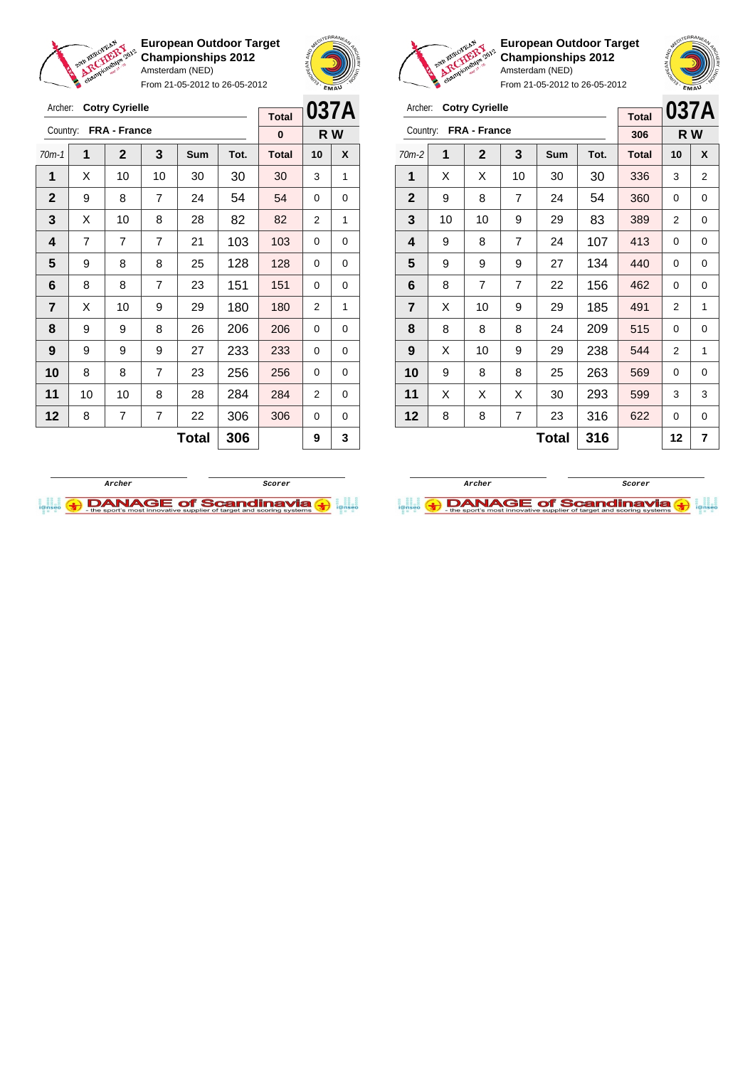

From 21-05-2012 to 26-05-2012





**European Outdoor Target Championships 2012** Amsterdam (NED)



| Archer:                 |    | <b>Cotry Cyrielle</b> | <b>Total</b> |     | 037A |              |    |     |
|-------------------------|----|-----------------------|--------------|-----|------|--------------|----|-----|
| Country:                |    | FRA - France          |              |     |      | 306          |    | R W |
| $70m-2$                 | 1  | $\mathbf{2}$          | 3            | Sum | Tot. | <b>Total</b> | 10 | X   |
| 1                       | X  | Х                     | 10           | 30  | 30   | 336          | 3  | 2   |
| $\mathbf{2}$            | 9  | 8                     | 7            | 24  | 54   | 360          | 0  | 0   |
| 3                       | 10 | 10                    | 83           | 389 | 2    | 0            |    |     |
| 4                       | 9  | 8                     | 107          | 413 | 0    | 0            |    |     |
| 5                       | 9  | 9                     | 9            | 27  | 134  | 440          | 0  | 0   |
| 6                       | 8  | 7                     | 7            | 22  | 156  | 462          | 0  | 0   |
| $\overline{\mathbf{r}}$ | X  | 10                    | 9            | 29  | 185  | 491          | 2  | 1   |
| 8                       | 8  | 8                     | 8            | 24  | 209  | 515          | 0  | 0   |
| 9                       | X  | 10                    | 9            | 29  | 238  | 544          | 2  | 1   |
| 10                      | 9  | 8                     | 8            | 25  | 263  | 569          | 0  | 0   |
| 11                      | X  | X                     | X            | 30  | 293  | 599          | 3  | 3   |
| 12                      | 8  | 8                     | 7            | 23  | 316  | 622          | 0  | 0   |
|                         |    |                       | 12           | 7   |      |              |    |     |





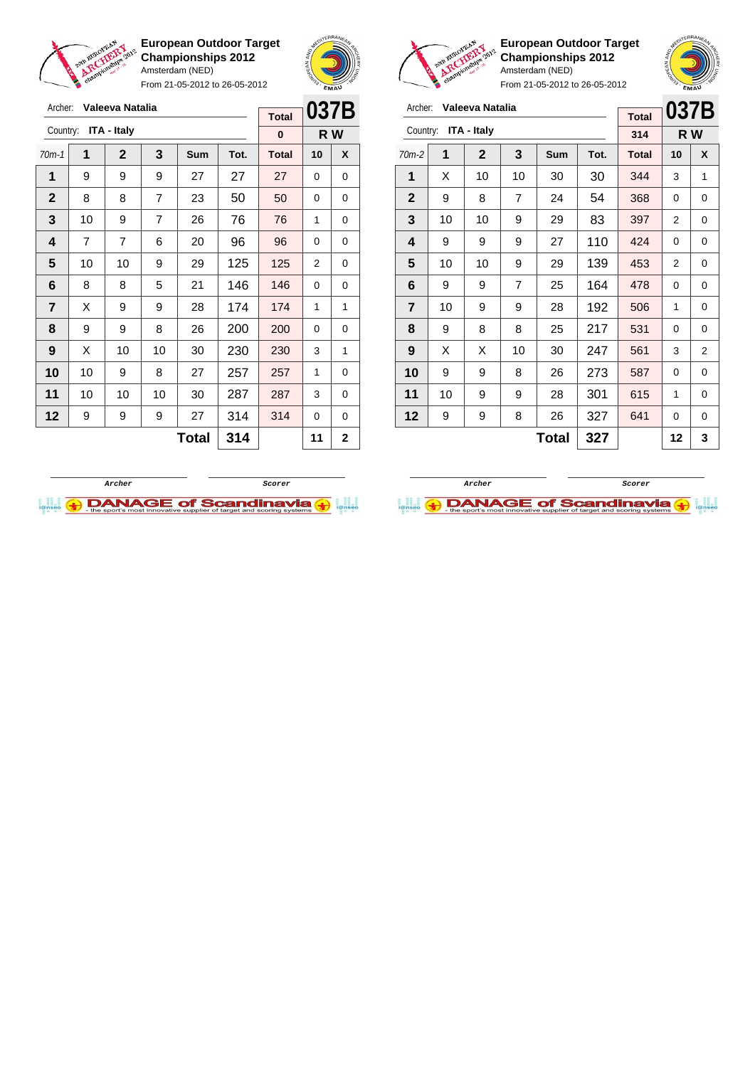

From 21-05-2012 to 26-05-2012





| Archer:                 |    | Valeeva Natalia | <b>Total</b> | 037B |      |              |                |   |
|-------------------------|----|-----------------|--------------|------|------|--------------|----------------|---|
| Country:                |    | ITA - Italy     |              | 314  |      | R W          |                |   |
| $70m-2$                 | 1  | 2               | 3            | Sum  | Tot. | <b>Total</b> | 10             | X |
| 1                       | X  | 10              | 10           | 30   | 30   | 344          | 3              | 1 |
| $\mathbf{2}$            | 9  | 8               | 7            | 24   | 54   | 368          | 0              | 0 |
| 3                       | 10 | 10              | 83           | 397  | 2    | 0            |                |   |
| 4                       | 9  | 9               | 110          | 424  | 0    | 0            |                |   |
| 5                       | 10 | 10              | 9            | 29   | 139  | 453          | $\overline{2}$ | 0 |
| 6                       | 9  | 9               | 7            | 25   | 164  | 478          | 0              | 0 |
| $\overline{\mathbf{r}}$ | 10 | 9               | 9            | 28   | 192  | 506          | 1              | 0 |
| 8                       | 9  | 8               | 8            | 25   | 217  | 531          | 0              | 0 |
| 9                       | X  | X               | 10           | 30   | 247  | 561          | 3              | 2 |
| 10                      | 9  | 9               | 8            | 26   | 273  | 587          | 0              | 0 |
| 11                      | 10 | 9               | 9            | 28   | 301  | 615          | 1              | 0 |
| 12                      | 9  | 327             | 641          | 0    | 0    |              |                |   |
|                         |    |                 | 12           | 3    |      |              |                |   |

**European Outdoor Target Championships 2012** Amsterdam (NED)

| Archer:      |    | Valeeva Natalia    |    | 037B       |      |              |          |              |
|--------------|----|--------------------|----|------------|------|--------------|----------|--------------|
| Country:     |    | <b>ITA - Italy</b> |    |            |      | <b>Total</b> |          |              |
|              |    |                    |    |            |      | 0            |          | R W          |
| $70m-1$      | 1  | $\mathbf{2}$       | 3  | <b>Sum</b> | Tot. | <b>Total</b> | 10       | X            |
| 1            | 9  | 9                  | 9  | 27         | 27   | 27           | $\Omega$ | 0            |
| $\mathbf{2}$ | 8  | 8                  | 7  | 23         | 50   | 50           | 0        | 0            |
| 3            | 10 | 9                  | 7  | 26         | 76   | 76           | 1        | 0            |
| 4            | 7  | $\overline{7}$     | 96 | 96         | 0    | 0            |          |              |
| 5            | 10 | 10                 | 9  | 29         | 125  | 125          | 2        | 0            |
| 6            | 8  | 8                  | 5  | 21         | 146  | 146          | 0        | 0            |
| 7            | Х  | 9                  | 9  | 28         | 174  | 174          | 1        | 1            |
| 8            | 9  | 9                  | 8  | 26         | 200  | 200          | 0        | 0            |
| 9            | X  | 10                 | 10 | 30         | 230  | 230          | 3        | 1            |
| 10           | 10 | 9                  | 8  | 27         | 257  | 257          | 1        | 0            |
| 11           | 10 | 10                 | 10 | 30         | 287  | 287          | 3        | 0            |
| 12           | 9  | 9                  | 9  | 27         | 314  | 314          | 0        | 0            |
|              |    |                    |    | Total      | 314  |              | 11       | $\mathbf{2}$ |



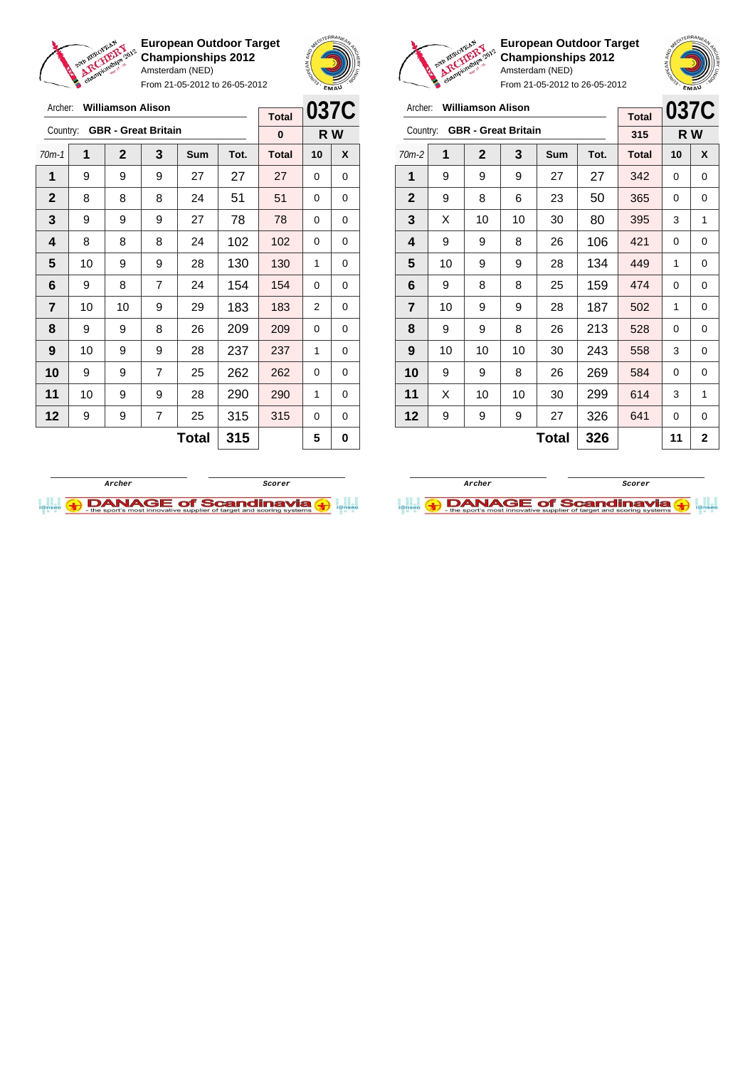

From 21-05-2012 to 26-05-2012





**European Outdoor Target Championships 2012** Amsterdam (NED)

| Archer:                 |    | <b>Williamson Alison</b> |                            | <b>Total</b> |      | 037C         |     |   |
|-------------------------|----|--------------------------|----------------------------|--------------|------|--------------|-----|---|
| Country:                |    |                          | <b>GBR</b> - Great Britain |              |      | 315          | R W |   |
| $70m-2$                 | 1  | $\mathbf{2}$             | 3                          | Sum          | Tot. | <b>Total</b> | 10  | X |
| 1                       | 9  | 9                        | 9                          | 27           | 27   | 342          | 0   | 0 |
| $\mathbf{2}$            | 9  | 8                        | 6                          | 23           | 50   | 365          | 0   | 0 |
| 3                       | X  | 10                       | 10                         | 30           | 80   | 395          | 3   | 1 |
| 4                       | 9  | 9                        | 106                        | 421          | 0    | 0            |     |   |
| 5                       | 10 | 9                        | 9                          | 28           | 134  | 449          | 1   | 0 |
| 6                       | 9  | 8                        | 8                          | 25           | 159  | 474          | 0   | 0 |
| $\overline{\mathbf{r}}$ | 10 | 9                        | 9                          | 28           | 187  | 502          | 1   | 0 |
| 8                       | 9  | 9                        | 8                          | 26           | 213  | 528          | 0   | 0 |
| 9                       | 10 | 10                       | 10                         | 30           | 243  | 558          | 3   | 0 |
| 10                      | 9  | 9                        | 8                          | 26           | 269  | 584          | 0   | 0 |
| 11                      | X  | 10                       | 10                         | 30           | 299  | 614          | 3   | 1 |
| 12                      | 9  | 9                        | 9                          | 27           | 326  | 641          | 0   | 0 |
|                         |    |                          |                            | 11           | 2    |              |     |   |

| Archer:        |    | <b>Williamson Alison</b>   |                |              | 037C |                          |    |     |
|----------------|----|----------------------------|----------------|--------------|------|--------------------------|----|-----|
| Country:       |    | <b>GBR</b> - Great Britain |                |              |      | <b>Total</b><br>$\bf{0}$ |    | R W |
|                |    |                            |                |              |      |                          |    |     |
| $70m-1$        | 1  | $\mathbf{2}$               | 3              | Sum          | Tot. | <b>Total</b>             | 10 | X   |
| 1              | 9  | 9                          | 9              | 27           | 27   | 27                       | 0  | 0   |
| $\mathbf{2}$   | 8  | 8                          | 8              | 24           | 51   | 51                       | 0  | 0   |
| 3              | 9  | 9                          | 9              | 27           | 78   | 78                       | 0  | 0   |
| 4              | 8  | 8                          | 102            | 102          | 0    | 0                        |    |     |
| 5              | 10 | 9                          | 9              | 28           | 130  | 130                      | 1  | 0   |
| 6              | 9  | 8                          | 7              | 24           | 154  | 154                      | 0  | 0   |
| $\overline{7}$ | 10 | 10                         | 9              | 29           | 183  | 183                      | 2  | 0   |
| 8              | 9  | 9                          | 8              | 26           | 209  | 209                      | 0  | 0   |
| 9              | 10 | 9                          | 9              | 28           | 237  | 237                      | 1  | 0   |
| 10             | 9  | 9                          | $\overline{7}$ | 25           | 262  | 262                      | 0  | 0   |
| 11             | 10 | 9                          | 9              | 28           | 290  | 290                      | 1  | 0   |
| 12             | 9  | 9                          | 7              | 25           | 315  | 315                      | 0  | 0   |
|                |    |                            |                | <b>Total</b> | 315  |                          | 5  | 0   |
|                |    |                            |                |              |      |                          |    |     |



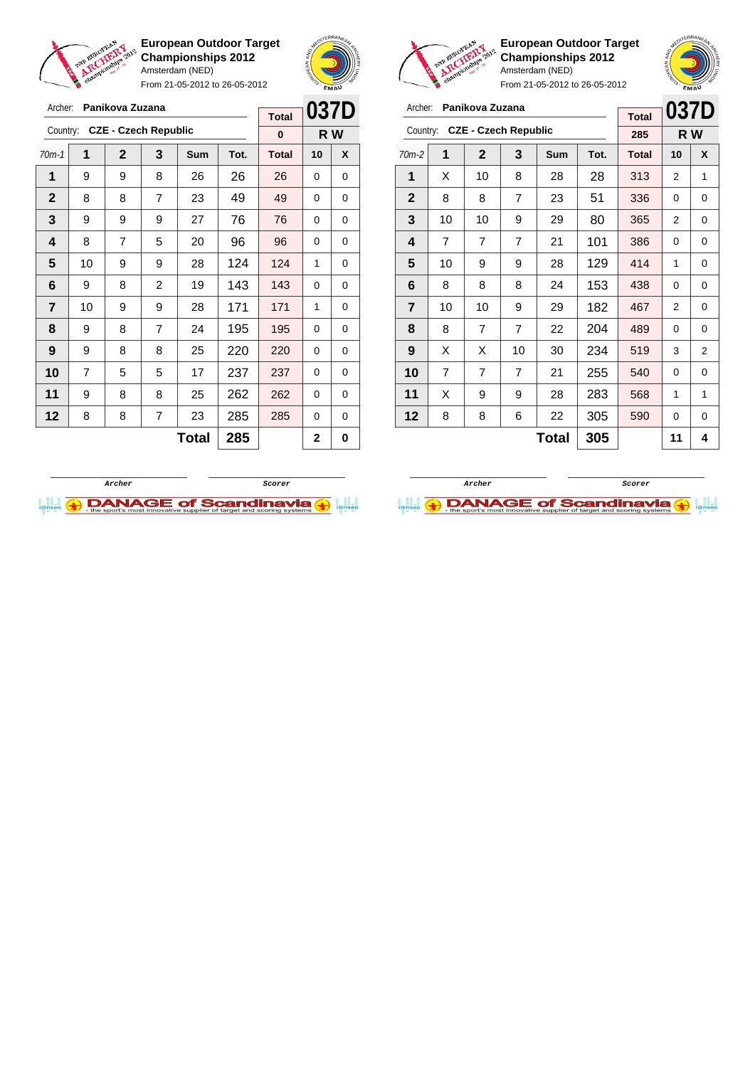

From 21-05-2012 to 26-05-2012





**European Outdoor Target Championships 2012** Amsterdam (NED)

**037D R W**

| Panikova Zuzana<br>Archer:    |                |                |                |              |      |              |                               | 037D<br>Panikova Zuzana<br>Archer: |                |                |                |                |              |      |              | 037            |                |
|-------------------------------|----------------|----------------|----------------|--------------|------|--------------|-------------------------------|------------------------------------|----------------|----------------|----------------|----------------|--------------|------|--------------|----------------|----------------|
|                               |                |                |                |              |      | <b>Total</b> |                               |                                    |                |                |                |                |              |      | <b>Total</b> |                |                |
| Country: CZE - Czech Republic |                |                |                | $\bf{0}$     | R W  |              | Country: CZE - Czech Republic |                                    |                |                |                | 285            | R W          |      |              |                |                |
| $70m-1$                       | 1              | $\mathbf{2}$   | $\mathbf{3}$   | <b>Sum</b>   | Tot. | <b>Total</b> | 10                            | X                                  | $70m-2$        | 1              | $\mathbf{2}$   | 3              | <b>Sum</b>   | Tot. | <b>Total</b> | 10             | X              |
| 1                             | 9              | 9              | 8              | 26           | 26   | 26           | $\Omega$                      | 0                                  | 1              | X              | 10             | 8              | 28           | 28   | 313          | $\overline{2}$ |                |
| $\mathbf{2}$                  | 8              | 8              | $\overline{7}$ | 23           | 49   | 49           | $\Omega$                      | 0                                  | $\mathbf{2}$   | 8              | 8              | $\overline{7}$ | 23           | 51   | 336          | 0              | 0              |
| 3                             | 9              | 9              | 9              | 27           | 76   | 76           | 0                             | 0                                  | 3              | 10             | 10             | 9              | 29           | 80   | 365          | $\overline{2}$ | 0              |
| 4                             | 8              | $\overline{7}$ | 5              | 20           | 96   | 96           | $\Omega$                      | $\Omega$                           | 4              | $\overline{7}$ | $\overline{7}$ | $\overline{7}$ | 21           | 101  | 386          | $\Omega$       | 0              |
| 5                             | 10             | 9              | 9              | 28           | 124  | 124          | 1                             | $\Omega$                           | 5              | 10             | 9              | 9              | 28           | 129  | 414          | 1              | 0              |
| 6                             | 9              | 8              | $\overline{2}$ | 19           | 143  | 143          | $\Omega$                      | 0                                  | 6              | 8              | 8              | 8              | 24           | 153  | 438          | 0              | 0              |
| $\overline{7}$                | 10             | 9              | 9              | 28           | 171  | 171          | 1                             | 0                                  | $\overline{7}$ | 10             | 10             | 9              | 29           | 182  | 467          | 2              | 0              |
| 8                             | 9              | 8              | $\overline{7}$ | 24           | 195  | 195          | $\Omega$                      | $\mathbf 0$                        | 8              | 8              | $\overline{7}$ | $\overline{7}$ | 22           | 204  | 489          | 0              | 0              |
| 9                             | 9              | 8              | 8              | 25           | 220  | 220          | $\Omega$                      | 0                                  | 9              | X              | X              | 10             | 30           | 234  | 519          | 3              | $\overline{a}$ |
| 10                            | $\overline{7}$ | 5              | 5              | 17           | 237  | 237          | $\Omega$                      | $\Omega$                           | 10             | $\overline{7}$ | 7              | $\overline{7}$ | 21           | 255  | 540          | $\Omega$       | 0              |
| 11                            | 9              | 8              | 8              | 25           | 262  | 262          | $\Omega$                      | 0                                  | 11             | X              | 9              | 9              | 28           | 283  | 568          | 1              |                |
| 12                            | 8              | 8              | $\overline{7}$ | 23           | 285  | 285          | $\Omega$                      | 0                                  | 12             | 8              | 8              | 6              | 22           | 305  | 590          | 0              | 0              |
|                               |                |                |                | <b>Total</b> | 285  |              | $\mathbf 2$                   | 0                                  |                |                |                |                | <b>Total</b> | 305  |              | 11             | 4              |



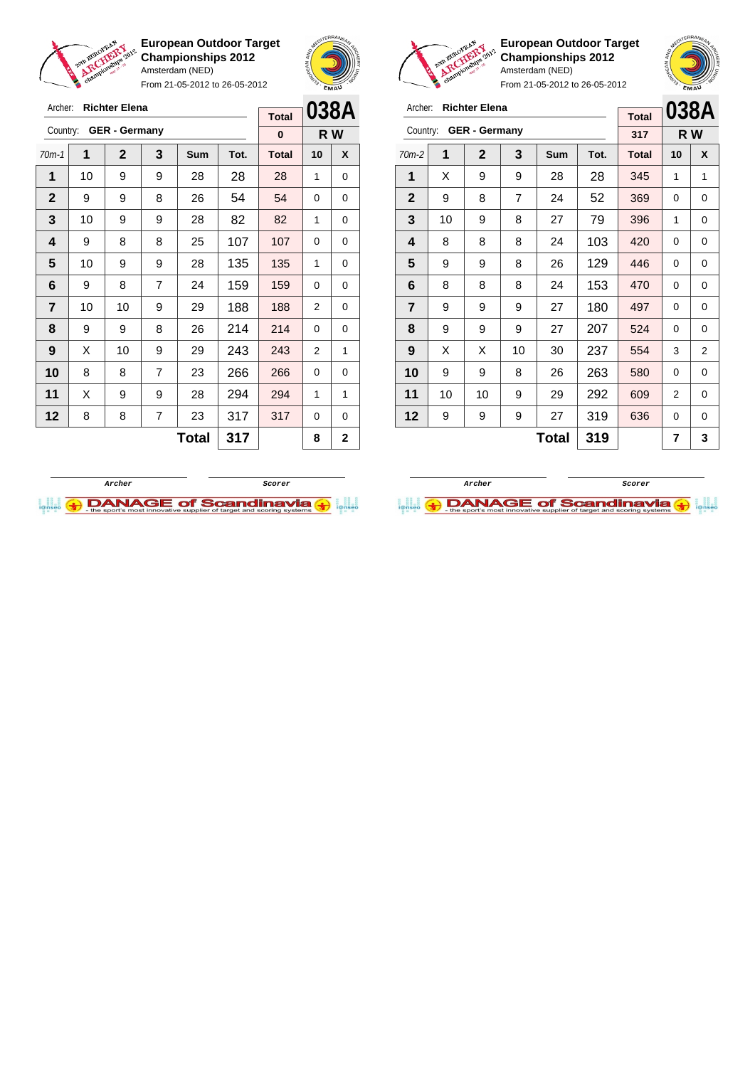

Archer: **Richter Elena**

**European Outdoor Target Championships 2012** Amsterdam (NED)

From 21-05-2012 to 26-05-2012

 $\Gamma$ 





**European Outdoor Target Championships 2012** Amsterdam (NED)

| Archer:        | <b>Richter Elena</b> | <b>Total</b> | 038A |     |      |              |                |                |
|----------------|----------------------|--------------|------|-----|------|--------------|----------------|----------------|
| Country:       | <b>GER - Germany</b> | 317          | R W  |     |      |              |                |                |
| $70m-2$        | 1                    | $\mathbf 2$  | 3    | Sum | Tot. | <b>Total</b> | 10             | X              |
| 1              | X                    | 9            | 9    | 28  | 28   | 345          | 1              | 1              |
| $\mathbf{2}$   | 9                    | 8            | 7    | 24  | 52   | 369          | 0              | 0              |
| 3              | 10                   | 9            | 8    | 27  | 79   | 396          | 1              | 0              |
| 4              | 8                    | 8            | 8    | 24  | 103  | 420          | 0              | 0              |
| 5              | 9                    | 9            | 8    | 26  | 129  | 446          | 0              | 0              |
| 6              | 8                    | 8            | 8    | 24  | 153  | 470          | 0              | 0              |
| $\overline{7}$ | 9                    | 9            | 9    | 27  | 180  | 497          | 0              | 0              |
| 8              | 9                    | 9            | 9    | 27  | 207  | 524          | 0              | 0              |
| 9              | X                    | X            | 10   | 30  | 237  | 554          | 3              | $\overline{2}$ |
| 10             | 9                    | 9            | 8    | 26  | 263  | 580          | 0              | 0              |
| 11             | 10                   | 10           | 9    | 29  | 292  | 609          | $\overline{2}$ | 0              |
| 12             | 9                    | 9            | 9    | 27  | 319  | 636          | 0              | 0              |
|                |                      |              | 7    | 3   |      |              |                |                |

|              |                      | <b>Total</b> |     | UJUM |      |              |                |   |
|--------------|----------------------|--------------|-----|------|------|--------------|----------------|---|
| Country:     | <b>GER - Germany</b> | 0            | R W |      |      |              |                |   |
| $70m-1$      | 1                    | $\mathbf{2}$ | 3   | Sum  | Tot. | <b>Total</b> | 10             | X |
| 1            | 10                   | 9            | 9   | 28   | 28   | 28           | 1              | 0 |
| $\mathbf{2}$ | 9                    | 9            | 8   | 26   | 54   | 54           | $\Omega$       | 0 |
| 3            | 10                   | 9            | 9   | 28   | 82   | 82           | 1              | 0 |
| 4            | 9                    | 8            | 8   | 25   | 107  | 107          | 0              | 0 |
| 5            | 10                   | 9            | 9   | 28   | 135  | 135          | 1              | 0 |
| 6            | 9                    | 8            | 7   | 24   | 159  | 159          | 0              | 0 |
| 7            | 10                   | 10           | 9   | 29   | 188  | 188          | $\overline{2}$ | 0 |
| 8            | 9                    | 9            | 8   | 26   | 214  | 214          | 0              | 0 |
| 9            | X                    | 10           | 9   | 29   | 243  | 243          | 2              | 1 |
| 10           | 8                    | 8            | 7   | 23   | 266  | 266          | 0              | 0 |
| 11           | X                    | 9            | 9   | 28   | 294  | 294          | 1              | 1 |
| 12           | 8                    | 8            | 7   | 23   | 317  | 317          | $\Omega$       | 0 |
|              |                      |              | 8   | 2    |      |              |                |   |



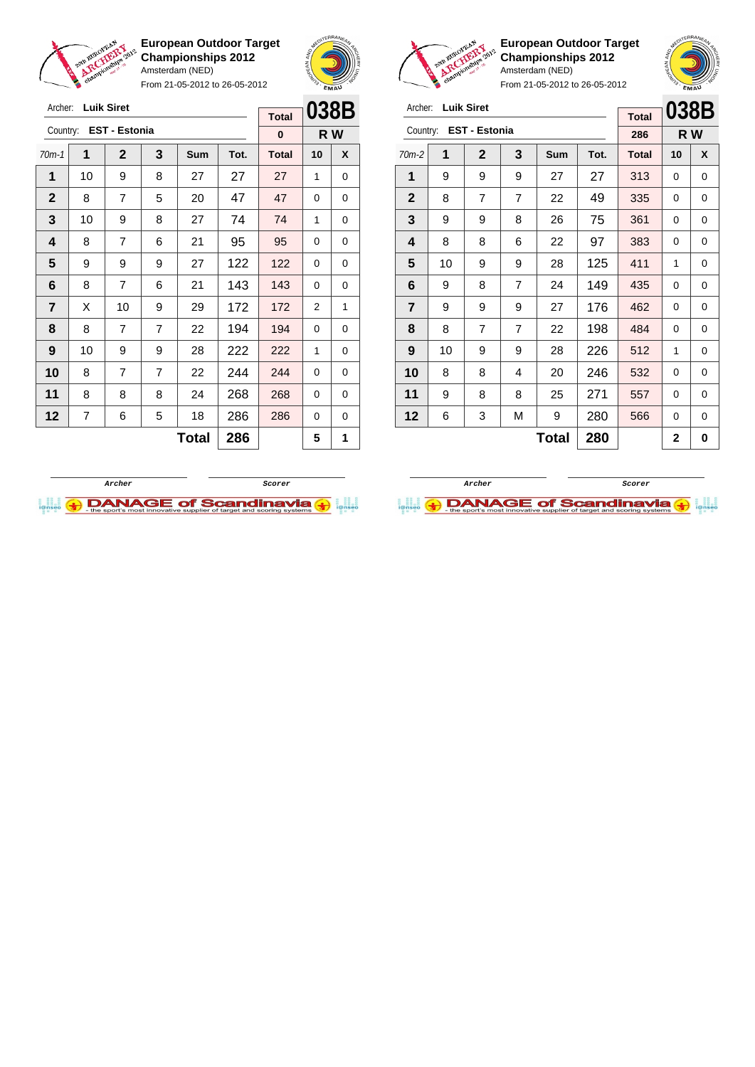

From 21-05-2012 to 26-05-2012





**European Outdoor Target Championships 2012** Amsterdam (NED)

 | 8 | 7 | 7 | 22 | 198 | 484 | 0 | 0 | 10 | 9 | 9 | 28 | 226 | 512 | 1 | 0 8 8 4 20 246 532 0 0 | 9 | 8 | 8 | 25 | 271 | 557 | 0 | 0 | 6 | 3 | M | 9 | 280 | 566 | 0 | 0

 $Total | 280 | 2 | 0$ 

**038B R W**

| Archer:        |    | <b>Luik Siret</b>    |   |            |      |              |      |          |  |
|----------------|----|----------------------|---|------------|------|--------------|------|----------|--|
|                |    |                      |   |            |      | <b>Total</b> | 038E |          |  |
| Country:       |    | <b>EST - Estonia</b> |   |            |      | 286          | R W  |          |  |
| $70m-2$        | 1  | $\mathbf{2}$         | 3 | <b>Sum</b> | Tot. | <b>Total</b> | 10   | X        |  |
| 1              | 9  | 9                    | 9 | 27         | 27   | 313          | 0    | 0        |  |
| $\overline{2}$ | 8  | 7                    | 7 | 22         | 49   | 335          | 0    | 0        |  |
| 3              | 9  | 9                    | 8 | 26         | 75   | 361          | 0    | $\Omega$ |  |
| 4              | 8  | 8                    | 6 | 22         | 97   | 383          | 0    | 0        |  |
| 5              | 10 | 9                    | 9 | 28         | 125  | 411          | 1    | 0        |  |
| 6              | 9  | 8                    | 7 | 24         | 149  | 435          | 0    | 0        |  |
| 7              | 9  | 9                    | 9 | 27         | 176  | 462          | 0    | 0        |  |

| Archer:        |    | <b>Luik Siret</b>    |                |     |              | 038B         |    |     |
|----------------|----|----------------------|----------------|-----|--------------|--------------|----|-----|
|                |    |                      |                |     | <b>Total</b> |              |    |     |
| Country:       |    | <b>EST - Estonia</b> |                |     |              | $\bf{0}$     |    | R W |
| $70m-1$        | 1  | $\mathbf{2}$         | 3              | Sum | Tot.         | <b>Total</b> | 10 | X   |
| 1              | 10 | 9                    | 8              | 27  | 27           | 27           | 1  | 0   |
| $\mathbf{2}$   | 8  | $\overline{7}$       | 5              | 20  | 47           | 47           | 0  | 0   |
| 3              | 10 | 9                    | 8              | 27  | 74           | 74           | 1  | 0   |
| 4              | 8  | $\overline{7}$       | 6              | 21  | 95           | 95           | 0  | 0   |
| 5              | 9  | 9                    | 9              | 27  | 122          | 122          | 0  | 0   |
| 6              | 8  | 7                    | 6              | 21  | 143          | 143          | 0  | 0   |
| $\overline{7}$ | X  | 10                   | 9              | 29  | 172          | 172          | 2  | 1   |
| 8              | 8  | $\overline{7}$       | $\overline{7}$ | 22  | 194          | 194          | 0  | 0   |
| 9              | 10 | 9                    | 9              | 28  | 222          | 222          | 1  | 0   |
| 10             | 8  | 7                    | $\overline{7}$ | 22  | 244          | 244          | 0  | 0   |
| 11             | 8  | 8                    | 8              | 24  | 268          | 268          | 0  | 0   |
| 12             | 7  | 6                    | 5              | 18  | 286          | 286          | 0  | 0   |
|                |    |                      |                | 5   | 1            |              |    |     |



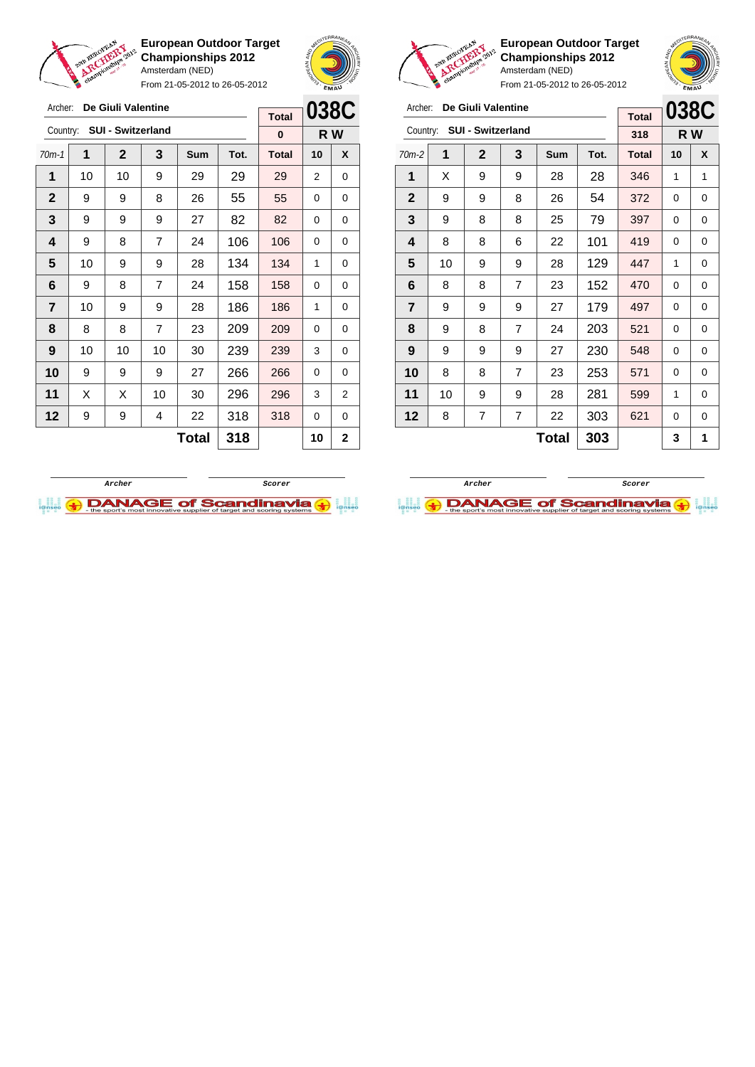

From 21-05-2012 to 26-05-2012





**European Outdoor Target Championships 2012** Amsterdam (NED)

|              |    |                            |                |            |      | <b>SIMM</b> <sub>2</sub> |    |      |
|--------------|----|----------------------------|----------------|------------|------|--------------------------|----|------|
| Archer:      |    | De Giuli Valentine         |                |            |      |                          |    | 038C |
|              |    |                            |                |            |      | <b>Total</b>             |    |      |
|              |    | Country: SUI - Switzerland |                |            |      | 318                      |    | R W  |
| $70m-2$      | 1  | $\mathbf{2}$               | 3              | <b>Sum</b> | Tot. | <b>Total</b>             | 10 | X    |
| 1            | X  | 9                          | 9              | 28         | 28   | 346                      | 1  | 1    |
| $\mathbf{2}$ | 9  | 9                          | 8              | 26         | 54   | 372                      | 0  | 0    |
| 3            | 9  | 8                          | 8              | 25         | 79   | 397                      | 0  | 0    |
| 4            | 8  | 8                          | 6              | 22         | 101  | 419                      | 0  | 0    |
| 5            | 10 | 9                          | 9              | 28         | 129  | 447                      | 1  | 0    |
| 6            | 8  | 8                          | $\overline{7}$ | 23         | 152  | 470                      | 0  | 0    |
| 7            | 9  | 9                          | 9              | 27         | 179  | 497                      | 0  | 0    |
| 8            | 9  | 8                          | 7              | 24         | 203  | 521                      | 0  | 0    |
| 9            | 9  | 9                          | 9              | 27         | 230  | 548                      | 0  | 0    |
| 10           | 8  | 8                          | 7              | 23         | 253  | 571                      | 0  | 0    |
| 11           | 10 | 9                          | 9              | 28         | 281  | 599                      | 1  | 0    |
| 12           | 8  | 7                          | 7              | 22         | 303  | 621                      | 0  | 0    |
|              |    |                            | 303            |            | 3    | 1                        |    |      |

| Archer:        |    | De Giuli Valentine |    | <b>Total</b> | 038C |              |     |   |
|----------------|----|--------------------|----|--------------|------|--------------|-----|---|
| Country:       |    | SUI - Switzerland  |    |              |      | 0            | R W |   |
| $70m-1$        | 1  | $\overline{2}$     | 3  | Sum          | Tot. | <b>Total</b> | 10  | X |
| 1              | 10 | 10                 | 9  | 29           | 29   | 29           | 2   | 0 |
| $\mathbf{2}$   | 9  | 9                  | 8  | 26           | 55   | 55           | 0   | 0 |
| 3              | 9  | 9                  | 9  | 27           | 82   | 82           | 0   | 0 |
| 4              | 9  | 106                | 0  | 0            |      |              |     |   |
| 5              | 10 | 9                  | 9  | 28           | 134  | 134          | 1   | 0 |
| 6              | 9  | 8                  | 7  | 24           | 158  | 158          | 0   | 0 |
| $\overline{7}$ | 10 | 9                  | 9  | 28           | 186  | 186          | 1   | 0 |
| 8              | 8  | 8                  | 7  | 23           | 209  | 209          | 0   | 0 |
| 9              | 10 | 239                | 3  | 0            |      |              |     |   |
| 10             | 9  | 266                | 0  | 0            |      |              |     |   |
| 11             | Х  | X                  | 10 | 30           | 296  | 296          | 3   | 2 |
| 12             | 9  | 318                | 0  | 0            |      |              |     |   |
|                |    |                    | 10 | 2            |      |              |     |   |



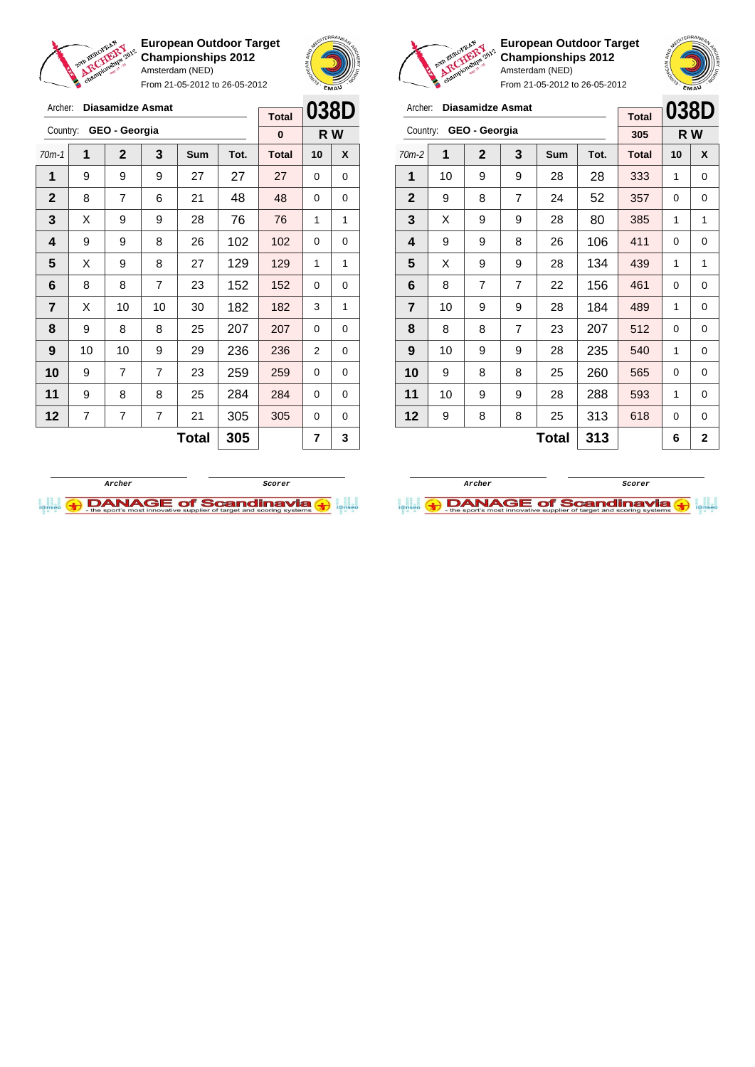

From 21-05-2012 to 26-05-2012





 $\sqrt{2}$ 

**European Outdoor Target Championships 2012** Amsterdam (NED)



|                | C <sub>2</sub> |                         | From 21-05-2012 to 26-05-2012 |            |      | EMAU         |      |   |
|----------------|----------------|-------------------------|-------------------------------|------------|------|--------------|------|---|
| Archer:        |                | <b>Diasamidze Asmat</b> |                               |            |      | <b>Total</b> | 038D |   |
| Country:       |                | GEO - Georgia           |                               |            |      | 305          | R W  |   |
| $70m-2$        | 1              | $\mathbf{2}$            | 3                             | <b>Sum</b> | Tot. | <b>Total</b> | 10   | X |
| 1              | 10             | 9                       | 9                             | 28         | 28   | 333          | 1    | 0 |
| $\mathbf{2}$   | 9              | 8                       | 357                           | 0          | 0    |              |      |   |
| 3              | X              | 9                       | 80                            | 385        | 1    | 1            |      |   |
| 4              | 9              | 9                       | 106                           | 411        | 0    | 0            |      |   |
| 5              | X              | 9                       | 9                             | 28         | 134  | 439          | 1    | 1 |
| 6              | 8              | 7                       | 7                             | 22         | 156  | 461          | 0    | 0 |
| $\overline{7}$ | 10             | 9                       | 9                             | 28         | 184  | 489          | 1    | 0 |
| 8              | 8              | 8                       | 7                             | 23         | 207  | 512          | 0    | 0 |
| 9              | 10             | 9                       | 9                             | 28         | 235  | 540          | 1    | 0 |
| 10             | 9              | 8                       | 8                             | 25         | 260  | 565          | 0    | 0 |
| 11             | 10             | 9                       | 288                           | 593        | 1    | 0            |      |   |
| 12             | 9              | 8                       | 8                             | 25         | 313  | 618          | 0    | 0 |
|                | 6              | 2                       |                               |            |      |              |      |   |





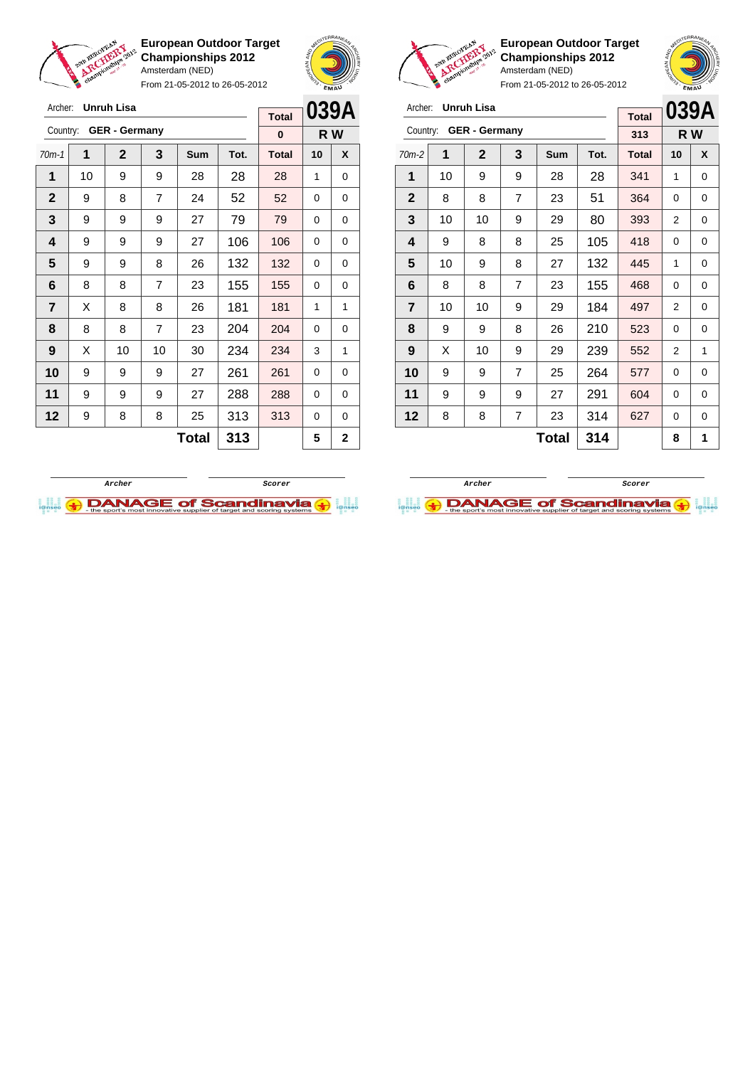

Archer: **Unruh Lisa**

Country: **GER - Germany**

**European Outdoor Target Championships 2012** Amsterdam (NED)

From 21-05-2012 to 26-05-2012

70m-1 **1 2 3 Sum Tot. Total 10 X** | 10 | 9 | 9 | 28 | 28 | 28 | 1 | 0 | 9 | 8 | 7 | 24 | 52 | 52 | 0 | 0 | 9 | 9 | 9 | 27 | 79 | 79 | 0 | 0 | 9 | 9 | 9 | 27 | 106 | 106 | 0 | 0 9 9 8 26 132 132 0 0 | 8 | 8 | 7 | 23 | 155 | 155 | 0 | 0  $\mid$  X  $\mid$  8  $\mid$  8  $\mid$  26  $\mid$  181  $\mid$  181  $\mid$  1  $\mid$  1 | 8 | 8 | 7 | 23 | 204 | 204 | 0 | 0 | X | 10 | 10 | 30 | 234 | 234 | 3 | 1 9 9 9 27 261 261 0 0 | 9 | 9 | 9 | 27 | 288 | 288 | 0 | 0 | 9 | 8 | 8 | 25 | 313 | 313 | 0 | 0



**R W**

**Total 0**



**European Outdoor Target Championships 2012** Amsterdam (NED)



**039A R W**

From 21-05-2012 to 26-05-2012

|         | Archer: <b>Unruh Lisa</b> |     |     | <b>Total</b> |      |              |    |   |
|---------|---------------------------|-----|-----|--------------|------|--------------|----|---|
|         | Country: GER - Germany    | 313 | R W |              |      |              |    |   |
| $70m-2$ |                           | 2   |     | Sum          | Tot. | <b>Total</b> | 10 | X |
| 1       | 10                        | 9   | 9   | 28           | 28   | 341          |    | 0 |

| 1                | 10 | 9  | 9              | 28    | 28         | 341 | 1         | 0 |
|------------------|----|----|----------------|-------|------------|-----|-----------|---|
| $\boldsymbol{2}$ | 8  | 8  | $\overline{7}$ | 23    | 51         | 364 | 0         | 0 |
| $\mathbf{3}$     | 10 | 10 | 9              | 29    | 80         | 393 | 2         | 0 |
| 4                | 9  | 8  | 8              | 25    | 105        | 418 | 0         | 0 |
| 5                | 10 | 9  | 8              | 27    | 132        | 445 | 1         | 0 |
| 6                | 8  | 8  | 7              | 23    | 155        | 468 | 0         | 0 |
| 7                | 10 | 10 | 9              | 29    | 184        | 497 | 2         | 0 |
| 8                | 9  | 9  | 8              | 26    | 210        | 523 | 0         | 0 |
| 9                | X  | 10 | 9              | 29    | 239        | 552 | 2         | 1 |
| 10               | 9  | 9  | $\overline{7}$ | 25    | 264        | 577 | 0         | 0 |
| 11               | 9  | 9  | 9              | 27    | 291        | 604 | 0         | 0 |
| 12               | 8  | 8  | 7              | 23    | 314        | 627 | 0         | 0 |
|                  |    |    |                | Tatal | <b>941</b> |     | $\bullet$ | 4 |



**I.I. ADANAGE of Scandinavia (+)** 



 $\text{Total}$  313  $\frac{1}{2}$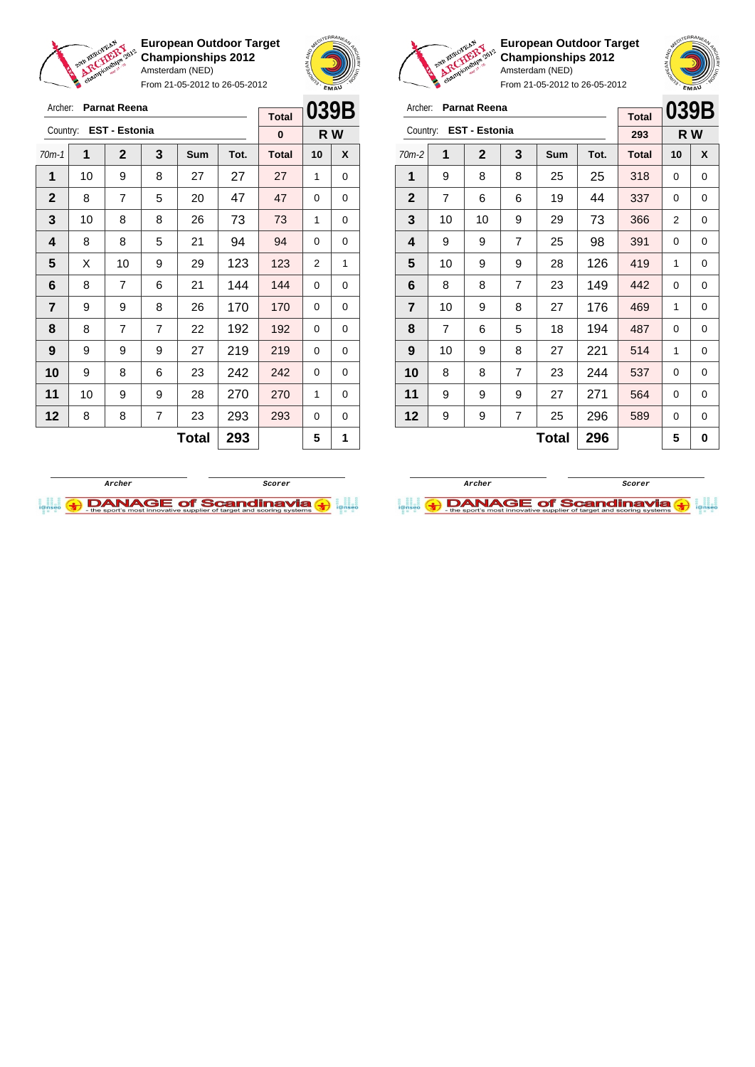

Archer: **Parnat Reena** Country: **EST - Estonia**

**European Outdoor Target Championships 2012** Amsterdam (NED)

From 21-05-2012 to 26-05-2012

70m-1 **1 2 3 Sum Tot. Total 10 X** | 10 | 9 | 8 | 27 | 27 | 27 | 1 | 0 8 7 5 20 47 47 0 0 | 10 | 8 | 8 | 26 | 73 | 73 | 1 | 0 | 8 | 8 | 5 | 21 | 94 | 94 | 0 | 0  $\mid$  X  $\mid$  10  $\mid$  9  $\mid$  29  $\mid$  123  $\mid$  123  $\mid$  2  $\mid$  1 | 8 | 7 | 6 | 21 | 144 | 144 | 0 | 0 | 9 | 9 | 8 | 26 | 170 | 170 | 0 | 0 | 8 | 7 | 7 | 22 | 192 | 192 | 0 | 0 | 9 | 9 | 9 | 27 | 219 | 219 | 0 | 0 9 8 8 6 23 242 242 0 0 | 10 | 9 | 9 | 28 | **270 | 270 |** 1 | 0 | 8 | 8 | 7 | 23 | 293 | 293 | 0 | 0



**R W**

**Total 0**

**European Outdoor Target Championships 2012** Amsterdam (NED)



From 21-05-2012 to 26-05-2012

| Archer:                 |                | <b>Parnat Reena</b>  | <b>Total</b> | 039B |      |              |     |   |
|-------------------------|----------------|----------------------|--------------|------|------|--------------|-----|---|
| Country:                |                | <b>EST - Estonia</b> |              |      |      | 293          | R W |   |
| $70m-2$                 | 1              | $\mathbf{2}$         | 3            | Sum  | Tot. | <b>Total</b> | 10  | X |
| 1                       | 9              | 8                    | 8            | 25   | 25   | 318          | 0   | 0 |
| $\mathbf{2}$            | $\overline{7}$ | 6                    | 6            | 19   | 44   | 337          | 0   | 0 |
| 3                       | 10             | 10                   | 9            | 29   | 73   | 366          | 2   | 0 |
| 4                       | 9              | 9                    | 7            | 25   | 98   | 391          | 0   | 0 |
| 5                       | 10             | 9                    | 9            | 28   | 126  | 419          | 1   | 0 |
| 6                       | 8              | 8                    | 7            | 23   | 149  | 442          | 0   | 0 |
| $\overline{\mathbf{r}}$ | 10             | 9                    | 8            | 27   | 176  | 469          | 1   | 0 |
| 8                       | $\overline{7}$ | 6                    | 5            | 18   | 194  | 487          | 0   | 0 |
| 9                       | 10             | 9                    | 8            | 27   | 221  | 514          | 1   | 0 |
| 10                      | 8              | 8                    | 7            | 23   | 244  | 537          | 0   | 0 |
| 11                      | 9              | 9                    | 9            | 27   | 271  | 564          | 0   | 0 |
| 12                      | 9              | 9                    | 7            | 25   | 296  | 589          | 0   | 0 |
|                         |                |                      | 5            | 0    |      |              |     |   |



 $\text{Total}$  293  $\vert$  5 1

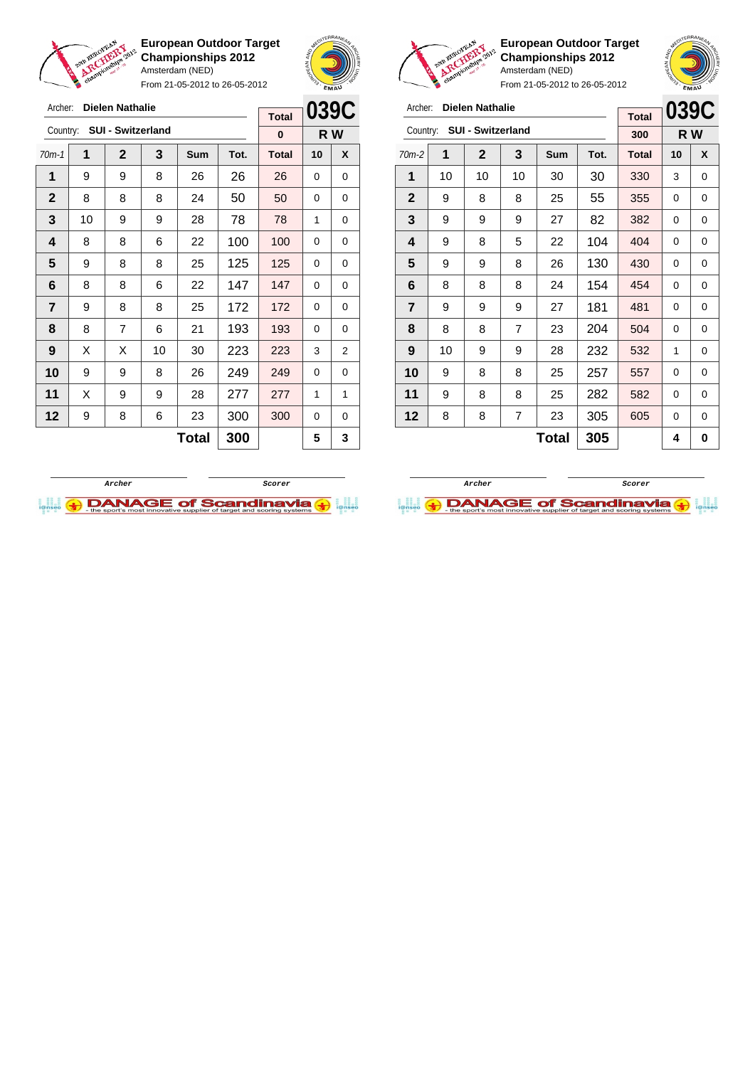

Archer: **Dielen Nathalie**

**European Outdoor Target Championships 2012** Amsterdam (NED)

From 21-05-2012 to 26-05-2012





**European Outdoor Target Championships 2012** Amsterdam (NED)

| Archer:        |    | <b>Dielen Nathalie</b> |                |            | 039C |                     |    |     |
|----------------|----|------------------------|----------------|------------|------|---------------------|----|-----|
| Country:       |    | SUI - Switzerland      |                |            |      | <b>Total</b><br>300 |    | R W |
| $70m-2$        | 1  | $\mathbf{2}$           | 3              | <b>Sum</b> | Tot. | <b>Total</b>        | 10 | X   |
| 1              | 10 | 10                     | 10             | 30         | 30   | 330                 | 3  | 0   |
| $\mathbf{2}$   | 9  | 8                      | 8              | 25         | 55   | 355                 | 0  | 0   |
| 3              | 9  | 9                      | 382            | 0          | 0    |                     |    |     |
| 4              | 9  | 8                      | 404            | 0          | 0    |                     |    |     |
| 5              | 9  | 9                      | 8              | 26         | 130  | 430                 | 0  | 0   |
| 6              | 8  | 8                      | 8              | 24         | 154  | 454                 | 0  | 0   |
| $\overline{7}$ | 9  | 9                      | 9              | 27         | 181  | 481                 | 0  | 0   |
| 8              | 8  | 8                      | $\overline{7}$ | 23         | 204  | 504                 | 0  | 0   |
| 9              | 10 | 9                      | 9              | 28         | 232  | 532                 | 1  | 0   |
| 10             | 9  | 8                      | 8              | 25         | 257  | 557                 | 0  | 0   |
| 11             | 9  | 8                      | 8              | 25         | 282  | 582                 | 0  | 0   |
| 12             | 8  | 8                      | 7              | 23         | 305  | 605                 | 0  | 0   |
|                |    |                        |                | 4          | 0    |                     |    |     |

| Archer:          |    | Dielen Nathalie          |    |     | <b>Total</b> | 039C         |          |     |
|------------------|----|--------------------------|----|-----|--------------|--------------|----------|-----|
| Country:         |    | <b>SUI - Switzerland</b> |    |     |              | 0            |          | R W |
| $70m-1$          | 1  | $\mathbf 2$              | 3  | Sum | Tot.         | <b>Total</b> | 10       | X   |
| 1                | 9  | 9                        | 8  | 26  | 26           | 26           | 0        | 0   |
| $\mathbf 2$      | 8  | 50                       | 0  | 0   |              |              |          |     |
| 3                | 10 | 78                       | 1  | 0   |              |              |          |     |
| 4                | 8  | 100                      | 0  | 0   |              |              |          |     |
| 5                | 9  | 8                        | 8  | 25  | 125          | 125          | 0        | 0   |
| 6                | 8  | 8                        | 6  | 22  | 147          | 147          | 0        | 0   |
| $\overline{7}$   | 9  | 8                        | 8  | 25  | 172          | 172          | 0        | 0   |
| 8                | 8  | $\overline{7}$           | 6  | 21  | 193          | 193          | $\Omega$ | 0   |
| $\boldsymbol{9}$ | X  | Χ                        | 10 | 30  | 223          | 223          | 3        | 2   |
| 10               | 9  | 249                      | 0  | 0   |              |              |          |     |
| 11               | X  | 9                        | 9  | 28  | 277          | 277          | 1        | 1   |
| 12               | 9  | 300                      | 0  | 0   |              |              |          |     |
|                  |    |                          |    | 5   | 3            |              |          |     |
|                  |    |                          |    |     |              |              |          |     |



**Archer Scorer**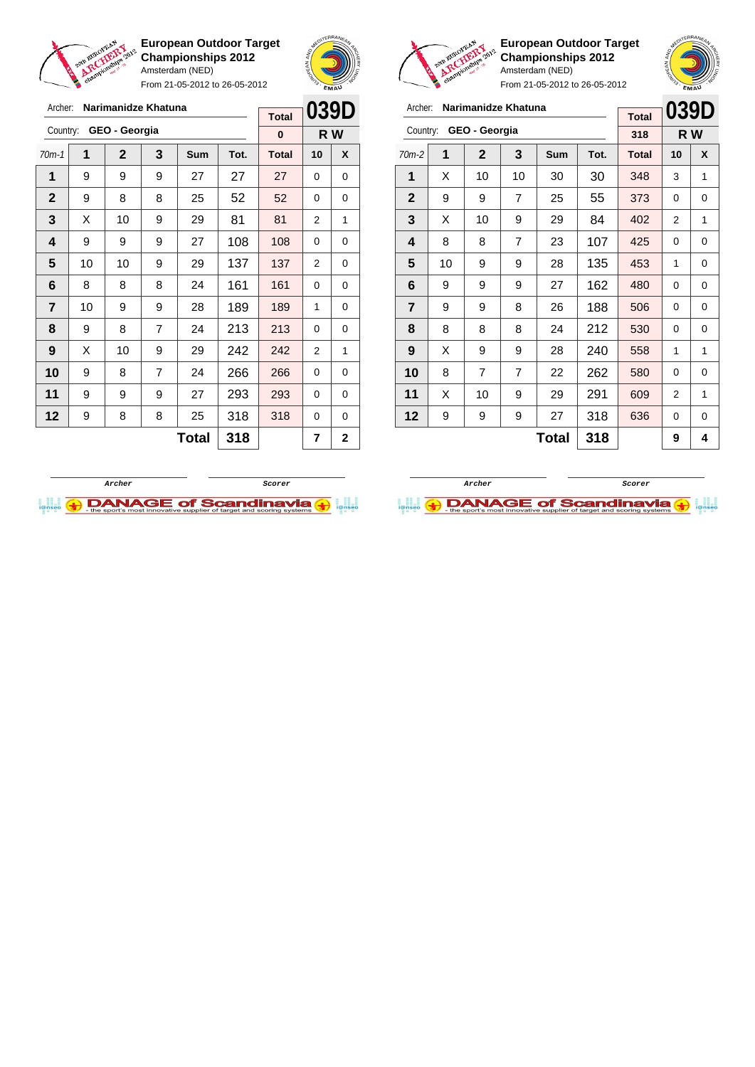

Archer: **Narimanidze Khatuna**

**European Outdoor Target Championships 2012** Amsterdam (NED)

From 21-05-2012 to 26-05-2012

 $\Gamma$ 





**European Outdoor Target Championships 2012** Amsterdam (NED)

|                | <b>A</b> c <sup>y</sup> |                     | From 21-05-2012 to 26-05-2012 |            |      | EMAU         |      |   |  |
|----------------|-------------------------|---------------------|-------------------------------|------------|------|--------------|------|---|--|
| Archer:        |                         | Narimanidze Khatuna |                               |            |      | <b>Total</b> | 039D |   |  |
| Country:       |                         | GEO - Georgia       |                               |            |      | 318          | R W  |   |  |
| $70m-2$        | 1                       | $\mathbf{2}$        | 3                             | <b>Sum</b> | Tot. | <b>Total</b> | 10   | X |  |
| 1              | X                       | 10                  | 10                            | 30         | 30   | 348          | 3    | 1 |  |
| $\mathbf{2}$   | 9                       | 9                   | 373                           | 0          | 0    |              |      |   |  |
| 3              | X                       | 10                  | 402                           | 2          | 1    |              |      |   |  |
| 4              | 8                       | 8                   | 425                           | 0          | 0    |              |      |   |  |
| 5              | 10                      | 9                   | 9                             | 28         | 135  | 453          | 1    | 0 |  |
| 6              | 9                       | 9                   | 9                             | 27         | 162  | 480          | 0    | 0 |  |
| $\overline{7}$ | 9                       | 9                   | 8                             | 26         | 188  | 506          | 0    | 0 |  |
| 8              | 8                       | 8                   | 8                             | 24         | 212  | 530          | 0    | 0 |  |
| 9              | X                       | 9                   | 9                             | 28         | 240  | 558          | 1    | 1 |  |
| 10             | 8                       | 7                   | $\overline{7}$                | 22         | 262  | 580          | 0    | 0 |  |
| 11             | X                       | 10                  | 9                             | 29         | 291  | 609          | 2    | 1 |  |
| 12             | 9                       | 9                   | 9                             | 27         | 318  | 636          | 0    | 0 |  |
|                |                         |                     | 9                             | 4          |      |              |      |   |  |

|                |    |                |                | <b>Total</b> | UJJD         |              |                |     |
|----------------|----|----------------|----------------|--------------|--------------|--------------|----------------|-----|
| Country:       |    | GEO - Georgia  |                |              |              | 0            |                | R W |
| $70m-1$        | 1  | $\overline{2}$ | 3              | Sum          | Tot.         | <b>Total</b> | 10             | X   |
| 1              | 9  | 9              | 9              | 27           | 27           | 27           | 0              | 0   |
| $\mathbf{2}$   | 9  | 8              | 8              | 25           | 52           | 52           | 0              | 0   |
| 3              | X  | 81             | 2              | 1            |              |              |                |     |
| 4              | 9  | 108            | 0              | 0            |              |              |                |     |
| 5              | 10 | 10             | 9              | 29           | 137          | 137          | 2              | 0   |
| 6              | 8  | 8              | 8              | 24           | 161          | 161          | 0              | 0   |
| $\overline{7}$ | 10 | 9              | 9              | 28           | 189          | 189          | 1              | 0   |
| 8              | 9  | 8              | $\overline{7}$ | 24           | 213          | 213          | 0              | 0   |
| 9              | X  | 10             | 9              | 29           | 242          | 242          | $\overline{2}$ | 1   |
| 10             | 9  | 8              | 7              | 24           | 266          | 266          | 0              | 0   |
| 11             | 9  | 9              | 9              | 27           | 293          | 293          | 0              | 0   |
| 12             | 9  | 318            | 0              | 0            |              |              |                |     |
|                |    |                |                | 7            | $\mathbf{2}$ |              |                |     |
|                |    |                |                |              |              |              |                |     |

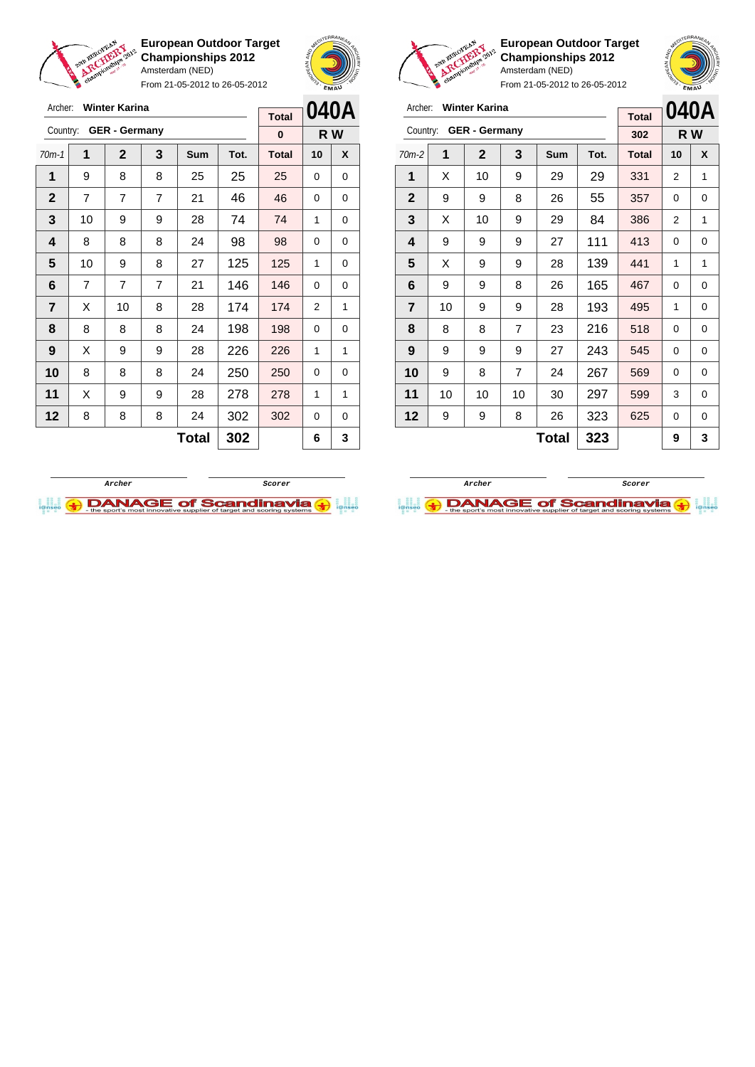

From 21-05-2012 to 26-05-2012



**European Outdoor Target Championships 2012** Amsterdam (NED)

| Country: GER - Germany | Archer: Winter Karina |  |  |  |
|------------------------|-----------------------|--|--|--|
|                        |                       |  |  |  |

| Archer:        |    | <b>Winter Karina</b> |                |              |      | <b>Total</b> |     | 040A |
|----------------|----|----------------------|----------------|--------------|------|--------------|-----|------|
| Country:       |    | <b>GER</b> - Germany |                |              |      | 302          | R W |      |
| $70m-2$        | 1  | $\mathbf 2$          | 3              | Sum          | Tot. | <b>Total</b> | 10  | X    |
| 1              | X  | 10                   | 9              | 29           | 29   | 331          | 2   | 1    |
| $\mathbf{2}$   | 9  | 9                    | 8              | 26           | 55   | 357          | 0   | 0    |
| 3              | X  | 10                   | 9              | 29           | 84   | 386          | 2   | 1    |
| 4              | 9  | 9                    | 9              | 27           | 111  | 413          | 0   | 0    |
| 5              | X  | 9                    | 9              | 28           | 139  | 441          | 1   | 1    |
| 6              | 9  | 9                    | 8              | 26           | 165  | 467          | 0   | 0    |
| $\overline{7}$ | 10 | 9                    | 9              | 28           | 193  | 495          | 1   | 0    |
| 8              | 8  | 8                    | $\overline{7}$ | 23           | 216  | 518          | 0   | 0    |
| 9              | 9  | 9                    | 9              | 27           | 243  | 545          | 0   | 0    |
| 10             | 9  | 8                    | $\overline{7}$ | 24           | 267  | 569          | 0   | 0    |
| 11             | 10 | 10                   | 10             | 30           | 297  | 599          | 3   | 0    |
| 12             | 9  | 9                    | 8              | 26           | 323  | 625          | 0   | 0    |
|                |    |                      |                | <b>Total</b> | 323  |              | 9   | 3    |





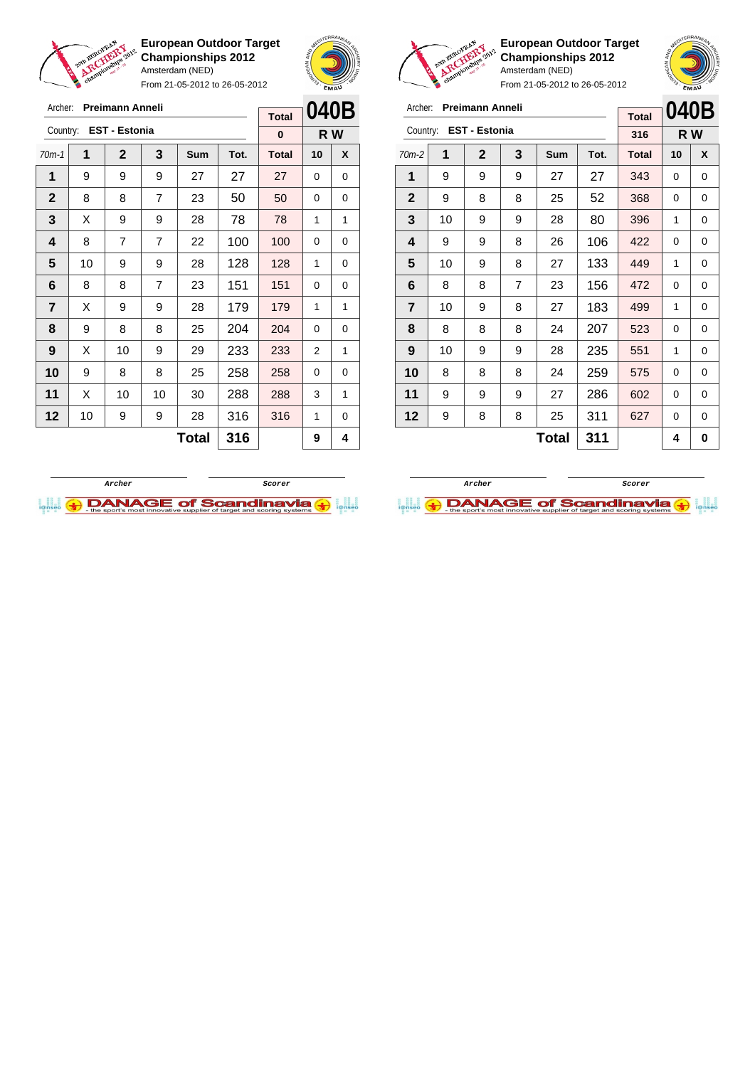

From 21-05-2012 to 26-05-2012





**European Outdoor Target Championships 2012** Amsterdam (NED)  $21 - 05 - 2012$  to  $26 - 05 - 2012$ 

|                |    |                        |     | FIUIII Z I-U3-ZUTZ 10 Z0-U3-ZUTZ | EMAU |              |         |     |
|----------------|----|------------------------|-----|----------------------------------|------|--------------|---------|-----|
| Archer:        |    | <b>Preimann Anneli</b> |     |                                  |      | <b>Total</b> | 040B    |     |
|                |    | Country: EST - Estonia |     |                                  |      | 316          |         | R W |
| $70m-2$        | 1  | $\mathbf{2}$           | 3   | Sum                              | Tot. | <b>Total</b> | 10<br>X |     |
| 1              | 9  | 9                      | 9   | 27                               | 27   | 343          | 0       | 0   |
| $\mathbf{2}$   | 9  | 8                      | 8   | 25                               | 52   | 368          | 0       | 0   |
| 3              | 10 | 9                      | 9   | 28                               | 80   | 396          | 1       | 0   |
| 4              | 9  | 9                      | 8   | 26                               | 106  | 422          | 0       | 0   |
| 5              | 10 | 9                      | 8   | 27                               | 133  | 449          | 1       | 0   |
| 6              | 8  | 8                      | 7   | 23                               | 156  | 472          | 0       | 0   |
| $\overline{7}$ | 10 | 9                      | 8   | 27                               | 183  | 499          | 1       | 0   |
| 8              | 8  | 8                      | 8   | 24                               | 207  | 523          | 0       | 0   |
| 9              | 10 | 9                      | 9   | 28                               | 235  | 551          | 1       | 0   |
| 10             | 8  | 8                      | 8   | 24                               | 259  | 575          | 0       | 0   |
| 11             | 9  | 9                      | 9   | 27                               | 286  | 602          | 0       | 0   |
| 12             | 9  | 8                      | 8   | 25                               | 311  | 627          | 0       | 0   |
|                |    |                        | 311 |                                  | 4    | 0            |         |     |

| Archer:      |    | <b>Preimann Anneli</b> |                |       |      | <b>Total</b> | 040B     |     |
|--------------|----|------------------------|----------------|-------|------|--------------|----------|-----|
| Country:     |    | <b>EST - Estonia</b>   |                |       |      | 0            |          | R W |
| $70m-1$      | 1  | $\mathbf 2$            | 3              | Sum   | Tot. | <b>Total</b> | 10       | X   |
| 1            | 9  | 9                      | 9              | 27    | 27   | 27           | 0        | 0   |
| $\mathbf{2}$ | 8  | 8                      | 7              | 23    | 50   | 50           | 0        | 0   |
| 3            | X  | 9                      | 9              | 28    | 78   | 78           | 1        | 1   |
| 4            | 8  | $\overline{7}$         | $\overline{7}$ | 22    | 100  | 100          | 0        | 0   |
| 5            | 10 | 9                      | 9              | 28    | 128  | 128          | 1        | 0   |
| 6            | 8  | 8                      | $\overline{7}$ | 23    | 151  | 151          | $\Omega$ | 0   |
| 7            | X  | 9                      | 9              | 28    | 179  | 179          | 1        | 1   |
| 8            | 9  | 8                      | 8              | 25    | 204  | 204          | 0        | 0   |
| 9            | X  | 10                     | 9              | 29    | 233  | 233          | 2        | 1   |
| 10           | 9  | 8                      | 8              | 25    | 258  | 258          | 0        | 0   |
| 11           | Х  | 10                     | 10             | 30    | 288  | 288          | 3        | 1   |
| 12           | 10 | 9                      | 9              | 28    | 316  | 316          | 1        | 0   |
|              |    |                        |                | Total | 316  |              | 9        | 4   |



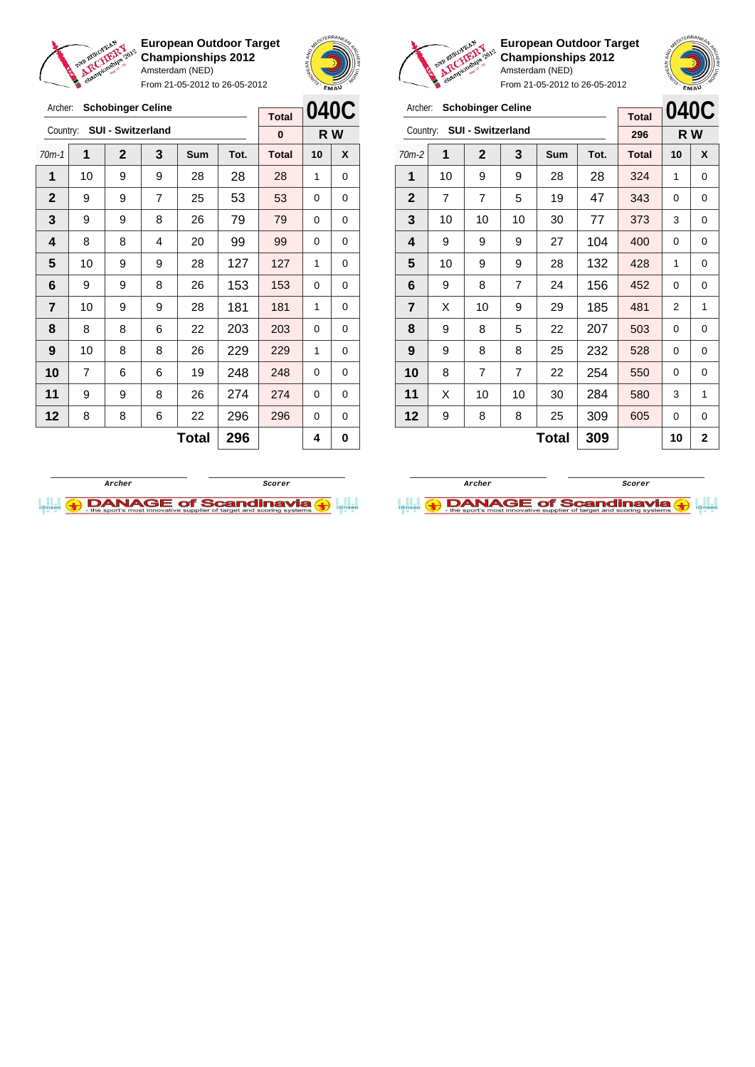

From 21-05-2012 to 26-05-2012





**European Outdoor Target Championships 2012** Amsterdam (NED)

 | X | 10 | 9 | 29 | 185 | 481 | 2 | 1 | 9 | 8 | 5 | 22 | 207 | 503 | 0 | 0 | 9 | 8 | 8 | 25 | 232 | 528 | 0 | 0 8 7 7 22 254 550 0 0 | X | 10 | 10 | 30 | 284 | 580 | 3 | 1 | 9 | 8 | 8 | 25 | 309 | 605 | 0 | 0

|              | chami |                          |    | $\ldots$   | From 21-05-2012 to 26-05-2012 |              | <b>EMAN</b> |      |
|--------------|-------|--------------------------|----|------------|-------------------------------|--------------|-------------|------|
| Archer:      |       | <b>Schobinger Celine</b> |    |            |                               | <b>Total</b> |             | 040C |
| Country:     |       | <b>SUI - Switzerland</b> |    |            |                               | 296          | R W         |      |
| $70m-2$      | 1     | $\mathbf{2}$             | 3  | <b>Sum</b> | Tot.                          | <b>Total</b> | 10          | X    |
| 1            | 10    | 9                        | 9  | 28         | 28                            | 324          | 1           | 0    |
| $\mathbf{2}$ | 7     | 7                        | 5  | 19         | 47                            | 343          | 0           | 0    |
| 3            | 10    | 10                       | 10 | 30         | 77                            | 373          | 3           | 0    |
| 4            | 9     | 9                        | 9  | 27         | 104                           | 400          | 0           | 0    |
| 5            | 10    | 9                        | 9  | 28         | 132                           | 428          | 1           | 0    |
| 6            | 9     | 8                        | 7  | 24         | 156                           | 452          | 0           | 0    |

 $Total | 309 | 10 | 2$ 

| Archer:        | <b>Schobinger Celine</b><br><b>Total</b> |                   |                |       |      |              | 040C |     |
|----------------|------------------------------------------|-------------------|----------------|-------|------|--------------|------|-----|
| Country:       |                                          | SUI - Switzerland |                |       |      | $\bf{0}$     |      | R W |
| $70m-1$        | 1                                        | $\mathbf{2}$      | 3              | Sum   | Tot. | <b>Total</b> | 10   | X   |
| 1              | 10                                       | 9                 | 9              | 28    | 28   | 28           | 1    | 0   |
| $\mathbf 2$    | 9                                        | 9                 | $\overline{7}$ | 25    | 53   | 53           | 0    | 0   |
| 3              | 9                                        | 9                 | 8              | 26    | 79   | 79           | 0    | 0   |
| 4              | 8                                        | 8                 | 4              | 20    | 99   | 99           | 0    | 0   |
| 5              | 10                                       | 9                 | 9              | 28    | 127  | 127          | 1    | 0   |
| 6              | 9                                        | 9                 | 8              | 26    | 153  | 153          | 0    | 0   |
| $\overline{7}$ | 10                                       | 9                 | 9              | 28    | 181  | 181          | 1    | 0   |
| 8              | 8                                        | 8                 | 6              | 22    | 203  | 203          | 0    | 0   |
| 9              | 10                                       | 8                 | 8              | 26    | 229  | 229          | 1    | 0   |
| 10             | 7                                        | 6                 | 6              | 19    | 248  | 248          | 0    | 0   |
| 11             | 9                                        | 9                 | 8              | 26    | 274  | 274          | 0    | 0   |
| 12             | 8                                        | 8                 | 6              | 22    | 296  | 296          | 0    | 0   |
|                |                                          |                   |                | Total | 296  |              | 4    | 0   |



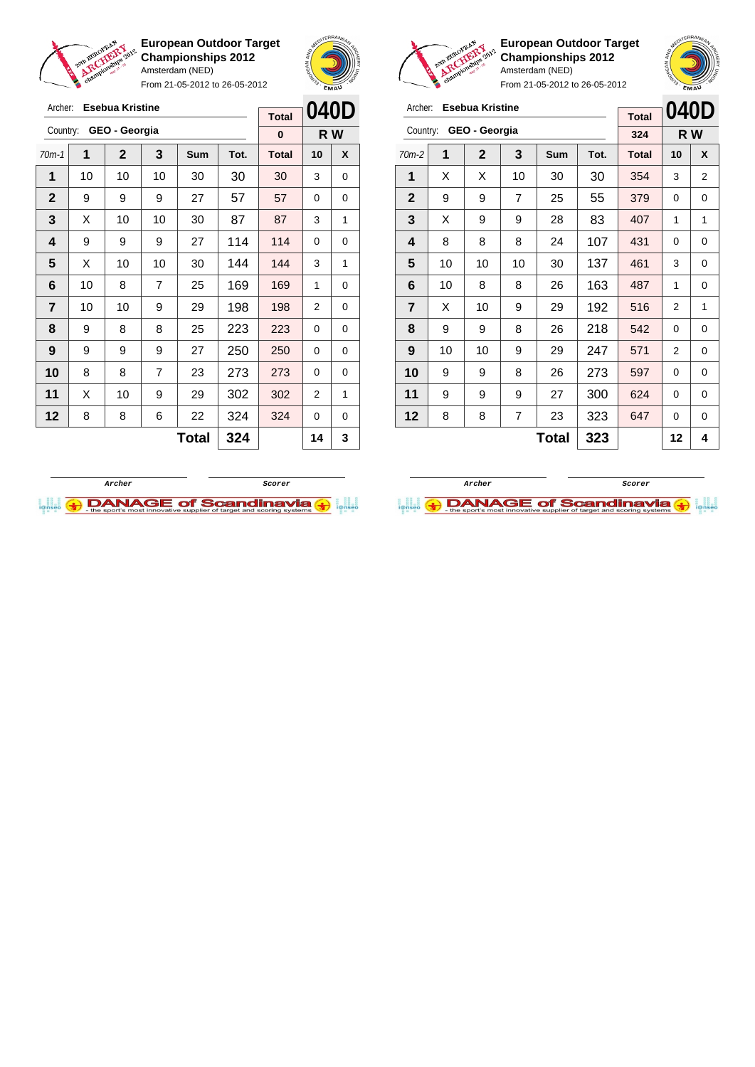

Archer: **Esebua Kristine**

**European Outdoor Target Championships 2012** Amsterdam (NED)

From 21-05-2012 to 26-05-2012





**European Outdoor Target Championships 2012** Amsterdam (NED)

|                | <b>Esebua Kristine</b><br>Archer: |               |    |       |      |              |                | 040D           |
|----------------|-----------------------------------|---------------|----|-------|------|--------------|----------------|----------------|
|                |                                   |               |    |       |      | <b>Total</b> |                |                |
| Country:       |                                   | GEO - Georgia |    |       |      | 324          |                | R W            |
| $70m-2$        | 1                                 | $\mathbf{2}$  | 3  | Sum   | Tot. | <b>Total</b> | 10             | X              |
| 1              | X                                 | X             | 10 | 30    | 30   | 354          | 3              | $\overline{2}$ |
| $\mathbf{2}$   | 9                                 | 9             | 7  | 25    | 55   | 379          | 0              | 0              |
| 3              | X                                 | 9             | 9  | 28    | 83   | 407          | 1              | 1              |
| 4              | 8                                 | 8             | 8  | 24    | 107  | 431          | 0              | 0              |
| 5              | 10                                | 10            | 10 | 30    | 137  | 461          | 3              | 0              |
| 6              | 10                                | 8             | 8  | 26    | 163  | 487          | 1              | 0              |
| $\overline{7}$ | X                                 | 10            | 9  | 29    | 192  | 516          | $\overline{2}$ | 1              |
| 8              | 9                                 | 9             | 8  | 26    | 218  | 542          | 0              | 0              |
| 9              | 10                                | 10            | 9  | 29    | 247  | 571          | 2              | 0              |
| 10             | 9                                 | 9             | 8  | 26    | 273  | 597          | 0              | 0              |
| 11             | 9                                 | 9             | 9  | 27    | 300  | 624          | 0              | 0              |
| 12             | 8                                 | 8             | 7  | 23    | 323  | 647          | 0              | 0              |
|                |                                   |               |    | Total | 323  |              | 12             | 4              |





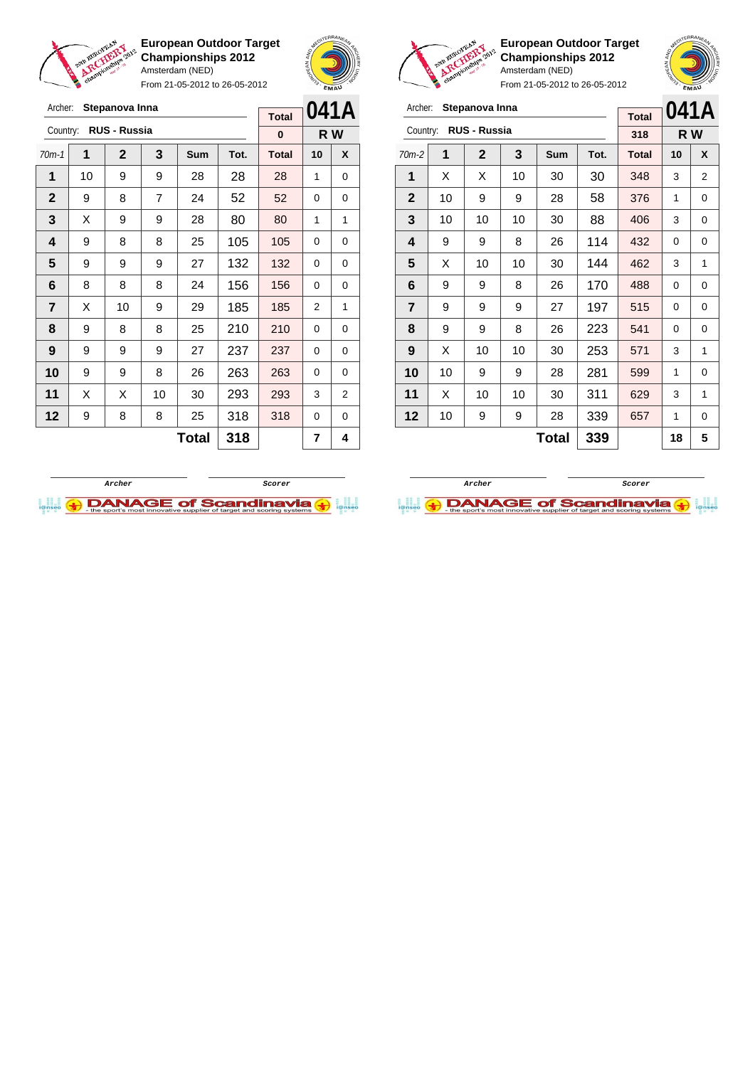

Archer: **Stepanova Inna**

**European Outdoor Target Championships 2012** Amsterdam (NED)

From 21-05-2012 to 26-05-2012



**Total**

**European Outdoor Target Championships 2012** Amsterdam (NED)

From 21-05-2012 to 26-05-2012

|                | Archer:<br>Stepanova Inna |                     |    |     |      |              |     | 041A |
|----------------|---------------------------|---------------------|----|-----|------|--------------|-----|------|
| Country:       |                           | <b>RUS - Russia</b> |    |     |      | 318          | R W |      |
| $70m-2$        | 1                         | 2                   | 3  | Sum | Tot. | <b>Total</b> | 10  | X    |
| 1              | X                         | Х                   | 10 | 30  | 30   | 348          | 3   | 2    |
| $\mathbf{2}$   | 10                        | 9                   | 9  | 28  | 58   | 376          | 1   | 0    |
| 3              | 10                        | 10                  | 10 | 30  | 88   | 406          | 3   | 0    |
| 4              | 9                         | 9                   | 8  | 26  | 114  | 432          | 0   | 0    |
| 5              | X                         | 10                  | 10 | 30  | 144  | 462          | 3   | 1    |
| 6              | 9                         | 9                   | 8  | 26  | 170  | 488          | 0   | 0    |
| $\overline{7}$ | 9                         | 9                   | 9  | 27  | 197  | 515          | 0   | 0    |
| 8              | 9                         | 9                   | 8  | 26  | 223  | 541          | 0   | 0    |
| 9              | X                         | 10                  | 10 | 30  | 253  | 571          | 3   | 1    |
| 10             | 10                        | 9                   | 9  | 28  | 281  | 599          | 1   | 0    |
| 11             | X                         | 10                  | 10 | 30  | 311  | 629          | 3   | 1    |
| 12             | 10                        | 9                   | 9  | 28  | 339  | 657          | 1   | 0    |
|                | 339<br>Total              |                     |    |     |      |              | 18  | 5    |

| Country:       |    | <b>RUS - Russia</b> |                |       |      | 0            |    | R W |
|----------------|----|---------------------|----------------|-------|------|--------------|----|-----|
| $70m-1$        | 1  | $\mathbf 2$         | 3              | Sum   | Tot. | <b>Total</b> | 10 | X   |
| 1              | 10 | 9                   | 9              | 28    | 28   | 28           | 1  | 0   |
| $\mathbf{2}$   | 9  | 8                   | $\overline{7}$ | 24    | 52   | 52           | 0  | 0   |
| 3              | X  | 9                   | 9              | 28    | 80   | 80           | 1  | 1   |
| 4              | 9  | 8                   | 8              | 25    | 105  | 105          | 0  | 0   |
| 5              | 9  | 9                   | 9              | 27    | 132  | 132          | 0  | 0   |
| 6              | 8  | 8                   | 8              | 24    | 156  | 156          | 0  | 0   |
| $\overline{7}$ | X  | 10                  | 9              | 29    | 185  | 185          | 2  | 1   |
| 8              | 9  | 8                   | 8              | 25    | 210  | 210          | 0  | 0   |
| 9              | 9  | 9                   | 9              | 27    | 237  | 237          | 0  | 0   |
| 10             | 9  | 9                   | 8              | 26    | 263  | 263          | 0  | 0   |
| 11             | X  | Х                   | 10             | 30    | 293  | 293          | 3  | 2   |
| 12             | 9  | 8                   | 8              | 25    | 318  | 318          | 0  | 0   |
|                |    |                     |                | Total | 318  |              | 7  | 4   |



**Archer Scorer DANAGE of Scandinavia**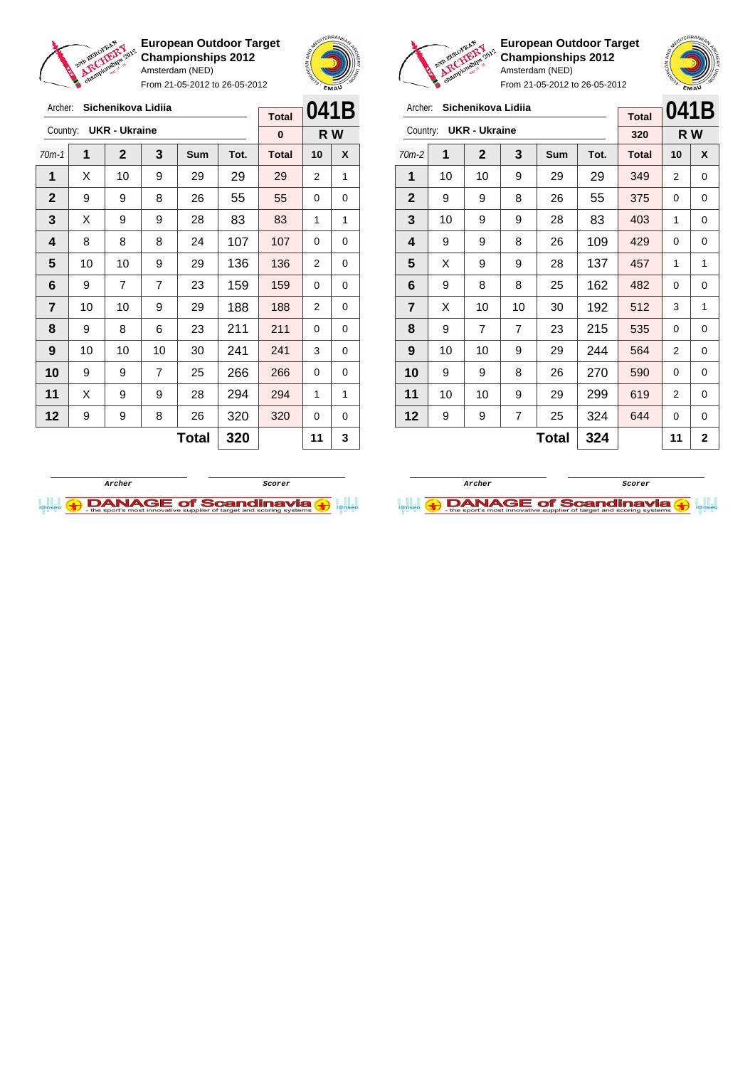

From 21-05-2012 to 26-05-2012





**European Outdoor Target Championships 2012** Amsterdam (NED)

|                | or |                      |    | From 21-05-2012 to 26-05-2012 |      |              |      | <b>EMAU</b> |
|----------------|----|----------------------|----|-------------------------------|------|--------------|------|-------------|
| Archer:        |    | Sichenikova Lidiia   |    |                               |      | <b>Total</b> | 041B |             |
| Country:       |    | <b>UKR - Ukraine</b> |    |                               |      | 320          | R W  |             |
| $70m-2$        | 1  | $\mathbf{2}$         | 3  | Sum                           | Tot. | <b>Total</b> | 10   | X           |
| 1              | 10 | 10                   | 9  | 29                            | 29   | 349          | 2    | 0           |
| $\mathbf{2}$   | 9  | 9                    | 8  | 26                            | 55   | 375          | 0    | 0           |
| 3              | 10 | 9                    | 9  | 28                            | 83   | 403          | 1    | 0           |
| 4              | 9  | 9                    | 8  | 26                            | 109  | 429          | 0    | 0           |
| 5              | X  | 9                    | 9  | 28                            | 137  | 457          | 1    | 1           |
| 6              | 9  | 8                    | 8  | 25                            | 162  | 482          | 0    | 0           |
| $\overline{7}$ | X  | 10                   | 10 | 30                            | 192  | 512          | 3    | 1           |
| 8              | 9  | 7                    | 7  | 23                            | 215  | 535          | 0    | $\Omega$    |
| 9              | 10 | 10                   | 9  | 29                            | 244  | 564          | 2    | 0           |

**Total**  $324$   $11$   $2$ 

| Archer:        |              | Sichenikova Lidija   |                |            |      |              | 041B |     |
|----------------|--------------|----------------------|----------------|------------|------|--------------|------|-----|
| Country:       |              | <b>UKR - Ukraine</b> |                |            |      | <b>Total</b> |      |     |
|                |              |                      |                |            |      | 0            |      | R W |
| $70m-1$        | 1            | $\mathbf{2}$         | 3              | <b>Sum</b> | Tot. | <b>Total</b> | 10   | X   |
| 1              | X            | 10                   | 9              | 29         | 29   | 29           | 2    | 1   |
| $\mathbf{2}$   | 9            | 9                    | 8              | 26         | 55   | 55           | 0    | 0   |
| 3              | X            | 9                    | 9              | 28         | 83   | 83           | 1    | 1   |
| 4              | 8            | 8                    | 8              | 24         | 107  | 107          | 0    | 0   |
| 5              | 10           | 10                   | 9              | 29         | 136  | 136          | 2    | 0   |
| 6              | 9            | $\overline{7}$       | $\overline{7}$ | 23         | 159  | 159          | 0    | 0   |
| $\overline{7}$ | 10           | 10                   | 9              | 29         | 188  | 188          | 2    | 0   |
| 8              | 9            | 8                    | 6              | 23         | 211  | 211          | 0    | 0   |
| 9              | 10           | 10                   | 10             | 30         | 241  | 241          | 3    | 0   |
| 10             | 9            | 9                    | $\overline{7}$ | 25         | 266  | 266          | 0    | 0   |
| 11             | X            | 9                    | 9              | 28         | 294  | 294          | 1    | 1   |
| 12             | 9            | 9                    | 8              | 26         | 320  | 320          | 0    | 0   |
|                | 320<br>Total |                      |                |            |      |              | 11   | 3   |



**10** | 9 | 9 | 8 | 26 | 270 | 590 | 0 | 0 **11** | 10 | 10 | 9 | 29 | 299 | 619 | 2 | 0 **12** | 9 | 9 | 7 | 25 | 324 | 644 | 0 | 0

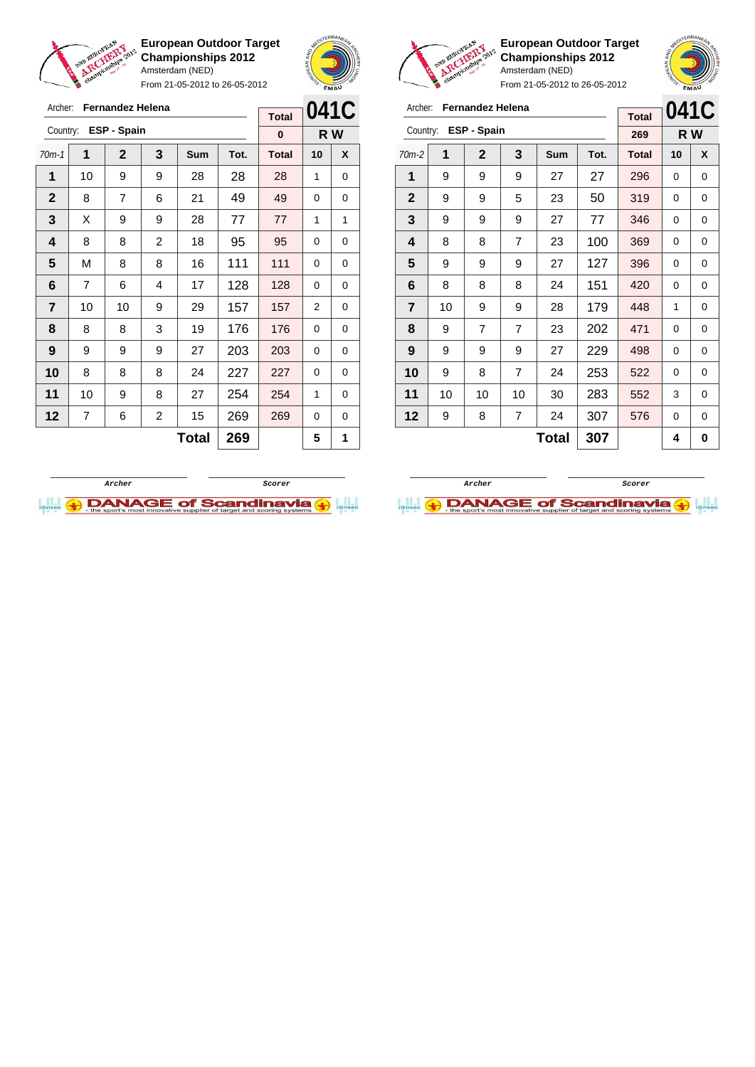

Archer: **Fernandez Helena**

Country: **ESP - Spain**

**European Outdoor Target Championships 2012** Amsterdam (NED)

From 21-05-2012 to 26-05-2012

70m-1 **1 2 3 Sum Tot. Total 10 X** | 10 | 9 | 9 | 28 | 28 | 28 | 1 | 0 | 8 | 7 | 6 | 21 | 49 | 49 | 0 | 0 X 9 9 28 77 77 1 1 | 8 | 8 | 2 | 18 | 95 | 95 | 0 | 0 | M | 8 | 8 | 16 | 111 | 111 | 0 | 0 | 7 | 6 | 4 | 17 | 128 | 128 | 0 | 0 | 10 | 10 | 9 | 29 | 157 | 157 | 2 | 0 | 8 | 8 | 3 | 19 | 176 | 176 | 0 | 0 | 9 | 9 | 9 | 27 | 203 | 203 | 0 | 0 8 8 8 8 24 227 227 0 0 | 10 | 9 | 8 | 27 | 254 <mark>| 254 |</mark> 1 | 0 | 7 | 6 | 2 | 15 | 269 | 269 | 0 | 0



**R W**

**Total 0**



**European Outdoor Target Championships 2012** Amsterdam (NED)



From 21-05-2012 to 26-05-2012

| Archer:        |    | Fernandez Helena   |                |       |      | <b>Total</b> | 041C     |   |
|----------------|----|--------------------|----------------|-------|------|--------------|----------|---|
| Country:       |    | <b>ESP - Spain</b> |                |       |      | 269          | R W      |   |
| $70m-2$        | 1  | $\mathbf{2}$       | 3              | Sum   | Tot. | <b>Total</b> | 10       | X |
| 1              | 9  | 9                  | 9              | 27    | 27   | 296          | 0        | 0 |
| $\mathbf{2}$   | 9  | 9                  | 5              | 23    | 50   | 319          | 0        | 0 |
| 3              | 9  | 9                  | 9              | 27    | 77   | 346          | 0        | 0 |
| 4              | 8  | 8                  | $\overline{7}$ | 23    | 100  | 369          | 0        | 0 |
| 5              | 9  | 9                  | 9              | 27    | 127  | 396          | 0        | 0 |
| 6              | 8  | 8                  | 8              | 24    | 151  | 420          | 0        | 0 |
| $\overline{7}$ | 10 | 9                  | 9              | 28    | 179  | 448          | 1        | 0 |
| 8              | 9  | $\overline{7}$     | $\overline{7}$ | 23    | 202  | 471          | $\Omega$ | 0 |
| 9              | 9  | 9                  | 9              | 27    | 229  | 498          | 0        | 0 |
| 10             | 9  | 8                  | 7              | 24    | 253  | 522          | 0        | 0 |
| 11             | 10 | 10                 | 10             | 30    | 283  | 552          | 3        | 0 |
| 12             | 9  | 8                  | 7              | 24    | 307  | 576          | 0        | 0 |
|                |    |                    |                | Total | 307  |              | 4        | 0 |



 $\text{Total}$  269  $\vert$  5 1

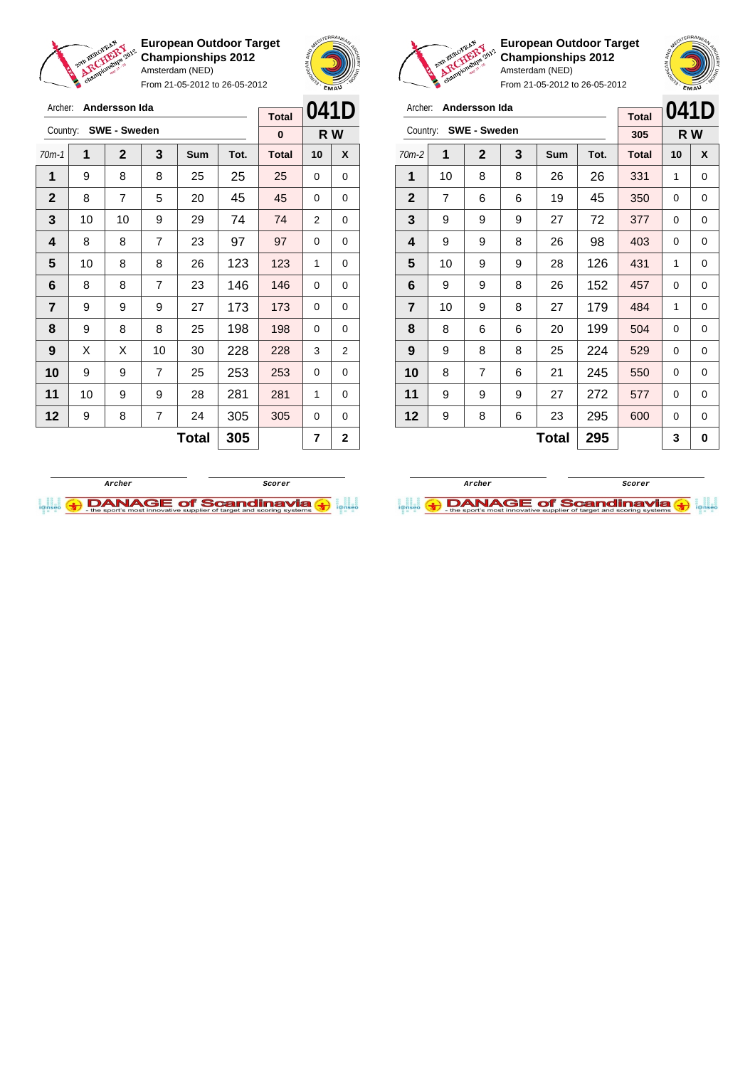

Archer: **Andersson Ida** Country: **SWE - Sweden**

**European Outdoor Target Championships 2012** Amsterdam (NED)

From 21-05-2012 to 26-05-2012



**R W**

**Total 0**



**European Outdoor Target Championships 2012** Amsterdam (NED)

| Archer:<br>Andersson Ida<br><b>SWE - Sweden</b> |                |                |   |     |      | <b>Total</b> | 041D |     |
|-------------------------------------------------|----------------|----------------|---|-----|------|--------------|------|-----|
| Country:                                        |                |                |   |     |      | 305          |      | R W |
| $70m-2$                                         | 1              | $\mathbf 2$    | 3 | Sum | Tot. | <b>Total</b> | 10   | X   |
| 1                                               | 10             | 8              | 8 | 26  | 26   | 331          | 1    | 0   |
| $\mathbf{2}$                                    | $\overline{7}$ | 6              | 6 | 19  | 45   | 350          | 0    | 0   |
| 3                                               | 9              | 9              | 9 | 27  | 72   | 377          | 0    | 0   |
| 4                                               | 9              | 9              | 8 | 26  | 98   | 403          | 0    | 0   |
| 5                                               | 10             | 9              | 9 | 28  | 126  | 431          | 1    | 0   |
| 6                                               | 9              | 9              | 8 | 26  | 152  | 457          | 0    | 0   |
| $\overline{\mathbf{r}}$                         | 10             | 9              | 8 | 27  | 179  | 484          | 1    | 0   |
| 8                                               | 8              | 6              | 6 | 20  | 199  | 504          | 0    | 0   |
| 9                                               | 9              | 8              | 8 | 25  | 224  | 529          | 0    | 0   |
| 10                                              | 8              | $\overline{7}$ | 6 | 21  | 245  | 550          | 0    | 0   |
| 11                                              | 9              | 9              | 9 | 27  | 272  | 577          | 0    | 0   |
| 12                                              | 9              | 8              | 6 | 23  | 295  | 600          | 0    | 0   |
|                                                 |                |                |   | 3   | 0    |              |      |     |





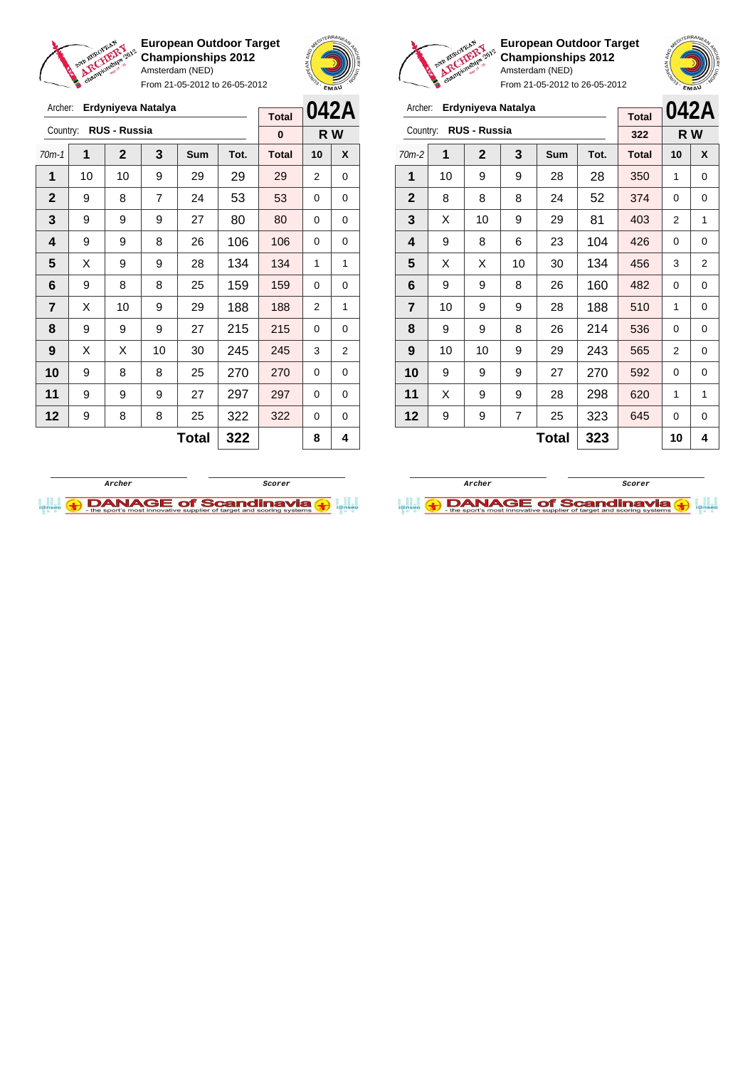

Archer: **Erdyniyeva Natalya**

Country: **RUS - Russia**

**European Outdoor Target Championships 2012** Amsterdam (NED) From 21-05-2012 to 26-05-2012

70m-1 **1 2 3 Sum Tot. Total 10 X**



**R W**

**Total 0**



**European Outdoor Target Championships 2012** Amsterdam (NED)

| From 21-05-2012 to 26-05-2012 |    |                    |                |              |      |              |          | EMAU |
|-------------------------------|----|--------------------|----------------|--------------|------|--------------|----------|------|
| Archer:                       |    | Erdyniyeva Natalya |                |              |      | <b>Total</b> | 042A     |      |
| Country:                      |    | RUS - Russia       |                |              |      | 322          | R W      |      |
| $70m-2$                       | 1  | $\mathbf{2}$       | 3              | <b>Sum</b>   | Tot. | <b>Total</b> | 10       | X    |
| 1                             | 10 | 9                  | 9              | 28           | 28   | 350          | 1        | 0    |
| $\mathbf{2}$                  | 8  | 8                  | 8              | 24           | 52   | 374          | $\Omega$ | 0    |
| 3                             | X  | 10                 | 9              | 29           | 81   | 403          | 2        | 1    |
| 4                             | 9  | 8                  | 6              | 23           | 104  | 426          | 0        | 0    |
| 5                             | X  | X                  | 10             | 30           | 134  | 456          | 3        | 2    |
| 6                             | 9  | 9                  | 8              | 26           | 160  | 482          | $\Omega$ | 0    |
| $\overline{7}$                | 10 | 9                  | 9              | 28           | 188  | 510          | 1        | 0    |
| 8                             | 9  | 9                  | 8              | 26           | 214  | 536          | $\Omega$ | 0    |
| 9                             | 10 | 10                 | 9              | 29           | 243  | 565          | 2        | 0    |
| 10                            | 9  | 9                  | 9              | 27           | 270  | 592          | 0        | 0    |
| 11                            | X  | 9                  | 9              | 28           | 298  | 620          | 1        | 1    |
| 12                            | 9  | 9                  | $\overline{7}$ | 25           | 323  | 645          | 0        | 0    |
|                               |    |                    |                | <b>Total</b> | 323  |              | 10       | 4    |

| 1                       | 10 | 10 | 9              | 29           | 29  | 29  | $\overline{2}$ | 0              |
|-------------------------|----|----|----------------|--------------|-----|-----|----------------|----------------|
| $\mathbf{2}$            | 9  | 8  | $\overline{7}$ | 24           | 53  | 53  | 0              | 0              |
| 3                       | 9  | 9  | 9              | 27           | 80  | 80  | 0              | 0              |
| 4                       | 9  | 9  | 8              | 26           | 106 | 106 | 0              | 0              |
| 5                       | Χ  | 9  | 9              | 28           | 134 | 134 | 1              | 1              |
| 6                       | 9  | 8  | 8              | 25           | 159 | 159 | 0              | 0              |
| $\overline{\mathbf{r}}$ | X  | 10 | 9              | 29           | 188 | 188 | 2              | 1              |
| 8                       | 9  | 9  | 9              | 27           | 215 | 215 | 0              | 0              |
| 9                       | Χ  | Χ  | 10             | 30           | 245 | 245 | 3              | $\overline{2}$ |
| 10                      | 9  | 8  | 8              | 25           | 270 | 270 | 0              | 0              |
| 11                      | 9  | 9  | 9              | 27           | 297 | 297 | 0              | 0              |
| 12                      | 9  | 8  | 8              | 25           | 322 | 322 | 0              | 0              |
|                         |    |    |                | <b>Total</b> | 322 |     | 8              | 4              |
|                         |    |    |                |              |     |     |                |                |



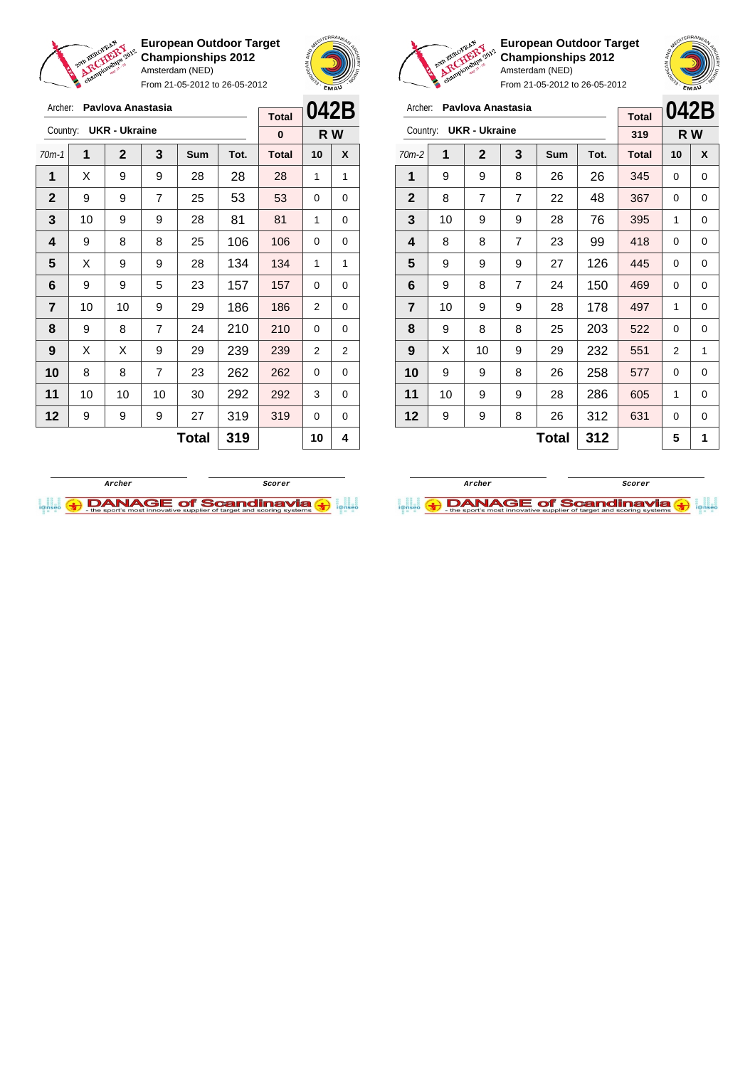

Archer: **Pavlova Anastasia** Country: **UKR - Ukraine**

**European Outdoor Target Championships 2012** Amsterdam (NED)

From 21-05-2012 to 26-05-2012

70m-1 **1 2 3 Sum Tot. Total 10 X**  $\mid$  X  $\mid$  9  $\mid$  9  $\mid$  28  $\mid$  28  $\mid$  28  $\mid$  1  $\mid$  1 9 9 7 25 53 53 0 0 | 10 | 9 | 9 | 28 | 81 | 81 | 1 | 0 | 9 | 8 | 8 | 25 | 106 | 106 | 0 | 0  $\mid$  X  $\mid$  9  $\mid$  9  $\mid$  28  $\mid$  134  $\mid$  134  $\mid$  1  $\mid$  1 | 9 | 9 | 5 | 23 | 157 | 157 | 0 | 0 | 10 | 10 | 9 | 29 | 186 | 186 | 2 | 0 | 9 | 8 | 7 | 24 | 210 | 210 | 0 | 0 | X | X | 9 | 29 | 239 | 239 | 2 | 2 8 8 7 23 262 262 0 0 | 10 | 10 | 10 | 30 | 292 | 292 | 3 | 0 | 9 | 9 | 9 | 27 | 319 | 319 | 0 | 0



**R W**

**Total 0**



**European Outdoor Target Championships 2012** Amsterdam (NED)



From 21-05-2012 to 26-05-2012

| Archer:        |    | Pavlova Anastasia    |   |       |      |              | 042B |     |
|----------------|----|----------------------|---|-------|------|--------------|------|-----|
|                |    |                      |   |       |      | <b>Total</b> |      |     |
| Country:       |    | <b>UKR - Ukraine</b> |   |       |      | 319          |      | R W |
| $70m-2$        | 1  | $\mathbf{2}$         | 3 | Sum   | Tot. | <b>Total</b> | 10   | X   |
| 1              | 9  | 9                    | 8 | 26    | 26   | 345          | 0    | 0   |
| $\mathbf{2}$   | 8  | 7                    | 7 | 22    | 48   | 367          | 0    | 0   |
| 3              | 10 | 9                    | 9 | 28    | 76   | 395          | 1    | 0   |
| 4              | 8  | 8                    | 7 | 23    | 99   | 418          | 0    | 0   |
| 5              | 9  | 9                    | 9 | 27    | 126  | 445          | 0    | 0   |
| 6              | 9  | 8                    | 7 | 24    | 150  | 469          | 0    | 0   |
| $\overline{7}$ | 10 | 9                    | 9 | 28    | 178  | 497          | 1    | 0   |
| 8              | 9  | 8                    | 8 | 25    | 203  | 522          | 0    | 0   |
| 9              | X  | 10                   | 9 | 29    | 232  | 551          | 2    | 1   |
| 10             | 9  | 9                    | 8 | 26    | 258  | 577          | 0    | 0   |
| 11             | 10 | 9                    | 9 | 28    | 286  | 605          | 1    | 0   |
| 12             | 9  | 9                    | 8 | 26    | 312  | 631          | 0    | 0   |
|                |    |                      |   | Total | 312  |              | 5    | 1   |



 $Total | 319 | 10 | 4$ 

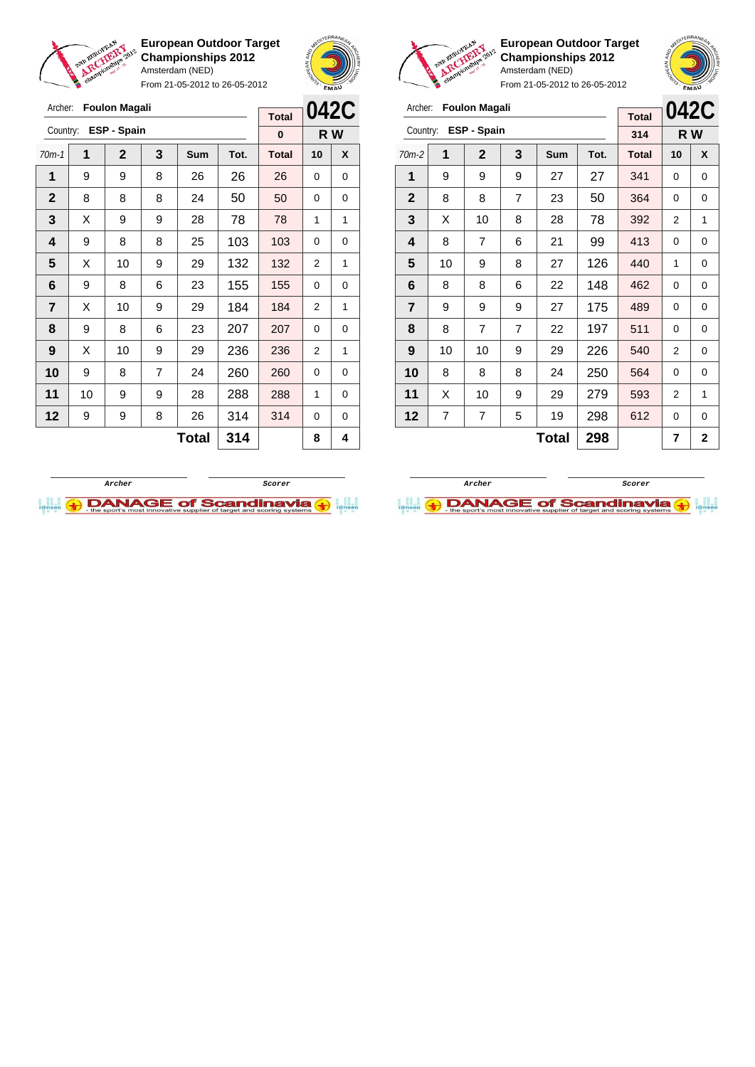

From 21-05-2012 to 26-05-2012





**European Outdoor Target Championships 2012** Amsterdam (NED)

| Archer:        |    | <b>Foulon Magali</b> |                |              |      | <b>Total</b> | 042C           |                |
|----------------|----|----------------------|----------------|--------------|------|--------------|----------------|----------------|
| Country:       |    | ESP - Spain          |                |              |      | 314          |                | R W            |
| $70m-2$        | 1  | $\mathbf 2$          | 3              | <b>Sum</b>   | Tot. | <b>Total</b> | 10             | X              |
| 1              | 9  | 9                    | 9              | 27           | 27   | 341          | 0              | 0              |
| $\mathbf{2}$   | 8  | 8                    | $\overline{7}$ | 23           | 50   | 364          | 0              | 0              |
| 3              | X  | 10                   | 8              | 28           | 78   | 392          | 2              | 1              |
| 4              | 8  | 7                    | 6              | 21           | 99   | 413          | 0              | 0              |
| 5              | 10 | 9                    | 8              | 27           | 126  | 440          | 1              | 0              |
| 6              | 8  | 8                    | 6              | 22           | 148  | 462          | 0              | 0              |
| $\overline{7}$ | 9  | 9                    | 9              | 27           | 175  | 489          | 0              | 0              |
| 8              | 8  | 7                    | $\overline{7}$ | 22           | 197  | 511          | 0              | 0              |
| 9              | 10 | 10                   | 9              | 29           | 226  | 540          | $\overline{2}$ | 0              |
| 10             | 8  | 8                    | 8              | 24           | 250  | 564          | 0              | 0              |
| 11             | X  | 10                   | 9              | 29           | 279  | 593          | $\overline{2}$ | 1              |
| 12             | 7  | 7                    | 5              | 19           | 298  | 612          | 0              | 0              |
|                |    |                      |                | <b>Total</b> | 298  |              | 7              | $\overline{2}$ |





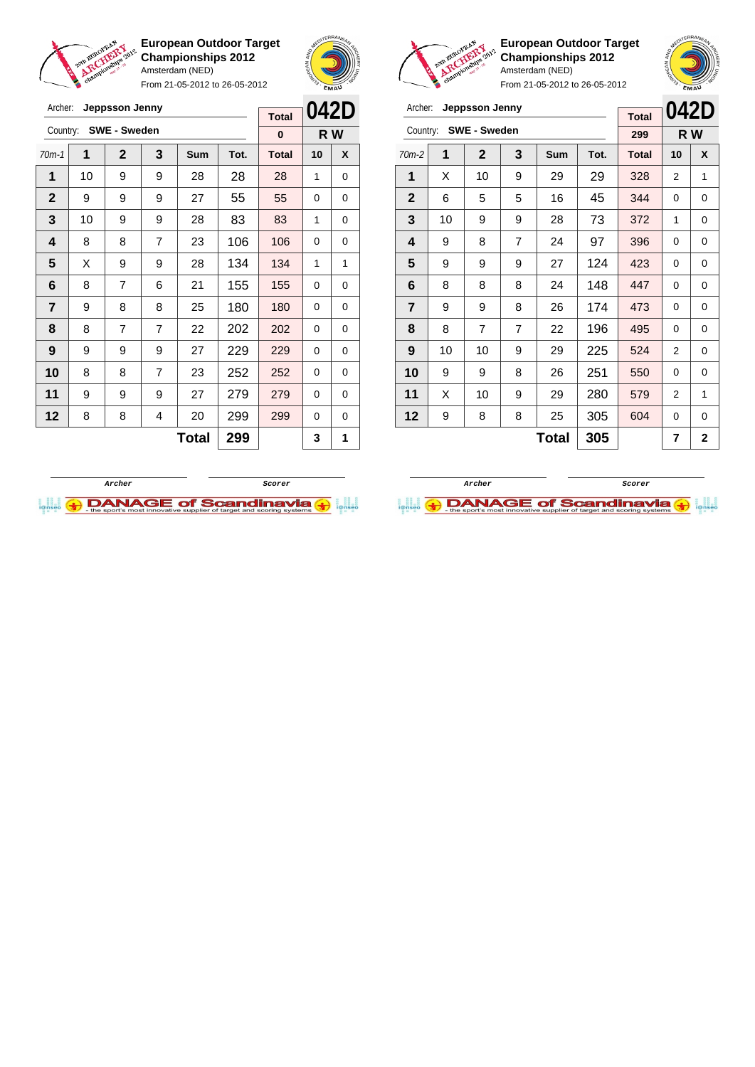

Archer: **Jeppsson Jenny**

**European Outdoor Target Championships 2012** Amsterdam (NED)

From 21-05-2012 to 26-05-2012



**042D**

**Total**



**European Outdoor Target Championships 2012** Amsterdam (NED)



| Archer:<br>Jeppsson Jenny |    |                     |                |            |      | <b>Total</b> |    | 042D |
|---------------------------|----|---------------------|----------------|------------|------|--------------|----|------|
| Country:                  |    | <b>SWE - Sweden</b> |                |            |      | 299          |    | R W  |
| $70m-2$                   | 1  | $\mathbf{2}$        | 3              | <b>Sum</b> | Tot. | <b>Total</b> | 10 | X    |
| 1                         | X  | 10                  | 9              | 29         | 29   | 328          | 2  | 1    |
| $\mathbf{2}$              | 6  | 5                   | 5              | 16         | 45   | 344          | 0  | 0    |
| 3                         | 10 | 9                   | 9              | 28         | 73   | 372          | 1  | 0    |
| 4                         | 9  | 8                   | $\overline{7}$ | 24         | 97   | 396          | 0  | 0    |
| 5                         | 9  | 9                   | 9              | 27         | 124  | 423          | 0  | 0    |
| 6                         | 8  | 8                   | 8              | 24         | 148  | 447          | 0  | 0    |
| $\overline{7}$            | 9  | 9                   | 8              | 26         | 174  | 473          | 0  | 0    |
| 8                         | 8  | $\overline{7}$      | $\overline{7}$ | 22         | 196  | 495          | 0  | 0    |
| 9                         | 10 | 10                  | 9              | 29         | 225  | 524          | 2  | 0    |
| 10                        | 9  | 9                   | 8              | 26         | 251  | 550          | 0  | 0    |
| 11                        | X  | 10                  | 9              | 29         | 280  | 579          | 2  | 1    |
| 12                        | 9  | 8                   | 8              | 25         | 305  | 604          | 0  | 0    |
|                           |    |                     |                | Total      | 305  |              | 7  | 2    |

| Country:       |    | <b>SWE - Sweden</b> |   |     |      | 0            |    | R W |
|----------------|----|---------------------|---|-----|------|--------------|----|-----|
| $70m-1$        | 1  | $\mathbf 2$         | 3 | Sum | Tot. | <b>Total</b> | 10 | X   |
| 1              | 10 | 9                   | 9 | 28  | 28   | 28           | 1  | 0   |
| $\mathbf{2}$   | 9  | 9                   | 9 | 27  | 55   | 55           | 0  | 0   |
| 3              | 10 | 9                   | 9 | 28  | 83   | 83           | 1  | 0   |
| 4              | 8  | 8                   | 7 | 23  | 106  | 106          | 0  | 0   |
| 5              | X  | 9                   | 9 | 28  | 134  | 134          | 1  | 1   |
| 6              | 8  | 7                   | 6 | 21  | 155  | 155          | 0  | 0   |
| $\overline{7}$ | 9  | 8                   | 8 | 25  | 180  | 180          | 0  | 0   |
| 8              | 8  | $\overline{7}$      | 7 | 22  | 202  | 202          | 0  | 0   |
| 9              | 9  | 9                   | 9 | 27  | 229  | 229          | 0  | 0   |
| 10             | 8  | 8                   | 7 | 23  | 252  | 252          | 0  | 0   |
| 11             | 9  | 9                   | 9 | 27  | 279  | 279          | 0  | 0   |
| 12             | 8  | 8                   | 4 | 20  | 299  | 299          | 0  | 0   |
|                |    |                     |   | 3   | 1    |              |    |     |



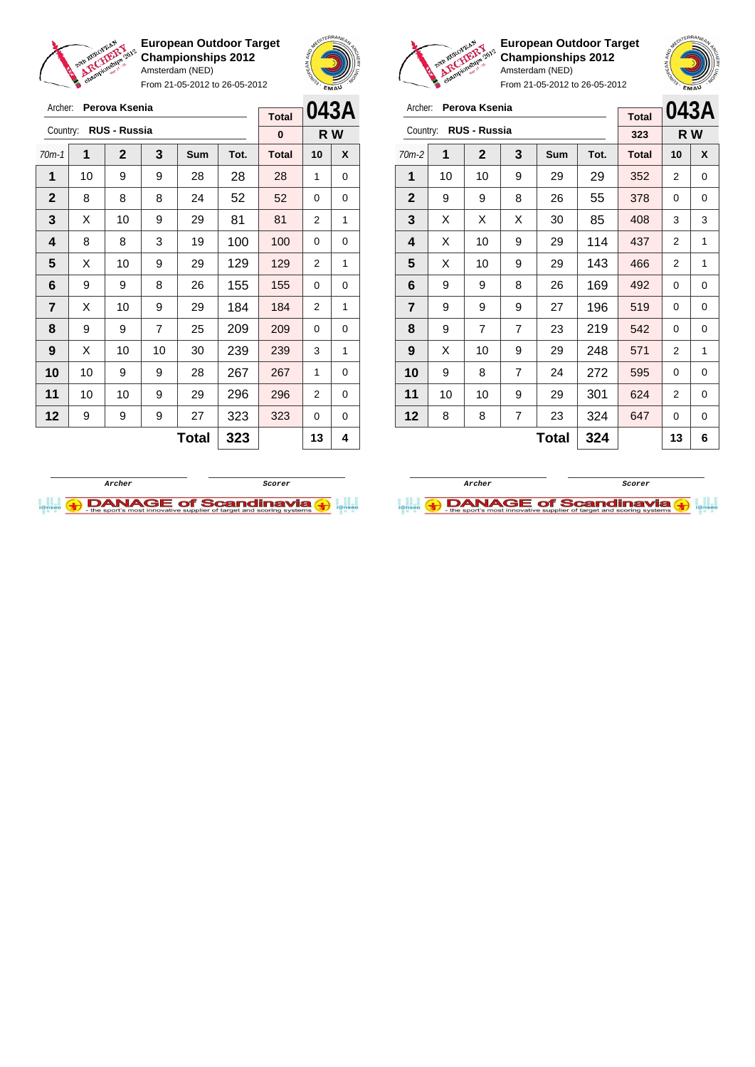

Archer: **Perova Ksenia** Country: **RUS - Russia**

**European Outdoor Target Championships 2012** Amsterdam (NED)

From 21-05-2012 to 26-05-2012

70m-1 **1 2 3 Sum Tot. Total 10 X** | 10 | 9 | 9 | 28 | 28 | 28 | 1 | 0 8 8 8 24 52 52 0 0  $\mid$  X  $\mid$  10  $\mid$  9  $\mid$  29  $\mid$  81  $\mid$  81  $\mid$  2  $\mid$  1 | 8 | 8 | 3 | 19 | 100 | 100 | 0 | 0  $\mid$  X  $\mid$  10  $\mid$  9  $\mid$  29  $\mid$  129  $\mid$  129  $\mid$  2  $\mid$  1 | 9 | 9 | 8 | 26 | 155 | 155 | 0 | 0  $\begin{array}{|c|c|c|c|c|c|}\n\hline\n\textbf{7} & \textbf{X} & \textbf{10} & \textbf{9} & \textbf{29} & \textbf{184} & \textbf{184} & \textbf{2} & \textbf{1}\n\end{array}$  | 9 | 9 | 7 | 25 | 209 | 209 | 0 | 0 | X | 10 | 10 | 30 | **239 | 239 |** 3 | 1 | 10 | 9 | 9 | 28 | **267 | 267** | 1 | 0 | 10 | 10 | 9 | 29 | 296 | 296 | 2 | 0 | 9 | 9 | 9 | 27 | 323 | 323 | 0 | 0



**R W**

**Total 0**



**European Outdoor Target Championships 2012** Amsterdam (NED)



From 21-05-2012 to 26-05-2012

| Archer:<br>Perova Ksenia<br><b>Total</b> |                     |                     |                |     |      |              |    | 043A |
|------------------------------------------|---------------------|---------------------|----------------|-----|------|--------------|----|------|
| Country:                                 |                     | <b>RUS - Russia</b> |                |     |      | 323          |    | R W  |
| $70m-2$                                  | 1                   | $\mathbf{2}$        | 3              | Sum | Tot. | <b>Total</b> | 10 | X    |
| 1                                        | 10                  | 10                  | 9              | 29  | 29   | 352          | 2  | 0    |
| $\mathbf{2}$                             | 9                   | 9                   | 8              | 26  | 55   | 378          | 0  | 0    |
| 3                                        | X                   | Х                   | X              | 30  | 85   | 408          | 3  | 3    |
| 4                                        | X                   | 10                  | 9              | 29  | 114  | 437          | 2  | 1    |
| 5                                        | X                   | 10                  | 9              | 29  | 143  | 466          | 2  | 1    |
| 6                                        | 9                   | 9                   | 8              | 26  | 169  | 492          | 0  | 0    |
| $\overline{7}$                           | 9                   | 9                   | 9              | 27  | 196  | 519          | 0  | 0    |
| 8                                        | 9                   | 7                   | $\overline{7}$ | 23  | 219  | 542          | 0  | 0    |
| 9                                        | X                   | 10                  | 9              | 29  | 248  | 571          | 2  | 1    |
| 10                                       | 9                   | 8                   | 7              | 24  | 272  | 595          | 0  | 0    |
| 11                                       | 10                  | 10                  | 9              | 29  | 301  | 624          | 2  | 0    |
| 12                                       | 8                   | 8                   | $\overline{7}$ | 23  | 324  | 647          | 0  | 0    |
|                                          | 324<br><b>Total</b> |                     |                |     |      |              | 13 | 6    |

**Archer Scorer**

**DANAGE of Scandinavia** 



 $Total | 323 | 13 | 4$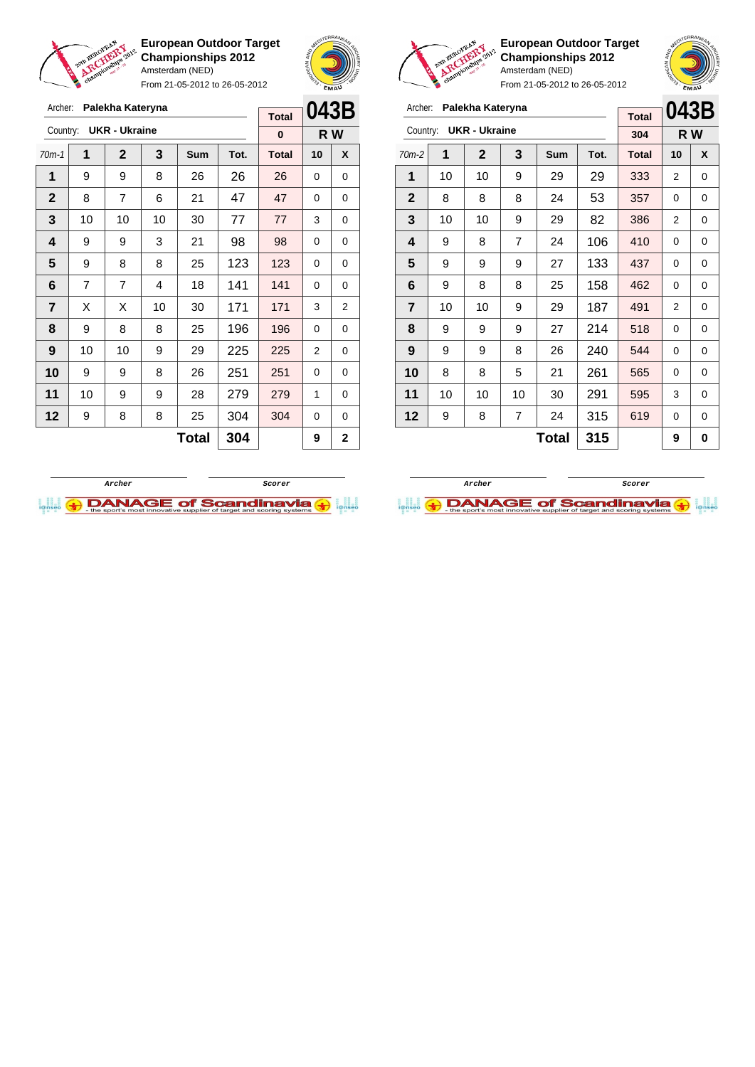

From 21-05-2012 to 26-05-2012



**European Outdoor Target Championships 2012** Amsterdam (NED)

| Archer:                 |    | Palekha Kateryna     |    |       |      | <b>Total</b> | 043B |     |
|-------------------------|----|----------------------|----|-------|------|--------------|------|-----|
| Country:                |    | <b>UKR - Ukraine</b> |    |       |      | 304          |      | R W |
| $70m-2$                 | 1  | $\mathbf 2$          | 3  | Sum   | Tot. | <b>Total</b> | 10   | X   |
| 1                       | 10 | 10                   | 9  | 29    | 29   | 333          | 2    | 0   |
| $\mathbf{2}$            | 8  | 8                    | 8  | 24    | 53   | 357          | 0    | 0   |
| 3                       | 10 | 10                   | 9  | 29    | 82   | 386          | 2    | 0   |
| 4                       | 9  | 8                    | 7  | 24    | 106  | 410          | 0    | 0   |
| 5                       | 9  | 9                    | 9  | 27    | 133  | 437          | 0    | 0   |
| 6                       | 9  | 8                    | 8  | 25    | 158  | 462          | 0    | 0   |
| $\overline{\mathbf{r}}$ | 10 | 10                   | 9  | 29    | 187  | 491          | 2    | 0   |
| 8                       | 9  | 9                    | 9  | 27    | 214  | 518          | 0    | 0   |
| 9                       | 9  | 9                    | 8  | 26    | 240  | 544          | 0    | 0   |
| 10                      | 8  | 8                    | 5  | 21    | 261  | 565          | 0    | 0   |
| 11                      | 10 | 10                   | 10 | 30    | 291  | 595          | 3    | 0   |
| 12                      | 9  | 8                    | 7  | 24    | 315  | 619          | 0    | 0   |
|                         |    |                      |    | Total | 315  |              | 9    | 0   |

| Archer:        |    | Palekha Kateryna     |    |       |      | <b>Total</b> | 043B |                |
|----------------|----|----------------------|----|-------|------|--------------|------|----------------|
| Country:       |    | <b>UKR - Ukraine</b> |    |       |      | $\bf{0}$     |      | R W            |
|                |    |                      |    |       |      |              |      |                |
| $70m-1$        | 1  | $\mathbf{2}$         | 3  | Sum   | Tot. | <b>Total</b> | 10   | X              |
| 1              | 9  | 9                    | 8  | 26    | 26   | 26           | 0    | 0              |
| $\mathbf 2$    | 8  | 7                    | 6  | 21    | 47   | 47           | 0    | 0              |
| 3              | 10 | 10                   | 10 | 30    | 77   | 77           | 3    | 0              |
| 4              | 9  | 9                    | 3  | 21    | 98   | 98           | 0    | 0              |
| 5              | 9  | 8                    | 8  | 25    | 123  | 123          | 0    | 0              |
| 6              | 7  | 7                    | 4  | 18    | 141  | 141          | 0    | 0              |
| $\overline{7}$ | X  | X                    | 10 | 30    | 171  | 171          | 3    | $\overline{2}$ |
| 8              | 9  | 8                    | 8  | 25    | 196  | 196          | 0    | 0              |
| 9              | 10 | 10                   | 9  | 29    | 225  | 225          | 2    | 0              |
| 10             | 9  | 9                    | 8  | 26    | 251  | 251          | 0    | 0              |
| 11             | 10 | 9                    | 9  | 28    | 279  | 279          | 1    | 0              |
| 12             | 9  | 8                    | 8  | 25    | 304  | 304          | 0    | 0              |
|                |    |                      |    | Total | 304  |              | 9    | $\mathbf{2}$   |
|                |    |                      |    |       |      |              |      |                |



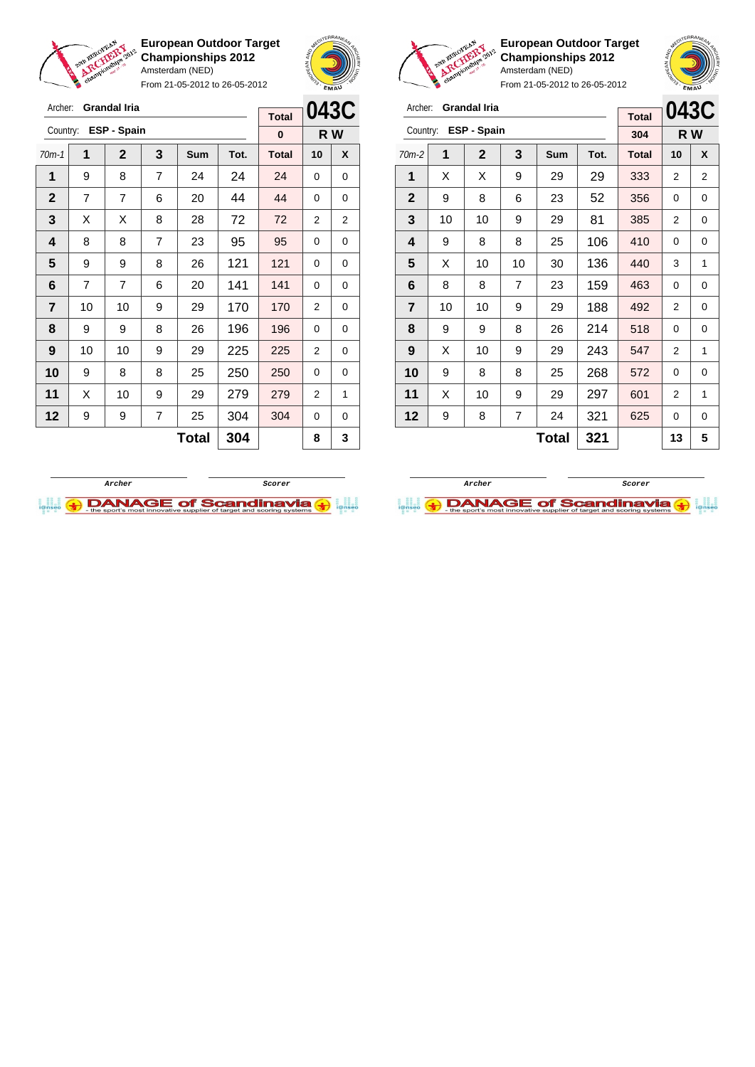

Archer: **Grandal Iria** Country: **ESP - Spain**

**European Outdoor Target Championships 2012** Amsterdam (NED)

From 21-05-2012 to 26-05-2012

70m-1 **1 2 3 Sum Tot. Total 10 X** | 9 | 8 | 7 | 24 | 24 | 24 | 0 | 0 | 7 | 7 | 6 | 20 | 44 | <mark>44 |</mark> 0 | 0  $\mid$  X  $\mid$  X  $\mid$  8  $\mid$  28  $\mid$  72  $\mid$  72  $\mid$  2  $\mid$  2 | 8 | 8 | 7 | 23 | 95 | 95 | 0 | 0 9 9 8 26 121 121 0 0 | 7 | 7 | 6 | 20 | 141 | 141 | 0 | 0 | 10 | 10 | 9 | 29 | 170 | 170 | 2 | 0 | 9 | 9 | 8 | 26 | 196 | 196 | 0 | 0 | 10 | 10 | 9 | 29 | 225 | 225 | 2 | 0 9 8 8 25 250 250 0 0 | X | 10 | 9 | 29 | 279 | 279 | 2 | 1 | 9 | 9 | 7 | 25 | 304 | 304 | 0 | 0



**R W**

**Total 0**



**European Outdoor Target Championships 2012** Amsterdam (NED)



From 21-05-2012 to 26-05-2012

| Archer:        |                     | <b>Grandal Iria</b> |    |     | <b>Total</b> | 043C         |    |     |
|----------------|---------------------|---------------------|----|-----|--------------|--------------|----|-----|
| Country:       |                     | ESP - Spain         |    |     |              | 304          |    | R W |
| $70m-2$        | 1                   | $\mathbf{2}$        | 3  | Sum | Tot.         | <b>Total</b> | 10 | X   |
| 1              | X                   | Х                   | 9  | 29  | 29           | 333          | 2  | 2   |
| $\mathbf 2$    | 9                   | 8                   | 6  | 23  | 52           | 356          | 0  | 0   |
| 3              | 10                  | 10                  | 9  | 29  | 81           | 385          | 2  | 0   |
| 4              | 9                   | 8                   | 8  | 25  | 106          | 410          | 0  | 0   |
| 5              | X                   | 10                  | 10 | 30  | 136          | 440          | 3  | 1   |
| 6              | 8                   | 8                   | 7  | 23  | 159          | 463          | 0  | 0   |
| $\overline{7}$ | 10                  | 10                  | 9  | 29  | 188          | 492          | 2  | 0   |
| 8              | 9                   | 9                   | 8  | 26  | 214          | 518          | 0  | 0   |
| 9              | X                   | 10                  | 9  | 29  | 243          | 547          | 2  | 1   |
| 10             | 9                   | 8                   | 8  | 25  | 268          | 572          | 0  | 0   |
| 11             | X                   | 10                  | 9  | 29  | 297          | 601          | 2  | 1   |
| 12             | 9                   | 8                   | 7  | 24  | 321          | 625          | 0  | 0   |
|                | <b>Total</b><br>321 |                     |    |     |              |              | 13 | 5   |



 $Total | 304 | 8 | 3$ 

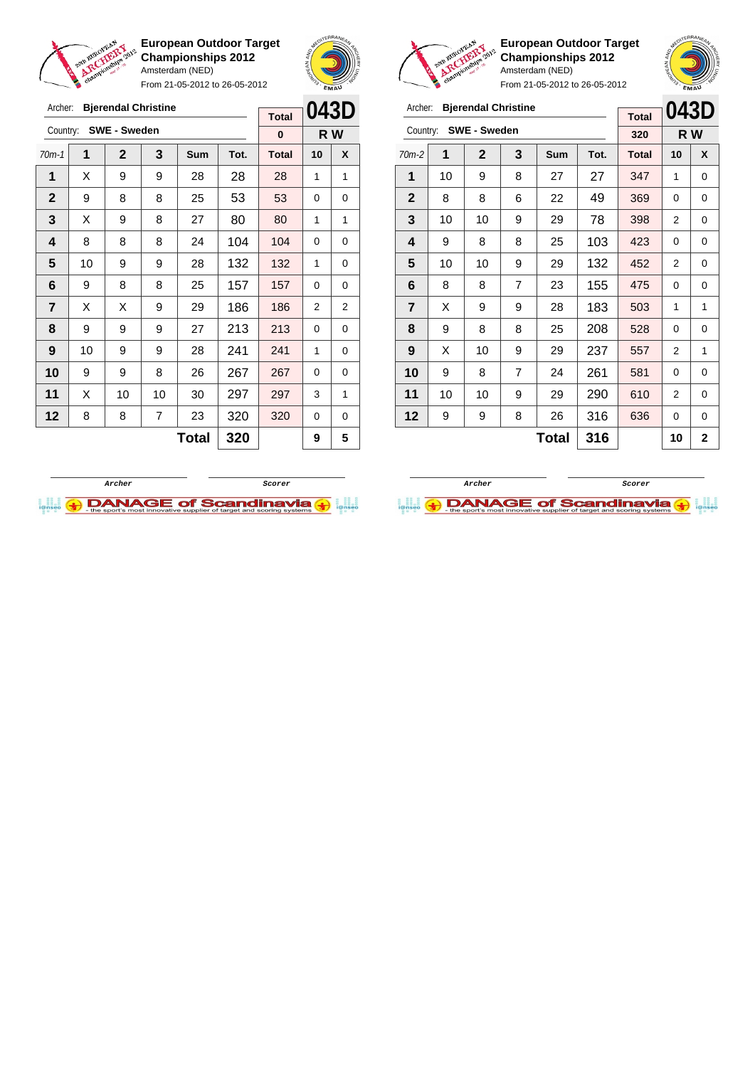

Archer: **Bjerendal Christine**

Country: **SWE - Sweden**

**European Outdoor Target Championships 2012** Amsterdam (NED)

From 21-05-2012 to 26-05-2012

70m-1 **1 2 3 Sum Tot. Total 10 X**  $\mid$  X  $\mid$  9  $\mid$  9  $\mid$  28  $\mid$  28  $\mid$  28  $\mid$  1  $\mid$  1 9 8 8 25 53 53 0 0  $\begin{array}{|c|c|c|c|c|c|}\n\hline\n\textbf{3} & \textbf{3} & \textbf{3} & \textbf{3} & \textbf{3} & \textbf{3} & \textbf{3} & \textbf{3} & \textbf{3} & \textbf{3} & \textbf{3} & \textbf{3} & \textbf{3} & \textbf{3} & \textbf{3} & \textbf{3} & \textbf{3} & \textbf{3} & \textbf{3} & \textbf{3} & \textbf{3} & \textbf{3} & \textbf{3} & \textbf{3} & \textbf{3} & \textbf{3} & \textbf{3} & \textbf$  | 8 | 8 | 8 | 24 | 104 | 104 | 0 | 0 10 9 9 28 132 132 1 0 | 9 | 8 | 8 | 25 | 157 | 157 | 0 | 0  $\mid$  X  $\mid$  X  $\mid$  9  $\mid$  29  $\mid$  186  $\mid$  186  $\mid$  2  $\mid$  2



**R W**

**Total 0**



**European Outdoor Target Championships 2012** Amsterdam (NED)



From 21-05-2012 to 26-05-2012

| Archer:        |              | <b>Bjerendal Christine</b> |   |     |      |              | 043D |              |
|----------------|--------------|----------------------------|---|-----|------|--------------|------|--------------|
|                |              |                            |   |     |      | <b>Total</b> |      |              |
| Country:       |              | <b>SWE - Sweden</b>        |   |     |      | 320          | R W  |              |
| $70m-2$        | 1            | $\mathbf{2}$               | 3 | Sum | Tot. | <b>Total</b> | 10   | X            |
| 1              | 10           | 9                          | 8 | 27  | 27   | 347          | 1    | 0            |
| $\mathbf{2}$   | 8            | 8                          | 6 | 22  | 49   | 369          | 0    | 0            |
| 3              | 10           | 10                         | 9 | 29  | 78   | 398          | 2    | 0            |
| 4              | 9            | 8                          | 8 | 25  | 103  | 423          | 0    | 0            |
| 5              | 10           | 10                         | 9 | 29  | 132  | 452          | 2    | 0            |
| 6              | 8            | 8                          | 7 | 23  | 155  | 475          | 0    | 0            |
| $\overline{7}$ | X            | 9                          | 9 | 28  | 183  | 503          | 1    | 1            |
| 8              | 9            | 8                          | 8 | 25  | 208  | 528          | 0    | 0            |
| 9              | X            | 10                         | 9 | 29  | 237  | 557          | 2    | 1            |
| 10             | 9            | 8                          | 7 | 24  | 261  | 581          | 0    | 0            |
| 11             | 10           | 10                         | 9 | 29  | 290  | 610          | 2    | 0            |
| 12             | 9            | 9                          | 8 | 26  | 316  | 636          | 0    | 0            |
|                | 316<br>Total |                            |   |     |      |              | 10   | $\mathbf{2}$ |

**Archer Scorer**

**DANAGE of Scandinavia** 



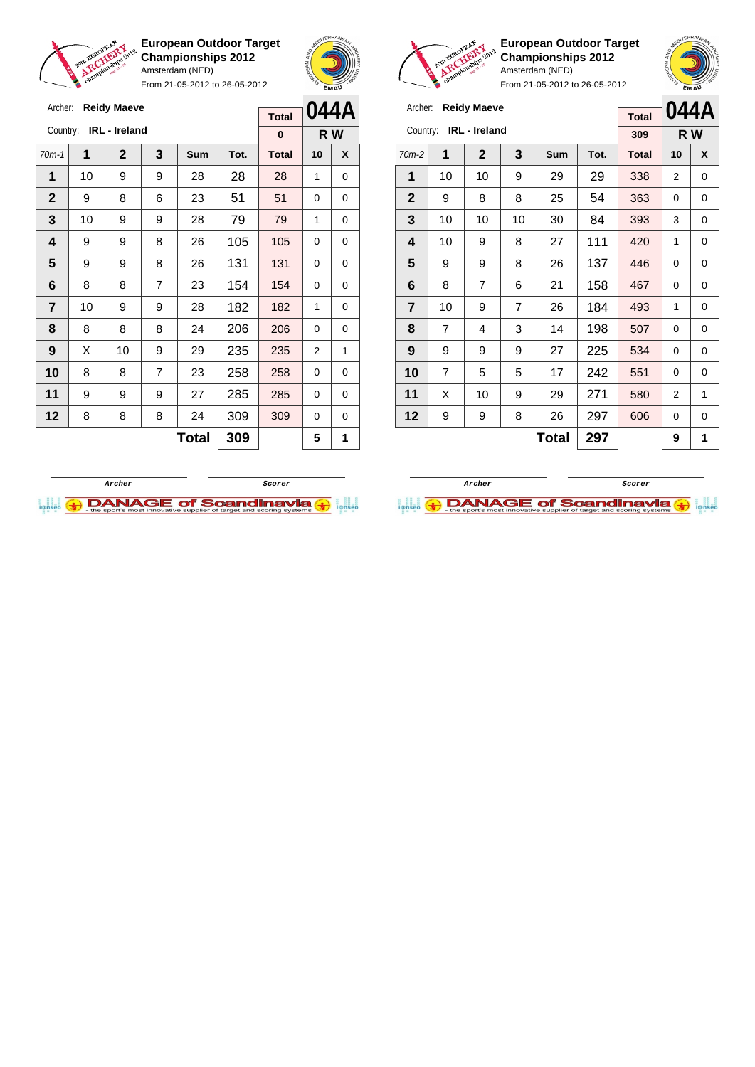

Archer: **Reidy Maeve**

**European Outdoor Target Championships 2012** Amsterdam (NED)

From 21-05-2012 to 26-05-2012





**European Outdoor Target Championships 2012** Amsterdam (NED)

| Archer:        |                | <b>Reidy Maeve</b>   |    | <b>Total</b> | 044A |              |                |     |
|----------------|----------------|----------------------|----|--------------|------|--------------|----------------|-----|
| Country:       |                | <b>IRL</b> - Ireland |    |              |      | 309          |                | R W |
| $70m-2$        | 1              | 2                    | 3  | Sum          | Tot. | <b>Total</b> | 10             | X   |
| 1              | 10             | 10                   | 9  | 29           | 29   | 338          | 2              | 0   |
| $\mathbf{2}$   | 9              | 8                    | 8  | 25           | 54   | 363          | 0              | 0   |
| 3              | 10             | 10                   | 10 | 30           | 84   | 393          | 3              | 0   |
| 4              | 10             | 9                    | 8  | 27           | 111  | 420          | 1              | 0   |
| 5              | 9              | 9                    | 8  | 26           | 137  | 446          | 0              | 0   |
| 6              | 8              | 7                    | 6  | 21           | 158  | 467          | 0              | 0   |
| $\overline{7}$ | 10             | 9                    | 7  | 26           | 184  | 493          | 1              | 0   |
| 8              | $\overline{7}$ | 4                    | 3  | 14           | 198  | 507          | 0              | 0   |
| 9              | 9              | 9                    | 9  | 27           | 225  | 534          | 0              | 0   |
| 10             | $\overline{7}$ | 5                    | 5  | 17           | 242  | 551          | 0              | 0   |
| 11             | X              | 10                   | 9  | 29           | 271  | 580          | $\overline{2}$ | 1   |
| 12             | 9              | 9                    | 8  | 26           | 297  | 606          | 0              | 0   |
|                |                |                      |    | 9            | 1    |              |                |     |

| Archer:                 |    | <b>Reidy Maeve</b> |   |              | <b>Total</b> |              | 044A           |     |
|-------------------------|----|--------------------|---|--------------|--------------|--------------|----------------|-----|
| Country:                |    | IRL - Ireland      |   |              |              | $\bf{0}$     |                | R W |
| $70m-1$                 | 1  | $\mathbf{2}$       | 3 | Sum          | Tot.         | <b>Total</b> | 10             | X   |
| 1                       | 10 | 9                  | 9 | 28           | 28           | 28           | 1              | 0   |
| $\mathbf{2}$            | 9  | 8                  | 6 | 23           | 51           | 51           | $\Omega$       | 0   |
| 3                       | 10 | 9                  | 9 | 28           | 79           | 79           | 1              | 0   |
| $\overline{\mathbf{4}}$ | 9  | 9                  | 8 | 26           | 105          | 105          | 0              | 0   |
| 5                       | 9  | 9                  | 8 | 26           | 131          | 131          | 0              | 0   |
| 6                       | 8  | 8                  | 7 | 23           | 154          | 154          | 0              | 0   |
| 7                       | 10 | 9                  | 9 | 28           | 182          | 182          | 1              | 0   |
| 8                       | 8  | 8                  | 8 | 24           | 206          | 206          | 0              | 0   |
| 9                       | X  | 10                 | 9 | 29           | 235          | 235          | $\overline{2}$ | 1   |
| 10                      | 8  | 8                  | 7 | 23           | 258          | 258          | 0              | 0   |
| 11                      | 9  | 9                  | 9 | 27           | 285          | 285          | 0              | 0   |
| 12                      | 8  | 8                  | 8 | 24           | 309          | 309          | 0              | 0   |
|                         |    |                    |   | <b>Total</b> | 309          |              | 5              | 1   |



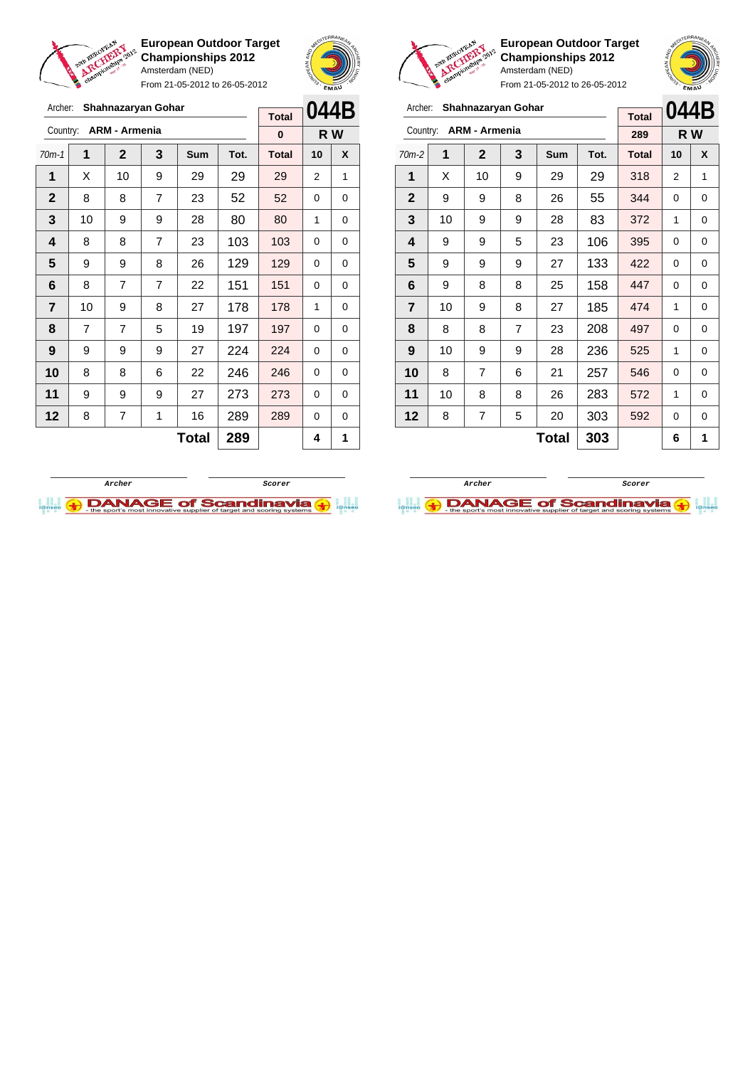

Archer: **Shahnazaryan Gohar**

Country: **ARM - Armenia**

**European Outdoor Target Championships 2012** Amsterdam (NED)

From 21-05-2012 to 26-05-2012

70m-1 **1 2 3 Sum Tot. Total 10 X**



**R W**

**Total 0**



**European Outdoor Target Championships 2012** Amsterdam (NED)

| Archer:                 |    | Shahnazaryan Gohar   |                |            |      | <b>Total</b> | 044B           |          |
|-------------------------|----|----------------------|----------------|------------|------|--------------|----------------|----------|
| Country:                |    | <b>ARM - Armenia</b> |                |            |      | 289          | R W            |          |
| $70m-2$                 | 1  | $\mathbf{2}$         | 3              | <b>Sum</b> | Tot. | <b>Total</b> | 10             | X        |
| 1                       | X  | 10                   | 9              | 29         | 29   | 318          | $\overline{2}$ | 1        |
| $\mathbf{2}$            | 9  | 9                    | 8              | 26         | 55   | 344          | 0              | $\Omega$ |
| 3                       | 10 | 9                    | 9              | 28         | 83   | 372          | 1              | 0        |
| 4                       | 9  | 9                    | 5              | 23         | 106  | 395          | 0              | 0        |
| 5                       | 9  | 9                    | 9              | 27         | 133  | 422          | 0              | 0        |
| 6                       | 9  | 8                    | 8              | 25         | 158  | 447          | 0              | 0        |
| $\overline{\mathbf{r}}$ | 10 | 9                    | 8              | 27         | 185  | 474          | 1              | 0        |
| 8                       | 8  | 8                    | $\overline{7}$ | 23         | 208  | 497          | 0              | 0        |
| 9                       | 10 | 9                    | 9              | 28         | 236  | 525          | 1              | 0        |
| 10                      | 8  | 7                    | 6              | 21         | 257  | 546          | 0              | 0        |
| 11                      | 10 | 8                    | 8              | 26         | 283  | 572          | 1              | 0        |
| 12                      | 8  | 7                    | 5              | 20         | 303  | 592          | 0              | 0        |
|                         |    |                      |                | 6          | 1    |              |                |          |





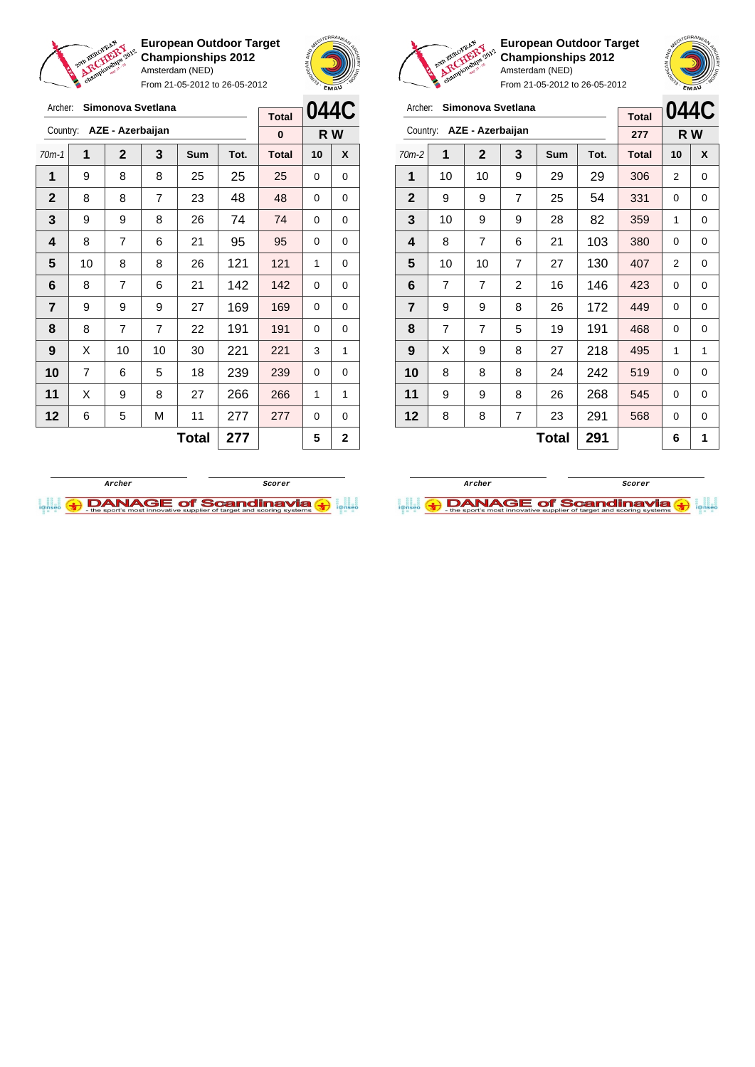

Archer: **Simonova Svetlana** Country: **AZE - Azerbaijan**

**European Outdoor Target Championships 2012** Amsterdam (NED)

From 21-05-2012 to 26-05-2012

70m-1 **1 2 3 Sum Tot. Total 10 X** | 9 | 8 | 8 | 25 | 25 | 25 | 0 | 0 | 8 | 8 | 7 | 23 | 48 | 48 | 0 | 0 | 9 | 9 | 8 | 26 | 74 | 74 | 0 | 0 | 8 | 7 | 6 | 21 | 95 | 95 | 0 | 0 | 10 | 8 | 8 | 26 | 121 | 121 | 1 | 0 | 8 | 7 | 6 | 21 | 142 | 142 | 0 | 0 | 9 | 9 | 9 | 27 | 169 | 169 | 0 | 0 | 8 | 7 | 7 | 22 | 191 | 191 | 0 | 0 | X | 10 | 10 | 30 | 221 | 221 | 3 | 1 | 7 | 6 | 5 | 18 | 239 | 239 | 0 | 0 | X | 9 | 8 | 27 | 266 | 266 | 1 | 1 | 6 | 5 | M | 11 | 277 | 277 | 0 | 0



**R W**

**Total 0**



**European Outdoor Target Championships 2012** Amsterdam (NED)

| e.<br>From 21-05-2012 to 26-05-2012 |                |                   |                |            |      |                     |      | EMAU |
|-------------------------------------|----------------|-------------------|----------------|------------|------|---------------------|------|------|
| Archer:                             |                | Simonova Svetlana |                |            |      |                     | 044C |      |
| Country:                            |                | AZE - Azerbaijan  |                |            |      | <b>Total</b><br>277 | R W  |      |
| $70m-2$                             | 1              | 2                 | 3              | <b>Sum</b> | Tot. | <b>Total</b>        | 10   | X    |
| 1                                   | 10             | 10                | 9              | 29         | 29   | 306                 | 2    | 0    |
| $\mathbf{2}$                        | 9              | 9                 | 7              | 25         | 54   | 331                 | 0    | 0    |
| 3                                   | 10             | 9                 | 9              | 28         | 82   | 359                 | 1    | 0    |
| 4                                   | 8              | $\overline{7}$    | 6              | 21         | 103  | 380                 | 0    | 0    |
| 5                                   | 10             | 10                | 7              | 27         | 130  | 407                 | 2    | 0    |
| 6                                   | $\overline{7}$ | 7                 | $\overline{2}$ | 16         | 146  | 423                 | 0    | 0    |
| 7                                   | 9              | 9                 | 8              | 26         | 172  | 449                 | 0    | 0    |
| 8                                   | $\overline{7}$ | 7                 | 5              | 19         | 191  | 468                 | 0    | 0    |
| 9                                   | X              | 9                 | 8              | 27         | 218  | 495                 | 1    | 1    |
| 10                                  | 8              | 8                 | 8              | 24         | 242  | 519                 | 0    | 0    |
| 11                                  | 9              | 9                 | 8              | 26         | 268  | 545                 | 0    | 0    |
| 12                                  | 8              | 8                 | 7              | 23         | 291  | 568                 | 0    | 0    |
|                                     |                |                   | 6              | 1          |      |                     |      |      |



 $Total | 277 | 5 | 2$ 

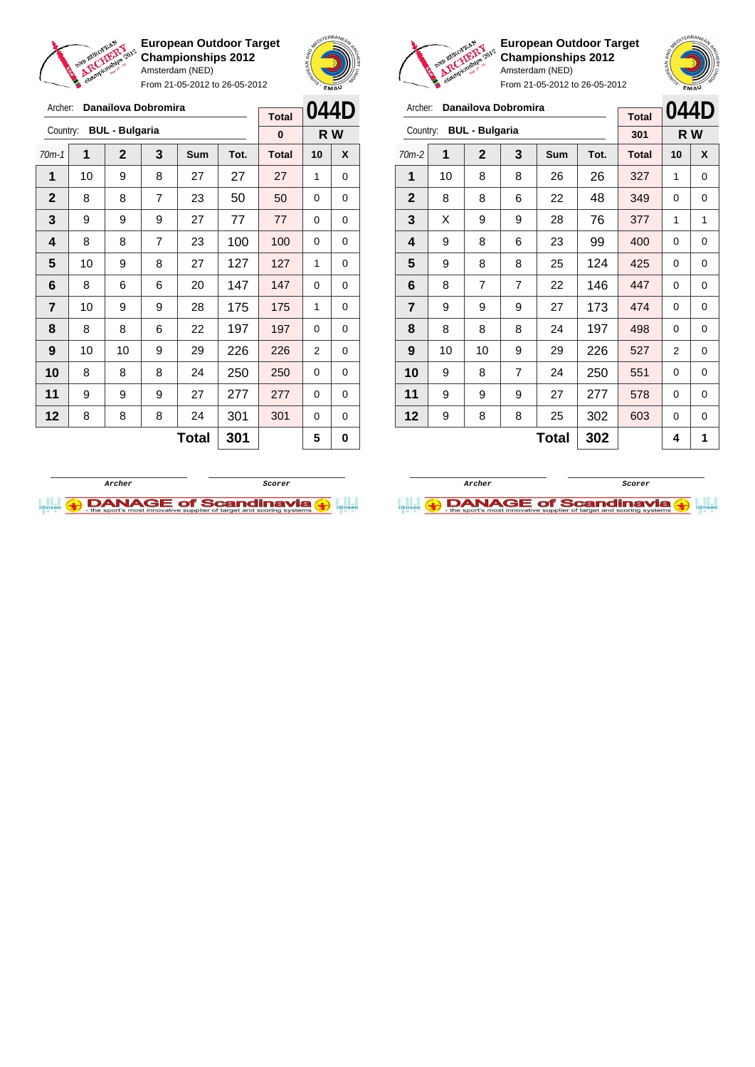

From 21-05-2012 to 26-05-2012





**European Outdoor Target Championships 2012** Amsterdam (NED)

| Archer:                 |    | Danailova Dobromira   |   | <b>Total</b> | 044D |              |     |   |
|-------------------------|----|-----------------------|---|--------------|------|--------------|-----|---|
| Country:                |    | <b>BUL - Bulgaria</b> |   |              |      | 301          | R W |   |
| $70m-2$                 | 1  | $\mathbf{2}$          | 3 | Sum          | Tot. | <b>Total</b> | 10  | X |
| 1                       | 10 | 8                     | 8 | 26           | 26   | 327          | 1   | 0 |
| $\mathbf{2}$            | 8  | 8                     | 6 | 22           | 48   | 349          | 0   | 0 |
| 3                       | X  | 9                     | 9 | 28           | 76   | 377          | 1   | 1 |
| 4                       | 9  | 8                     | 6 | 23           | 99   | 400          | 0   | 0 |
| 5                       | 9  | 8                     | 8 | 25           | 124  | 425          | 0   | 0 |
| 6                       | 8  | $\overline{7}$        | 7 | 22           | 146  | 447          | 0   | 0 |
| $\overline{\mathbf{r}}$ | 9  | 9                     | 9 | 27           | 173  | 474          | 0   | 0 |
| 8                       | 8  | 8                     | 8 | 24           | 197  | 498          | 0   | 0 |
| 9                       | 10 | 10                    | 9 | 29           | 226  | 527          | 2   | 0 |
| 10                      | 9  | 8                     | 7 | 24           | 250  | 551          | 0   | 0 |
| 11                      | 9  | 9                     | 9 | 27           | 277  | 578          | 0   | 0 |
| 12                      | 9  | 8                     | 8 | 25           | 302  | 603          | 0   | 0 |
|                         |    |                       |   | 4            | 1    |              |     |   |

| Archer:        |    | Danailova Dobromira   |                |     |      |              | 044D     |     |
|----------------|----|-----------------------|----------------|-----|------|--------------|----------|-----|
| Country:       |    | <b>BUL - Bulgaria</b> |                |     |      | <b>Total</b> |          |     |
|                |    |                       |                |     |      | 0            |          | R W |
| $70m-1$        | 1  | $\mathbf{2}$          | 3              | Sum | Tot. | <b>Total</b> | 10       | X   |
| 1              | 10 | 9                     | 8              | 27  | 27   | 27           | 1        | 0   |
| $\mathbf{2}$   | 8  | 8                     | $\overline{7}$ | 23  | 50   | 50           | 0        | 0   |
| 3              | 9  | 9                     | 9              | 27  | 77   | 77           | $\Omega$ | 0   |
| 4              | 8  | 8                     | $\overline{7}$ | 23  | 100  | 100          | $\Omega$ | 0   |
| 5              | 10 | 9                     | 8              | 27  | 127  | 127          | 1        | 0   |
| 6              | 8  | 6                     | 6              | 20  | 147  | 147          | 0        | 0   |
| $\overline{7}$ | 10 | 9                     | 9              | 28  | 175  | 175          | 1        | 0   |
| 8              | 8  | 8                     | 6              | 22  | 197  | 197          | $\Omega$ | 0   |
| 9              | 10 | 10                    | 9              | 29  | 226  | 226          | 2        | 0   |
| 10             | 8  | 8                     | 8              | 24  | 250  | 250          | 0        | 0   |
| 11             | 9  | 9                     | 9              | 27  | 277  | 277          | 0        | 0   |
| 12             | 8  | 8                     | 8              | 24  | 301  | 301          | 0        | 0   |
|                |    |                       |                | 5   | 0    |              |          |     |



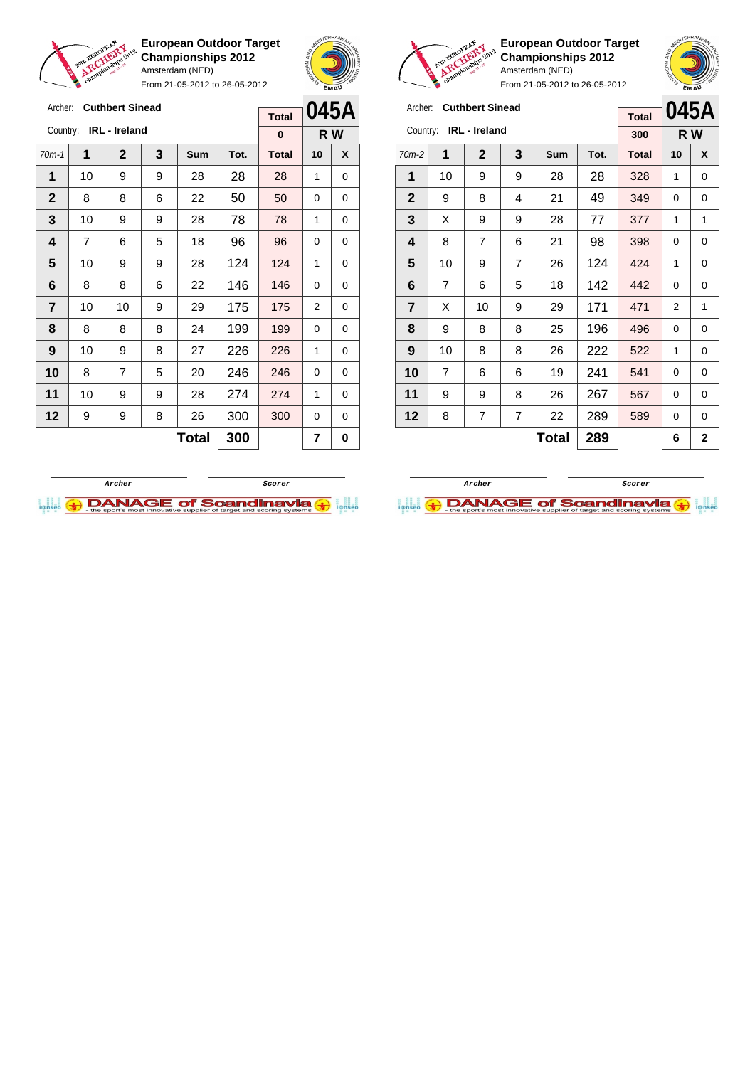

Archer: **Cuthbert Sinead**

**European Outdoor Target Championships 2012** Amsterdam (NED)

From 21-05-2012 to 26-05-2012





 $\sqrt{2}$ 

**European Outdoor Target Championships 2012** Amsterdam (NED)

| Archer:        | <b>Cuthbert Sinead</b> |                      | 045A           |            |      |              |    |     |
|----------------|------------------------|----------------------|----------------|------------|------|--------------|----|-----|
|                |                        |                      |                |            |      | <b>Total</b> |    |     |
| Country:       |                        | <b>IRL</b> - Ireland |                |            |      | 300          |    | R W |
| $70m-2$        | 1                      | $\mathbf{2}$         | 3              | <b>Sum</b> | Tot. | <b>Total</b> | 10 | X   |
| 1              | 10                     | 9                    | 9              | 28         | 28   | 328          | 1  | 0   |
| 2              | 9                      | 8                    | 4              | 21         | 49   | 349          | 0  | 0   |
| 3              | X                      | 9                    | 9              | 28         | 77   | 377          | 1  | 1   |
| 4              | 8                      | $\overline{7}$       | 6              | 21         | 98   | 398          | 0  | 0   |
| 5              | 10                     | 9                    | 7              | 26         | 124  | 424          | 1  | 0   |
| 6              | $\overline{7}$         | 6                    | 5              | 18         | 142  | 442          | 0  | 0   |
| $\overline{7}$ | X                      | 10                   | 9              | 29         | 171  | 471          | 2  | 1   |
| 8              | 9                      | 8                    | 8              | 25         | 196  | 496          | 0  | 0   |
| 9              | 10                     | 8                    | 8              | 26         | 222  | 522          | 1  | 0   |
| 10             | $\overline{7}$         | 6                    | 6              | 19         | 241  | 541          | 0  | 0   |
| 11             | 9                      | 9                    | 8              | 26         | 267  | 567          | 0  | 0   |
| 12             | 8                      | $\overline{7}$       | $\overline{7}$ | 22         | 289  | 589          | 0  | 0   |
|                |                        |                      | 289            |            | 6    | 2            |    |     |

| Archer:        |    | <b>Cuthbert Sinead</b> |   |     | <b>Total</b> |              | 045A           |     |
|----------------|----|------------------------|---|-----|--------------|--------------|----------------|-----|
| Country:       |    | IRL - Ireland          |   |     |              | $\bf{0}$     |                | R W |
| $70m-1$        | 1  | $\mathbf{2}$           | 3 | Sum | Tot.         | <b>Total</b> | 10             | X   |
| 1              | 10 | 9                      | 9 | 28  | 28           | 28           | 1              | 0   |
| $\mathbf{2}$   | 8  | 8                      | 6 | 22  | 50           | 50           | 0              | 0   |
| 3              | 10 | 9                      | 9 | 28  | 78           | 78           | 1              | 0   |
| 4              | 7  | 6                      | 5 | 18  | 96           | 96           | 0              | 0   |
| 5              | 10 | 9                      | 9 | 28  | 124          | 124          | 1              | 0   |
| 6              | 8  | 8                      | 6 | 22  | 146          | 146          | 0              | 0   |
| $\overline{7}$ | 10 | 10                     | 9 | 29  | 175          | 175          | $\overline{2}$ | 0   |
| 8              | 8  | 8                      | 8 | 24  | 199          | 199          | 0              | 0   |
| 9              | 10 | 9                      | 8 | 27  | 226          | 226          | 1              | 0   |
| 10             | 8  | $\overline{7}$         | 5 | 20  | 246          | 246          | 0              | 0   |
| 11             | 10 | 9                      | 9 | 28  | 274          | 274          | 1              | 0   |
| 12             | 9  | 9                      | 8 | 26  | 300          | 300          | 0              | 0   |
|                |    |                        | 7 | 0   |              |              |                |     |



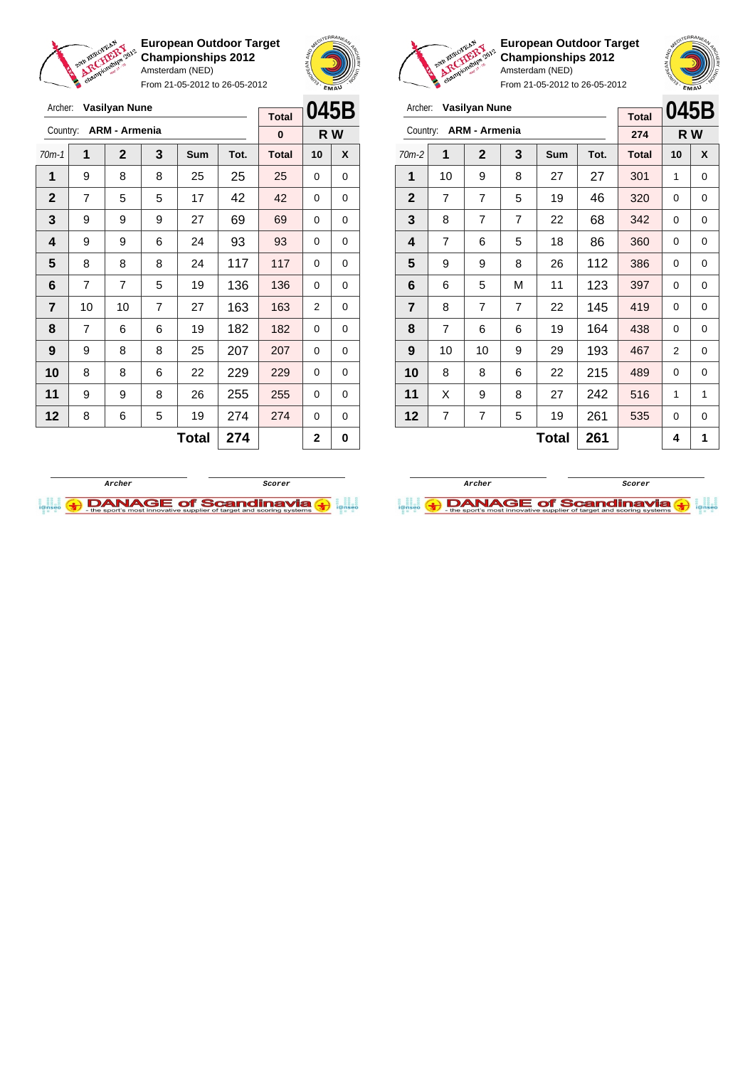

Archer: **Vasilyan Nune** Country: **ARM - Armenia**

**European Outdoor Target Championships 2012** Amsterdam (NED)

From 21-05-2012 to 26-05-2012

70m-1 **1 2 3 Sum Tot. Total 10 X** | 9 | 8 | 8 | 25 | 25 | 25 | 0 | 0 | 7 | 5 | 5 | 17 | 42 | 42 | 0 | 0 | 9 | 9 | 9 | 27 | 69 | 69 | 0 | 0 | 9 | 9 | 6 | 24 | 93 | 93 | 0 | 0  $\begin{array}{|c|c|c|c|c|c|c|c|} \hline \textbf{5} & \textbf{8} & \textbf{8} & \textbf{24} & \textbf{117} & \textbf{117} & \textbf{0} & \textbf{0} \ \hline \end{array}$  | 7 | 7 | 5 | 19 | 136 | 136 | 0 | 0 | 10 | 10 | 7 | 27 | 163 | 163 | 2 | 0 | 7 | 6 | 6 | 19 | 182 | 182 | 0 | 0 | 9 | 8 | 8 | 25 | 207 | 207 | 0 | 0 8 8 8 6 22 229 229 0 0 | 9 | 9 | 8 | 26 | 255 <mark>| 255 |</mark> 0 | 0 | 8 | 6 | 5 | 19 | 274 | 274 | 0 | 0



**R W**

**Total 0**



**European Outdoor Target Championships 2012** Amsterdam (NED)



From 21-05-2012 to 26-05-2012

| Archer:        |                | Vasilyan Nune        |                |     |      | <b>Total</b> | 045E |     |  |
|----------------|----------------|----------------------|----------------|-----|------|--------------|------|-----|--|
| Country:       |                | <b>ARM - Armenia</b> |                |     |      | 274          |      | R W |  |
| $70m-2$        | 1              | $\mathbf{2}$         | 3              | Sum | Tot. | <b>Total</b> | 10   | X   |  |
| 1              | 10             | 9                    | 8              | 27  | 27   | 301          | 1    | 0   |  |
| $\mathbf{2}$   | $\overline{7}$ | 7                    | 5              | 19  | 46   | 320          | 0    | 0   |  |
| 3              | 8              | 7                    | $\overline{7}$ | 22  | 68   | 342          | 0    | 0   |  |
| 4              | 7              | 6                    | 5              | 18  | 86   | 360          | 0    | 0   |  |
| 5              | 9              | 9                    | 8              | 26  | 112  | 386          | 0    | 0   |  |
| 6              | 6              | 5                    | M              | 11  | 123  | 397          | 0    | 0   |  |
| $\overline{7}$ | 8              | 7                    | 7              | 22  | 145  | 419          | 0    | 0   |  |
| 8              | $\overline{7}$ | 6                    | 6              | 19  | 164  | 438          | 0    | 0   |  |
| 9              | 10             | 10                   | 9              | 29  | 193  | 467          | 2    | 0   |  |
| 10             | 8              | 8                    | 6              | 22  | 215  | 489          | 0    | 0   |  |
| 11             | X              | 9                    | 8              | 27  | 242  | 516          | 1    | 1   |  |
| 12             | 7              | 7                    | 5              | 19  | 261  | 535          | 0    | 0   |  |

 $\textbf{Total}$  261  $\vert 4 \vert 1$ 

**Archer ScorerI.I. ADANAGE of Scandinavia (+)** 



 $Total | 274 | 2 | 0$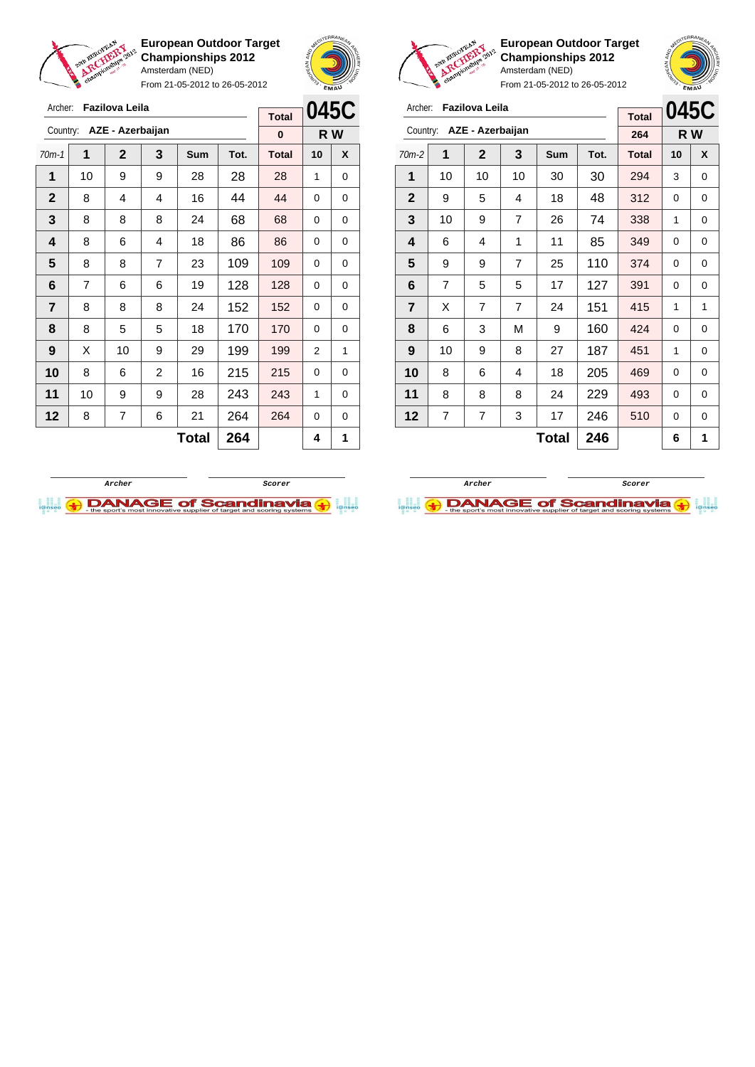

Archer: **Fazilova Leila**

Country: **AZE - Azerbaijan**

**European Outdoor Target Championships 2012** Amsterdam (NED)

From 21-05-2012 to 26-05-2012



**R W**

**Total 0**

**European Outdoor Target Championships 2012** Amsterdam (NED)

**045C**

From 21-05-2012 to 26-05-2012

| Archer:        |    | Fazilova Leila   |                |     |      |              |      |     |
|----------------|----|------------------|----------------|-----|------|--------------|------|-----|
|                |    |                  |                |     |      | <b>Total</b> | 0450 |     |
| Country:       |    | AZE - Azerbaijan |                |     |      | 264          |      | R W |
| $70m-2$        | 1  | $\mathbf{2}$     | 3              | Sum | Tot. | <b>Total</b> | 10   | X   |
| 1              | 10 | 10               | 10             | 30  | 30   | 294          | 3    | 0   |
| $\overline{2}$ | 9  | 5                | 4              | 18  | 48   | 312          | 0    | 0   |
| 3              | 10 | 9                | $\overline{7}$ | 26  | 74   | 338          | 1    | 0   |
| 4              | 6  | 4                | 1              | 11  | 85   | 349          | 0    | 0   |
| 5              | 9  | 9                | 7              | 25  | 110  | 374          | 0    | 0   |
| 6              | 7  | 5                | 5              | 17  | 127  | 391          | 0    | 0   |
| $\overline{7}$ | X  | 7                | $\overline{7}$ | 24  | 151  | 415          | 1    | 1   |
| 8              | 6  | 3                | M              | 9   | 160  | 424          | 0    | 0   |

| $70m-1$        | 1  | $\mathbf{2}$ | 3              | Sum          | Tot. | <b>Total</b> | 10 | X           |
|----------------|----|--------------|----------------|--------------|------|--------------|----|-------------|
| 1              | 10 | 9            | 9              | 28           | 28   | 28           | 1  | 0           |
| $\mathbf 2$    | 8  | 4            | 4              | 16           | 44   | 44           | 0  | 0           |
| 3              | 8  | 8            | 8              | 24           | 68   | 68           | 0  | 0           |
| 4              | 8  | 6            | 4              | 18           | 86   | 86           | 0  | $\mathbf 0$ |
| 5              | 8  | 8            | $\overline{7}$ | 23           | 109  | 109          | 0  | 0           |
| 6              | 7  | 6            | 6              | 19           | 128  | 128          | 0  | 0           |
| $\overline{7}$ | 8  | 8            | 8              | 24           | 152  | 152          | 0  | 0           |
| 8              | 8  | 5            | 5              | 18           | 170  | 170          | 0  | 0           |
| 9              | X  | 10           | 9              | 29           | 199  | 199          | 2  | 1           |
| 10             | 8  | 6            | $\overline{c}$ | 16           | 215  | 215          | 0  | 0           |
| 11             | 10 | 9            | 9              | 28           | 243  | 243          | 1  | 0           |
| 12             | 8  | 7            | 6              | 21           | 264  | 264          | 0  | 0           |
|                |    |              |                | <b>Total</b> | 264  |              | 4  | 1           |



 | 10 | 9 | 8 | 27 | 187 | 451 | 1 | 0 | 8 | 6 | 4 | 18 | 205 | 469 | 0 | 0 | 8 | 8 | 8 | 24 | 229 | 493 | 0 | 0 | 7 | 7 | 3 | 17 | 246 | 510 | 0 | 0

**Total 246 6 1**

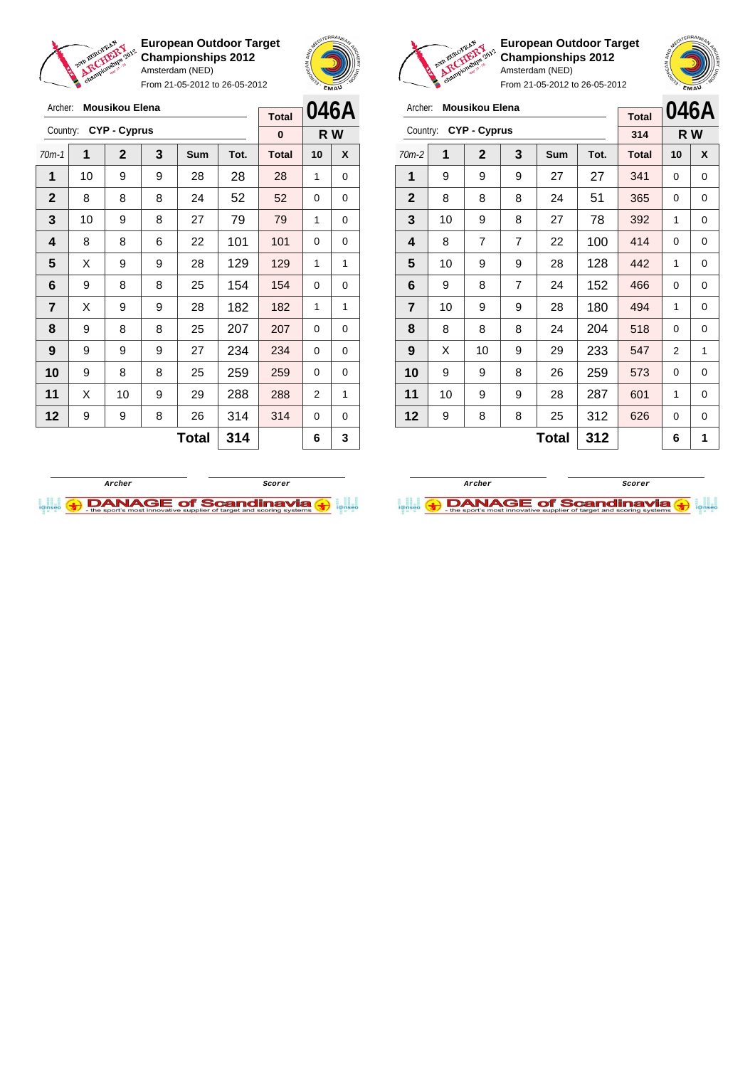

Archer: **Mousikou Elena** Country: **CYP - Cyprus**

**European Outdoor Target Championships 2012** Amsterdam (NED) From 21-05-2012 to 26-05-2012

70m-1 **1 2 3 Sum Tot. Total 10 X** | 10 | 9 | 9 | 28 | 28 | 28 | 1 | 0 | 8 | 8 | 8 | 24 | 52 | 52 | 0 | 0 | 10 | 9 | 8 | 27 | 79 | 79 | 1 | 0 | 8 | 8 | 6 | 22 | 101 | 101 | 0 | 0  $\mid$  X  $\mid$  9  $\mid$  9  $\mid$  28  $\mid$  129  $\mid$  129  $\mid$  1  $\mid$  1 | 9 | 8 | 8 | 25 | 154 | 154 | 0 | 0  $\begin{array}{|c|c|c|c|c|c|}\n\hline\n\textbf{7} & \textbf{X} & \textbf{9} & \textbf{9} & \textbf{28} & \textbf{182} & \textbf{182} & \textbf{1} & \textbf{1} & \textbf{1} \\
\hline\n\end{array}$  | 9 | 8 | 8 | 25 | 207 | 207 | 0 | 0 | 9 | 9 | 9 | 27 | 234 | 234 | 0 | 0 9 8 8 25 259 259 0 0 | X | 10 | 9 | 29 | 288 | 288 | 2 | 1 | 9 | 9 | 8 | 26 | 314 | 314 | 0 | 0



**R W**

**Total 0**



**European Outdoor Target Championships 2012** Amsterdam (NED)

From 21-05-2012 to 26-05-2012

| Archer:        |    | <b>Mousikou Elena</b> |   | <b>Total</b> |      | 046A         |     |   |
|----------------|----|-----------------------|---|--------------|------|--------------|-----|---|
| Country:       |    | <b>CYP - Cyprus</b>   |   |              |      | 314          | R W |   |
| $70m-2$        | 1  | $\mathbf{2}$          | 3 | Sum          | Tot. | <b>Total</b> | 10  | X |
| 1              | 9  | 9                     | 9 | 27           | 27   | 341          | 0   | 0 |
| $\mathbf{2}$   | 8  | 8                     | 8 | 24           | 51   | 365          | 0   | 0 |
| 3              | 10 | 9                     | 8 | 27           | 78   | 392          | 1   | 0 |
| 4              | 8  | 7                     | 7 | 22           | 100  | 414          | 0   | 0 |
| 5              | 10 | 9                     | 9 | 28           | 128  | 442          | 1   | 0 |
| 6              | 9  | 8                     | 7 | 24           | 152  | 466          | 0   | 0 |
| $\overline{7}$ | 10 | 9                     | 9 | 28           | 180  | 494          | 1   | 0 |
| 8              | 8  | 8                     | 8 | 24           | 204  | 518          | 0   | 0 |
| 9              | X  | 10                    | 9 | 29           | 233  | 547          | 2   | 1 |
| 10             | 9  | 9                     | 8 | 26           | 259  | 573          | 0   | 0 |
| 11             | 10 | 9                     | 9 | 28           | 287  | 601          | 1   | 0 |
| 12             | 9  | 8                     | 8 | 25           | 312  | 626          | 0   | 0 |
|                |    |                       |   | 6            | 1    |              |     |   |



**Total 314 6 3**

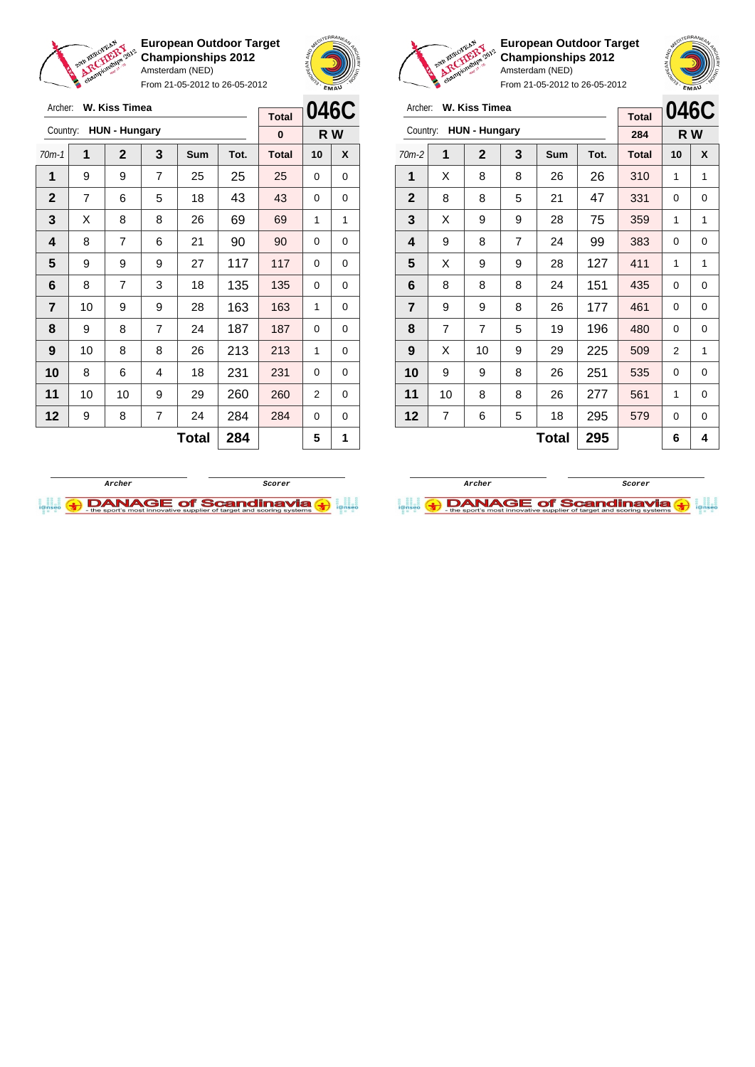

Archer: **W. Kiss Timea**

**European Outdoor Target Championships 2012** Amsterdam (NED) From 21-05-2012 to 26-05-2012



**European Outdoor Target Championships 2012** Amsterdam (NED)

| Archer:        | W. Kiss Timea        | <b>Total</b> | 046C           |            |      |              |    |   |
|----------------|----------------------|--------------|----------------|------------|------|--------------|----|---|
| Country:       | <b>HUN - Hungary</b> | 284          | R W            |            |      |              |    |   |
| $70m-2$        | 1                    | $\mathbf{2}$ | 3              | <b>Sum</b> | Tot. | <b>Total</b> | 10 | X |
| 1              | X                    | 8            | 8              | 26         | 26   | 310          | 1  | 1 |
| $\mathbf{2}$   | 8                    | 8            | 5              | 21         | 47   | 331          | 0  | 0 |
| 3              | X                    | 9            | 9              | 28         | 75   | 359          | 1  | 1 |
| 4              | 9                    | 8            | $\overline{7}$ | 24         | 99   | 383          | 0  | 0 |
| 5              | X                    | 9            | 9              | 28         | 127  | 411          | 1  | 1 |
| 6              | 8                    | 8            | 8              | 24         | 151  | 435          | 0  | 0 |
| $\overline{7}$ | 9                    | 9            | 8              | 26         | 177  | 461          | 0  | 0 |
| 8              | $\overline{7}$       | 7            | 5              | 19         | 196  | 480          | 0  | 0 |
| 9              | X                    | 10           | 9              | 29         | 225  | 509          | 2  | 1 |
| 10             | 9                    | 9            | 8              | 26         | 251  | 535          | 0  | 0 |
| 11             | 10                   | 8            | 8              | 26         | 277  | 561          | 1  | 0 |
| 12             | 7                    | 6            | 5              | 18         | 295  | 579          | 0  | 0 |
|                |                      |              | 295            |            | 6    | 4            |    |   |

| Archer:<br>W. Kiss Timea         | <b>Total</b>   | 046C           |     |       |              |          |     |
|----------------------------------|----------------|----------------|-----|-------|--------------|----------|-----|
| <b>HUN - Hungary</b><br>Country: |                |                |     |       |              |          | R W |
| 1                                | $\mathbf{2}$   | 3              | Sum | Tot.  | <b>Total</b> | 10       | X   |
| 9                                | 9              | $\overline{7}$ | 25  | 25    | 25           | $\Omega$ | 0   |
| 7                                | 6              | 5              | 18  | 43    | 43           | 0        | 0   |
| X                                | 8              | 8              | 26  | 69    | 69           | 1        | 1   |
| 8                                | 7              | 6              | 21  | 90    | 90           | 0        | 0   |
| 9                                | 9              | 9              | 27  | 117   | 117          | 0        | 0   |
| 8                                | $\overline{7}$ | 3              | 18  | 135   | 135          | 0        | 0   |
| 10                               | 9              | 9              | 28  | 163   | 163          | 1        | 0   |
| 9                                | 8              | 7              | 24  | 187   | 187          | 0        | 0   |
| 10                               | 8              | 8              | 26  | 213   | 213          | 1        | 0   |
| 8                                | 6              | 4              | 18  | 231   | 231          | 0        | 0   |
| 10                               | 10             | 9              | 29  | 260   | 260          | 2        | 0   |
| 9                                | 8              | $\overline{7}$ | 24  | 284   | 284          | 0        | 0   |
|                                  |                |                |     | 284   |              | 5        | 1   |
|                                  |                |                |     | Total |              | 0        |     |



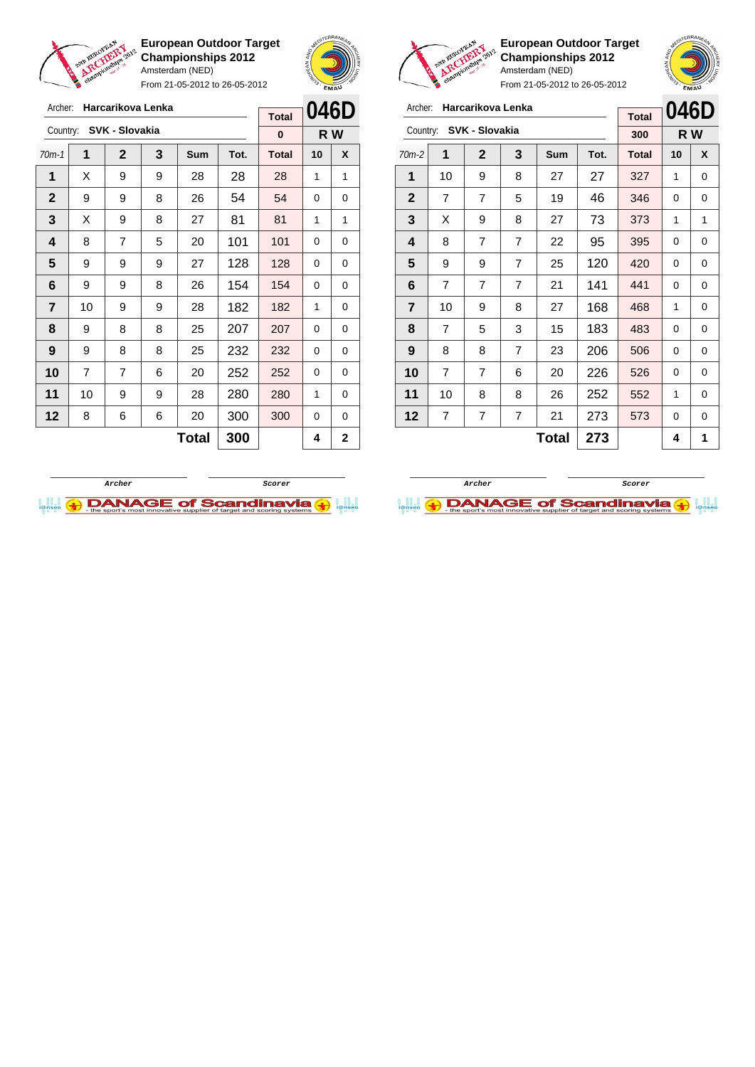

From 21-05-2012 to 26-05-2012





**European Outdoor Target Championships 2012** Amsterdam (NED)



| Archer:        | Harcarikova Lenka |              | 046D           |            |      |              |          |   |
|----------------|-------------------|--------------|----------------|------------|------|--------------|----------|---|
|                |                   | <b>Total</b> |                |            |      |              |          |   |
| Country:       | SVK - Slovakia    | 300          |                | R W        |      |              |          |   |
| $70m-2$        | 1                 | $\mathbf{2}$ | 3              | <b>Sum</b> | Tot. | <b>Total</b> | 10       | X |
| 1              | 10                | 9            | 8              | 27         | 27   | 327          | 1        | 0 |
| $\mathbf{2}$   | 7                 | 7            | 5              | 19         | 46   | 346          | 0        | 0 |
| 3              | X                 | 9            | 8              | 27         | 73   | 373          | 1        | 1 |
| 4              | 8                 | 7            | 7              | 22         | 95   | 395          | $\Omega$ | 0 |
| 5              | 9                 | 9            | 7              | 25         | 120  | 420          | 0        | 0 |
| 6              | 7                 | 7            | $\overline{7}$ | 21         | 141  | 441          | $\Omega$ | 0 |
| $\overline{7}$ | 10                | 9            | 8              | 27         | 168  | 468          | 1        | 0 |
| 8              | 7                 | 5            | 3              | 15         | 183  | 483          | 0        | 0 |
| 9              | 8                 | 8            | $\overline{7}$ | 23         | 206  | 506          | 0        | 0 |
| 10             | $\overline{7}$    | 7            | 6              | 20         | 226  | 526          | 0        | 0 |
| 11             | 10                | 8            | 8              | 26         | 252  | 552          | 1        | 0 |
| 12             | 7                 | 7            | 7              | 21         | 273  | 573          | $\Omega$ | 0 |
|                |                   |              | 4              | 1          |      |              |          |   |





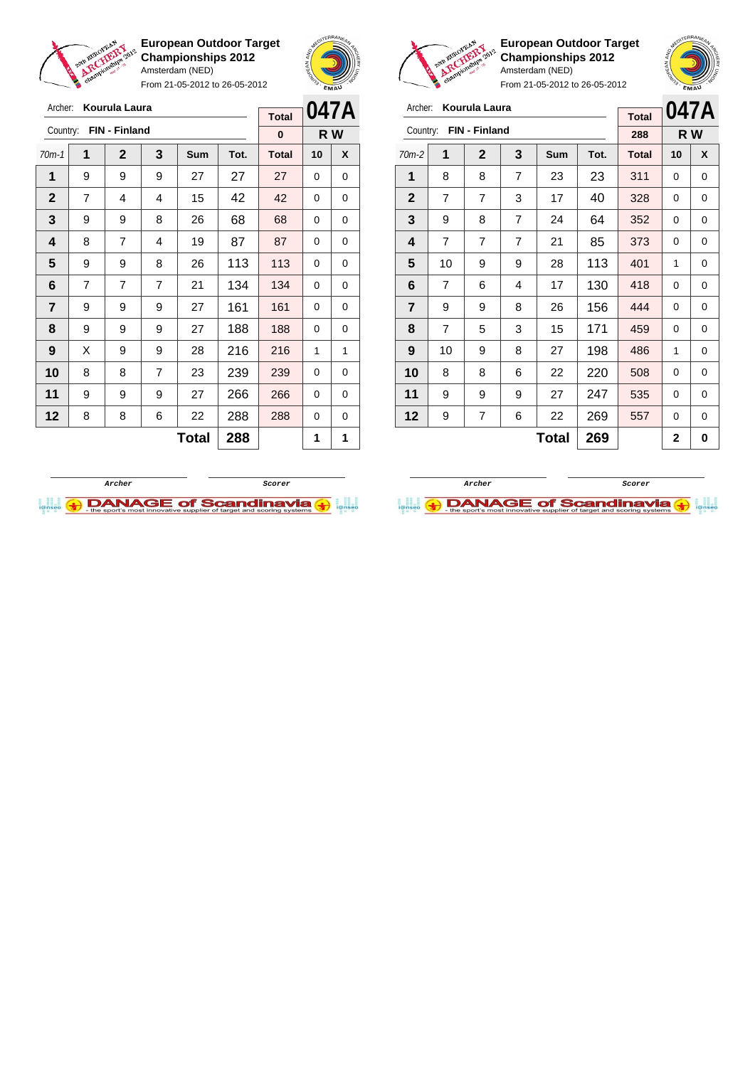

Archer: **Kourula Laura**

**European Outdoor Target Championships 2012** Amsterdam (NED)

From 21-05-2012 to 26-05-2012



**European Outdoor Target**

Amsterdam (NED) From 21-05-2012 to 26-05-2012

**Championships 2012**

| Archer:                 | Kourula Laura  | <b>Total</b> | 047A |       |      |              |          |   |
|-------------------------|----------------|--------------|------|-------|------|--------------|----------|---|
| Country:                | FIN - Finland  | 288          | R W  |       |      |              |          |   |
| $70m-2$                 | 1              | 2            | 3    | Sum   | Tot. | <b>Total</b> | 10       | X |
| 1                       | 8              | 8            | 7    | 23    | 23   | 311          | 0        | 0 |
| $\mathbf{2}$            | 7              | 7            | 3    | 17    | 40   | 328          | 0        | 0 |
| 3                       | 9              | 8            | 7    | 24    | 64   | 352          | 0        | 0 |
| 4                       | $\overline{7}$ | 7            | 7    | 21    | 85   | 373          | 0        | 0 |
| 5                       | 10             | 9            | 9    | 28    | 113  | 401          | 1        | 0 |
| 6                       | 7              | 6            | 4    | 17    | 130  | 418          | 0        | 0 |
| $\overline{\mathbf{r}}$ | 9              | 9            | 8    | 26    | 156  | 444          | $\Omega$ | 0 |
| 8                       | $\overline{7}$ | 5            | 3    | 15    | 171  | 459          | 0        | 0 |
| 9                       | 10             | 9            | 8    | 27    | 198  | 486          | 1        | 0 |
| 10                      | 8              | 8            | 6    | 22    | 220  | 508          | 0        | 0 |
| 11                      | 9              | 9            | 9    | 27    | 247  | 535          | 0        | 0 |
| 12                      | 9              | 7            | 6    | 22    | 269  | 557          | 0        | 0 |
|                         |                |              |      | Total | 269  |              | 2        | 0 |

| FIN - Finland<br>Country: |                          | Kourula Laura<br>Archer: |            |       |              |    |   |  |  |
|---------------------------|--------------------------|--------------------------|------------|-------|--------------|----|---|--|--|
|                           | <b>Total</b><br>$\bf{0}$ |                          | R W        |       |              |    |   |  |  |
| 1                         | $\mathbf 2$              | 3                        | <b>Sum</b> | Tot.  | <b>Total</b> | 10 | X |  |  |
| 9                         | 9                        | 9                        | 27         | 27    | 27           | 0  | 0 |  |  |
| 7                         | 4                        | 4                        | 15         | 42    | 42           | 0  | 0 |  |  |
| 9                         | 9                        | 8                        | 26         | 68    | 68           | 0  | 0 |  |  |
| 8                         | 7                        | 4                        | 19         | 87    | 87           | 0  | 0 |  |  |
| 9                         | 9                        | 8                        | 26         | 113   | 113          | 0  | 0 |  |  |
| $\overline{7}$            | 7                        | 7                        | 21         | 134   | 134          | 0  | 0 |  |  |
| 9                         | 9                        | 9                        | 27         | 161   | 161          | 0  | 0 |  |  |
| 9                         | 9                        | 9                        | 27         | 188   | 188          | 0  | 0 |  |  |
| X                         | 9                        | 9                        | 28         | 216   | 216          | 1  | 1 |  |  |
| 8                         | 8                        | $\overline{7}$           | 23         | 239   | 239          | 0  | 0 |  |  |
| 9                         | 9                        | 9                        | 27         | 266   | 266          | 0  | 0 |  |  |
| 8                         | 8                        | 6                        | 22         | 288   | 288          | 0  | 0 |  |  |
|                           |                          |                          |            | 288   |              | 1  | 1 |  |  |
|                           |                          |                          |            | Total |              |    |   |  |  |



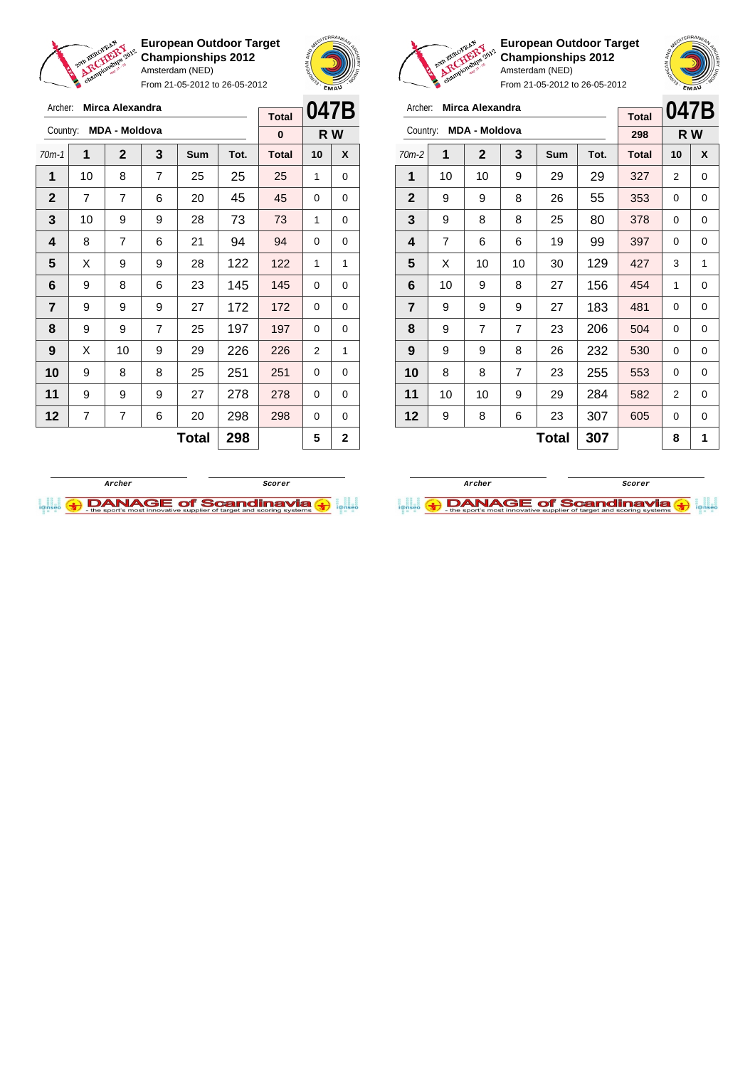

From 21-05-2012 to 26-05-2012





**European Outdoor Target Championships 2012** Amsterdam (NED)

| Archer:        | Mirca Alexandra      | <b>Total</b> | 047B           |              |      |              |          |   |
|----------------|----------------------|--------------|----------------|--------------|------|--------------|----------|---|
| Country:       | <b>MDA - Moldova</b> | 298          | R W            |              |      |              |          |   |
| $70m-2$        | 1                    | $\mathbf 2$  | 3              | Sum          | Tot. | <b>Total</b> | 10       | X |
| 1              | 10                   | 10           | 9              | 29           | 29   | 327          | 2        | 0 |
| $\mathbf 2$    | 9                    | 9            | 8              | 26           | 55   | 353          | 0        | 0 |
| 3              | 9                    | 8            | 8              | 25           | 80   | 378          | 0        | 0 |
| 4              | $\overline{7}$       | 6            | 6              | 19           | 99   | 397          | 0        | 0 |
| 5              | X                    | 10           | 10             | 30           | 129  | 427          | 3        | 1 |
| 6              | 10                   | 9            | 8              | 27           | 156  | 454          | 1        | 0 |
| $\overline{7}$ | 9                    | 9            | 9              | 27           | 183  | 481          | $\Omega$ | 0 |
| 8              | 9                    | 7            | $\overline{7}$ | 23           | 206  | 504          | 0        | 0 |
| 9              | 9                    | 9            | 8              | 26           | 232  | 530          | 0        | 0 |
| 10             | 8                    | 8            | $\overline{7}$ | 23           | 255  | 553          | 0        | 0 |
| 11             | 10                   | 10           | 9              | 29           | 284  | 582          | 2        | 0 |
| 12             | 9                    | 8            | 6              | 23           | 307  | 605          | 0        | 0 |
|                |                      |              |                | <b>Total</b> | 307  |              | 8        | 1 |